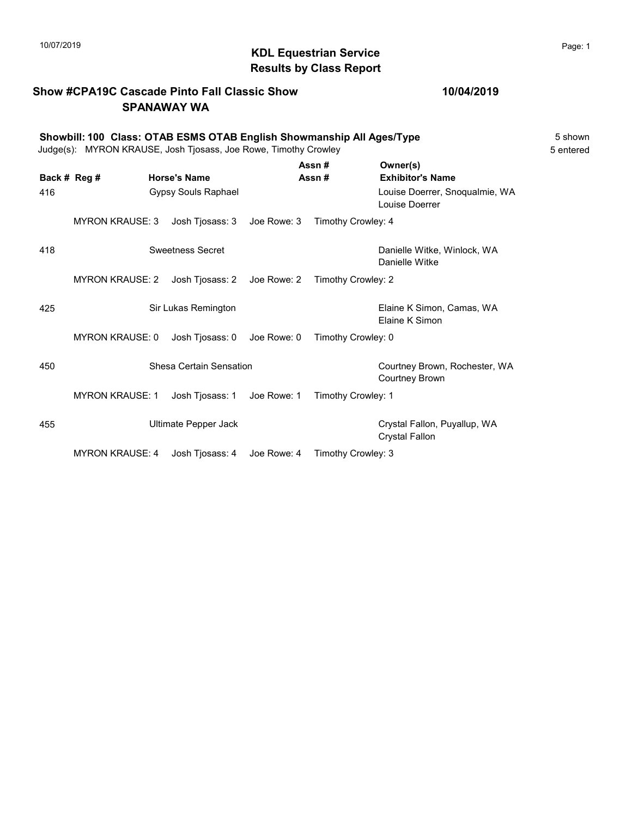# 10/07/2019 **Page: 1 RDL Equestrian Service Page: 1 Page: 1** Results by Class Report

### Show #CPA19C Cascade Pinto Fall Classic Show SPANAWAY WA

### 10/04/2019

### Showbill: 100 Class: OTAB ESMS OTAB English Showmanship All Ages/Type<br>Judge(s): MYRON KRAUSE. Josh Tiosass. Joe Rowe. Timothy Crowley Judge(s): MYRON KRAUSE, Josh Tjosass, Joe Rowe, Timothy Crowley Assn # Owner(s)

|              |                        |                            |             | Assn#              | Owner(s)                                               |
|--------------|------------------------|----------------------------|-------------|--------------------|--------------------------------------------------------|
| Back # Reg # |                        | <b>Horse's Name</b>        |             | Assn#              | <b>Exhibitor's Name</b>                                |
| 416          |                        | <b>Gypsy Souls Raphael</b> |             |                    | Louise Doerrer, Snoqualmie, WA<br>Louise Doerrer       |
|              | <b>MYRON KRAUSE: 3</b> | Josh Tjosass: 3            | Joe Rowe: 3 | Timothy Crowley: 4 |                                                        |
| 418          |                        | Sweetness Secret           |             |                    | Danielle Witke, Winlock, WA<br>Danielle Witke          |
|              | <b>MYRON KRAUSE: 2</b> | Josh Tjosass: 2            | Joe Rowe: 2 | Timothy Crowley: 2 |                                                        |
| 425          |                        | Sir Lukas Remington        |             |                    | Elaine K Simon, Camas, WA<br>Elaine K Simon            |
|              | <b>MYRON KRAUSE: 0</b> | Josh Tjosass: 0            | Joe Rowe: 0 | Timothy Crowley: 0 |                                                        |
| 450          |                        | Shesa Certain Sensation    |             |                    | Courtney Brown, Rochester, WA<br><b>Courtney Brown</b> |
|              | <b>MYRON KRAUSE: 1</b> | Josh Tjosass: 1            | Joe Rowe: 1 | Timothy Crowley: 1 |                                                        |
| 455          |                        | Ultimate Pepper Jack       |             |                    | Crystal Fallon, Puyallup, WA<br><b>Crystal Fallon</b>  |
|              | <b>MYRON KRAUSE: 4</b> | Josh Tjosass: 4            | Joe Rowe: 4 | Timothy Crowley: 3 |                                                        |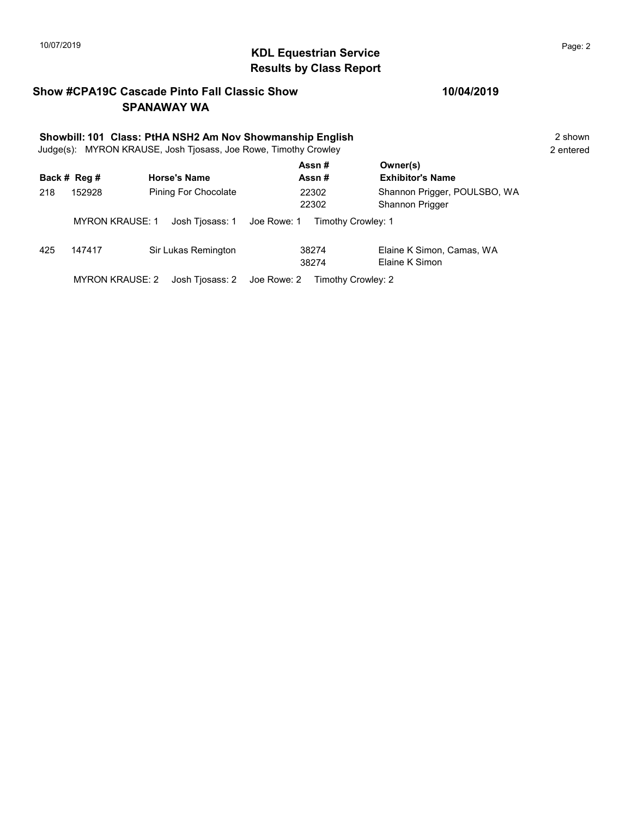# 10/07/2019 **Page: 2**<br> **KDL Equestrian Service Page: 2** Results by Class Report

### Show #CPA19C Cascade Pinto Fall Classic Show SPANAWAY WA

|     | Showbill: 101 Class: PtHA NSH2 Am Nov Showmanship English<br>Judge(s): MYRON KRAUSE, Josh Tjosass, Joe Rowe, Timothy Crowley |                             |                |                                                 |  |  |
|-----|------------------------------------------------------------------------------------------------------------------------------|-----------------------------|----------------|-------------------------------------------------|--|--|
|     | Back # Reg #                                                                                                                 | <b>Horse's Name</b>         | Assn#<br>Assn# | Owner(s)<br><b>Exhibitor's Name</b>             |  |  |
| 218 | 152928                                                                                                                       | Pining For Chocolate        | 22302<br>22302 | Shannon Prigger, POULSBO, WA<br>Shannon Prigger |  |  |
|     | <b>MYRON KRAUSE: 1</b>                                                                                                       | Josh Tiosass: 1 Joe Rowe: 1 |                | Timothy Crowley: 1                              |  |  |
| 425 | 147417                                                                                                                       | Sir Lukas Remington         | 38274<br>38274 | Elaine K Simon, Camas, WA<br>Elaine K Simon     |  |  |
|     | <b>MYRON KRAUSE: 2</b>                                                                                                       | Josh Tiosass: 2 Joe Rowe: 2 |                | Timothy Crowley: 2                              |  |  |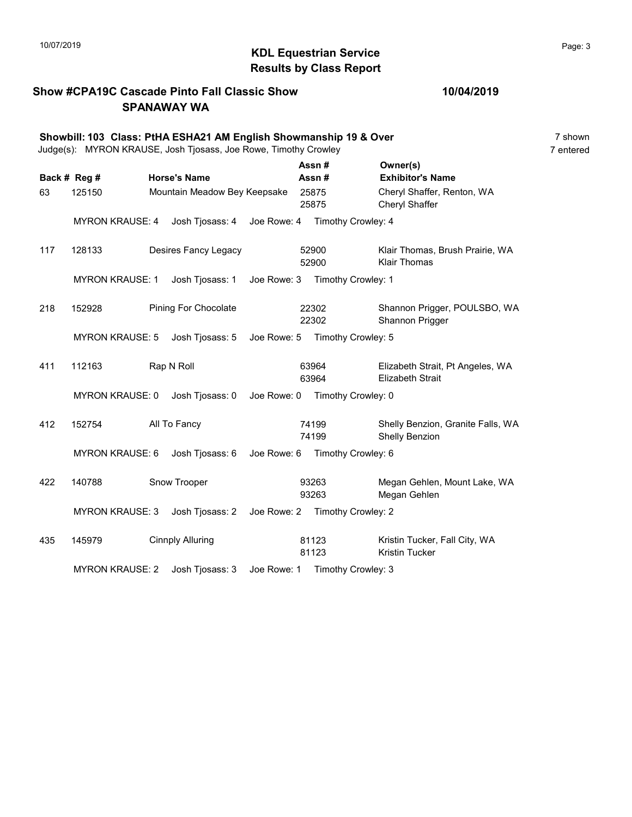# 10/07/2019 **Page: 3** Results by Class Report

### Show #CPA19C Cascade Pinto Fall Classic Show SPANAWAY WA

|     | Showbill: 103 Class: PtHA ESHA21 AM English Showmanship 19 & Over<br>Judge(s): MYRON KRAUSE, Josh Tjosass, Joe Rowe, Timothy Crowley |  |                              |             |  |                                |                                                             | 7 shown<br>7 entered |
|-----|--------------------------------------------------------------------------------------------------------------------------------------|--|------------------------------|-------------|--|--------------------------------|-------------------------------------------------------------|----------------------|
|     | Back # Reg #                                                                                                                         |  | <b>Horse's Name</b>          |             |  | Assn#<br>Assn#                 | Owner(s)<br><b>Exhibitor's Name</b>                         |                      |
| 63  | 125150                                                                                                                               |  | Mountain Meadow Bey Keepsake |             |  | 25875<br>25875                 | Cheryl Shaffer, Renton, WA<br>Cheryl Shaffer                |                      |
|     | <b>MYRON KRAUSE: 4</b>                                                                                                               |  | Josh Tjosass: 4              | Joe Rowe: 4 |  | Timothy Crowley: 4             |                                                             |                      |
| 117 | 128133                                                                                                                               |  | Desires Fancy Legacy         |             |  | 52900<br>52900                 | Klair Thomas, Brush Prairie, WA<br><b>Klair Thomas</b>      |                      |
|     | <b>MYRON KRAUSE: 1</b>                                                                                                               |  | Josh Tjosass: 1              |             |  | Joe Rowe: 3 Timothy Crowley: 1 |                                                             |                      |
| 218 | 152928                                                                                                                               |  | <b>Pining For Chocolate</b>  |             |  | 22302<br>22302                 | Shannon Prigger, POULSBO, WA<br>Shannon Prigger             |                      |
|     | <b>MYRON KRAUSE: 5</b>                                                                                                               |  | Josh Tjosass: 5              |             |  | Joe Rowe: 5 Timothy Crowley: 5 |                                                             |                      |
| 411 | 112163                                                                                                                               |  | Rap N Roll                   |             |  | 63964<br>63964                 | Elizabeth Strait, Pt Angeles, WA<br><b>Elizabeth Strait</b> |                      |
|     | <b>MYRON KRAUSE: 0</b>                                                                                                               |  | Josh Tjosass: 0              |             |  | Joe Rowe: 0 Timothy Crowley: 0 |                                                             |                      |
| 412 | 152754                                                                                                                               |  | All To Fancy                 |             |  | 74199<br>74199                 | Shelly Benzion, Granite Falls, WA<br>Shelly Benzion         |                      |
|     | <b>MYRON KRAUSE: 6</b>                                                                                                               |  | Josh Tjosass: 6              |             |  | Joe Rowe: 6 Timothy Crowley: 6 |                                                             |                      |
| 422 | 140788                                                                                                                               |  | Snow Trooper                 |             |  | 93263<br>93263                 | Megan Gehlen, Mount Lake, WA<br>Megan Gehlen                |                      |
|     | <b>MYRON KRAUSE: 3</b>                                                                                                               |  | Josh Tjosass: 2              |             |  | Joe Rowe: 2 Timothy Crowley: 2 |                                                             |                      |
| 435 | 145979                                                                                                                               |  | <b>Cinnply Alluring</b>      |             |  | 81123<br>81123                 | Kristin Tucker, Fall City, WA<br><b>Kristin Tucker</b>      |                      |
|     | <b>MYRON KRAUSE: 2</b>                                                                                                               |  | Josh Tjosass: 3              | Joe Rowe: 1 |  | Timothy Crowley: 3             |                                                             |                      |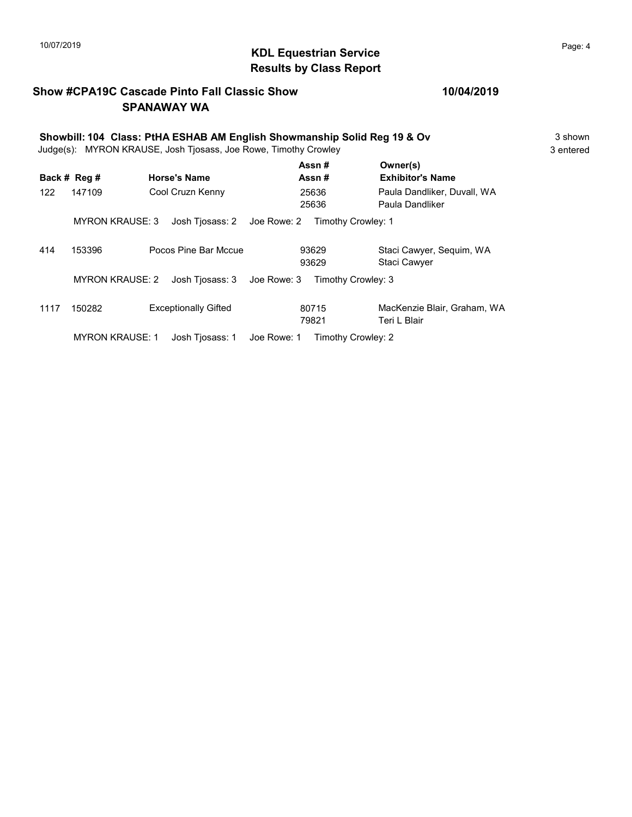# $\blacksquare$  10/07/2019 Page: 4 Results by Class Report

### Show #CPA19C Cascade Pinto Fall Classic Show SPANAWAY WA

|      | Showbill: 104 Class: PtHA ESHAB AM English Showmanship Solid Reg 19 & Ov<br>Judge(s): MYRON KRAUSE, Josh Tjosass, Joe Rowe, Timothy Crowley |                             |                                   |                                                |  |  |
|------|---------------------------------------------------------------------------------------------------------------------------------------------|-----------------------------|-----------------------------------|------------------------------------------------|--|--|
|      | Back # Reg #                                                                                                                                | <b>Horse's Name</b>         | Assn#<br>Assn #                   | Owner(s)<br><b>Exhibitor's Name</b>            |  |  |
| 122  | 147109                                                                                                                                      | Cool Cruzn Kenny            | 25636<br>25636                    | Paula Dandliker, Duvall, WA<br>Paula Dandliker |  |  |
|      | <b>MYRON KRAUSE: 3</b>                                                                                                                      | Josh Tiosass: 2             | Joe Rowe: 2<br>Timothy Crowley: 1 |                                                |  |  |
| 414  | 153396                                                                                                                                      | Pocos Pine Bar Mccue        | 93629<br>93629                    | Staci Cawyer, Sequim, WA<br>Staci Cawyer       |  |  |
|      | <b>MYRON KRAUSE: 2</b>                                                                                                                      | Josh Tjosass: 3             | Joe Rowe: 3<br>Timothy Crowley: 3 |                                                |  |  |
| 1117 | 150282                                                                                                                                      | <b>Exceptionally Gifted</b> | 80715<br>79821                    | MacKenzie Blair, Graham, WA<br>Teri L Blair    |  |  |
|      | <b>MYRON KRAUSE: 1</b>                                                                                                                      | Josh Tiosass: 1             | Joe Rowe: 1<br>Timothy Crowley: 2 |                                                |  |  |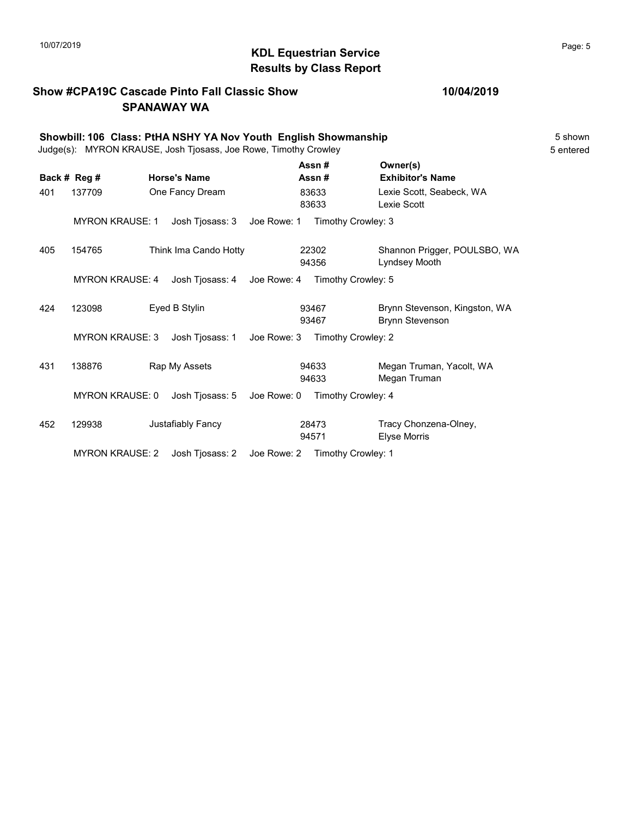# 10/07/2019 **Page: 5**<br> **KDL Equestrian Service Page: 5** Results by Class Report

### Show #CPA19C Cascade Pinto Fall Classic Show SPANAWAY WA

|     | Showbill: 106 Class: PtHA NSHY YA Nov Youth English Showmanship<br>Judge(s): MYRON KRAUSE, Josh Tjosass, Joe Rowe, Timothy Crowley |  |                       |             |                |                                                         | 5 shown<br>5 entered |
|-----|------------------------------------------------------------------------------------------------------------------------------------|--|-----------------------|-------------|----------------|---------------------------------------------------------|----------------------|
|     | Back # Reg #                                                                                                                       |  | <b>Horse's Name</b>   |             | Assn#<br>Assn# | Owner(s)<br><b>Exhibitor's Name</b>                     |                      |
| 401 | 137709                                                                                                                             |  | One Fancy Dream       |             | 83633<br>83633 | Lexie Scott, Seabeck, WA<br>Lexie Scott                 |                      |
|     | <b>MYRON KRAUSE: 1</b>                                                                                                             |  | Josh Tjosass: 3       | Joe Rowe: 1 |                | Timothy Crowley: 3                                      |                      |
| 405 | 154765                                                                                                                             |  | Think Ima Cando Hotty |             | 22302<br>94356 | Shannon Prigger, POULSBO, WA<br>Lyndsey Mooth           |                      |
|     | <b>MYRON KRAUSE: 4</b>                                                                                                             |  | Josh Tjosass: 4       | Joe Rowe: 4 |                | Timothy Crowley: 5                                      |                      |
| 424 | 123098                                                                                                                             |  | Eyed B Stylin         |             | 93467<br>93467 | Brynn Stevenson, Kingston, WA<br><b>Brynn Stevenson</b> |                      |
|     | <b>MYRON KRAUSE: 3</b>                                                                                                             |  | Josh Tjosass: 1       | Joe Rowe: 3 |                | Timothy Crowley: 2                                      |                      |
| 431 | 138876                                                                                                                             |  | Rap My Assets         |             | 94633<br>94633 | Megan Truman, Yacolt, WA<br>Megan Truman                |                      |
|     | <b>MYRON KRAUSE: 0</b>                                                                                                             |  | Josh Tjosass: 5       | Joe Rowe: 0 |                | Timothy Crowley: 4                                      |                      |
| 452 | 129938                                                                                                                             |  | Justafiably Fancy     |             | 28473<br>94571 | Tracy Chonzena-Olney,<br><b>Elyse Morris</b>            |                      |
|     | <b>MYRON KRAUSE: 2</b>                                                                                                             |  | Josh Tjosass: 2       | Joe Rowe: 2 |                | Timothy Crowley: 1                                      |                      |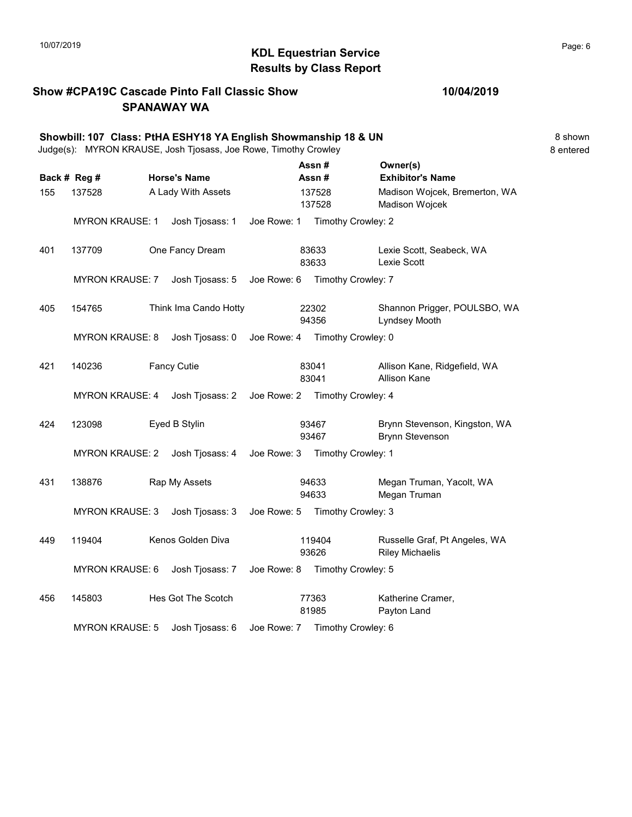# 10/07/2019 **Page: 6**<br> **KDL Equestrian Service Page: 6** Results by Class Report

### Show #CPA19C Cascade Pinto Fall Classic Show SPANAWAY WA

|     |                        | Showbill: 107 Class: PtHA ESHY18 YA English Showmanship 18 & UN<br>Judge(s): MYRON KRAUSE, Josh Tjosass, Joe Rowe, Timothy Crowley |             |                                |                                                         | 8 shown<br>8 entered |
|-----|------------------------|------------------------------------------------------------------------------------------------------------------------------------|-------------|--------------------------------|---------------------------------------------------------|----------------------|
|     | Back # Reg #           | <b>Horse's Name</b>                                                                                                                |             | Assn#<br>Assn#                 | Owner(s)<br><b>Exhibitor's Name</b>                     |                      |
| 155 | 137528                 | A Lady With Assets                                                                                                                 |             | 137528<br>137528               | Madison Wojcek, Bremerton, WA<br>Madison Wojcek         |                      |
|     | <b>MYRON KRAUSE: 1</b> | Josh Tjosass: 1                                                                                                                    | Joe Rowe: 1 | Timothy Crowley: 2             |                                                         |                      |
| 401 | 137709                 | One Fancy Dream                                                                                                                    |             | 83633<br>83633                 | Lexie Scott, Seabeck, WA<br>Lexie Scott                 |                      |
|     | <b>MYRON KRAUSE: 7</b> | Josh Tjosass: 5                                                                                                                    |             | Joe Rowe: 6 Timothy Crowley: 7 |                                                         |                      |
| 405 | 154765                 | Think Ima Cando Hotty                                                                                                              |             | 22302<br>94356                 | Shannon Prigger, POULSBO, WA<br>Lyndsey Mooth           |                      |
|     | <b>MYRON KRAUSE: 8</b> | Josh Tjosass: 0                                                                                                                    | Joe Rowe: 4 | Timothy Crowley: 0             |                                                         |                      |
| 421 | 140236                 | <b>Fancy Cutie</b>                                                                                                                 |             | 83041<br>83041                 | Allison Kane, Ridgefield, WA<br><b>Allison Kane</b>     |                      |
|     | <b>MYRON KRAUSE: 4</b> | Josh Tjosass: 2                                                                                                                    |             | Joe Rowe: 2 Timothy Crowley: 4 |                                                         |                      |
| 424 | 123098                 | Eyed B Stylin                                                                                                                      |             | 93467<br>93467                 | Brynn Stevenson, Kingston, WA<br><b>Brynn Stevenson</b> |                      |
|     | <b>MYRON KRAUSE: 2</b> | Josh Tjosass: 4 Joe Rowe: 3 Timothy Crowley: 1                                                                                     |             |                                |                                                         |                      |
| 431 | 138876                 | Rap My Assets                                                                                                                      |             | 94633<br>94633                 | Megan Truman, Yacolt, WA<br>Megan Truman                |                      |
|     | <b>MYRON KRAUSE: 3</b> | Josh Tjosass: 3                                                                                                                    |             | Joe Rowe: 5 Timothy Crowley: 3 |                                                         |                      |
| 449 | 119404                 | Kenos Golden Diva                                                                                                                  |             | 119404<br>93626                | Russelle Graf, Pt Angeles, WA<br><b>Riley Michaelis</b> |                      |
|     | MYRON KRAUSE: 6        | Josh Tjosass: 7                                                                                                                    | Joe Rowe: 8 | Timothy Crowley: 5             |                                                         |                      |
| 456 | 145803                 | Hes Got The Scotch                                                                                                                 |             | 77363<br>81985                 | Katherine Cramer,<br>Payton Land                        |                      |
|     | <b>MYRON KRAUSE: 5</b> | Josh Tjosass: 6                                                                                                                    |             | Joe Rowe: 7 Timothy Crowley: 6 |                                                         |                      |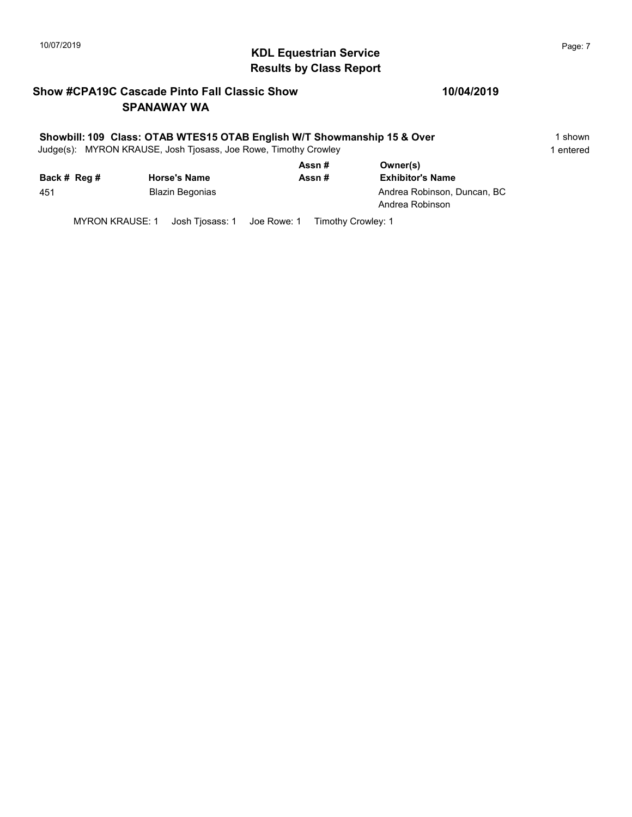# 10/07/2019 **Page: 7** Page: 7 Results by Class Report

### Show #CPA19C Cascade Pinto Fall Classic Show SPANAWAY WA

### 10/04/2019

### Showbill: 109 Class: OTAB WTES15 OTAB English W/T Showmanship 15 & Over 1 Shown

Judge(s): MYRON KRAUSE, Josh Tjosass, Joe Rowe, Timothy Crowley 1 entered 1 entered

|              |                        | Assn# | Owner(s)                                       |
|--------------|------------------------|-------|------------------------------------------------|
| Back # Reg # | <b>Horse's Name</b>    | Assn# | <b>Exhibitor's Name</b>                        |
| 451          | <b>Blazin Begonias</b> |       | Andrea Robinson, Duncan, BC<br>Andrea Robinson |

MYRON KRAUSE: 1 Josh Tjosass: 1 Joe Rowe: 1 Timothy Crowley: 1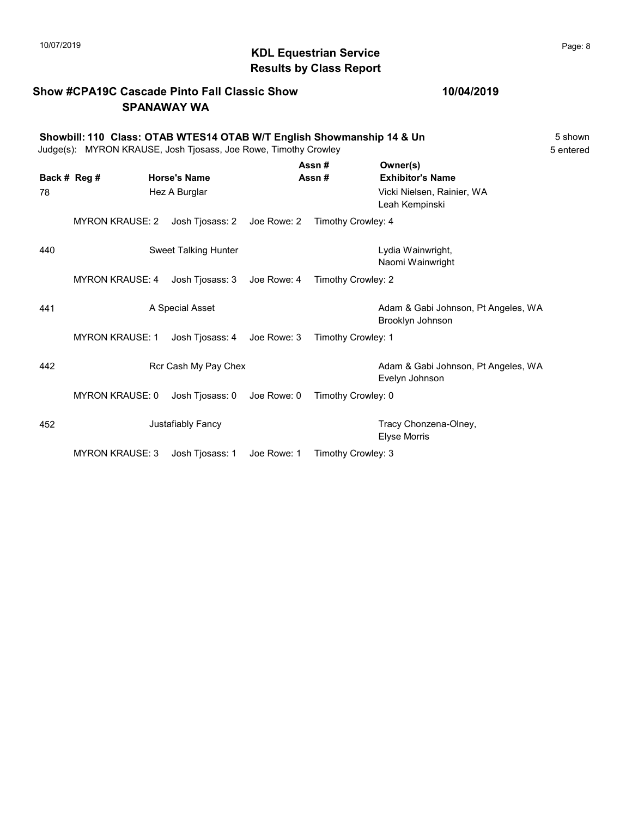# $\mathsf{MDL}$  Equestrian Service and the contract of Page: 8 Page: 8 Results by Class Report

### Show #CPA19C Cascade Pinto Fall Classic Show SPANAWAY WA

| Showbill: 110 Class: OTAB WTES14 OTAB W/T English Showmanship 14 & Un | 5 shown                        |
|-----------------------------------------------------------------------|--------------------------------|
| Judge(s): MYRON KRAUSE, Josh Tiosass, Joe Rowe, Timothy Crowley       | 5 entered                      |
| A - - - <del>4</del>                                                  | $\bigcap \ldots \bigcap \{a\}$ |

|              |                        |                             |             | Assn #             | Owner(s)                                                |
|--------------|------------------------|-----------------------------|-------------|--------------------|---------------------------------------------------------|
| Back # Reg # |                        | <b>Horse's Name</b>         |             | Assn#              | <b>Exhibitor's Name</b>                                 |
| 78           |                        | Hez A Burglar               |             |                    | Vicki Nielsen, Rainier, WA                              |
|              |                        |                             |             |                    | Leah Kempinski                                          |
|              | <b>MYRON KRAUSE: 2</b> | Josh Tjosass: 2 Joe Rowe: 2 |             | Timothy Crowley: 4 |                                                         |
| 440          |                        | Sweet Talking Hunter        |             |                    | Lydia Wainwright,                                       |
|              |                        |                             |             |                    | Naomi Wainwright                                        |
|              | <b>MYRON KRAUSE: 4</b> | Josh Tjosass: 3             | Joe Rowe: 4 | Timothy Crowley: 2 |                                                         |
| 441          |                        | A Special Asset             |             |                    | Adam & Gabi Johnson, Pt Angeles, WA<br>Brooklyn Johnson |
|              | <b>MYRON KRAUSE: 1</b> | Josh Tjosass: 4             | Joe Rowe: 3 | Timothy Crowley: 1 |                                                         |
| 442          |                        | Rcr Cash My Pay Chex        |             |                    | Adam & Gabi Johnson, Pt Angeles, WA<br>Evelyn Johnson   |
|              | <b>MYRON KRAUSE: 0</b> | Josh Tjosass: 0             | Joe Rowe: 0 | Timothy Crowley: 0 |                                                         |
| 452          |                        | Justafiably Fancy           |             |                    | Tracy Chonzena-Olney,<br><b>Elyse Morris</b>            |
|              | <b>MYRON KRAUSE: 3</b> | Josh Tjosass: 1             | Joe Rowe: 1 | Timothy Crowley: 3 |                                                         |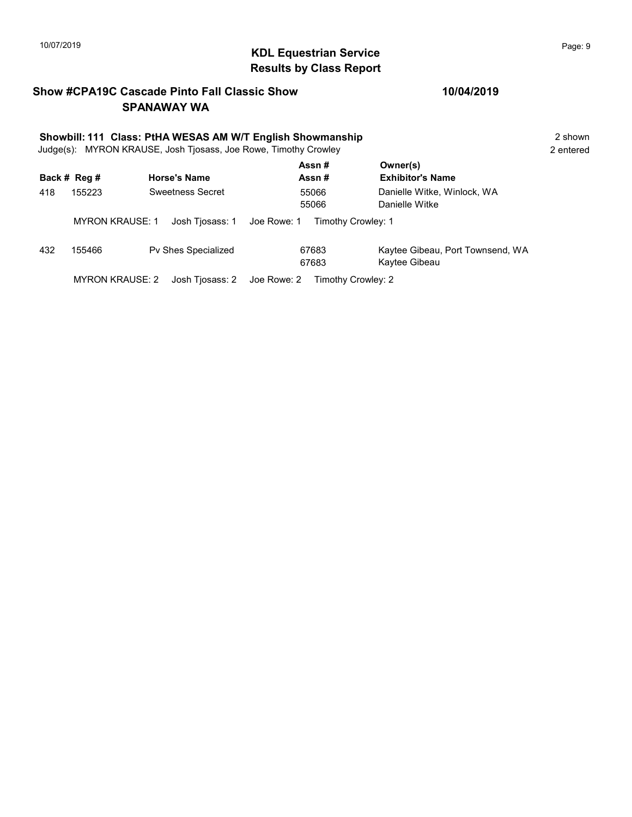## 10/07/2019 **Page: 9** Page: 9 Results by Class Report

### Show #CPA19C Cascade Pinto Fall Classic Show SPANAWAY WA

|     | Showbill: 111 Class: PtHA WESAS AM W/T English Showmanship<br>Judge(s): MYRON KRAUSE, Josh Tjosass, Joe Rowe, Timothy Crowley |                     |                                   |                                                   |  |  |
|-----|-------------------------------------------------------------------------------------------------------------------------------|---------------------|-----------------------------------|---------------------------------------------------|--|--|
|     | Back # Reg #                                                                                                                  | <b>Horse's Name</b> | Assn#<br>Assn#                    | Owner(s)<br><b>Exhibitor's Name</b>               |  |  |
| 418 | 155223                                                                                                                        | Sweetness Secret    | 55066<br>55066                    | Danielle Witke, Winlock, WA<br>Danielle Witke     |  |  |
|     | <b>MYRON KRAUSE: 1</b>                                                                                                        | Josh Tjosass: 1     | Joe Rowe: 1<br>Timothy Crowley: 1 |                                                   |  |  |
| 432 | 155466                                                                                                                        | Pv Shes Specialized | 67683<br>67683                    | Kaytee Gibeau, Port Townsend, WA<br>Kaytee Gibeau |  |  |
|     | <b>MYRON KRAUSE: 2</b>                                                                                                        | Josh Tjosass: 2     | Joe Rowe: 2<br>Timothy Crowley: 2 |                                                   |  |  |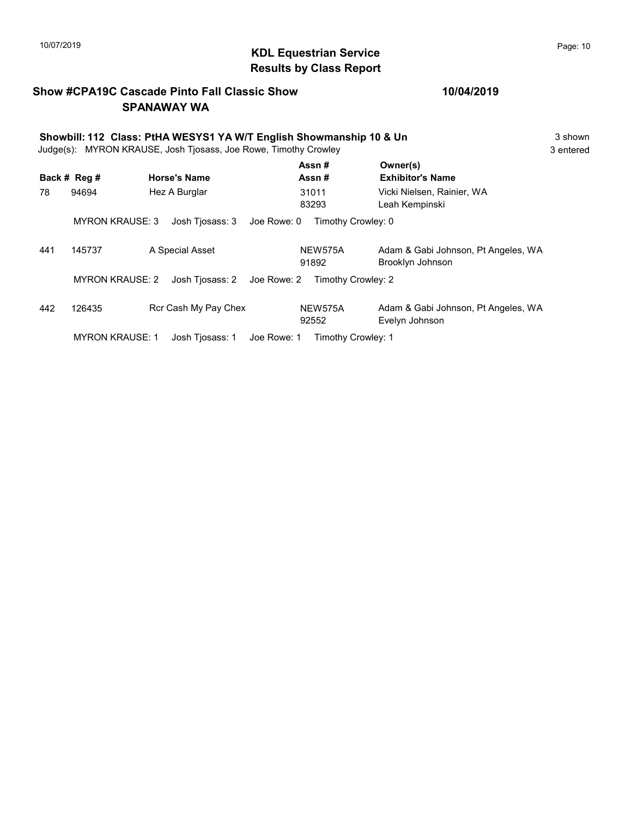# $\blacksquare$  10/07/2019 Page: 10 Results by Class Report

### Show #CPA19C Cascade Pinto Fall Classic Show SPANAWAY WA

|     | Showbill: 112 Class: PtHA WESYS1 YA W/T English Showmanship 10 & Un<br>Judge(s): MYRON KRAUSE, Josh Tjosass, Joe Rowe, Timothy Crowley |                                |                    |                                                         |  |  |
|-----|----------------------------------------------------------------------------------------------------------------------------------------|--------------------------------|--------------------|---------------------------------------------------------|--|--|
|     | Back # Reg #                                                                                                                           | <b>Horse's Name</b>            | Assn#<br>Assn#     | Owner(s)<br><b>Exhibitor's Name</b>                     |  |  |
| 78  | 94694                                                                                                                                  | Hez A Burglar                  | 31011<br>83293     | Vicki Nielsen, Rainier, WA<br>Leah Kempinski            |  |  |
|     | <b>MYRON KRAUSE: 3</b>                                                                                                                 | Josh Tiosass: 3<br>Joe Rowe: 0 | Timothy Crowley: 0 |                                                         |  |  |
| 441 | 145737                                                                                                                                 | A Special Asset                | NEW575A<br>91892   | Adam & Gabi Johnson, Pt Angeles, WA<br>Brooklyn Johnson |  |  |
|     | <b>MYRON KRAUSE: 2</b>                                                                                                                 | Josh Tiosass: 2<br>Joe Rowe: 2 | Timothy Crowley: 2 |                                                         |  |  |
| 442 | 126435                                                                                                                                 | Rcr Cash My Pay Chex           | NEW575A<br>92552   | Adam & Gabi Johnson, Pt Angeles, WA<br>Evelyn Johnson   |  |  |
|     | <b>MYRON KRAUSE: 1</b>                                                                                                                 | Josh Tiosass: 1<br>Joe Rowe: 1 | Timothy Crowley: 1 |                                                         |  |  |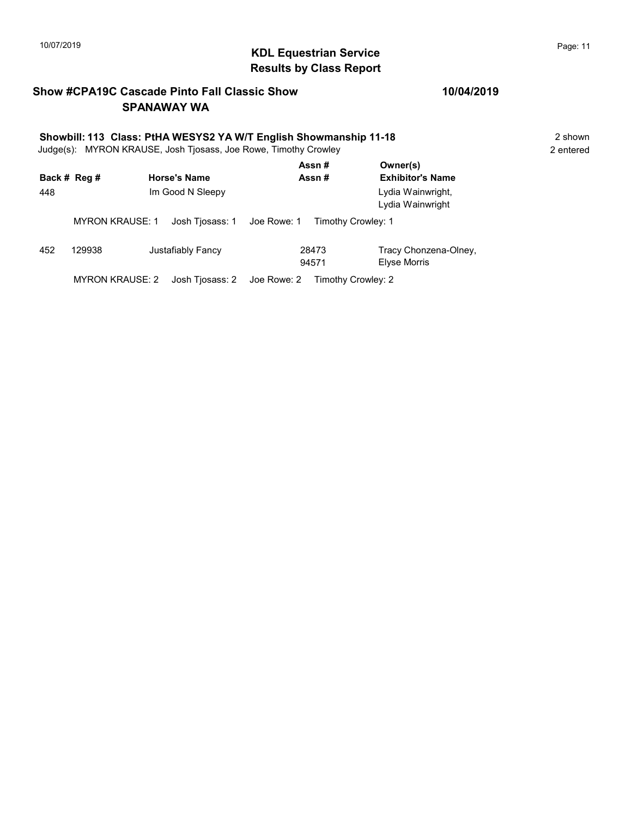# KDL Equestrian Service 10/07/2019 Page: 11 Results by Class Report

### Show #CPA19C Cascade Pinto Fall Classic Show SPANAWAY WA

# Showbill: 113 Class: PtHA WESYS2 YA W/T English Showmanship 11-18<br>
Judge(s): MYRON KRAUSE. Josh Tiosass. Joe Rowe. Timothy Crowley<br>
2 entered

Judge(s): MYRON KRAUSE, Josh Tjosass, Joe Rowe, Timothy Crowley

|     | Back # Reg #           | <b>Horse's Name</b> | Assn#<br>Assn#                    | Owner(s)<br><b>Exhibitor's Name</b>   |
|-----|------------------------|---------------------|-----------------------------------|---------------------------------------|
| 448 |                        | Im Good N Sleepy    |                                   | Lydia Wainwright,<br>Lydia Wainwright |
|     | <b>MYRON KRAUSE: 1</b> | Josh Tjosass: 1     | Joe Rowe: 1<br>Timothy Crowley: 1 |                                       |
| 452 | 129938                 | Justafiably Fancy   | 28473<br>94571                    | Tracy Chonzena-Olney,<br>Elyse Morris |
|     | MYRON KRAUSE: 2        | Josh Tjosass: 2     | Joe Rowe: 2<br>Timothy Crowley: 2 |                                       |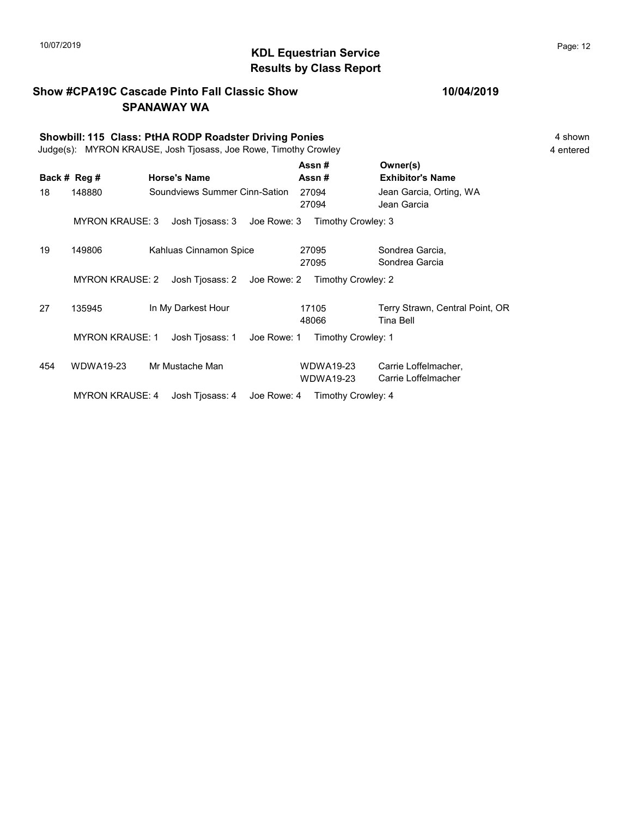### KDL Equestrian Service 10/07/2019 Page: 12 Results by Class Report

### Show #CPA19C Cascade Pinto Fall Classic Show SPANAWAY WA

### 10/04/2019

Showbill: 115 Class: PtHA RODP Roadster Driving Ponies 4 shown Judge(s): MYRON KRAUSE, Josh Tjosass, Joe Rowe, Timothy Crowley 4 entered Back # Reg # Horse's Name  $\overline{R}$  Assn # Exhibitor's Name Assn # Owner(s) 18 148880 Soundviews Summer Cinn-Sation 27094 Jean Garcia, Orting, WA 27094 Jean Garcia MYRON KRAUSE: 3 Josh Tjosass: 3 Joe Rowe: 3 Timothy Crowley: 3 19 149806 Kahluas Cinnamon Spice 27095 Sondrea Garcia, 27095 Sondrea Garcia 27095 MYRON KRAUSE: 2 Josh Tjosass: 2 Joe Rowe: 2 Timothy Crowley: 2 27 135945 In My Darkest Hour 17105 Terry Strawn, Central Point, OR 48066 Tina Bell 17105 MYRON KRAUSE: 1 Josh Tjosass: 1 Joe Rowe: 1 Timothy Crowley: 1 454 WDWA19-23 Mr Mustache Man Carrie Loffelmacher, WDWA19-23 Carrie Loffelmacher, WDWA19-23 Carrie Loffelmacher WDWA19-23 MYRON KRAUSE: 4 Josh Tjosass: 4 Joe Rowe: 4 Timothy Crowley: 4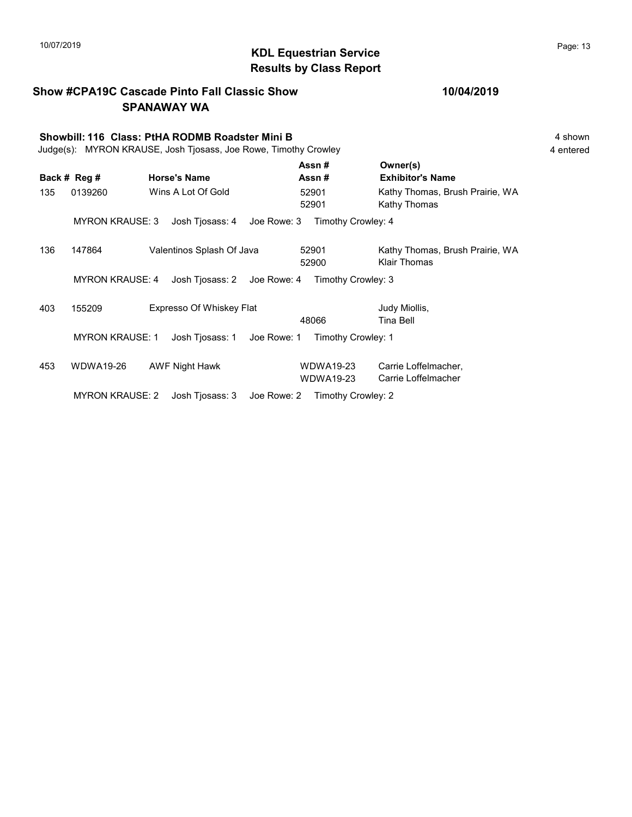### KDL Equestrian Service 10/07/2019 Page: 13 Results by Class Report

Show #CPA19C Cascade Pinto Fall Classic Show SPANAWAY WA Showbill: 116 Class: PtHA RODMB Roadster Mini B 4 Shown 4 shown Judge(s): MYRON KRAUSE, Josh Tjosass, Joe Rowe, Timothy Crowley 4 entered Back # Reg # Horse's Name  $\overline{R}$  Assn # Exhibitor's Name Assn # Owner(s) 135 0139260 Wins A Lot Of Gold 52901 Kathy Thomas, Brush Prairie, WA 52901 Kathy Thomas 52901 MYRON KRAUSE: 3 Josh Tjosass: 4 Joe Rowe: 3 Timothy Crowley: 4 136 147864 Valentinos Splash Of Java 52901 Kathy Thomas, Brush Prairie, WA 52900 Klair Thomas 52901 MYRON KRAUSE: 4 Josh Tjosass: 2 Joe Rowe: 4 Timothy Crowley: 3 403 155209 Expresso Of Whiskey Flat Judy Miollis, 48066 Tina Bell MYRON KRAUSE: 1 Josh Tjosass: 1 Joe Rowe: 1 Timothy Crowley: 1 453 WDWA19-26 AWF Night Hawk WDWA19-23 Carrie Loffelmacher, WDWA19-23 Carrie Loffelmacher WDWA19-23

MYRON KRAUSE: 2 Josh Tjosass: 3 Joe Rowe: 2 Timothy Crowley: 2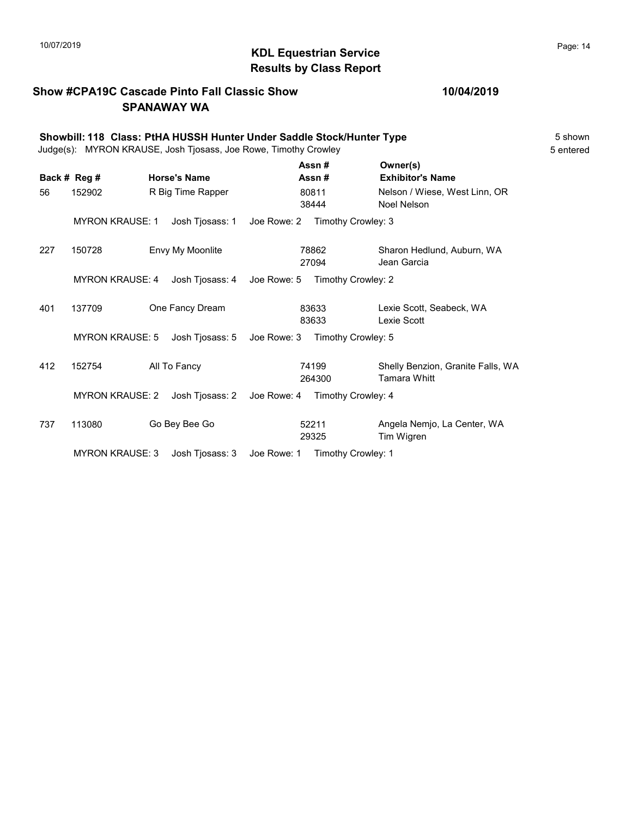# $\blacksquare$  10/07/2019 Page: 14 Results by Class Report

### Show #CPA19C Cascade Pinto Fall Classic Show SPANAWAY WA

|     | Showbill: 118 Class: PtHA HUSSH Hunter Under Saddle Stock/Hunter Type<br>Judge(s): MYRON KRAUSE, Josh Tjosass, Joe Rowe, Timothy Crowley |  |                     |             |                 |                                                          |  |  |  |
|-----|------------------------------------------------------------------------------------------------------------------------------------------|--|---------------------|-------------|-----------------|----------------------------------------------------------|--|--|--|
|     | Back # Reg #                                                                                                                             |  | <b>Horse's Name</b> |             | Assn#<br>Assn#  | Owner(s)<br><b>Exhibitor's Name</b>                      |  |  |  |
| 56  | 152902                                                                                                                                   |  | R Big Time Rapper   |             | 80811<br>38444  | Nelson / Wiese, West Linn, OR<br>Noel Nelson             |  |  |  |
|     | <b>MYRON KRAUSE: 1</b>                                                                                                                   |  | Josh Tjosass: 1     | Joe Rowe: 2 |                 | Timothy Crowley: 3                                       |  |  |  |
| 227 | 150728                                                                                                                                   |  | Envy My Moonlite    |             | 78862<br>27094  | Sharon Hedlund, Auburn, WA<br>Jean Garcia                |  |  |  |
|     | <b>MYRON KRAUSE: 4</b>                                                                                                                   |  | Josh Tjosass: 4     | Joe Rowe: 5 |                 | Timothy Crowley: 2                                       |  |  |  |
| 401 | 137709                                                                                                                                   |  | One Fancy Dream     |             | 83633<br>83633  | Lexie Scott. Seabeck. WA<br>Lexie Scott                  |  |  |  |
|     | <b>MYRON KRAUSE: 5</b>                                                                                                                   |  | Josh Tjosass: 5     | Joe Rowe: 3 |                 | Timothy Crowley: 5                                       |  |  |  |
| 412 | 152754                                                                                                                                   |  | All To Fancy        |             | 74199<br>264300 | Shelly Benzion, Granite Falls, WA<br><b>Tamara Whitt</b> |  |  |  |
|     | <b>MYRON KRAUSE: 2</b>                                                                                                                   |  | Josh Tjosass: 2     | Joe Rowe: 4 |                 | Timothy Crowley: 4                                       |  |  |  |
| 737 | 113080                                                                                                                                   |  | Go Bey Bee Go       |             | 52211<br>29325  | Angela Nemjo, La Center, WA<br>Tim Wigren                |  |  |  |
|     | <b>MYRON KRAUSE: 3</b>                                                                                                                   |  | Josh Tjosass: 3     | Joe Rowe: 1 |                 | Timothy Crowley: 1                                       |  |  |  |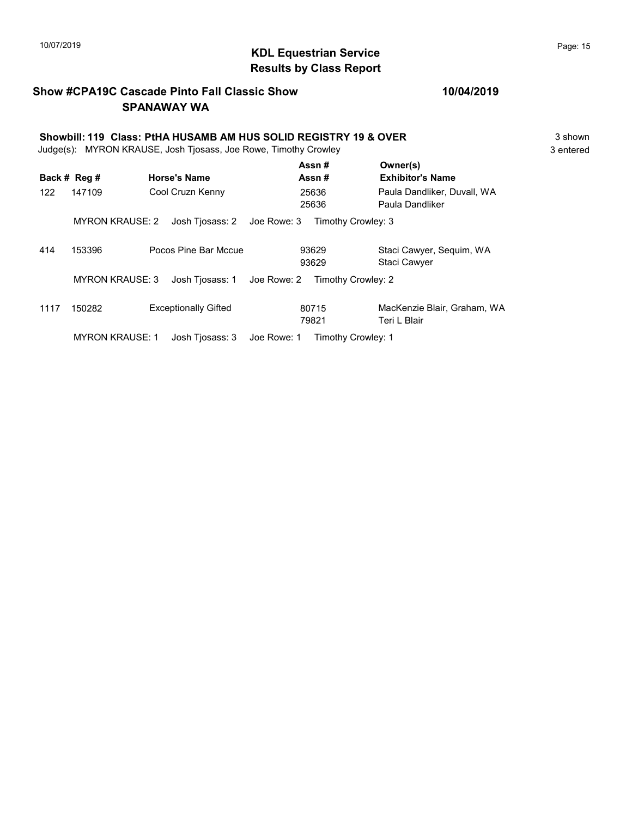# $\blacksquare$  10/07/2019 Page: 15 Results by Class Report

### Show #CPA19C Cascade Pinto Fall Classic Show SPANAWAY WA

Showbill: 119 Class: PtHA HUSAMB AM HUS SOLID REGISTRY 19 & OVER<br>Judge(s): MYRON KRAUSE. Josh Tiosass. Joe Rowe. Timothy Crowley<br>3 entered Judge(s): MYRON KRAUSE, Josh Tjosass, Joe Rowe, Timothy Crowley

|      | Back # Reg #           | <b>Horse's Name</b>            | Assn#<br>Assn#     | Owner(s)<br><b>Exhibitor's Name</b>             |
|------|------------------------|--------------------------------|--------------------|-------------------------------------------------|
| 122  | 147109                 | Cool Cruzn Kenny               | 25636<br>25636     | Paula Dandliker, Duvall, WA<br>Paula Dandliker  |
|      | <b>MYRON KRAUSE: 2</b> | Josh Tiosass: 2<br>Joe Rowe: 3 | Timothy Crowley: 3 |                                                 |
| 414  | 153396                 | Pocos Pine Bar Mccue           | 93629<br>93629     | Staci Cawyer, Sequim, WA<br><b>Staci Cawyer</b> |
|      | <b>MYRON KRAUSE: 3</b> | Josh Tiosass: 1<br>Joe Rowe: 2 | Timothy Crowley: 2 |                                                 |
| 1117 | 150282                 | <b>Exceptionally Gifted</b>    | 80715<br>79821     | MacKenzie Blair, Graham, WA<br>Teri L Blair     |
|      | <b>MYRON KRAUSE: 1</b> | Joe Rowe: 1<br>Josh Tiosass: 3 | Timothy Crowley: 1 |                                                 |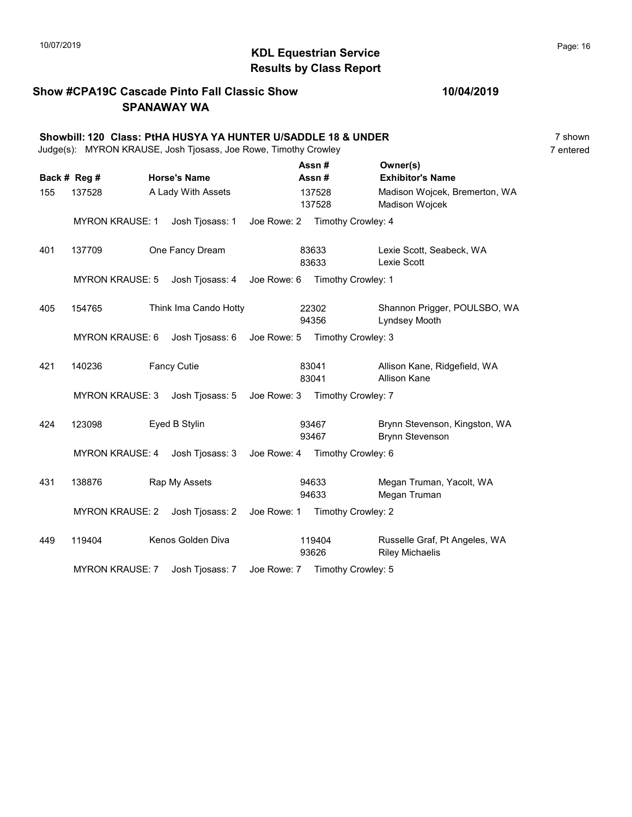# 10/07/2019 **Page: 16**  $\bullet$  Page: 16 Results by Class Report

### Show #CPA19C Cascade Pinto Fall Classic Show SPANAWAY WA

|     | Showbill: 120 Class: PtHA HUSYA YA HUNTER U/SADDLE 18 & UNDER<br>Judge(s): MYRON KRAUSE, Josh Tjosass, Joe Rowe, Timothy Crowley |  |                     |                                |                                |                                                         |                                                         |           |  |  |
|-----|----------------------------------------------------------------------------------------------------------------------------------|--|---------------------|--------------------------------|--------------------------------|---------------------------------------------------------|---------------------------------------------------------|-----------|--|--|
|     | Back # Reg #                                                                                                                     |  | <b>Horse's Name</b> |                                | Assn#<br>Assn #                |                                                         | Owner(s)<br><b>Exhibitor's Name</b>                     | 7 entered |  |  |
| 155 | A Lady With Assets<br>137528                                                                                                     |  |                     | 137528<br>137528               |                                | Madison Wojcek, Bremerton, WA<br>Madison Wojcek         |                                                         |           |  |  |
|     | <b>MYRON KRAUSE: 1</b>                                                                                                           |  | Josh Tjosass: 1     | Joe Rowe: 2 Timothy Crowley: 4 |                                |                                                         |                                                         |           |  |  |
| 401 | 137709<br>One Fancy Dream                                                                                                        |  |                     |                                | 83633<br>83633                 |                                                         | Lexie Scott, Seabeck, WA<br>Lexie Scott                 |           |  |  |
|     | <b>MYRON KRAUSE: 5</b>                                                                                                           |  | Josh Tjosass: 4     | Joe Rowe: 6 Timothy Crowley: 1 |                                |                                                         |                                                         |           |  |  |
| 405 | 154765<br>Think Ima Cando Hotty                                                                                                  |  |                     | 22302<br>94356                 |                                | Shannon Prigger, POULSBO, WA<br>Lyndsey Mooth           |                                                         |           |  |  |
|     | <b>MYRON KRAUSE: 6</b>                                                                                                           |  | Josh Tjosass: 6     | Joe Rowe: 5 Timothy Crowley: 3 |                                |                                                         |                                                         |           |  |  |
| 421 | 140236<br><b>Fancy Cutie</b>                                                                                                     |  |                     | 83041<br>83041                 |                                | Allison Kane, Ridgefield, WA<br><b>Allison Kane</b>     |                                                         |           |  |  |
|     | <b>MYRON KRAUSE: 3</b>                                                                                                           |  | Josh Tjosass: 5     |                                | Joe Rowe: 3 Timothy Crowley: 7 |                                                         |                                                         |           |  |  |
| 424 | Eyed B Stylin<br>123098                                                                                                          |  |                     | 93467<br>93467                 |                                | Brynn Stevenson, Kingston, WA<br><b>Brynn Stevenson</b> |                                                         |           |  |  |
|     | <b>MYRON KRAUSE: 4</b>                                                                                                           |  | Josh Tjosass: 3     | Joe Rowe: 4 Timothy Crowley: 6 |                                |                                                         |                                                         |           |  |  |
| 431 | 138876                                                                                                                           |  | Rap My Assets       |                                | 94633<br>94633                 |                                                         | Megan Truman, Yacolt, WA<br>Megan Truman                |           |  |  |
|     | <b>MYRON KRAUSE: 2</b>                                                                                                           |  | Josh Tjosass: 2     | Joe Rowe: 1                    |                                | Timothy Crowley: 2                                      |                                                         |           |  |  |
| 449 | 119404                                                                                                                           |  | Kenos Golden Diva   |                                | 119404<br>93626                |                                                         | Russelle Graf, Pt Angeles, WA<br><b>Riley Michaelis</b> |           |  |  |
|     | <b>MYRON KRAUSE: 7</b>                                                                                                           |  | Josh Tjosass: 7     | Joe Rowe: 7 Timothy Crowley: 5 |                                |                                                         |                                                         |           |  |  |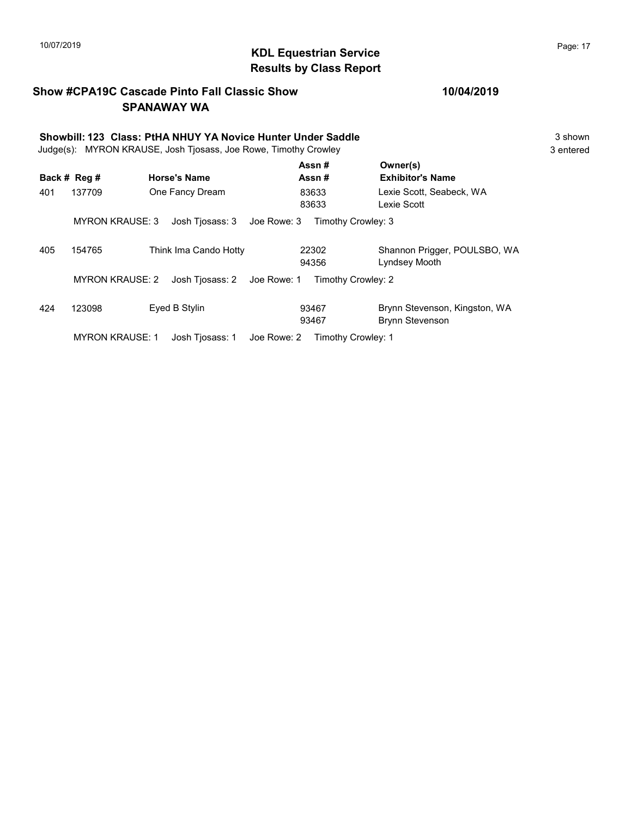# $\blacksquare$  10/07/2019 Page: 17 Results by Class Report

### Show #CPA19C Cascade Pinto Fall Classic Show SPANAWAY WA

### 10/04/2019

|     | Showbill: 123 Class: PtHA NHUY YA Novice Hunter Under Saddle<br>Judge(s): MYRON KRAUSE, Josh Tjosass, Joe Rowe, Timothy Crowley |                                |                    |                                                         |  |  |  |  |  |
|-----|---------------------------------------------------------------------------------------------------------------------------------|--------------------------------|--------------------|---------------------------------------------------------|--|--|--|--|--|
|     | Back # Reg #                                                                                                                    | <b>Horse's Name</b>            | Assn#<br>Assn#     | Owner(s)<br><b>Exhibitor's Name</b>                     |  |  |  |  |  |
| 401 | 137709                                                                                                                          | One Fancy Dream                | 83633<br>83633     | Lexie Scott. Seabeck. WA<br>Lexie Scott                 |  |  |  |  |  |
|     | <b>MYRON KRAUSE: 3</b>                                                                                                          | Josh Tjosass: 3<br>Joe Rowe: 3 | Timothy Crowley: 3 |                                                         |  |  |  |  |  |
| 405 | 154765                                                                                                                          | Think Ima Cando Hotty          | 22302<br>94356     | Shannon Prigger, POULSBO, WA<br>Lyndsey Mooth           |  |  |  |  |  |
|     | <b>MYRON KRAUSE: 2</b>                                                                                                          | Josh Tjosass: 2 Joe Rowe: 1    | Timothy Crowley: 2 |                                                         |  |  |  |  |  |
| 424 | 123098                                                                                                                          | Eyed B Stylin                  | 93467<br>93467     | Brynn Stevenson, Kingston, WA<br><b>Brynn Stevenson</b> |  |  |  |  |  |

MYRON KRAUSE: 1 Josh Tjosass: 1 Joe Rowe: 2 Timothy Crowley: 1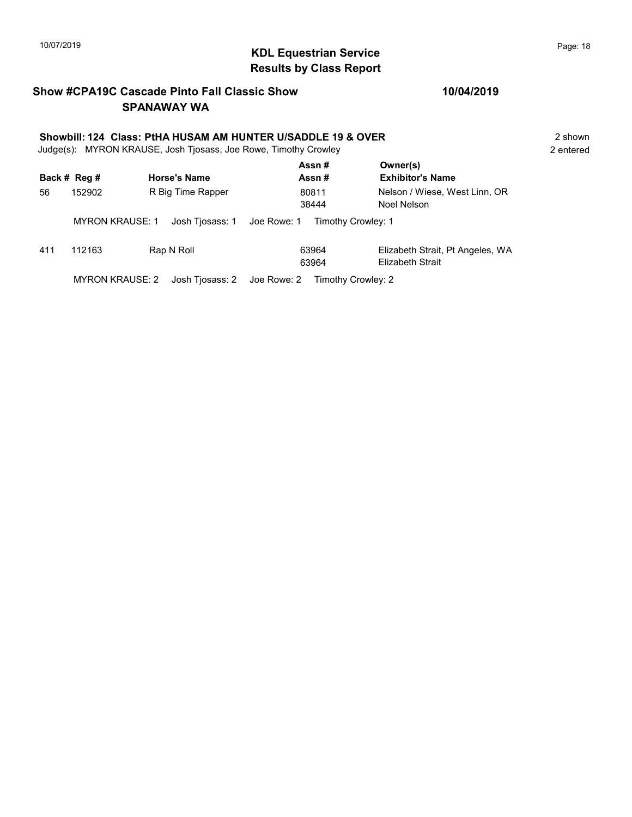# $\blacksquare$  10/07/2019 Page: 18 Results by Class Report

### Show #CPA19C Cascade Pinto Fall Classic Show SPANAWAY WA

# Showbill: 124 Class: PtHA HUSAM AM HUNTER U/SADDLE 19 & OVER<br>Judge(s): MYRON KRAUSE. Josh Tiosass. Joe Rowe. Timothy Crowley<br>2 entered

Judge(s): MYRON KRAUSE, Josh Tjosass, Joe Rowe, Timothy Crowley

|              |                        |                     | Assn#                             | Owner(s)                         |  |
|--------------|------------------------|---------------------|-----------------------------------|----------------------------------|--|
| Back # Reg # |                        | <b>Horse's Name</b> | Assn#                             | <b>Exhibitor's Name</b>          |  |
| 152902<br>56 |                        | R Big Time Rapper   | 80811                             | Nelson / Wiese, West Linn, OR    |  |
|              |                        |                     | 38444                             | Noel Nelson                      |  |
|              | <b>MYRON KRAUSE: 1</b> | Josh Tiosass: 1     | Joe Rowe: 1<br>Timothy Crowley: 1 |                                  |  |
| 411          | 112163                 | Rap N Roll          | 63964                             | Elizabeth Strait, Pt Angeles, WA |  |
|              |                        |                     | 63964                             | <b>Elizabeth Strait</b>          |  |
|              | <b>MYRON KRAUSE: 2</b> | Josh Tiosass: 2     | Joe Rowe: 2<br>Timothy Crowley: 2 |                                  |  |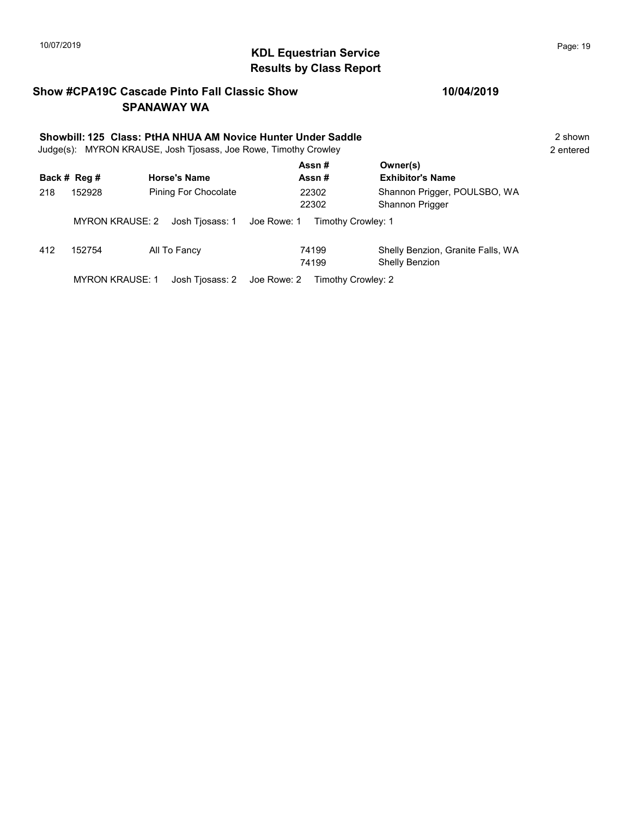# KDL Equestrian Service 10/07/2019 Page: 19 Results by Class Report

### Show #CPA19C Cascade Pinto Fall Classic Show SPANAWAY WA

|     | Showbill: 125 Class: PtHA NHUA AM Novice Hunter Under Saddle<br>Judge(s): MYRON KRAUSE, Josh Tjosass, Joe Rowe, Timothy Crowley |                      |                                   |                                                     |  |  |  |  |
|-----|---------------------------------------------------------------------------------------------------------------------------------|----------------------|-----------------------------------|-----------------------------------------------------|--|--|--|--|
|     | Back # Reg #                                                                                                                    | <b>Horse's Name</b>  | Assn#<br>Assn#                    | Owner(s)<br><b>Exhibitor's Name</b>                 |  |  |  |  |
| 218 | 152928                                                                                                                          | Pining For Chocolate | 22302<br>22302                    | Shannon Prigger, POULSBO, WA<br>Shannon Prigger     |  |  |  |  |
|     | <b>MYRON KRAUSE: 2</b>                                                                                                          | Josh Tjosass: 1      | Joe Rowe: 1<br>Timothy Crowley: 1 |                                                     |  |  |  |  |
| 412 | 152754                                                                                                                          | All To Fancy         | 74199<br>74199                    | Shelly Benzion, Granite Falls, WA<br>Shelly Benzion |  |  |  |  |
|     | <b>MYRON KRAUSE: 1</b>                                                                                                          | Josh Tjosass: 2      | Joe Rowe: 2<br>Timothy Crowley: 2 |                                                     |  |  |  |  |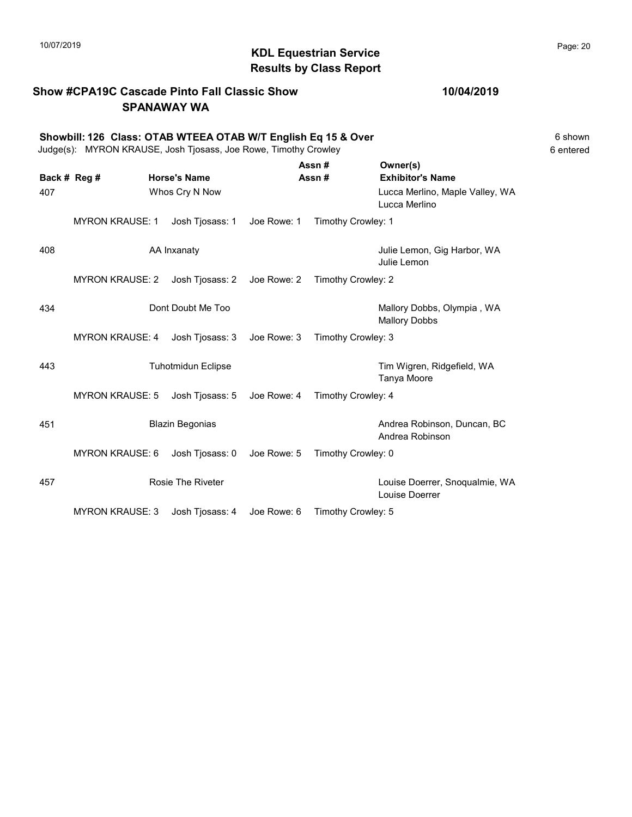### Show #CPA19C Cascade Pinto Fall Classic Show SPANAWAY WA

Showbill: 126 Class: OTAB WTEEA OTAB W/T English Eq 15 & Over<br>Judge(s): MYRON KRAUSE. Josh Tiosass. Joe Rowe. Timothy Crowley<br>6 entered Judge(s): MYRON KRAUSE, Josh Tjosass, Joe Rowe, Timothy Crowley

|                     |                        | <b>Horse's Name</b>       |             | Assn#<br>Assn#     | Owner(s)<br><b>Exhibitor's Name</b>                |
|---------------------|------------------------|---------------------------|-------------|--------------------|----------------------------------------------------|
| Back # Reg #<br>407 |                        | Whos Cry N Now            |             |                    | Lucca Merlino, Maple Valley, WA<br>Lucca Merlino   |
|                     | <b>MYRON KRAUSE: 1</b> | Josh Tjosass: 1           | Joe Rowe: 1 | Timothy Crowley: 1 |                                                    |
| 408                 |                        | AA Inxanaty               |             |                    | Julie Lemon, Gig Harbor, WA<br>Julie Lemon         |
|                     | <b>MYRON KRAUSE: 2</b> | Josh Tjosass: 2           | Joe Rowe: 2 | Timothy Crowley: 2 |                                                    |
| 434                 |                        | Dont Doubt Me Too         |             |                    | Mallory Dobbs, Olympia, WA<br><b>Mallory Dobbs</b> |
|                     | <b>MYRON KRAUSE: 4</b> | Josh Tjosass: 3           | Joe Rowe: 3 | Timothy Crowley: 3 |                                                    |
| 443                 |                        | <b>Tuhotmidun Eclipse</b> |             |                    | Tim Wigren, Ridgefield, WA<br>Tanya Moore          |
|                     | <b>MYRON KRAUSE: 5</b> | Josh Tjosass: 5           | Joe Rowe: 4 | Timothy Crowley: 4 |                                                    |
| 451                 |                        | <b>Blazin Begonias</b>    |             |                    | Andrea Robinson, Duncan, BC<br>Andrea Robinson     |
|                     | <b>MYRON KRAUSE: 6</b> | Josh Tjosass: 0           | Joe Rowe: 5 | Timothy Crowley: 0 |                                                    |
| 457                 |                        | <b>Rosie The Riveter</b>  |             |                    | Louise Doerrer, Snoqualmie, WA<br>Louise Doerrer   |
|                     | <b>MYRON KRAUSE: 3</b> | Josh Tjosass: 4           | Joe Rowe: 6 | Timothy Crowley: 5 |                                                    |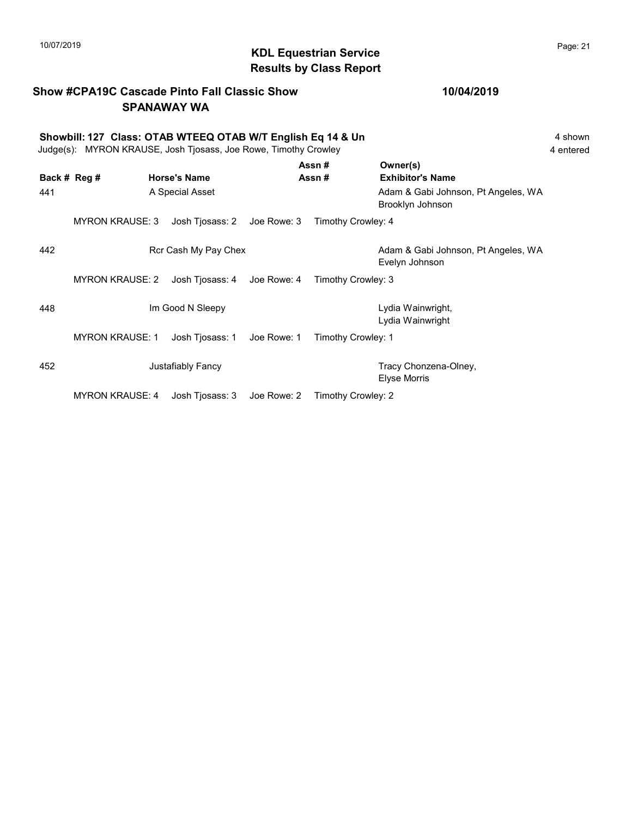# KDL Equestrian Service 10/07/2019 Page: 21 Results by Class Report

# Show #CPA19C Cascade Pinto Fall Classic Show SPANAWAY WA

|     | Showbill: 127 Class: OTAB WTEEQ OTAB W/T English Eq 14 & Un<br>4 shown<br>Judge(s): MYRON KRAUSE, Josh Tjosass, Joe Rowe, Timothy Crowley<br>4 entered |                      |                |                    |                                                         |  |  |  |
|-----|--------------------------------------------------------------------------------------------------------------------------------------------------------|----------------------|----------------|--------------------|---------------------------------------------------------|--|--|--|
|     | Back # Reg #                                                                                                                                           | <b>Horse's Name</b>  | Assn#<br>Assn# |                    | Owner(s)<br><b>Exhibitor's Name</b>                     |  |  |  |
| 441 |                                                                                                                                                        | A Special Asset      |                |                    | Adam & Gabi Johnson, Pt Angeles, WA<br>Brooklyn Johnson |  |  |  |
|     | <b>MYRON KRAUSE: 3</b>                                                                                                                                 | Josh Tjosass: 2      | Joe Rowe: 3    | Timothy Crowley: 4 |                                                         |  |  |  |
| 442 |                                                                                                                                                        | Rcr Cash My Pay Chex |                |                    | Adam & Gabi Johnson, Pt Angeles, WA<br>Evelyn Johnson   |  |  |  |
|     | <b>MYRON KRAUSE: 2</b>                                                                                                                                 | Josh Tjosass: 4      | Joe Rowe: 4    | Timothy Crowley: 3 |                                                         |  |  |  |
| 448 |                                                                                                                                                        | Im Good N Sleepy     |                |                    | Lydia Wainwright,<br>Lydia Wainwright                   |  |  |  |
|     | <b>MYRON KRAUSE: 1</b>                                                                                                                                 | Josh Tjosass: 1      | Joe Rowe: 1    | Timothy Crowley: 1 |                                                         |  |  |  |
| 452 |                                                                                                                                                        | Justafiably Fancy    |                |                    | Tracy Chonzena-Olney,<br><b>Elyse Morris</b>            |  |  |  |
|     | <b>MYRON KRAUSE: 4</b>                                                                                                                                 | Josh Tjosass: 3      | Joe Rowe: 2    | Timothy Crowley: 2 |                                                         |  |  |  |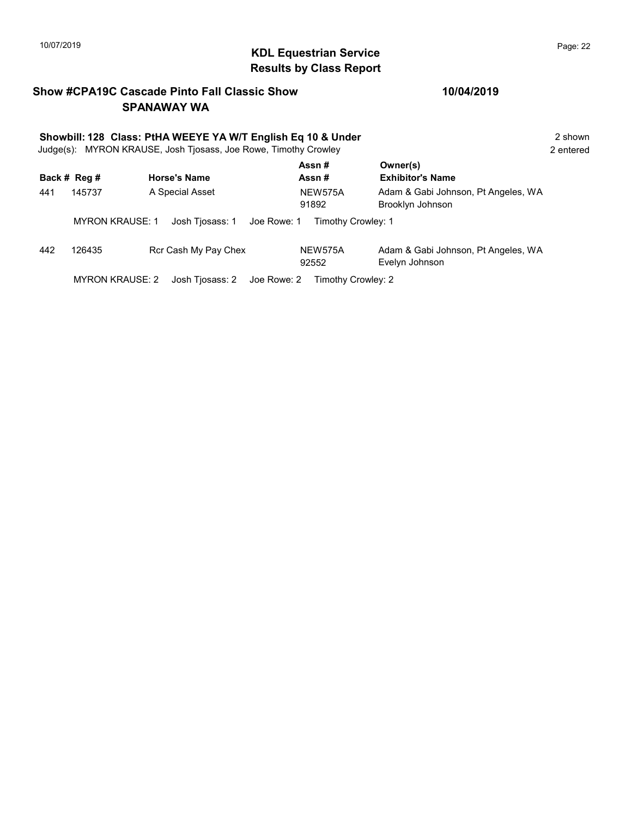# KDL Equestrian Service 10/07/2019 Page: 22 Results by Class Report

### Show #CPA19C Cascade Pinto Fall Classic Show SPANAWAY WA

|     | Showbill: 128 Class: PtHA WEEYE YA W/T English Eq 10 & Under<br>2 shown<br>Judge(s): MYRON KRAUSE, Josh Tjosass, Joe Rowe, Timothy Crowley<br>2 entered |                                |                         |                                                         |  |  |  |  |
|-----|---------------------------------------------------------------------------------------------------------------------------------------------------------|--------------------------------|-------------------------|---------------------------------------------------------|--|--|--|--|
|     | Back # Reg #                                                                                                                                            | <b>Horse's Name</b>            | Assn#<br>Assn#          | Owner(s)<br><b>Exhibitor's Name</b>                     |  |  |  |  |
| 441 | 145737                                                                                                                                                  | A Special Asset                | <b>NEW575A</b><br>91892 | Adam & Gabi Johnson, Pt Angeles, WA<br>Brooklyn Johnson |  |  |  |  |
|     | <b>MYRON KRAUSE: 1</b>                                                                                                                                  | Josh Tjosass: 1<br>Joe Rowe: 1 | Timothy Crowley: 1      |                                                         |  |  |  |  |
| 442 | 126435                                                                                                                                                  | Rcr Cash My Pay Chex           | NEW575A<br>92552        | Adam & Gabi Johnson, Pt Angeles, WA<br>Evelyn Johnson   |  |  |  |  |
|     | <b>MYRON KRAUSE: 2</b>                                                                                                                                  | Joe Rowe: 2<br>Josh Tjosass: 2 | Timothy Crowley: 2      |                                                         |  |  |  |  |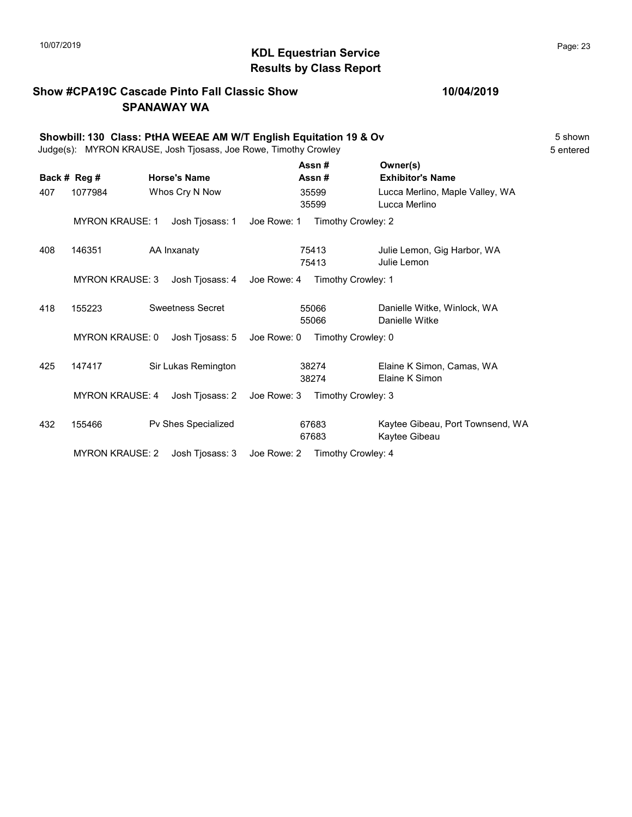# $\blacksquare$  10/07/2019 Page: 23  $\blacksquare$   $\blacksquare$   $\blacksquare$   $\blacksquare$   $\blacksquare$   $\blacksquare$   $\blacksquare$   $\blacksquare$   $\blacksquare$   $\blacksquare$   $\blacksquare$   $\blacksquare$   $\blacksquare$   $\blacksquare$   $\blacksquare$   $\blacksquare$   $\blacksquare$   $\blacksquare$   $\blacksquare$   $\blacksquare$   $\blacksquare$   $\blacksquare$   $\blacksquare$   $\blacksquare$   $\blacksquare$   $\blacksquare$   $\blacksquare$   $\blacksquare$ Results by Class Report

### Show #CPA19C Cascade Pinto Fall Classic Show SPANAWAY WA

|     | Showbill: 130 Class: PtHA WEEAE AM W/T English Equitation 19 & Ov<br>Judge(s): MYRON KRAUSE, Josh Tjosass, Joe Rowe, Timothy Crowley |                |                         |                                |                                     |                                                   |  |  |  |
|-----|--------------------------------------------------------------------------------------------------------------------------------------|----------------|-------------------------|--------------------------------|-------------------------------------|---------------------------------------------------|--|--|--|
|     | Back # Reg #<br><b>Horse's Name</b>                                                                                                  |                | Assn#<br>Assn#          |                                | Owner(s)<br><b>Exhibitor's Name</b> |                                                   |  |  |  |
| 407 | 1077984                                                                                                                              | Whos Cry N Now |                         | 35599<br>35599                 |                                     | Lucca Merlino, Maple Valley, WA<br>Lucca Merlino  |  |  |  |
|     | <b>MYRON KRAUSE: 1</b>                                                                                                               |                | Josh Tiosass: 1         | Joe Rowe: 1                    |                                     | Timothy Crowley: 2                                |  |  |  |
| 408 | 146351                                                                                                                               |                | AA Inxanaty             |                                | 75413<br>75413                      | Julie Lemon, Gig Harbor, WA<br>Julie Lemon        |  |  |  |
|     | <b>MYRON KRAUSE: 3</b><br>Josh Tjosass: 4                                                                                            |                | Joe Rowe: 4             |                                | Timothy Crowley: 1                  |                                                   |  |  |  |
| 418 | 155223                                                                                                                               |                | <b>Sweetness Secret</b> |                                | 55066<br>55066                      | Danielle Witke, Winlock, WA<br>Danielle Witke     |  |  |  |
|     | <b>MYRON KRAUSE: 0</b>                                                                                                               |                | Josh Tiosass: 5         | Joe Rowe: 0                    |                                     | Timothy Crowley: 0                                |  |  |  |
| 425 | 147417                                                                                                                               |                | Sir Lukas Remington     |                                | 38274<br>38274                      | Elaine K Simon, Camas, WA<br>Elaine K Simon       |  |  |  |
|     | <b>MYRON KRAUSE: 4</b>                                                                                                               |                | Josh Tjosass: 2         | Joe Rowe: 3                    |                                     | Timothy Crowley: 3                                |  |  |  |
| 432 | 155466                                                                                                                               |                | Pv Shes Specialized     |                                | 67683<br>67683                      | Kaytee Gibeau, Port Townsend, WA<br>Kaytee Gibeau |  |  |  |
|     | <b>MYRON KRAUSE: 2</b>                                                                                                               |                | Josh Tjosass: 3         | Joe Rowe: 2 Timothy Crowley: 4 |                                     |                                                   |  |  |  |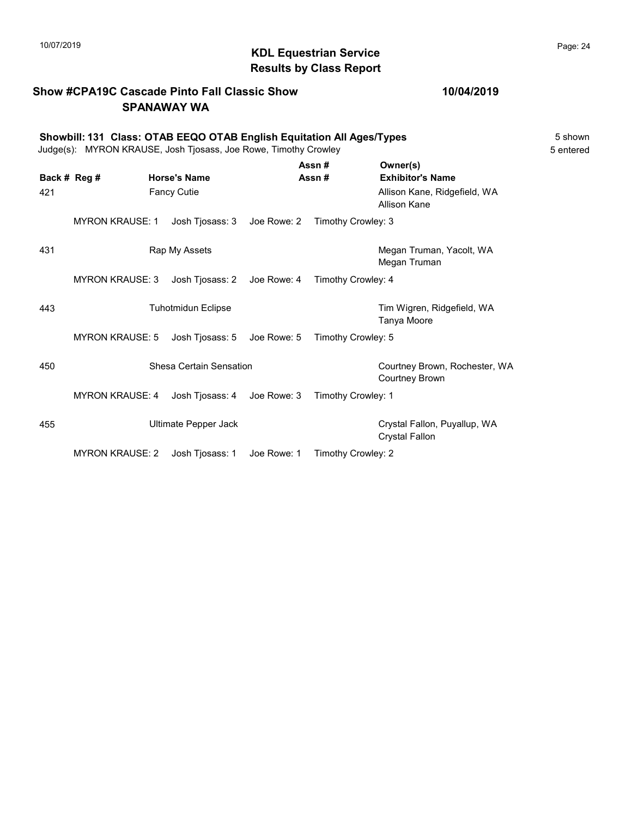### Show #CPA19C Cascade Pinto Fall Classic Show SPANAWAY WA

|              | Showbill: 131 Class: OTAB EEQO OTAB English Equitation All Ages/Types<br>Judge(s): MYRON KRAUSE, Josh Tjosass, Joe Rowe, Timothy Crowley<br>5 entered |                     |                             |                |                    |                                                        |  |  |
|--------------|-------------------------------------------------------------------------------------------------------------------------------------------------------|---------------------|-----------------------------|----------------|--------------------|--------------------------------------------------------|--|--|
| Back # Reg # |                                                                                                                                                       | <b>Horse's Name</b> |                             | Assn#<br>Assn# |                    | Owner(s)<br><b>Exhibitor's Name</b>                    |  |  |
| 421          |                                                                                                                                                       |                     | <b>Fancy Cutie</b>          |                |                    | Allison Kane, Ridgefield, WA<br>Allison Kane           |  |  |
|              | <b>MYRON KRAUSE: 1</b>                                                                                                                                |                     | Josh Tjosass: 3 Joe Rowe: 2 |                | Timothy Crowley: 3 |                                                        |  |  |
| 431          |                                                                                                                                                       |                     | Rap My Assets               |                |                    | Megan Truman, Yacolt, WA<br>Megan Truman               |  |  |
|              | <b>MYRON KRAUSE: 3</b>                                                                                                                                |                     | Josh Tjosass: 2 Joe Rowe: 4 |                | Timothy Crowley: 4 |                                                        |  |  |
| 443          |                                                                                                                                                       |                     | <b>Tuhotmidun Eclipse</b>   |                |                    | Tim Wigren, Ridgefield, WA<br>Tanya Moore              |  |  |
|              | <b>MYRON KRAUSE: 5</b>                                                                                                                                |                     | Josh Tjosass: 5 Joe Rowe: 5 |                | Timothy Crowley: 5 |                                                        |  |  |
| 450          |                                                                                                                                                       |                     | Shesa Certain Sensation     |                |                    | Courtney Brown, Rochester, WA<br><b>Courtney Brown</b> |  |  |
|              | <b>MYRON KRAUSE: 4</b>                                                                                                                                |                     | Josh Tjosass: 4 Joe Rowe: 3 |                | Timothy Crowley: 1 |                                                        |  |  |
| 455          |                                                                                                                                                       |                     | Ultimate Pepper Jack        |                |                    | Crystal Fallon, Puyallup, WA<br><b>Crystal Fallon</b>  |  |  |

MYRON KRAUSE: 2 Josh Tjosass: 1 Joe Rowe: 1 Timothy Crowley: 2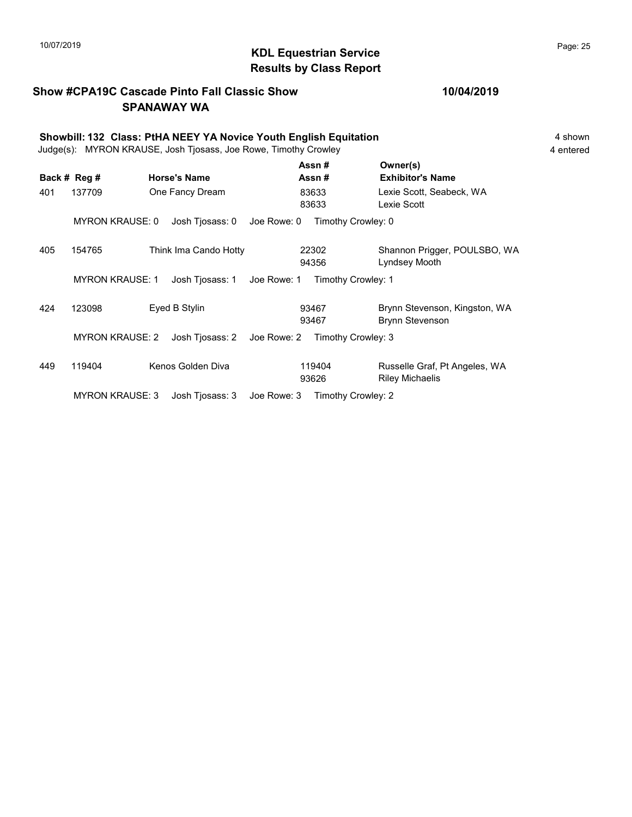# 10/07/2019 **Page: 25**  $\bullet$  **CDL Equestrian Service**  $\bullet$  Page: 25 Results by Class Report

### Show #CPA19C Cascade Pinto Fall Classic Show SPANAWAY WA

|     | Showbill: 132 Class: PtHA NEEY YA Novice Youth English Equitation<br>Judge(s): MYRON KRAUSE, Josh Tjosass, Joe Rowe, Timothy Crowley |  |                       |             |                 |                                                         |  |  |  |
|-----|--------------------------------------------------------------------------------------------------------------------------------------|--|-----------------------|-------------|-----------------|---------------------------------------------------------|--|--|--|
|     | Back # Reg #                                                                                                                         |  | <b>Horse's Name</b>   |             | Assn#<br>Assn#  | Owner(s)<br><b>Exhibitor's Name</b>                     |  |  |  |
| 401 | 137709                                                                                                                               |  | One Fancy Dream       |             | 83633<br>83633  | Lexie Scott, Seabeck, WA<br>Lexie Scott                 |  |  |  |
|     | <b>MYRON KRAUSE: 0</b>                                                                                                               |  | Josh Tjosass: 0       | Joe Rowe: 0 |                 | Timothy Crowley: 0                                      |  |  |  |
| 405 | 154765                                                                                                                               |  | Think Ima Cando Hotty |             | 22302<br>94356  | Shannon Prigger, POULSBO, WA<br>Lyndsey Mooth           |  |  |  |
|     | <b>MYRON KRAUSE: 1</b>                                                                                                               |  | Josh Tjosass: 1       | Joe Rowe: 1 |                 | Timothy Crowley: 1                                      |  |  |  |
| 424 | 123098                                                                                                                               |  | Eyed B Stylin         |             | 93467<br>93467  | Brynn Stevenson, Kingston, WA<br><b>Brynn Stevenson</b> |  |  |  |
|     | <b>MYRON KRAUSE: 2</b>                                                                                                               |  | Josh Tjosass: 2       | Joe Rowe: 2 |                 | Timothy Crowley: 3                                      |  |  |  |
| 449 | 119404                                                                                                                               |  | Kenos Golden Diva     |             | 119404<br>93626 | Russelle Graf, Pt Angeles, WA<br><b>Riley Michaelis</b> |  |  |  |

MYRON KRAUSE: 3 Josh Tjosass: 3 Joe Rowe: 3 Timothy Crowley: 2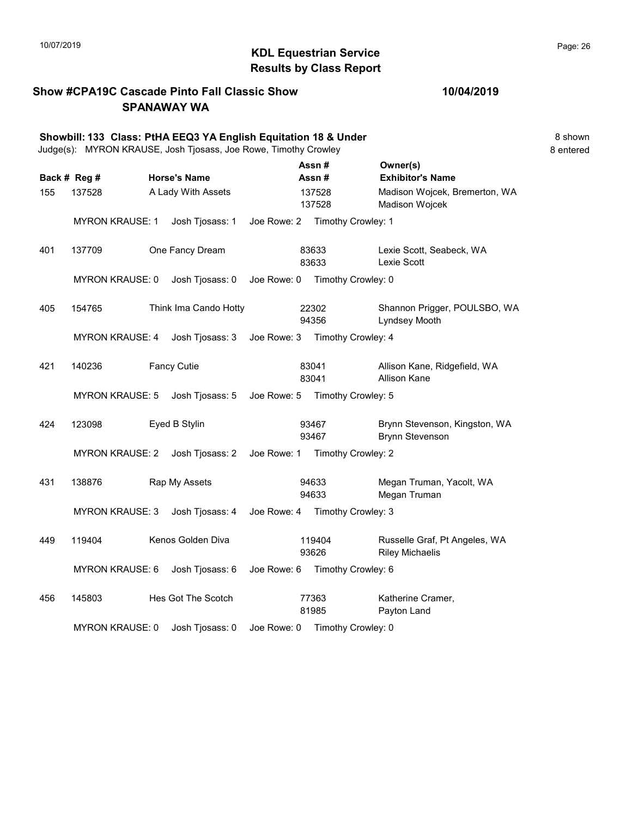# KDL Equestrian Service 10/07/2019 Page: 26 Results by Class Report

### Show #CPA19C Cascade Pinto Fall Classic Show SPANAWAY WA

|     | Showbill: 133 Class: PtHA EEQ3 YA English Equitation 18 & Under<br>Judge(s): MYRON KRAUSE, Josh Tjosass, Joe Rowe, Timothy Crowley |  |                       |             |       |                    |                                                         | 8 shown<br>8 entered |
|-----|------------------------------------------------------------------------------------------------------------------------------------|--|-----------------------|-------------|-------|--------------------|---------------------------------------------------------|----------------------|
|     | Back # Reg #                                                                                                                       |  | <b>Horse's Name</b>   |             |       | Assn#<br>Assn#     | Owner(s)<br><b>Exhibitor's Name</b>                     |                      |
| 155 | 137528                                                                                                                             |  | A Lady With Assets    |             |       | 137528<br>137528   | Madison Wojcek, Bremerton, WA<br>Madison Wojcek         |                      |
|     | <b>MYRON KRAUSE: 1</b>                                                                                                             |  | Josh Tjosass: 1       | Joe Rowe: 2 |       | Timothy Crowley: 1 |                                                         |                      |
| 401 | 137709                                                                                                                             |  | One Fancy Dream       |             |       | 83633<br>83633     | Lexie Scott, Seabeck, WA<br>Lexie Scott                 |                      |
|     | <b>MYRON KRAUSE: 0</b>                                                                                                             |  | Josh Tjosass: 0       | Joe Rowe: 0 |       | Timothy Crowley: 0 |                                                         |                      |
| 405 | 154765                                                                                                                             |  | Think Ima Cando Hotty |             |       | 22302<br>94356     | Shannon Prigger, POULSBO, WA<br>Lyndsey Mooth           |                      |
|     | <b>MYRON KRAUSE: 4</b>                                                                                                             |  | Josh Tjosass: 3       | Joe Rowe: 3 |       | Timothy Crowley: 4 |                                                         |                      |
| 421 | 140236                                                                                                                             |  | <b>Fancy Cutie</b>    |             | 83041 | 83041              | Allison Kane, Ridgefield, WA<br><b>Allison Kane</b>     |                      |
|     | <b>MYRON KRAUSE: 5</b>                                                                                                             |  | Josh Tjosass: 5       | Joe Rowe: 5 |       | Timothy Crowley: 5 |                                                         |                      |
| 424 | 123098                                                                                                                             |  | Eyed B Stylin         |             |       | 93467<br>93467     | Brynn Stevenson, Kingston, WA<br><b>Brynn Stevenson</b> |                      |
|     | <b>MYRON KRAUSE: 2</b>                                                                                                             |  | Josh Tjosass: 2       | Joe Rowe: 1 |       | Timothy Crowley: 2 |                                                         |                      |
| 431 | 138876                                                                                                                             |  | Rap My Assets         |             |       | 94633<br>94633     | Megan Truman, Yacolt, WA<br>Megan Truman                |                      |
|     | <b>MYRON KRAUSE: 3</b>                                                                                                             |  | Josh Tjosass: 4       | Joe Rowe: 4 |       | Timothy Crowley: 3 |                                                         |                      |
| 449 | 119404                                                                                                                             |  | Kenos Golden Diva     |             |       | 119404<br>93626    | Russelle Graf, Pt Angeles, WA<br><b>Riley Michaelis</b> |                      |
|     | <b>MYRON KRAUSE: 6</b>                                                                                                             |  | Josh Tjosass: 6       | Joe Rowe: 6 |       | Timothy Crowley: 6 |                                                         |                      |
| 456 | 145803                                                                                                                             |  | Hes Got The Scotch    |             |       | 77363<br>81985     | Katherine Cramer,<br>Payton Land                        |                      |

MYRON KRAUSE: 0 Josh Tjosass: 0 Joe Rowe: 0 Timothy Crowley: 0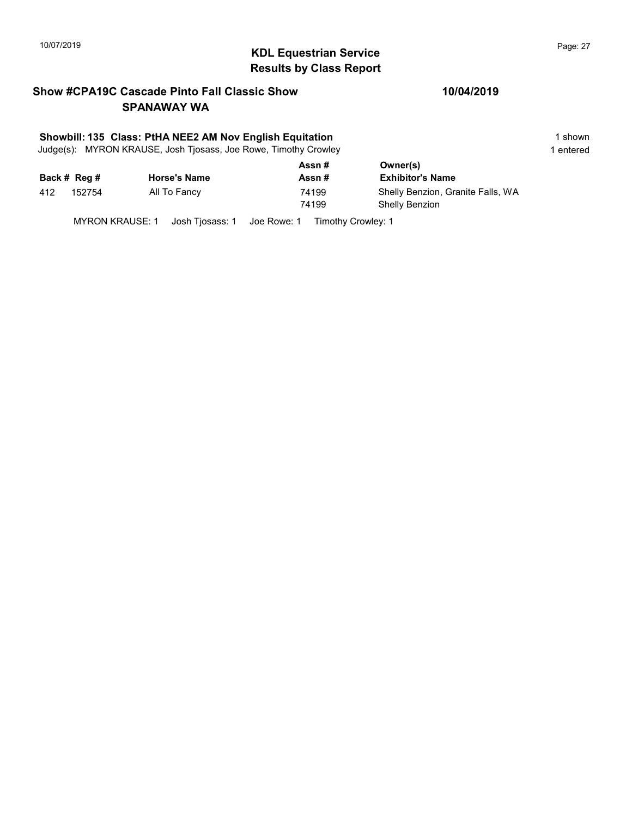# $\blacksquare$  10/07/2019 Page: 27  $\blacksquare$   $\blacksquare$   $\blacksquare$   $\blacksquare$   $\blacksquare$   $\blacksquare$   $\blacksquare$   $\blacksquare$   $\blacksquare$   $\blacksquare$   $\blacksquare$   $\blacksquare$   $\blacksquare$   $\blacksquare$   $\blacksquare$   $\blacksquare$   $\blacksquare$   $\blacksquare$   $\blacksquare$   $\blacksquare$   $\blacksquare$   $\blacksquare$   $\blacksquare$   $\blacksquare$   $\blacksquare$   $\blacksquare$   $\blacksquare$   $\blacksquare$ Results by Class Report

### Show #CPA19C Cascade Pinto Fall Classic Show SPANAWAY WA

### Showbill: 135 Class: PtHA NEE2 AM Nov English Equitation 1 Shown 1 shown

Judge(s): MYRON KRAUSE, Josh Tjosass, Joe Rowe, Timothy Crowley 1 entered 1 entered

|     |              |                     | Assn#          | Owner(s)                                                   |
|-----|--------------|---------------------|----------------|------------------------------------------------------------|
|     | Back # Reg # | <b>Horse's Name</b> | Assn#          | <b>Exhibitor's Name</b>                                    |
| 412 | 152754       | All To Fancy        | 74199<br>74199 | Shelly Benzion, Granite Falls, WA<br><b>Shelly Benzion</b> |

MYRON KRAUSE: 1 Josh Tjosass: 1 Joe Rowe: 1 Timothy Crowley: 1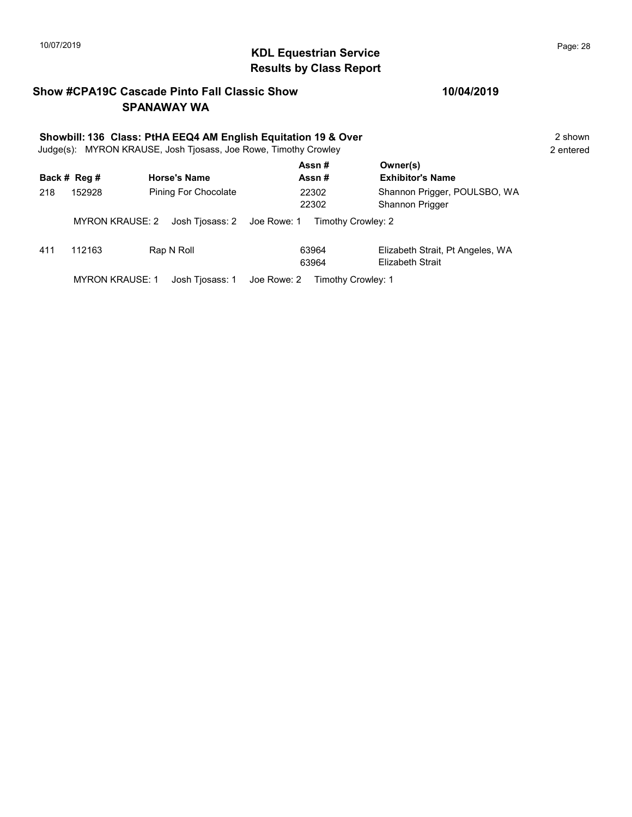# 10/07/2019 **Page: 28**  $\bullet$  **Page: 28**  $\bullet$  **Page: 28**  $\bullet$  **Page: 28**  $\bullet$  **Page: 28** Results by Class Report

### Show #CPA19C Cascade Pinto Fall Classic Show SPANAWAY WA

### 10/04/2019

| Showbill: 136 Class: PtHA EEQ4 AM English Equitation 19 & Over<br>Judge(s): MYRON KRAUSE, Josh Tjosass, Joe Rowe, Timothy Crowley |                        |                               |                    |                                                      |  |  |  |  |
|-----------------------------------------------------------------------------------------------------------------------------------|------------------------|-------------------------------|--------------------|------------------------------------------------------|--|--|--|--|
|                                                                                                                                   | Back # Reg #           | <b>Horse's Name</b>           | Assn#<br>Assn#     | Owner(s)<br><b>Exhibitor's Name</b>                  |  |  |  |  |
| 218                                                                                                                               | 152928                 | Pining For Chocolate          | 22302<br>22302     | Shannon Prigger, POULSBO, WA<br>Shannon Prigger      |  |  |  |  |
|                                                                                                                                   | <b>MYRON KRAUSE: 2</b> | Josh Tjosass: 2   Joe Rowe: 1 | Timothy Crowley: 2 |                                                      |  |  |  |  |
| 411                                                                                                                               | 112163                 | Rap N Roll                    | 63964<br>63964     | Elizabeth Strait, Pt Angeles, WA<br>Elizabeth Strait |  |  |  |  |

MYRON KRAUSE: 1 Josh Tjosass: 1 Joe Rowe: 2 Timothy Crowley: 1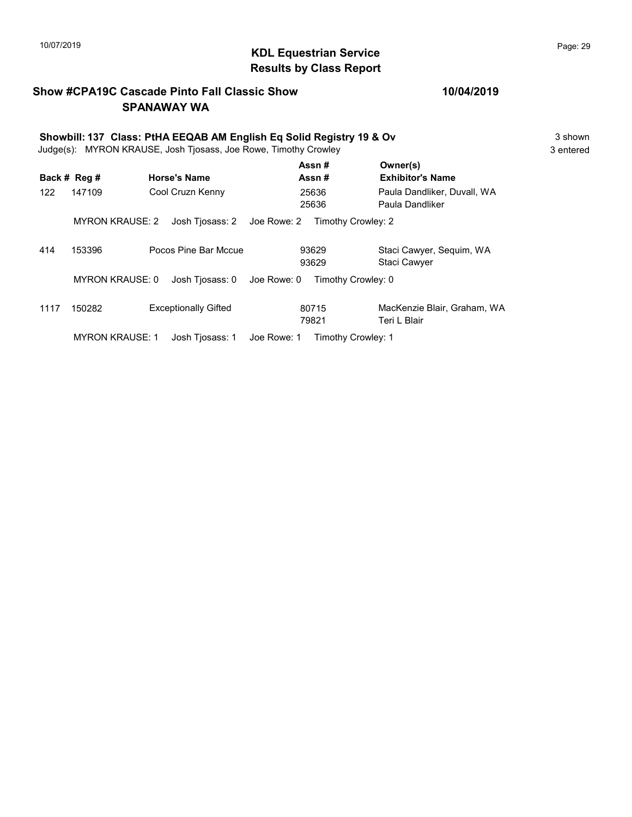# KDL Equestrian Service 10/07/2019 Page: 29 Results by Class Report

### Show #CPA19C Cascade Pinto Fall Classic Show SPANAWAY WA

|      | Showbill: 137 Class: PtHA EEQAB AM English Eq Solid Registry 19 & Ov<br>Judge(s): MYRON KRAUSE, Josh Tjosass, Joe Rowe, Timothy Crowley |                             |                                   |                                                |           |  |
|------|-----------------------------------------------------------------------------------------------------------------------------------------|-----------------------------|-----------------------------------|------------------------------------------------|-----------|--|
|      | Back # Reg #                                                                                                                            | <b>Horse's Name</b>         | Assn#<br>Assn#                    | Owner(s)<br><b>Exhibitor's Name</b>            | 3 entered |  |
| 122  | 147109                                                                                                                                  | Cool Cruzn Kenny            | 25636<br>25636                    | Paula Dandliker, Duvall, WA<br>Paula Dandliker |           |  |
|      | <b>MYRON KRAUSE: 2</b>                                                                                                                  | Josh Tjosass: 2             | Joe Rowe: 2                       | Timothy Crowley: 2                             |           |  |
| 414  | 153396                                                                                                                                  | Pocos Pine Bar Mccue        | 93629<br>93629                    | Staci Cawyer, Sequim, WA<br>Staci Cawyer       |           |  |
|      | <b>MYRON KRAUSE: 0</b>                                                                                                                  | Josh Tiosass: 0             | Joe Rowe: 0                       | Timothy Crowley: 0                             |           |  |
| 1117 | 150282                                                                                                                                  | <b>Exceptionally Gifted</b> | 80715<br>79821                    | MacKenzie Blair, Graham, WA<br>Teri L Blair    |           |  |
|      | <b>MYRON KRAUSE: 1</b>                                                                                                                  | Josh Tjosass: 1             | Joe Rowe: 1<br>Timothy Crowley: 1 |                                                |           |  |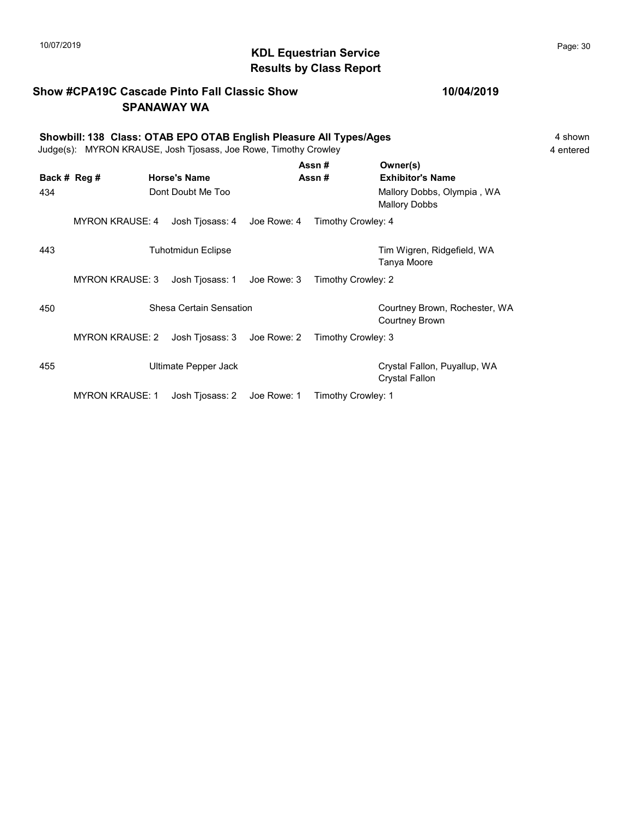# $\blacksquare$ 10/07/2019 Page: 30 Results by Class Report

### Show #CPA19C Cascade Pinto Fall Classic Show SPANAWAY WA

### 10/04/2019

|     | Showbill: 138 Class: OTAB EPO OTAB English Pleasure All Types/Ages<br>Judge(s): MYRON KRAUSE, Josh Tjosass, Joe Rowe, Timothy Crowley |                             |  |                    |                                                 |  |
|-----|---------------------------------------------------------------------------------------------------------------------------------------|-----------------------------|--|--------------------|-------------------------------------------------|--|
|     | Back # Reg #                                                                                                                          | <b>Horse's Name</b>         |  | Assn#<br>Assn #    | Owner(s)<br><b>Exhibitor's Name</b>             |  |
| 434 |                                                                                                                                       | Dont Doubt Me Too           |  |                    | Mallory Dobbs, Olympia, WA<br>Mallory Dobbs     |  |
|     | <b>MYRON KRAUSE: 4</b>                                                                                                                | Josh Tjosass: 4 Joe Rowe: 4 |  | Timothy Crowley: 4 |                                                 |  |
| 443 |                                                                                                                                       | <b>Tuhotmidun Eclipse</b>   |  |                    | Tim Wigren, Ridgefield, WA<br>Tanya Moore       |  |
|     | <b>MYRON KRAUSE: 3</b>                                                                                                                | Josh Tjosass: 1 Joe Rowe: 3 |  | Timothy Crowley: 2 |                                                 |  |
| 450 |                                                                                                                                       | Shesa Certain Sensation     |  |                    | Courtney Brown, Rochester, WA<br>Courtney Brown |  |
|     | <b>MYRON KRAUSE: 2</b>                                                                                                                | Josh Tjosass: 3 Joe Rowe: 2 |  | Timothy Crowley: 3 |                                                 |  |
| 455 |                                                                                                                                       | Ultimate Pepper Jack        |  |                    | Crystal Fallon, Puyallup, WA                    |  |

MYRON KRAUSE: 1 Josh Tjosass: 2 Joe Rowe: 1 Timothy Crowley: 1

Crystal Fallon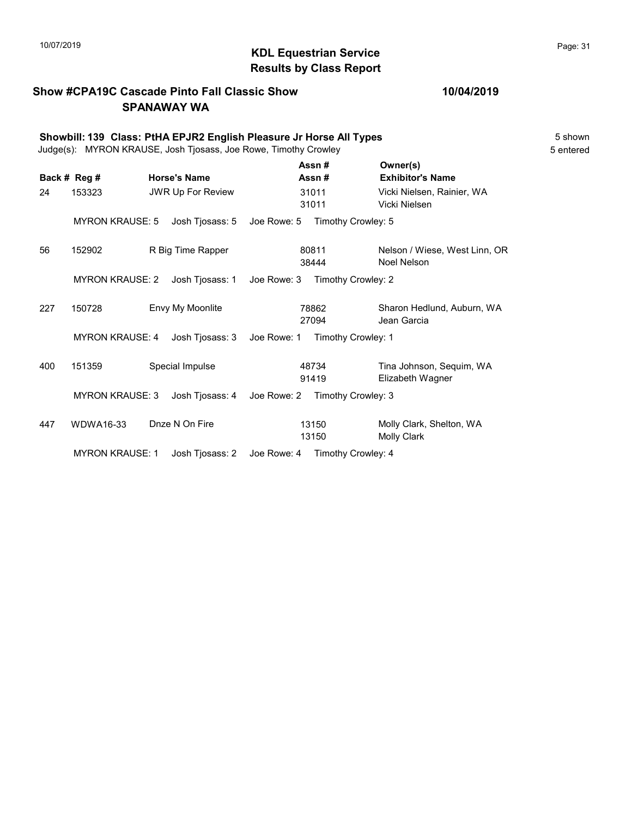# $\blacksquare$ 10/07/2019 Page: 31  $\blacksquare$   $\blacksquare$   $\blacksquare$   $\blacksquare$   $\blacksquare$   $\blacksquare$   $\blacksquare$   $\blacksquare$   $\blacksquare$   $\blacksquare$   $\blacksquare$   $\blacksquare$   $\blacksquare$   $\blacksquare$   $\blacksquare$   $\blacksquare$   $\blacksquare$   $\blacksquare$   $\blacksquare$   $\blacksquare$   $\blacksquare$   $\blacksquare$   $\blacksquare$   $\blacksquare$   $\blacksquare$   $\blacksquare$   $\blacksquare$   $\blacksquare$ Results by Class Report

### Show #CPA19C Cascade Pinto Fall Classic Show SPANAWAY WA

|     |                        | Showbill: 139 Class: PtHA EPJR2 English Pleasure Jr Horse All Types<br>Judge(s): MYRON KRAUSE, Josh Tjosass, Joe Rowe, Timothy Crowley |                                |                |                                                | 5 shown<br>5 entered |
|-----|------------------------|----------------------------------------------------------------------------------------------------------------------------------------|--------------------------------|----------------|------------------------------------------------|----------------------|
|     | Back # Reg #           | <b>Horse's Name</b>                                                                                                                    |                                | Assn#<br>Assn# | Owner(s)<br><b>Exhibitor's Name</b>            |                      |
| 24  | 153323                 | <b>JWR Up For Review</b>                                                                                                               |                                | 31011<br>31011 | Vicki Nielsen, Rainier, WA<br>Vicki Nielsen    |                      |
|     | <b>MYRON KRAUSE: 5</b> | Josh Tjosass: 5                                                                                                                        | Joe Rowe: 5 Timothy Crowley: 5 |                |                                                |                      |
| 56  | 152902                 | R Big Time Rapper                                                                                                                      |                                | 80811<br>38444 | Nelson / Wiese, West Linn, OR<br>Noel Nelson   |                      |
|     | <b>MYRON KRAUSE: 2</b> | Josh Tjosass: 1                                                                                                                        | Joe Rowe: 3                    |                | Timothy Crowley: 2                             |                      |
| 227 | 150728                 | Envy My Moonlite                                                                                                                       |                                | 78862<br>27094 | Sharon Hedlund, Auburn, WA<br>Jean Garcia      |                      |
|     | <b>MYRON KRAUSE: 4</b> | Josh Tjosass: 3                                                                                                                        | Joe Rowe: 1                    |                | Timothy Crowley: 1                             |                      |
| 400 | 151359                 | Special Impulse                                                                                                                        |                                | 48734<br>91419 | Tina Johnson, Sequim, WA<br>Elizabeth Wagner   |                      |
|     | <b>MYRON KRAUSE: 3</b> | Josh Tjosass: 4                                                                                                                        | Joe Rowe: 2                    |                | Timothy Crowley: 3                             |                      |
| 447 | WDWA16-33              | Dnze N On Fire                                                                                                                         |                                | 13150<br>13150 | Molly Clark, Shelton, WA<br><b>Molly Clark</b> |                      |
|     | <b>MYRON KRAUSE: 1</b> | Josh Tjosass: 2                                                                                                                        | Joe Rowe: 4                    |                | Timothy Crowley: 4                             |                      |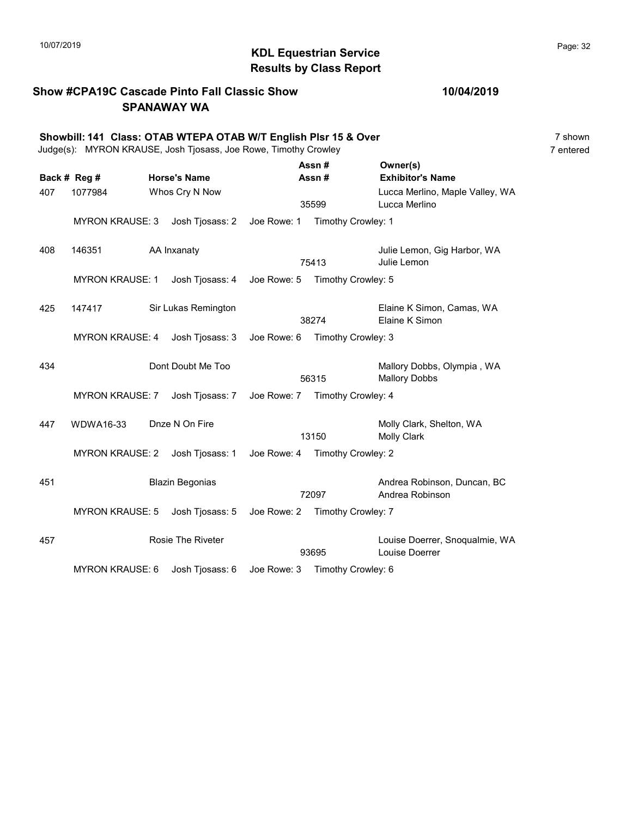# KDL Equestrian Service 10/07/2019 Page: 32 Results by Class Report

### Show #CPA19C Cascade Pinto Fall Classic Show SPANAWAY WA

|     | Showbill: 141 Class: OTAB WTEPA OTAB W/T English Plsr 15 & Over<br>Judge(s): MYRON KRAUSE, Josh Tjosass, Joe Rowe, Timothy Crowley |  |                               |                                |                    |                                                    |  |
|-----|------------------------------------------------------------------------------------------------------------------------------------|--|-------------------------------|--------------------------------|--------------------|----------------------------------------------------|--|
|     | Back # Reg #                                                                                                                       |  | <b>Horse's Name</b>           |                                | Assn#<br>Assn#     | Owner(s)<br><b>Exhibitor's Name</b>                |  |
| 407 | 1077984                                                                                                                            |  | Whos Cry N Now                |                                | 35599              | Lucca Merlino, Maple Valley, WA<br>Lucca Merlino   |  |
|     | <b>MYRON KRAUSE: 3</b>                                                                                                             |  | Josh Tjosass: 2   Joe Rowe: 1 |                                | Timothy Crowley: 1 |                                                    |  |
| 408 | 146351                                                                                                                             |  | AA Inxanaty                   |                                | 75413              | Julie Lemon, Gig Harbor, WA<br>Julie Lemon         |  |
|     | <b>MYRON KRAUSE: 1</b>                                                                                                             |  | Josh Tjosass: 4               | Joe Rowe: 5                    | Timothy Crowley: 5 |                                                    |  |
| 425 | 147417                                                                                                                             |  | Sir Lukas Remington           |                                | 38274              | Elaine K Simon, Camas, WA<br>Elaine K Simon        |  |
|     | <b>MYRON KRAUSE: 4</b>                                                                                                             |  | Josh Tjosass: 3               | Joe Rowe: 6 Timothy Crowley: 3 |                    |                                                    |  |
| 434 |                                                                                                                                    |  | Dont Doubt Me Too             |                                | 56315              | Mallory Dobbs, Olympia, WA<br><b>Mallory Dobbs</b> |  |
|     | <b>MYRON KRAUSE: 7</b>                                                                                                             |  | Josh Tjosass: 7               | Joe Rowe: 7 Timothy Crowley: 4 |                    |                                                    |  |
| 447 | <b>WDWA16-33</b>                                                                                                                   |  | Dnze N On Fire                |                                | 13150              | Molly Clark, Shelton, WA<br><b>Molly Clark</b>     |  |
|     | <b>MYRON KRAUSE: 2</b>                                                                                                             |  | Josh Tjosass: 1               | Joe Rowe: 4                    | Timothy Crowley: 2 |                                                    |  |
| 451 |                                                                                                                                    |  | <b>Blazin Begonias</b>        |                                | 72097              | Andrea Robinson, Duncan, BC<br>Andrea Robinson     |  |
|     | <b>MYRON KRAUSE: 5</b>                                                                                                             |  | Josh Tjosass: 5               | Joe Rowe: 2 Timothy Crowley: 7 |                    |                                                    |  |
| 457 |                                                                                                                                    |  | <b>Rosie The Riveter</b>      |                                | 93695              | Louise Doerrer, Snoqualmie, WA<br>Louise Doerrer   |  |
|     | <b>MYRON KRAUSE: 6</b>                                                                                                             |  | Josh Tjosass: 6               | Joe Rowe: 3 Timothy Crowley: 6 |                    |                                                    |  |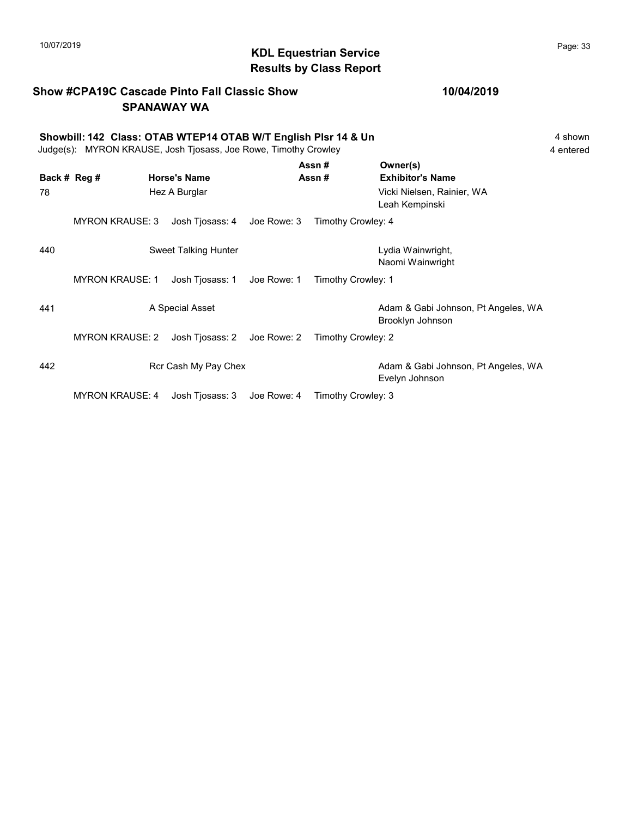# $\blacksquare$  10/07/2019 Page: 33  $\blacksquare$   $\blacksquare$   $\blacksquare$   $\blacksquare$   $\blacksquare$   $\blacksquare$   $\blacksquare$   $\blacksquare$   $\blacksquare$   $\blacksquare$   $\blacksquare$   $\blacksquare$   $\blacksquare$   $\blacksquare$   $\blacksquare$   $\blacksquare$   $\blacksquare$   $\blacksquare$   $\blacksquare$   $\blacksquare$   $\blacksquare$   $\blacksquare$   $\blacksquare$   $\blacksquare$   $\blacksquare$   $\blacksquare$   $\blacksquare$   $\blacksquare$ Results by Class Report

### Show #CPA19C Cascade Pinto Fall Classic Show SPANAWAY WA

### 10/04/2019

Showbill: 142 Class: OTAB WTEP14 OTAB W/T English Plsr 14 & Un<br>Judge(s): MYRON KRAUSE. Josh Tiosass. Joe Rowe. Timothy Crowley<br>4 entered

| Judge(s): MYRON KRAUSE, Josh Tjosass, Joe Rowe, Timothy Crowley | 4 entered |
|-----------------------------------------------------------------|-----------|
|-----------------------------------------------------------------|-----------|

| Back # Reg #<br>78 |                        | <b>Horse's Name</b><br>Hez A Burglar |             | Assn#<br>Assn# |                    | Owner(s)<br><b>Exhibitor's Name</b><br>Vicki Nielsen, Rainier, WA<br>Leah Kempinski |
|--------------------|------------------------|--------------------------------------|-------------|----------------|--------------------|-------------------------------------------------------------------------------------|
|                    | <b>MYRON KRAUSE: 3</b> | Josh Tjosass: 4                      | Joe Rowe: 3 |                | Timothy Crowley: 4 |                                                                                     |
| 440                |                        | <b>Sweet Talking Hunter</b>          |             |                |                    | Lydia Wainwright,<br>Naomi Wainwright                                               |
|                    | <b>MYRON KRAUSE: 1</b> | Josh Tjosass: 1                      | Joe Rowe: 1 |                | Timothy Crowley: 1 |                                                                                     |
| 441                |                        | A Special Asset                      |             |                |                    | Adam & Gabi Johnson, Pt Angeles, WA<br>Brooklyn Johnson                             |
|                    | <b>MYRON KRAUSE: 2</b> | Josh Tjosass: 2                      | Joe Rowe: 2 |                | Timothy Crowley: 2 |                                                                                     |
| 442                |                        | Rcr Cash My Pay Chex                 |             |                |                    | Adam & Gabi Johnson, Pt Angeles, WA<br>Evelyn Johnson                               |
|                    | <b>MYRON KRAUSE: 4</b> | Josh Tjosass: 3                      | Joe Rowe: 4 |                | Timothy Crowley: 3 |                                                                                     |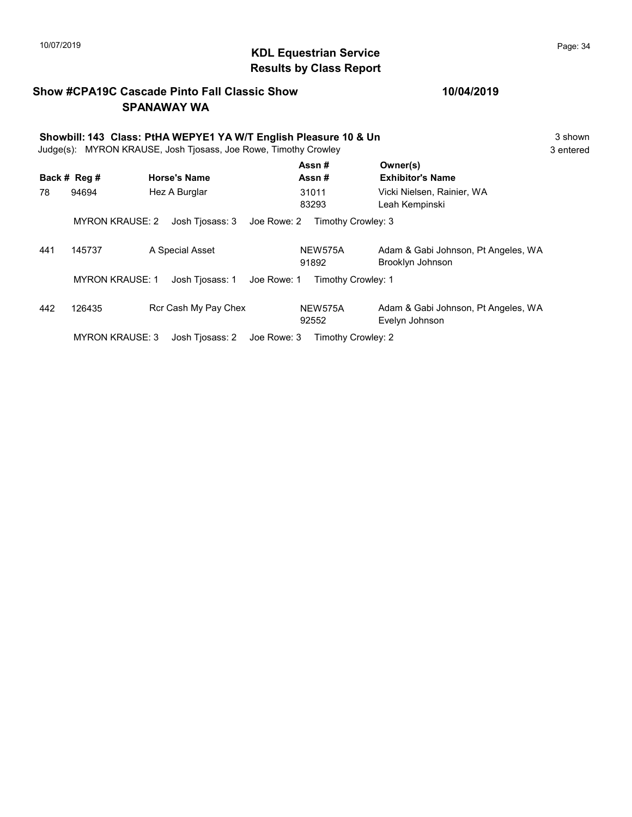# $\blacksquare$ 10/07/2019 Page: 34  $\blacksquare$   $\blacksquare$   $\blacksquare$   $\blacksquare$   $\blacksquare$   $\blacksquare$   $\blacksquare$   $\blacksquare$   $\blacksquare$   $\blacksquare$   $\blacksquare$   $\blacksquare$   $\blacksquare$   $\blacksquare$   $\blacksquare$   $\blacksquare$   $\blacksquare$   $\blacksquare$   $\blacksquare$   $\blacksquare$   $\blacksquare$   $\blacksquare$   $\blacksquare$   $\blacksquare$   $\blacksquare$   $\blacksquare$   $\blacksquare$   $\blacksquare$ Results by Class Report

### Show #CPA19C Cascade Pinto Fall Classic Show SPANAWAY WA

|     | Showbill: 143 Class: PtHA WEPYE1 YA W/T English Pleasure 10 & Un<br>MYRON KRAUSE, Josh Tjosass, Joe Rowe, Timothy Crowley<br>Judge(s): |                                |                    |                                                         |  |  |
|-----|----------------------------------------------------------------------------------------------------------------------------------------|--------------------------------|--------------------|---------------------------------------------------------|--|--|
|     | Back # Reg #                                                                                                                           | <b>Horse's Name</b>            | Assn#<br>Assn#     | Owner(s)<br><b>Exhibitor's Name</b>                     |  |  |
| 78  | 94694                                                                                                                                  | Hez A Burglar                  | 31011<br>83293     | Vicki Nielsen, Rainier, WA<br>Leah Kempinski            |  |  |
|     | <b>MYRON KRAUSE: 2</b>                                                                                                                 | Josh Tjosass: 3<br>Joe Rowe: 2 | Timothy Crowley: 3 |                                                         |  |  |
| 441 | 145737                                                                                                                                 | A Special Asset                | NEW575A<br>91892   | Adam & Gabi Johnson, Pt Angeles, WA<br>Brooklyn Johnson |  |  |
|     | <b>MYRON KRAUSE: 1</b>                                                                                                                 | Josh Tjosass: 1<br>Joe Rowe: 1 | Timothy Crowley: 1 |                                                         |  |  |
| 442 | 126435                                                                                                                                 | Rcr Cash My Pay Chex           | NEW575A<br>92552   | Adam & Gabi Johnson, Pt Angeles, WA<br>Evelyn Johnson   |  |  |
|     | <b>MYRON KRAUSE: 3</b>                                                                                                                 | Josh Tjosass: 2<br>Joe Rowe: 3 | Timothy Crowley: 2 |                                                         |  |  |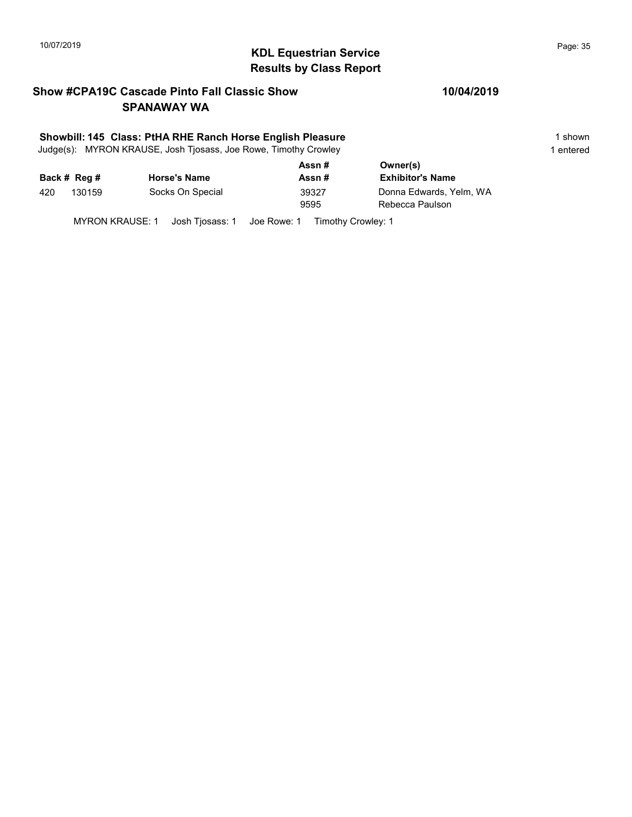# 10/07/2019 **Page: 35**<br> **KDL Equestrian Service Page: 35** Results by Class Report

### Show #CPA19C Cascade Pinto Fall Classic Show SPANAWAY WA

### Showbill: 145 Class: PtHA RHE Ranch Horse English Pleasure 1 Shown 1 shown

Judge(s): MYRON KRAUSE, Josh Tjosass, Joe Rowe, Timothy Crowley 1 entered 1 entered

|     |              |                     | Assn#  | Owner(s)                |
|-----|--------------|---------------------|--------|-------------------------|
|     | Back # Reg # | <b>Horse's Name</b> | Assn # | <b>Exhibitor's Name</b> |
| 420 | 130159       | Socks On Special    | 39327  | Donna Edwards, Yelm, WA |
|     |              |                     | 9595   | Rebecca Paulson         |
|     |              |                     |        |                         |

MYRON KRAUSE: 1 Josh Tjosass: 1 Joe Rowe: 1 Timothy Crowley: 1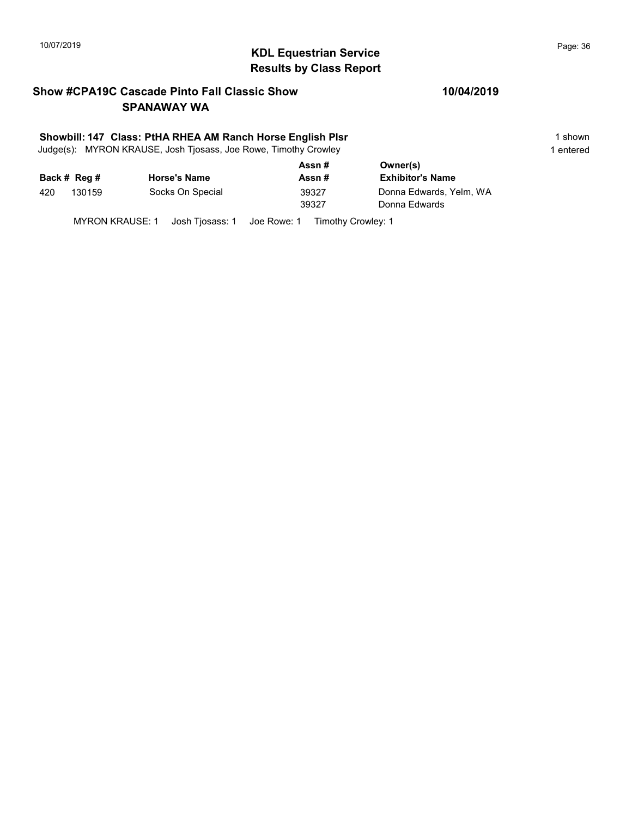# $\blacksquare$ 10/07/2019 Page: 36 Results by Class Report

### Show #CPA19C Cascade Pinto Fall Classic Show SPANAWAY WA

### Showbill: 147 Class: PtHA RHEA AM Ranch Horse English Plsr 1 Shown 1 shown

Judge(s): MYRON KRAUSE, Josh Tjosass, Joe Rowe, Timothy Crowley 1 entered 1 entered

|     |              |                     | Assn# | Owner(s)                |
|-----|--------------|---------------------|-------|-------------------------|
|     | Back # Reg # | <b>Horse's Name</b> | Assn# | <b>Exhibitor's Name</b> |
| 420 | 130159       | Socks On Special    | 39327 | Donna Edwards, Yelm, WA |
|     |              |                     | 39327 | Donna Edwards           |
|     |              |                     |       |                         |

MYRON KRAUSE: 1 Josh Tjosass: 1 Joe Rowe: 1 Timothy Crowley: 1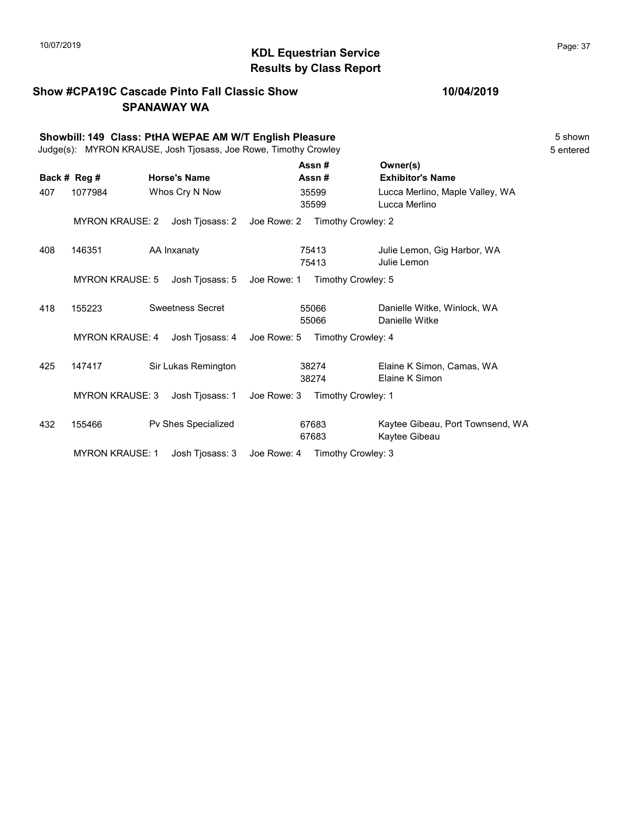# $\blacksquare$  10/07/2019 Page: 37  $\blacksquare$   $\blacksquare$   $\blacksquare$   $\blacksquare$   $\blacksquare$   $\blacksquare$   $\blacksquare$   $\blacksquare$   $\blacksquare$   $\blacksquare$   $\blacksquare$   $\blacksquare$   $\blacksquare$   $\blacksquare$   $\blacksquare$   $\blacksquare$   $\blacksquare$   $\blacksquare$   $\blacksquare$   $\blacksquare$   $\blacksquare$   $\blacksquare$   $\blacksquare$   $\blacksquare$   $\blacksquare$   $\blacksquare$   $\blacksquare$   $\blacksquare$ Results by Class Report

## Show #CPA19C Cascade Pinto Fall Classic Show SPANAWAY WA

|     | Showbill: 149 Class: PtHA WEPAE AM W/T English Pleasure<br>Judge(s): MYRON KRAUSE, Josh Tjosass, Joe Rowe, Timothy Crowley |  |                         |             |                |                                                   |  |
|-----|----------------------------------------------------------------------------------------------------------------------------|--|-------------------------|-------------|----------------|---------------------------------------------------|--|
|     | Back # Reg #                                                                                                               |  | <b>Horse's Name</b>     |             | Assn#<br>Assn# | Owner(s)<br><b>Exhibitor's Name</b>               |  |
| 407 | 1077984                                                                                                                    |  | Whos Cry N Now          |             | 35599<br>35599 | Lucca Merlino, Maple Valley, WA<br>Lucca Merlino  |  |
|     | <b>MYRON KRAUSE: 2</b>                                                                                                     |  | Josh Tjosass: 2         | Joe Rowe: 2 |                | Timothy Crowley: 2                                |  |
| 408 | 146351                                                                                                                     |  | AA Inxanaty             |             | 75413<br>75413 | Julie Lemon, Gig Harbor, WA<br>Julie Lemon        |  |
|     | <b>MYRON KRAUSE: 5</b>                                                                                                     |  | Josh Tjosass: 5         | Joe Rowe: 1 |                | Timothy Crowley: 5                                |  |
| 418 | 155223                                                                                                                     |  | <b>Sweetness Secret</b> |             | 55066<br>55066 | Danielle Witke, Winlock, WA<br>Danielle Witke     |  |
|     | <b>MYRON KRAUSE: 4</b>                                                                                                     |  | Josh Tjosass: 4         | Joe Rowe: 5 |                | Timothy Crowley: 4                                |  |
| 425 | 147417                                                                                                                     |  | Sir Lukas Remington     |             | 38274<br>38274 | Elaine K Simon, Camas, WA<br>Elaine K Simon       |  |
|     | <b>MYRON KRAUSE: 3</b>                                                                                                     |  | Josh Tiosass: 1         | Joe Rowe: 3 |                | Timothy Crowley: 1                                |  |
| 432 | 155466                                                                                                                     |  | Pv Shes Specialized     |             | 67683<br>67683 | Kaytee Gibeau, Port Townsend, WA<br>Kaytee Gibeau |  |
|     | <b>MYRON KRAUSE: 1</b>                                                                                                     |  | Josh Tjosass: 3         | Joe Rowe: 4 |                | Timothy Crowley: 3                                |  |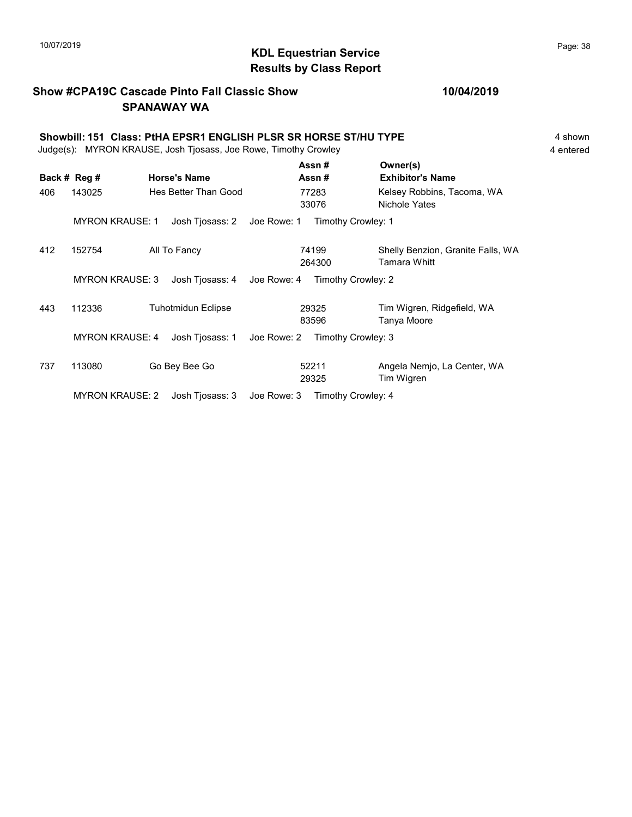# $\blacksquare$ 10/07/2019 Page: 38  $\blacksquare$   $\blacksquare$   $\blacksquare$   $\blacksquare$   $\blacksquare$   $\blacksquare$   $\blacksquare$   $\blacksquare$   $\blacksquare$   $\blacksquare$   $\blacksquare$   $\blacksquare$   $\blacksquare$   $\blacksquare$   $\blacksquare$   $\blacksquare$   $\blacksquare$   $\blacksquare$   $\blacksquare$   $\blacksquare$   $\blacksquare$   $\blacksquare$   $\blacksquare$   $\blacksquare$   $\blacksquare$   $\blacksquare$   $\blacksquare$   $\blacksquare$ Results by Class Report

## Show #CPA19C Cascade Pinto Fall Classic Show SPANAWAY WA

|     | Showbill: 151 Class: PtHA EPSR1 ENGLISH PLSR SR HORSE ST/HU TYPE<br>Judge(s): MYRON KRAUSE, Josh Tjosass, Joe Rowe, Timothy Crowley |                                |                    |                                                   |  |  |  |
|-----|-------------------------------------------------------------------------------------------------------------------------------------|--------------------------------|--------------------|---------------------------------------------------|--|--|--|
|     | Back # Reg #                                                                                                                        | <b>Horse's Name</b>            | Assn#<br>Assn#     | Owner(s)<br><b>Exhibitor's Name</b>               |  |  |  |
| 406 | 143025                                                                                                                              | Hes Better Than Good           | 77283<br>33076     | Kelsey Robbins, Tacoma, WA<br>Nichole Yates       |  |  |  |
|     | <b>MYRON KRAUSE: 1</b>                                                                                                              | Josh Tjosass: 2<br>Joe Rowe: 1 | Timothy Crowley: 1 |                                                   |  |  |  |
| 412 | 152754                                                                                                                              | All To Fancy                   | 74199<br>264300    | Shelly Benzion, Granite Falls, WA<br>Tamara Whitt |  |  |  |
|     | <b>MYRON KRAUSE: 3</b>                                                                                                              | Joe Rowe: 4<br>Josh Tjosass: 4 | Timothy Crowley: 2 |                                                   |  |  |  |
| 443 | 112336                                                                                                                              | <b>Tuhotmidun Eclipse</b>      | 29325<br>83596     | Tim Wigren, Ridgefield, WA<br>Tanya Moore         |  |  |  |
|     | <b>MYRON KRAUSE: 4</b>                                                                                                              | Josh Tjosass: 1<br>Joe Rowe: 2 | Timothy Crowley: 3 |                                                   |  |  |  |

737 113080 Go Bey Bee Go Go Go 52211 Angela Nemjo, La Center, WA 29325 Tim Wigren 52211

MYRON KRAUSE: 2 Josh Tjosass: 3 Joe Rowe: 3 Timothy Crowley: 4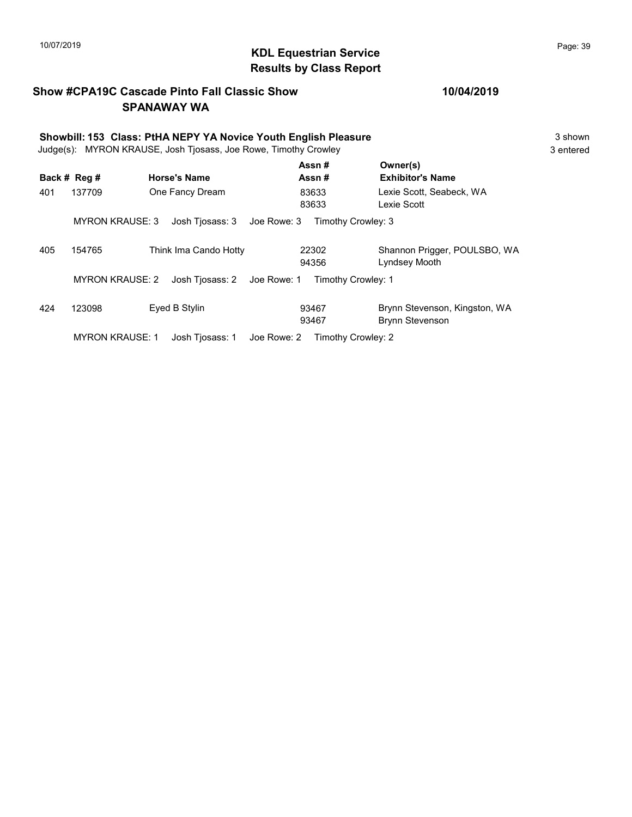# KDL Equestrian Service 10/07/2019 Page: 39 Results by Class Report

## Show #CPA19C Cascade Pinto Fall Classic Show SPANAWAY WA

| Showbill: 153 Class: PtHA NEPY YA Novice Youth English Pleasure |                 |                     |                                |                |  |                                         | 3 shown<br>3 entered |
|-----------------------------------------------------------------|-----------------|---------------------|--------------------------------|----------------|--|-----------------------------------------|----------------------|
| Judge(s): MYRON KRAUSE, Josh Tjosass, Joe Rowe, Timothy Crowley |                 |                     |                                |                |  |                                         |                      |
|                                                                 | Back # Reg #    | <b>Horse's Name</b> |                                | Assn#<br>Assn# |  | Owner(s)<br><b>Exhibitor's Name</b>     |                      |
| 401                                                             | 137709          | One Fancy Dream     |                                | 83633<br>83633 |  | Lexie Scott, Seabeck, WA<br>Lexie Scott |                      |
|                                                                 | MYRON KRAUSE: 3 |                     | Josh Tjosass: 3    Joe Rowe: 3 |                |  | Timothy Crowley: 3                      |                      |

405 154765 Think Ima Cando Hotty 22302 Shannon Prigger, POULSBO, WA 22302

|     |        |                                                                | 94356 | Lyndsey Mooth                 |
|-----|--------|----------------------------------------------------------------|-------|-------------------------------|
|     |        | MYRON KRAUSE: 2 Josh Tiosass: 2 Joe Rowe: 1 Timothy Crowley: 1 |       |                               |
| 424 | 123098 | Eved B Stylin                                                  | 93467 | Brynn Stevenson, Kingston, WA |

93467 Brynn Stevenson

MYRON KRAUSE: 1 Josh Tjosass: 1 Joe Rowe: 2 Timothy Crowley: 2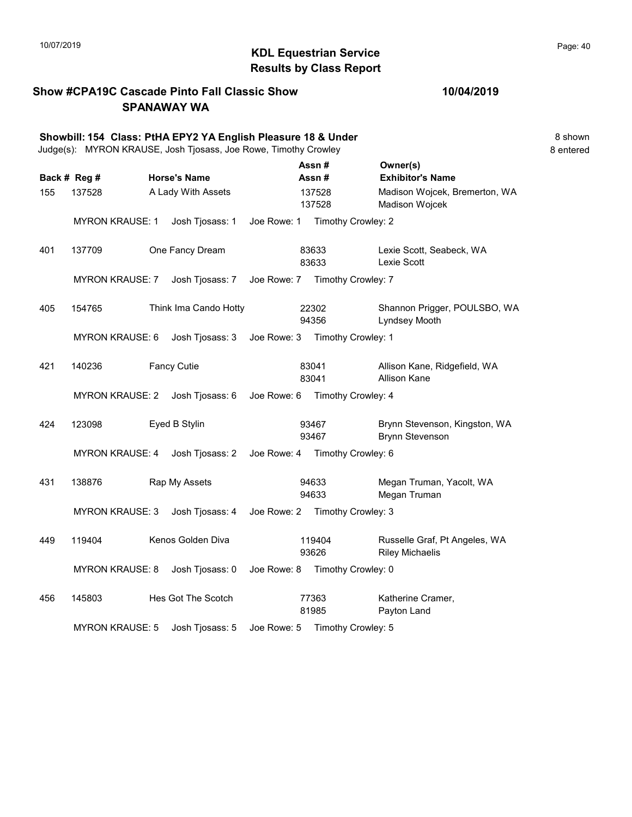# $\blacksquare$ 10/07/2019 Page: 40 Results by Class Report

## Show #CPA19C Cascade Pinto Fall Classic Show SPANAWAY WA

|     |                        | Showbill: 154 Class: PtHA EPY2 YA English Pleasure 18 & Under<br>Judge(s): MYRON KRAUSE, Josh Tjosass, Joe Rowe, Timothy Crowley |             |                                |                                                         | 8 shown<br>8 entered |
|-----|------------------------|----------------------------------------------------------------------------------------------------------------------------------|-------------|--------------------------------|---------------------------------------------------------|----------------------|
|     | Back # Reg #           | <b>Horse's Name</b>                                                                                                              |             | Assn#<br>Assn#                 | Owner(s)<br><b>Exhibitor's Name</b>                     |                      |
| 155 | 137528                 | A Lady With Assets                                                                                                               |             | 137528<br>137528               | Madison Wojcek, Bremerton, WA<br>Madison Wojcek         |                      |
|     | <b>MYRON KRAUSE: 1</b> | Josh Tjosass: 1                                                                                                                  |             | Joe Rowe: 1 Timothy Crowley: 2 |                                                         |                      |
| 401 | 137709                 | One Fancy Dream                                                                                                                  |             | 83633<br>83633                 | Lexie Scott, Seabeck, WA<br>Lexie Scott                 |                      |
|     | <b>MYRON KRAUSE: 7</b> | Josh Tjosass: 7                                                                                                                  |             | Joe Rowe: 7 Timothy Crowley: 7 |                                                         |                      |
| 405 | 154765                 | Think Ima Cando Hotty                                                                                                            |             | 22302<br>94356                 | Shannon Prigger, POULSBO, WA<br>Lyndsey Mooth           |                      |
|     | <b>MYRON KRAUSE: 6</b> | Josh Tjosass: 3                                                                                                                  | Joe Rowe: 3 | Timothy Crowley: 1             |                                                         |                      |
| 421 | 140236                 | <b>Fancy Cutie</b>                                                                                                               |             | 83041<br>83041                 | Allison Kane, Ridgefield, WA<br><b>Allison Kane</b>     |                      |
|     | <b>MYRON KRAUSE: 2</b> | Josh Tjosass: 6                                                                                                                  |             | Joe Rowe: 6 Timothy Crowley: 4 |                                                         |                      |
| 424 | 123098                 | Eyed B Stylin                                                                                                                    |             | 93467<br>93467                 | Brynn Stevenson, Kingston, WA<br><b>Brynn Stevenson</b> |                      |
|     | <b>MYRON KRAUSE: 4</b> | Josh Tjosass: 2                                                                                                                  | Joe Rowe: 4 | Timothy Crowley: 6             |                                                         |                      |
| 431 | 138876                 | Rap My Assets                                                                                                                    |             | 94633<br>94633                 | Megan Truman, Yacolt, WA<br>Megan Truman                |                      |
|     | <b>MYRON KRAUSE: 3</b> | Josh Tjosass: 4                                                                                                                  |             | Joe Rowe: 2 Timothy Crowley: 3 |                                                         |                      |
| 449 | 119404                 | Kenos Golden Diva                                                                                                                |             | 119404<br>93626                | Russelle Graf, Pt Angeles, WA<br><b>Riley Michaelis</b> |                      |
|     | <b>MYRON KRAUSE: 8</b> | Josh Tjosass: 0                                                                                                                  | Joe Rowe: 8 | Timothy Crowley: 0             |                                                         |                      |
| 456 | 145803                 | Hes Got The Scotch                                                                                                               |             | 77363<br>81985                 | Katherine Cramer,<br>Payton Land                        |                      |
|     | <b>MYRON KRAUSE: 5</b> | Josh Tjosass: 5                                                                                                                  | Joe Rowe: 5 | Timothy Crowley: 5             |                                                         |                      |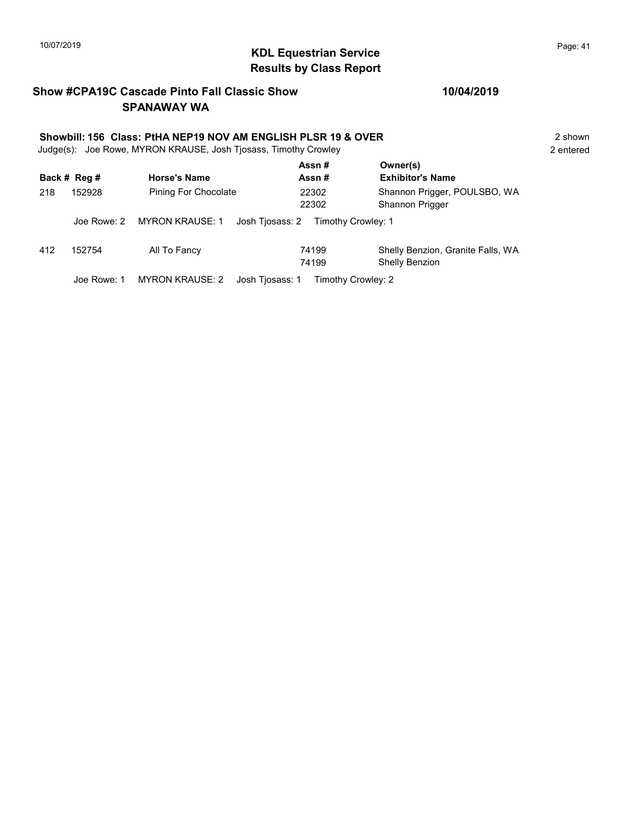# 10/07/2019 **Page: 41 Page: 41 KDL Equestrian Service** Results by Class Report

## Show #CPA19C Cascade Pinto Fall Classic Show SPANAWAY WA

# Showbill: 156 Class: PtHA NEP19 NOV AM ENGLISH PLSR 19 & OVER<br>
Judge(s): Joe Rowe. MYRON KRAUSE. Josh Tiosass. Timothy Crowley<br>
2 entered

Judge(s): Joe Rowe, MYRON KRAUSE, Josh Tjosass, Timothy Crowley

|              |             |                             | Assn#                                 | Owner(s)                                            |
|--------------|-------------|-----------------------------|---------------------------------------|-----------------------------------------------------|
| Back # Reg # |             | <b>Horse's Name</b>         | <b>Exhibitor's Name</b><br>Assn#      |                                                     |
| 218          | 152928      | <b>Pining For Chocolate</b> | 22302<br>22302                        | Shannon Prigger, POULSBO, WA<br>Shannon Prigger     |
|              | Joe Rowe: 2 | MYRON KRAUSE: 1             | Josh Tjosass: 2<br>Timothy Crowley: 1 |                                                     |
| 412          | 152754      | All To Fancy                | 74199<br>74199                        | Shelly Benzion, Granite Falls, WA<br>Shelly Benzion |
|              | Joe Rowe: 1 | <b>MYRON KRAUSE: 2</b>      | Josh Tiosass: 1<br>Timothy Crowley: 2 |                                                     |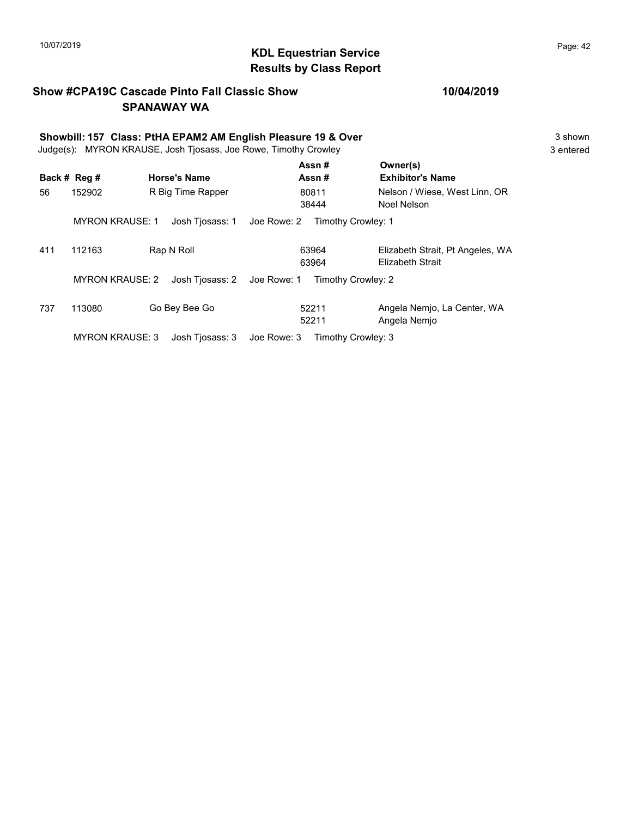# $\blacksquare$ 10/07/2019 Page: 42 Results by Class Report

## Show #CPA19C Cascade Pinto Fall Classic Show SPANAWAY WA

|     | Showbill: 157 Class: PtHA EPAM2 AM English Pleasure 19 & Over<br>Judge(s): MYRON KRAUSE, Josh Tjosass, Joe Rowe, Timothy Crowley |                     |             |                    |                                                      |  |  |  |
|-----|----------------------------------------------------------------------------------------------------------------------------------|---------------------|-------------|--------------------|------------------------------------------------------|--|--|--|
|     | Back # Reg #                                                                                                                     | <b>Horse's Name</b> |             | Assn#<br>Assn#     | Owner(s)<br><b>Exhibitor's Name</b>                  |  |  |  |
| 56  | 152902                                                                                                                           | R Big Time Rapper   |             | 80811<br>38444     | Nelson / Wiese, West Linn, OR<br>Noel Nelson         |  |  |  |
|     | <b>MYRON KRAUSE: 1</b>                                                                                                           | Josh Tjosass: 1     | Joe Rowe: 2 | Timothy Crowley: 1 |                                                      |  |  |  |
| 411 | 112163                                                                                                                           | Rap N Roll          |             | 63964<br>63964     | Elizabeth Strait, Pt Angeles, WA<br>Elizabeth Strait |  |  |  |
|     | <b>MYRON KRAUSE: 2</b>                                                                                                           | Josh Tiosass: 2     | Joe Rowe: 1 | Timothy Crowley: 2 |                                                      |  |  |  |
| 737 | 113080                                                                                                                           | Go Bey Bee Go       |             | 52211<br>52211     | Angela Nemjo, La Center, WA<br>Angela Nemjo          |  |  |  |
|     | <b>MYRON KRAUSE: 3</b>                                                                                                           | Josh Tjosass: 3     | Joe Rowe: 3 | Timothy Crowley: 3 |                                                      |  |  |  |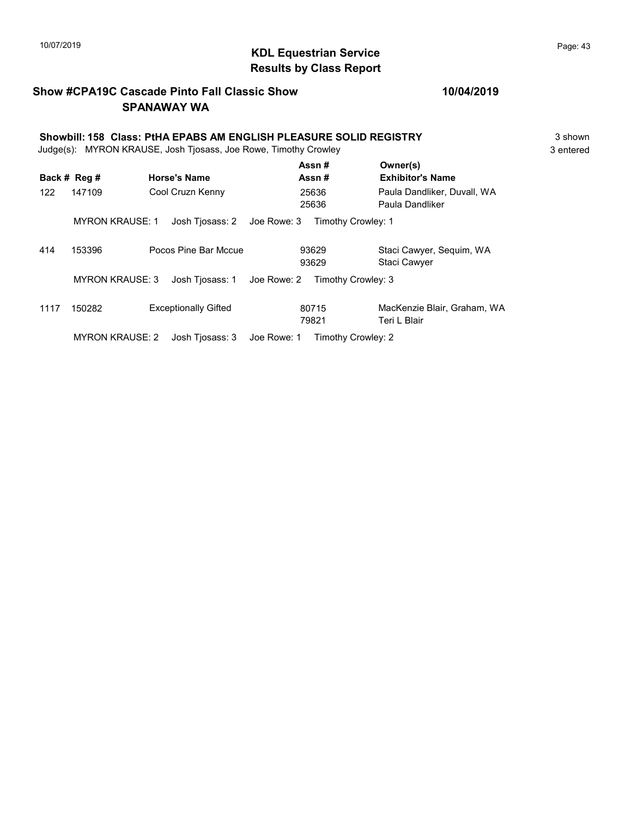# $\blacksquare$  10/07/2019 Page: 43 Results by Class Report

## Show #CPA19C Cascade Pinto Fall Classic Show SPANAWAY WA

#### 10/04/2019

#### Showbill: 158 Class: PtHA EPABS AM ENGLISH PLEASURE SOLID REGISTRY 3 Shown Judge(s): MYRON KRAUSE, Josh Tjosass, Joe Rowe, Timothy Crowley 3 entered Back # Reg # Horse's Name  $\overline{R}$  Assn # Exhibitor's Name Assn # Owner(s) 122 147109 Cool Cruzn Kenny 25636 Paula Dandliker, Duvall, WA 25636 Paula Dandliker 25636

|      | <b>MYRON KRAUSE: 1</b> | Josh Tiosass: 2 Joe Rowe: 3 |                | Timothy Crowley: 1                              |
|------|------------------------|-----------------------------|----------------|-------------------------------------------------|
| 414  | 153396                 | Pocos Pine Bar Mccue        | 93629<br>93629 | Staci Cawyer, Sequim, WA<br><b>Staci Cawyer</b> |
|      | <b>MYRON KRAUSE: 3</b> | Josh Tjosass: 1 Joe Rowe: 2 |                | Timothy Crowley: 3                              |
| 1117 | 150282                 | <b>Exceptionally Gifted</b> | 80715<br>79821 | MacKenzie Blair, Graham, WA<br>Teri L Blair     |
|      |                        |                             |                |                                                 |

MYRON KRAUSE: 2 Josh Tjosass: 3 Joe Rowe: 1 Timothy Crowley: 2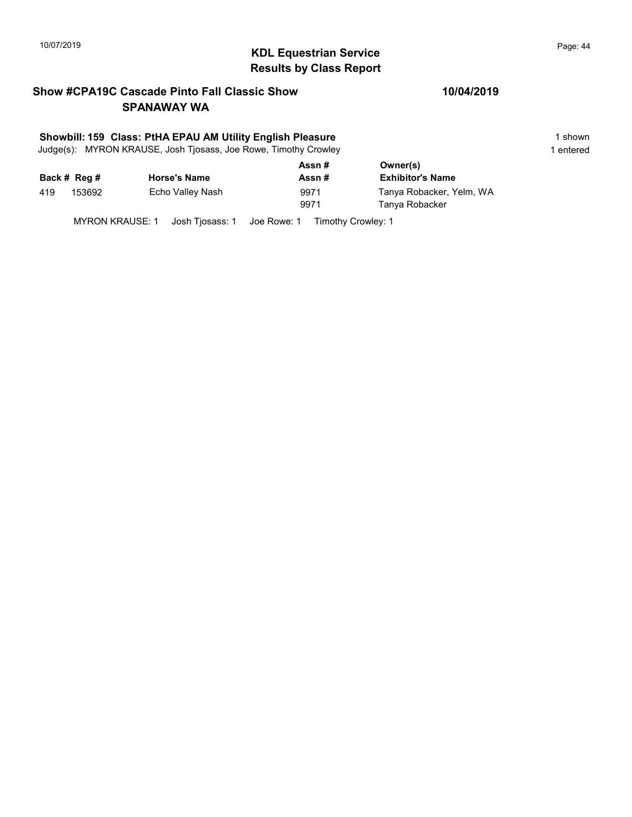# $\blacksquare$ 10/07/2019 Page: 44 Results by Class Report

## Show #CPA19C Cascade Pinto Fall Classic Show SPANAWAY WA

#### Showbill: 159 Class: PtHA EPAU AM Utility English Pleasure 1 Shown 1 shown

Judge(s): MYRON KRAUSE, Josh Tjosass, Joe Rowe, Timothy Crowley 1 entered 1 entered

|     |              |                     | Assn# | Owner(s)                 |
|-----|--------------|---------------------|-------|--------------------------|
|     | Back # Reg # | <b>Horse's Name</b> | Assn# | <b>Exhibitor's Name</b>  |
| 419 | 153692       | Echo Valley Nash    | 9971  | Tanya Robacker, Yelm, WA |
|     |              |                     | 9971  | Tanya Robacker           |
|     |              |                     |       |                          |

MYRON KRAUSE: 1 Josh Tjosass: 1 Joe Rowe: 1 Timothy Crowley: 1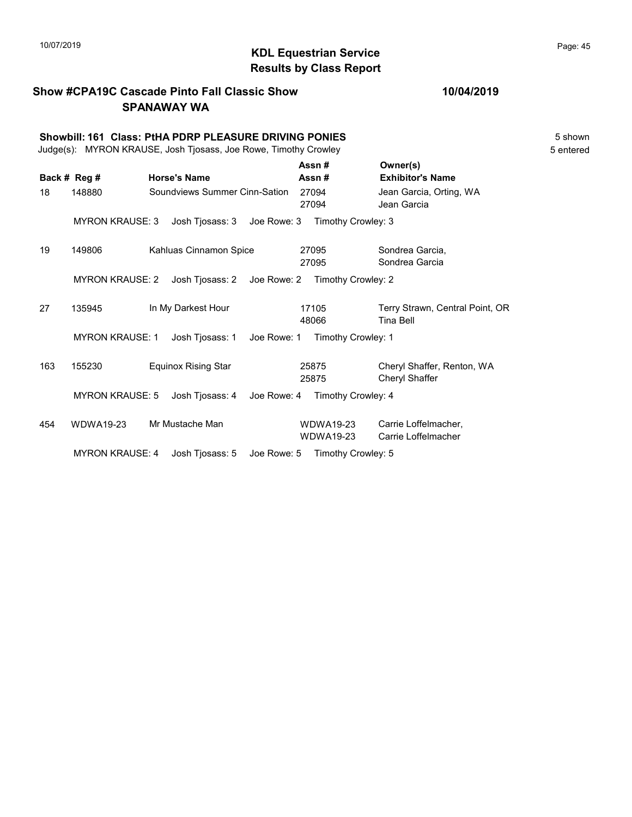#### KDL Equestrian Service 10/07/2019 Page: 45 Results by Class Report

## Show #CPA19C Cascade Pinto Fall Classic Show SPANAWAY WA

#### 10/04/2019

Showbill: 161 Class: PtHA PDRP PLEASURE DRIVING PONIES **Shown** 5 shown Judge(s): MYRON KRAUSE, Josh Tjosass, Joe Rowe, Timothy Crowley 5 entered Back # Reg # Horse's Name  $\overline{R}$  Assn # Exhibitor's Name Assn # Owner(s) 18 148880 Soundviews Summer Cinn-Sation 27094 Jean Garcia, Orting, WA 27094 Jean Garcia MYRON KRAUSE: 3 Josh Tjosass: 3 Joe Rowe: 3 Timothy Crowley: 3 19 149806 Kahluas Cinnamon Spice Sondrea Garcia, 27095 Sondrea Garcia 27095 MYRON KRAUSE: 2 Josh Tjosass: 2 Joe Rowe: 2 Timothy Crowley: 2 27 135945 In My Darkest Hour 17105 Terry Strawn, Central Point, OR 48066 Tina Bell 17105 MYRON KRAUSE: 1 Josh Tjosass: 1 Joe Rowe: 1 Timothy Crowley: 1 163 155230 Equinox Rising Star Cheryl Shaffer, Renton, WA 25875 Cheryl Shaffer 25875 MYRON KRAUSE: 5 Josh Tjosass: 4 Joe Rowe: 4 Timothy Crowley: 4 454 WDWA19-23 Mr Mustache Man CDWDWA19-23 Carrie Loffelmacher, WDWA19-23 Carrie Loffelmacher WDWA19-23

MYRON KRAUSE: 4 Josh Tjosass: 5 Joe Rowe: 5 Timothy Crowley: 5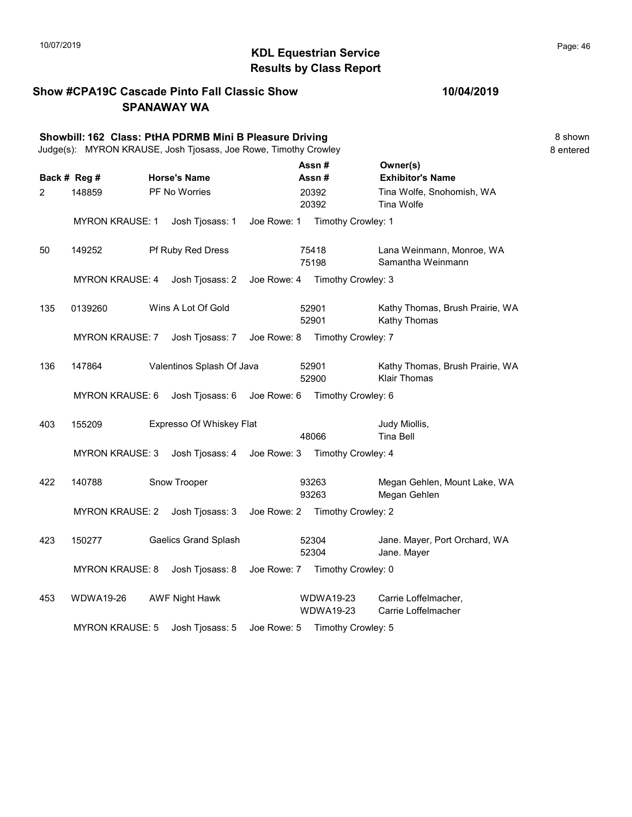#### KDL Equestrian Service 10/07/2019 Page: 46 Results by Class Report

Show #CPA19C Cascade Pinto Fall Classic Show SPANAWAY WA Showbill: 162 Class: PtHA PDRMB Mini B Pleasure Driving **8 Shown** 8 shown Judge(s): MYRON KRAUSE, Josh Tjosass, Joe Rowe, Timothy Crowley 8 entered Back # Reg # Horse's Name  $\overline{R}$  Assn # Exhibitor's Name Assn # Owner(s) 2 148859 PF No Worries 20392 Tina Wolfe, Snohomish, WA 20392 Tina Wolfe 20392 MYRON KRAUSE: 1 Josh Tjosass: 1 Joe Rowe: 1 Timothy Crowley: 1 50 149252 Pf Ruby Red Dress Lana Weinmann, Monroe, WA 75198 Samantha Weinmann 75418 MYRON KRAUSE: 4 Josh Tjosass: 2 Joe Rowe: 4 Timothy Crowley: 3 135 0139260 Wins A Lot Of Gold 692901 Kathy Thomas, Brush Prairie, WA 52901 Kathy Thomas 52901 MYRON KRAUSE: 7 Josh Tjosass: 7 Joe Rowe: 8 Timothy Crowley: 7 136 147864 Valentinos Splash Of Java 52901 Kathy Thomas, Brush Prairie, WA 52900 Klair Thomas 52901 MYRON KRAUSE: 6 Josh Tjosass: 6 Joe Rowe: 6 Timothy Crowley: 6 403 155209 Expresso Of Whiskey Flat Judy Miollis, 48066 Tina Bell MYRON KRAUSE: 3 Josh Tjosass: 4 Joe Rowe: 3 Timothy Crowley: 4 422 140788 Snow Trooper Megan Gehlen, Mount Lake, WA 93263 Megan Gehlen 93263 MYRON KRAUSE: 2 Josh Tjosass: 3 Joe Rowe: 2 Timothy Crowley: 2 423 150277 Gaelics Grand Splash 52304 Jane. Mayer, Port Orchard, WA 52304 Jane. Mayer 52304 MYRON KRAUSE: 8 Josh Tjosass: 8 Joe Rowe: 7 Timothy Crowley: 0 453 WDWA19-26 AWF Night Hawk WDWA19-23 Carrie Loffelmacher, WDWA19-23 Carrie Loffelmacher WDWA19-23 MYRON KRAUSE: 5 Josh Tjosass: 5 Joe Rowe: 5 Timothy Crowley: 5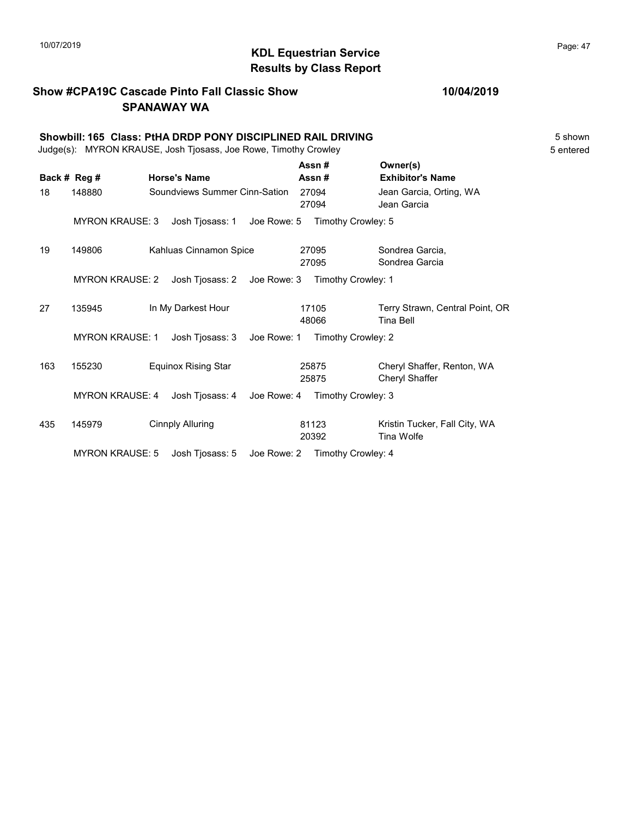# $\blacksquare$  10/07/2019 Page: 47 Results by Class Report

## Show #CPA19C Cascade Pinto Fall Classic Show SPANAWAY WA

|     | Showbill: 165 Class: PtHA DRDP PONY DISCIPLINED RAIL DRIVING<br>Judge(s): MYRON KRAUSE, Josh Tjosass, Joe Rowe, Timothy Crowley |  |                               |                                |  |                    |  |                                              | 5 shown<br>5 entered |  |
|-----|---------------------------------------------------------------------------------------------------------------------------------|--|-------------------------------|--------------------------------|--|--------------------|--|----------------------------------------------|----------------------|--|
|     | Back # Reg #                                                                                                                    |  | <b>Horse's Name</b>           |                                |  | Assn#<br>Assn#     |  | Owner(s)<br><b>Exhibitor's Name</b>          |                      |  |
| 18  | 148880                                                                                                                          |  | Soundviews Summer Cinn-Sation |                                |  | 27094<br>27094     |  | Jean Garcia, Orting, WA<br>Jean Garcia       |                      |  |
|     | <b>MYRON KRAUSE: 3</b>                                                                                                          |  | Josh Tjosass: 1               | Joe Rowe: 5 Timothy Crowley: 5 |  |                    |  |                                              |                      |  |
| 19  | 149806                                                                                                                          |  | Kahluas Cinnamon Spice        |                                |  | 27095<br>27095     |  | Sondrea Garcia,<br>Sondrea Garcia            |                      |  |
|     | <b>MYRON KRAUSE: 2</b>                                                                                                          |  | Josh Tjosass: 2               | Joe Rowe: 3                    |  | Timothy Crowley: 1 |  |                                              |                      |  |
| 27  | 135945                                                                                                                          |  | In My Darkest Hour            |                                |  | 17105<br>48066     |  | Terry Strawn, Central Point, OR<br>Tina Bell |                      |  |
|     | <b>MYRON KRAUSE: 1</b>                                                                                                          |  | Josh Tjosass: 3               | Joe Rowe: 1                    |  | Timothy Crowley: 2 |  |                                              |                      |  |
| 163 | 155230                                                                                                                          |  | <b>Equinox Rising Star</b>    |                                |  | 25875<br>25875     |  | Cheryl Shaffer, Renton, WA<br>Cheryl Shaffer |                      |  |
|     | <b>MYRON KRAUSE: 4</b>                                                                                                          |  | Josh Tjosass: 4               | Joe Rowe: 4 Timothy Crowley: 3 |  |                    |  |                                              |                      |  |
| 435 | 145979                                                                                                                          |  | <b>Cinnply Alluring</b>       |                                |  | 81123<br>20392     |  | Kristin Tucker, Fall City, WA<br>Tina Wolfe  |                      |  |
|     | <b>MYRON KRAUSE: 5</b>                                                                                                          |  | Josh Tiosass: 5               | Joe Rowe: 2                    |  | Timothy Crowley: 4 |  |                                              |                      |  |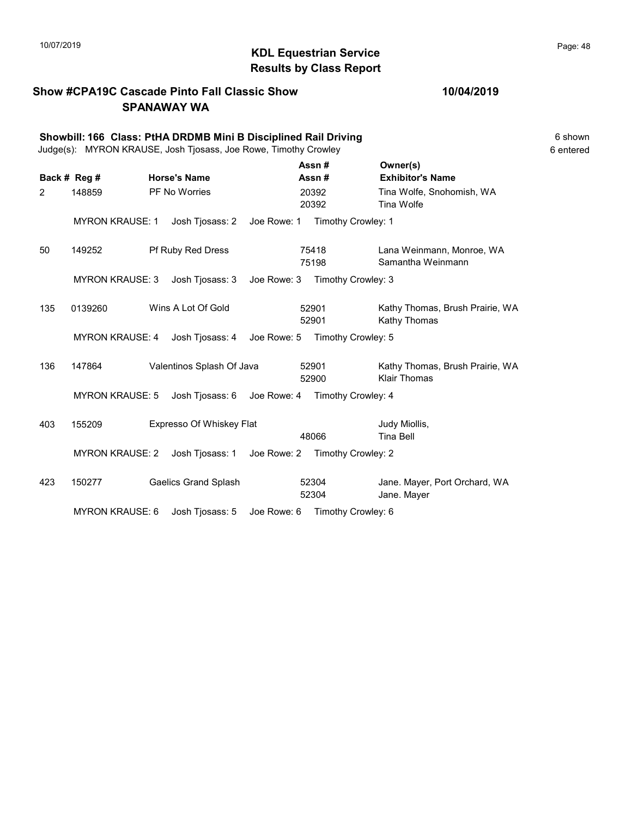# $\blacksquare$ 10/07/2019 Page: 48 Results by Class Report

## Show #CPA19C Cascade Pinto Fall Classic Show SPANAWAY WA

#### 10/04/2019

|     | Showbill: 166 Class: PtHA DRDMB Mini B Disciplined Rail Driving<br>Judge(s): MYRON KRAUSE, Josh Tjosass, Joe Rowe, Timothy Crowley |                             |             |                    |                                                        |  |  |
|-----|------------------------------------------------------------------------------------------------------------------------------------|-----------------------------|-------------|--------------------|--------------------------------------------------------|--|--|
|     | Back # Reg #                                                                                                                       | <b>Horse's Name</b>         |             | Assn#<br>Assn#     | Owner(s)<br><b>Exhibitor's Name</b>                    |  |  |
| 2   | 148859                                                                                                                             | <b>PF No Worries</b>        |             | 20392<br>20392     | Tina Wolfe, Snohomish, WA<br>Tina Wolfe                |  |  |
|     | <b>MYRON KRAUSE: 1</b>                                                                                                             | Josh Tjosass: 2             | Joe Rowe: 1 | Timothy Crowley: 1 |                                                        |  |  |
| 50  | 149252                                                                                                                             | Pf Ruby Red Dress           |             | 75418<br>75198     | Lana Weinmann, Monroe, WA<br>Samantha Weinmann         |  |  |
|     | <b>MYRON KRAUSE: 3</b>                                                                                                             | Josh Tjosass: 3             | Joe Rowe: 3 | Timothy Crowley: 3 |                                                        |  |  |
| 135 | 0139260                                                                                                                            | Wins A Lot Of Gold          |             | 52901<br>52901     | Kathy Thomas, Brush Prairie, WA<br>Kathy Thomas        |  |  |
|     | <b>MYRON KRAUSE: 4</b>                                                                                                             | Josh Tjosass: 4 Joe Rowe: 5 |             | Timothy Crowley: 5 |                                                        |  |  |
| 136 | 147864                                                                                                                             | Valentinos Splash Of Java   |             | 52901<br>52900     | Kathy Thomas, Brush Prairie, WA<br><b>Klair Thomas</b> |  |  |
|     | <b>MYRON KRAUSE: 5</b>                                                                                                             | Josh Tjosass: 6 Joe Rowe: 4 |             | Timothy Crowley: 4 |                                                        |  |  |
| 403 | 155209                                                                                                                             | Expresso Of Whiskey Flat    |             | 48066              | Judy Miollis,<br><b>Tina Bell</b>                      |  |  |
|     | <b>MYRON KRAUSE: 2</b>                                                                                                             | Josh Tjosass: 1             | Joe Rowe: 2 | Timothy Crowley: 2 |                                                        |  |  |
| 423 | 150277                                                                                                                             | <b>Gaelics Grand Splash</b> |             | 52304<br>52304     | Jane. Mayer, Port Orchard, WA<br>Jane. Mayer           |  |  |

MYRON KRAUSE: 6 Josh Tjosass: 5 Joe Rowe: 6 Timothy Crowley: 6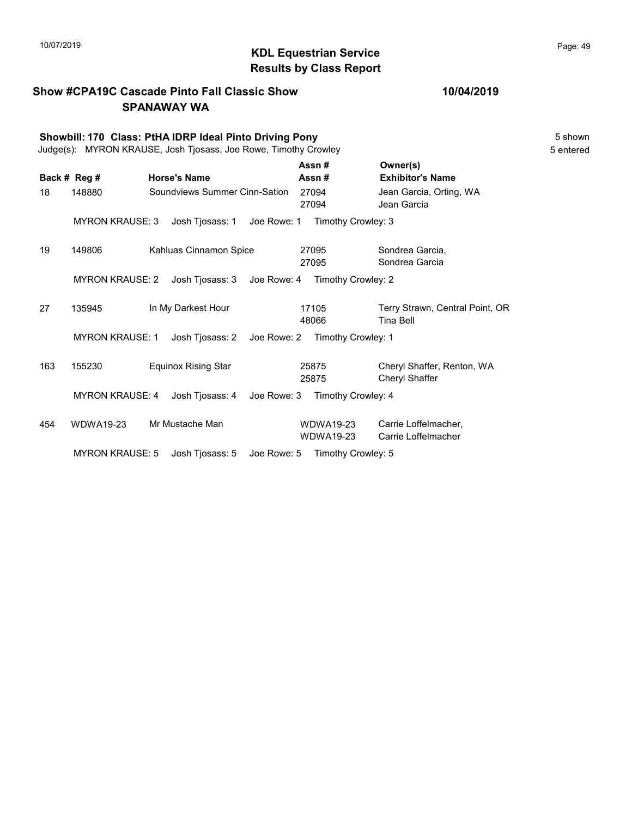Show #CPA19C Cascade Pinto Fall Classic Show

#### KDL Equestrian Service 10/07/2019 Page: 49 Results by Class Report

## SPANAWAY WA Showbill: 170 Class: PtHA IDRP Ideal Pinto Driving Pony 5 Shown Judge(s): MYRON KRAUSE, Josh Tjosass, Joe Rowe, Timothy Crowley 5 entered Back # Reg # Horse's Name  $\overline{R}$  Assn # Exhibitor's Name Assn # Owner(s) 18 148880 Soundviews Summer Cinn-Sation 27094 Jean Garcia, Orting, WA 27094 Jean Garcia MYRON KRAUSE: 3 Josh Tjosass: 1 Joe Rowe: 1 Timothy Crowley: 3 19 149806 Kahluas Cinnamon Spice Sondrea Garcia, 27095 Sondrea Garcia 27095 MYRON KRAUSE: 2 Josh Tjosass: 3 Joe Rowe: 4 Timothy Crowley: 2 27 135945 In My Darkest Hour 17105 Terry Strawn, Central Point, OR 48066 Tina Bell 17105 MYRON KRAUSE: 1 Josh Tjosass: 2 Joe Rowe: 2 Timothy Crowley: 1 163 155230 Equinox Rising Star Cheryl Shaffer, Renton, WA 25875 Cheryl Shaffer 25875 MYRON KRAUSE: 4 Josh Tjosass: 4 Joe Rowe: 3 Timothy Crowley: 4 454 WDWA19-23 Mr Mustache Man CDWDWA19-23 Carrie Loffelmacher, WDWA19-23 Carrie Loffelmacher WDWA19-23 MYRON KRAUSE: 5 Josh Tjosass: 5 Joe Rowe: 5 Timothy Crowley: 5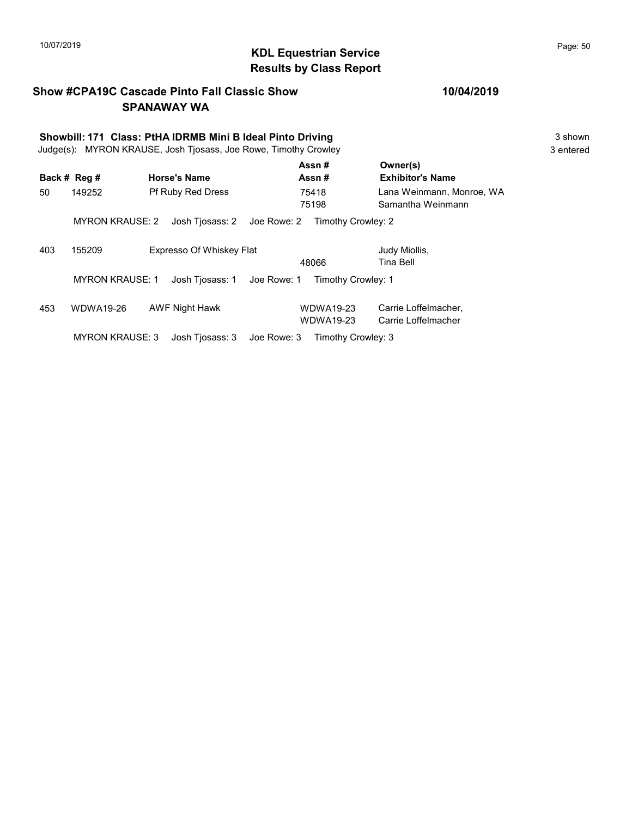# KDL Equestrian Service 10/07/2019 Page: 50 Results by Class Report

## Show #CPA19C Cascade Pinto Fall Classic Show SPANAWAY WA

# Showbill: 171 Class: PtHA IDRMB Mini B Ideal Pinto Driving<br>
Judge(s): MYRON KRAUSE. Josh Tiosass. Joe Rowe. Timothy Crowley 3 shown

Judge(s): MYRON KRAUSE, Josh Tjosass, Joe Rowe, Timothy Crowley

|     | Back # Reg #           | <b>Horse's Name</b>            | Assn#<br>Assn#                       | Owner(s)<br><b>Exhibitor's Name</b>            |
|-----|------------------------|--------------------------------|--------------------------------------|------------------------------------------------|
| 50  | 149252                 | <b>Pf Ruby Red Dress</b>       | 75418<br>75198                       | Lana Weinmann, Monroe, WA<br>Samantha Weinmann |
|     | <b>MYRON KRAUSE: 2</b> | Josh Tjosass: 2 Joe Rowe: 2    | Timothy Crowley: 2                   |                                                |
| 403 | 155209                 | Expresso Of Whiskey Flat       | 48066                                | Judy Miollis,<br>Tina Bell                     |
|     | <b>MYRON KRAUSE: 1</b> | Josh Tjosass: 1<br>Joe Rowe: 1 | Timothy Crowley: 1                   |                                                |
| 453 | <b>WDWA19-26</b>       | <b>AWF Night Hawk</b>          | <b>WDWA19-23</b><br><b>WDWA19-23</b> | Carrie Loffelmacher,<br>Carrie Loffelmacher    |
|     | <b>MYRON KRAUSE: 3</b> | Josh Tiosass: 3<br>Joe Rowe: 3 | Timothy Crowley: 3                   |                                                |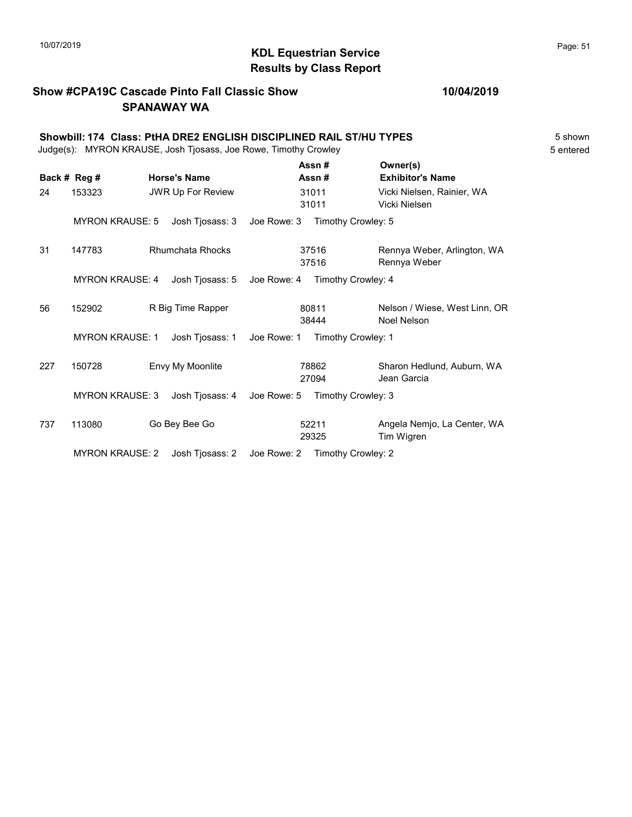# $\blacksquare$  10/07/2019 Page: 51  $\blacksquare$   $\blacksquare$   $\blacksquare$   $\blacksquare$   $\blacksquare$   $\blacksquare$   $\blacksquare$   $\blacksquare$   $\blacksquare$   $\blacksquare$   $\blacksquare$   $\blacksquare$   $\blacksquare$   $\blacksquare$   $\blacksquare$   $\blacksquare$   $\blacksquare$   $\blacksquare$   $\blacksquare$   $\blacksquare$   $\blacksquare$   $\blacksquare$   $\blacksquare$   $\blacksquare$   $\blacksquare$   $\blacksquare$   $\blacksquare$   $\blacksquare$ Results by Class Report

## Show #CPA19C Cascade Pinto Fall Classic Show SPANAWAY WA

|                                                                 | Showbill: 174 Class: PtHA DRE2 ENGLISH DISCIPLINED RAIL ST/HU TYPES | 5 shown   |
|-----------------------------------------------------------------|---------------------------------------------------------------------|-----------|
| Judge(s): MYRON KRAUSE, Josh Tjosass, Joe Rowe, Timothy Crowley |                                                                     | 5 entered |

|     |                        |                          |             | Assn#              | Owner(s)                      |
|-----|------------------------|--------------------------|-------------|--------------------|-------------------------------|
|     | Back # Reg #           | <b>Horse's Name</b>      |             | Assn#              | <b>Exhibitor's Name</b>       |
| 24  | 153323                 | <b>JWR Up For Review</b> |             | 31011              | Vicki Nielsen, Rainier, WA    |
|     |                        |                          |             | 31011              | Vicki Nielsen                 |
|     | <b>MYRON KRAUSE: 5</b> | Josh Tjosass: 3          | Joe Rowe: 3 | Timothy Crowley: 5 |                               |
| 31  | 147783                 | <b>Rhumchata Rhocks</b>  |             | 37516              | Rennya Weber, Arlington, WA   |
|     |                        |                          |             | 37516              | Rennya Weber                  |
|     | <b>MYRON KRAUSE: 4</b> | Josh Tjosass: 5          | Joe Rowe: 4 | Timothy Crowley: 4 |                               |
| 56  | 152902                 | R Big Time Rapper        |             | 80811              | Nelson / Wiese, West Linn, OR |
|     |                        |                          |             | 38444              | Noel Nelson                   |
|     | <b>MYRON KRAUSE: 1</b> | Josh Tjosass: 1          | Joe Rowe: 1 | Timothy Crowley: 1 |                               |
| 227 | 150728                 | Envy My Moonlite         |             | 78862              | Sharon Hedlund, Auburn, WA    |
|     |                        |                          |             | 27094              | Jean Garcia                   |
|     | <b>MYRON KRAUSE: 3</b> | Josh Tjosass: 4          | Joe Rowe: 5 | Timothy Crowley: 3 |                               |
| 737 | 113080                 | Go Bey Bee Go            |             | 52211              | Angela Nemjo, La Center, WA   |
|     |                        |                          |             | 29325              | Tim Wigren                    |
|     | <b>MYRON KRAUSE: 2</b> | Josh Tjosass: 2          | Joe Rowe: 2 | Timothy Crowley: 2 |                               |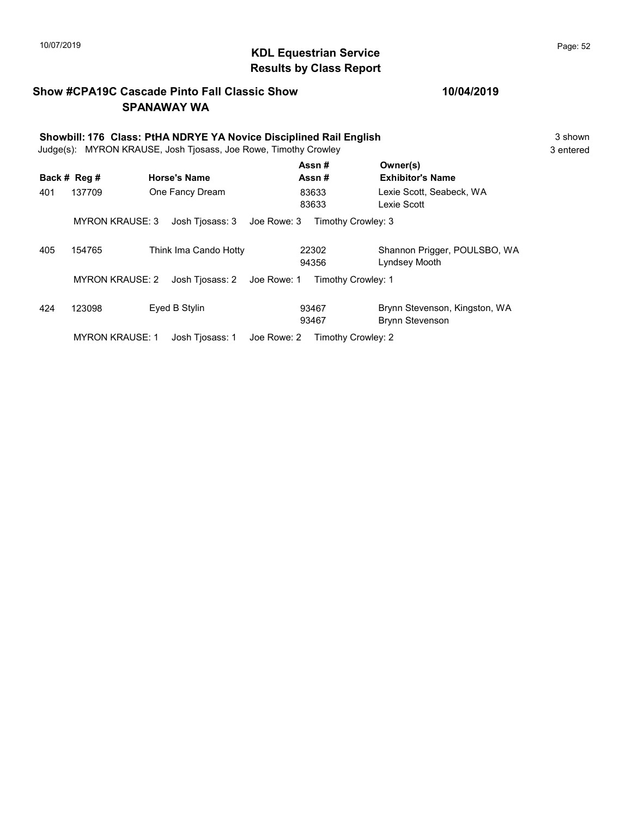# 10/07/2019 **Page: 52**<br> **KDL Equestrian Service Page: 52** Results by Class Report

## Show #CPA19C Cascade Pinto Fall Classic Show SPANAWAY WA

| Showbill: 176 Class: PtHA NDRYE YA Novice Disciplined Rail English |                        |                                |                    |                                         |  |  |
|--------------------------------------------------------------------|------------------------|--------------------------------|--------------------|-----------------------------------------|--|--|
| Judge(s): MYRON KRAUSE, Josh Tjosass, Joe Rowe, Timothy Crowley    |                        |                                |                    |                                         |  |  |
|                                                                    | Back # Reg #           | <b>Horse's Name</b>            | Assn#<br>Assn#     | Owner(s)<br><b>Exhibitor's Name</b>     |  |  |
| 401                                                                | 137709                 | One Fancy Dream                | 83633<br>83633     | Lexie Scott. Seabeck. WA<br>Lexie Scott |  |  |
|                                                                    | <b>MYRON KRAUSE: 3</b> | Josh Tjosass: 3    Joe Rowe: 3 | Timothy Crowley: 3 |                                         |  |  |

405 154765 Think Ima Cando Hotty 22302 Shannon Prigger, POULSBO, WA

424 123098 Eyed B Stylin Brynn Stevenson, Kingston, WA

MYRON KRAUSE: 2 Josh Tjosass: 2 Joe Rowe: 1 Timothy Crowley: 1

MYRON KRAUSE: 1 Josh Tjosass: 1 Joe Rowe: 2 Timothy Crowley: 2

22302

93467

94356 Lyndsey Mooth

93467 Brynn Stevenson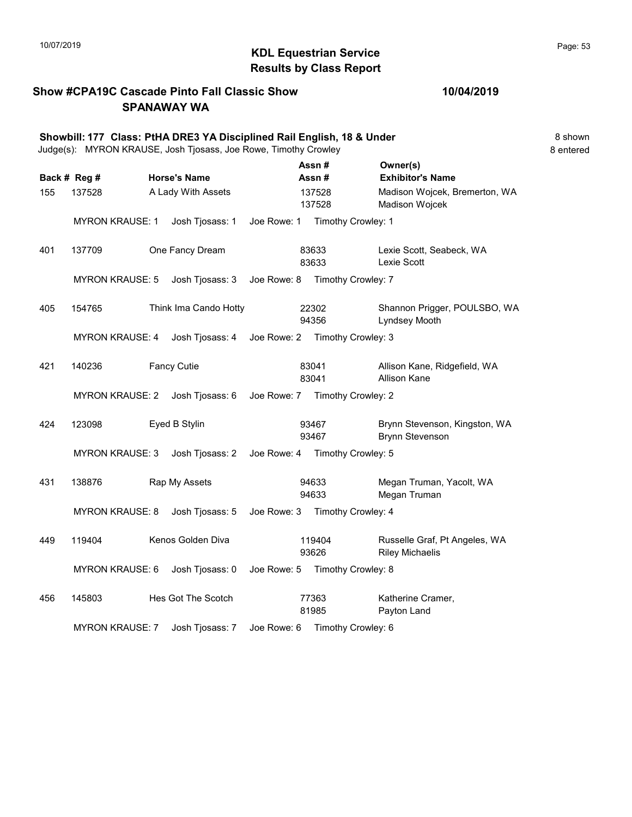# 10/07/2019 **Page: 53**  $\bullet$  **KDL Equestrian Service**  $\bullet$  **Page: 53** Results by Class Report

## Show #CPA19C Cascade Pinto Fall Classic Show SPANAWAY WA

|     |                                           |  | Showbill: 177 Class: PtHA DRE3 YA Disciplined Rail English, 18 & Under<br>Judge(s): MYRON KRAUSE, Josh Tjosass, Joe Rowe, Timothy Crowley |             |                  |                                                         | 8 shown<br>8 entered |
|-----|-------------------------------------------|--|-------------------------------------------------------------------------------------------------------------------------------------------|-------------|------------------|---------------------------------------------------------|----------------------|
|     | Back # Reg #                              |  | <b>Horse's Name</b>                                                                                                                       |             | Assn#<br>Assn#   | Owner(s)<br><b>Exhibitor's Name</b>                     |                      |
| 155 | 137528                                    |  | A Lady With Assets                                                                                                                        |             | 137528<br>137528 | Madison Wojcek, Bremerton, WA<br>Madison Wojcek         |                      |
|     | <b>MYRON KRAUSE: 1</b>                    |  | Josh Tjosass: 1                                                                                                                           | Joe Rowe: 1 |                  | Timothy Crowley: 1                                      |                      |
| 401 | 137709                                    |  | One Fancy Dream                                                                                                                           |             | 83633<br>83633   | Lexie Scott, Seabeck, WA<br>Lexie Scott                 |                      |
|     | <b>MYRON KRAUSE: 5</b>                    |  | Josh Tjosass: 3                                                                                                                           |             |                  | Joe Rowe: 8 Timothy Crowley: 7                          |                      |
| 405 | 154765                                    |  | Think Ima Cando Hotty                                                                                                                     |             | 22302<br>94356   | Shannon Prigger, POULSBO, WA<br>Lyndsey Mooth           |                      |
|     | MYRON KRAUSE: 4                           |  | Josh Tjosass: 4                                                                                                                           |             |                  | Joe Rowe: 2 Timothy Crowley: 3                          |                      |
| 421 | 140236                                    |  | <b>Fancy Cutie</b>                                                                                                                        |             | 83041<br>83041   | Allison Kane, Ridgefield, WA<br><b>Allison Kane</b>     |                      |
|     | <b>MYRON KRAUSE: 2</b>                    |  | Josh Tjosass: 6                                                                                                                           |             |                  | Joe Rowe: 7 Timothy Crowley: 2                          |                      |
| 424 | 123098                                    |  | Eyed B Stylin                                                                                                                             |             | 93467<br>93467   | Brynn Stevenson, Kingston, WA<br><b>Brynn Stevenson</b> |                      |
|     | <b>MYRON KRAUSE: 3</b>                    |  | Josh Tjosass: 2                                                                                                                           |             |                  | Joe Rowe: 4 Timothy Crowley: 5                          |                      |
| 431 | 138876                                    |  | Rap My Assets                                                                                                                             |             | 94633<br>94633   | Megan Truman, Yacolt, WA<br>Megan Truman                |                      |
|     | <b>MYRON KRAUSE: 8</b>                    |  | Josh Tjosass: 5                                                                                                                           |             |                  | Joe Rowe: 3 Timothy Crowley: 4                          |                      |
| 449 | 119404                                    |  | Kenos Golden Diva                                                                                                                         |             | 119404<br>93626  | Russelle Graf, Pt Angeles, WA<br><b>Riley Michaelis</b> |                      |
|     | Josh Tjosass: 0<br><b>MYRON KRAUSE: 6</b> |  |                                                                                                                                           |             |                  | Joe Rowe: 5 Timothy Crowley: 8                          |                      |
| 456 | 145803                                    |  | Hes Got The Scotch                                                                                                                        |             | 77363<br>81985   | Katherine Cramer,<br>Payton Land                        |                      |
|     | <b>MYRON KRAUSE: 7</b>                    |  | Josh Tjosass: 7                                                                                                                           |             |                  | Joe Rowe: 6 Timothy Crowley: 6                          |                      |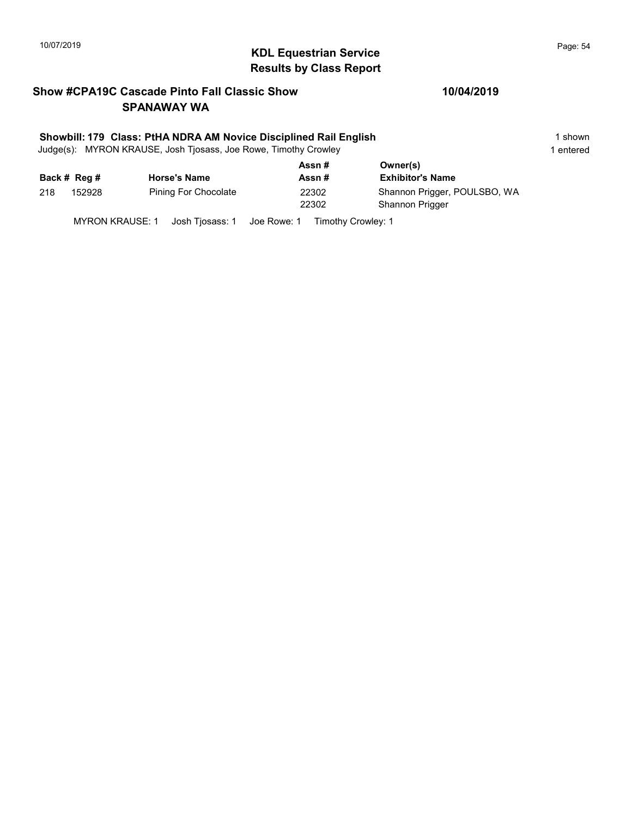# $\blacksquare$  10/07/2019 Page: 54 Results by Class Report

## Show #CPA19C Cascade Pinto Fall Classic Show SPANAWAY WA

#### Showbill: 179 Class: PtHA NDRA AM Novice Disciplined Rail English 1 Shown 1 shown

Judge(s): MYRON KRAUSE, Josh Tjosass, Joe Rowe, Timothy Crowley 1 entered 1 entered

|     | Back # Reg # | <b>Horse's Name</b>  | Assn#<br>Assn# | Owner(s)<br><b>Exhibitor's Name</b>                    |
|-----|--------------|----------------------|----------------|--------------------------------------------------------|
| 218 | 152928       | Pining For Chocolate | 22302<br>22302 | Shannon Prigger, POULSBO, WA<br><b>Shannon Prigger</b> |

MYRON KRAUSE: 1 Josh Tjosass: 1 Joe Rowe: 1 Timothy Crowley: 1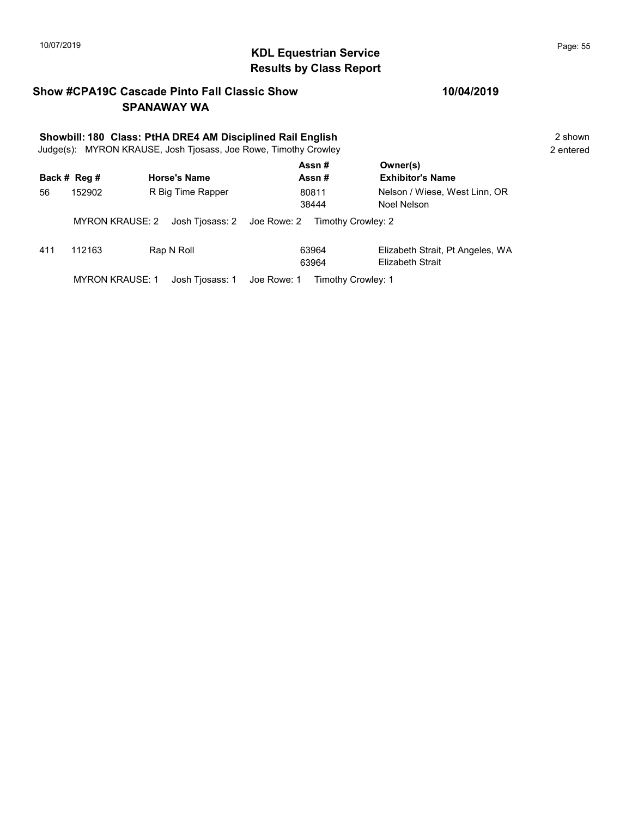# 10/07/2019 **Page: 55**<br> **KDL Equestrian Service Page: 55** Results by Class Report

## Show #CPA19C Cascade Pinto Fall Classic Show SPANAWAY WA

|     | Showbill: 180 Class: PtHA DRE4 AM Disciplined Rail English<br>Judge(s): MYRON KRAUSE, Josh Tjosass, Joe Rowe, Timothy Crowley |                     |                                   |                                                      |           |  |  |
|-----|-------------------------------------------------------------------------------------------------------------------------------|---------------------|-----------------------------------|------------------------------------------------------|-----------|--|--|
|     | Back # Reg #                                                                                                                  | <b>Horse's Name</b> | Assn#<br>Assn#                    | Owner(s)<br><b>Exhibitor's Name</b>                  | 2 entered |  |  |
| 56  | 152902                                                                                                                        | R Big Time Rapper   | 80811<br>38444                    | Nelson / Wiese, West Linn, OR<br>Noel Nelson         |           |  |  |
|     | <b>MYRON KRAUSE: 2</b>                                                                                                        | Josh Tjosass: 2     | Joe Rowe: 2<br>Timothy Crowley: 2 |                                                      |           |  |  |
| 411 | 112163                                                                                                                        | Rap N Roll          | 63964<br>63964                    | Elizabeth Strait, Pt Angeles, WA<br>Elizabeth Strait |           |  |  |
|     | <b>MYRON KRAUSE: 1</b>                                                                                                        | Josh Tiosass: 1     | Joe Rowe: 1<br>Timothy Crowley: 1 |                                                      |           |  |  |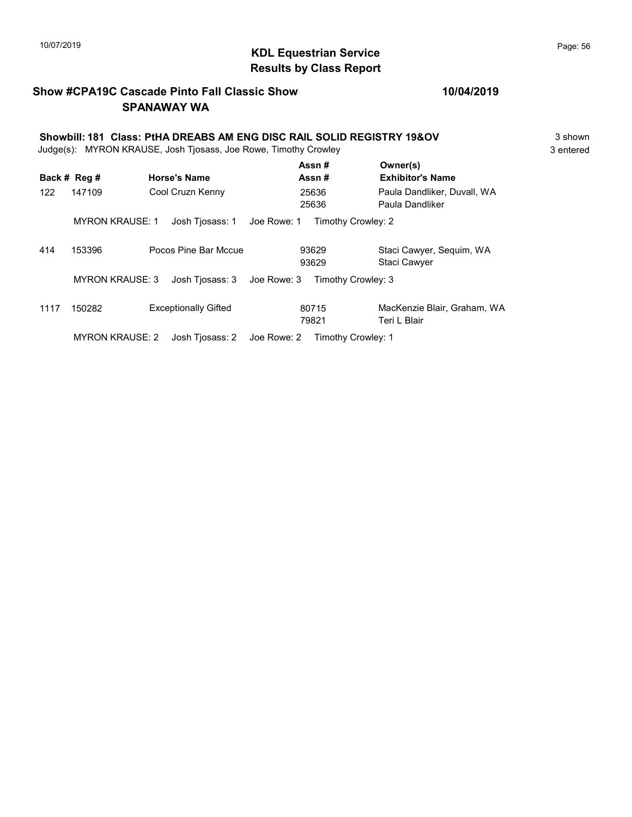# KDL Equestrian Service 10/07/2019 Page: 56 Results by Class Report

## Show #CPA19C Cascade Pinto Fall Classic Show SPANAWAY WA

### 10/04/2019

#### Showbill: 181 Class: PtHA DREABS AM ENG DISC RAIL SOLID REGISTRY 19&OV 3 shown Judge(s): MYRON KRAUSE, Josh Tjosass, Joe Rowe, Timothy Crowley 3 entered 3 entered  $\Delta$ ssn #  $\Delta$

|      |                                           |                             |                 |             |                    | A3311 #            | UWIERS!                                         |
|------|-------------------------------------------|-----------------------------|-----------------|-------------|--------------------|--------------------|-------------------------------------------------|
|      | Back # Reg #                              | <b>Horse's Name</b>         |                 |             |                    | Assn#              | <b>Exhibitor's Name</b>                         |
| 122  | 147109                                    | Cool Cruzn Kenny            |                 |             |                    | 25636<br>25636     | Paula Dandliker, Duvall, WA<br>Paula Dandliker  |
|      | <b>MYRON KRAUSE: 1</b>                    |                             | Josh Tjosass: 1 | Joe Rowe: 1 |                    | Timothy Crowley: 2 |                                                 |
| 414  | 153396                                    | Pocos Pine Bar Mccue        |                 |             |                    | 93629<br>93629     | Staci Cawyer, Seguim, WA<br><b>Staci Cawyer</b> |
|      | <b>MYRON KRAUSE: 3</b><br>Josh Tiosass: 3 |                             | Joe Rowe: 3     |             | Timothy Crowley: 3 |                    |                                                 |
| 1117 | 150282                                    | <b>Exceptionally Gifted</b> |                 |             |                    | 80715<br>79821     | MacKenzie Blair, Graham, WA<br>Teri L Blair     |
|      | <b>MYRON KRAUSE: 2</b>                    |                             | Josh Tiosass: 2 | Joe Rowe: 2 |                    | Timothy Crowley: 1 |                                                 |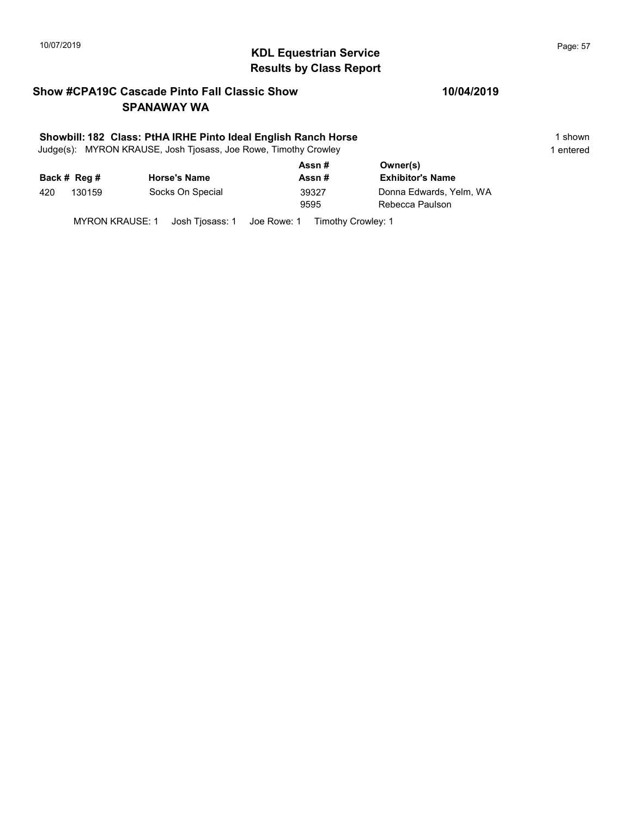# $\blacksquare$  10/07/2019 Page: 57 Results by Class Report

## Show #CPA19C Cascade Pinto Fall Classic Show SPANAWAY WA

#### Showbill: 182 Class: PtHA IRHE Pinto Ideal English Ranch Horse 1 Shown 1 shown

Judge(s): MYRON KRAUSE, Josh Tjosass, Joe Rowe, Timothy Crowley 1 entered 1 entered

| Back # Reg # | <b>Horse's Name</b> | Assn#<br>Assn# | Owner(s)<br><b>Exhibitor's Name</b> |
|--------------|---------------------|----------------|-------------------------------------|
| 130159       | Socks On Special    | 39327          | Donna Edwards, Yelm, WA             |
| 420          |                     | 9595           | Rebecca Paulson                     |

MYRON KRAUSE: 1 Josh Tjosass: 1 Joe Rowe: 1 Timothy Crowley: 1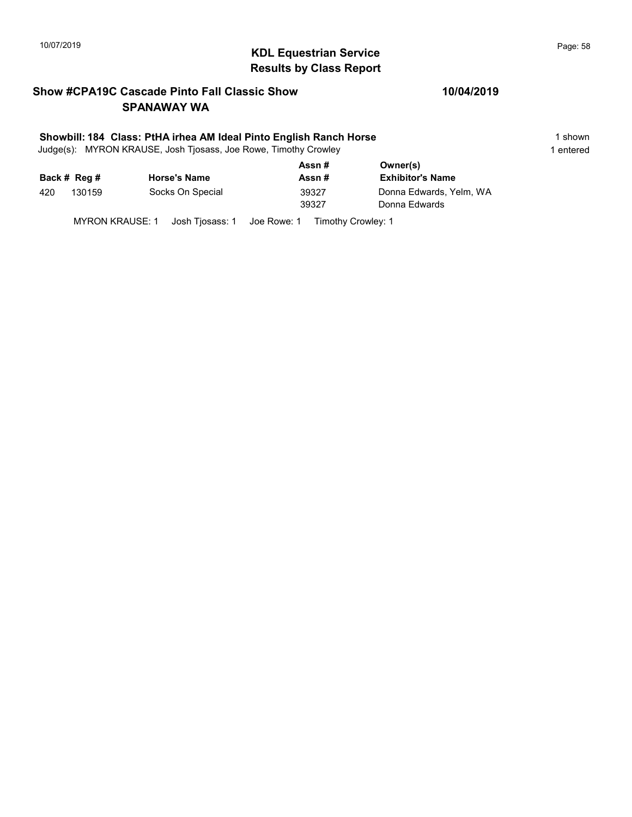# 10/07/2019 **Page: 58**<br> **KDL Equestrian Service Page: 58** Results by Class Report

## Show #CPA19C Cascade Pinto Fall Classic Show SPANAWAY WA

#### Showbill: 184 Class: PtHA irhea AM Ideal Pinto English Ranch Horse 1 Shown 1 shown

Judge(s): MYRON KRAUSE, Josh Tjosass, Joe Rowe, Timothy Crowley 1 entered 1 entered

|     |              |                     | Assn# | Owner(s)                |  |  |
|-----|--------------|---------------------|-------|-------------------------|--|--|
|     | Back # Reg # | <b>Horse's Name</b> | Assn# | <b>Exhibitor's Name</b> |  |  |
| 420 | 130159       | Socks On Special    | 39327 | Donna Edwards, Yelm, WA |  |  |
|     |              |                     | 39327 | Donna Edwards           |  |  |
|     |              |                     |       |                         |  |  |

MYRON KRAUSE: 1 Josh Tjosass: 1 Joe Rowe: 1 Timothy Crowley: 1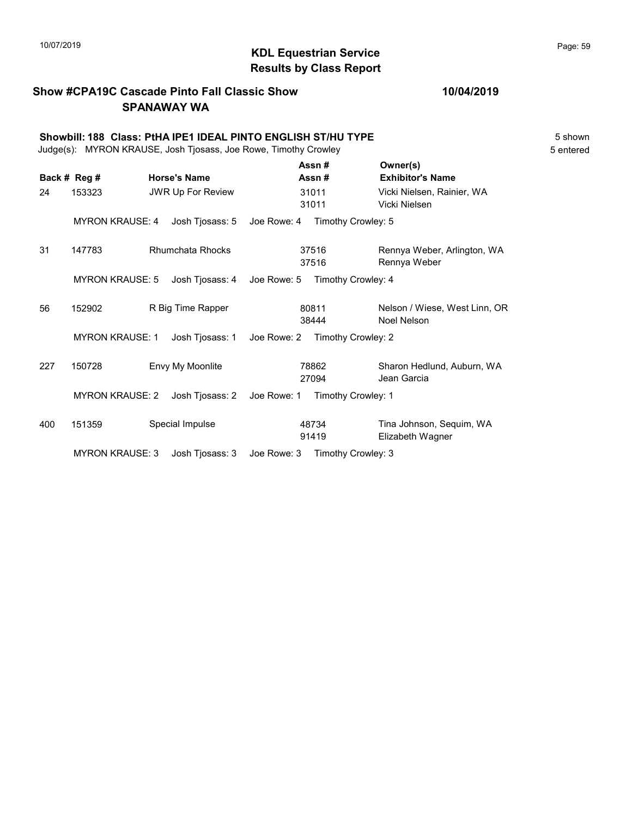# KDL Equestrian Service 10/07/2019 Page: 59 Results by Class Report

## Show #CPA19C Cascade Pinto Fall Classic Show SPANAWAY WA

|     | Showbill: 188 Class: PtHA IPE1 IDEAL PINTO ENGLISH ST/HU TYPE<br>Judge(s): MYRON KRAUSE, Josh Tjosass, Joe Rowe, Timothy Crowley |  |                                |                                |                |                                              |  |
|-----|----------------------------------------------------------------------------------------------------------------------------------|--|--------------------------------|--------------------------------|----------------|----------------------------------------------|--|
|     | Back # Reg #                                                                                                                     |  | <b>Horse's Name</b>            |                                | Assn#<br>Assn# | Owner(s)<br><b>Exhibitor's Name</b>          |  |
| 24  | 153323                                                                                                                           |  | <b>JWR Up For Review</b>       |                                | 31011<br>31011 | Vicki Nielsen, Rainier, WA<br>Vicki Nielsen  |  |
|     | <b>MYRON KRAUSE: 4</b>                                                                                                           |  | Josh Tjosass: 5                | Joe Rowe: 4 Timothy Crowley: 5 |                |                                              |  |
| 31  | 147783                                                                                                                           |  | <b>Rhumchata Rhocks</b>        |                                | 37516<br>37516 | Rennya Weber, Arlington, WA<br>Rennya Weber  |  |
|     | <b>MYRON KRAUSE: 5</b>                                                                                                           |  | Josh Tjosass: 4                | Joe Rowe: 5                    |                | Timothy Crowley: 4                           |  |
| 56  | 152902                                                                                                                           |  | R Big Time Rapper              |                                | 80811<br>38444 | Nelson / Wiese, West Linn, OR<br>Noel Nelson |  |
|     | <b>MYRON KRAUSE: 1</b><br>Josh Tjosass: 1                                                                                        |  | Joe Rowe: 2 Timothy Crowley: 2 |                                |                |                                              |  |
| 227 | 150728                                                                                                                           |  | Envy My Moonlite               |                                | 78862<br>27094 | Sharon Hedlund, Auburn, WA<br>Jean Garcia    |  |
|     | <b>MYRON KRAUSE: 2</b>                                                                                                           |  | Josh Tjosass: 2                | Joe Rowe: 1                    |                | Timothy Crowley: 1                           |  |
| 400 | 151359                                                                                                                           |  | Special Impulse                |                                | 48734<br>91419 | Tina Johnson, Sequim, WA<br>Elizabeth Wagner |  |
|     | <b>MYRON KRAUSE: 3</b>                                                                                                           |  | Josh Tjosass: 3                | Joe Rowe: 3 Timothy Crowley: 3 |                |                                              |  |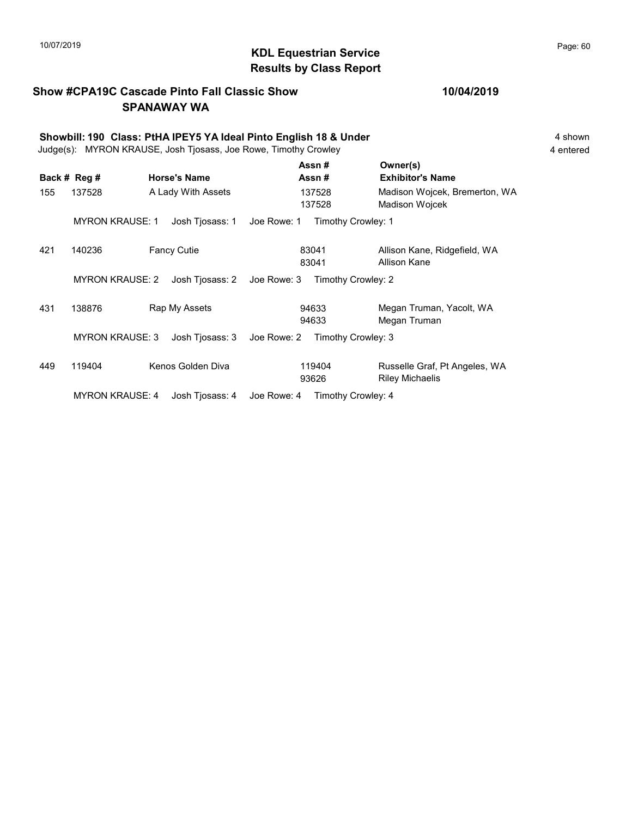# 10/07/2019 **Page: 60**<br> **KDL Equestrian Service Page: 60** Results by Class Report

94633 Megan Truman

93626 Riley Michaelis

## Show #CPA19C Cascade Pinto Fall Classic Show SPANAWAY WA

|     | Showbill: 190 Class: PtHA IPEY5 YA Ideal Pinto English 18 & Under<br>Judge(s): MYRON KRAUSE, Josh Tjosass, Joe Rowe, Timothy Crowley |                     |                                   |                                                 |  |  |  |
|-----|--------------------------------------------------------------------------------------------------------------------------------------|---------------------|-----------------------------------|-------------------------------------------------|--|--|--|
|     | Back # Reg #                                                                                                                         | <b>Horse's Name</b> | Assn#<br>Assn#                    | Owner(s)<br><b>Exhibitor's Name</b>             |  |  |  |
| 155 | 137528                                                                                                                               | A Lady With Assets  | 137528<br>137528                  | Madison Wojcek, Bremerton, WA<br>Madison Wojcek |  |  |  |
|     | <b>MYRON KRAUSE: 1</b>                                                                                                               | Josh Tjosass: 1     | Joe Rowe: 1<br>Timothy Crowley: 1 |                                                 |  |  |  |
| 421 | 140236                                                                                                                               | <b>Fancy Cutie</b>  | 83041<br>83041                    | Allison Kane, Ridgefield, WA<br>Allison Kane    |  |  |  |
|     | <b>MYRON KRAUSE: 2</b>                                                                                                               | Josh Tjosass: 2     | Joe Rowe: 3<br>Timothy Crowley: 2 |                                                 |  |  |  |

431 138876 Rap My Assets 94633 Megan Truman, Yacolt, WA

449 119404 Kenos Golden Diva 119404 Russelle Graf, Pt Angeles, WA

MYRON KRAUSE: 3 Josh Tjosass: 3 Joe Rowe: 2 Timothy Crowley: 3

MYRON KRAUSE: 4 Josh Tjosass: 4 Joe Rowe: 4 Timothy Crowley: 4

94633

119404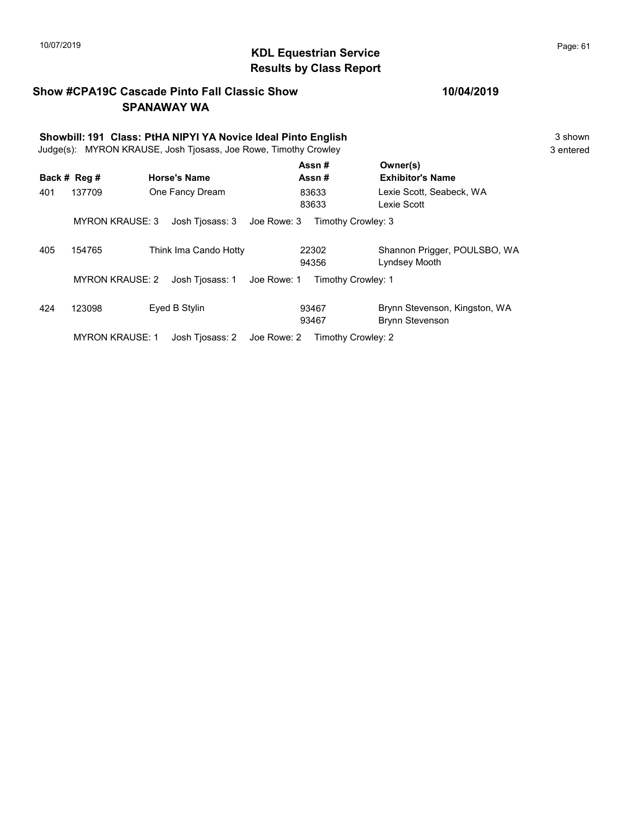# 10/07/2019 **Page: 61 Page: 61 KDL Equestrian Service Page: 61 Page: 61** Results by Class Report

## Show #CPA19C Cascade Pinto Fall Classic Show SPANAWAY WA

|     | Showbill: 191 Class: PtHA NIPYI YA Novice Ideal Pinto English<br>Judge(s): MYRON KRAUSE, Josh Tjosass, Joe Rowe, Timothy Crowley |                                |                    |                                                         |  |  |  |
|-----|----------------------------------------------------------------------------------------------------------------------------------|--------------------------------|--------------------|---------------------------------------------------------|--|--|--|
|     | Back # Reg #                                                                                                                     | <b>Horse's Name</b>            | Assn#<br>Assn#     | Owner(s)<br><b>Exhibitor's Name</b>                     |  |  |  |
| 401 | 137709                                                                                                                           | One Fancy Dream                | 83633<br>83633     | Lexie Scott, Seabeck, WA<br>Lexie Scott                 |  |  |  |
|     | <b>MYRON KRAUSE: 3</b>                                                                                                           | Josh Tiosass: 3<br>Joe Rowe: 3 | Timothy Crowley: 3 |                                                         |  |  |  |
| 405 | 154765                                                                                                                           | Think Ima Cando Hotty          | 22302<br>94356     | Shannon Prigger, POULSBO, WA<br>Lyndsey Mooth           |  |  |  |
|     | <b>MYRON KRAUSE: 2</b>                                                                                                           | Josh Tiosass: 1<br>Joe Rowe: 1 | Timothy Crowley: 1 |                                                         |  |  |  |
| 424 | 123098                                                                                                                           | Eyed B Stylin                  | 93467<br>93467     | Brynn Stevenson, Kingston, WA<br><b>Brynn Stevenson</b> |  |  |  |
|     | <b>MYRON KRAUSE: 1</b>                                                                                                           | Josh Tiosass: 2<br>Joe Rowe: 2 | Timothy Crowley: 2 |                                                         |  |  |  |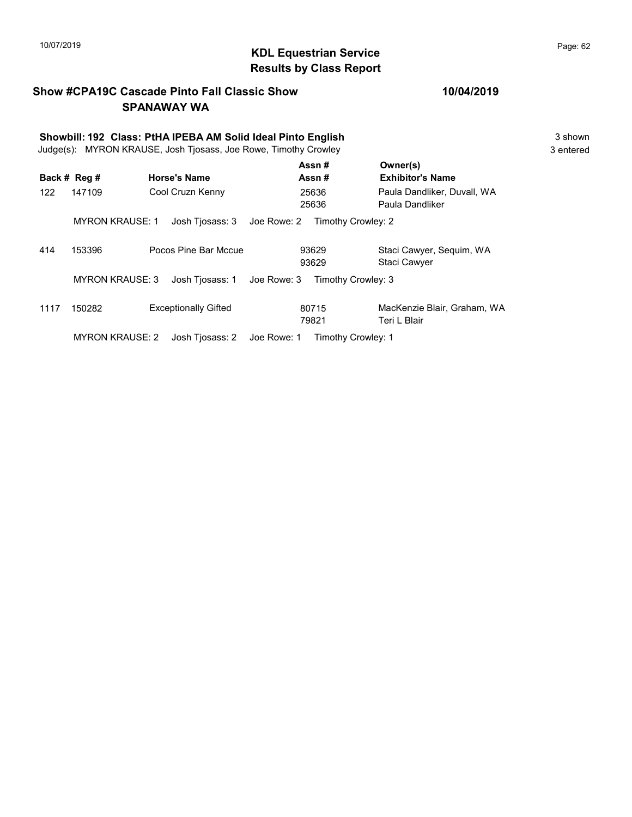# KDL Equestrian Service 10/07/2019 Page: 62 Results by Class Report

## Show #CPA19C Cascade Pinto Fall Classic Show SPANAWAY WA

|      | Showbill: 192 Class: PtHA IPEBA AM Solid Ideal Pinto English<br>Judge(s): MYRON KRAUSE, Josh Tjosass, Joe Rowe, Timothy Crowley |                             |             |                    |                                                |  |  |  |
|------|---------------------------------------------------------------------------------------------------------------------------------|-----------------------------|-------------|--------------------|------------------------------------------------|--|--|--|
|      | Back # Reg #                                                                                                                    | <b>Horse's Name</b>         |             | Assn#<br>Assn#     | Owner(s)<br><b>Exhibitor's Name</b>            |  |  |  |
| 122  | 147109                                                                                                                          | Cool Cruzn Kenny            |             | 25636<br>25636     | Paula Dandliker, Duvall, WA<br>Paula Dandliker |  |  |  |
|      | <b>MYRON KRAUSE: 1</b>                                                                                                          | Josh Tjosass: 3             | Joe Rowe: 2 | Timothy Crowley: 2 |                                                |  |  |  |
| 414  | 153396                                                                                                                          | Pocos Pine Bar Mccue        |             | 93629<br>93629     | Staci Cawyer, Sequim, WA<br>Staci Cawyer       |  |  |  |
|      | <b>MYRON KRAUSE: 3</b>                                                                                                          | Josh Tjosass: 1             | Joe Rowe: 3 | Timothy Crowley: 3 |                                                |  |  |  |
| 1117 | 150282                                                                                                                          | <b>Exceptionally Gifted</b> |             | 80715<br>79821     | MacKenzie Blair, Graham, WA<br>Teri L Blair    |  |  |  |
|      | <b>MYRON KRAUSE: 2</b>                                                                                                          | Josh Tjosass: 2             | Joe Rowe: 1 | Timothy Crowley: 1 |                                                |  |  |  |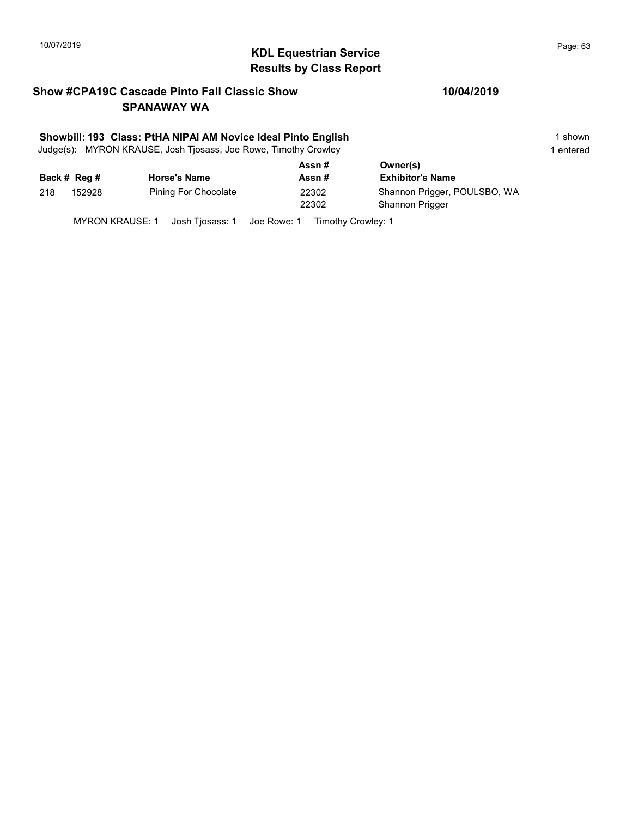# $\blacksquare$  10/07/2019 Page: 63 Results by Class Report

## Show #CPA19C Cascade Pinto Fall Classic Show SPANAWAY WA

#### Showbill: 193 Class: PtHA NIPAI AM Novice Ideal Pinto English 1 Shown 1 shown

Judge(s): MYRON KRAUSE, Josh Tjosass, Joe Rowe, Timothy Crowley 1 entered 1 entered

|     |              |                      | Assn#  | Owner(s)                     |  |
|-----|--------------|----------------------|--------|------------------------------|--|
|     | Back # Reg # | <b>Horse's Name</b>  | Assn # | <b>Exhibitor's Name</b>      |  |
| 218 | 152928       | Pining For Chocolate | 22302  | Shannon Prigger, POULSBO, WA |  |
|     |              |                      | 22302  | <b>Shannon Prigger</b>       |  |
|     |              |                      |        |                              |  |

MYRON KRAUSE: 1 Josh Tjosass: 1 Joe Rowe: 1 Timothy Crowley: 1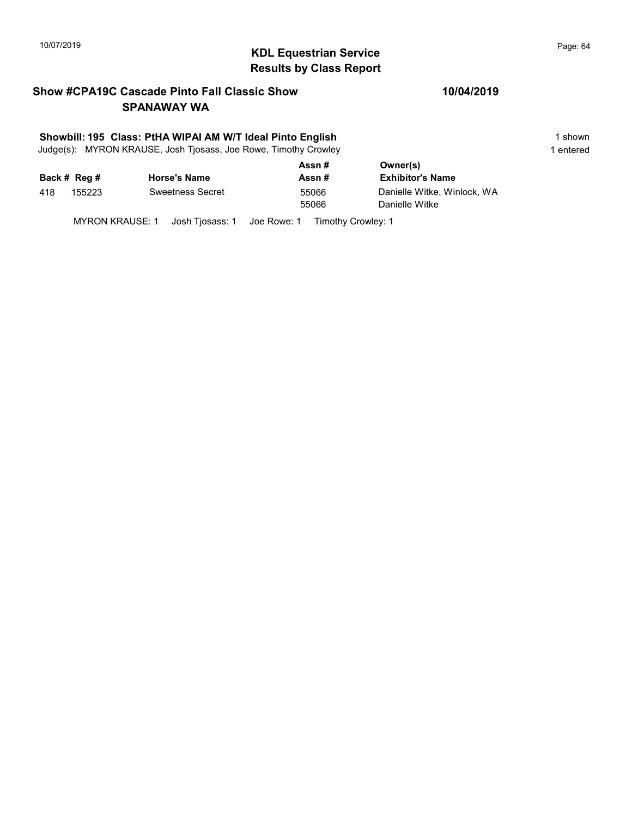# 10/07/2019 **Page: 64**<br> **KDL Equestrian Service Page: 64** Results by Class Report

## Show #CPA19C Cascade Pinto Fall Classic Show SPANAWAY WA

#### Showbill: 195 Class: PtHA WIPAI AM W/T Ideal Pinto English 1 Shown 1 shown

Judge(s): MYRON KRAUSE, Josh Tjosass, Joe Rowe, Timothy Crowley 1 entered 1 entered

|     |              |                         | Assn# | Owner(s)                    |  |  |
|-----|--------------|-------------------------|-------|-----------------------------|--|--|
|     | Back # Reg # | <b>Horse's Name</b>     | Assn# | <b>Exhibitor's Name</b>     |  |  |
| 418 | 155223       | <b>Sweetness Secret</b> | 55066 | Danielle Witke, Winlock, WA |  |  |
|     |              |                         | 55066 | Danielle Witke              |  |  |
|     |              |                         |       |                             |  |  |

MYRON KRAUSE: 1 Josh Tjosass: 1 Joe Rowe: 1 Timothy Crowley: 1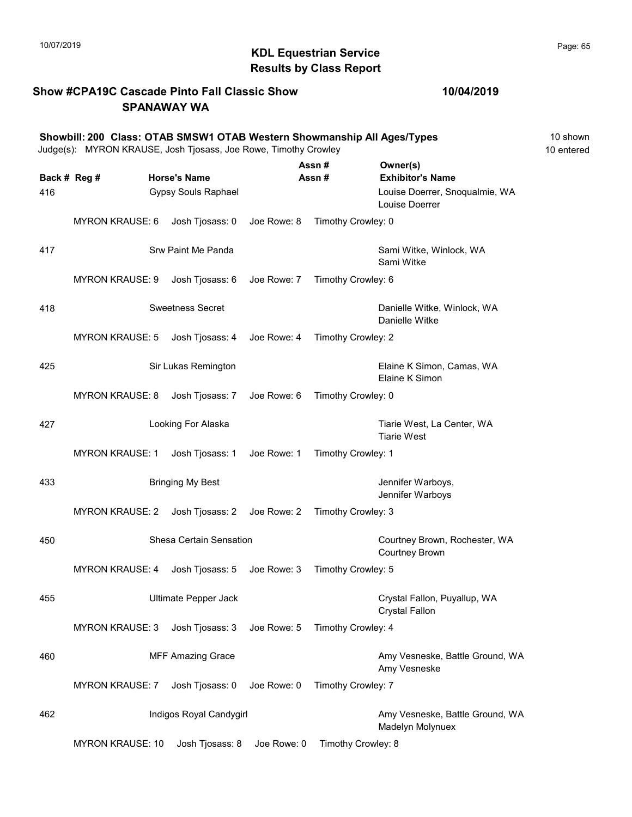# 10/07/2019 **Page: 65**<br> **KDL Equestrian Service Page: 65** Results by Class Report

## Show #CPA19C Cascade Pinto Fall Classic Show SPANAWAY WA

#### 10/04/2019

|              | Showbill: 200 Class: OTAB SMSW1 OTAB Western Showmanship All Ages/Types<br>Judge(s): MYRON KRAUSE, Josh Tjosass, Joe Rowe, Timothy Crowley |                             |             |                    |                                                       | 10 shown<br>10 entered |
|--------------|--------------------------------------------------------------------------------------------------------------------------------------------|-----------------------------|-------------|--------------------|-------------------------------------------------------|------------------------|
| Back # Reg # |                                                                                                                                            | <b>Horse's Name</b>         |             | Assn#<br>Assn#     | Owner(s)<br><b>Exhibitor's Name</b>                   |                        |
| 416          |                                                                                                                                            | Gypsy Souls Raphael         |             |                    | Louise Doerrer, Snoqualmie, WA<br>Louise Doerrer      |                        |
|              | <b>MYRON KRAUSE: 6</b>                                                                                                                     | Josh Tjosass: 0             | Joe Rowe: 8 | Timothy Crowley: 0 |                                                       |                        |
| 417          |                                                                                                                                            | Srw Paint Me Panda          |             |                    | Sami Witke, Winlock, WA<br>Sami Witke                 |                        |
|              | <b>MYRON KRAUSE: 9</b>                                                                                                                     | Josh Tjosass: 6             | Joe Rowe: 7 | Timothy Crowley: 6 |                                                       |                        |
| 418          |                                                                                                                                            | <b>Sweetness Secret</b>     |             |                    | Danielle Witke, Winlock, WA<br>Danielle Witke         |                        |
|              | <b>MYRON KRAUSE: 5</b>                                                                                                                     | Josh Tjosass: 4 Joe Rowe: 4 |             | Timothy Crowley: 2 |                                                       |                        |
| 425          |                                                                                                                                            | Sir Lukas Remington         |             |                    | Elaine K Simon, Camas, WA<br>Elaine K Simon           |                        |
|              | <b>MYRON KRAUSE: 8</b>                                                                                                                     | Josh Tjosass: 7             | Joe Rowe: 6 | Timothy Crowley: 0 |                                                       |                        |
| 427          |                                                                                                                                            | Looking For Alaska          |             |                    | Tiarie West, La Center, WA<br><b>Tiarie West</b>      |                        |
|              | <b>MYRON KRAUSE: 1</b>                                                                                                                     | Josh Tjosass: 1             | Joe Rowe: 1 | Timothy Crowley: 1 |                                                       |                        |
| 433          |                                                                                                                                            | <b>Bringing My Best</b>     |             |                    | Jennifer Warboys,<br>Jennifer Warboys                 |                        |
|              | MYRON KRAUSE: 2                                                                                                                            | Josh Tjosass: 2 Joe Rowe: 2 |             | Timothy Crowley: 3 |                                                       |                        |
| 450          |                                                                                                                                            | Shesa Certain Sensation     |             |                    | Courtney Brown, Rochester, WA<br>Courtney Brown       |                        |
|              | <b>MYRON KRAUSE: 4</b>                                                                                                                     | Josh Tjosass: 5             | Joe Rowe: 3 | Timothy Crowley: 5 |                                                       |                        |
| 455          |                                                                                                                                            | Ultimate Pepper Jack        |             |                    | Crystal Fallon, Puyallup, WA<br><b>Crystal Fallon</b> |                        |
|              | <b>MYRON KRAUSE: 3</b>                                                                                                                     | Josh Tjosass: 3             | Joe Rowe: 5 | Timothy Crowley: 4 |                                                       |                        |
| 460          |                                                                                                                                            | <b>MFF Amazing Grace</b>    |             |                    | Amy Vesneske, Battle Ground, WA<br>Amy Vesneske       |                        |
|              | <b>MYRON KRAUSE: 7</b>                                                                                                                     | Josh Tjosass: 0             | Joe Rowe: 0 | Timothy Crowley: 7 |                                                       |                        |
| 462          |                                                                                                                                            | Indigos Royal Candygirl     |             |                    | Amy Vesneske, Battle Ground, WA<br>Madelyn Molynuex   |                        |

MYRON KRAUSE: 10 Josh Tjosass: 8 Joe Rowe: 0 Timothy Crowley: 8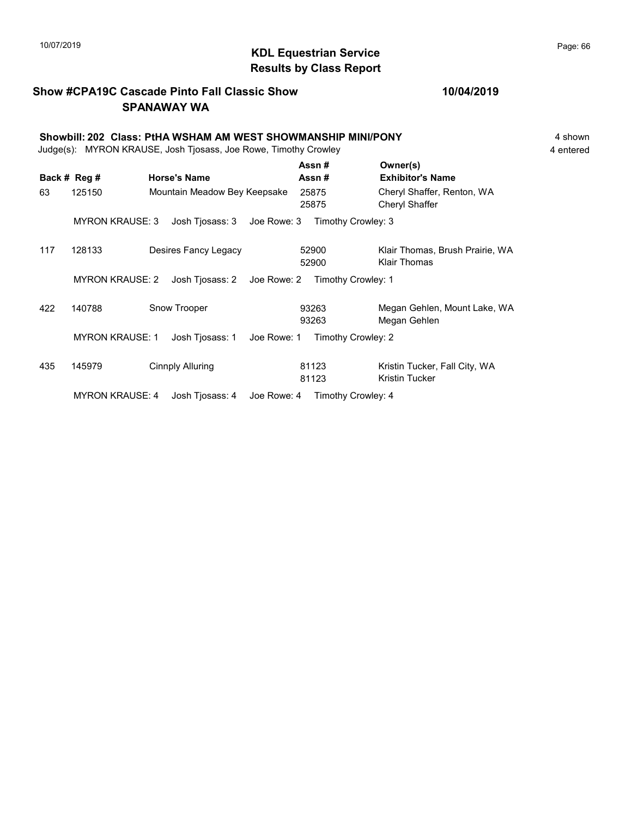# 10/07/2019 **Page: 66**<br> **KDL Equestrian Service Page: 66** Results by Class Report

## Show #CPA19C Cascade Pinto Fall Classic Show SPANAWAY WA

|     | Showbill: 202 Class: PtHA WSHAM AM WEST SHOWMANSHIP MINI/PONY<br>Judge(s): MYRON KRAUSE, Josh Tjosass, Joe Rowe, Timothy Crowley |                              |             |                    |                                                        |  |  |  |
|-----|----------------------------------------------------------------------------------------------------------------------------------|------------------------------|-------------|--------------------|--------------------------------------------------------|--|--|--|
|     | Back # Reg #                                                                                                                     | <b>Horse's Name</b>          |             | Assn#<br>Assn#     | Owner(s)<br><b>Exhibitor's Name</b>                    |  |  |  |
| 63  | 125150                                                                                                                           | Mountain Meadow Bey Keepsake |             | 25875<br>25875     | Cheryl Shaffer, Renton, WA<br>Cheryl Shaffer           |  |  |  |
|     | <b>MYRON KRAUSE: 3</b>                                                                                                           | Josh Tjosass: 3              | Joe Rowe: 3 | Timothy Crowley: 3 |                                                        |  |  |  |
| 117 | 128133                                                                                                                           | Desires Fancy Legacy         |             | 52900<br>52900     | Klair Thomas, Brush Prairie, WA<br>Klair Thomas        |  |  |  |
|     | <b>MYRON KRAUSE: 2</b>                                                                                                           | Josh Tjosass: 2 Joe Rowe: 2  |             | Timothy Crowley: 1 |                                                        |  |  |  |
| 422 | 140788                                                                                                                           | Snow Trooper                 |             | 93263<br>93263     | Megan Gehlen, Mount Lake, WA<br>Megan Gehlen           |  |  |  |
|     | <b>MYRON KRAUSE: 1</b>                                                                                                           | Josh Tjosass: 1              | Joe Rowe: 1 | Timothy Crowley: 2 |                                                        |  |  |  |
| 435 | 145979                                                                                                                           | Cinnply Alluring             |             | 81123<br>81123     | Kristin Tucker, Fall City, WA<br><b>Kristin Tucker</b> |  |  |  |
|     | <b>MYRON KRAUSE: 4</b>                                                                                                           | Josh Tiosass: 4              | Joe Rowe: 4 | Timothy Crowley: 4 |                                                        |  |  |  |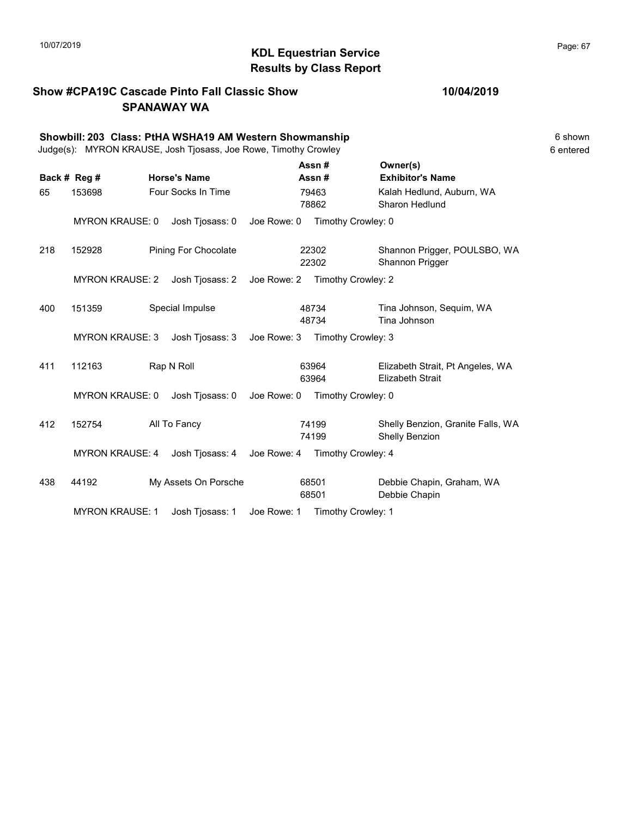# $\blacksquare$  10/07/2019 Page: 67 Results by Class Report

## Show #CPA19C Cascade Pinto Fall Classic Show SPANAWAY WA

|  | 10/04/2019 |  |  |
|--|------------|--|--|
|--|------------|--|--|

|     | Showbill: 203 Class: PtHA WSHA19 AM Western Showmanship<br>Judge(s): MYRON KRAUSE, Josh Tjosass, Joe Rowe, Timothy Crowley |  |                             |             |                |                    |                                                             |  |
|-----|----------------------------------------------------------------------------------------------------------------------------|--|-----------------------------|-------------|----------------|--------------------|-------------------------------------------------------------|--|
|     | Back # Reg #                                                                                                               |  | <b>Horse's Name</b>         |             | Assn#<br>Assn# |                    | Owner(s)<br><b>Exhibitor's Name</b>                         |  |
| 65  | 153698                                                                                                                     |  | Four Socks In Time          |             | 79463<br>78862 |                    | Kalah Hedlund, Auburn, WA<br>Sharon Hedlund                 |  |
|     | <b>MYRON KRAUSE: 0</b>                                                                                                     |  | Josh Tjosass: 0             | Joe Rowe: 0 |                | Timothy Crowley: 0 |                                                             |  |
| 218 | 152928                                                                                                                     |  | <b>Pining For Chocolate</b> |             | 22302<br>22302 |                    | Shannon Prigger, POULSBO, WA<br>Shannon Prigger             |  |
|     | <b>MYRON KRAUSE: 2</b>                                                                                                     |  | Josh Tjosass: 2             | Joe Rowe: 2 |                | Timothy Crowley: 2 |                                                             |  |
| 400 | 151359                                                                                                                     |  | Special Impulse             |             | 48734<br>48734 |                    | Tina Johnson, Sequim, WA<br>Tina Johnson                    |  |
|     | <b>MYRON KRAUSE: 3</b>                                                                                                     |  | Josh Tjosass: 3             | Joe Rowe: 3 |                | Timothy Crowley: 3 |                                                             |  |
| 411 | Rap N Roll<br>112163                                                                                                       |  |                             |             | 63964<br>63964 |                    | Elizabeth Strait, Pt Angeles, WA<br><b>Elizabeth Strait</b> |  |
|     | <b>MYRON KRAUSE: 0</b>                                                                                                     |  | Josh Tjosass: 0             | Joe Rowe: 0 |                | Timothy Crowley: 0 |                                                             |  |
| 412 | 152754                                                                                                                     |  | All To Fancy                |             | 74199<br>74199 |                    | Shelly Benzion, Granite Falls, WA<br>Shelly Benzion         |  |
|     | <b>MYRON KRAUSE: 4</b><br>Josh Tjosass: 4                                                                                  |  |                             | Joe Rowe: 4 |                | Timothy Crowley: 4 |                                                             |  |
| 438 | 44192                                                                                                                      |  | My Assets On Porsche        |             | 68501<br>68501 |                    | Debbie Chapin, Graham, WA<br>Debbie Chapin                  |  |
|     | <b>MYRON KRAUSE: 1</b>                                                                                                     |  | Josh Tjosass: 1             | Joe Rowe: 1 |                | Timothy Crowley: 1 |                                                             |  |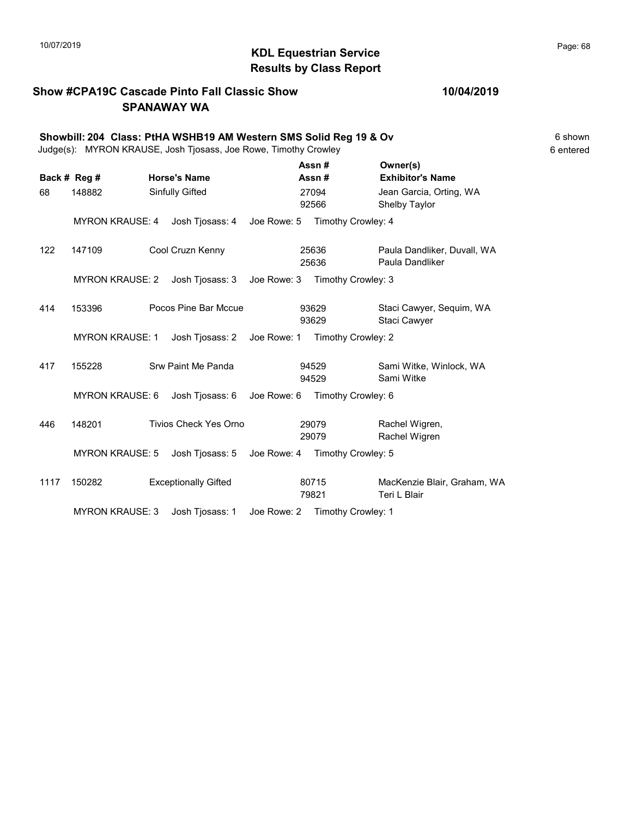# 10/07/2019 **Page: 68**<br> **KDL Equestrian Service Page: 68** Results by Class Report

## Show #CPA19C Cascade Pinto Fall Classic Show SPANAWAY WA

|                    | Showbill: 204 Class: PtHA WSHB19 AM Western SMS Solid Reg 19 & Ov<br>Judge(s): MYRON KRAUSE, Josh Tjosass, Joe Rowe, Timothy Crowley |  |                                        |             |                         |                                |                                                                | 6 shown<br>6 entered |
|--------------------|--------------------------------------------------------------------------------------------------------------------------------------|--|----------------------------------------|-------------|-------------------------|--------------------------------|----------------------------------------------------------------|----------------------|
| Back # Reg #<br>68 | 148882                                                                                                                               |  | <b>Horse's Name</b><br>Sinfully Gifted |             | Assn#<br>Assn#<br>27094 |                                | Owner(s)<br><b>Exhibitor's Name</b><br>Jean Garcia, Orting, WA |                      |
|                    | <b>MYRON KRAUSE: 4</b>                                                                                                               |  | Josh Tjosass: 4                        | Joe Rowe: 5 | 92566                   | Timothy Crowley: 4             | Shelby Taylor                                                  |                      |
| 122                | 147109                                                                                                                               |  | Cool Cruzn Kenny                       |             | 25636<br>25636          |                                | Paula Dandliker, Duvall, WA<br>Paula Dandliker                 |                      |
|                    | <b>MYRON KRAUSE: 2</b>                                                                                                               |  | Josh Tjosass: 3                        | Joe Rowe: 3 |                         | Timothy Crowley: 3             |                                                                |                      |
| 414                | 153396                                                                                                                               |  | Pocos Pine Bar Mccue                   |             | 93629<br>93629          |                                | Staci Cawyer, Sequim, WA<br>Staci Cawyer                       |                      |
|                    | <b>MYRON KRAUSE: 1</b>                                                                                                               |  | Josh Tjosass: 2                        | Joe Rowe: 1 |                         | Timothy Crowley: 2             |                                                                |                      |
| 417                | 155228                                                                                                                               |  | Srw Paint Me Panda                     |             | 94529<br>94529          |                                | Sami Witke, Winlock, WA<br>Sami Witke                          |                      |
|                    | <b>MYRON KRAUSE: 6</b>                                                                                                               |  | Josh Tjosass: 6                        |             |                         | Joe Rowe: 6 Timothy Crowley: 6 |                                                                |                      |
| 446                | 148201                                                                                                                               |  | <b>Tivios Check Yes Orno</b>           |             | 29079<br>29079          |                                | Rachel Wigren,<br>Rachel Wigren                                |                      |
|                    | <b>MYRON KRAUSE: 5</b>                                                                                                               |  | Josh Tjosass: 5                        |             |                         | Joe Rowe: 4 Timothy Crowley: 5 |                                                                |                      |
| 1117               | 150282                                                                                                                               |  | <b>Exceptionally Gifted</b>            |             | 80715<br>79821          |                                | MacKenzie Blair, Graham, WA<br>Teri L Blair                    |                      |
|                    | <b>MYRON KRAUSE: 3</b>                                                                                                               |  | Josh Tjosass: 1                        | Joe Rowe: 2 |                         | Timothy Crowley: 1             |                                                                |                      |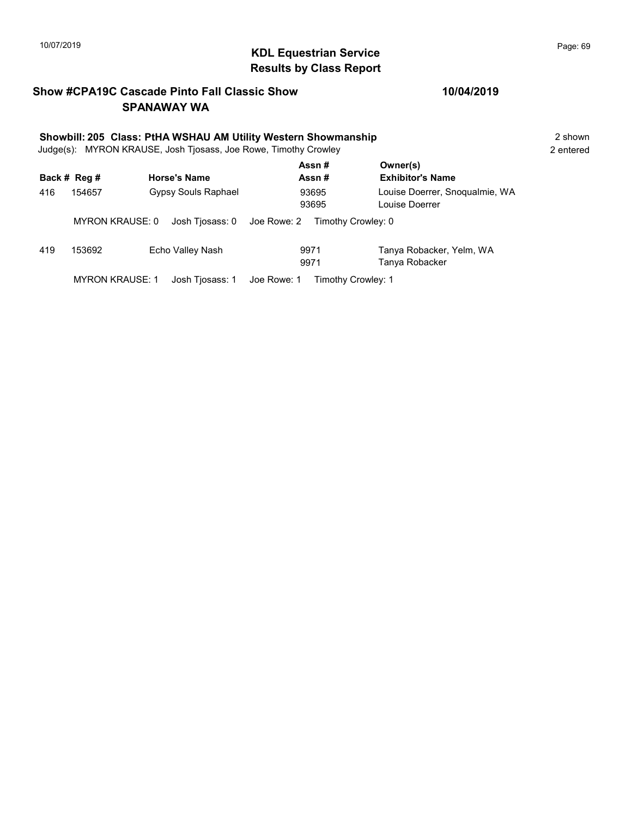# 10/07/2019 **Page: 69**<br> **KDL Equestrian Service Page: 69** Results by Class Report

## Show #CPA19C Cascade Pinto Fall Classic Show SPANAWAY WA

## 10/04/2019

|     | Showbill: 205 Class: PtHA WSHAU AM Utility Western Showmanship<br>Judge(s): MYRON KRAUSE, Josh Tjosass, Joe Rowe, Timothy Crowley |                                |                    |                                                  |  |  |  |  |
|-----|-----------------------------------------------------------------------------------------------------------------------------------|--------------------------------|--------------------|--------------------------------------------------|--|--|--|--|
|     | Back # Reg #                                                                                                                      | <b>Horse's Name</b>            | Assn#<br>Assn#     | Owner(s)<br><b>Exhibitor's Name</b>              |  |  |  |  |
| 416 | 154657                                                                                                                            | Gypsy Souls Raphael            | 93695<br>93695     | Louise Doerrer, Snoqualmie, WA<br>Louise Doerrer |  |  |  |  |
|     | <b>MYRON KRAUSE: 0</b>                                                                                                            | Josh Tjosass: 0<br>Joe Rowe: 2 | Timothy Crowley: 0 |                                                  |  |  |  |  |
| 419 | 153692                                                                                                                            | Echo Valley Nash               | 9971<br>9971       | Tanya Robacker, Yelm, WA<br>Tanya Robacker       |  |  |  |  |

MYRON KRAUSE: 1 Josh Tjosass: 1 Joe Rowe: 1 Timothy Crowley: 1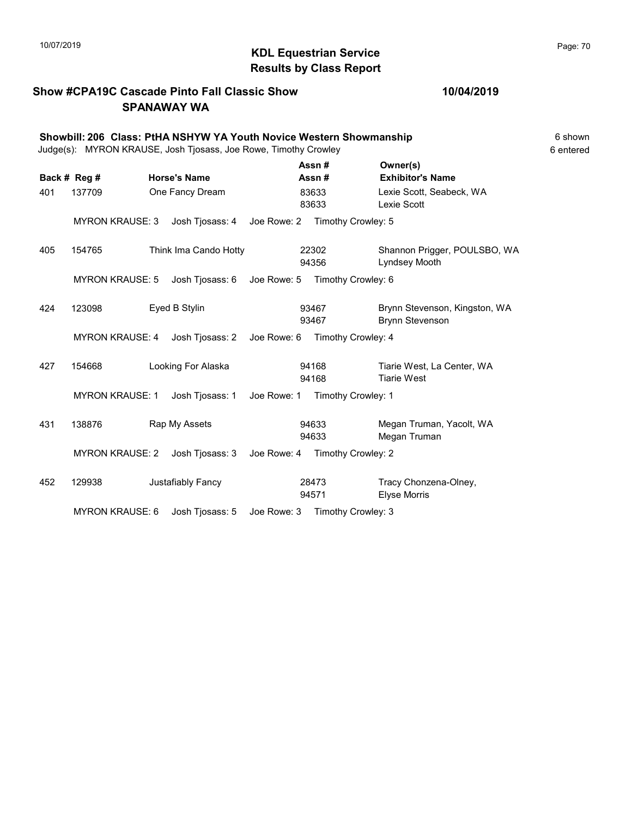# KDL Equestrian Service 10/07/2019 Page: 70 Results by Class Report

## Show #CPA19C Cascade Pinto Fall Classic Show SPANAWAY WA

|     | Showbill: 206 Class: PtHA NSHYW YA Youth Novice Western Showmanship<br>Judge(s): MYRON KRAUSE, Josh Tjosass, Joe Rowe, Timothy Crowley |  |                       |                |                                         |                                                         |  |  |
|-----|----------------------------------------------------------------------------------------------------------------------------------------|--|-----------------------|----------------|-----------------------------------------|---------------------------------------------------------|--|--|
|     | Back # Reg #                                                                                                                           |  | <b>Horse's Name</b>   |                | Assn#<br>Assn#                          | Owner(s)<br><b>Exhibitor's Name</b>                     |  |  |
| 401 | One Fancy Dream<br>137709                                                                                                              |  |                       | 83633<br>83633 | Lexie Scott, Seabeck, WA<br>Lexie Scott |                                                         |  |  |
|     | <b>MYRON KRAUSE: 3</b>                                                                                                                 |  | Josh Tjosass: 4       | Joe Rowe: 2    |                                         | Timothy Crowley: 5                                      |  |  |
| 405 | 154765                                                                                                                                 |  | Think Ima Cando Hotty |                | 22302<br>94356                          | Shannon Prigger, POULSBO, WA<br>Lyndsey Mooth           |  |  |
|     | <b>MYRON KRAUSE: 5</b>                                                                                                                 |  | Josh Tjosass: 6       | Joe Rowe: 5    |                                         | Timothy Crowley: 6                                      |  |  |
| 424 | 123098                                                                                                                                 |  | Eyed B Stylin         |                | 93467<br>93467                          | Brynn Stevenson, Kingston, WA<br><b>Brynn Stevenson</b> |  |  |
|     | <b>MYRON KRAUSE: 4</b>                                                                                                                 |  | Josh Tjosass: 2       | Joe Rowe: 6    |                                         | Timothy Crowley: 4                                      |  |  |
| 427 | 154668                                                                                                                                 |  | Looking For Alaska    |                | 94168<br>94168                          | Tiarie West, La Center, WA<br><b>Tiarie West</b>        |  |  |
|     | <b>MYRON KRAUSE: 1</b>                                                                                                                 |  | Josh Tjosass: 1       | Joe Rowe: 1    |                                         | Timothy Crowley: 1                                      |  |  |
| 431 | 138876                                                                                                                                 |  | Rap My Assets         |                | 94633<br>94633                          | Megan Truman, Yacolt, WA<br>Megan Truman                |  |  |
|     | <b>MYRON KRAUSE: 2</b>                                                                                                                 |  | Josh Tjosass: 3       | Joe Rowe: 4    | Timothy Crowley: 2                      |                                                         |  |  |
| 452 | 129938                                                                                                                                 |  | Justafiably Fancy     |                | 28473<br>94571                          | Tracy Chonzena-Olney,<br><b>Elyse Morris</b>            |  |  |
|     | <b>MYRON KRAUSE: 6</b>                                                                                                                 |  | Josh Tjosass: 5       | Joe Rowe: 3    |                                         | Timothy Crowley: 3                                      |  |  |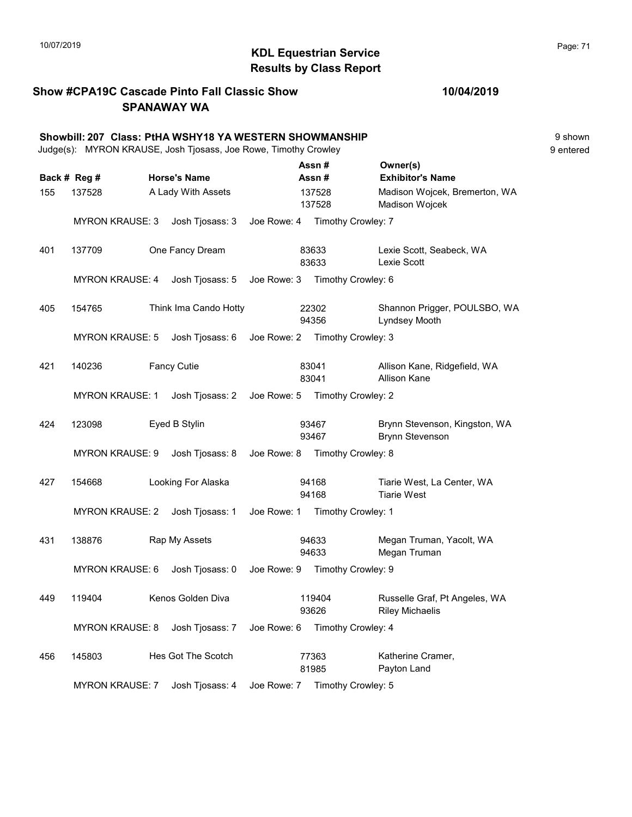# KDL Equestrian Service 10/07/2019 Page: 71 Results by Class Report

Show #CPA19C Cascade Pinto Fall Classic Show SPANAWAY WA

#### 10/04/2019

|     | Showbill: 207 Class: PtHA WSHY18 YA WESTERN SHOWMANSHIP<br>Judge(s): MYRON KRAUSE, Josh Tjosass, Joe Rowe, Timothy Crowley |                       |             |                                |                                                         | 9 shown<br>9 entered |
|-----|----------------------------------------------------------------------------------------------------------------------------|-----------------------|-------------|--------------------------------|---------------------------------------------------------|----------------------|
|     |                                                                                                                            |                       |             | Assn#                          | Owner(s)                                                |                      |
|     | Back # Reg #                                                                                                               | <b>Horse's Name</b>   |             | Assn#                          | <b>Exhibitor's Name</b>                                 |                      |
| 155 | 137528                                                                                                                     | A Lady With Assets    |             | 137528<br>137528               | Madison Wojcek, Bremerton, WA<br>Madison Wojcek         |                      |
|     | <b>MYRON KRAUSE: 3</b>                                                                                                     | Josh Tjosass: 3       | Joe Rowe: 4 | Timothy Crowley: 7             |                                                         |                      |
| 401 | 137709                                                                                                                     | One Fancy Dream       |             | 83633<br>83633                 | Lexie Scott, Seabeck, WA<br>Lexie Scott                 |                      |
|     | <b>MYRON KRAUSE: 4</b>                                                                                                     | Josh Tjosass: 5       | Joe Rowe: 3 | Timothy Crowley: 6             |                                                         |                      |
| 405 | 154765                                                                                                                     | Think Ima Cando Hotty |             | 22302<br>94356                 | Shannon Prigger, POULSBO, WA<br>Lyndsey Mooth           |                      |
|     | <b>MYRON KRAUSE: 5</b>                                                                                                     | Josh Tjosass: 6       |             | Joe Rowe: 2 Timothy Crowley: 3 |                                                         |                      |
| 421 | 140236                                                                                                                     | <b>Fancy Cutie</b>    |             | 83041<br>83041                 | Allison Kane, Ridgefield, WA<br><b>Allison Kane</b>     |                      |
|     | <b>MYRON KRAUSE: 1</b>                                                                                                     | Josh Tjosass: 2       | Joe Rowe: 5 | Timothy Crowley: 2             |                                                         |                      |
| 424 | 123098                                                                                                                     | Eyed B Stylin         |             | 93467<br>93467                 | Brynn Stevenson, Kingston, WA<br><b>Brynn Stevenson</b> |                      |
|     | <b>MYRON KRAUSE: 9</b>                                                                                                     | Josh Tjosass: 8       | Joe Rowe: 8 | Timothy Crowley: 8             |                                                         |                      |
| 427 | 154668                                                                                                                     | Looking For Alaska    |             | 94168<br>94168                 | Tiarie West, La Center, WA<br><b>Tiarie West</b>        |                      |
|     | <b>MYRON KRAUSE: 2</b>                                                                                                     | Josh Tjosass: 1       |             | Joe Rowe: 1 Timothy Crowley: 1 |                                                         |                      |
| 431 | 138876                                                                                                                     | Rap My Assets         |             | 94633<br>94633                 | Megan Truman, Yacolt, WA<br>Megan Truman                |                      |
|     | <b>MYRON KRAUSE: 6</b>                                                                                                     | Josh Tjosass: 0       | Joe Rowe: 9 | Timothy Crowley: 9             |                                                         |                      |
| 449 | 119404                                                                                                                     | Kenos Golden Diva     |             | 119404<br>93626                | Russelle Graf, Pt Angeles, WA<br><b>Riley Michaelis</b> |                      |
|     | <b>MYRON KRAUSE: 8</b>                                                                                                     | Josh Tjosass: 7       | Joe Rowe: 6 | Timothy Crowley: 4             |                                                         |                      |
| 456 | 145803                                                                                                                     | Hes Got The Scotch    |             | 77363<br>81985                 | Katherine Cramer,<br>Payton Land                        |                      |

MYRON KRAUSE: 7 Josh Tjosass: 4 Joe Rowe: 7 Timothy Crowley: 5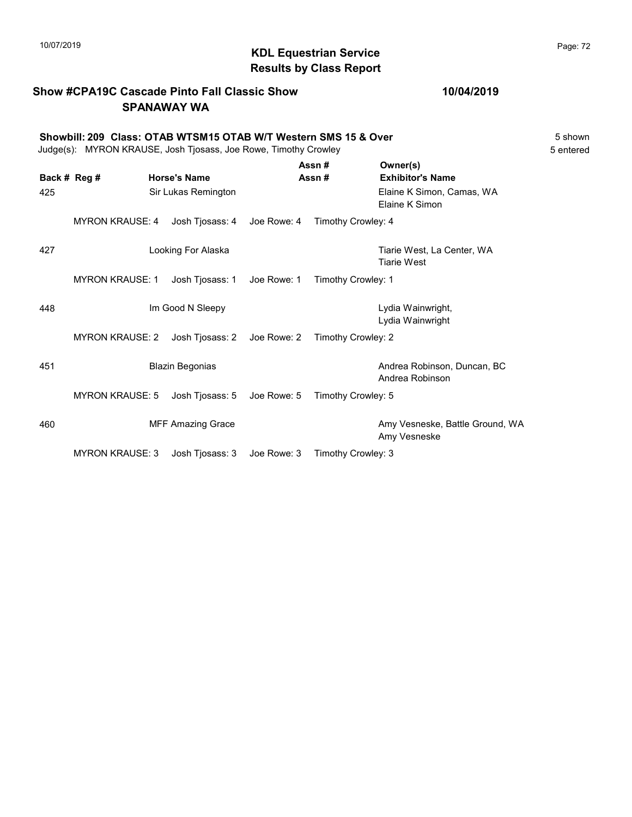# $\blacksquare$  10/07/2019 Page: 72 Results by Class Report

## Show #CPA19C Cascade Pinto Fall Classic Show SPANAWAY WA

#### Showbill: 209 Class: OTAB WTSM15 OTAB W/T Western SMS 15 & Over 5 Shown 5 shown Judge(s): MYRON KRAUSE, Josh Tjosass, Joe Rowe, Timothy Crowley 6 Feature 1 2008 5 5 Feature 1 2008

| Back # Reg #<br>425 |                        | <b>Horse's Name</b><br>Sir Lukas Remington |             | Assn#<br>Assn#     | Owner(s)<br><b>Exhibitor's Name</b><br>Elaine K Simon, Camas, WA<br>Elaine K Simon |
|---------------------|------------------------|--------------------------------------------|-------------|--------------------|------------------------------------------------------------------------------------|
|                     | <b>MYRON KRAUSE: 4</b> | Josh Tjosass: 4                            | Joe Rowe: 4 | Timothy Crowley: 4 |                                                                                    |
| 427                 |                        | Looking For Alaska                         |             |                    | Tiarie West, La Center, WA<br><b>Tiarie West</b>                                   |
|                     | <b>MYRON KRAUSE: 1</b> | Josh Tjosass: 1                            | Joe Rowe: 1 | Timothy Crowley: 1 |                                                                                    |
| 448                 |                        | Im Good N Sleepy                           |             |                    | Lydia Wainwright,<br>Lydia Wainwright                                              |
|                     | <b>MYRON KRAUSE: 2</b> | Josh Tjosass: 2                            | Joe Rowe: 2 | Timothy Crowley: 2 |                                                                                    |
| 451                 |                        | <b>Blazin Begonias</b>                     |             |                    | Andrea Robinson, Duncan, BC<br>Andrea Robinson                                     |
|                     | <b>MYRON KRAUSE: 5</b> | Josh Tjosass: 5                            | Joe Rowe: 5 | Timothy Crowley: 5 |                                                                                    |
| 460                 |                        | <b>MFF Amazing Grace</b>                   |             |                    | Amy Vesneske, Battle Ground, WA<br>Amy Vesneske                                    |
|                     | <b>MYRON KRAUSE: 3</b> | Josh Tjosass: 3                            | Joe Rowe: 3 | Timothy Crowley: 3 |                                                                                    |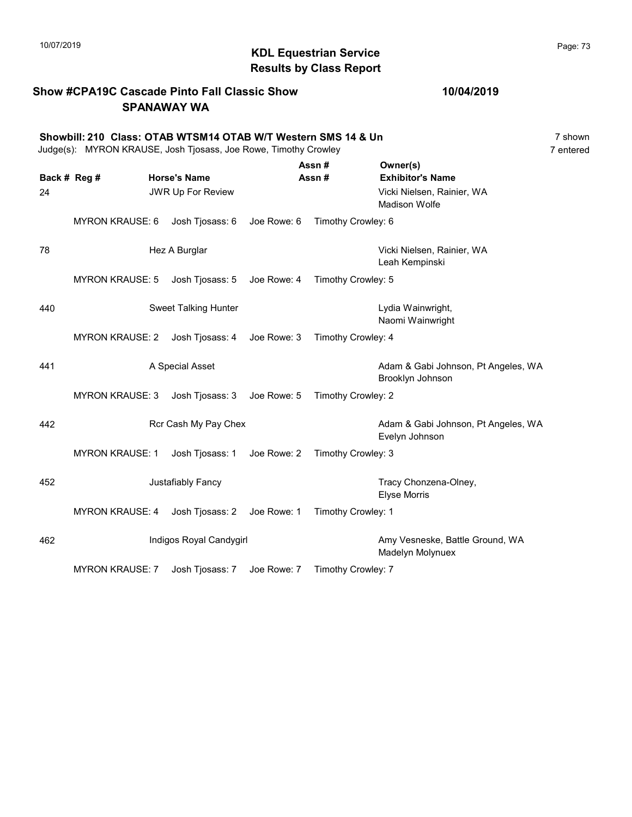### Show #CPA19C Cascade Pinto Fall Classic Show SPANAWAY WA

#### Showbill: 210 Class: OTAB WTSM14 OTAB W/T Western SMS 14 & Un<br>Judge(s): MYRON KRAUSE. Josh Tiosass. Joe Rowe. Timothy Crowley<br>7 entered Judge(s): MYRON KRAUSE, Josh Tjosass, Joe Rowe, Timothy Crowley

|              |                        |                             |             | Assn#              | Owner(s)                                                |
|--------------|------------------------|-----------------------------|-------------|--------------------|---------------------------------------------------------|
| Back # Reg # |                        | <b>Horse's Name</b>         |             | Assn#              | <b>Exhibitor's Name</b>                                 |
| 24           |                        | <b>JWR Up For Review</b>    |             |                    | Vicki Nielsen, Rainier, WA<br><b>Madison Wolfe</b>      |
|              | <b>MYRON KRAUSE: 6</b> | Josh Tjosass: 6             | Joe Rowe: 6 | Timothy Crowley: 6 |                                                         |
| 78           |                        | Hez A Burglar               |             |                    | Vicki Nielsen, Rainier, WA<br>Leah Kempinski            |
|              | <b>MYRON KRAUSE: 5</b> | Josh Tjosass: 5             | Joe Rowe: 4 | Timothy Crowley: 5 |                                                         |
| 440          |                        | <b>Sweet Talking Hunter</b> |             |                    | Lydia Wainwright,<br>Naomi Wainwright                   |
|              | <b>MYRON KRAUSE: 2</b> | Josh Tjosass: 4 Joe Rowe: 3 |             | Timothy Crowley: 4 |                                                         |
| 441          |                        | A Special Asset             |             |                    | Adam & Gabi Johnson, Pt Angeles, WA<br>Brooklyn Johnson |
|              | <b>MYRON KRAUSE: 3</b> | Josh Tjosass: 3             | Joe Rowe: 5 | Timothy Crowley: 2 |                                                         |
| 442          |                        | Rcr Cash My Pay Chex        |             |                    | Adam & Gabi Johnson, Pt Angeles, WA<br>Evelyn Johnson   |
|              | <b>MYRON KRAUSE: 1</b> | Josh Tjosass: 1             | Joe Rowe: 2 | Timothy Crowley: 3 |                                                         |
| 452          |                        | Justafiably Fancy           |             |                    | Tracy Chonzena-Olney,<br><b>Elyse Morris</b>            |
|              | <b>MYRON KRAUSE: 4</b> | Josh Tjosass: 2             | Joe Rowe: 1 | Timothy Crowley: 1 |                                                         |
| 462          |                        | Indigos Royal Candygirl     |             |                    | Amy Vesneske, Battle Ground, WA<br>Madelyn Molynuex     |
|              | <b>MYRON KRAUSE: 7</b> | Josh Tjosass: 7             | Joe Rowe: 7 | Timothy Crowley: 7 |                                                         |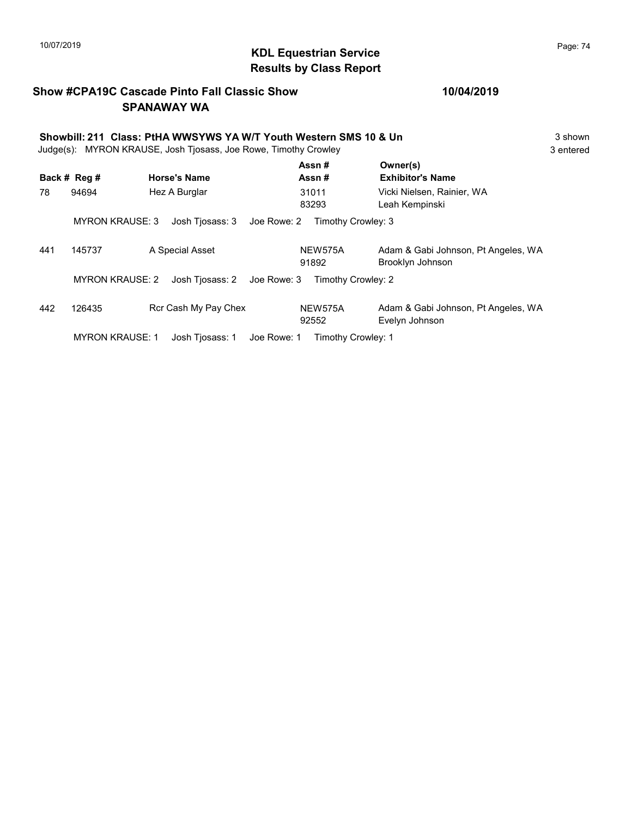## $\blacksquare$ 10/07/2019 Page: 74 Results by Class Report

#### Show #CPA19C Cascade Pinto Fall Classic Show SPANAWAY WA

|     | Showbill: 211 Class: PtHA WWSYWS YA W/T Youth Western SMS 10 & Un<br>MYRON KRAUSE, Josh Tjosass, Joe Rowe, Timothy Crowley<br>Judge(s): |                                |                    |                                                         |  |  |
|-----|-----------------------------------------------------------------------------------------------------------------------------------------|--------------------------------|--------------------|---------------------------------------------------------|--|--|
|     | Back # Reg #                                                                                                                            | <b>Horse's Name</b>            | Assn#<br>Assn#     | Owner(s)<br><b>Exhibitor's Name</b>                     |  |  |
| 78  | 94694                                                                                                                                   | Hez A Burglar                  | 31011<br>83293     | Vicki Nielsen, Rainier, WA<br>Leah Kempinski            |  |  |
|     | <b>MYRON KRAUSE: 3</b>                                                                                                                  | Joe Rowe: 2<br>Josh Tjosass: 3 | Timothy Crowley: 3 |                                                         |  |  |
| 441 | 145737                                                                                                                                  | A Special Asset                | NEW575A<br>91892   | Adam & Gabi Johnson, Pt Angeles, WA<br>Brooklyn Johnson |  |  |
|     | <b>MYRON KRAUSE: 2</b>                                                                                                                  | Josh Tiosass: 2<br>Joe Rowe: 3 | Timothy Crowley: 2 |                                                         |  |  |
| 442 | 126435                                                                                                                                  | Rcr Cash My Pay Chex           | NEW575A<br>92552   | Adam & Gabi Johnson, Pt Angeles, WA<br>Evelyn Johnson   |  |  |
|     | <b>MYRON KRAUSE: 1</b>                                                                                                                  | Joe Rowe: 1<br>Josh Tjosass: 1 | Timothy Crowley: 1 |                                                         |  |  |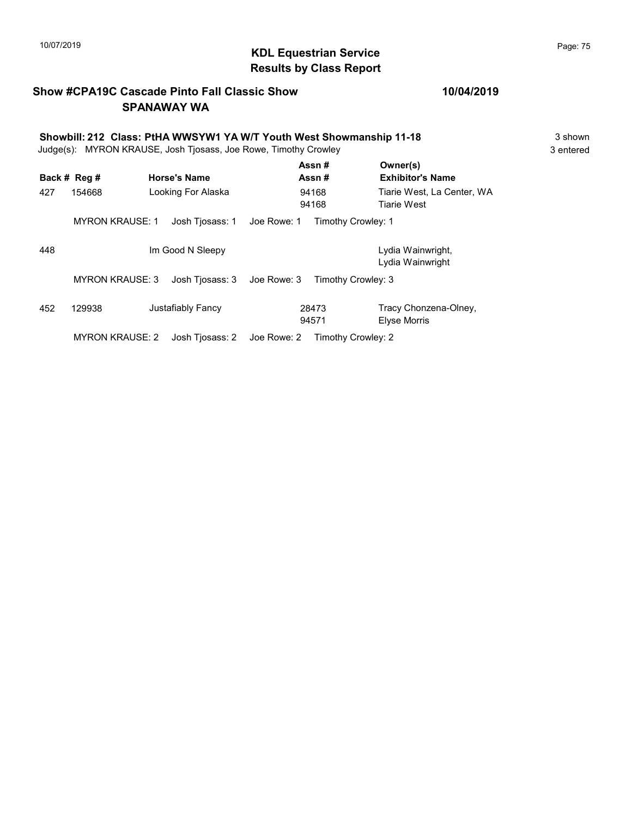## 10/07/2019 **Page: 75**<br> **KDL Equestrian Service** Monthly the Service Page: 75 Results by Class Report

#### Show #CPA19C Cascade Pinto Fall Classic Show SPANAWAY WA

# Showbill: 212 Class: PtHA WWSYW1 YA W/T Youth West Showmanship 11-18 3 shown<br>Judge(s): MYRON KRAUSE. Josh Tiosass. Joe Rowe. Timothy Crowley

Judge(s): MYRON KRAUSE, Josh Tjosass, Joe Rowe, Timothy Crowley

|     | Back # Reg #           | <b>Horse's Name</b> |             | Assn#<br>Assn#     | Owner(s)<br><b>Exhibitor's Name</b>          |
|-----|------------------------|---------------------|-------------|--------------------|----------------------------------------------|
| 427 | 154668                 | Looking For Alaska  |             | 94168<br>94168     | Tiarie West, La Center, WA<br>Tiarie West    |
|     | <b>MYRON KRAUSE: 1</b> | Josh Tiosass: 1     | Joe Rowe: 1 | Timothy Crowley: 1 |                                              |
| 448 |                        | Im Good N Sleepy    |             |                    | Lydia Wainwright,<br>Lydia Wainwright        |
|     | <b>MYRON KRAUSE: 3</b> | Josh Tiosass: 3     | Joe Rowe: 3 | Timothy Crowley: 3 |                                              |
| 452 | 129938                 | Justafiably Fancy   |             | 28473<br>94571     | Tracy Chonzena-Olney,<br><b>Elyse Morris</b> |
|     | <b>MYRON KRAUSE: 2</b> | Josh Tiosass: 2     | Joe Rowe: 2 | Timothy Crowley: 2 |                                              |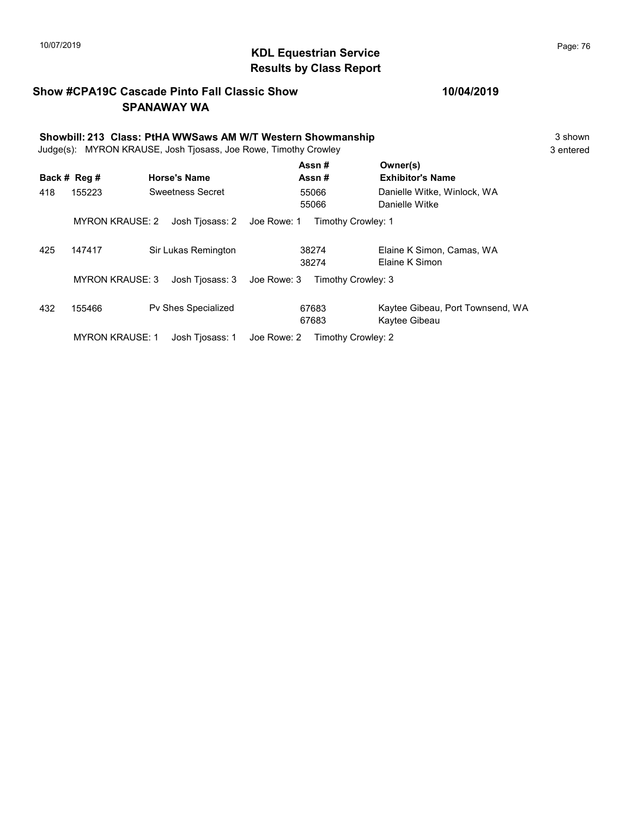## 10/07/2019 **Page: 76**<br> **KDL Equestrian Service** Monthly the Service Page: 76 Results by Class Report

#### Show #CPA19C Cascade Pinto Fall Classic Show SPANAWAY WA

| Showbill: 213 Class: PtHA WWSaws AM W/T Western Showmanship<br>MYRON KRAUSE, Josh Tiosass, Joe Rowe, Timothy Crowley<br>Judge(s): |                        |                     |             |                    |                                                   |  |  |
|-----------------------------------------------------------------------------------------------------------------------------------|------------------------|---------------------|-------------|--------------------|---------------------------------------------------|--|--|
|                                                                                                                                   | Back # Reg #           | <b>Horse's Name</b> |             | Assn#<br>Assn#     | Owner(s)<br><b>Exhibitor's Name</b>               |  |  |
| 418                                                                                                                               | 155223                 | Sweetness Secret    |             | 55066<br>55066     | Danielle Witke, Winlock, WA<br>Danielle Witke     |  |  |
|                                                                                                                                   | <b>MYRON KRAUSE: 2</b> | Josh Tiosass: 2     | Joe Rowe: 1 | Timothy Crowley: 1 |                                                   |  |  |
| 425                                                                                                                               | 147417                 | Sir Lukas Remington |             | 38274<br>38274     | Elaine K Simon, Camas, WA<br>Elaine K Simon       |  |  |
|                                                                                                                                   | <b>MYRON KRAUSE: 3</b> | Josh Tiosass: 3     | Joe Rowe: 3 | Timothy Crowley: 3 |                                                   |  |  |
| 432                                                                                                                               | 155466                 | Pv Shes Specialized |             | 67683<br>67683     | Kaytee Gibeau, Port Townsend, WA<br>Kaytee Gibeau |  |  |
|                                                                                                                                   | <b>MYRON KRAUSE: 1</b> | Josh Tiosass: 1     | Joe Rowe: 2 | Timothy Crowley: 2 |                                                   |  |  |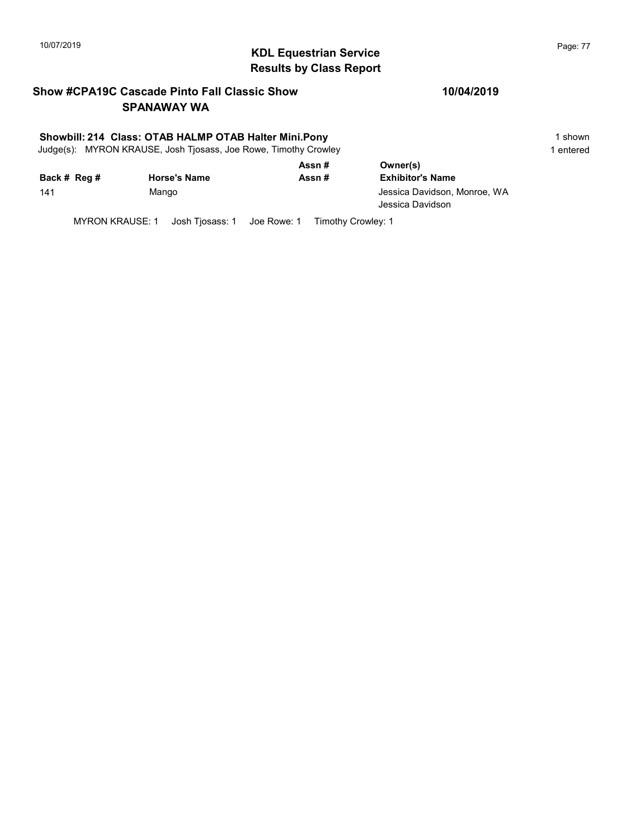## $\blacksquare$  10/07/2019 Page: 77  $\blacksquare$   $\blacksquare$   $\blacksquare$   $\blacksquare$   $\blacksquare$   $\blacksquare$   $\blacksquare$   $\blacksquare$   $\blacksquare$   $\blacksquare$   $\blacksquare$   $\blacksquare$   $\blacksquare$   $\blacksquare$   $\blacksquare$   $\blacksquare$   $\blacksquare$   $\blacksquare$   $\blacksquare$   $\blacksquare$   $\blacksquare$   $\blacksquare$   $\blacksquare$   $\blacksquare$   $\blacksquare$   $\blacksquare$   $\blacksquare$   $\blacksquare$ Results by Class Report

#### Show #CPA19C Cascade Pinto Fall Classic Show SPANAWAY WA

#### Showbill: 214 Class: OTAB HALMP OTAB Halter Mini.Pony 1 shown 1 shown

Judge(s): MYRON KRAUSE, Josh Tjosass, Joe Rowe, Timothy Crowley 1 entered 1 entered

|              |                     | Assn# | Owner(s)                                         |
|--------------|---------------------|-------|--------------------------------------------------|
| Back # Reg # | <b>Horse's Name</b> | Assn# | <b>Exhibitor's Name</b>                          |
| 141          | Mango               |       | Jessica Davidson, Monroe, WA<br>Jessica Davidson |

MYRON KRAUSE: 1 Josh Tjosass: 1 Joe Rowe: 1 Timothy Crowley: 1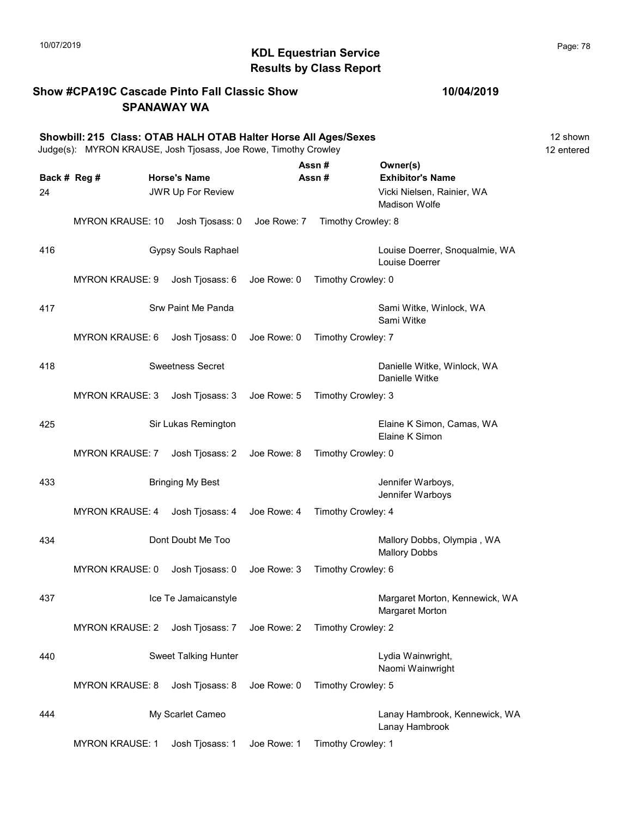#### KDL Equestrian Service 10/07/2019 Page: 78 Results by Class Report

#### Show #CPA19C Cascade Pinto Fall Classic Show SPANAWAY WA

#### 10/04/2019

Showbill: 215 Class: OTAB HALH OTAB Halter Horse All Ages/Sexes 12 Shown 12 shown Judge(s): MYRON KRAUSE, Josh Tjosass, Joe Rowe, Timothy Crowley 12 entered Back # Reg # Horse's Name  $\overline{R}$  Assn # Exhibitor's Name Assn # Owner(s) 24 JWR Up For Review Vicki Nielsen, Rainier, WA Madison Wolfe MYRON KRAUSE: 10 Josh Tjosass: 0 Joe Rowe: 7 Timothy Crowley: 8 416 Gypsy Souls Raphael Louise Doerrer, Snoqualmie, WA Louise Doerrer MYRON KRAUSE: 9 Josh Tjosass: 6 Joe Rowe: 0 Timothy Crowley: 0 417 Shu Paint Me Panda Sami Witke, Winlock, WA Sami Witke MYRON KRAUSE: 6 Josh Tjosass: 0 Joe Rowe: 0 Timothy Crowley: 7 Australia Sweetness Secret Communications of the Danielle Witke, Winlock, WA Danielle Witke MYRON KRAUSE: 3 Josh Tjosass: 3 Joe Rowe: 5 Timothy Crowley: 3 425 Sir Lukas Remington Elaine K Simon, Camas, WA Elaine K Simon MYRON KRAUSE: 7 Josh Tjosass: 2 Joe Rowe: 8 Timothy Crowley: 0 According My Best According My Best Controller Marboys, Jennifer Warboys MYRON KRAUSE: 4 Josh Tjosass: 4 Joe Rowe: 4 Timothy Crowley: 4 434 **Dont Doubt Me Too Department Content Content Content Content Content Content Content Content Content Content Content Content Content Content Content Content Content Content Content Content Content Content Content Co** Mallory Dobbs MYRON KRAUSE: 0 Josh Tjosass: 0 Joe Rowe: 3 Timothy Crowley: 6 437 **In the Solution Contract Act and Tena and Tena and Tena and Tena and Tena and Tena and Tena and Tena and Tena Act of Tena Act of Tena Act of Tena Act of Tena Act of Tena Act of Tena Act of Tena Act of Tena Act of Tena** Margaret Morton MYRON KRAUSE: 2 Josh Tjosass: 7 Joe Rowe: 2 Timothy Crowley: 2 440 Sweet Talking Hunter Lydia Wainwright, Naomi Wainwright MYRON KRAUSE: 8 Josh Tjosass: 8 Joe Rowe: 0 Timothy Crowley: 5 444 My Scarlet Cameo Lanay Hambrook, Kennewick, WA Lanay Hambrook

MYRON KRAUSE: 1 Josh Tjosass: 1 Joe Rowe: 1 Timothy Crowley: 1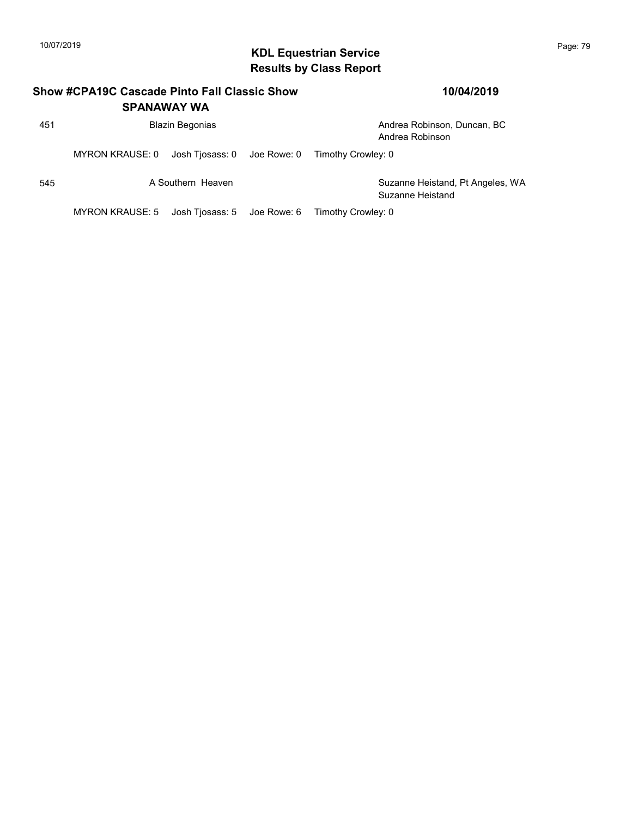## KDL Equestrian Service 10/07/2019 Page: 79 Results by Class Report

|     | Show #CPA19C Cascade Pinto Fall Classic Show<br><b>SPANAWAY WA</b> |                             | 10/04/2019 |                                                      |
|-----|--------------------------------------------------------------------|-----------------------------|------------|------------------------------------------------------|
| 451 |                                                                    | <b>Blazin Begonias</b>      |            | Andrea Robinson, Duncan, BC<br>Andrea Robinson       |
|     | MYRON KRAUSE: 0                                                    | Josh Tjosass: 0 Joe Rowe: 0 |            | Timothy Crowley: 0                                   |
| 545 |                                                                    | A Southern Heaven           |            | Suzanne Heistand, Pt Angeles, WA<br>Suzanne Heistand |
|     | <b>MYRON KRAUSE: 5</b>                                             | Josh Tiosass: 5 Joe Rowe: 6 |            | Timothy Crowley: 0                                   |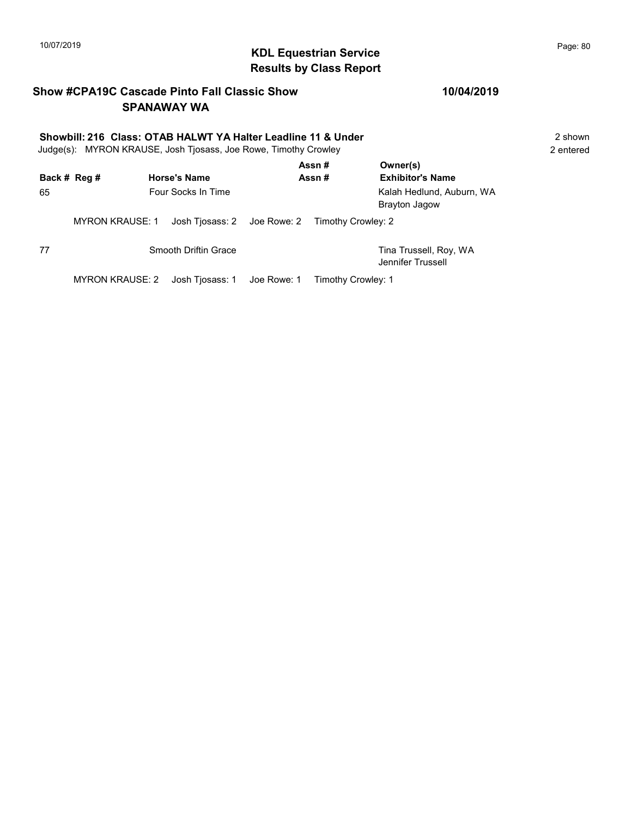## KDL Equestrian Service 10/07/2019 Page: 80 Results by Class Report

#### Show #CPA19C Cascade Pinto Fall Classic Show SPANAWAY WA

#### 10/04/2019

#### Showbill: 216 Class: OTAB HALWT YA Halter Leadline 11 & Under 2 Shown 2 shown Judge(s): MYRON KRAUSE, Josh Tjosass, Joe Rowe, Timothy Crowley 2 entered Assn # Owner(s)

|              |                        |                                                | ASSN #             | <b>Owner(S)</b>                                   |
|--------------|------------------------|------------------------------------------------|--------------------|---------------------------------------------------|
| Back # Reg # |                        | <b>Horse's Name</b>                            | Assn#              | <b>Exhibitor's Name</b>                           |
| 65           |                        | Four Socks In Time                             |                    | Kalah Hedlund, Auburn, WA<br><b>Brayton Jagow</b> |
|              | <b>MYRON KRAUSE: 1</b> | Josh Tiosass: 2 Joe Rowe: 2 Timothy Crowley: 2 |                    |                                                   |
| 77           |                        | Smooth Driftin Grace                           |                    | Tina Trussell, Roy, WA<br>Jennifer Trussell       |
|              | MYRON KRAUSE: 2        |                                                | Timothy Crowley: 1 |                                                   |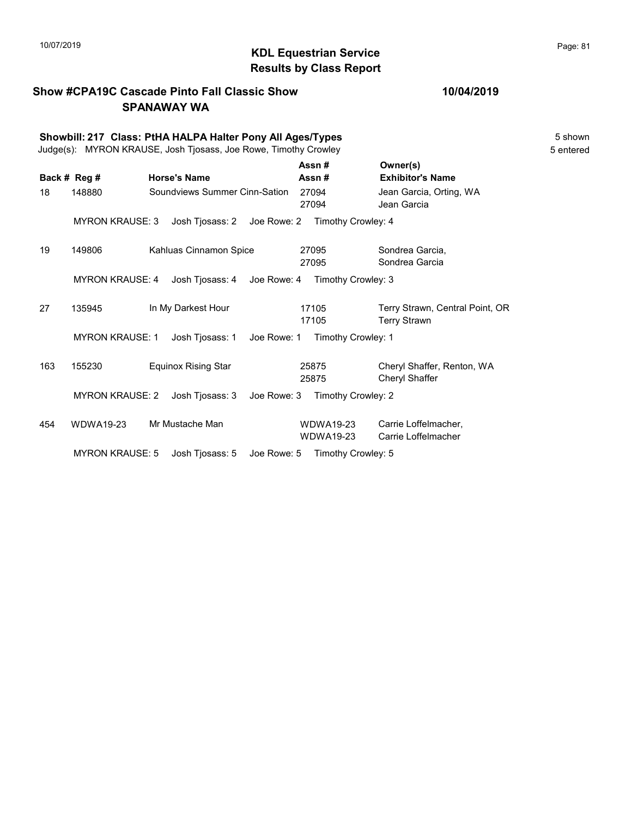#### KDL Equestrian Service 10/07/2019 Page: 81 Results by Class Report

#### Show #CPA19C Cascade Pinto Fall Classic Show SPANAWAY WA

#### 10/04/2019

Showbill: 217 Class: PtHA HALPA Halter Pony All Ages/Types 5 Shown Judge(s): MYRON KRAUSE, Josh Tjosass, Joe Rowe, Timothy Crowley 5 entered Back # Reg # Horse's Name  $\overline{R}$  Assn # Exhibitor's Name Assn # Owner(s) 18 148880 Soundviews Summer Cinn-Sation 27094 Jean Garcia, Orting, WA 27094 Jean Garcia MYRON KRAUSE: 3 Josh Tjosass: 2 Joe Rowe: 2 Timothy Crowley: 4 19 149806 Kahluas Cinnamon Spice Sondrea Garcia, 27095 Sondrea Garcia 27095 MYRON KRAUSE: 4 Josh Tjosass: 4 Joe Rowe: 4 Timothy Crowley: 3 27 135945 In My Darkest Hour 17105 Terry Strawn, Central Point, OR 17105 Terry Strawn 17105 MYRON KRAUSE: 1 Josh Tjosass: 1 Joe Rowe: 1 Timothy Crowley: 1 163 155230 Equinox Rising Star Cheryl Shaffer, Renton, WA 25875 Cheryl Shaffer 25875 MYRON KRAUSE: 2 Josh Tjosass: 3 Joe Rowe: 3 Timothy Crowley: 2 454 WDWA19-23 Mr Mustache Man CDWDWA19-23 Carrie Loffelmacher, WDWA19-23 Carrie Loffelmacher WDWA19-23 MYRON KRAUSE: 5 Josh Tjosass: 5 Joe Rowe: 5 Timothy Crowley: 5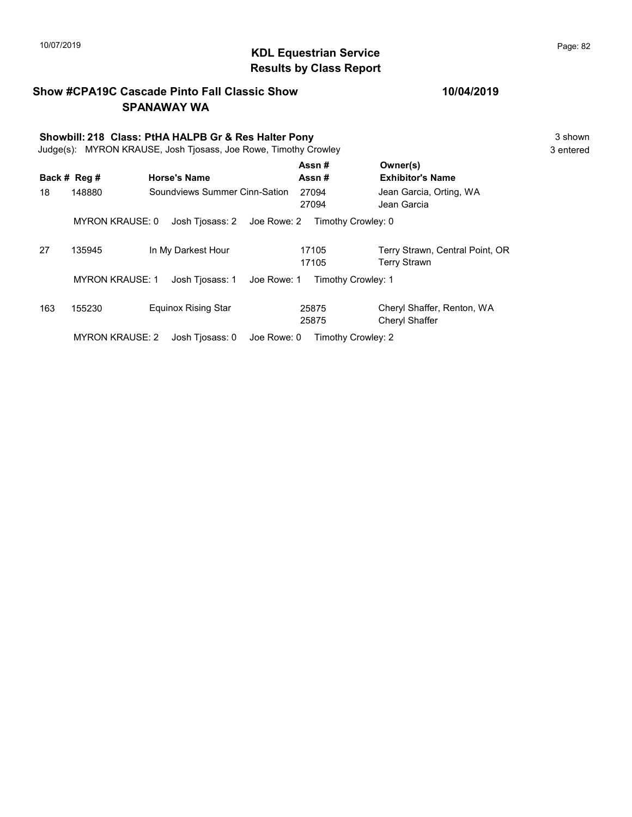## KDL Equestrian Service 10/07/2019 Page: 82 Results by Class Report

#### Show #CPA19C Cascade Pinto Fall Classic Show SPANAWAY WA

# Showbill: 218 Class: PtHA HALPB Gr & Res Halter Pony<br>
Judge(s): MYRON KRAUSE. Josh Tiosass. Joe Rowe. Timothy Crowley<br>
3 entered

Judge(s): MYRON KRAUSE, Josh Tjosass, Joe Rowe, Timothy Crowley

|     |                        |                                | Assn#              | Owner(s)                                        |
|-----|------------------------|--------------------------------|--------------------|-------------------------------------------------|
|     | Back # Reg #           | <b>Horse's Name</b>            | Assn#              | <b>Exhibitor's Name</b>                         |
| 18  | 148880                 | Soundviews Summer Cinn-Sation  | 27094<br>27094     | Jean Garcia, Orting, WA<br>Jean Garcia          |
|     | <b>MYRON KRAUSE: 0</b> | Josh Tiosass: 2 Joe Rowe: 2    | Timothy Crowley: 0 |                                                 |
| 27  | 135945                 | In My Darkest Hour             | 17105<br>17105     | Terry Strawn, Central Point, OR<br>Terry Strawn |
|     | <b>MYRON KRAUSE: 1</b> | Josh Tiosass: 1<br>Joe Rowe: 1 | Timothy Crowley: 1 |                                                 |
| 163 | 155230                 | <b>Equinox Rising Star</b>     | 25875<br>25875     | Cheryl Shaffer, Renton, WA<br>Cheryl Shaffer    |
|     | <b>MYRON KRAUSE: 2</b> | Joe Rowe: 0<br>Josh Tiosass: 0 | Timothy Crowley: 2 |                                                 |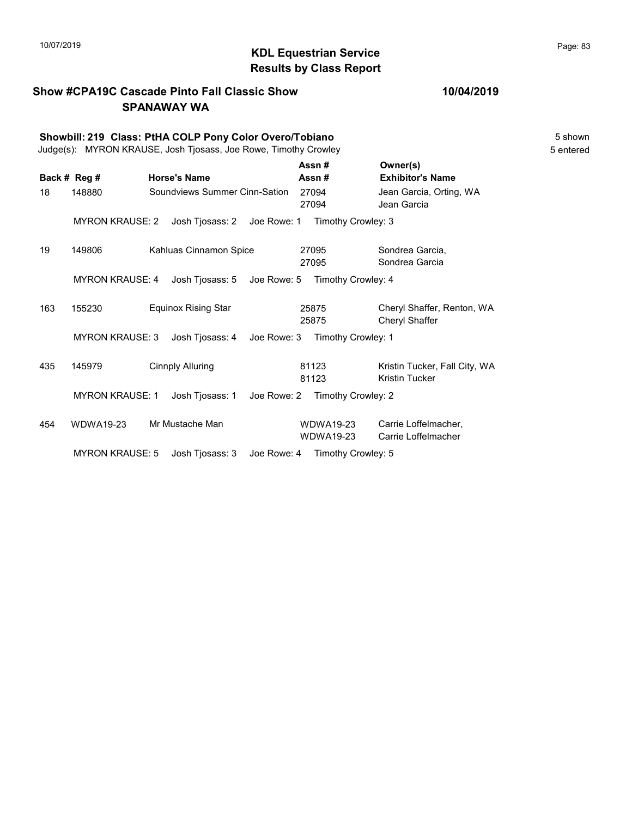#### KDL Equestrian Service 10/07/2019 Page: 83 Results by Class Report

#### Show #CPA19C Cascade Pinto Fall Classic Show SPANAWAY WA

Showbill: 219 Class: PtHA COLP Pony Color Overo/Tobiano 5 Shown 5 shown Judge(s): MYRON KRAUSE, Josh Tjosass, Joe Rowe, Timothy Crowley 5 entered Back # Reg # Horse's Name  $\overline{R}$  Assn # Exhibitor's Name Assn # Owner(s) 18 148880 Soundviews Summer Cinn-Sation 27094 Jean Garcia, Orting, WA 27094 Jean Garcia MYRON KRAUSE: 2 Josh Tjosass: 2 Joe Rowe: 1 Timothy Crowley: 3 19 149806 Kahluas Cinnamon Spice Sondrea Garcia, 27095 Sondrea Garcia 27095 MYRON KRAUSE: 4 Josh Tjosass: 5 Joe Rowe: 5 Timothy Crowley: 4 163 155230 Equinox Rising Star Cheryl Shaffer, Renton, WA 25875 Cheryl Shaffer 25875 MYRON KRAUSE: 3 Josh Tjosass: 4 Joe Rowe: 3 Timothy Crowley: 1 435 145979 Cinnply Alluring 81123 Kristin Tucker, Fall City, WA 81123 Kristin Tucker 81123 MYRON KRAUSE: 1 Josh Tjosass: 1 Joe Rowe: 2 Timothy Crowley: 2 454 WDWA19-23 Mr Mustache Man CDWDWA19-23 Carrie Loffelmacher, WDWA19-23 Carrie Loffelmacher WDWA19-23 MYRON KRAUSE: 5 Josh Tjosass: 3 Joe Rowe: 4 Timothy Crowley: 5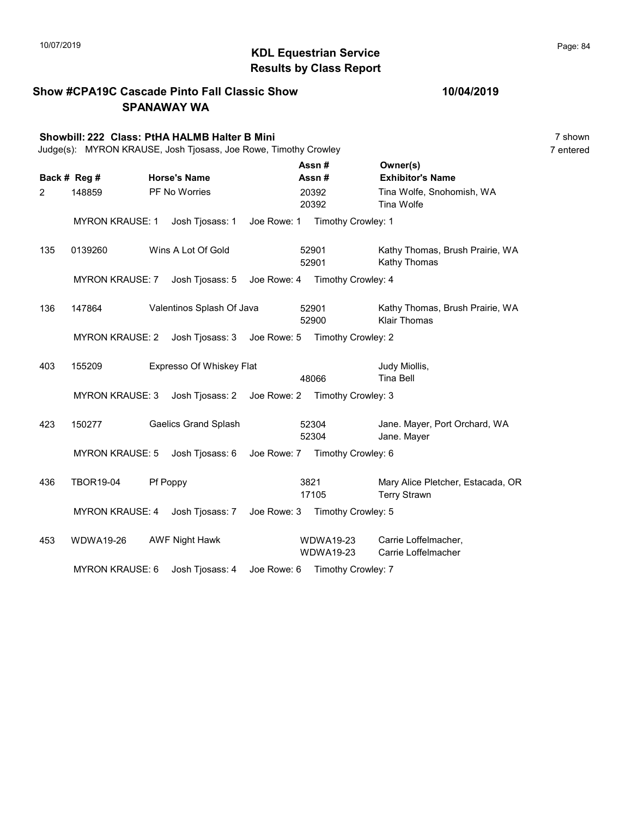#### KDL Equestrian Service 10/07/2019 Page: 84 Results by Class Report

Show #CPA19C Cascade Pinto Fall Classic Show SPANAWAY WA Showbill: 222 Class: PtHA HALMB Halter B Mini 7 shown 7 shown 7 shown 7 shown Judge(s): MYRON KRAUSE, Josh Tjosass, Joe Rowe, Timothy Crowley 7 entered Back # Reg # Horse's Name  $\overline{R}$  Assn # Exhibitor's Name Assn # Owner(s) 2 148859 PF No Worries 20392 Tina Wolfe, Snohomish, WA 20392 Tina Wolfe 20392 MYRON KRAUSE: 1 Josh Tjosass: 1 Joe Rowe: 1 Timothy Crowley: 1 135 0139260 Wins A Lot Of Gold 52901 Kathy Thomas, Brush Prairie, WA 52901 Kathy Thomas 52901 MYRON KRAUSE: 7 Josh Tjosass: 5 Joe Rowe: 4 Timothy Crowley: 4 136 147864 Valentinos Splash Of Java 52901 Kathy Thomas, Brush Prairie, WA 52900 Klair Thomas 52901 MYRON KRAUSE: 2 Josh Tjosass: 3 Joe Rowe: 5 Timothy Crowley: 2 403 155209 Expresso Of Whiskey Flat Judy Miollis, 48066 Tina Bell MYRON KRAUSE: 3 Josh Tjosass: 2 Joe Rowe: 2 Timothy Crowley: 3 423 150277 Gaelics Grand Splash 52304 Jane. Mayer, Port Orchard, WA 52304 Jane. Mayer 52304 MYRON KRAUSE: 5 Josh Tjosass: 6 Joe Rowe: 7 Timothy Crowley: 6 436 TBOR19-04 Pf Poppy 2008 19821 Mary Alice Pletcher, Estacada, OR 17105 Terry Strawn 3821 MYRON KRAUSE: 4 Josh Tjosass: 7 Joe Rowe: 3 Timothy Crowley: 5 453 WDWA19-26 AWF Night Hawk MDWA19-23 Carrie Loffelmacher, WDWA19-23 Carrie Loffelmacher WDWA19-23 MYRON KRAUSE: 6 Josh Tjosass: 4 Joe Rowe: 6 Timothy Crowley: 7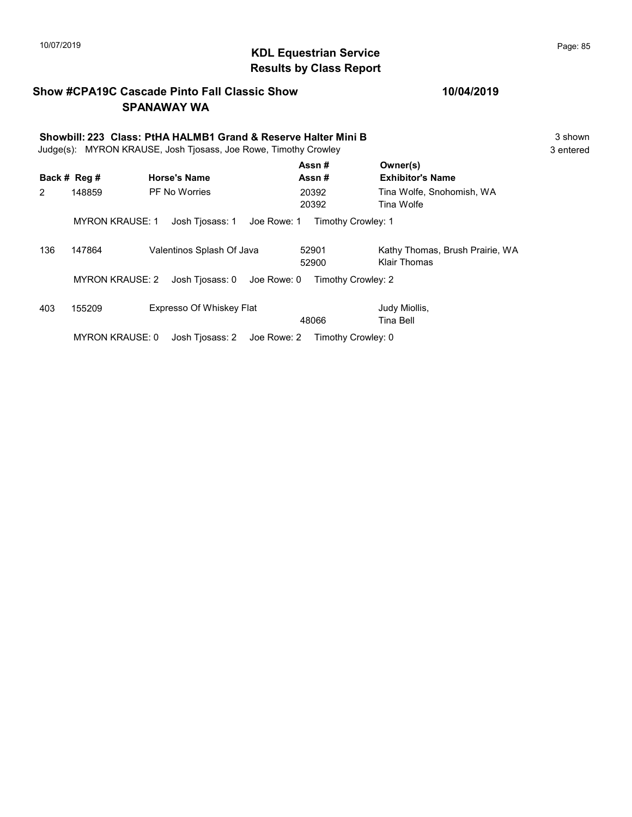## KDL Equestrian Service 10/07/2019 Page: 85 Results by Class Report

#### Show #CPA19C Cascade Pinto Fall Classic Show SPANAWAY WA

|                | Showbill: 223 Class: PtHA HALMB1 Grand & Reserve Halter Mini B<br>MYRON KRAUSE, Josh Tjosass, Joe Rowe, Timothy Crowley<br>Judge(s): |                                |                    |                                                 |  |  |  |
|----------------|--------------------------------------------------------------------------------------------------------------------------------------|--------------------------------|--------------------|-------------------------------------------------|--|--|--|
|                | Back # Reg #                                                                                                                         | <b>Horse's Name</b>            | Assn#<br>Assn#     | Owner(s)<br><b>Exhibitor's Name</b>             |  |  |  |
| $\overline{2}$ | 148859                                                                                                                               | <b>PF No Worries</b>           | 20392<br>20392     | Tina Wolfe, Snohomish, WA<br>Tina Wolfe         |  |  |  |
|                | <b>MYRON KRAUSE: 1</b>                                                                                                               | Josh Tiosass: 1<br>Joe Rowe: 1 | Timothy Crowley: 1 |                                                 |  |  |  |
| 136            | 147864                                                                                                                               | Valentinos Splash Of Java      | 52901<br>52900     | Kathy Thomas, Brush Prairie, WA<br>Klair Thomas |  |  |  |
|                | <b>MYRON KRAUSE: 2</b>                                                                                                               | Josh Tiosass: 0<br>Joe Rowe: 0 | Timothy Crowley: 2 |                                                 |  |  |  |
| 403            | 155209                                                                                                                               | Expresso Of Whiskey Flat       | 48066              | Judy Miollis,<br>Tina Bell                      |  |  |  |
|                | <b>MYRON KRAUSE: 0</b>                                                                                                               | Josh Tiosass: 2<br>Joe Rowe: 2 | Timothy Crowley: 0 |                                                 |  |  |  |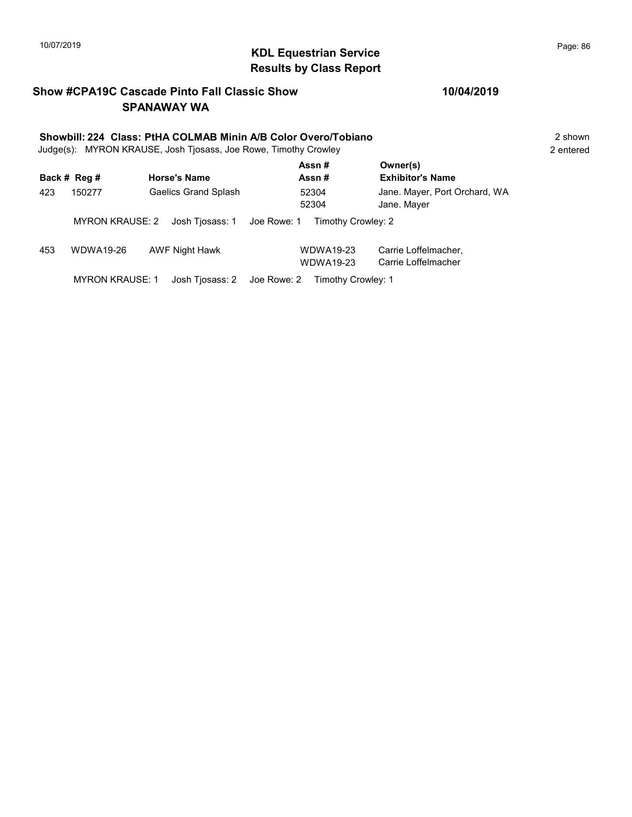## KDL Equestrian Service 10/07/2019 Page: 86 Results by Class Report

#### Show #CPA19C Cascade Pinto Fall Classic Show SPANAWAY WA

# Showbill: 224 Class: PtHA COLMAB Minin A/B Color Overo/Tobiano 2 Shown 2 shown

Judge(s): MYRON KRAUSE, Josh Tjosass, Joe Rowe, Timothy Crowley 2 entered

|     | Back # Reg #           | <b>Horse's Name</b>            | Assn#<br>Assn#                | Owner(s)<br><b>Exhibitor's Name</b>          |
|-----|------------------------|--------------------------------|-------------------------------|----------------------------------------------|
| 423 | 150277                 | <b>Gaelics Grand Splash</b>    | 52304<br>52304                | Jane. Mayer, Port Orchard, WA<br>Jane. Mayer |
|     | <b>MYRON KRAUSE: 2</b> | Josh Tiosass: 1<br>Joe Rowe: 1 | Timothy Crowley: 2            |                                              |
| 453 | WDWA19-26              | <b>AWF Night Hawk</b>          | WDWA19-23<br><b>WDWA19-23</b> | Carrie Loffelmacher,<br>Carrie Loffelmacher  |
|     | <b>MYRON KRAUSE: 1</b> | Josh Tiosass: 2<br>Joe Rowe: 2 | Timothy Crowley: 1            |                                              |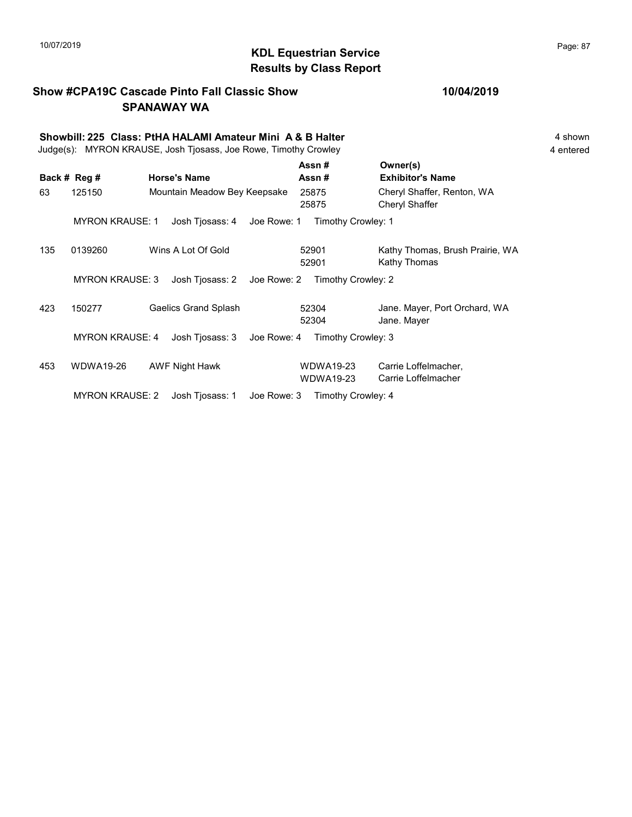## 10/07/2019 **Page: 87**<br> **KDL Equestrian Service** Entertainment of the Page: 87 Results by Class Report

### Show #CPA19C Cascade Pinto Fall Classic Show SPANAWAY WA

|  | 10/04/2019 |  |  |
|--|------------|--|--|
|--|------------|--|--|

|     | Showbill: 225 Class: PtHA HALAMI Amateur Mini A & B Halter<br>Judge(s): MYRON KRAUSE, Josh Tjosass, Joe Rowe, Timothy Crowley |                                |                               |                                                 |  |  |  |  |
|-----|-------------------------------------------------------------------------------------------------------------------------------|--------------------------------|-------------------------------|-------------------------------------------------|--|--|--|--|
|     | Back # Reg #                                                                                                                  | <b>Horse's Name</b>            | Assn#<br>Assn#                | Owner(s)<br><b>Exhibitor's Name</b>             |  |  |  |  |
| 63  | 125150                                                                                                                        | Mountain Meadow Bey Keepsake   | 25875<br>25875                | Cheryl Shaffer, Renton, WA<br>Cheryl Shaffer    |  |  |  |  |
|     | <b>MYRON KRAUSE: 1</b>                                                                                                        | Josh Tjosass: 4<br>Joe Rowe: 1 | Timothy Crowley: 1            |                                                 |  |  |  |  |
| 135 | 0139260                                                                                                                       | Wins A Lot Of Gold             | 52901<br>52901                | Kathy Thomas, Brush Prairie, WA<br>Kathy Thomas |  |  |  |  |
|     | <b>MYRON KRAUSE: 3</b>                                                                                                        | Josh Tjosass: 2<br>Joe Rowe: 2 | Timothy Crowley: 2            |                                                 |  |  |  |  |
| 423 | 150277                                                                                                                        | <b>Gaelics Grand Splash</b>    | 52304<br>52304                | Jane. Mayer, Port Orchard, WA<br>Jane. Mayer    |  |  |  |  |
|     | <b>MYRON KRAUSE: 4</b>                                                                                                        | Josh Tjosass: 3<br>Joe Rowe: 4 | Timothy Crowley: 3            |                                                 |  |  |  |  |
| 453 | WDWA19-26                                                                                                                     | AWF Night Hawk                 | WDWA19-23<br><b>WDWA19-23</b> | Carrie Loffelmacher,<br>Carrie Loffelmacher     |  |  |  |  |
|     | <b>MYRON KRAUSE: 2</b>                                                                                                        | Josh Tjosass: 1<br>Joe Rowe: 3 | Timothy Crowley: 4            |                                                 |  |  |  |  |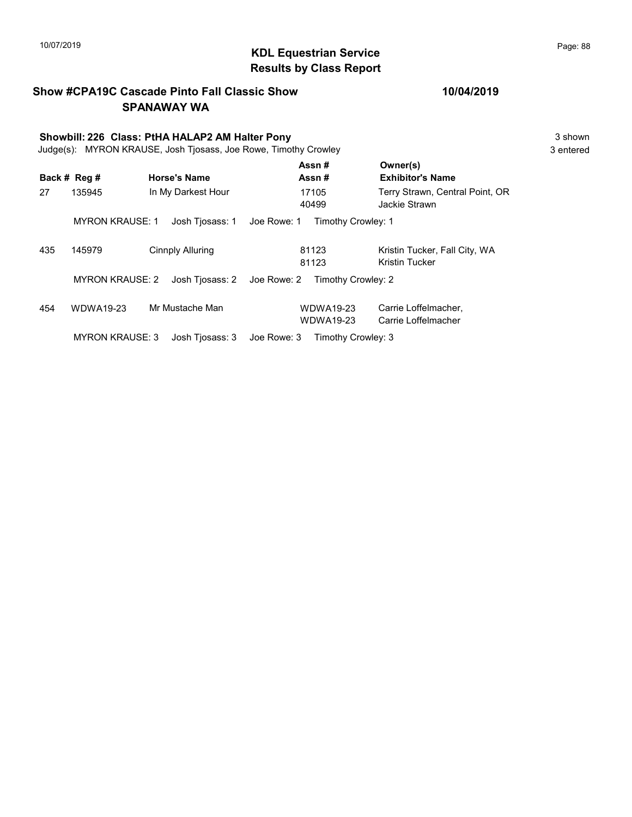## KDL Equestrian Service 10/07/2019 Page: 88 Results by Class Report

#### Show #CPA19C Cascade Pinto Fall Classic Show SPANAWAY WA

# Showbill: 226 Class: PtHA HALAP2 AM Halter Pony<br>Judge(s): MYRON KRAUSE. Josh Tiosass. Joe Rowe. Timothy Crowley 3 shown 3 shown

Judge(s): MYRON KRAUSE, Josh Tjosass, Joe Rowe, Timothy Crowley

|     |                        |                     |             | Assn#                                | Owner(s)                                         |
|-----|------------------------|---------------------|-------------|--------------------------------------|--------------------------------------------------|
|     | Back # Reg #           | <b>Horse's Name</b> |             | Assn#                                | <b>Exhibitor's Name</b>                          |
| 27  | 135945                 | In My Darkest Hour  |             | 17105<br>40499                       | Terry Strawn, Central Point, OR<br>Jackie Strawn |
|     | <b>MYRON KRAUSE: 1</b> | Josh Tiosass: 1     | Joe Rowe: 1 | Timothy Crowley: 1                   |                                                  |
| 435 | 145979                 | Cinnply Alluring    |             | 81123<br>81123                       | Kristin Tucker, Fall City, WA<br>Kristin Tucker  |
|     | <b>MYRON KRAUSE: 2</b> | Josh Tiosass: 2     | Joe Rowe: 2 | Timothy Crowley: 2                   |                                                  |
| 454 | <b>WDWA19-23</b>       | Mr Mustache Man     |             | <b>WDWA19-23</b><br><b>WDWA19-23</b> | Carrie Loffelmacher,<br>Carrie Loffelmacher      |
|     | <b>MYRON KRAUSE: 3</b> | Josh Tiosass: 3     | Joe Rowe: 3 | Timothy Crowley: 3                   |                                                  |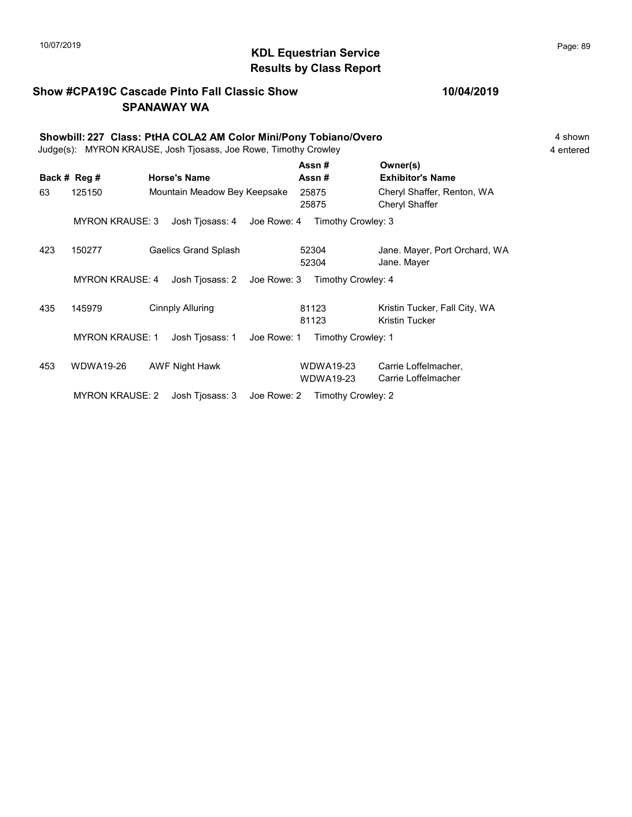## KDL Equestrian Service 10/07/2019 Page: 89 Results by Class Report

### Show #CPA19C Cascade Pinto Fall Classic Show SPANAWAY WA

|     | Showbill: 227 Class: PtHA COLA2 AM Color Mini/Pony Tobiano/Overo<br>Judge(s): MYRON KRAUSE, Josh Tjosass, Joe Rowe, Timothy Crowley |  |                              |             |                               |                                                 |  |  |  |
|-----|-------------------------------------------------------------------------------------------------------------------------------------|--|------------------------------|-------------|-------------------------------|-------------------------------------------------|--|--|--|
|     | Back # Reg #                                                                                                                        |  | <b>Horse's Name</b>          |             | Assn#<br>Assn#                | Owner(s)<br><b>Exhibitor's Name</b>             |  |  |  |
| 63  | 125150                                                                                                                              |  | Mountain Meadow Bey Keepsake |             | 25875<br>25875                | Cheryl Shaffer, Renton, WA<br>Cheryl Shaffer    |  |  |  |
|     | <b>MYRON KRAUSE: 3</b>                                                                                                              |  | Josh Tjosass: 4 Joe Rowe: 4  |             | Timothy Crowley: 3            |                                                 |  |  |  |
| 423 | 150277                                                                                                                              |  | <b>Gaelics Grand Splash</b>  |             | 52304<br>52304                | Jane. Mayer, Port Orchard, WA<br>Jane. Mayer    |  |  |  |
|     | <b>MYRON KRAUSE: 4</b>                                                                                                              |  | Josh Tjosass: 2              | Joe Rowe: 3 | Timothy Crowley: 4            |                                                 |  |  |  |
| 435 | 145979                                                                                                                              |  | <b>Cinnply Alluring</b>      |             | 81123<br>81123                | Kristin Tucker, Fall City, WA<br>Kristin Tucker |  |  |  |
|     | <b>MYRON KRAUSE: 1</b>                                                                                                              |  | Josh Tjosass: 1              | Joe Rowe: 1 | Timothy Crowley: 1            |                                                 |  |  |  |
| 453 | WDWA19-26                                                                                                                           |  | AWF Night Hawk               |             | WDWA19-23<br><b>WDWA19-23</b> | Carrie Loffelmacher,<br>Carrie Loffelmacher     |  |  |  |
|     | <b>MYRON KRAUSE: 2</b>                                                                                                              |  | Josh Tjosass: 3              | Joe Rowe: 2 | Timothy Crowley: 2            |                                                 |  |  |  |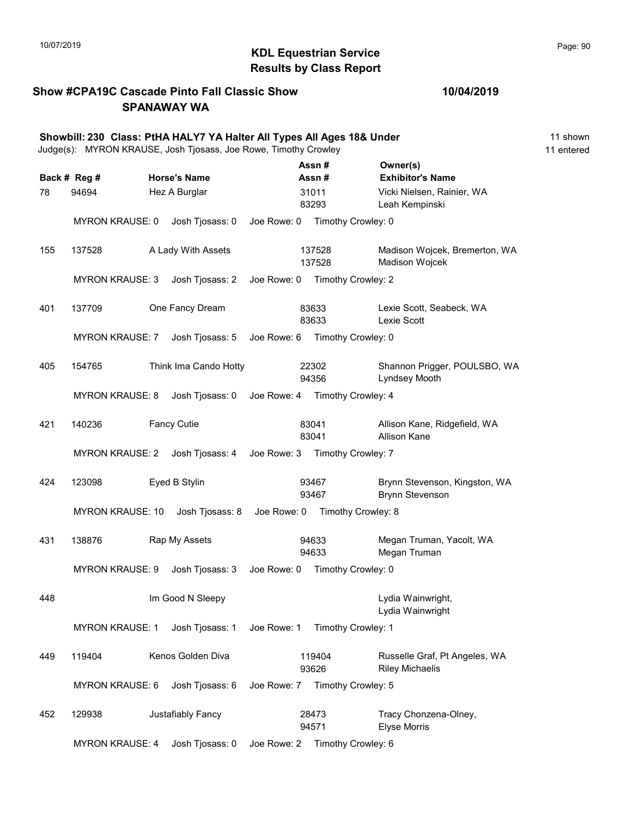## KDL Equestrian Service 10/07/2019 Page: 90 Results by Class Report

#### Show #CPA19C Cascade Pinto Fall Classic Show SPANAWAY WA

|     |                         | Showbill: 230 Class: PtHA HALY7 YA Halter All Types All Ages 18& Under<br>Judge(s): MYRON KRAUSE, Josh Tjosass, Joe Rowe, Timothy Crowley |             |                                |                                                         | 11 shown<br>11 entered |
|-----|-------------------------|-------------------------------------------------------------------------------------------------------------------------------------------|-------------|--------------------------------|---------------------------------------------------------|------------------------|
|     | Back # Reg #            | <b>Horse's Name</b>                                                                                                                       |             | Assn#<br>Assn#                 | Owner(s)<br><b>Exhibitor's Name</b>                     |                        |
| 78  | 94694                   | Hez A Burglar                                                                                                                             |             | 31011<br>83293                 | Vicki Nielsen, Rainier, WA<br>Leah Kempinski            |                        |
|     | <b>MYRON KRAUSE: 0</b>  | Josh Tjosass: 0                                                                                                                           | Joe Rowe: 0 | Timothy Crowley: 0             |                                                         |                        |
| 155 | 137528                  | A Lady With Assets                                                                                                                        |             | 137528<br>137528               | Madison Wojcek, Bremerton, WA<br>Madison Wojcek         |                        |
|     | <b>MYRON KRAUSE: 3</b>  | Josh Tjosass: 2                                                                                                                           | Joe Rowe: 0 | Timothy Crowley: 2             |                                                         |                        |
| 401 | 137709                  | One Fancy Dream                                                                                                                           |             | 83633<br>83633                 | Lexie Scott, Seabeck, WA<br>Lexie Scott                 |                        |
|     | <b>MYRON KRAUSE: 7</b>  | Josh Tjosass: 5 Joe Rowe: 6                                                                                                               |             | Timothy Crowley: 0             |                                                         |                        |
| 405 | 154765                  | Think Ima Cando Hotty                                                                                                                     |             | 22302<br>94356                 | Shannon Prigger, POULSBO, WA<br>Lyndsey Mooth           |                        |
|     | <b>MYRON KRAUSE: 8</b>  | Josh Tjosass: 0                                                                                                                           | Joe Rowe: 4 | Timothy Crowley: 4             |                                                         |                        |
| 421 | 140236                  | <b>Fancy Cutie</b>                                                                                                                        |             | 83041<br>83041                 | Allison Kane, Ridgefield, WA<br><b>Allison Kane</b>     |                        |
|     | <b>MYRON KRAUSE: 2</b>  | Josh Tjosass: 4                                                                                                                           | Joe Rowe: 3 | Timothy Crowley: 7             |                                                         |                        |
| 424 | 123098                  | Eyed B Stylin                                                                                                                             |             | 93467<br>93467                 | Brynn Stevenson, Kingston, WA<br><b>Brynn Stevenson</b> |                        |
|     | <b>MYRON KRAUSE: 10</b> | Josh Tjosass: 8                                                                                                                           |             | Joe Rowe: 0 Timothy Crowley: 8 |                                                         |                        |
| 431 | 138876                  | Rap My Assets                                                                                                                             |             | 94633<br>94633                 | Megan Truman, Yacolt, WA<br>Megan Truman                |                        |
|     | <b>MYRON KRAUSE: 9</b>  | Josh Tjosass: 3                                                                                                                           | Joe Rowe: 0 | Timothy Crowley: 0             |                                                         |                        |
| 448 |                         | Im Good N Sleepy                                                                                                                          |             |                                | Lydia Wainwright,<br>Lydia Wainwright                   |                        |
|     | <b>MYRON KRAUSE: 1</b>  | Josh Tjosass: 1                                                                                                                           | Joe Rowe: 1 | Timothy Crowley: 1             |                                                         |                        |
| 449 | 119404                  | Kenos Golden Diva                                                                                                                         |             | 119404<br>93626                | Russelle Graf, Pt Angeles, WA<br><b>Riley Michaelis</b> |                        |
|     | <b>MYRON KRAUSE: 6</b>  | Josh Tjosass: 6                                                                                                                           | Joe Rowe: 7 | Timothy Crowley: 5             |                                                         |                        |
| 452 | 129938                  | Justafiably Fancy                                                                                                                         |             | 28473<br>94571                 | Tracy Chonzena-Olney,<br><b>Elyse Morris</b>            |                        |
|     | <b>MYRON KRAUSE: 4</b>  | Josh Tjosass: 0                                                                                                                           | Joe Rowe: 2 | Timothy Crowley: 6             |                                                         |                        |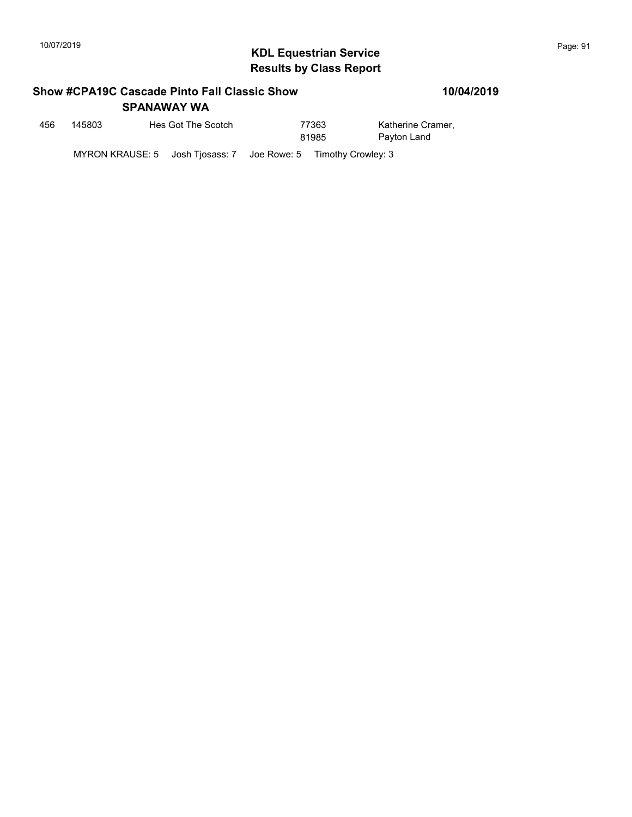## KDL Equestrian Service 10/07/2019 Page: 91 Results by Class Report

#### Show #CPA19C Cascade Pinto Fall Classic Show SPANAWAY WA

| 456 | 145803 | Hes Got The Scotch                                             | 77363<br>81985 | Katherine Cramer,<br>Payton Land |
|-----|--------|----------------------------------------------------------------|----------------|----------------------------------|
|     |        | MYRON KRAUSE: 5 Josh Tiosass: 7 Joe Rowe: 5 Timothy Crowley: 3 |                |                                  |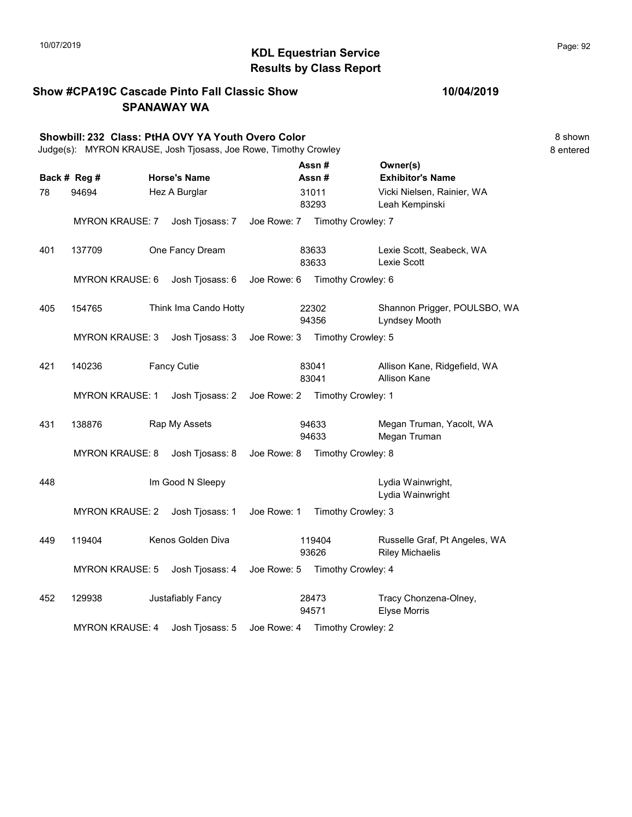#### KDL Equestrian Service 10/07/2019 Page: 92 Results by Class Report

Show #CPA19C Cascade Pinto Fall Classic Show SPANAWAY WA Showbill: 232 Class: PtHA OVY YA Youth Overo Color 8 shown 8 shown 8 shown Judge(s): MYRON KRAUSE, Josh Tjosass, Joe Rowe, Timothy Crowley 8 entered Back # Reg # Horse's Name  $\overline{R}$  Assn # Exhibitor's Name Assn # Owner(s) 78 94694 Hez A Burglar Vicki Nielsen, Rainier, WA 83293 Leah Kempinski 31011 MYRON KRAUSE: 7 Josh Tjosass: 7 Joe Rowe: 7 Timothy Crowley: 7 401 137709 One Fancy Dream Lexie Scott, Seabeck, WA 83633 Lexie Scott 83633 MYRON KRAUSE: 6 Josh Tjosass: 6 Joe Rowe: 6 Timothy Crowley: 6 405 154765 Think Ima Cando Hotty 22302 Shannon Prigger, POULSBO, WA 94356 Lyndsey Mooth 22302 MYRON KRAUSE: 3 Josh Tjosass: 3 Joe Rowe: 3 Timothy Crowley: 5 421 140236 Fancy Cutie **Allison Kane, Ridgefield, WA** 83041 Allison Kane 83041 MYRON KRAUSE: 1 Josh Tjosass: 2 Joe Rowe: 2 Timothy Crowley: 1 431 138876 Rap My Assets 6 94633 Megan Truman, Yacolt, WA 94633 Megan Truman 94633 MYRON KRAUSE: 8 Josh Tjosass: 8 Joe Rowe: 8 Timothy Crowley: 8 Australian Mathematics of the United States of the United States of the United States of the United States of the United States of the United States of the United States of the United States of the United States of the Uni Lydia Wainwright MYRON KRAUSE: 2 Josh Tjosass: 1 Joe Rowe: 1 Timothy Crowley: 3 449 119404 Kenos Golden Diva 119404 Russelle Graf, Pt Angeles, WA 93626 Riley Michaelis 119404 MYRON KRAUSE: 5 Josh Tjosass: 4 Joe Rowe: 5 Timothy Crowley: 4 452 129938 Justafiably Fancy 28473 Tracy Chonzena-Olney, 94571 Elyse Morris 28473 MYRON KRAUSE: 4 Josh Tjosass: 5 Joe Rowe: 4 Timothy Crowley: 2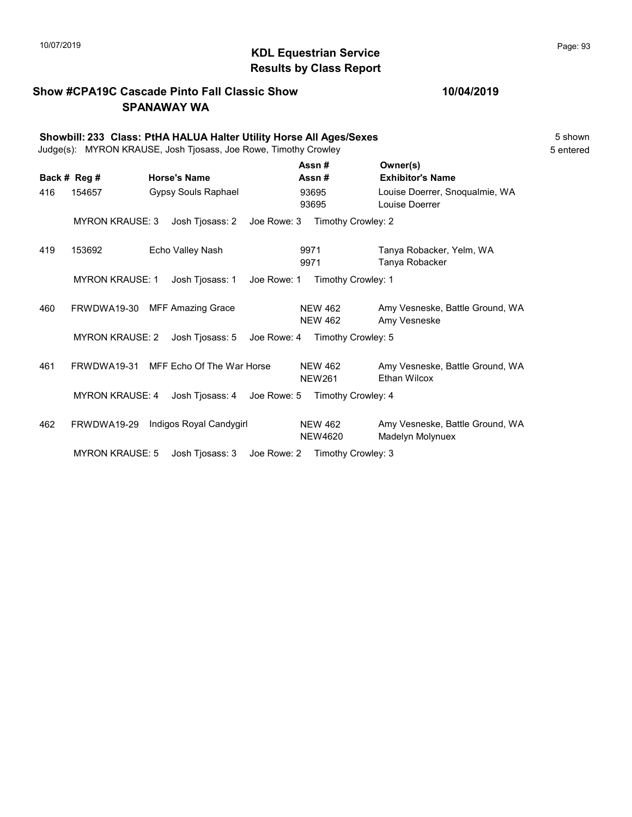## KDL Equestrian Service 10/07/2019 Page: 93 Results by Class Report

#### Show #CPA19C Cascade Pinto Fall Classic Show SPANAWAY WA

|     | Showbill: 233 Class: PtHA HALUA Halter Utility Horse All Ages/Sexes<br>Judge(s): MYRON KRAUSE, Josh Tjosass, Joe Rowe, Timothy Crowley<br>5 entered |  |                            |             |                                  |                                                        |  |  |  |  |
|-----|-----------------------------------------------------------------------------------------------------------------------------------------------------|--|----------------------------|-------------|----------------------------------|--------------------------------------------------------|--|--|--|--|
|     | Back # Reg #                                                                                                                                        |  | <b>Horse's Name</b>        |             | Assn#<br>Assn#                   | Owner(s)<br><b>Exhibitor's Name</b>                    |  |  |  |  |
| 416 | 154657                                                                                                                                              |  | <b>Gypsy Souls Raphael</b> |             | 93695<br>93695                   | Louise Doerrer, Snogualmie, WA<br>Louise Doerrer       |  |  |  |  |
|     | <b>MYRON KRAUSE: 3</b>                                                                                                                              |  | Josh Tjosass: 2            |             | Joe Rowe: 3 Timothy Crowley: 2   |                                                        |  |  |  |  |
| 419 | 153692                                                                                                                                              |  | Echo Valley Nash           |             | 9971<br>9971                     | Tanya Robacker, Yelm, WA<br>Tanya Robacker             |  |  |  |  |
|     | <b>MYRON KRAUSE: 1</b>                                                                                                                              |  | Josh Tjosass: 1            | Joe Rowe: 1 | Timothy Crowley: 1               |                                                        |  |  |  |  |
| 460 | FRWDWA19-30                                                                                                                                         |  | <b>MFF Amazing Grace</b>   |             | <b>NEW 462</b><br><b>NEW 462</b> | Amy Vesneske, Battle Ground, WA<br>Amy Vesneske        |  |  |  |  |
|     | <b>MYRON KRAUSE: 2</b>                                                                                                                              |  | Josh Tjosass: 5            | Joe Rowe: 4 | Timothy Crowley: 5               |                                                        |  |  |  |  |
| 461 | FRWDWA19-31                                                                                                                                         |  | MFF Echo Of The War Horse  |             | <b>NEW 462</b><br><b>NEW261</b>  | Amy Vesneske, Battle Ground, WA<br><b>Ethan Wilcox</b> |  |  |  |  |
|     | <b>MYRON KRAUSE: 4</b>                                                                                                                              |  | Josh Tjosass: 4            | Joe Rowe: 5 | Timothy Crowley: 4               |                                                        |  |  |  |  |
| 462 | FRWDWA19-29                                                                                                                                         |  | Indigos Royal Candygirl    |             | <b>NEW 462</b><br><b>NEW4620</b> | Amy Vesneske, Battle Ground, WA<br>Madelyn Molynuex    |  |  |  |  |
|     | <b>MYRON KRAUSE: 5</b>                                                                                                                              |  | Josh Tjosass: 3            |             | Joe Rowe: 2 Timothy Crowley: 3   |                                                        |  |  |  |  |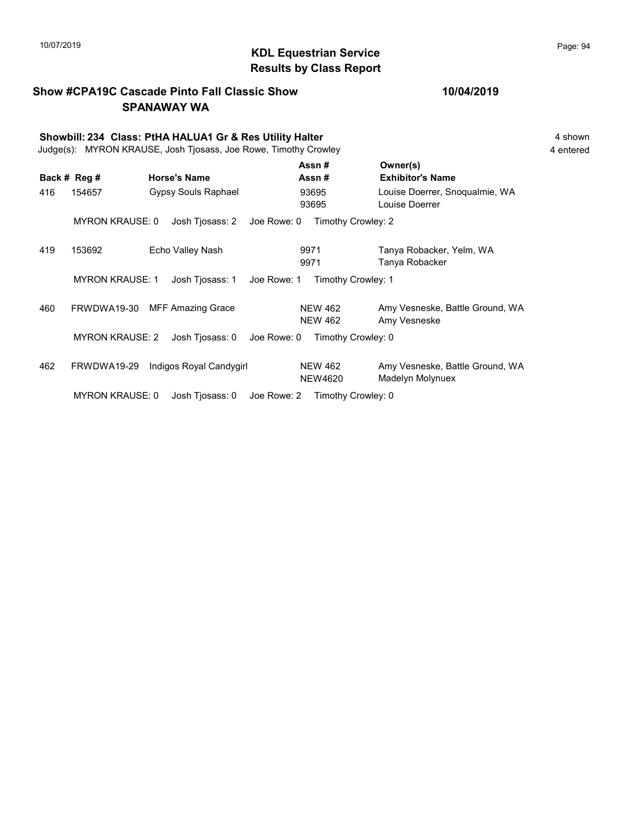## 10/07/2019 **Page: 94 Page: 94 KDL Equestrian Service Page: 94 Page: 94** Results by Class Report

#### Show #CPA19C Cascade Pinto Fall Classic Show SPANAWAY WA

|     | Showbill: 234 Class: PtHA HALUA1 Gr & Res Utility Halter<br>Judge(s): MYRON KRAUSE, Josh Tjosass, Joe Rowe, Timothy Crowley |  |                          |             |                                  |                                                     |  |  |  |  |
|-----|-----------------------------------------------------------------------------------------------------------------------------|--|--------------------------|-------------|----------------------------------|-----------------------------------------------------|--|--|--|--|
|     | Back # Reg #                                                                                                                |  | <b>Horse's Name</b>      |             | Assn#<br>Assn#                   | Owner(s)<br><b>Exhibitor's Name</b>                 |  |  |  |  |
| 416 | 154657                                                                                                                      |  | Gypsy Souls Raphael      |             | 93695<br>93695                   | Louise Doerrer, Snoqualmie, WA<br>Louise Doerrer    |  |  |  |  |
|     | <b>MYRON KRAUSE: 0</b>                                                                                                      |  | Josh Tjosass: 2          | Joe Rowe: 0 | Timothy Crowley: 2               |                                                     |  |  |  |  |
| 419 | 153692                                                                                                                      |  | Echo Valley Nash         |             | 9971<br>9971                     | Tanya Robacker, Yelm, WA<br>Tanya Robacker          |  |  |  |  |
|     | <b>MYRON KRAUSE: 1</b>                                                                                                      |  | Josh Tjosass: 1          | Joe Rowe: 1 | Timothy Crowley: 1               |                                                     |  |  |  |  |
| 460 | FRWDWA19-30                                                                                                                 |  | <b>MFF Amazing Grace</b> |             | <b>NEW 462</b><br><b>NEW 462</b> | Amy Vesneske, Battle Ground, WA<br>Amy Vesneske     |  |  |  |  |
|     | <b>MYRON KRAUSE: 2</b>                                                                                                      |  | Josh Tjosass: 0          | Joe Rowe: 0 | Timothy Crowley: 0               |                                                     |  |  |  |  |
| 462 | FRWDWA19-29                                                                                                                 |  | Indigos Royal Candygirl  |             | <b>NEW 462</b><br><b>NEW4620</b> | Amy Vesneske, Battle Ground, WA<br>Madelyn Molynuex |  |  |  |  |
|     | <b>MYRON KRAUSE: 0</b>                                                                                                      |  | Josh Tjosass: 0          | Joe Rowe: 2 | Timothy Crowley: 0               |                                                     |  |  |  |  |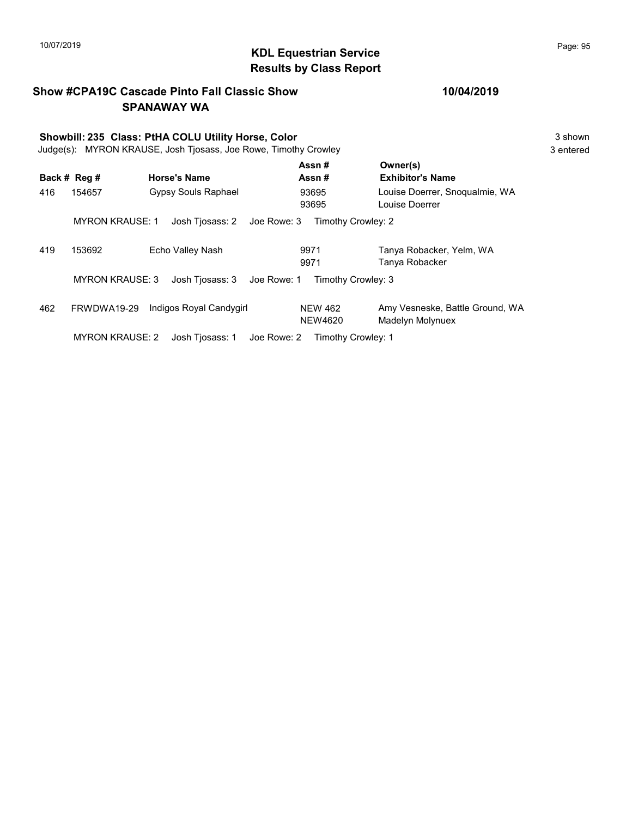#### KDL Equestrian Service 10/07/2019 Page: 95 Results by Class Report

Show #CPA19C Cascade Pinto Fall Classic Show SPANAWAY WA Showbill: 235 Class: PtHA COLU Utility Horse, Color 3 Shown 3 shown Judge(s): MYRON KRAUSE, Josh Tjosass, Joe Rowe, Timothy Crowley 3 entered Back # Reg # Horse's Name  $\overline{R}$  Assn # Exhibitor's Name Assn # Owner(s) 416 154657 Gypsy Souls Raphael Louise Doerrer, Snoqualmie, WA 93695 Louise Doerrer 93695 MYRON KRAUSE: 1 Josh Tjosass: 2 Joe Rowe: 3 Timothy Crowley: 2 419 153692 Echo Valley Nash Tanya Robacker, Yelm, WA 9971 Tanya Robacker 9971 MYRON KRAUSE: 3 Josh Tjosass: 3 Joe Rowe: 1 Timothy Crowley: 3 462 FRWDWA19-29 Indigos Royal Candygirl NEW 462 Amy Vesneske, Battle Ground, WA NEW4620 Madelyn Molynuex NEW 462

MYRON KRAUSE: 2 Josh Tjosass: 1 Joe Rowe: 2 Timothy Crowley: 1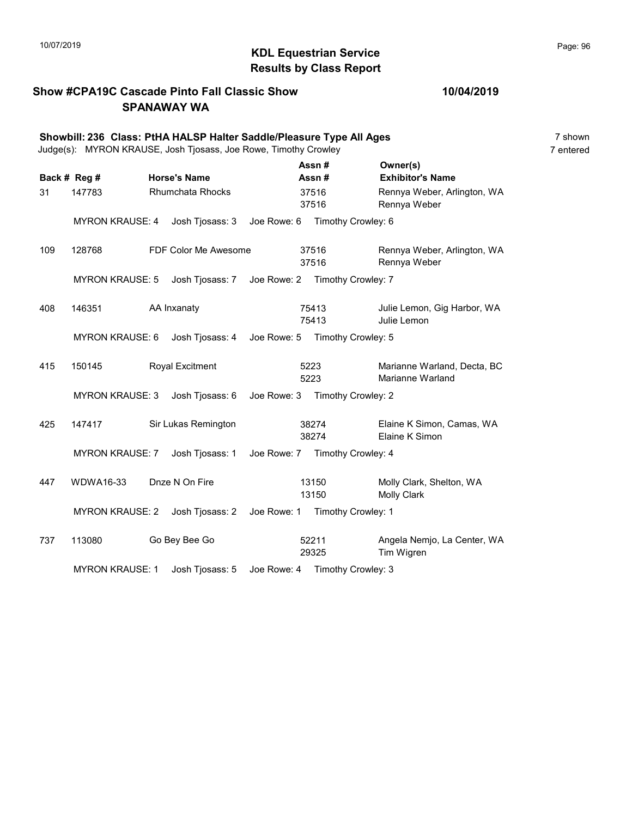## KDL Equestrian Service 10/07/2019 Page: 96 Results by Class Report

#### Show #CPA19C Cascade Pinto Fall Classic Show SPANAWAY WA

|     | Showbill: 236 Class: PtHA HALSP Halter Saddle/Pleasure Type All Ages<br>Judge(s): MYRON KRAUSE, Josh Tjosass, Joe Rowe, Timothy Crowley |                                                |      |                                |                                                 | 7 shown<br>7 entered |
|-----|-----------------------------------------------------------------------------------------------------------------------------------------|------------------------------------------------|------|--------------------------------|-------------------------------------------------|----------------------|
|     | Back # Reg #                                                                                                                            | <b>Horse's Name</b>                            |      | Assn#<br>Assn#                 | Owner(s)<br><b>Exhibitor's Name</b>             |                      |
| 31  | 147783                                                                                                                                  | <b>Rhumchata Rhocks</b>                        |      | 37516<br>37516                 | Rennya Weber, Arlington, WA<br>Rennya Weber     |                      |
|     | <b>MYRON KRAUSE: 4</b>                                                                                                                  | Josh Tjosass: 3 Joe Rowe: 6                    |      | Timothy Crowley: 6             |                                                 |                      |
| 109 | 128768                                                                                                                                  | FDF Color Me Awesome                           |      | 37516<br>37516                 | Rennya Weber, Arlington, WA<br>Rennya Weber     |                      |
|     | <b>MYRON KRAUSE: 5</b>                                                                                                                  | Josh Tjosass: 7 Joe Rowe: 2 Timothy Crowley: 7 |      |                                |                                                 |                      |
| 408 | 146351                                                                                                                                  | AA Inxanaty                                    |      | 75413<br>75413                 | Julie Lemon, Gig Harbor, WA<br>Julie Lemon      |                      |
|     | <b>MYRON KRAUSE: 6</b>                                                                                                                  | Josh Tjosass: 4                                |      | Joe Rowe: 5 Timothy Crowley: 5 |                                                 |                      |
| 415 | 150145                                                                                                                                  | <b>Royal Excitment</b>                         | 5223 | 5223                           | Marianne Warland, Decta, BC<br>Marianne Warland |                      |
|     | <b>MYRON KRAUSE: 3</b>                                                                                                                  | Josh Tjosass: 6 Joe Rowe: 3 Timothy Crowley: 2 |      |                                |                                                 |                      |
| 425 | 147417                                                                                                                                  | Sir Lukas Remington                            |      | 38274<br>38274                 | Elaine K Simon, Camas, WA<br>Elaine K Simon     |                      |
|     | <b>MYRON KRAUSE: 7</b>                                                                                                                  | Josh Tjosass: 1                                |      | Joe Rowe: 7 Timothy Crowley: 4 |                                                 |                      |
| 447 | <b>WDWA16-33</b>                                                                                                                        | Dnze N On Fire                                 |      | 13150<br>13150                 | Molly Clark, Shelton, WA<br>Molly Clark         |                      |
|     | <b>MYRON KRAUSE: 2</b>                                                                                                                  | Josh Tjosass: 2   Joe Rowe: 1                  |      | Timothy Crowley: 1             |                                                 |                      |
| 737 | 113080                                                                                                                                  | Go Bey Bee Go                                  |      | 52211<br>29325                 | Angela Nemjo, La Center, WA<br>Tim Wigren       |                      |
|     | <b>MYRON KRAUSE: 1</b>                                                                                                                  | Josh Tjosass: 5                                |      | Joe Rowe: 4 Timothy Crowley: 3 |                                                 |                      |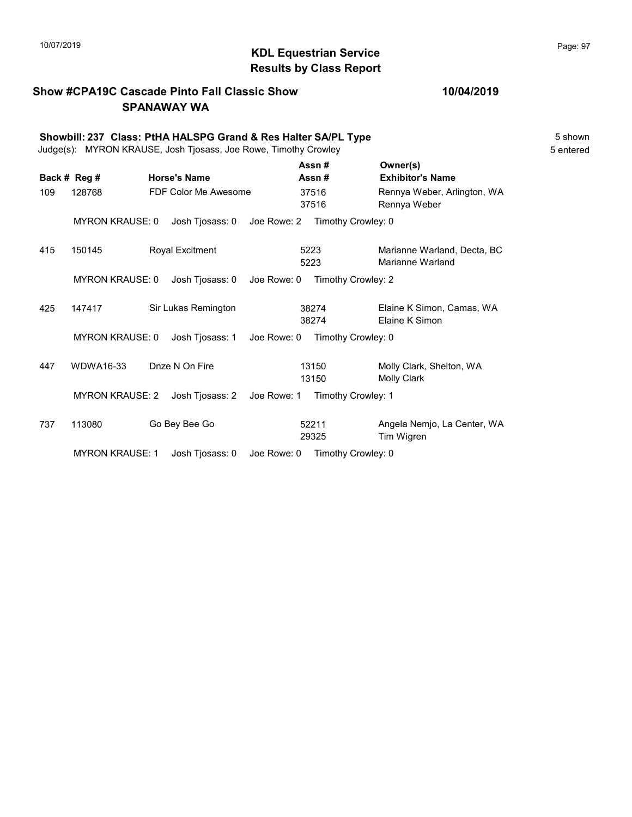## 10/07/2019 **Page: 97**<br> **KDL Equestrian Service Page: 97** Results by Class Report

### Show #CPA19C Cascade Pinto Fall Classic Show SPANAWAY WA

|     | Showbill: 237 Class: PtHA HALSPG Grand & Res Halter SA/PL Type<br>Judge(s): MYRON KRAUSE, Josh Tjosass, Joe Rowe, Timothy Crowley |  |                        |                                |              |                    |  |                                                 |  |  |  |
|-----|-----------------------------------------------------------------------------------------------------------------------------------|--|------------------------|--------------------------------|--------------|--------------------|--|-------------------------------------------------|--|--|--|
|     | Back # Reg #                                                                                                                      |  | <b>Horse's Name</b>    |                                |              | Assn#<br>Assn#     |  | Owner(s)<br><b>Exhibitor's Name</b>             |  |  |  |
| 109 | 128768                                                                                                                            |  | FDF Color Me Awesome   |                                |              | 37516<br>37516     |  | Rennya Weber, Arlington, WA<br>Rennya Weber     |  |  |  |
|     | <b>MYRON KRAUSE: 0</b>                                                                                                            |  | Josh Tjosass: 0        | Joe Rowe: 2                    |              | Timothy Crowley: 0 |  |                                                 |  |  |  |
| 415 | 150145                                                                                                                            |  | <b>Royal Excitment</b> |                                | 5223<br>5223 |                    |  | Marianne Warland, Decta, BC<br>Marianne Warland |  |  |  |
|     | <b>MYRON KRAUSE: 0</b>                                                                                                            |  | Josh Tjosass: 0        | Joe Rowe: 0                    |              | Timothy Crowley: 2 |  |                                                 |  |  |  |
| 425 | 147417                                                                                                                            |  | Sir Lukas Remington    |                                |              | 38274<br>38274     |  | Elaine K Simon, Camas, WA<br>Elaine K Simon     |  |  |  |
|     | <b>MYRON KRAUSE: 0</b>                                                                                                            |  | Josh Tjosass: 1        | Joe Rowe: 0 Timothy Crowley: 0 |              |                    |  |                                                 |  |  |  |
| 447 | <b>WDWA16-33</b>                                                                                                                  |  | Dnze N On Fire         |                                |              | 13150<br>13150     |  | Molly Clark, Shelton, WA<br><b>Molly Clark</b>  |  |  |  |
|     | <b>MYRON KRAUSE: 2</b>                                                                                                            |  | Josh Tjosass: 2        | Joe Rowe: 1                    |              | Timothy Crowley: 1 |  |                                                 |  |  |  |
| 737 | 113080                                                                                                                            |  | Go Bey Bee Go          |                                |              | 52211<br>29325     |  | Angela Nemio, La Center, WA<br>Tim Wigren       |  |  |  |
|     | <b>MYRON KRAUSE: 1</b>                                                                                                            |  | Josh Tjosass: 0        | Joe Rowe: 0                    |              | Timothy Crowley: 0 |  |                                                 |  |  |  |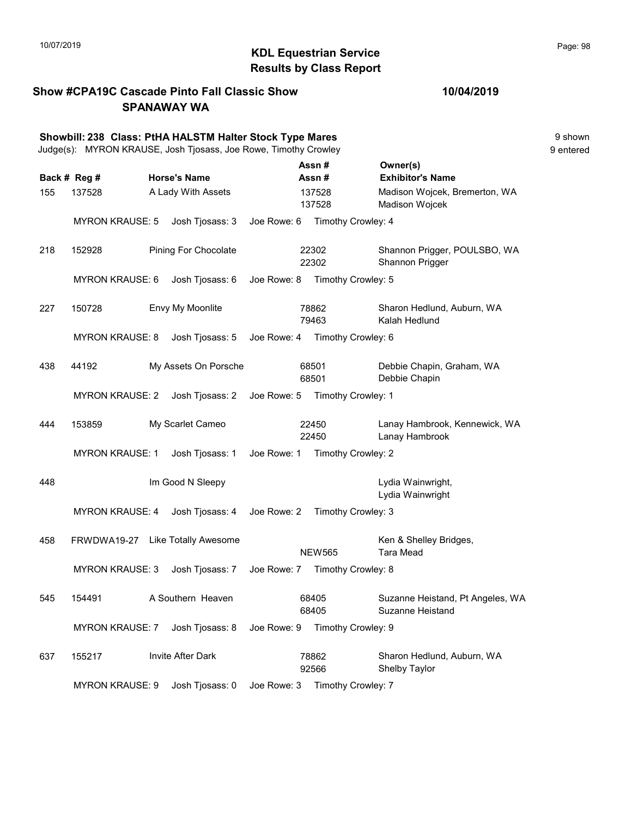## 10/07/2019 **Page: 98**<br> **KDL Equestrian Service Page: 98** Results by Class Report

Show #CPA19C Cascade Pinto Fall Classic Show SPANAWAY WA

|     |                        | Showbill: 238 Class: PtHA HALSTM Halter Stock Type Mares<br>Judge(s): MYRON KRAUSE, Josh Tjosass, Joe Rowe, Timothy Crowley |             |                                |                                                      | 9 shown<br>9 entered |
|-----|------------------------|-----------------------------------------------------------------------------------------------------------------------------|-------------|--------------------------------|------------------------------------------------------|----------------------|
|     | Back # Reg #           | <b>Horse's Name</b>                                                                                                         |             | Assn#<br>Assn#                 | Owner(s)<br><b>Exhibitor's Name</b>                  |                      |
| 155 | 137528                 | A Lady With Assets                                                                                                          |             | 137528<br>137528               | Madison Wojcek, Bremerton, WA<br>Madison Wojcek      |                      |
|     | <b>MYRON KRAUSE: 5</b> | Josh Tjosass: 3                                                                                                             | Joe Rowe: 6 | Timothy Crowley: 4             |                                                      |                      |
| 218 | 152928                 | Pining For Chocolate                                                                                                        |             | 22302<br>22302                 | Shannon Prigger, POULSBO, WA<br>Shannon Prigger      |                      |
|     | <b>MYRON KRAUSE: 6</b> | Josh Tjosass: 6                                                                                                             | Joe Rowe: 8 | Timothy Crowley: 5             |                                                      |                      |
| 227 | 150728                 | Envy My Moonlite                                                                                                            |             | 78862<br>79463                 | Sharon Hedlund, Auburn, WA<br>Kalah Hedlund          |                      |
|     | <b>MYRON KRAUSE: 8</b> | Josh Tjosass: 5                                                                                                             | Joe Rowe: 4 | Timothy Crowley: 6             |                                                      |                      |
| 438 | 44192                  | My Assets On Porsche                                                                                                        |             | 68501<br>68501                 | Debbie Chapin, Graham, WA<br>Debbie Chapin           |                      |
|     | <b>MYRON KRAUSE: 2</b> | Josh Tjosass: 2                                                                                                             | Joe Rowe: 5 | Timothy Crowley: 1             |                                                      |                      |
| 444 | 153859                 | My Scarlet Cameo                                                                                                            |             | 22450<br>22450                 | Lanay Hambrook, Kennewick, WA<br>Lanay Hambrook      |                      |
|     | <b>MYRON KRAUSE: 1</b> | Josh Tjosass: 1                                                                                                             | Joe Rowe: 1 | Timothy Crowley: 2             |                                                      |                      |
| 448 |                        | Im Good N Sleepy                                                                                                            |             |                                | Lydia Wainwright,<br>Lydia Wainwright                |                      |
|     | <b>MYRON KRAUSE: 4</b> | Josh Tjosass: 4                                                                                                             | Joe Rowe: 2 | Timothy Crowley: 3             |                                                      |                      |
| 458 |                        | FRWDWA19-27 Like Totally Awesome                                                                                            |             | <b>NEW565</b>                  | Ken & Shelley Bridges,<br><b>Tara Mead</b>           |                      |
|     | <b>MYRON KRAUSE: 3</b> | Josh Tjosass: 7                                                                                                             | Joe Rowe: 7 | Timothy Crowley: 8             |                                                      |                      |
| 545 | 154491                 | A Southern Heaven                                                                                                           |             | 68405<br>68405                 | Suzanne Heistand, Pt Angeles, WA<br>Suzanne Heistand |                      |
|     | <b>MYRON KRAUSE: 7</b> | Josh Tjosass: 8                                                                                                             | Joe Rowe: 9 | Timothy Crowley: 9             |                                                      |                      |
| 637 | 155217                 | Invite After Dark                                                                                                           |             | 78862<br>92566                 | Sharon Hedlund, Auburn, WA<br>Shelby Taylor          |                      |
|     | <b>MYRON KRAUSE: 9</b> | Josh Tjosass: 0                                                                                                             |             | Joe Rowe: 3 Timothy Crowley: 7 |                                                      |                      |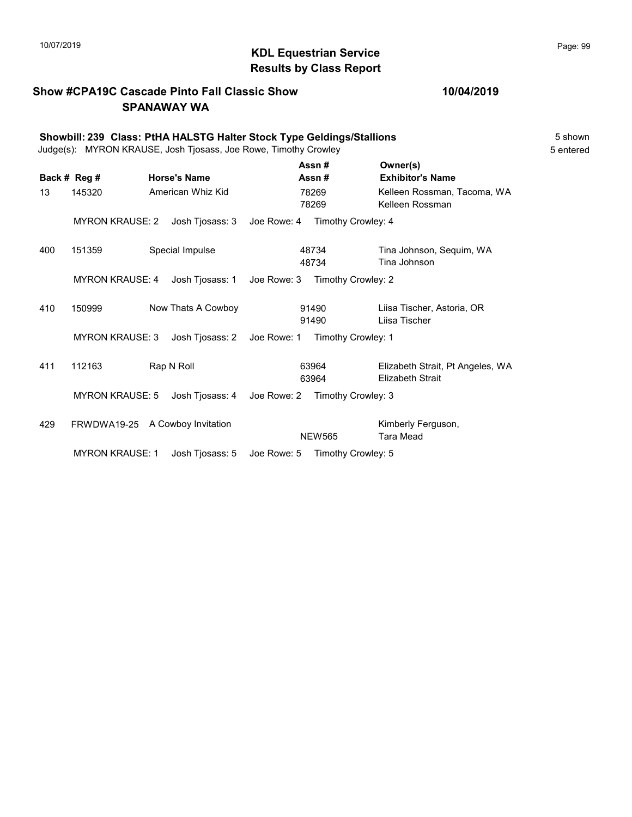## KDL Equestrian Service 10/07/2019 Page: 99 Results by Class Report

### Show #CPA19C Cascade Pinto Fall Classic Show SPANAWAY WA

|     | Showbill: 239 Class: PtHA HALSTG Halter Stock Type Geldings/Stallions<br>Judge(s): MYRON KRAUSE, Josh Tjosass, Joe Rowe, Timothy Crowley |  |                     |             |                    |                                                             |  |  |  |  |
|-----|------------------------------------------------------------------------------------------------------------------------------------------|--|---------------------|-------------|--------------------|-------------------------------------------------------------|--|--|--|--|
|     | Back # Reg #                                                                                                                             |  | <b>Horse's Name</b> |             | Assn#<br>Assn#     | Owner(s)<br><b>Exhibitor's Name</b>                         |  |  |  |  |
| 13  | 145320                                                                                                                                   |  | American Whiz Kid   |             | 78269<br>78269     | Kelleen Rossman, Tacoma, WA<br>Kelleen Rossman              |  |  |  |  |
|     | <b>MYRON KRAUSE: 2</b>                                                                                                                   |  | Josh Tjosass: 3     | Joe Rowe: 4 | Timothy Crowley: 4 |                                                             |  |  |  |  |
| 400 | 151359                                                                                                                                   |  | Special Impulse     |             | 48734<br>48734     | Tina Johnson, Sequim, WA<br>Tina Johnson                    |  |  |  |  |
|     | <b>MYRON KRAUSE: 4</b>                                                                                                                   |  | Josh Tjosass: 1     | Joe Rowe: 3 | Timothy Crowley: 2 |                                                             |  |  |  |  |
| 410 | 150999                                                                                                                                   |  | Now Thats A Cowboy  |             | 91490<br>91490     | Liisa Tischer, Astoria, OR<br>Liisa Tischer                 |  |  |  |  |
|     | <b>MYRON KRAUSE: 3</b>                                                                                                                   |  | Josh Tjosass: 2     | Joe Rowe: 1 | Timothy Crowley: 1 |                                                             |  |  |  |  |
| 411 | 112163                                                                                                                                   |  | Rap N Roll          |             | 63964<br>63964     | Elizabeth Strait, Pt Angeles, WA<br><b>Elizabeth Strait</b> |  |  |  |  |
|     | <b>MYRON KRAUSE: 5</b>                                                                                                                   |  | Josh Tjosass: 4     | Joe Rowe: 2 | Timothy Crowley: 3 |                                                             |  |  |  |  |
| 429 | FRWDWA19-25 A Cowboy Invitation                                                                                                          |  |                     |             | <b>NEW565</b>      | Kimberly Ferguson,<br><b>Tara Mead</b>                      |  |  |  |  |
|     | <b>MYRON KRAUSE: 1</b>                                                                                                                   |  | Josh Tiosass: 5     | Joe Rowe: 5 | Timothy Crowley: 5 |                                                             |  |  |  |  |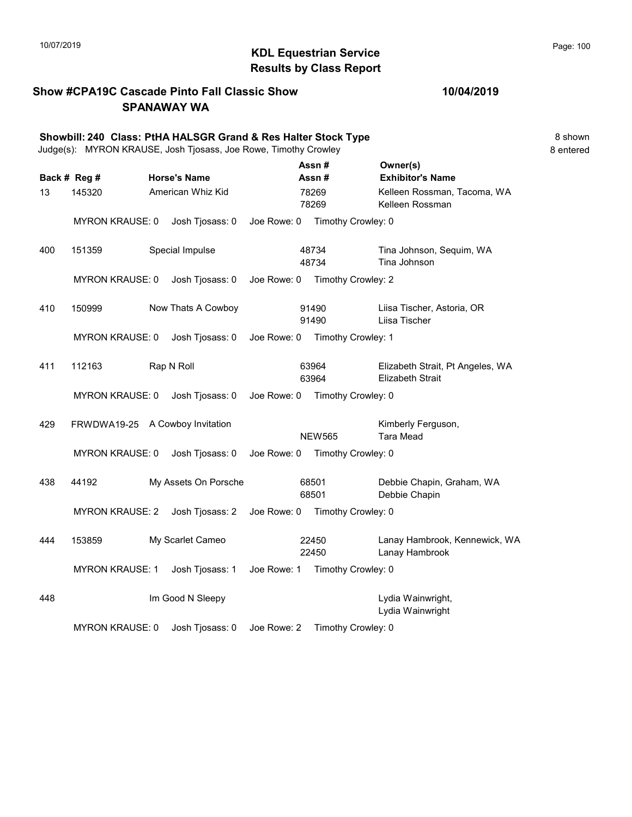## 10/07/2019 **Page: 100**<br> **KDL Equestrian Service Page: 100** Results by Class Report

#### Show #CPA19C Cascade Pinto Fall Classic Show SPANAWAY WA

|     |                                 | Showbill: 240 Class: PtHA HALSGR Grand & Res Halter Stock Type<br>Judge(s): MYRON KRAUSE, Josh Tjosass, Joe Rowe, Timothy Crowley |             |                                |                                                             | 8 shown<br>8 entered |
|-----|---------------------------------|-----------------------------------------------------------------------------------------------------------------------------------|-------------|--------------------------------|-------------------------------------------------------------|----------------------|
|     | Back # Reg #                    | <b>Horse's Name</b>                                                                                                               |             | Assn#<br>Assn #                | Owner(s)<br><b>Exhibitor's Name</b>                         |                      |
| 13  | 145320                          | American Whiz Kid                                                                                                                 |             | 78269<br>78269                 | Kelleen Rossman, Tacoma, WA<br>Kelleen Rossman              |                      |
|     | <b>MYRON KRAUSE: 0</b>          | Josh Tjosass: 0                                                                                                                   | Joe Rowe: 0 | Timothy Crowley: 0             |                                                             |                      |
| 400 | 151359                          | Special Impulse                                                                                                                   |             | 48734<br>48734                 | Tina Johnson, Sequim, WA<br>Tina Johnson                    |                      |
|     | <b>MYRON KRAUSE: 0</b>          | Josh Tjosass: 0                                                                                                                   |             | Joe Rowe: 0 Timothy Crowley: 2 |                                                             |                      |
| 410 | 150999                          | Now Thats A Cowboy                                                                                                                |             | 91490<br>91490                 | Liisa Tischer, Astoria, OR<br>Liisa Tischer                 |                      |
|     | <b>MYRON KRAUSE: 0</b>          | Josh Tjosass: 0                                                                                                                   |             | Joe Rowe: 0 Timothy Crowley: 1 |                                                             |                      |
| 411 | 112163                          | Rap N Roll                                                                                                                        |             | 63964<br>63964                 | Elizabeth Strait, Pt Angeles, WA<br><b>Elizabeth Strait</b> |                      |
|     | <b>MYRON KRAUSE: 0</b>          | Josh Tjosass: 0                                                                                                                   | Joe Rowe: 0 | Timothy Crowley: 0             |                                                             |                      |
| 429 | FRWDWA19-25 A Cowboy Invitation |                                                                                                                                   |             | <b>NEW565</b>                  | Kimberly Ferguson,<br><b>Tara Mead</b>                      |                      |
|     | <b>MYRON KRAUSE: 0</b>          | Josh Tjosass: 0                                                                                                                   |             | Joe Rowe: 0 Timothy Crowley: 0 |                                                             |                      |
| 438 | 44192                           | My Assets On Porsche                                                                                                              |             | 68501<br>68501                 | Debbie Chapin, Graham, WA<br>Debbie Chapin                  |                      |
|     | <b>MYRON KRAUSE: 2</b>          | Josh Tjosass: 2                                                                                                                   | Joe Rowe: 0 | Timothy Crowley: 0             |                                                             |                      |
| 444 | 153859                          | My Scarlet Cameo                                                                                                                  |             | 22450<br>22450                 | Lanay Hambrook, Kennewick, WA<br>Lanay Hambrook             |                      |
|     | <b>MYRON KRAUSE: 1</b>          | Josh Tjosass: 1                                                                                                                   | Joe Rowe: 1 | Timothy Crowley: 0             |                                                             |                      |
| 448 |                                 | Im Good N Sleepy                                                                                                                  |             |                                | Lydia Wainwright,<br>Lydia Wainwright                       |                      |

MYRON KRAUSE: 0 Josh Tjosass: 0 Joe Rowe: 2 Timothy Crowley: 0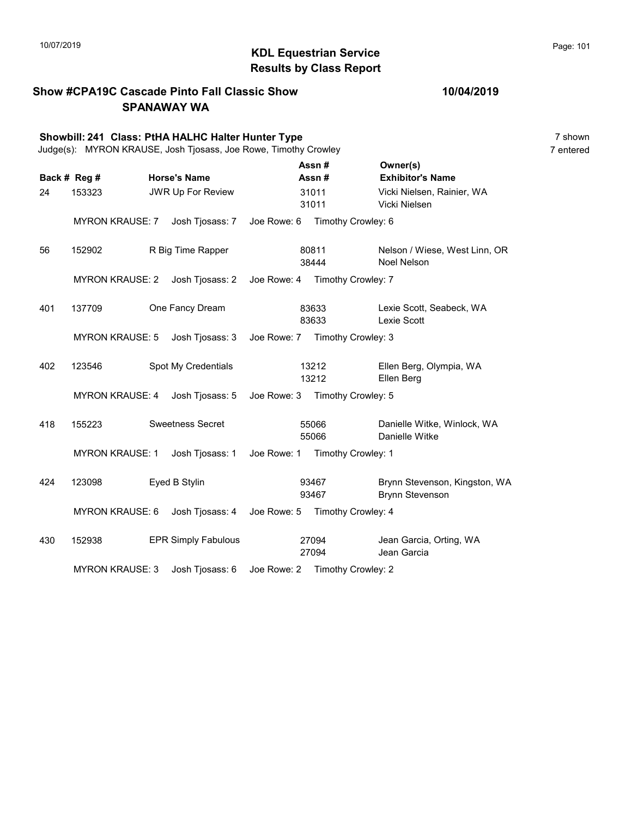## KDL Equestrian Service 10/07/2019 Page: 101 Results by Class Report

#### Show #CPA19C Cascade Pinto Fall Classic Show SPANAWAY WA

|     |                        | Showbill: 241 Class: PtHA HALHC Halter Hunter Type<br>Judge(s): MYRON KRAUSE, Josh Tjosass, Joe Rowe, Timothy Crowley |             |                |                                |                                                         | 7 shown<br>7 entered |
|-----|------------------------|-----------------------------------------------------------------------------------------------------------------------|-------------|----------------|--------------------------------|---------------------------------------------------------|----------------------|
|     | Back # Reg #           | <b>Horse's Name</b>                                                                                                   |             | Assn#<br>Assn# |                                | Owner(s)<br><b>Exhibitor's Name</b>                     |                      |
| 24  | 153323                 | JWR Up For Review                                                                                                     |             | 31011<br>31011 |                                | Vicki Nielsen, Rainier, WA<br>Vicki Nielsen             |                      |
|     | <b>MYRON KRAUSE: 7</b> | Josh Tjosass: 7                                                                                                       | Joe Rowe: 6 |                | Timothy Crowley: 6             |                                                         |                      |
| 56  | 152902                 | R Big Time Rapper                                                                                                     |             | 80811<br>38444 |                                | Nelson / Wiese, West Linn, OR<br>Noel Nelson            |                      |
|     | <b>MYRON KRAUSE: 2</b> | Josh Tjosass: 2                                                                                                       |             |                | Joe Rowe: 4 Timothy Crowley: 7 |                                                         |                      |
| 401 | 137709                 | One Fancy Dream                                                                                                       |             | 83633<br>83633 |                                | Lexie Scott, Seabeck, WA<br>Lexie Scott                 |                      |
|     | <b>MYRON KRAUSE: 5</b> | Josh Tjosass: 3                                                                                                       |             |                | Joe Rowe: 7 Timothy Crowley: 3 |                                                         |                      |
| 402 | 123546                 | Spot My Credentials                                                                                                   |             | 13212<br>13212 |                                | Ellen Berg, Olympia, WA<br>Ellen Berg                   |                      |
|     | <b>MYRON KRAUSE: 4</b> | Josh Tjosass: 5                                                                                                       | Joe Rowe: 3 |                | Timothy Crowley: 5             |                                                         |                      |
| 418 | 155223                 | <b>Sweetness Secret</b>                                                                                               |             | 55066<br>55066 |                                | Danielle Witke, Winlock, WA<br>Danielle Witke           |                      |
|     | <b>MYRON KRAUSE: 1</b> | Josh Tjosass: 1                                                                                                       |             |                | Joe Rowe: 1 Timothy Crowley: 1 |                                                         |                      |
| 424 | 123098                 | Eyed B Stylin                                                                                                         |             | 93467<br>93467 |                                | Brynn Stevenson, Kingston, WA<br><b>Brynn Stevenson</b> |                      |
|     | <b>MYRON KRAUSE: 6</b> | Josh Tjosass: 4 Joe Rowe: 5 Timothy Crowley: 4                                                                        |             |                |                                |                                                         |                      |
| 430 | 152938                 | <b>EPR Simply Fabulous</b>                                                                                            |             | 27094<br>27094 |                                | Jean Garcia, Orting, WA<br>Jean Garcia                  |                      |
|     | <b>MYRON KRAUSE: 3</b> | Josh Tjosass: 6                                                                                                       |             |                | Joe Rowe: 2 Timothy Crowley: 2 |                                                         |                      |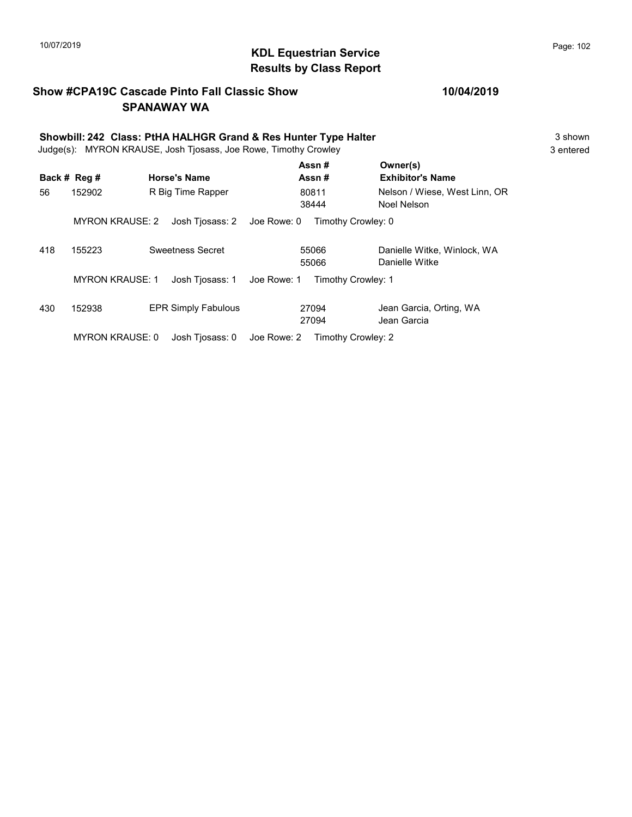## KDL Equestrian Service 10/07/2019 Page: 102 Results by Class Report

#### Show #CPA19C Cascade Pinto Fall Classic Show SPANAWAY WA

| Showbill: 242 Class: PtHA HALHGR Grand & Res Hunter Type Halter<br>Judge(s): MYRON KRAUSE, Josh Tjosass, Joe Rowe, Timothy Crowley |                        |                                |                    |                                               |  |
|------------------------------------------------------------------------------------------------------------------------------------|------------------------|--------------------------------|--------------------|-----------------------------------------------|--|
|                                                                                                                                    | Back # Reg #           | <b>Horse's Name</b>            | Assn #<br>Assn#    | Owner(s)<br><b>Exhibitor's Name</b>           |  |
| 56                                                                                                                                 | 152902                 | R Big Time Rapper              | 80811<br>38444     | Nelson / Wiese, West Linn, OR<br>Noel Nelson  |  |
|                                                                                                                                    | <b>MYRON KRAUSE: 2</b> | Joe Rowe: 0<br>Josh Tjosass: 2 | Timothy Crowley: 0 |                                               |  |
| 418                                                                                                                                | 155223                 | Sweetness Secret               | 55066<br>55066     | Danielle Witke, Winlock, WA<br>Danielle Witke |  |
|                                                                                                                                    | <b>MYRON KRAUSE: 1</b> | Josh Tiosass: 1<br>Joe Rowe: 1 | Timothy Crowley: 1 |                                               |  |
| 430                                                                                                                                | 152938                 | <b>EPR Simply Fabulous</b>     | 27094<br>27094     | Jean Garcia, Orting, WA<br>Jean Garcia        |  |

MYRON KRAUSE: 0 Josh Tjosass: 0 Joe Rowe: 2 Timothy Crowley: 2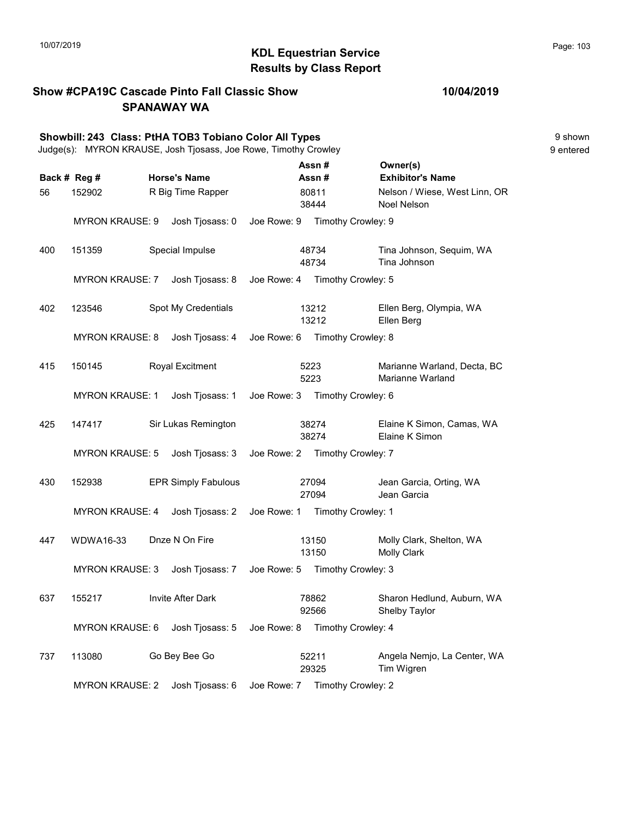#### KDL Equestrian Service 10/07/2019 Page: 103 Results by Class Report

#### Show #CPA19C Cascade Pinto Fall Classic Show SPANAWAY WA

Showbill: 243 Class: PtHA TOB3 Tobiano Color All Types 9 shown Judge(s): MYRON KRAUSE, Josh Tjosass, Joe Rowe, Timothy Crowley 9 entered Back # Reg # Horse's Name  $\overline{R}$  Assn # Exhibitor's Name Assn # Owner(s) 56 152902 R Big Time Rapper 180811 Nelson / Wiese, West Linn, OR 38444 Noel Nelson 80811 MYRON KRAUSE: 9 Josh Tjosass: 0 Joe Rowe: 9 Timothy Crowley: 9 400 151359 Special Impulse 48734 Tina Johnson, Sequim, WA 48734 Tina Johnson 48734 MYRON KRAUSE: 7 Josh Tjosass: 8 Joe Rowe: 4 Timothy Crowley: 5 402 123546 Spot My Credentials Ellen Berg, Olympia, WA 13212 Ellen Berg 13212 MYRON KRAUSE: 8 Josh Tjosass: 4 Joe Rowe: 6 Timothy Crowley: 8 415 150145 Royal Excitment 65223 Marianne Warland, Decta, BC 5223 Marianne Warland 5223 MYRON KRAUSE: 1 Josh Tjosass: 1 Joe Rowe: 3 Timothy Crowley: 6 425 147417 Sir Lukas Remington Elaine K Simon, Camas, WA 38274 Elaine K Simon 38274 MYRON KRAUSE: 5 Josh Tjosass: 3 Joe Rowe: 2 Timothy Crowley: 7 430 152938 EPR Simply Fabulous 27094 Jean Garcia, Orting, WA 27094 Jean Garcia 27094 MYRON KRAUSE: 4 Josh Tjosass: 2 Joe Rowe: 1 Timothy Crowley: 1 447 WDWA16-33 Dnze N On Fire 13150 Molly Clark, Shelton, WA 13150 Molly Clark 13150 MYRON KRAUSE: 3 Josh Tjosass: 7 Joe Rowe: 5 Timothy Crowley: 3 637 155217 Invite After Dark Sharon Hedlund, Auburn, WA 92566 Shelby Taylor 78862 MYRON KRAUSE: 6 Josh Tjosass: 5 Joe Rowe: 8 Timothy Crowley: 4 737 113080 Go Bey Bee Go Angela Nemjo, La Center, WA 29325 Tim Wigren 52211

MYRON KRAUSE: 2 Josh Tjosass: 6 Joe Rowe: 7 Timothy Crowley: 2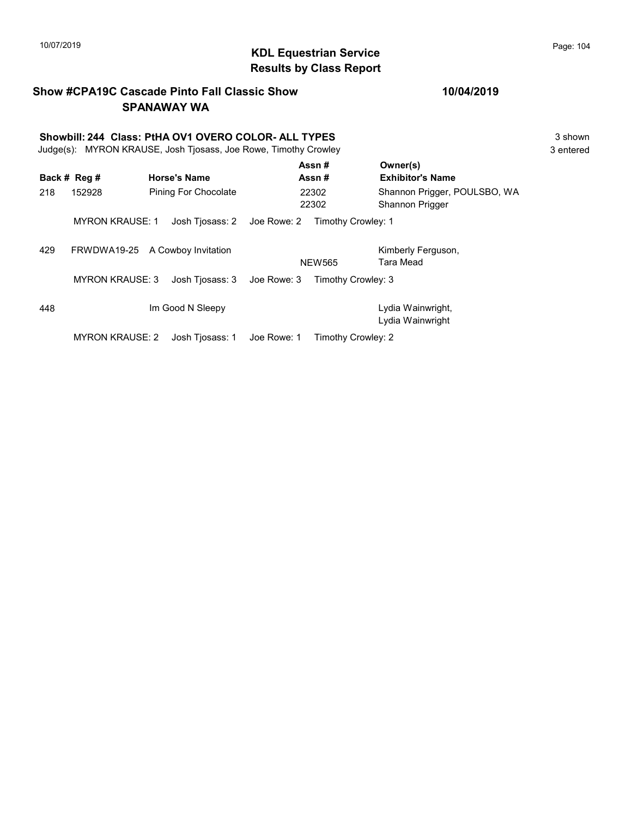## 10/07/2019 **Page: 104 Page: 104 KDL Equestrian Service Page: 104 Page: 104** Results by Class Report

#### Show #CPA19C Cascade Pinto Fall Classic Show SPANAWAY WA

# Showbill: 244 Class: PtHA OV1 OVERO COLOR- ALL TYPES<br>
Judge(s): MYRON KRAUSE. Josh Tiosass. Joe Rowe. Timothy Crowley<br>
3 entered

Judge(s): MYRON KRAUSE, Josh Tjosass, Joe Rowe, Timothy Crowley

|     | Back # Reg #                    |  | <b>Horse's Name</b>         |             | Assn#<br>Assn#     | Owner(s)<br><b>Exhibitor's Name</b>             |
|-----|---------------------------------|--|-----------------------------|-------------|--------------------|-------------------------------------------------|
| 218 | 152928                          |  | <b>Pining For Chocolate</b> |             | 22302<br>22302     | Shannon Prigger, POULSBO, WA<br>Shannon Prigger |
|     | <b>MYRON KRAUSE: 1</b>          |  | Josh Tiosass: 2             | Joe Rowe: 2 | Timothy Crowley: 1 |                                                 |
| 429 | FRWDWA19-25 A Cowboy Invitation |  |                             |             | <b>NEW565</b>      | Kimberly Ferguson,<br>Tara Mead                 |
|     | <b>MYRON KRAUSE: 3</b>          |  | Josh Tiosass: 3             | Joe Rowe: 3 | Timothy Crowley: 3 |                                                 |
| 448 | Im Good N Sleepy                |  |                             |             |                    | Lydia Wainwright,<br>Lydia Wainwright           |
|     | <b>MYRON KRAUSE: 2</b>          |  | Josh Tiosass: 1             | Joe Rowe: 1 | Timothy Crowley: 2 |                                                 |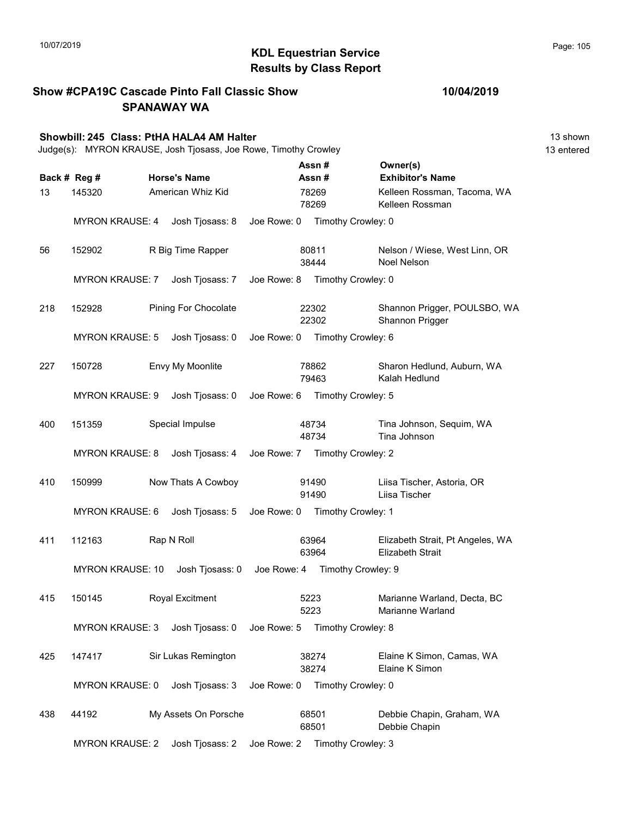Show #CPA19C Cascade Pinto Fall Classic Show

#### KDL Equestrian Service 10/07/2019 Page: 105 Results by Class Report

SPANAWAY WA Showbill: 245 Class: PtHA HALA4 AM Halter 13 shown Judge(s): MYRON KRAUSE, Josh Tjosass, Joe Rowe, Timothy Crowley 13 entered Back # Reg # Horse's Name  $\overline{R}$  Assn # Exhibitor's Name Assn # Owner(s) 13 145320 American Whiz Kid 198269 Kelleen Rossman, Tacoma, WA 78269 Kelleen Rossman 78269 MYRON KRAUSE: 4 Josh Tjosass: 8 Joe Rowe: 0 Timothy Crowley: 0 56 152902 R Big Time Rapper 180811 Nelson / Wiese, West Linn, OR 38444 Noel Nelson 80811 MYRON KRAUSE: 7 Josh Tjosass: 7 Joe Rowe: 8 Timothy Crowley: 0 218 152928 Pining For Chocolate 22302 Shannon Prigger, POULSBO, WA 22302 Shannon Prigger 22302 MYRON KRAUSE: 5 Josh Tjosass: 0 Joe Rowe: 0 Timothy Crowley: 6 227 150728 Envy My Moonlite **Sharon Hedlund, Auburn, WA** 79463 Kalah Hedlund 78862 MYRON KRAUSE: 9 Josh Tjosass: 0 Joe Rowe: 6 Timothy Crowley: 5 400 151359 Special Impulse 18734 Tina Johnson, Sequim, WA 48734 Tina Johnson 48734 MYRON KRAUSE: 8 Josh Tjosass: 4 Joe Rowe: 7 Timothy Crowley: 2 410 150999 Now Thats A Cowboy Liisa Tischer, Astoria, OR 91490 Liisa Tischer 91490 MYRON KRAUSE: 6 Josh Tjosass: 5 Joe Rowe: 0 Timothy Crowley: 1 411 112163 Rap N Roll Elizabeth Strait, Pt Angeles, WA 63964 Elizabeth Strait 63964 MYRON KRAUSE: 10 Josh Tjosass: 0 Joe Rowe: 4 Timothy Crowley: 9 415 150145 Royal Excitment 65223 Marianne Warland, Decta, BC 5223 Marianne Warland 5223 MYRON KRAUSE: 3 Josh Tjosass: 0 Joe Rowe: 5 Timothy Crowley: 8 425 147417 Sir Lukas Remington Elaine K Simon, Camas, WA 38274 Elaine K Simon 38274 MYRON KRAUSE: 0 Josh Tjosass: 3 Joe Rowe: 0 Timothy Crowley: 0 438 44192 My Assets On Porsche Debbie Chapin, Graham, WA 68501 Debbie Chapin 68501 MYRON KRAUSE: 2 Josh Tjosass: 2 Joe Rowe: 2 Timothy Crowley: 3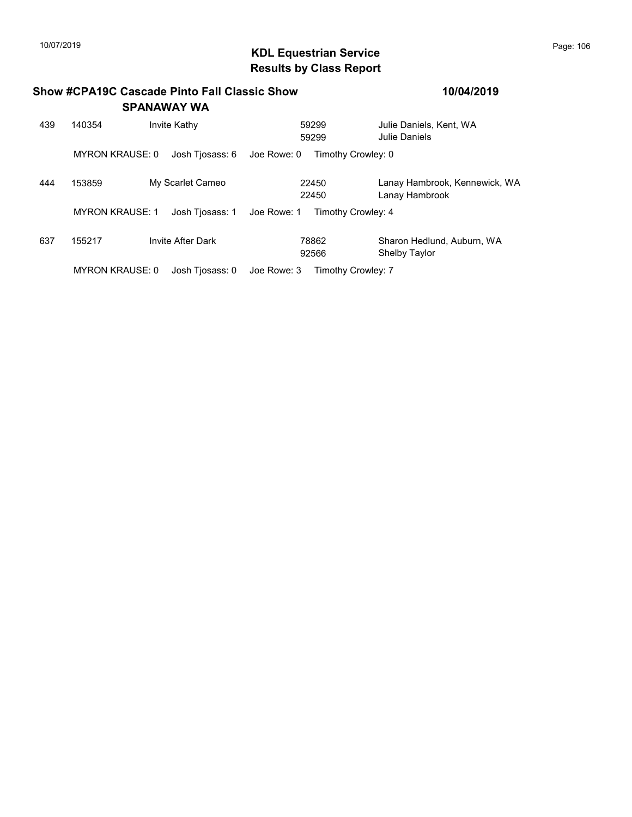## 10/07/2019 **Page: 106**<br> **KDL Equestrian Service Page: 106** Results by Class Report

|     |                                           | <b>Show #CPA19C Cascade Pinto Fall Classic Show</b><br><b>SPANAWAY WA</b> |                                   | 10/04/2019                                         |  |
|-----|-------------------------------------------|---------------------------------------------------------------------------|-----------------------------------|----------------------------------------------------|--|
| 439 | 140354                                    | Invite Kathy                                                              | 59299<br>59299                    | Julie Daniels, Kent, WA<br>Julie Daniels           |  |
|     | <b>MYRON KRAUSE: 0</b>                    | Josh Tiosass: 6                                                           | Timothy Crowley: 0<br>Joe Rowe: 0 |                                                    |  |
| 444 | 153859                                    | My Scarlet Cameo                                                          | 22450<br>22450                    | Lanay Hambrook, Kennewick, WA<br>Lanay Hambrook    |  |
|     | <b>MYRON KRAUSE: 1</b><br>Josh Tiosass: 1 |                                                                           | Joe Rowe: 1<br>Timothy Crowley: 4 |                                                    |  |
| 637 | 155217                                    | <b>Invite After Dark</b>                                                  | 78862<br>92566                    | Sharon Hedlund, Auburn, WA<br><b>Shelby Taylor</b> |  |
|     | <b>MYRON KRAUSE: 0</b><br>Josh Tiosass: 0 |                                                                           | Joe Rowe: 3<br>Timothy Crowley: 7 |                                                    |  |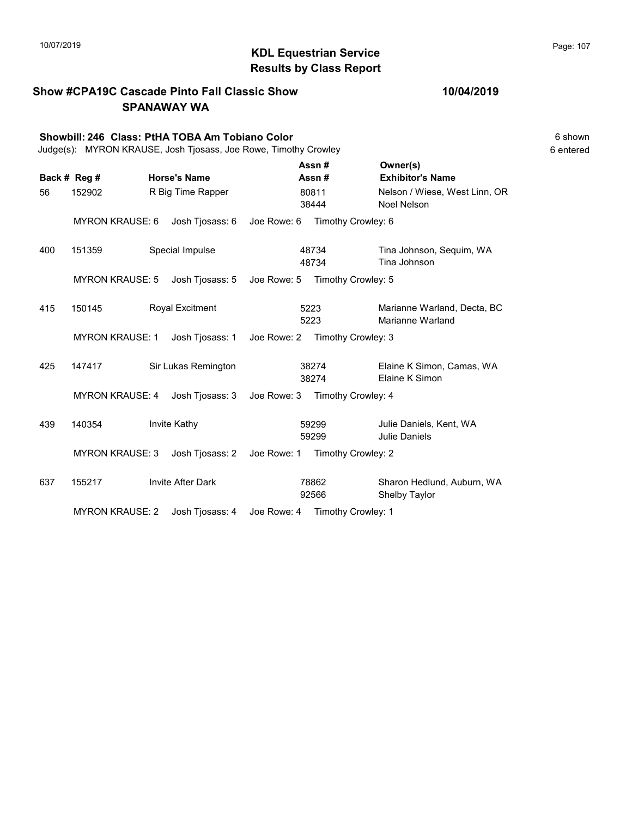## KDL Equestrian Service 10/07/2019 Page: 107 Results by Class Report

#### Show #CPA19C Cascade Pinto Fall Classic Show SPANAWAY WA

# Showbill: 246 Class: PtHA TOBA Am Tobiano Color<br>Judge(s): MYRON KRAUSE. Josh Tiosass. Joe Rowe. Timothy Crowley<br>6 entered

Judge(s): MYRON KRAUSE, Josh Tjosass, Joe Rowe, Timothy Crowley

|     | Back # Reg #           |  | <b>Horse's Name</b>      |             | Assn#<br>Assn#     | Owner(s)<br><b>Exhibitor's Name</b>             |
|-----|------------------------|--|--------------------------|-------------|--------------------|-------------------------------------------------|
| 56  | 152902                 |  | R Big Time Rapper        |             | 80811              | Nelson / Wiese, West Linn, OR                   |
|     |                        |  | 38444                    |             | Noel Nelson        |                                                 |
|     | <b>MYRON KRAUSE: 6</b> |  | Josh Tjosass: 6          | Joe Rowe: 6 | Timothy Crowley: 6 |                                                 |
| 400 | 151359                 |  | Special Impulse          |             | 48734<br>48734     | Tina Johnson, Sequim, WA<br>Tina Johnson        |
|     | <b>MYRON KRAUSE: 5</b> |  | Josh Tjosass: 5          | Joe Rowe: 5 | Timothy Crowley: 5 |                                                 |
| 415 | 150145                 |  | Royal Excitment          |             | 5223<br>5223       | Marianne Warland, Decta, BC<br>Marianne Warland |
|     | <b>MYRON KRAUSE: 1</b> |  | Josh Tjosass: 1          | Joe Rowe: 2 | Timothy Crowley: 3 |                                                 |
| 425 | 147417                 |  | Sir Lukas Remington      |             | 38274<br>38274     | Elaine K Simon, Camas, WA<br>Elaine K Simon     |
|     | <b>MYRON KRAUSE: 4</b> |  | Josh Tjosass: 3          | Joe Rowe: 3 | Timothy Crowley: 4 |                                                 |
| 439 | 140354                 |  | Invite Kathy             |             | 59299<br>59299     | Julie Daniels, Kent, WA<br>Julie Daniels        |
|     | <b>MYRON KRAUSE: 3</b> |  | Josh Tjosass: 2          | Joe Rowe: 1 | Timothy Crowley: 2 |                                                 |
| 637 | 155217                 |  | <b>Invite After Dark</b> |             | 78862<br>92566     | Sharon Hedlund, Auburn, WA<br>Shelby Taylor     |
|     | <b>MYRON KRAUSE: 2</b> |  | Josh Tjosass: 4          | Joe Rowe: 4 | Timothy Crowley: 1 |                                                 |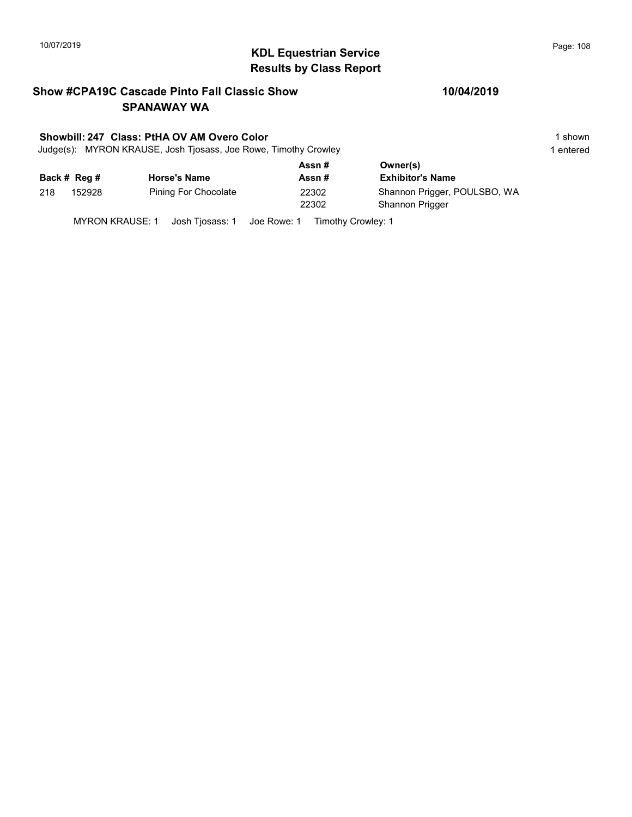## 10/07/2019 **Page: 108**<br> **KDL Equestrian Service Page: 108** Results by Class Report

#### Show #CPA19C Cascade Pinto Fall Classic Show SPANAWAY WA

#### Showbill: 247 Class: PtHA OV AM Overo Color 1 shown

Judge(s): MYRON KRAUSE, Josh Tjosass, Joe Rowe, Timothy Crowley 1 entered 1 entered

|              |        |                      | Assn # | Owner(s)                     |  |
|--------------|--------|----------------------|--------|------------------------------|--|
| Back # Reg # |        | <b>Horse's Name</b>  | Assn#  | <b>Exhibitor's Name</b>      |  |
| 218          | 152928 | Pining For Chocolate | 22302  | Shannon Prigger, POULSBO, WA |  |
|              |        |                      | 22302  | Shannon Prigger              |  |
|              |        |                      |        |                              |  |

MYRON KRAUSE: 1 Josh Tjosass: 1 Joe Rowe: 1 Timothy Crowley: 1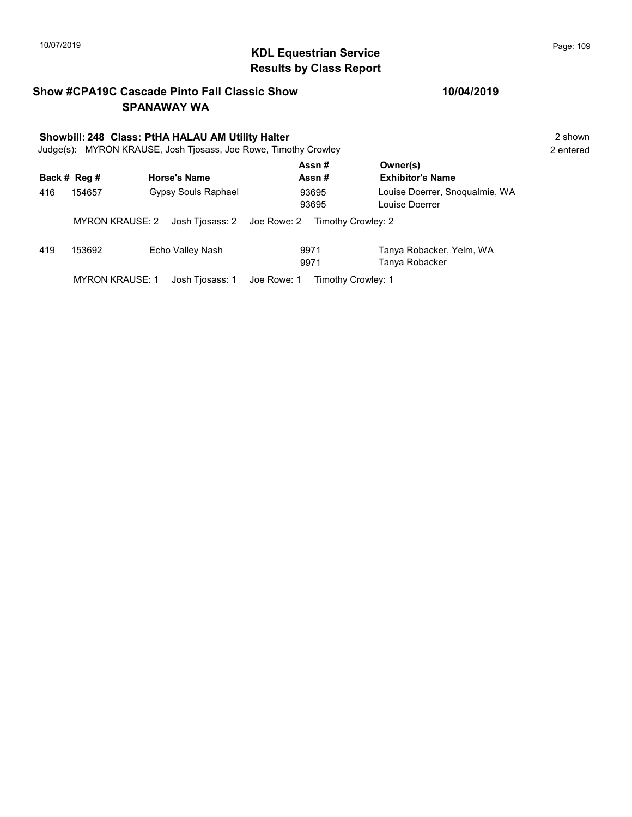## KDL Equestrian Service 10/07/2019 Page: 109 Results by Class Report

#### Show #CPA19C Cascade Pinto Fall Classic Show SPANAWAY WA

# Showbill: 248 Class: PtHA HALAU AM Utility Halter<br>Judge(s): MYRON KRAUSE. Josh Tiosass. Joe Rowe. Timothy Crowley **2** shown 2 entered

Judge(s): MYRON KRAUSE, Josh Tjosass, Joe Rowe, Timothy Crowley

|     | Back # Reg #           | <b>Horse's Name</b>        | Assn#<br>Assn#                    | Owner(s)<br><b>Exhibitor's Name</b>              |
|-----|------------------------|----------------------------|-----------------------------------|--------------------------------------------------|
| 416 | 154657                 | <b>Gypsy Souls Raphael</b> | 93695<br>93695                    | Louise Doerrer, Snogualmie, WA<br>Louise Doerrer |
|     | <b>MYRON KRAUSE: 2</b> | Josh Tjosass: 2            | Joe Rowe: 2<br>Timothy Crowley: 2 |                                                  |
| 419 | 153692                 | Echo Valley Nash           | 9971<br>9971                      | Tanya Robacker, Yelm, WA<br>Tanya Robacker       |
|     | <b>MYRON KRAUSE: 1</b> | Josh Tiosass: 1            | Joe Rowe: 1<br>Timothy Crowley: 1 |                                                  |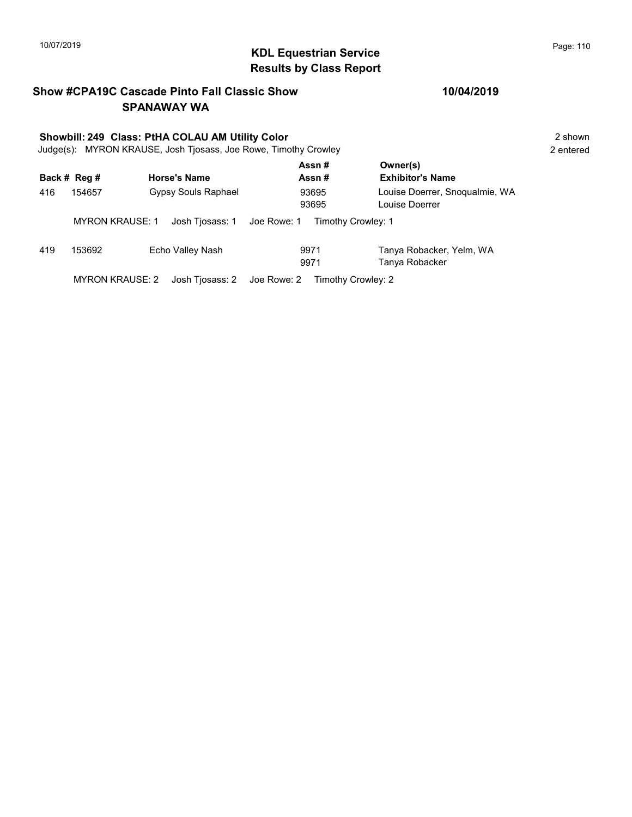## KDL Equestrian Service 10/07/2019 Page: 110 Results by Class Report

#### Show #CPA19C Cascade Pinto Fall Classic Show SPANAWAY WA

# Showbill: 249 Class: PtHA COLAU AM Utility Color<br>Judge(s): MYRON KRAUSE. Josh Tiosass. Joe Rowe. Timothy Crowley 2 shown 2 shown

Judge(s): MYRON KRAUSE, Josh Tjosass, Joe Rowe, Timothy Crowley

|     | Back # Reg #           | <b>Horse's Name</b>        | Assn#<br>Assn#                    | Owner(s)<br><b>Exhibitor's Name</b>              |
|-----|------------------------|----------------------------|-----------------------------------|--------------------------------------------------|
| 416 | 154657                 | <b>Gypsy Souls Raphael</b> | 93695<br>93695                    | Louise Doerrer, Snogualmie, WA<br>Louise Doerrer |
|     | <b>MYRON KRAUSE: 1</b> | Josh Tiosass: 1            | Joe Rowe: 1<br>Timothy Crowley: 1 |                                                  |
| 419 | 153692                 | Echo Valley Nash           | 9971<br>9971                      | Tanya Robacker, Yelm, WA<br>Tanya Robacker       |
|     | <b>MYRON KRAUSE: 2</b> | Josh Tiosass: 2            | Joe Rowe: 2<br>Timothy Crowley: 2 |                                                  |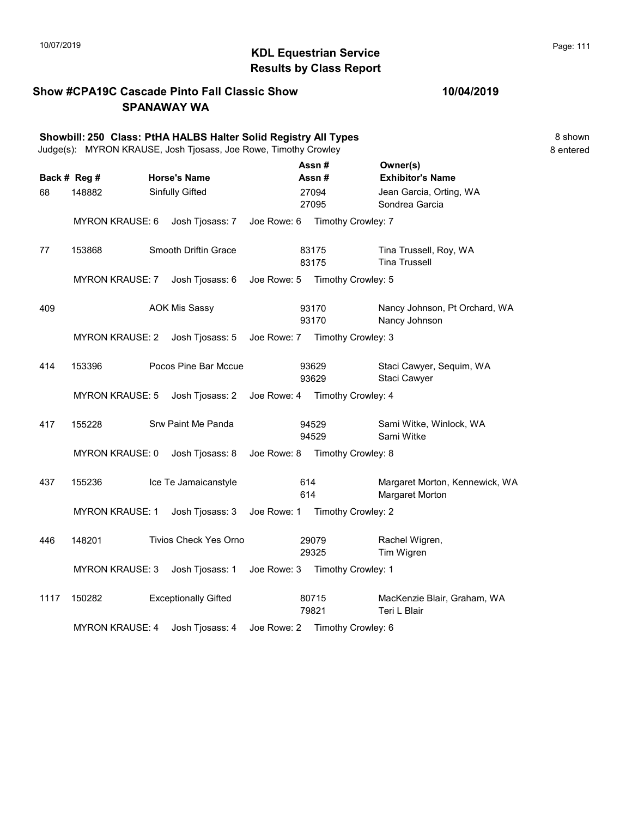### KDL Equestrian Service 10/07/2019 Page: 111 Results by Class Report

#### Show #CPA19C Cascade Pinto Fall Classic Show SPANAWAY WA

#### 10/04/2019

|                              | Showbill: 250 Class: PtHA HALBS Halter Solid Registry All Types<br>Judge(s): MYRON KRAUSE, Josh Tjosass, Joe Rowe, Timothy Crowley |  |                                        |             |            |                                  |                                                                                  | 8 shown<br>8 entered |
|------------------------------|------------------------------------------------------------------------------------------------------------------------------------|--|----------------------------------------|-------------|------------|----------------------------------|----------------------------------------------------------------------------------|----------------------|
| Back # Reg #<br>148882<br>68 |                                                                                                                                    |  | <b>Horse's Name</b><br>Sinfully Gifted |             |            | Assn#<br>Assn#<br>27094<br>27095 | Owner(s)<br><b>Exhibitor's Name</b><br>Jean Garcia, Orting, WA<br>Sondrea Garcia |                      |
|                              | <b>MYRON KRAUSE: 6</b>                                                                                                             |  | Josh Tjosass: 7                        | Joe Rowe: 6 |            | Timothy Crowley: 7               |                                                                                  |                      |
| 77                           | 153868                                                                                                                             |  | Smooth Driftin Grace                   |             |            | 83175<br>83175                   | Tina Trussell, Roy, WA<br><b>Tina Trussell</b>                                   |                      |
|                              | <b>MYRON KRAUSE: 7</b>                                                                                                             |  | Josh Tjosass: 6                        | Joe Rowe: 5 |            | Timothy Crowley: 5               |                                                                                  |                      |
| 409                          |                                                                                                                                    |  | <b>AOK Mis Sassy</b>                   |             |            | 93170<br>93170                   | Nancy Johnson, Pt Orchard, WA<br>Nancy Johnson                                   |                      |
|                              | <b>MYRON KRAUSE: 2</b>                                                                                                             |  | Josh Tjosass: 5                        |             |            | Joe Rowe: 7 Timothy Crowley: 3   |                                                                                  |                      |
| 414                          | 153396                                                                                                                             |  | Pocos Pine Bar Mccue                   |             |            | 93629<br>93629                   | Staci Cawyer, Sequim, WA<br>Staci Cawyer                                         |                      |
|                              | <b>MYRON KRAUSE: 5</b>                                                                                                             |  | Josh Tjosass: 2                        | Joe Rowe: 4 |            | Timothy Crowley: 4               |                                                                                  |                      |
| 417                          | 155228                                                                                                                             |  | Srw Paint Me Panda                     |             |            | 94529<br>94529                   | Sami Witke, Winlock, WA<br>Sami Witke                                            |                      |
|                              | <b>MYRON KRAUSE: 0</b>                                                                                                             |  | Josh Tjosass: 8                        | Joe Rowe: 8 |            | Timothy Crowley: 8               |                                                                                  |                      |
| 437                          | 155236                                                                                                                             |  | Ice Te Jamaicanstyle                   |             | 614<br>614 |                                  | Margaret Morton, Kennewick, WA<br>Margaret Morton                                |                      |
|                              | <b>MYRON KRAUSE: 1</b>                                                                                                             |  | Josh Tjosass: 3                        | Joe Rowe: 1 |            | Timothy Crowley: 2               |                                                                                  |                      |
| 446                          | 148201                                                                                                                             |  | <b>Tivios Check Yes Orno</b>           |             |            | 29079<br>29325                   | Rachel Wigren,<br>Tim Wigren                                                     |                      |
|                              | <b>MYRON KRAUSE: 3</b>                                                                                                             |  | Josh Tjosass: 1                        |             |            | Joe Rowe: 3 Timothy Crowley: 1   |                                                                                  |                      |
| 1117                         | 150282                                                                                                                             |  | <b>Exceptionally Gifted</b>            |             |            | 80715<br>79821                   | MacKenzie Blair, Graham, WA<br>Teri L Blair                                      |                      |

MYRON KRAUSE: 4 Josh Tjosass: 4 Joe Rowe: 2 Timothy Crowley: 6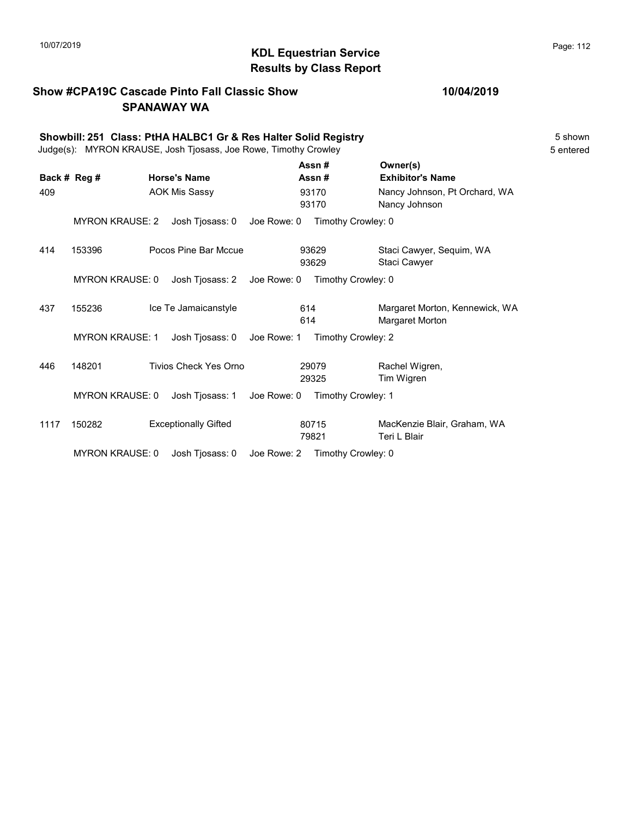## 10/07/2019 **Page: 112**<br> **KDL Equestrian Service Page: 112** Results by Class Report

#### Show #CPA19C Cascade Pinto Fall Classic Show SPANAWAY WA

|      | Showbill: 251 Class: PtHA HALBC1 Gr & Res Halter Solid Registry<br>Judge(s): MYRON KRAUSE, Josh Tjosass, Joe Rowe, Timothy Crowley |  |                              |             |            |                |                                                   |  |
|------|------------------------------------------------------------------------------------------------------------------------------------|--|------------------------------|-------------|------------|----------------|---------------------------------------------------|--|
|      | Back # Reg #                                                                                                                       |  | <b>Horse's Name</b>          |             |            | Assn#<br>Assn# | Owner(s)<br><b>Exhibitor's Name</b>               |  |
| 409  |                                                                                                                                    |  | <b>AOK Mis Sassy</b>         |             |            | 93170<br>93170 | Nancy Johnson, Pt Orchard, WA<br>Nancy Johnson    |  |
|      | <b>MYRON KRAUSE: 2</b>                                                                                                             |  | Josh Tjosass: 0              | Joe Rowe: 0 |            |                | Timothy Crowley: 0                                |  |
| 414  | 153396                                                                                                                             |  | Pocos Pine Bar Mccue         |             |            | 93629<br>93629 | Staci Cawyer, Sequim, WA<br>Staci Cawyer          |  |
|      | <b>MYRON KRAUSE: 0</b>                                                                                                             |  | Josh Tiosass: 2              | Joe Rowe: 0 |            |                | Timothy Crowley: 0                                |  |
| 437  | 155236                                                                                                                             |  | Ice Te Jamaicanstyle         |             | 614<br>614 |                | Margaret Morton, Kennewick, WA<br>Margaret Morton |  |
|      | <b>MYRON KRAUSE: 1</b>                                                                                                             |  | Josh Tjosass: 0              | Joe Rowe: 1 |            |                | Timothy Crowley: 2                                |  |
| 446  | 148201                                                                                                                             |  | <b>Tivios Check Yes Orno</b> |             |            | 29079<br>29325 | Rachel Wigren,<br>Tim Wigren                      |  |
|      | <b>MYRON KRAUSE: 0</b>                                                                                                             |  | Josh Tjosass: 1              | Joe Rowe: 0 |            |                | Timothy Crowley: 1                                |  |
| 1117 | 150282                                                                                                                             |  | <b>Exceptionally Gifted</b>  |             |            | 80715<br>79821 | MacKenzie Blair, Graham, WA<br>Teri L Blair       |  |
|      | <b>MYRON KRAUSE: 0</b>                                                                                                             |  | Josh Tjosass: 0              | Joe Rowe: 2 |            |                | Timothy Crowley: 0                                |  |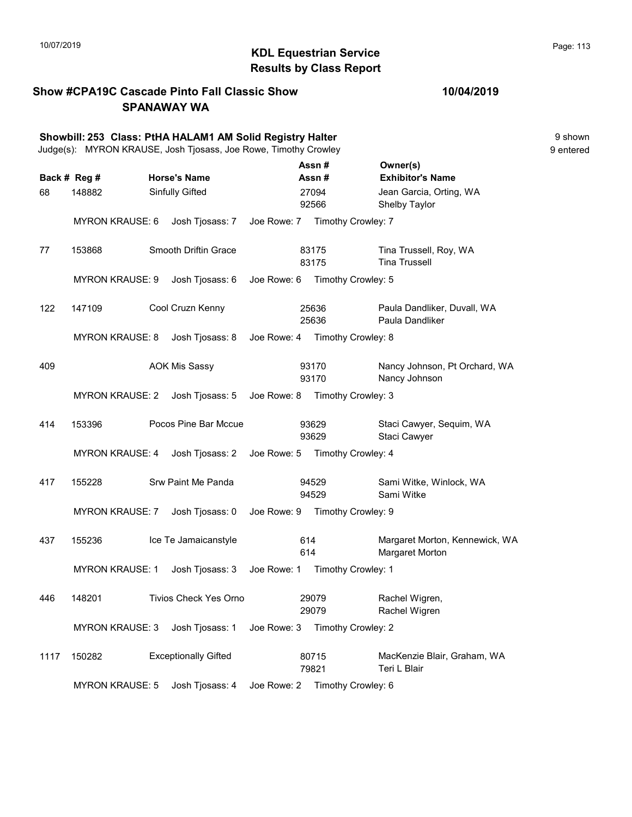## 10/07/2019 **Page: 113** Results by Class Report

#### Show #CPA19C Cascade Pinto Fall Classic Show SPANAWAY WA

| Showbill: 253 Class: PtHA HALAM1 AM Solid Registry Halter<br>Judge(s): MYRON KRAUSE, Josh Tjosass, Joe Rowe, Timothy Crowley |                        |                             |             |                    |                                                   | 9 shown<br>9 entered |
|------------------------------------------------------------------------------------------------------------------------------|------------------------|-----------------------------|-------------|--------------------|---------------------------------------------------|----------------------|
|                                                                                                                              | Back # Reg #           | <b>Horse's Name</b>         |             | Assn#<br>Assn#     | Owner(s)<br><b>Exhibitor's Name</b>               |                      |
| 68                                                                                                                           | 148882                 | <b>Sinfully Gifted</b>      |             | 27094<br>92566     | Jean Garcia, Orting, WA<br>Shelby Taylor          |                      |
|                                                                                                                              | <b>MYRON KRAUSE: 6</b> | Josh Tjosass: 7             | Joe Rowe: 7 | Timothy Crowley: 7 |                                                   |                      |
| 77                                                                                                                           | 153868                 | Smooth Driftin Grace        |             | 83175<br>83175     | Tina Trussell, Roy, WA<br><b>Tina Trussell</b>    |                      |
|                                                                                                                              | <b>MYRON KRAUSE: 9</b> | Josh Tjosass: 6             | Joe Rowe: 6 | Timothy Crowley: 5 |                                                   |                      |
| 122                                                                                                                          | 147109                 | Cool Cruzn Kenny            |             | 25636<br>25636     | Paula Dandliker, Duvall, WA<br>Paula Dandliker    |                      |
|                                                                                                                              | <b>MYRON KRAUSE: 8</b> | Josh Tjosass: 8 Joe Rowe: 4 |             | Timothy Crowley: 8 |                                                   |                      |
| 409                                                                                                                          |                        | <b>AOK Mis Sassy</b>        |             | 93170<br>93170     | Nancy Johnson, Pt Orchard, WA<br>Nancy Johnson    |                      |
|                                                                                                                              | <b>MYRON KRAUSE: 2</b> | Josh Tjosass: 5             | Joe Rowe: 8 | Timothy Crowley: 3 |                                                   |                      |
| 414                                                                                                                          | 153396                 | Pocos Pine Bar Mccue        |             | 93629<br>93629     | Staci Cawyer, Sequim, WA<br>Staci Cawyer          |                      |
|                                                                                                                              | <b>MYRON KRAUSE: 4</b> | Josh Tjosass: 2             | Joe Rowe: 5 | Timothy Crowley: 4 |                                                   |                      |
| 417                                                                                                                          | 155228                 | Srw Paint Me Panda          |             | 94529<br>94529     | Sami Witke, Winlock, WA<br>Sami Witke             |                      |
|                                                                                                                              | <b>MYRON KRAUSE: 7</b> | Josh Tjosass: 0             | Joe Rowe: 9 | Timothy Crowley: 9 |                                                   |                      |
| 437                                                                                                                          | 155236                 | Ice Te Jamaicanstyle        |             | 614<br>614         | Margaret Morton, Kennewick, WA<br>Margaret Morton |                      |
|                                                                                                                              | <b>MYRON KRAUSE: 1</b> | Josh Tjosass: 3             | Joe Rowe: 1 | Timothy Crowley: 1 |                                                   |                      |
| 446                                                                                                                          | 148201                 | Tivios Check Yes Orno       |             | 29079<br>29079     | Rachel Wigren,<br>Rachel Wigren                   |                      |
|                                                                                                                              | <b>MYRON KRAUSE: 3</b> | Josh Tjosass: 1             | Joe Rowe: 3 | Timothy Crowley: 2 |                                                   |                      |
| 1117                                                                                                                         | 150282                 | <b>Exceptionally Gifted</b> |             | 80715<br>79821     | MacKenzie Blair, Graham, WA<br>Teri L Blair       |                      |

MYRON KRAUSE: 5 Josh Tjosass: 4 Joe Rowe: 2 Timothy Crowley: 6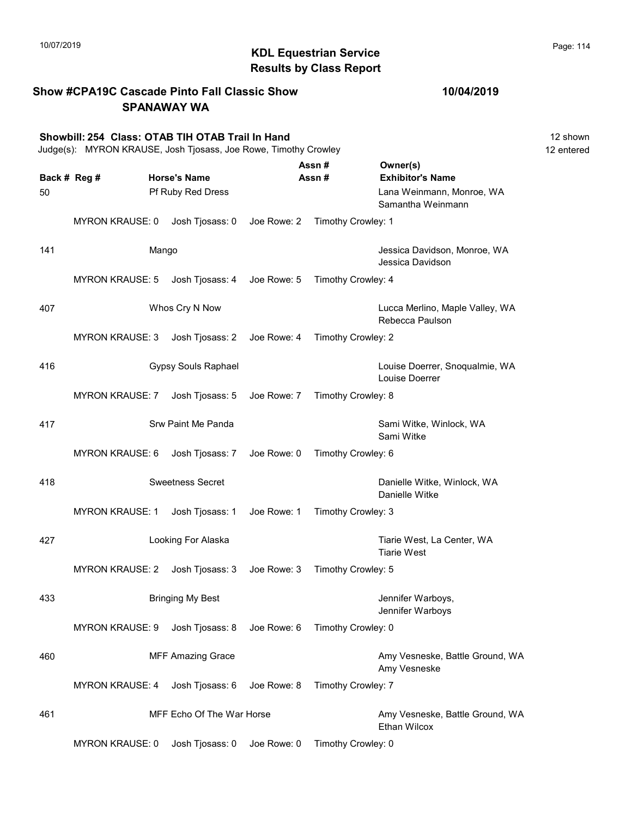|     |                                                                                                                     | <b>SPANAWAY WA</b>          |             |                    |                                                        |                        |
|-----|---------------------------------------------------------------------------------------------------------------------|-----------------------------|-------------|--------------------|--------------------------------------------------------|------------------------|
|     | Showbill: 254 Class: OTAB TIH OTAB Trail In Hand<br>Judge(s): MYRON KRAUSE, Josh Tjosass, Joe Rowe, Timothy Crowley |                             |             |                    |                                                        | 12 shown<br>12 entered |
|     | Back # Reg #                                                                                                        | <b>Horse's Name</b>         |             | Assn#<br>Assn#     | Owner(s)<br><b>Exhibitor's Name</b>                    |                        |
| 50  |                                                                                                                     | Pf Ruby Red Dress           |             |                    | Lana Weinmann, Monroe, WA<br>Samantha Weinmann         |                        |
|     | <b>MYRON KRAUSE: 0</b>                                                                                              | Josh Tjosass: 0 Joe Rowe: 2 |             | Timothy Crowley: 1 |                                                        |                        |
| 141 | Mango                                                                                                               |                             |             |                    | Jessica Davidson, Monroe, WA<br>Jessica Davidson       |                        |
|     | <b>MYRON KRAUSE: 5</b>                                                                                              | Josh Tjosass: 4             | Joe Rowe: 5 | Timothy Crowley: 4 |                                                        |                        |
| 407 |                                                                                                                     | Whos Cry N Now              |             |                    | Lucca Merlino, Maple Valley, WA<br>Rebecca Paulson     |                        |
|     | <b>MYRON KRAUSE: 3</b>                                                                                              | Josh Tjosass: 2             | Joe Rowe: 4 | Timothy Crowley: 2 |                                                        |                        |
| 416 |                                                                                                                     | <b>Gypsy Souls Raphael</b>  |             |                    | Louise Doerrer, Snoqualmie, WA<br>Louise Doerrer       |                        |
|     | <b>MYRON KRAUSE: 7</b>                                                                                              | Josh Tjosass: 5             | Joe Rowe: 7 | Timothy Crowley: 8 |                                                        |                        |
| 417 |                                                                                                                     | Srw Paint Me Panda          |             |                    | Sami Witke, Winlock, WA<br>Sami Witke                  |                        |
|     | <b>MYRON KRAUSE: 6</b>                                                                                              | Josh Tjosass: 7             | Joe Rowe: 0 | Timothy Crowley: 6 |                                                        |                        |
| 418 |                                                                                                                     | <b>Sweetness Secret</b>     |             |                    | Danielle Witke, Winlock, WA<br>Danielle Witke          |                        |
|     | <b>MYRON KRAUSE: 1</b>                                                                                              | Josh Tjosass: 1             | Joe Rowe: 1 | Timothy Crowley: 3 |                                                        |                        |
| 427 |                                                                                                                     | Looking For Alaska          |             |                    | Tiarie West, La Center, WA<br><b>Tiarie West</b>       |                        |
|     | <b>MYRON KRAUSE: 2</b>                                                                                              | Josh Tjosass: 3             | Joe Rowe: 3 | Timothy Crowley: 5 |                                                        |                        |
| 433 |                                                                                                                     | <b>Bringing My Best</b>     |             |                    | Jennifer Warboys,<br>Jennifer Warboys                  |                        |
|     | <b>MYRON KRAUSE: 9</b>                                                                                              | Josh Tjosass: 8             | Joe Rowe: 6 | Timothy Crowley: 0 |                                                        |                        |
| 460 |                                                                                                                     | <b>MFF Amazing Grace</b>    |             |                    | Amy Vesneske, Battle Ground, WA<br>Amy Vesneske        |                        |
|     | <b>MYRON KRAUSE: 4</b>                                                                                              | Josh Tjosass: 6             | Joe Rowe: 8 | Timothy Crowley: 7 |                                                        |                        |
| 461 |                                                                                                                     | MFF Echo Of The War Horse   |             |                    | Amy Vesneske, Battle Ground, WA<br><b>Ethan Wilcox</b> |                        |
|     | <b>MYRON KRAUSE: 0</b>                                                                                              | Josh Tjosass: 0             | Joe Rowe: 0 | Timothy Crowley: 0 |                                                        |                        |

Show #CPA19C Cascade Pinto Fall Classic Show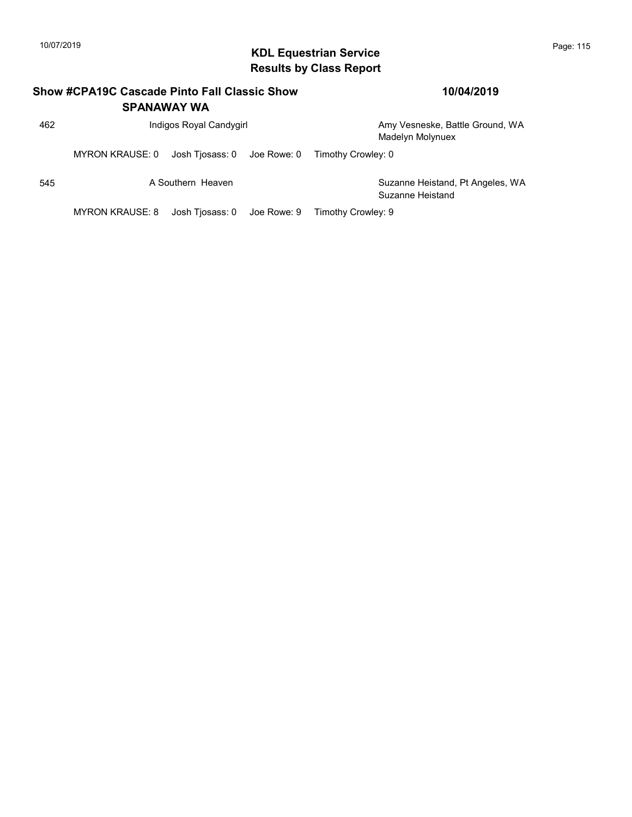## 10/07/2019 **Page: 115**<br> **KDL Equestrian Service Page: 115** Results by Class Report

|     | Show #CPA19C Cascade Pinto Fall Classic Show | <b>SPANAWAY WA</b>          | 10/04/2019 |                                                      |
|-----|----------------------------------------------|-----------------------------|------------|------------------------------------------------------|
| 462 |                                              | Indigos Royal Candygirl     |            | Amy Vesneske, Battle Ground, WA<br>Madelyn Molynuex  |
|     | MYRON KRAUSE: 0                              | Josh Tjosass: 0 Joe Rowe: 0 |            | Timothy Crowley: 0                                   |
| 545 |                                              | A Southern Heaven           |            | Suzanne Heistand, Pt Angeles, WA<br>Suzanne Heistand |
|     | <b>MYRON KRAUSE: 8</b>                       | Josh Tjosass: 0 Joe Rowe: 9 |            | Timothy Crowley: 9                                   |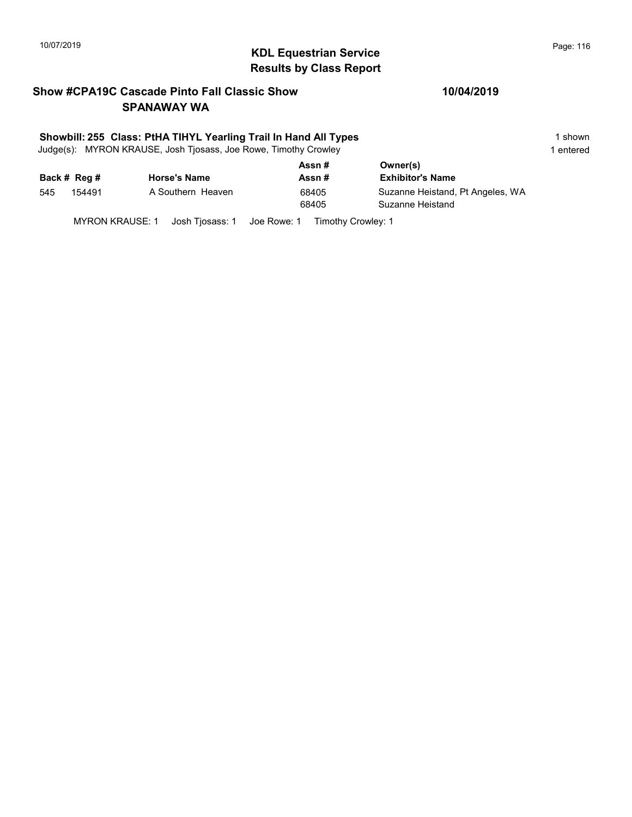## 10/07/2019 **Page: 116**<br> **KDL Equestrian Service Page: 116** Results by Class Report

#### Show #CPA19C Cascade Pinto Fall Classic Show SPANAWAY WA

#### Showbill: 255 Class: PtHA TIHYL Yearling Trail In Hand All Types 1 shown 1 shown

Judge(s): MYRON KRAUSE, Josh Tjosass, Joe Rowe, Timothy Crowley 1 entered 1 entered

|     |              |                     | Assn# | Owner(s)                         |  |
|-----|--------------|---------------------|-------|----------------------------------|--|
|     | Back # Reg # | <b>Horse's Name</b> | Assn# | <b>Exhibitor's Name</b>          |  |
| 545 | 154491       | A Southern Heaven   | 68405 | Suzanne Heistand, Pt Angeles, WA |  |
|     |              |                     | 68405 | Suzanne Heistand                 |  |
|     |              |                     |       |                                  |  |

MYRON KRAUSE: 1 Josh Tjosass: 1 Joe Rowe: 1 Timothy Crowley: 1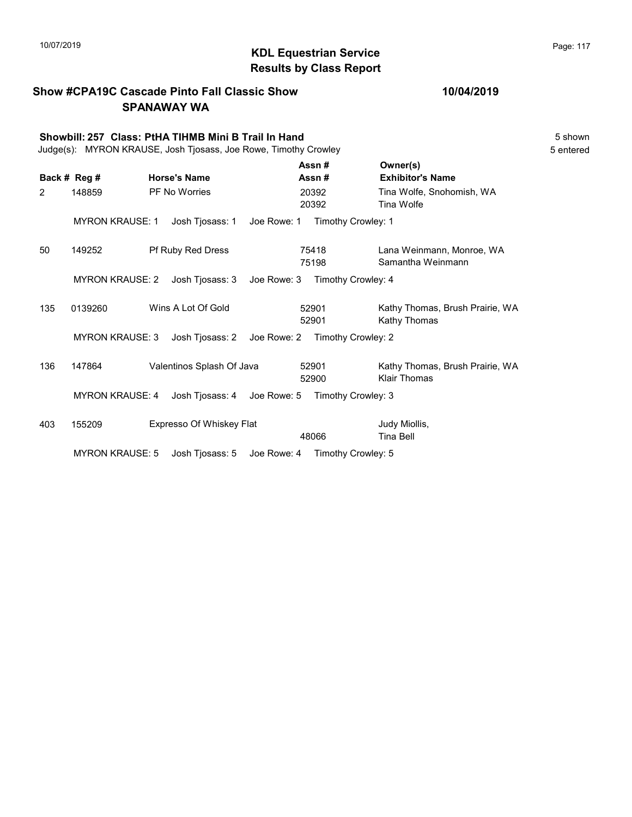Show #CPA19C Cascade Pinto Fall Classic Show

## KDL Equestrian Service 10/07/2019 Page: 117 Results by Class Report

|     |                        | <b>SPANAWAY WA</b>                                                                                                      |                    |                                                        |                      |
|-----|------------------------|-------------------------------------------------------------------------------------------------------------------------|--------------------|--------------------------------------------------------|----------------------|
|     |                        | Showbill: 257 Class: PtHA TIHMB Mini B Trail In Hand<br>Judge(s): MYRON KRAUSE, Josh Tjosass, Joe Rowe, Timothy Crowley |                    |                                                        | 5 shown<br>5 entered |
|     | Back # Reg #           | <b>Horse's Name</b>                                                                                                     | Assn#<br>Assn#     | Owner(s)<br><b>Exhibitor's Name</b>                    |                      |
| 2   | 148859                 | PF No Worries                                                                                                           | 20392<br>20392     | Tina Wolfe, Snohomish, WA<br>Tina Wolfe                |                      |
|     | <b>MYRON KRAUSE: 1</b> | Josh Tjosass: 1<br>Joe Rowe: 1                                                                                          | Timothy Crowley: 1 |                                                        |                      |
| 50  | 149252                 | Pf Ruby Red Dress                                                                                                       | 75418<br>75198     | Lana Weinmann, Monroe, WA<br>Samantha Weinmann         |                      |
|     | <b>MYRON KRAUSE: 2</b> | Josh Tjosass: 3<br>Joe Rowe: 3                                                                                          | Timothy Crowley: 4 |                                                        |                      |
| 135 | 0139260                | Wins A Lot Of Gold                                                                                                      | 52901<br>52901     | Kathy Thomas, Brush Prairie, WA<br>Kathy Thomas        |                      |
|     | <b>MYRON KRAUSE: 3</b> | Josh Tjosass: 2<br>Joe Rowe: 2                                                                                          | Timothy Crowley: 2 |                                                        |                      |
| 136 | 147864                 | Valentinos Splash Of Java                                                                                               | 52901<br>52900     | Kathy Thomas, Brush Prairie, WA<br><b>Klair Thomas</b> |                      |
|     | <b>MYRON KRAUSE: 4</b> | Josh Tiosass: 4 Joe Rowe: 5                                                                                             | Timothy Crowley: 3 |                                                        |                      |
| 403 | 155209                 | Expresso Of Whiskey Flat                                                                                                | 48066              | Judy Miollis,<br><b>Tina Bell</b>                      |                      |

MYRON KRAUSE: 5 Josh Tjosass: 5 Joe Rowe: 4 Timothy Crowley: 5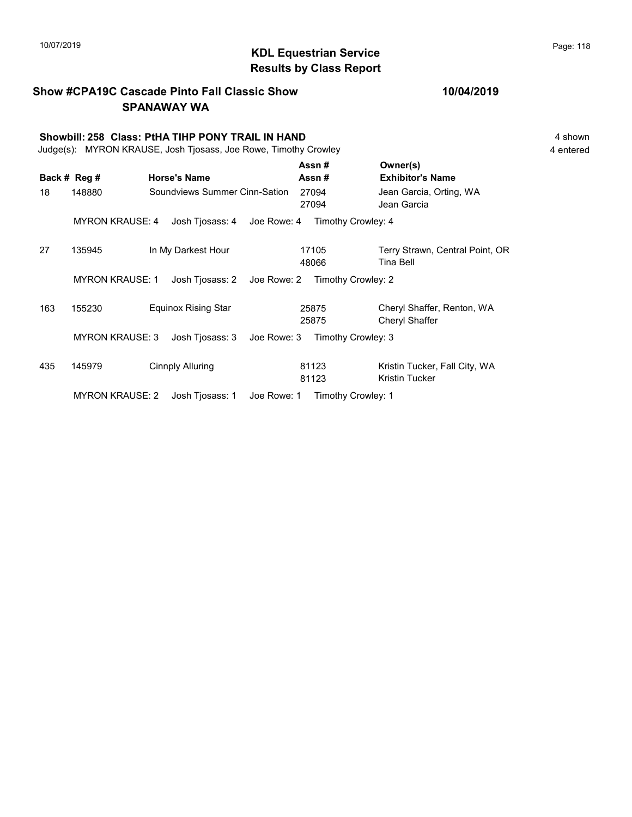#### KDL Equestrian Service 10/07/2019 Page: 118 Results by Class Report

Show #CPA19C Cascade Pinto Fall Classic Show SPANAWAY WA Showbill: 258 Class: PtHA TIHP PONY TRAIL IN HAND 4 shown 4 shown Judge(s): MYRON KRAUSE, Josh Tjosass, Joe Rowe, Timothy Crowley 4 entered Back # Reg # Horse's Name  $\overline{R}$  Assn # Exhibitor's Name Assn # Owner(s) 18 148880 Soundviews Summer Cinn-Sation 27094 Jean Garcia, Orting, WA 27094 Jean Garcia MYRON KRAUSE: 4 Josh Tjosass: 4 Joe Rowe: 4 Timothy Crowley: 4 27 135945 In My Darkest Hour 17105 Terry Strawn, Central Point, OR 48066 Tina Bell 17105 MYRON KRAUSE: 1 Josh Tjosass: 2 Joe Rowe: 2 Timothy Crowley: 2 163 155230 Equinox Rising Star Cheryl Shaffer, Renton, WA 25875 Cheryl Shaffer 25875 MYRON KRAUSE: 3 Josh Tjosass: 3 Joe Rowe: 3 Timothy Crowley: 3 435 145979 Cinnply Alluring 81123 Kristin Tucker, Fall City, WA 81123 Kristin Tucker 81123

MYRON KRAUSE: 2 Josh Tjosass: 1 Joe Rowe: 1 Timothy Crowley: 1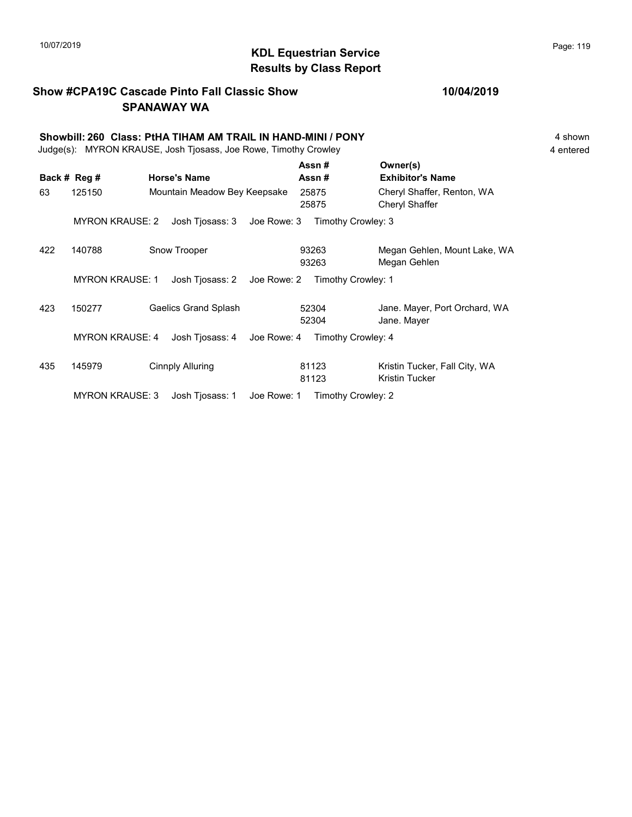## KDL Equestrian Service 10/07/2019 Page: 119 Results by Class Report

#### Show #CPA19C Cascade Pinto Fall Classic Show SPANAWAY WA

|     | Showbill: 260 Class: PtHA TIHAM AM TRAIL IN HAND-MINI / PONY<br>Judge(s): MYRON KRAUSE, Josh Tjosass, Joe Rowe, Timothy Crowley |                                |                    |                                              |  |  |  |  |
|-----|---------------------------------------------------------------------------------------------------------------------------------|--------------------------------|--------------------|----------------------------------------------|--|--|--|--|
|     | Back # Reg #                                                                                                                    | <b>Horse's Name</b>            | Assn#<br>Assn#     | Owner(s)<br><b>Exhibitor's Name</b>          |  |  |  |  |
| 63  | 125150                                                                                                                          | Mountain Meadow Bey Keepsake   | 25875<br>25875     | Cheryl Shaffer, Renton, WA<br>Cheryl Shaffer |  |  |  |  |
|     | <b>MYRON KRAUSE: 2</b>                                                                                                          | Josh Tjosass: 3<br>Joe Rowe: 3 | Timothy Crowley: 3 |                                              |  |  |  |  |
| 422 | 140788                                                                                                                          | Snow Trooper                   | 93263<br>93263     | Megan Gehlen, Mount Lake, WA<br>Megan Gehlen |  |  |  |  |
|     | <b>MYRON KRAUSE: 1</b>                                                                                                          | Joe Rowe: 2<br>Josh Tiosass: 2 | Timothy Crowley: 1 |                                              |  |  |  |  |
| 423 | 150277                                                                                                                          | <b>Gaelics Grand Splash</b>    | 52304<br>52304     | Jane. Mayer, Port Orchard, WA<br>Jane. Mayer |  |  |  |  |

MYRON KRAUSE: 4 Josh Tjosass: 4 Joe Rowe: 4 Timothy Crowley: 4 435 145979 Cinnply Alluring 21123 Kristin Tucker, Fall City, WA 81123 Kristin Tucker 81123

MYRON KRAUSE: 3 Josh Tjosass: 1 Joe Rowe: 1 Timothy Crowley: 2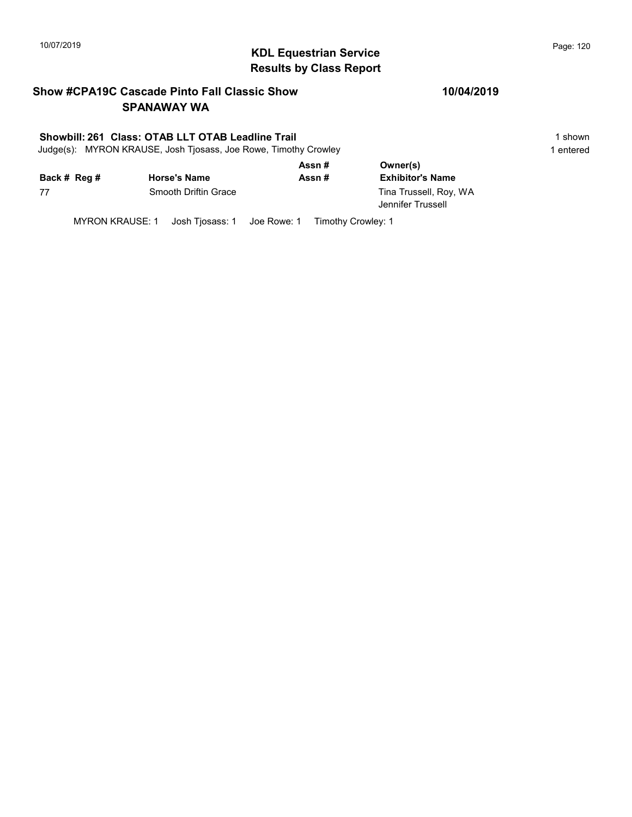## 10/07/2019 **Page: 120**<br> **KDL Equestrian Service Page: 120** Results by Class Report

#### Show #CPA19C Cascade Pinto Fall Classic Show SPANAWAY WA

#### Showbill: 261 Class: OTAB LLT OTAB Leadline Trail 1 shown 1 shown

Judge(s): MYRON KRAUSE, Josh Tjosass, Joe Rowe, Timothy Crowley 1 entered 1 entered

|              |                      | Assn#  | Owner(s)                                    |  |  |
|--------------|----------------------|--------|---------------------------------------------|--|--|
| Back # Reg # | <b>Horse's Name</b>  | Assn # | <b>Exhibitor's Name</b>                     |  |  |
| 77           | Smooth Driftin Grace |        | Tina Trussell, Roy, WA<br>Jennifer Trussell |  |  |

MYRON KRAUSE: 1 Josh Tjosass: 1 Joe Rowe: 1 Timothy Crowley: 1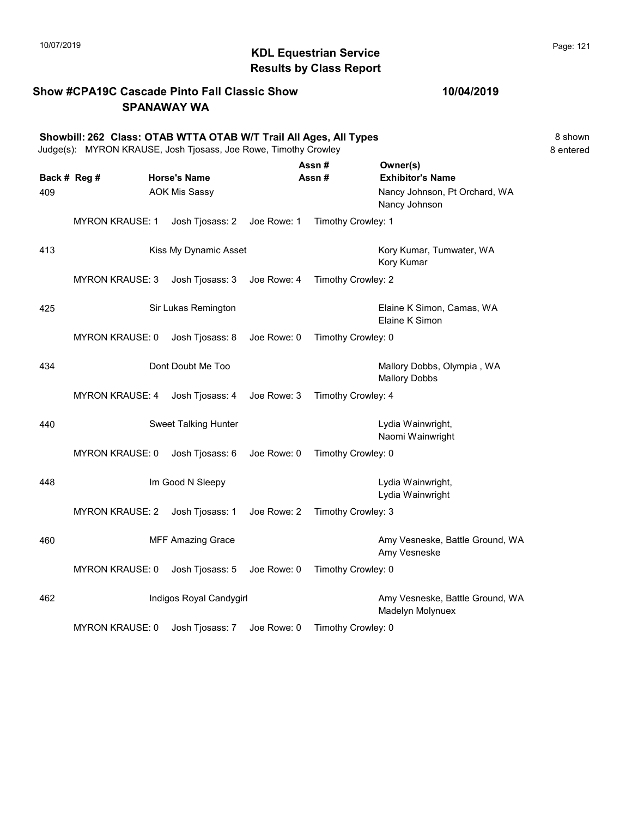#### Show #CPA19C Cascade Pinto Fall Classic Show SPANAWAY WA

|     | Showbill: 262 Class: OTAB WTTA OTAB W/T Trail All Ages, All Types<br>Judge(s): MYRON KRAUSE, Josh Tjosass, Joe Rowe, Timothy Crowley |  |                             |             |                                                |                                                     | 8 shown<br>8 entered |
|-----|--------------------------------------------------------------------------------------------------------------------------------------|--|-----------------------------|-------------|------------------------------------------------|-----------------------------------------------------|----------------------|
|     |                                                                                                                                      |  |                             |             | Assn#                                          | Owner(s)                                            |                      |
|     | Back # Reg #                                                                                                                         |  | <b>Horse's Name</b>         |             | Assn#                                          | <b>Exhibitor's Name</b>                             |                      |
| 409 | <b>AOK Mis Sassy</b>                                                                                                                 |  |                             |             | Nancy Johnson, Pt Orchard, WA<br>Nancy Johnson |                                                     |                      |
|     | <b>MYRON KRAUSE: 1</b>                                                                                                               |  | Josh Tjosass: 2             | Joe Rowe: 1 | Timothy Crowley: 1                             |                                                     |                      |
| 413 |                                                                                                                                      |  | Kiss My Dynamic Asset       |             |                                                | Kory Kumar, Tumwater, WA<br>Kory Kumar              |                      |
|     | <b>MYRON KRAUSE: 3</b>                                                                                                               |  | Josh Tjosass: 3             | Joe Rowe: 4 | Timothy Crowley: 2                             |                                                     |                      |
| 425 |                                                                                                                                      |  | Sir Lukas Remington         |             |                                                | Elaine K Simon, Camas, WA<br>Elaine K Simon         |                      |
|     | <b>MYRON KRAUSE: 0</b>                                                                                                               |  | Josh Tjosass: 8             | Joe Rowe: 0 | Timothy Crowley: 0                             |                                                     |                      |
| 434 |                                                                                                                                      |  | Dont Doubt Me Too           |             |                                                | Mallory Dobbs, Olympia, WA<br><b>Mallory Dobbs</b>  |                      |
|     | <b>MYRON KRAUSE: 4</b>                                                                                                               |  | Josh Tjosass: 4             | Joe Rowe: 3 | Timothy Crowley: 4                             |                                                     |                      |
| 440 |                                                                                                                                      |  | <b>Sweet Talking Hunter</b> |             |                                                | Lydia Wainwright,<br>Naomi Wainwright               |                      |
|     | <b>MYRON KRAUSE: 0</b>                                                                                                               |  | Josh Tjosass: 6             | Joe Rowe: 0 | Timothy Crowley: 0                             |                                                     |                      |
| 448 |                                                                                                                                      |  | Im Good N Sleepy            |             |                                                | Lydia Wainwright,<br>Lydia Wainwright               |                      |
|     | <b>MYRON KRAUSE: 2</b>                                                                                                               |  | Josh Tjosass: 1             | Joe Rowe: 2 | Timothy Crowley: 3                             |                                                     |                      |
| 460 |                                                                                                                                      |  | <b>MFF Amazing Grace</b>    |             |                                                | Amy Vesneske, Battle Ground, WA<br>Amy Vesneske     |                      |
|     | <b>MYRON KRAUSE: 0</b>                                                                                                               |  | Josh Tjosass: 5             | Joe Rowe: 0 | Timothy Crowley: 0                             |                                                     |                      |
| 462 |                                                                                                                                      |  | Indigos Royal Candygirl     |             |                                                | Amy Vesneske, Battle Ground, WA<br>Madelyn Molynuex |                      |
|     | <b>MYRON KRAUSE: 0</b>                                                                                                               |  | Josh Tjosass: 7             | Joe Rowe: 0 | Timothy Crowley: 0                             |                                                     |                      |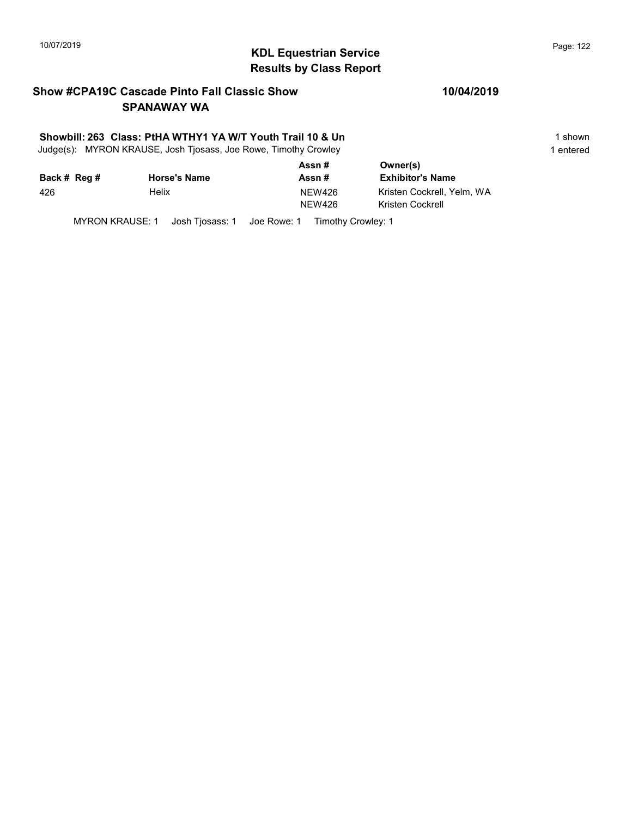## 10/07/2019 **Page: 122**<br> **KDL Equestrian Service Page: 122** Results by Class Report

#### Show #CPA19C Cascade Pinto Fall Classic Show SPANAWAY WA

#### Showbill: 263 Class: PtHA WTHY1 YA W/T Youth Trail 10 & Un 1 Shown 1 shown

Judge(s): MYRON KRAUSE, Josh Tjosass, Joe Rowe, Timothy Crowley 1 entered 1 entered

| Back # Reg # | <b>Horse's Name</b> | Assn#<br>Assn#                 | Owner(s)<br><b>Exhibitor's Name</b>            |
|--------------|---------------------|--------------------------------|------------------------------------------------|
| 426          | Helix               | <b>NEW426</b><br><b>NEW426</b> | Kristen Cockrell. Yelm. WA<br>Kristen Cockrell |

MYRON KRAUSE: 1 Josh Tjosass: 1 Joe Rowe: 1 Timothy Crowley: 1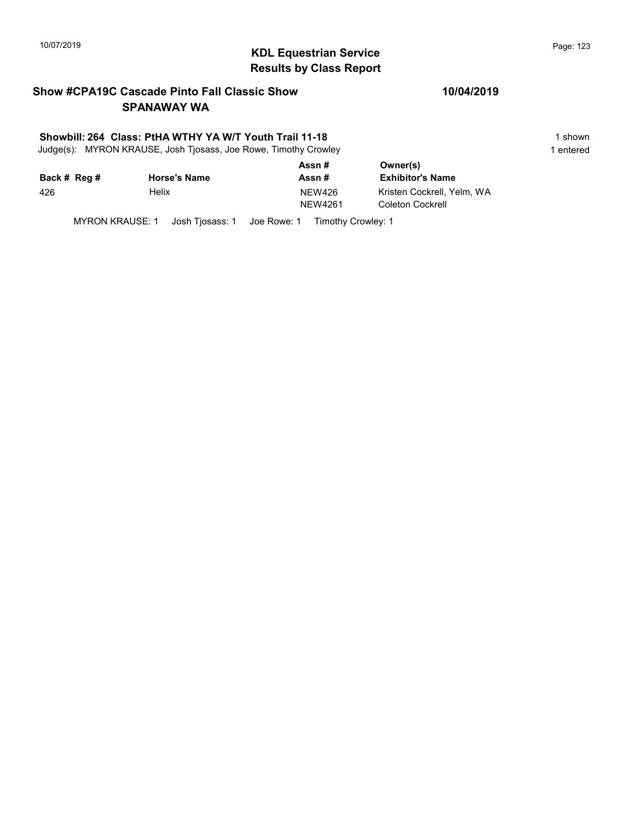## 10/07/2019 **Page: 123**<br> **KDL Equestrian Service Page: 123** Results by Class Report

#### Show #CPA19C Cascade Pinto Fall Classic Show SPANAWAY WA

#### Showbill: 264 Class: PtHA WTHY YA W/T Youth Trail 11-18 1 Shown 1 shown

Judge(s): MYRON KRAUSE, Josh Tjosass, Joe Rowe, Timothy Crowley 1 entered 1 entered

|              |                     | Assn#                    | Owner(s)                                       |  |
|--------------|---------------------|--------------------------|------------------------------------------------|--|
| Back # Reg # | <b>Horse's Name</b> | Assn#                    | <b>Exhibitor's Name</b>                        |  |
| 426          | Helix               | <b>NEW426</b><br>NEW4261 | Kristen Cockrell. Yelm. WA<br>Coleton Cockrell |  |

MYRON KRAUSE: 1 Josh Tjosass: 1 Joe Rowe: 1 Timothy Crowley: 1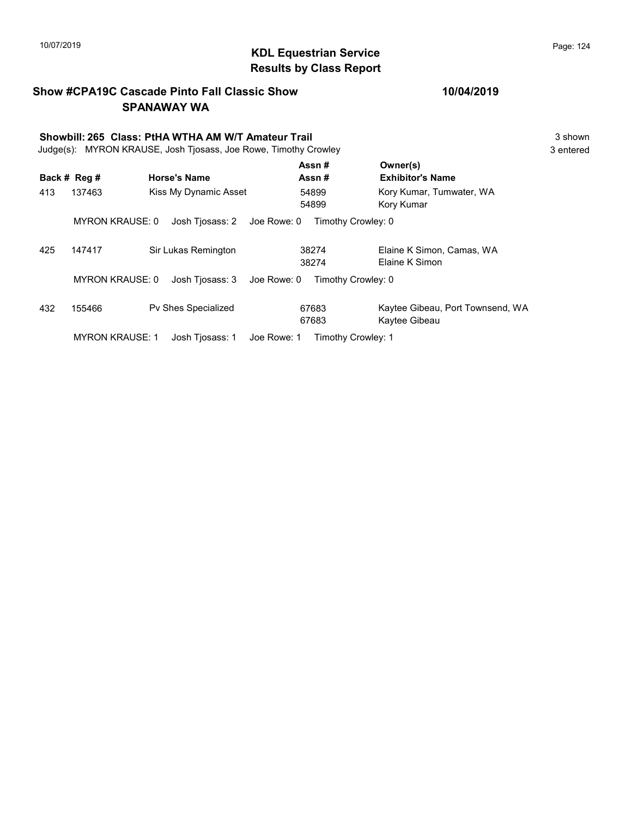## 10/07/2019 **Page: 124**<br> **KDL Equestrian Service Page: 124** Results by Class Report

# Show #CPA19C Cascade Pinto Fall Classic Show SPANAWAY WA

Showbill: 265 Class: PtHA WTHA AM W/T Amateur Trail 3 shown<br>
Judge(s): MYRON KRAUSE. Josh Tiosass. Joe Rowe. Timothy Crowley 3 shown Judge(s): MYRON KRAUSE, Josh Tjosass, Joe Rowe, Timothy Crowley

|     | Back # Reg #           | <b>Horse's Name</b>            | Assn#<br>Assn#     | Owner(s)<br><b>Exhibitor's Name</b>               |
|-----|------------------------|--------------------------------|--------------------|---------------------------------------------------|
| 413 | 137463                 | Kiss My Dynamic Asset          | 54899<br>54899     | Kory Kumar, Tumwater, WA<br>Kory Kumar            |
|     | <b>MYRON KRAUSE: 0</b> | Josh Tjosass: 2<br>Joe Rowe: 0 | Timothy Crowley: 0 |                                                   |
| 425 | 147417                 | Sir Lukas Remington            | 38274<br>38274     | Elaine K Simon, Camas, WA<br>Elaine K Simon       |
|     | <b>MYRON KRAUSE: 0</b> | Joe Rowe: 0<br>Josh Tiosass: 3 | Timothy Crowley: 0 |                                                   |
| 432 | 155466                 | <b>Pv Shes Specialized</b>     | 67683<br>67683     | Kaytee Gibeau, Port Townsend, WA<br>Kaytee Gibeau |
|     | <b>MYRON KRAUSE: 1</b> | Joe Rowe: 1<br>Josh Tiosass: 1 | Timothy Crowley: 1 |                                                   |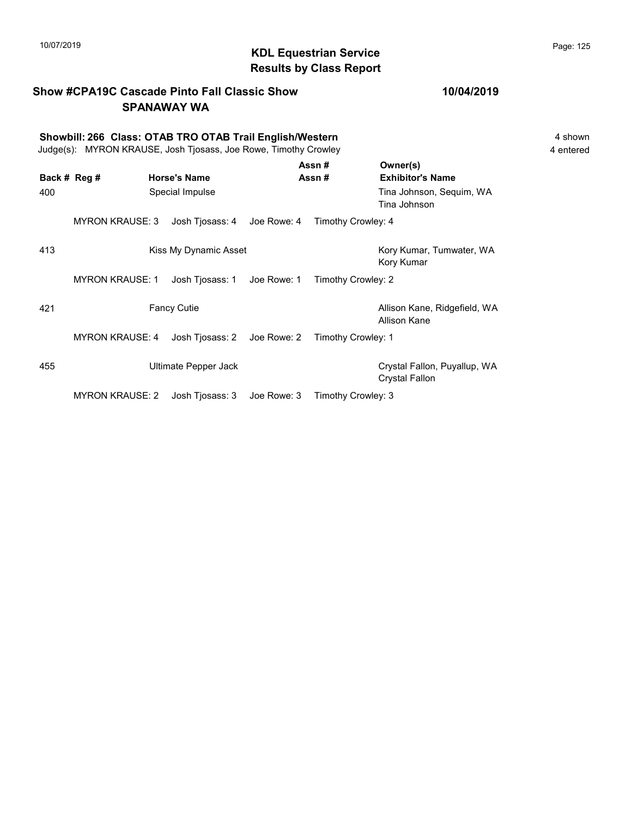#### Show #CPA19C Cascade Pinto Fall Classic Show SPANAWAY WA

Showbill: 266 Class: OTAB TRO OTAB Trail English/Western<br>
Judge(s): MYRON KRAUSE. Josh Tiosass. Joe Rowe. Timothy Crowley<br>
4 entered Judge(s): MYRON KRAUSE, Josh Tjosass, Joe Rowe, Timothy Crowley

|              |                        |                       |             | Assn#              | Owner(s)                                       |
|--------------|------------------------|-----------------------|-------------|--------------------|------------------------------------------------|
| Back # Reg # |                        | <b>Horse's Name</b>   |             | Assn#              | <b>Exhibitor's Name</b>                        |
| 400          |                        | Special Impulse       |             |                    | Tina Johnson, Sequim, WA<br>Tina Johnson       |
|              | <b>MYRON KRAUSE: 3</b> | Josh Tjosass: 4       | Joe Rowe: 4 | Timothy Crowley: 4 |                                                |
| 413          |                        | Kiss My Dynamic Asset |             |                    | Kory Kumar, Tumwater, WA<br>Kory Kumar         |
|              | <b>MYRON KRAUSE: 1</b> | Josh Tjosass: 1       | Joe Rowe: 1 | Timothy Crowley: 2 |                                                |
| 421          |                        | <b>Fancy Cutie</b>    |             |                    | Allison Kane, Ridgefield, WA<br>Allison Kane   |
|              | <b>MYRON KRAUSE: 4</b> | Josh Tjosass: 2       | Joe Rowe: 2 | Timothy Crowley: 1 |                                                |
| 455          |                        | Ultimate Pepper Jack  |             |                    | Crystal Fallon, Puyallup, WA<br>Crystal Fallon |
|              | <b>MYRON KRAUSE: 2</b> | Josh Tjosass: 3       | Joe Rowe: 3 | Timothy Crowley: 3 |                                                |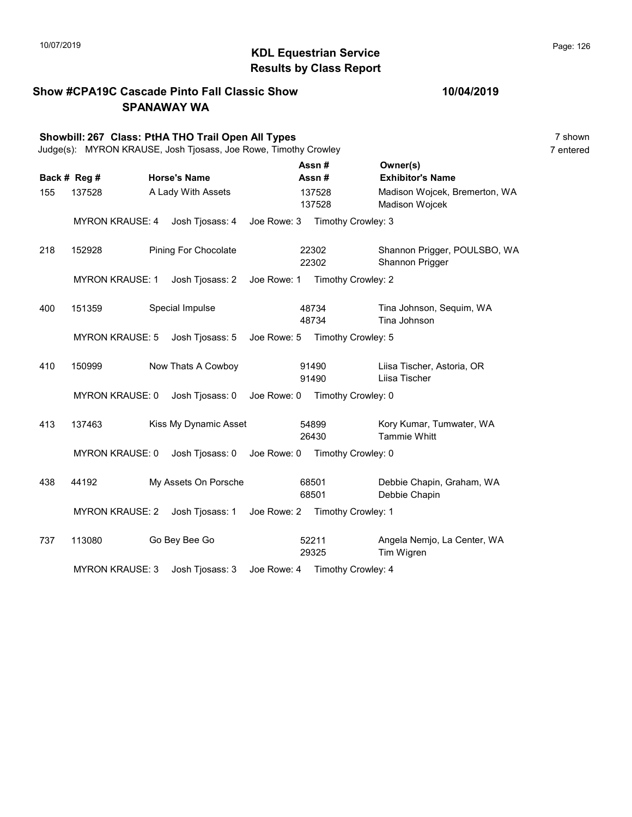Show #CPA19C Cascade Pinto Fall Classic Show

#### KDL Equestrian Service 10/07/2019 Page: 126 Results by Class Report

SPANAWAY WA Showbill: 267 Class: PtHA THO Trail Open All Types 7 shown 7 shown Judge(s): MYRON KRAUSE, Josh Tjosass, Joe Rowe, Timothy Crowley 7 entered Back # Reg # Horse's Name **Assn #** Exhibitor's Name Assn # Owner(s) 155 137528 A Lady With Assets Madison Wojcek, Bremerton, WA 137528 Madison Wojcek 137528 MYRON KRAUSE: 4 Josh Tjosass: 4 Joe Rowe: 3 Timothy Crowley: 3 218 152928 Pining For Chocolate 22302 Shannon Prigger, POULSBO, WA 22302 Shannon Prigger 22302 MYRON KRAUSE: 1 Josh Tjosass: 2 Joe Rowe: 1 Timothy Crowley: 2 400 151359 Special Impulse 18734 Tina Johnson, Sequim, WA 48734 Tina Johnson 48734 MYRON KRAUSE: 5 Josh Tjosass: 5 Joe Rowe: 5 Timothy Crowley: 5 410 150999 Now Thats A Cowboy Liisa Tischer, Astoria, OR 91490 Liisa Tischer 91490 MYRON KRAUSE: 0 Josh Tjosass: 0 Joe Rowe: 0 Timothy Crowley: 0 413 137463 Kiss My Dynamic Asset 54899 Kory Kumar, Tumwater, WA 26430 Tammie Whitt 54899 MYRON KRAUSE: 0 Josh Tjosass: 0 Joe Rowe: 0 Timothy Crowley: 0 438 44192 My Assets On Porsche Debbie Chapin, Graham, WA 68501 Debbie Chapin 68501 MYRON KRAUSE: 2 Josh Tjosass: 1 Joe Rowe: 2 Timothy Crowley: 1 737 113080 Go Bey Bee Go Angela Nemjo, La Center, WA 29325 Tim Wigren 52211 MYRON KRAUSE: 3 Josh Tjosass: 3 Joe Rowe: 4 Timothy Crowley: 4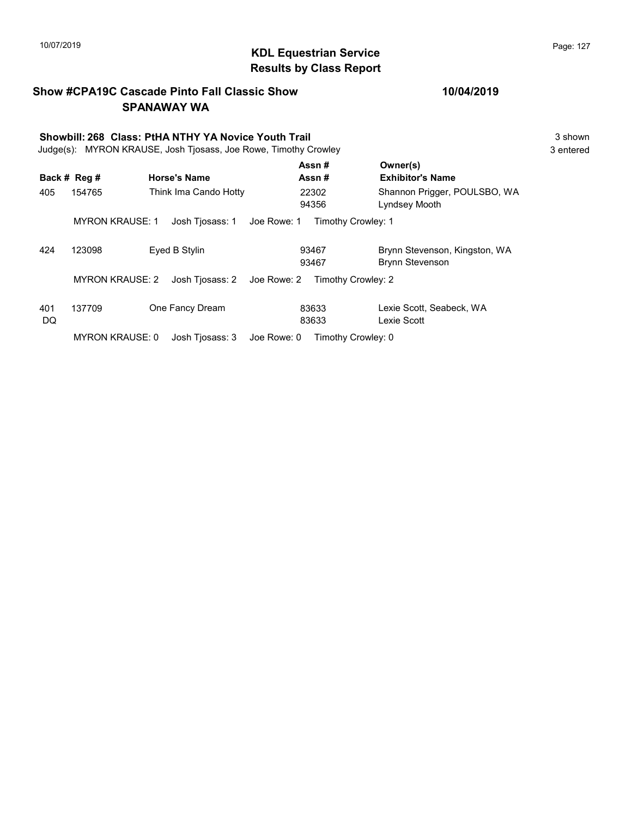#### KDL Equestrian Service 10/07/2019 Page: 127 Results by Class Report

Show #CPA19C Cascade Pinto Fall Classic Show SPANAWAY WA Showbill: 268 Class: PtHA NTHY YA Novice Youth Trail 3 shown 3 shown Judge(s): MYRON KRAUSE, Josh Tjosass, Joe Rowe, Timothy Crowley 3 entered Back # Reg # Horse's Name  $\overline{R}$  Assn # Exhibitor's Name Assn # Owner(s) 405 154765 Think Ima Cando Hotty 22302 Shannon Prigger, POULSBO, WA 94356 Lyndsey Mooth 22302 MYRON KRAUSE: 1 Josh Tjosass: 1 Joe Rowe: 1 Timothy Crowley: 1 424 123098 Eyed B Stylin Brynn Stevenson, Kingston, WA 93467 Brynn Stevenson 93467 MYRON KRAUSE: 2 Josh Tjosass: 2 Joe Rowe: 2 Timothy Crowley: 2 401 137709 One Fancy Dream Lexie Scott, Seabeck, WA DQ 83633 Lexie Scott 83633

MYRON KRAUSE: 0 Josh Tjosass: 3 Joe Rowe: 0 Timothy Crowley: 0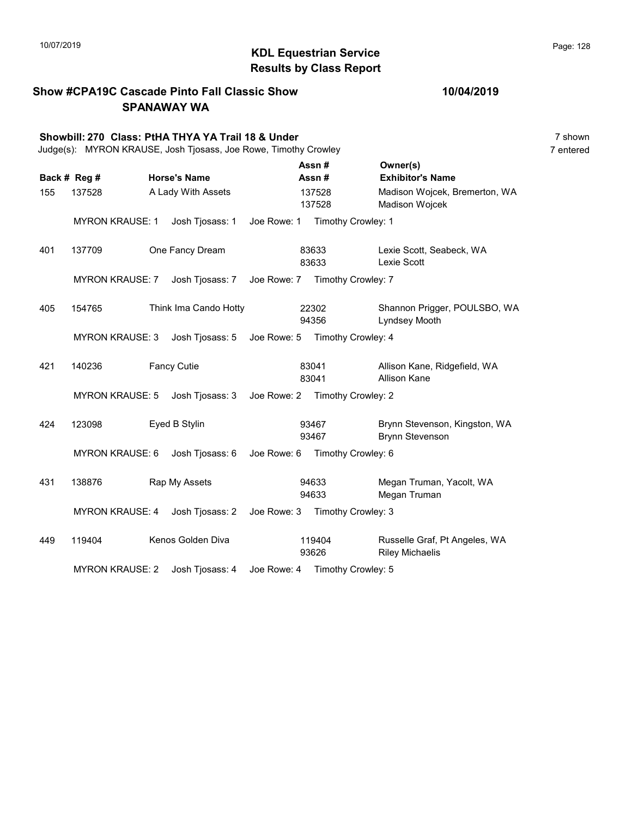Show #CPA19C Cascade Pinto Fall Classic Show

#### KDL Equestrian Service 10/07/2019 Page: 128 Results by Class Report

SPANAWAY WA Showbill: 270 Class: PtHA THYA YA Trail 18 & Under 7 Shown 7 shown 7 shown Judge(s): MYRON KRAUSE, Josh Tjosass, Joe Rowe, Timothy Crowley 7 entered Back # Reg # Horse's Name **Assn #** Exhibitor's Name Assn # Owner(s) 155 137528 A Lady With Assets Madison Wojcek, Bremerton, WA 137528 Madison Wojcek 137528 MYRON KRAUSE: 1 Josh Tjosass: 1 Joe Rowe: 1 Timothy Crowley: 1 401 137709 One Fancy Dream Lexie Scott, Seabeck, WA 83633 Lexie Scott 83633 MYRON KRAUSE: 7 Josh Tjosass: 7 Joe Rowe: 7 Timothy Crowley: 7 405 154765 Think Ima Cando Hotty 22302 Shannon Prigger, POULSBO, WA 94356 Lyndsey Mooth 22302 MYRON KRAUSE: 3 Josh Tjosass: 5 Joe Rowe: 5 Timothy Crowley: 4 421 140236 Fancy Cutie **Allison Kane, Ridgefield, WA** 83041 Allison Kane 83041 MYRON KRAUSE: 5 Josh Tjosass: 3 Joe Rowe: 2 Timothy Crowley: 2 424 123098 Eyed B Stylin Brynn Stevenson, Kingston, WA 93467 Brynn Stevenson 93467 MYRON KRAUSE: 6 Josh Tjosass: 6 Joe Rowe: 6 Timothy Crowley: 6 431 138876 Rap My Assets 94633 Megan Truman, Yacolt, WA 94633 Megan Truman 94633 MYRON KRAUSE: 4 Josh Tjosass: 2 Joe Rowe: 3 Timothy Crowley: 3 449 119404 Kenos Golden Diva 119404 Russelle Graf, Pt Angeles, WA 93626 Riley Michaelis 119404 MYRON KRAUSE: 2 Josh Tjosass: 4 Joe Rowe: 4 Timothy Crowley: 5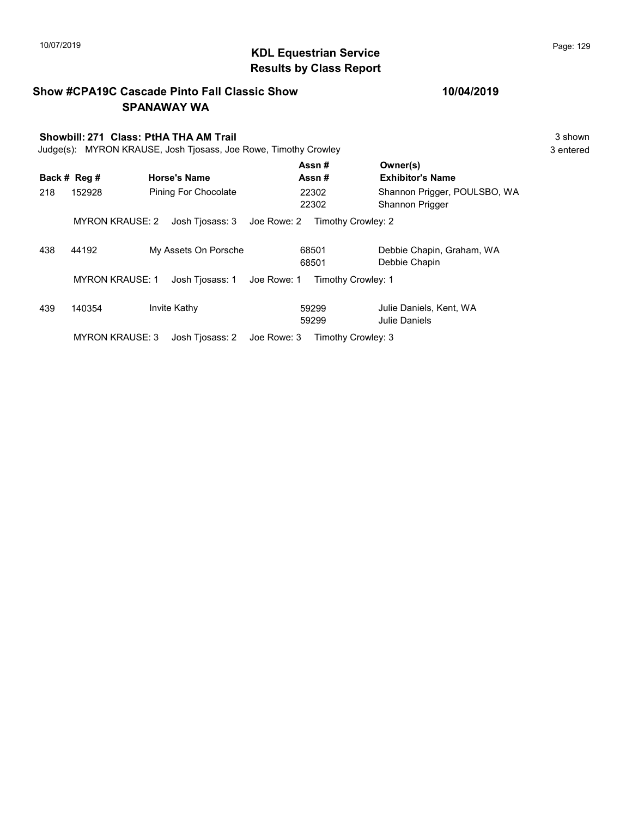## 10/07/2019 **Page: 129**<br> **KDL Equestrian Service Page: 129** Results by Class Report

|     |                        | <b>Show #CPA19C Cascade Pinto Fall Classic Show</b><br><b>SPANAWAY WA</b> |                                   | 10/04/2019                                      |           |
|-----|------------------------|---------------------------------------------------------------------------|-----------------------------------|-------------------------------------------------|-----------|
|     |                        | Showbill: 271 Class: PtHA THA AM Trail                                    |                                   |                                                 | 3 shown   |
|     |                        | Judge(s): MYRON KRAUSE, Josh Tjosass, Joe Rowe, Timothy Crowley           |                                   |                                                 | 3 entered |
|     | Back # Reg #           | <b>Horse's Name</b>                                                       | Assn#<br>Assn#                    | Owner(s)<br><b>Exhibitor's Name</b>             |           |
| 218 | 152928                 | Pining For Chocolate                                                      | 22302<br>22302                    | Shannon Prigger, POULSBO, WA<br>Shannon Prigger |           |
|     | <b>MYRON KRAUSE: 2</b> | Josh Tjosass: 3                                                           | Joe Rowe: 2                       | Timothy Crowley: 2                              |           |
| 438 | 44192                  | My Assets On Porsche                                                      | 68501<br>68501                    | Debbie Chapin, Graham, WA<br>Debbie Chapin      |           |
|     | <b>MYRON KRAUSE: 1</b> | Josh Tjosass: 1                                                           | Timothy Crowley: 1<br>Joe Rowe: 1 |                                                 |           |
| 439 | 140354                 | Invite Kathy                                                              | 59299<br>59299                    | Julie Daniels, Kent, WA<br>Julie Daniels        |           |
|     | <b>MYRON KRAUSE: 3</b> | Josh Tjosass: 2                                                           | Joe Rowe: 3                       | Timothy Crowley: 3                              |           |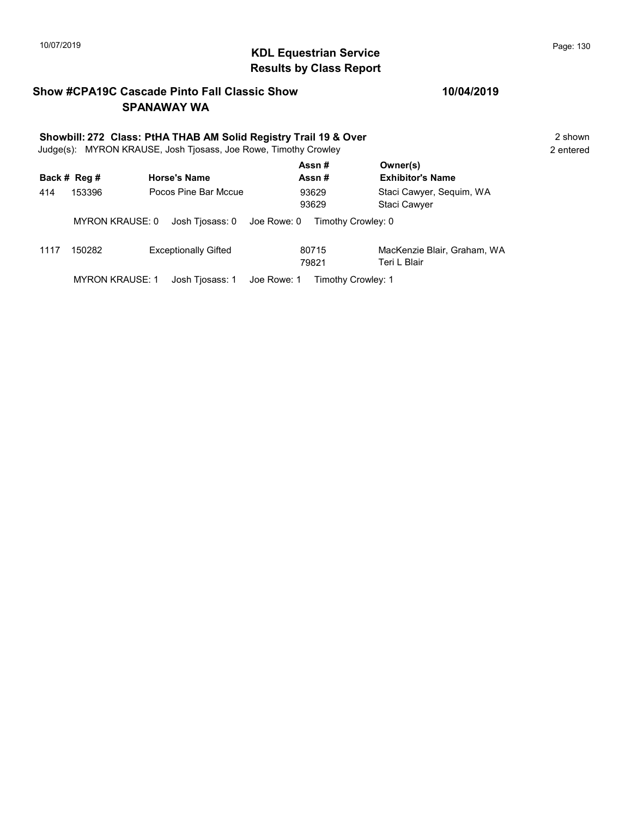## KDL Equestrian Service 10/07/2019 Page: 130 Results by Class Report

#### Show #CPA19C Cascade Pinto Fall Classic Show SPANAWAY WA

#### 10/04/2019

| Showbill: 272 Class: PtHA THAB AM Solid Registry Trail 19 & Over<br>Judge(s): MYRON KRAUSE, Josh Tjosass, Joe Rowe, Timothy Crowley |                 |                                |                    |                                          |  |  |  |
|-------------------------------------------------------------------------------------------------------------------------------------|-----------------|--------------------------------|--------------------|------------------------------------------|--|--|--|
|                                                                                                                                     | Back # Reg #    | <b>Horse's Name</b>            | Assn#<br>Assn #    | Owner(s)<br><b>Exhibitor's Name</b>      |  |  |  |
| 414                                                                                                                                 | 153396          | Pocos Pine Bar Mccue           | 93629<br>93629     | Staci Cawyer, Seguim, WA<br>Staci Cawyer |  |  |  |
|                                                                                                                                     | MYRON KRAUSE: 0 | Josh Tjosass: 0<br>Joe Rowe: 0 | Timothy Crowley: 0 |                                          |  |  |  |
| 1117                                                                                                                                | 150282          | <b>Exceptionally Gifted</b>    | 80715              | MacKenzie Blair, Graham, WA              |  |  |  |

79821 Teri L Blair 80715

MYRON KRAUSE: 1 Josh Tjosass: 1 Joe Rowe: 1 Timothy Crowley: 1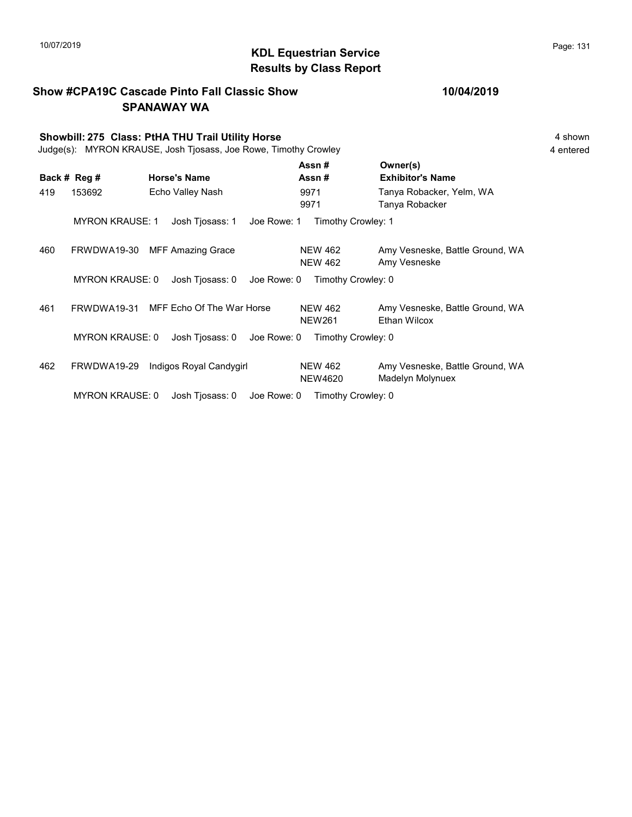## KDL Equestrian Service 10/07/2019 Page: 131 Results by Class Report

|     |                        | <b>Show #CPA19C Cascade Pinto Fall Classic Show</b><br><b>SPANAWAY WA</b>                                            |                                  | 10/04/2019                                             |                      |  |
|-----|------------------------|----------------------------------------------------------------------------------------------------------------------|----------------------------------|--------------------------------------------------------|----------------------|--|
|     |                        | Showbill: 275 Class: PtHA THU Trail Utility Horse<br>Judge(s): MYRON KRAUSE, Josh Tjosass, Joe Rowe, Timothy Crowley |                                  |                                                        | 4 shown<br>4 entered |  |
|     | Back # Reg #           | <b>Horse's Name</b>                                                                                                  | Assn#<br>Assn#                   | Owner(s)<br><b>Exhibitor's Name</b>                    |                      |  |
| 419 | 153692                 | Echo Valley Nash                                                                                                     | 9971<br>9971                     | Tanya Robacker, Yelm, WA<br>Tanya Robacker             |                      |  |
|     | <b>MYRON KRAUSE: 1</b> | Josh Tjosass: 1<br>Joe Rowe: 1                                                                                       | Timothy Crowley: 1               |                                                        |                      |  |
| 460 | FRWDWA19-30            | <b>MFF Amazing Grace</b>                                                                                             | <b>NEW 462</b><br><b>NEW 462</b> | Amy Vesneske, Battle Ground, WA<br>Amy Vesneske        |                      |  |
|     | <b>MYRON KRAUSE: 0</b> | Josh Tjosass: 0<br>Joe Rowe: 0                                                                                       | Timothy Crowley: 0               |                                                        |                      |  |
| 461 | FRWDWA19-31            | MFF Echo Of The War Horse                                                                                            | <b>NEW 462</b><br><b>NEW261</b>  | Amy Vesneske, Battle Ground, WA<br><b>Ethan Wilcox</b> |                      |  |
|     | <b>MYRON KRAUSE: 0</b> | Josh Tjosass: 0<br>Joe Rowe: 0                                                                                       | Timothy Crowley: 0               |                                                        |                      |  |
| 462 | FRWDWA19-29            | Indigos Royal Candygirl                                                                                              | <b>NEW 462</b><br><b>NEW4620</b> | Amy Vesneske, Battle Ground, WA<br>Madelyn Molynuex    |                      |  |
|     | $\mathbf{M}$           | $\blacksquare$                                                                                                       |                                  |                                                        |                      |  |

MYRON KRAUSE: 0 Josh Tjosass: 0 Joe Rowe: 0 Timothy Crowley: 0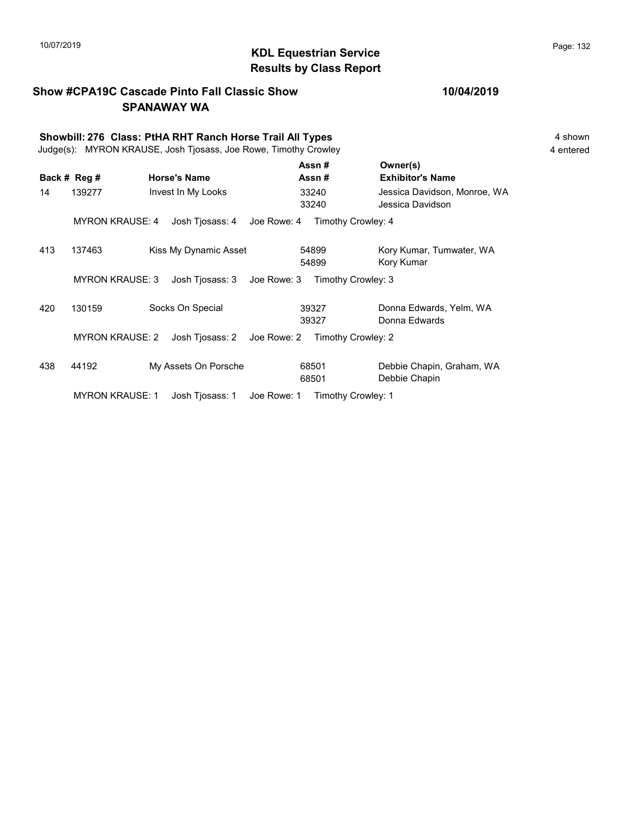## KDL Equestrian Service 10/07/2019 Page: 132 Results by Class Report

#### Show #CPA19C Cascade Pinto Fall Classic Show SPANAWAY WA

|     | Showbill: 276 Class: PtHA RHT Ranch Horse Trail All Types<br>Judge(s): MYRON KRAUSE, Josh Tjosass, Joe Rowe, Timothy Crowley |                                |                    |                                                  |  |  |  |  |
|-----|------------------------------------------------------------------------------------------------------------------------------|--------------------------------|--------------------|--------------------------------------------------|--|--|--|--|
|     | Back # Reg #                                                                                                                 | <b>Horse's Name</b>            | Assn #<br>Assn #   | Owner(s)<br><b>Exhibitor's Name</b>              |  |  |  |  |
| 14  | 139277                                                                                                                       | Invest In My Looks             | 33240<br>33240     | Jessica Davidson, Monroe, WA<br>Jessica Davidson |  |  |  |  |
|     | <b>MYRON KRAUSE: 4</b>                                                                                                       | Josh Tjosass: 4<br>Joe Rowe: 4 | Timothy Crowley: 4 |                                                  |  |  |  |  |
| 413 | 137463                                                                                                                       | Kiss My Dynamic Asset          | 54899<br>54899     | Kory Kumar, Tumwater, WA<br>Kory Kumar           |  |  |  |  |
|     | <b>MYRON KRAUSE: 3</b>                                                                                                       | Josh Tjosass: 3<br>Joe Rowe: 3 | Timothy Crowley: 3 |                                                  |  |  |  |  |
| 420 | 130159                                                                                                                       | Socks On Special               | 39327<br>39327     | Donna Edwards, Yelm, WA<br>Donna Edwards         |  |  |  |  |
|     | <b>MYRON KRAUSE: 2</b>                                                                                                       | Josh Tjosass: 2<br>Joe Rowe: 2 | Timothy Crowley: 2 |                                                  |  |  |  |  |
| 438 | 44192                                                                                                                        | My Assets On Porsche           | 68501<br>68501     | Debbie Chapin, Graham, WA<br>Debbie Chapin       |  |  |  |  |
|     | <b>MYRON KRAUSE: 1</b>                                                                                                       | Josh Tjosass: 1<br>Joe Rowe: 1 | Timothy Crowley: 1 |                                                  |  |  |  |  |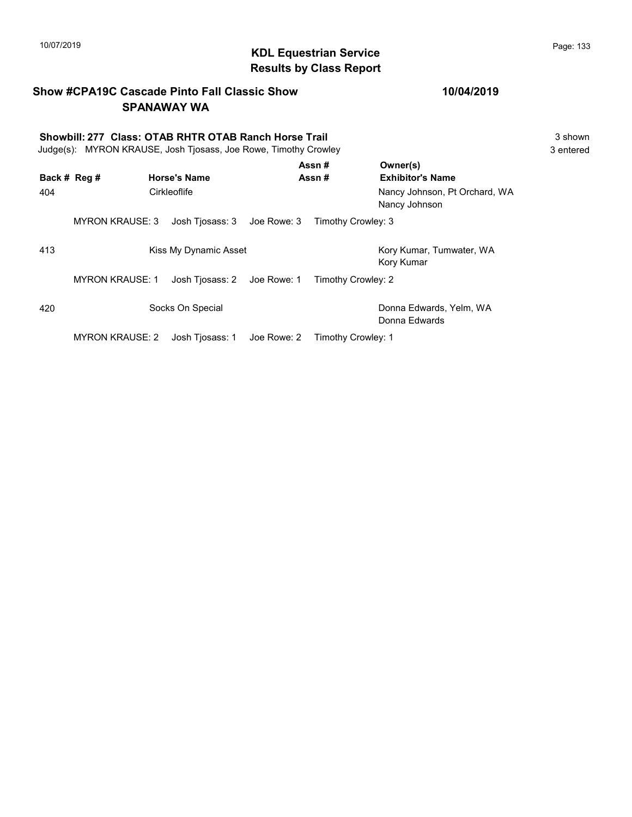#### Show #CPA19C Cascade Pinto Fall Classic Show SPANAWAY WA

# Showbill: 277 Class: OTAB RHTR OTAB Ranch Horse Trail<br>
Judge(s): MYRON KRAUSE. Josh Tiosass. Joe Rowe. Timothy Crowley<br>
3 entered

Judge(s): MYRON KRAUSE, Josh Tjosass, Joe Rowe, Timothy Crowley

| Back # Reg # |                        | <b>Horse's Name</b>         |             | Assn#<br>Assn#     | Owner(s)<br><b>Exhibitor's Name</b>            |
|--------------|------------------------|-----------------------------|-------------|--------------------|------------------------------------------------|
| 404          |                        | Cirkleoflife                |             |                    | Nancy Johnson, Pt Orchard, WA<br>Nancy Johnson |
|              | <b>MYRON KRAUSE: 3</b> | Josh Tiosass: 3 Joe Rowe: 3 |             | Timothy Crowley: 3 |                                                |
| 413          |                        | Kiss My Dynamic Asset       |             |                    | Kory Kumar, Tumwater, WA<br>Kory Kumar         |
|              | <b>MYRON KRAUSE: 1</b> | Josh Tiosass: 2 Joe Rowe: 1 |             | Timothy Crowley: 2 |                                                |
| 420          |                        | Socks On Special            |             |                    | Donna Edwards, Yelm, WA<br>Donna Edwards       |
|              | <b>MYRON KRAUSE: 2</b> | Josh Tiosass: 1             | Joe Rowe: 2 | Timothy Crowley: 1 |                                                |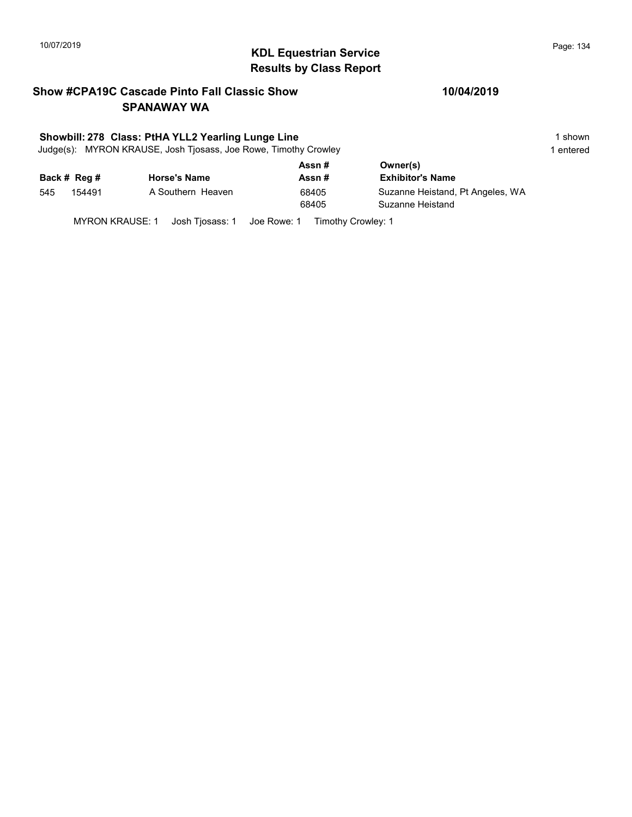## 10/07/2019 **Page: 134**<br> **KDL Equestrian Service Page: 134** Results by Class Report

#### Show #CPA19C Cascade Pinto Fall Classic Show SPANAWAY WA

#### Showbill: 278 Class: PtHA YLL2 Yearling Lunge Line 1 Shown 1 shown

Judge(s): MYRON KRAUSE, Josh Tjosass, Joe Rowe, Timothy Crowley 1 entered 1 entered

|     |              |                     | Assn# | Owner(s)                         |
|-----|--------------|---------------------|-------|----------------------------------|
|     | Back # Reg # | <b>Horse's Name</b> | Assn# | <b>Exhibitor's Name</b>          |
| 545 | 154491       | A Southern Heaven   | 68405 | Suzanne Heistand, Pt Angeles, WA |
|     |              |                     | 68405 | Suzanne Heistand                 |
|     |              |                     |       |                                  |

MYRON KRAUSE: 1 Josh Tjosass: 1 Joe Rowe: 1 Timothy Crowley: 1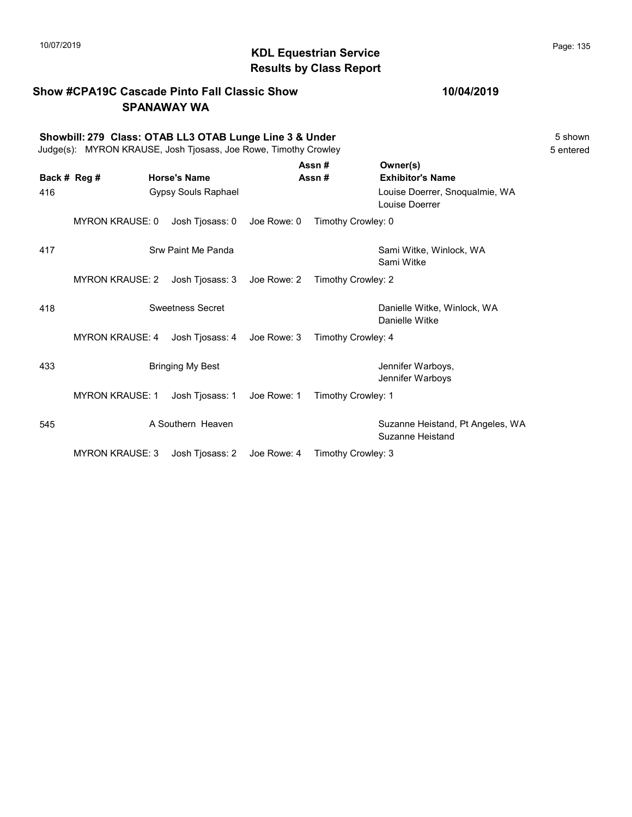#### Show #CPA19C Cascade Pinto Fall Classic Show SPANAWAY WA

|     |                        | Showbill: 279 Class: OTAB LL3 OTAB Lunge Line 3 & Under<br>Judge(s): MYRON KRAUSE, Josh Tjosass, Joe Rowe, Timothy Crowley |             |                    |                                                      | 5 shown<br>5 entered |
|-----|------------------------|----------------------------------------------------------------------------------------------------------------------------|-------------|--------------------|------------------------------------------------------|----------------------|
|     | Back # Reg #           | <b>Horse's Name</b>                                                                                                        |             | Assn#<br>Assn#     | Owner(s)<br><b>Exhibitor's Name</b>                  |                      |
| 416 |                        | Gypsy Souls Raphael                                                                                                        |             |                    | Louise Doerrer, Snoqualmie, WA<br>Louise Doerrer     |                      |
|     | <b>MYRON KRAUSE: 0</b> | Josh Tjosass: 0                                                                                                            | Joe Rowe: 0 | Timothy Crowley: 0 |                                                      |                      |
| 417 |                        | Srw Paint Me Panda                                                                                                         |             |                    | Sami Witke, Winlock, WA<br>Sami Witke                |                      |
|     | <b>MYRON KRAUSE: 2</b> | Josh Tjosass: 3                                                                                                            | Joe Rowe: 2 | Timothy Crowley: 2 |                                                      |                      |
| 418 |                        | <b>Sweetness Secret</b>                                                                                                    |             |                    | Danielle Witke, Winlock, WA<br>Danielle Witke        |                      |
|     | <b>MYRON KRAUSE: 4</b> | Josh Tiosass: 4                                                                                                            | Joe Rowe: 3 | Timothy Crowley: 4 |                                                      |                      |
| 433 |                        | <b>Bringing My Best</b>                                                                                                    |             |                    | Jennifer Warboys,<br>Jennifer Warboys                |                      |
|     | <b>MYRON KRAUSE: 1</b> | Josh Tjosass: 1                                                                                                            | Joe Rowe: 1 | Timothy Crowley: 1 |                                                      |                      |
| 545 |                        | A Southern Heaven                                                                                                          |             |                    | Suzanne Heistand, Pt Angeles, WA<br>Suzanne Heistand |                      |
|     | <b>MYRON KRAUSE: 3</b> | Josh Tjosass: 2                                                                                                            | Joe Rowe: 4 | Timothy Crowley: 3 |                                                      |                      |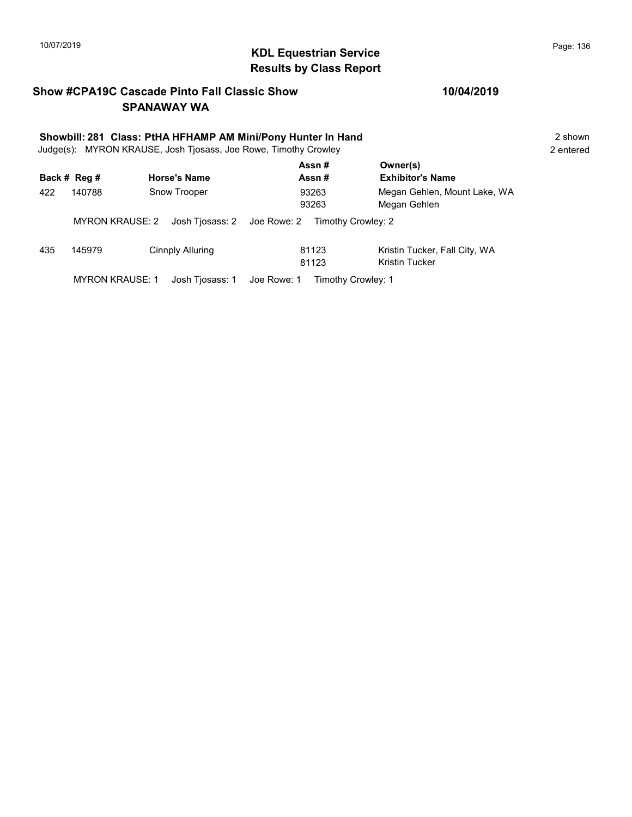## 10/07/2019 **Page: 136**<br> **KDL Equestrian Service Page: 136** Results by Class Report

#### Show #CPA19C Cascade Pinto Fall Classic Show SPANAWAY WA

|     | Showbill: 281 Class: PtHA HFHAMP AM Mini/Pony Hunter In Hand<br>Judge(s): MYRON KRAUSE, Josh Tjosass, Joe Rowe, Timothy Crowley |                             |                                   |                                                        |  |  |  |
|-----|---------------------------------------------------------------------------------------------------------------------------------|-----------------------------|-----------------------------------|--------------------------------------------------------|--|--|--|
|     | Back # Reg #                                                                                                                    | <b>Horse's Name</b>         | Assn#<br>Assn#                    | Owner(s)<br><b>Exhibitor's Name</b>                    |  |  |  |
| 422 | 140788                                                                                                                          | Snow Trooper                | 93263<br>93263                    | Megan Gehlen, Mount Lake, WA<br>Megan Gehlen           |  |  |  |
|     | <b>MYRON KRAUSE: 2</b>                                                                                                          | Josh Tiosass: 2 Joe Rowe: 2 | Timothy Crowley: 2                |                                                        |  |  |  |
| 435 | 145979                                                                                                                          | Cinnply Alluring            | 81123<br>81123                    | Kristin Tucker, Fall City, WA<br><b>Kristin Tucker</b> |  |  |  |
|     | <b>MYRON KRAUSE: 1</b>                                                                                                          | Josh Tiosass: 1             | Joe Rowe: 1<br>Timothy Crowley: 1 |                                                        |  |  |  |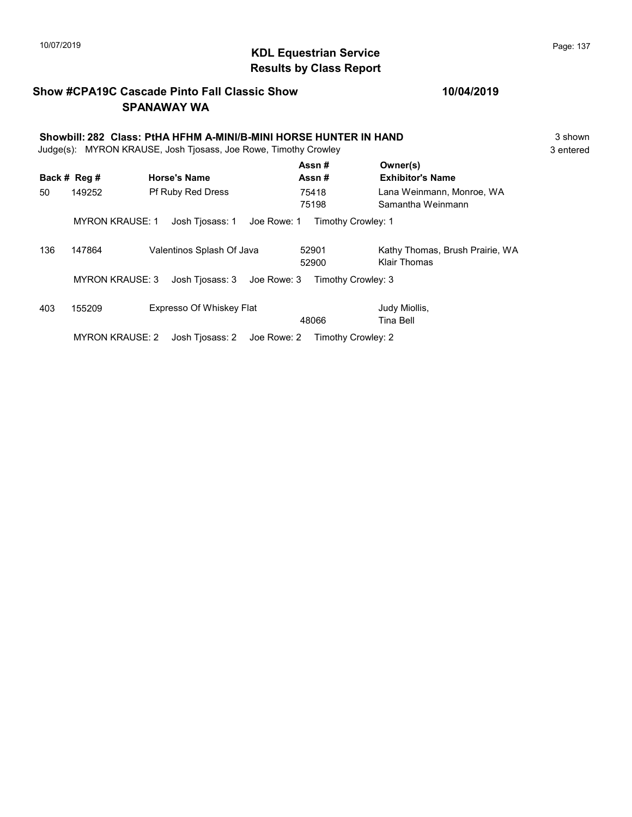## KDL Equestrian Service 10/07/2019 Page: 137 Results by Class Report

#### Show #CPA19C Cascade Pinto Fall Classic Show SPANAWAY WA

| Showbill: 282 Class: PtHA HFHM A-MINI/B-MINI HORSE HUNTER IN HAND<br>Judge(s): MYRON KRAUSE, Josh Tjosass, Joe Rowe, Timothy Crowley |                        |                                |                    |                                                 |           |
|--------------------------------------------------------------------------------------------------------------------------------------|------------------------|--------------------------------|--------------------|-------------------------------------------------|-----------|
|                                                                                                                                      | Back # Reg #           | <b>Horse's Name</b>            | Assn#<br>Assn#     | Owner(s)<br><b>Exhibitor's Name</b>             | 3 entered |
| 50                                                                                                                                   | 149252                 | <b>Pf Ruby Red Dress</b>       | 75418<br>75198     | Lana Weinmann, Monroe, WA<br>Samantha Weinmann  |           |
|                                                                                                                                      | <b>MYRON KRAUSE: 1</b> | Joe Rowe: 1<br>Josh Tjosass: 1 | Timothy Crowley: 1 |                                                 |           |
| 136                                                                                                                                  | 147864                 | Valentinos Splash Of Java      | 52901<br>52900     | Kathy Thomas, Brush Prairie, WA<br>Klair Thomas |           |
|                                                                                                                                      | <b>MYRON KRAUSE: 3</b> | Josh Tjosass: 3<br>Joe Rowe: 3 | Timothy Crowley: 3 |                                                 |           |
| 403                                                                                                                                  | 155209                 | Expresso Of Whiskey Flat       | 48066              | Judy Miollis,<br>Tina Bell                      |           |
|                                                                                                                                      | <b>MYRON KRAUSE: 2</b> | Josh Tiosass: 2 Joe Rowe: 2    | Timothy Crowley: 2 |                                                 |           |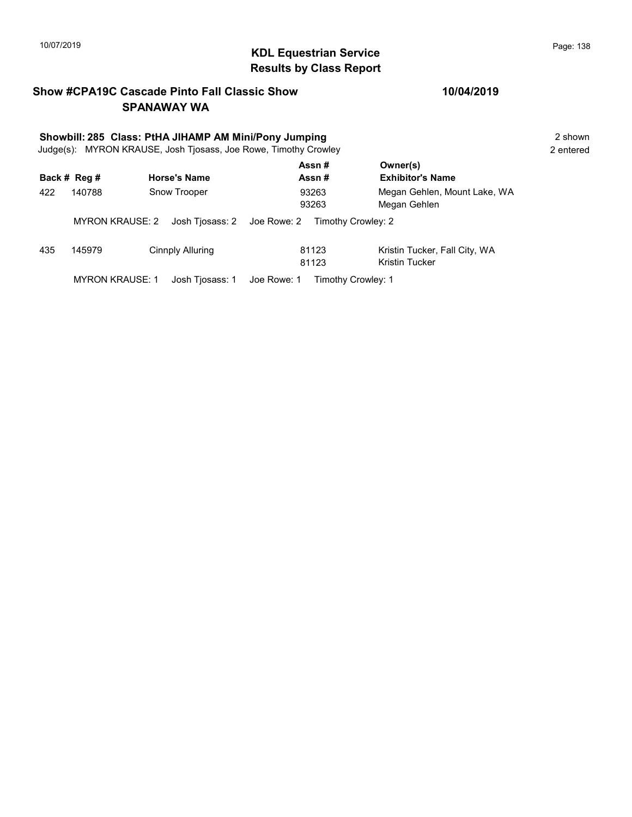## 10/07/2019 **Page: 138**<br> **KDL Equestrian Service Page: 138** Results by Class Report

#### Show #CPA19C Cascade Pinto Fall Classic Show SPANAWAY WA

# Showbill: 285 Class: PtHA JIHAMP AM Mini/Pony Jumping<br>
Judge(s): MYRON KRAUSE. Josh Tiosass. Joe Rowe. Timothy Crowley **2** shown 2 entered

Judge(s): MYRON KRAUSE, Josh Tjosass, Joe Rowe, Timothy Crowley

|              |                        |                                | Assn#              | Owner(s)                      |  |
|--------------|------------------------|--------------------------------|--------------------|-------------------------------|--|
| Back # Reg # |                        | <b>Horse's Name</b>            | Assn#              | <b>Exhibitor's Name</b>       |  |
| 422          | Snow Trooper<br>140788 |                                | 93263              | Megan Gehlen, Mount Lake, WA  |  |
|              |                        |                                | 93263              | Megan Gehlen                  |  |
|              | <b>MYRON KRAUSE: 2</b> | Josh Tjosass: 2 Joe Rowe: 2    | Timothy Crowley: 2 |                               |  |
| 435          | 145979                 | Cinnply Alluring               | 81123              | Kristin Tucker, Fall City, WA |  |
|              |                        |                                | 81123              | Kristin Tucker                |  |
|              | <b>MYRON KRAUSE: 1</b> | Josh Tiosass: 1<br>Joe Rowe: 1 | Timothy Crowley: 1 |                               |  |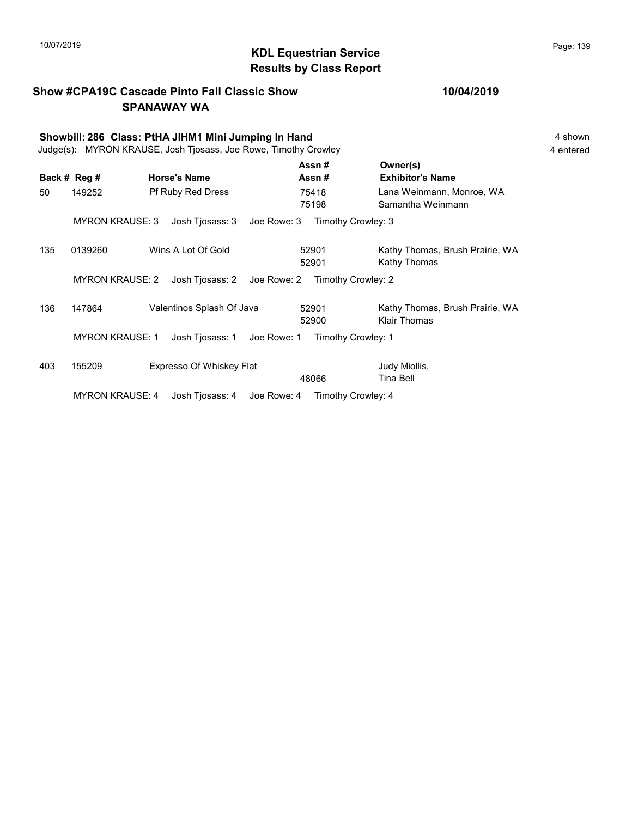## KDL Equestrian Service 10/07/2019 Page: 139 Results by Class Report

|     |                        | <b>Show #CPA19C Cascade Pinto Fall Classic Show</b><br><b>SPANAWAY WA</b>                                               |                                | 10/04/2019                                      |                      |  |  |  |
|-----|------------------------|-------------------------------------------------------------------------------------------------------------------------|--------------------------------|-------------------------------------------------|----------------------|--|--|--|
|     |                        | Showbill: 286 Class: PtHA JIHM1 Mini Jumping In Hand<br>Judge(s): MYRON KRAUSE, Josh Tjosass, Joe Rowe, Timothy Crowley |                                |                                                 | 4 shown<br>4 entered |  |  |  |
|     | Back # Reg #           | <b>Horse's Name</b>                                                                                                     | Assn#<br>Assn#                 | Owner(s)<br><b>Exhibitor's Name</b>             |                      |  |  |  |
| 50  | 149252                 | Pf Ruby Red Dress                                                                                                       | 75418<br>75198                 | Lana Weinmann, Monroe, WA<br>Samantha Weinmann  |                      |  |  |  |
|     | <b>MYRON KRAUSE: 3</b> | Josh Tjosass: 3                                                                                                         | Joe Rowe: 3 Timothy Crowley: 3 |                                                 |                      |  |  |  |
| 135 | 0139260                | Wins A Lot Of Gold                                                                                                      | 52901<br>52901                 | Kathy Thomas, Brush Prairie, WA<br>Kathy Thomas |                      |  |  |  |
|     | <b>MYRON KRAUSE: 2</b> | Josh Tjosass: 2 Joe Rowe: 2 Timothy Crowley: 2                                                                          |                                |                                                 |                      |  |  |  |
| 136 | 147864                 | Valentinos Splash Of Java                                                                                               | 52901<br>52900                 | Kathy Thomas, Brush Prairie, WA<br>Klair Thomas |                      |  |  |  |
|     | <b>MYRON KRAUSE: 1</b> | Josh Tjosass: 1<br>Joe Rowe: 1                                                                                          |                                | Timothy Crowley: 1                              |                      |  |  |  |
| 403 | 155209                 | Expresso Of Whiskey Flat                                                                                                | 48066                          | Judy Miollis,<br><b>Tina Bell</b>               |                      |  |  |  |
|     |                        |                                                                                                                         |                                |                                                 |                      |  |  |  |

MYRON KRAUSE: 4 Josh Tjosass: 4 Joe Rowe: 4 Timothy Crowley: 4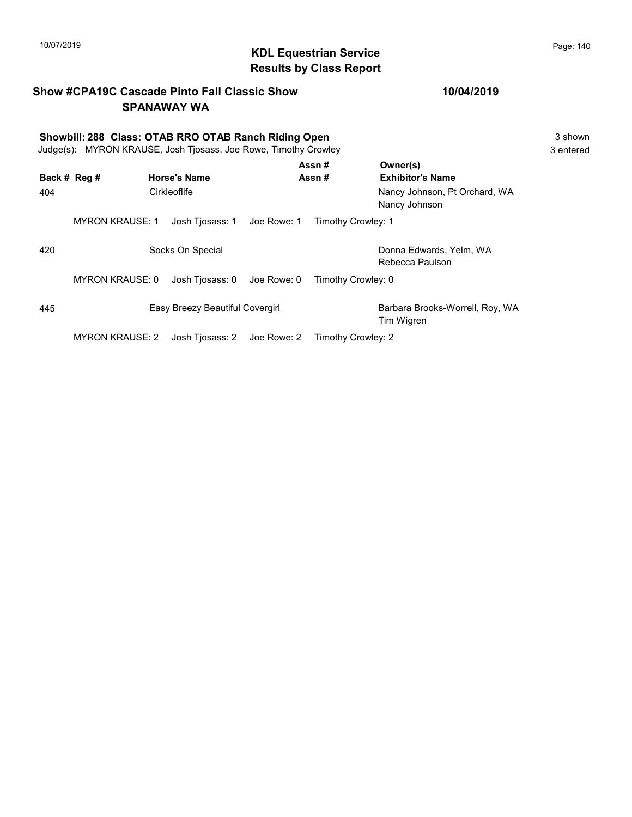### 10/07/2019 **Page: 140**<br> **KDL Equestrian Service Page: 140** Results by Class Report

#### Show #CPA19C Cascade Pinto Fall Classic Show SPANAWAY WA

# Showbill: 288 Class: OTAB RRO OTAB Ranch Riding Open<br>
Judge(s): MYRON KRAUSE. Josh Tiosass. Joe Rowe. Timothy Crowley<br>
3 entered

Judge(s): MYRON KRAUSE, Josh Tjosass, Joe Rowe, Timothy Crowley

| Back # Reg # |                        |  | <b>Horse's Name</b>             |             | Assn#<br>Assn#     | Owner(s)<br><b>Exhibitor's Name</b>            |
|--------------|------------------------|--|---------------------------------|-------------|--------------------|------------------------------------------------|
| 404          | Cirkleoflife           |  |                                 |             |                    | Nancy Johnson, Pt Orchard, WA<br>Nancy Johnson |
|              | <b>MYRON KRAUSE: 1</b> |  | Josh Tjosass: 1                 | Joe Rowe: 1 | Timothy Crowley: 1 |                                                |
| 420          |                        |  | Socks On Special                |             |                    | Donna Edwards, Yelm, WA<br>Rebecca Paulson     |
|              | <b>MYRON KRAUSE: 0</b> |  | Josh Tiosass: 0                 | Joe Rowe: 0 | Timothy Crowley: 0 |                                                |
| 445          |                        |  | Easy Breezy Beautiful Covergirl |             |                    | Barbara Brooks-Worrell, Roy, WA<br>Tim Wigren  |
|              | <b>MYRON KRAUSE: 2</b> |  | Josh Tiosass: 2 Joe Rowe: 2     |             | Timothy Crowley: 2 |                                                |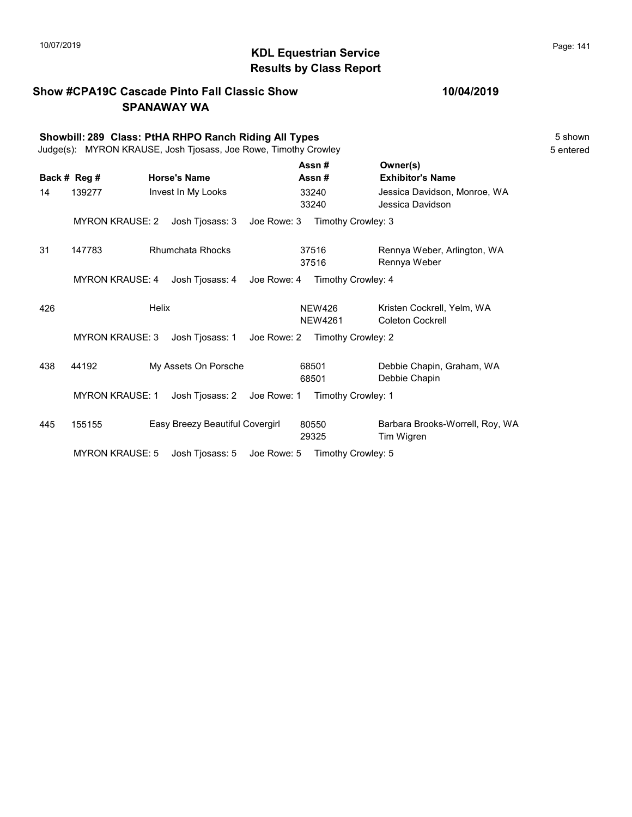#### KDL Equestrian Service 10/07/2019 Page: 141 Results by Class Report

Show #CPA19C Cascade Pinto Fall Classic Show SPANAWAY WA Showbill: 289 Class: PtHA RHPO Ranch Riding All Types 5 Shown Judge(s): MYRON KRAUSE, Josh Tjosass, Joe Rowe, Timothy Crowley 5 entered Back # Reg # Horse's Name  $\overline{R}$  Assn # Exhibitor's Name Assn # Owner(s) 14 139277 Invest In My Looks 33240 Jessica Davidson, Monroe, WA 33240 Jessica Davidson 33240 MYRON KRAUSE: 2 Josh Tjosass: 3 Joe Rowe: 3 Timothy Crowley: 3 31 147783 Rhumchata Rhocks 37516 Rennya Weber, Arlington, WA 37516 Rennya Weber 37516 MYRON KRAUSE: 4 Josh Tjosass: 4 Joe Rowe: 4 Timothy Crowley: 4 Australian Helix **Helix** MEW426 Kristen Cockrell, Yelm, WA NEW4261 Coleton Cockrell NEW426 MYRON KRAUSE: 3 Josh Tjosass: 1 Joe Rowe: 2 Timothy Crowley: 2 438 44192 My Assets On Porsche 68501 Debbie Chapin, Graham, WA 68501 Debbie Chapin 68501 MYRON KRAUSE: 1 Josh Tjosass: 2 Joe Rowe: 1 Timothy Crowley: 1 445 155155 Easy Breezy Beautiful Covergirl Barbara Brooks-Worrell, Roy, WA 29325 Tim Wigren 80550 MYRON KRAUSE: 5 Josh Tjosass: 5 Joe Rowe: 5 Timothy Crowley: 5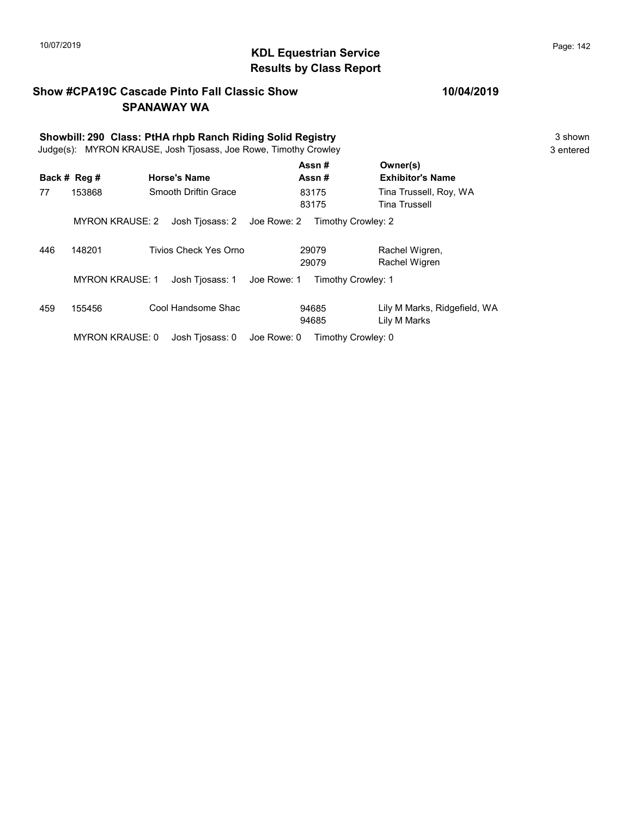## KDL Equestrian Service 10/07/2019 Page: 142 Results by Class Report

#### Show #CPA19C Cascade Pinto Fall Classic Show SPANAWAY WA

# Showbill: 290 Class: PtHA rhpb Ranch Riding Solid Registry<br>
Judge(s): MYRON KRAUSE. Josh Tiosass. Joe Rowe. Timothy Crowley<br>
3 entered

Judge(s): MYRON KRAUSE, Josh Tjosass, Joe Rowe, Timothy Crowley

|     |                        |                       |             | Assn#              | Owner(s)                     |
|-----|------------------------|-----------------------|-------------|--------------------|------------------------------|
|     | Back # Reg #           | <b>Horse's Name</b>   |             | Assn#              | <b>Exhibitor's Name</b>      |
| 77  | 153868                 | Smooth Driftin Grace  |             | 83175              | Tina Trussell, Roy, WA       |
|     |                        |                       |             | 83175              | <b>Tina Trussell</b>         |
|     | <b>MYRON KRAUSE: 2</b> | Josh Tjosass: 2       | Joe Rowe: 2 | Timothy Crowley: 2 |                              |
| 446 | 148201                 | Tivios Check Yes Orno |             | 29079              | Rachel Wigren,               |
|     |                        |                       |             | 29079              | Rachel Wigren                |
|     | <b>MYRON KRAUSE: 1</b> | Josh Tjosass: 1       | Joe Rowe: 1 | Timothy Crowley: 1 |                              |
| 459 | 155456                 | Cool Handsome Shac    |             | 94685              | Lily M Marks, Ridgefield, WA |
|     |                        |                       |             | 94685              | Lily M Marks                 |
|     | <b>MYRON KRAUSE: 0</b> | Josh Tiosass: 0       | Joe Rowe: 0 | Timothy Crowley: 0 |                              |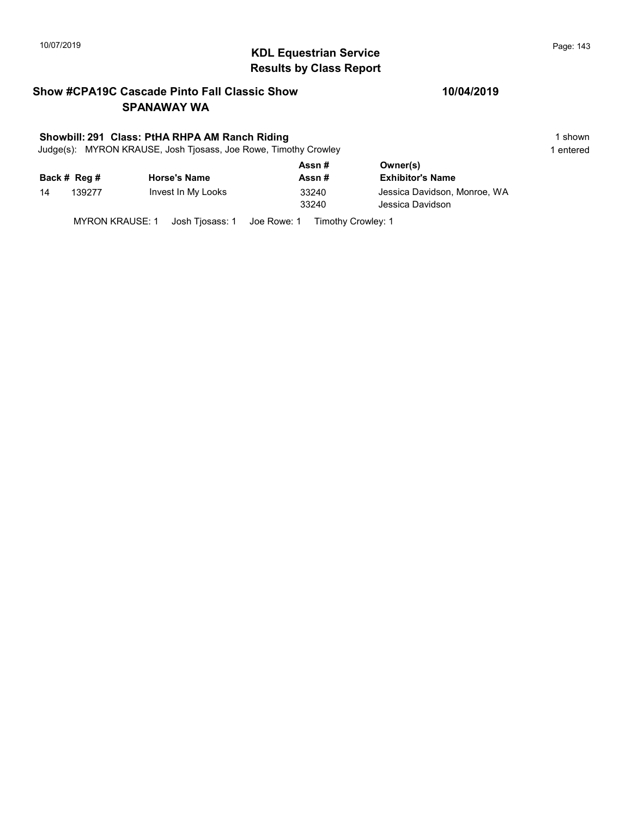## 10/07/2019 **Page: 143**<br> **KDL Equestrian Service Page: 143** Results by Class Report

#### Show #CPA19C Cascade Pinto Fall Classic Show SPANAWAY WA

#### Showbill: 291 Class: PtHA RHPA AM Ranch Riding 1 shown

Judge(s): MYRON KRAUSE, Josh Tjosass, Joe Rowe, Timothy Crowley 1 entered 1 entered

|    |              |                     | Assn#          | Owner(s)                                         |
|----|--------------|---------------------|----------------|--------------------------------------------------|
|    | Back # Reg # | <b>Horse's Name</b> | Assn#          | <b>Exhibitor's Name</b>                          |
| 14 | 139277       | Invest In My Looks  | 33240<br>33240 | Jessica Davidson, Monroe, WA<br>Jessica Davidson |

MYRON KRAUSE: 1 Josh Tjosass: 1 Joe Rowe: 1 Timothy Crowley: 1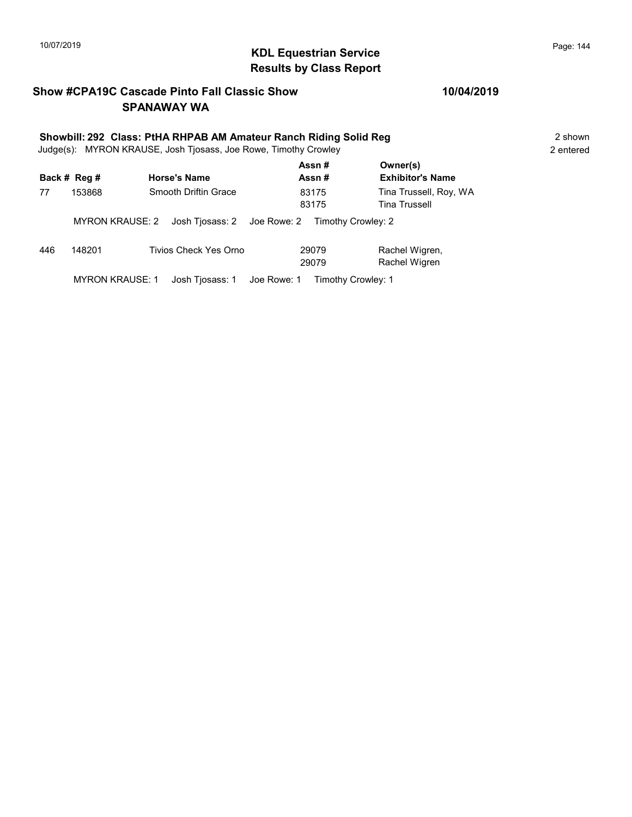## 10/07/2019 **Page: 144**<br> **KDL Equestrian Service Page: 144** Results by Class Report

#### Show #CPA19C Cascade Pinto Fall Classic Show SPANAWAY WA

# Showbill: 292 Class: PtHA RHPAB AM Amateur Ranch Riding Solid Reg<br>Judge(s): MYRON KRAUSE. Josh Tiosass. Joe Rowe. Timothy Crowley

Judge(s): MYRON KRAUSE, Josh Tjosass, Joe Rowe, Timothy Crowley

|     | Back # Reg #           | <b>Horse's Name</b>  |                                                |                | Assn#<br>Assn# | Owner(s)<br><b>Exhibitor's Name</b>            |
|-----|------------------------|----------------------|------------------------------------------------|----------------|----------------|------------------------------------------------|
| 77  | 153868                 | Smooth Driftin Grace |                                                | 83175<br>83175 |                | Tina Trussell, Roy, WA<br><b>Tina Trussell</b> |
|     | MYRON KRAUSE: 2        |                      | Josh Tiosass: 2 Joe Rowe: 2 Timothy Crowley: 2 |                |                |                                                |
| 446 | 148201                 |                      | Tivios Check Yes Orno                          |                | 29079<br>29079 | Rachel Wigren,<br>Rachel Wigren                |
|     | <b>MYRON KRAUSE: 1</b> |                      | Josh Tiosass: 1 Joe Rowe: 1 Timothy Crowley: 1 |                |                |                                                |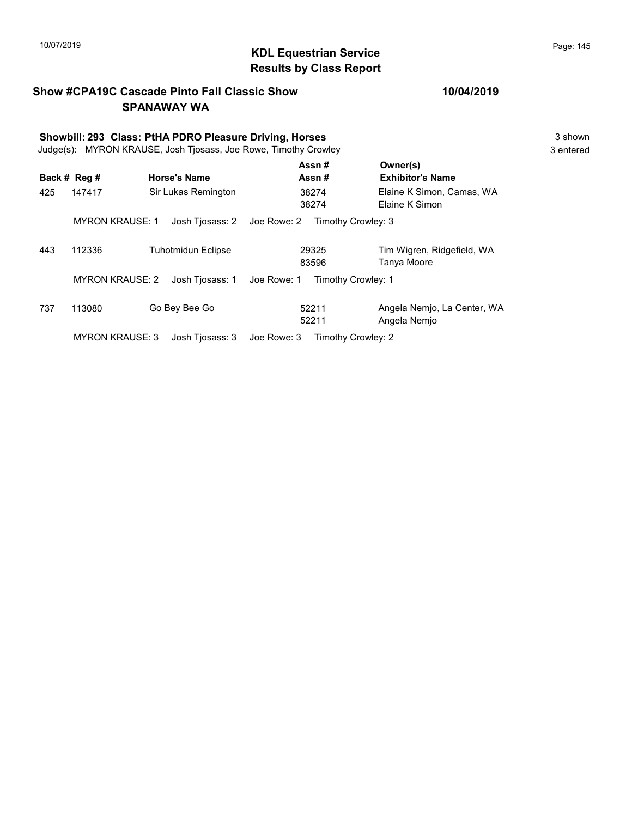# 10/07/2019 **Page: 145**<br> **KDL Equestrian Service Page: 145** Results by Class Report

#### Show #CPA19C Cascade Pinto Fall Classic Show SPANAWAY WA

# Showbill: 293 Class: PtHA PDRO Pleasure Driving, Horses<br>
Judge(s): MYRON KRAUSE. Josh Tiosass. Joe Rowe. Timothy Crowley<br>
3 entered

Judge(s): MYRON KRAUSE, Josh Tjosass, Joe Rowe, Timothy Crowley

|     |                        |                     |             | Assn#              | Owner(s)                                    |
|-----|------------------------|---------------------|-------------|--------------------|---------------------------------------------|
|     | Back # Reg #           | <b>Horse's Name</b> |             | Assn#              | <b>Exhibitor's Name</b>                     |
| 425 | 147417                 | Sir Lukas Remington |             | 38274<br>38274     | Elaine K Simon, Camas, WA<br>Elaine K Simon |
|     | <b>MYRON KRAUSE: 1</b> | Josh Tjosass: 2     | Joe Rowe: 2 | Timothy Crowley: 3 |                                             |
| 443 | 112336                 | Tuhotmidun Eclipse  |             | 29325<br>83596     | Tim Wigren, Ridgefield, WA<br>Tanya Moore   |
|     | <b>MYRON KRAUSE: 2</b> | Josh Tiosass: 1     | Joe Rowe: 1 | Timothy Crowley: 1 |                                             |
| 737 | 113080                 | Go Bey Bee Go       |             | 52211<br>52211     | Angela Nemjo, La Center, WA<br>Angela Nemjo |
|     | <b>MYRON KRAUSE: 3</b> | Josh Tiosass: 3     | Joe Rowe: 3 | Timothy Crowley: 2 |                                             |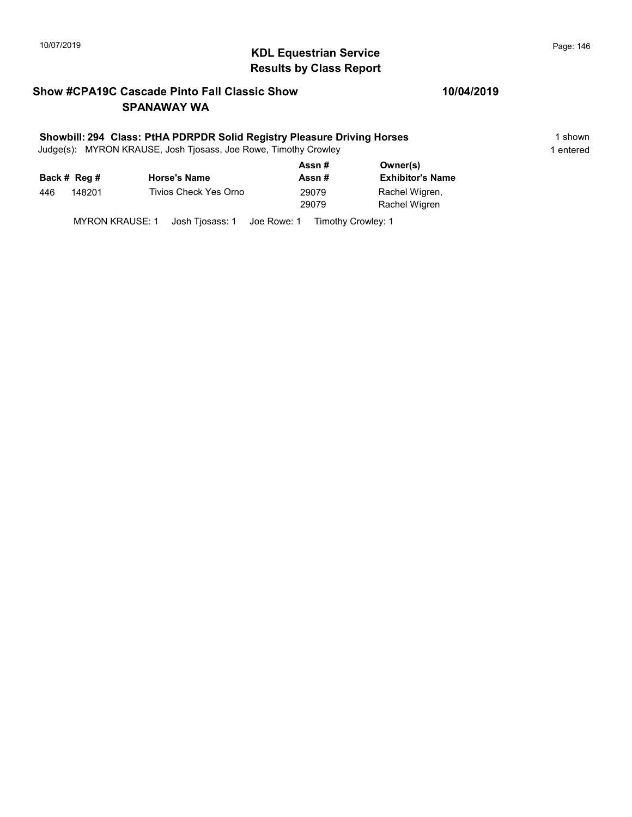# 10/07/2019 **Page: 146**<br> **KDL Equestrian Service Page: 146** Results by Class Report

#### Show #CPA19C Cascade Pinto Fall Classic Show SPANAWAY WA

#### Showbill: 294 Class: PtHA PDRPDR Solid Registry Pleasure Driving Horses 1 Shown 1 shown

Judge(s): MYRON KRAUSE, Josh Tjosass, Joe Rowe, Timothy Crowley 1 entered 1 entered

| Back # Reg #  | <b>Horse's Name</b>   |                |                                 |
|---------------|-----------------------|----------------|---------------------------------|
|               |                       | Assn #         | <b>Exhibitor's Name</b>         |
| 148201<br>446 | Tivios Check Yes Orno | 29079<br>29079 | Rachel Wigren,<br>Rachel Wigren |

MYRON KRAUSE: 1 Josh Tjosass: 1 Joe Rowe: 1 Timothy Crowley: 1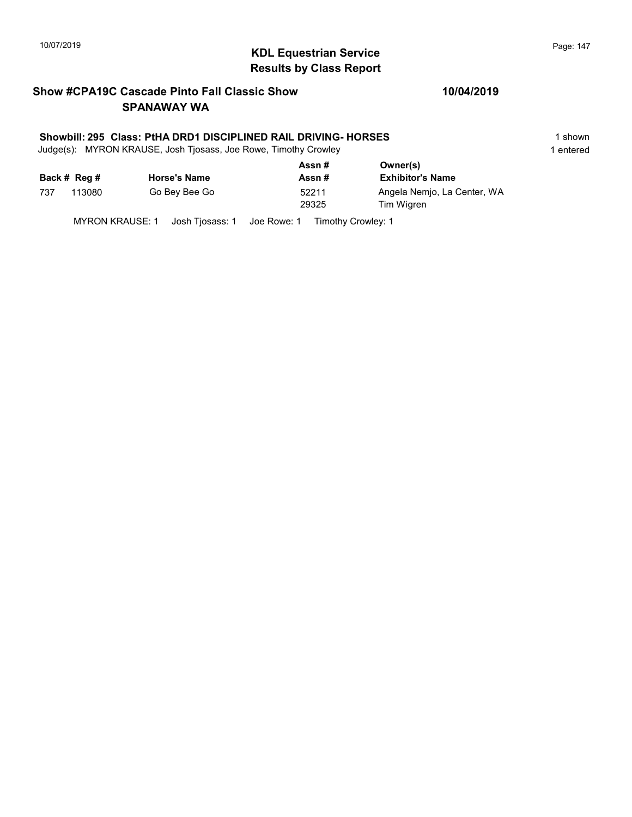# KDL Equestrian Service 10/07/2019 Page: 147 Results by Class Report

#### Show #CPA19C Cascade Pinto Fall Classic Show SPANAWAY WA

#### Showbill: 295 Class: PtHA DRD1 DISCIPLINED RAIL DRIVING- HORSES 1 shown

Judge(s): MYRON KRAUSE, Josh Tjosass, Joe Rowe, Timothy Crowley 1 entered 1 entered

|     |              |                     | Assn#          | Owner(s)                                  |
|-----|--------------|---------------------|----------------|-------------------------------------------|
|     | Back # Reg # | <b>Horse's Name</b> | Assn#          | <b>Exhibitor's Name</b>                   |
| 737 | 113080       | Go Bey Bee Go       | 52211<br>29325 | Angela Nemio, La Center, WA<br>Tim Wigren |

MYRON KRAUSE: 1 Josh Tjosass: 1 Joe Rowe: 1 Timothy Crowley: 1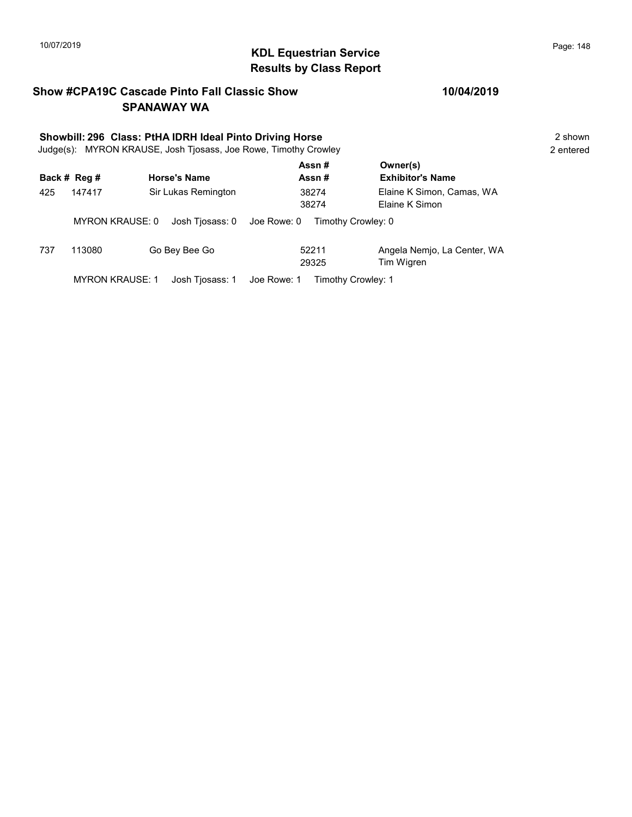# 10/07/2019 **Page: 148**<br> **KDL Equestrian Service Page: 148** Results by Class Report

#### Show #CPA19C Cascade Pinto Fall Classic Show SPANAWAY WA

# Showbill: 296 Class: PtHA IDRH Ideal Pinto Driving Horse<br>
Judge(s): MYRON KRAUSE. Josh Tiosass. Joe Rowe. Timothy Crowley **2** shown 2 entered

Judge(s): MYRON KRAUSE, Josh Tjosass, Joe Rowe, Timothy Crowley

|     |                        |                             | Assn#                             | Owner(s)                                    |
|-----|------------------------|-----------------------------|-----------------------------------|---------------------------------------------|
|     | Back # Reg #           | <b>Horse's Name</b>         | Assn#                             | <b>Exhibitor's Name</b>                     |
| 425 | 147417                 | Sir Lukas Remington         | 38274<br>38274                    | Elaine K Simon, Camas, WA<br>Elaine K Simon |
|     | <b>MYRON KRAUSE: 0</b> | Josh Tiosass: 0             | Joe Rowe: 0<br>Timothy Crowley: 0 |                                             |
| 737 | 113080                 | Go Bey Bee Go               | 52211<br>29325                    | Angela Nemio, La Center, WA<br>Tim Wigren   |
|     | <b>MYRON KRAUSE: 1</b> | Josh Tiosass: 1 Joe Rowe: 1 | Timothy Crowley: 1                |                                             |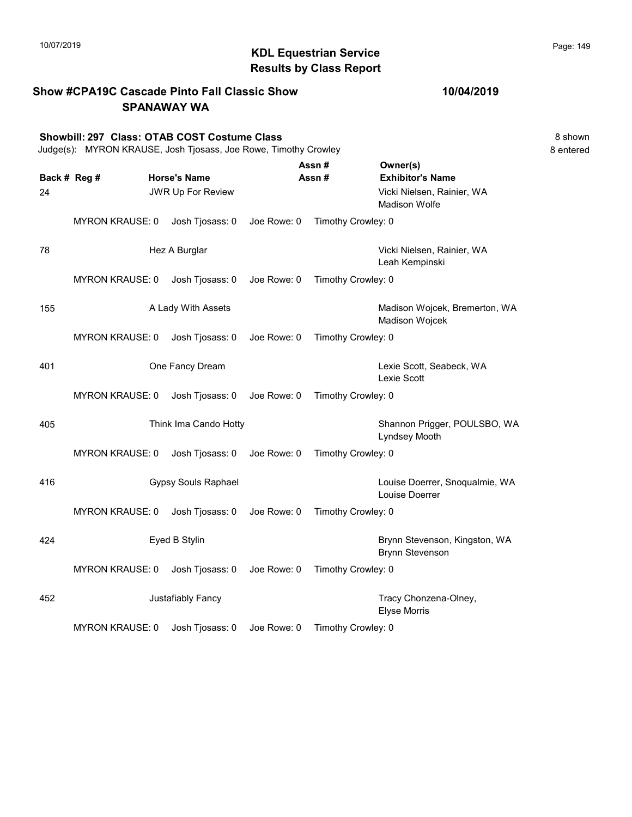|     |                                                                                                                 | <b>SPANAWAY WA</b>         |             |                    |                                                         |                      |
|-----|-----------------------------------------------------------------------------------------------------------------|----------------------------|-------------|--------------------|---------------------------------------------------------|----------------------|
|     | Showbill: 297 Class: OTAB COST Costume Class<br>Judge(s): MYRON KRAUSE, Josh Tjosass, Joe Rowe, Timothy Crowley |                            |             |                    |                                                         | 8 shown<br>8 entered |
|     | Back # Reg #                                                                                                    | <b>Horse's Name</b>        |             | Assn#<br>Assn#     | Owner(s)<br><b>Exhibitor's Name</b>                     |                      |
| 24  |                                                                                                                 | JWR Up For Review          |             |                    | Vicki Nielsen, Rainier, WA<br><b>Madison Wolfe</b>      |                      |
|     | <b>MYRON KRAUSE: 0</b>                                                                                          | Josh Tjosass: 0            | Joe Rowe: 0 | Timothy Crowley: 0 |                                                         |                      |
| 78  |                                                                                                                 | Hez A Burglar              |             |                    | Vicki Nielsen, Rainier, WA<br>Leah Kempinski            |                      |
|     | <b>MYRON KRAUSE: 0</b>                                                                                          | Josh Tjosass: 0            | Joe Rowe: 0 | Timothy Crowley: 0 |                                                         |                      |
| 155 |                                                                                                                 | A Lady With Assets         |             |                    | Madison Wojcek, Bremerton, WA<br>Madison Wojcek         |                      |
|     | <b>MYRON KRAUSE: 0</b>                                                                                          | Josh Tjosass: 0            | Joe Rowe: 0 | Timothy Crowley: 0 |                                                         |                      |
| 401 |                                                                                                                 | One Fancy Dream            |             |                    | Lexie Scott, Seabeck, WA<br>Lexie Scott                 |                      |
|     | <b>MYRON KRAUSE: 0</b>                                                                                          | Josh Tjosass: 0            | Joe Rowe: 0 | Timothy Crowley: 0 |                                                         |                      |
| 405 |                                                                                                                 | Think Ima Cando Hotty      |             |                    | Shannon Prigger, POULSBO, WA<br>Lyndsey Mooth           |                      |
|     | <b>MYRON KRAUSE: 0</b>                                                                                          | Josh Tjosass: 0            | Joe Rowe: 0 | Timothy Crowley: 0 |                                                         |                      |
| 416 |                                                                                                                 | <b>Gypsy Souls Raphael</b> |             |                    | Louise Doerrer, Snoqualmie, WA<br>Louise Doerrer        |                      |
|     | <b>MYRON KRAUSE: 0</b>                                                                                          | Josh Tjosass: 0            | Joe Rowe: 0 | Timothy Crowley: 0 |                                                         |                      |
| 424 |                                                                                                                 | Eyed B Stylin              |             |                    | Brynn Stevenson, Kingston, WA<br><b>Brynn Stevenson</b> |                      |
|     | <b>MYRON KRAUSE: 0</b>                                                                                          | Josh Tjosass: 0            | Joe Rowe: 0 | Timothy Crowley: 0 |                                                         |                      |
| 452 |                                                                                                                 | Justafiably Fancy          |             |                    | Tracy Chonzena-Olney,<br><b>Elyse Morris</b>            |                      |
|     | <b>MYRON KRAUSE: 0</b>                                                                                          | Josh Tjosass: 0            | Joe Rowe: 0 | Timothy Crowley: 0 |                                                         |                      |

Show #CPA19C Cascade Pinto Fall Classic Show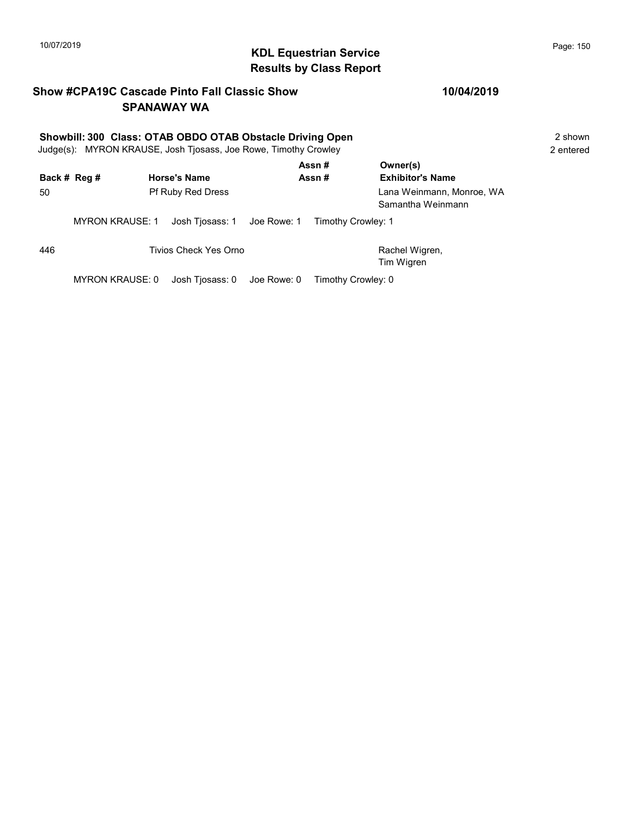# 10/07/2019 **Page: 150**<br> **KDL Equestrian Service Page: 150** Results by Class Report

#### Show #CPA19C Cascade Pinto Fall Classic Show SPANAWAY WA

# Showbill: 300 Class: OTAB OBDO OTAB Obstacle Driving Open<br>
Judge(s): MYRON KRAUSE. Josh Tiosass. Joe Rowe. Timothy Crowley<br>
2 entered

Judge(s): MYRON KRAUSE, Josh Tjosass, Joe Rowe, Timothy Crowley

|     | Back # Reg #           | <b>Horse's Name</b>         |             | Assn#<br>Assn#     | Owner(s)<br><b>Exhibitor's Name</b>            |
|-----|------------------------|-----------------------------|-------------|--------------------|------------------------------------------------|
| 50  |                        | <b>Pf Ruby Red Dress</b>    |             |                    | Lana Weinmann, Monroe, WA<br>Samantha Weinmann |
|     | <b>MYRON KRAUSE: 1</b> | Josh Tiosass: 1 Joe Rowe: 1 |             | Timothy Crowley: 1 |                                                |
| 446 |                        | Tivios Check Yes Orno       |             |                    | Rachel Wigren,<br>Tim Wigren                   |
|     | MYRON KRAUSE: 0        | Josh Tiosass: 0             | Joe Rowe: 0 | Timothy Crowley: 0 |                                                |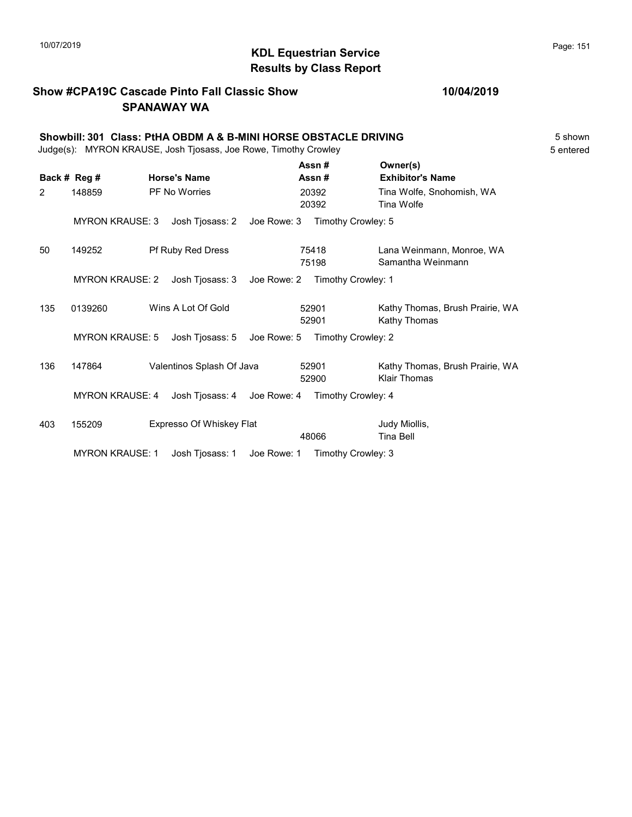# KDL Equestrian Service 10/07/2019 Page: 151 Results by Class Report

#### Show #CPA19C Cascade Pinto Fall Classic Show SPANAWAY WA

|     | Showbill: 301 Class: PtHA OBDM A & B-MINI HORSE OBSTACLE DRIVING<br>Judge(s): MYRON KRAUSE, Josh Tjosass, Joe Rowe, Timothy Crowley<br>5 entered |  |                             |             |                |                                                 |  |  |
|-----|--------------------------------------------------------------------------------------------------------------------------------------------------|--|-----------------------------|-------------|----------------|-------------------------------------------------|--|--|
|     | Back # Reg #                                                                                                                                     |  | <b>Horse's Name</b>         |             | Assn#<br>Assn# | Owner(s)<br><b>Exhibitor's Name</b>             |  |  |
| 2   | 148859                                                                                                                                           |  | <b>PF No Worries</b>        |             | 20392<br>20392 | Tina Wolfe, Snohomish, WA<br>Tina Wolfe         |  |  |
|     | <b>MYRON KRAUSE: 3</b>                                                                                                                           |  | Josh Tjosass: 2             | Joe Rowe: 3 |                | Timothy Crowley: 5                              |  |  |
| 50  | 149252                                                                                                                                           |  | Pf Ruby Red Dress           |             | 75418<br>75198 | Lana Weinmann, Monroe, WA<br>Samantha Weinmann  |  |  |
|     | <b>MYRON KRAUSE: 2</b>                                                                                                                           |  | Josh Tjosass: 3             | Joe Rowe: 2 |                | Timothy Crowley: 1                              |  |  |
| 135 | 0139260                                                                                                                                          |  | Wins A Lot Of Gold          |             | 52901<br>52901 | Kathy Thomas, Brush Prairie, WA<br>Kathy Thomas |  |  |
|     | <b>MYRON KRAUSE: 5</b>                                                                                                                           |  | Josh Tjosass: 5             | Joe Rowe: 5 |                | Timothy Crowley: 2                              |  |  |
| 136 | 147864                                                                                                                                           |  | Valentinos Splash Of Java   |             | 52901<br>52900 | Kathy Thomas, Brush Prairie, WA<br>Klair Thomas |  |  |
|     | <b>MYRON KRAUSE: 4</b>                                                                                                                           |  | Josh Tjosass: 4 Joe Rowe: 4 |             |                | Timothy Crowley: 4                              |  |  |
| 403 | 155209                                                                                                                                           |  | Expresso Of Whiskey Flat    |             | 48066          | Judy Miollis,<br>Tina Bell                      |  |  |

MYRON KRAUSE: 1 Josh Tjosass: 1 Joe Rowe: 1 Timothy Crowley: 3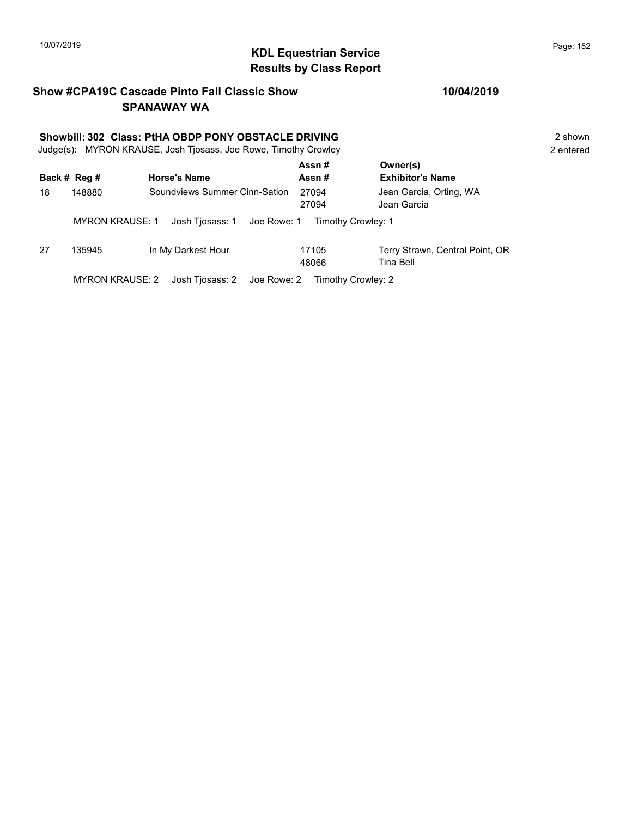# 10/07/2019 **Page: 152**<br> **KDL Equestrian Service Page: 152** Results by Class Report

#### Show #CPA19C Cascade Pinto Fall Classic Show SPANAWAY WA

# Showbill: 302 Class: PtHA OBDP PONY OBSTACLE DRIVING<br>
Judge(s): MYRON KRAUSE. Josh Tiosass. Joe Rowe. Timothy Crowley<br>
2 entered

Judge(s): MYRON KRAUSE, Josh Tjosass, Joe Rowe, Timothy Crowley

|    | Back # Reg #           | <b>Horse's Name</b>           | Assn#<br>Assn#     | Owner(s)<br><b>Exhibitor's Name</b>          |
|----|------------------------|-------------------------------|--------------------|----------------------------------------------|
| 18 | 148880                 | Soundviews Summer Cinn-Sation | 27094<br>27094     | Jean Garcia, Orting, WA<br>Jean Garcia       |
|    | <b>MYRON KRAUSE: 1</b> | Josh Tjosass: 1 Joe Rowe: 1   | Timothy Crowley: 1 |                                              |
| 27 | 135945                 | In My Darkest Hour            | 17105<br>48066     | Terry Strawn, Central Point, OR<br>Tina Bell |
|    | <b>MYRON KRAUSE: 2</b> | Josh Tjosass: 2 Joe Rowe: 2   | Timothy Crowley: 2 |                                              |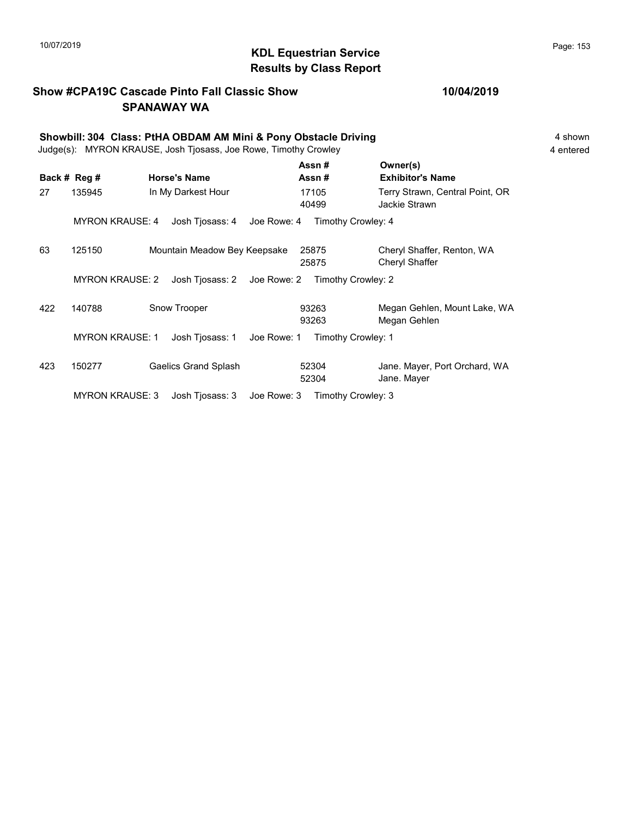# 10/07/2019 **Page: 153**<br> **KDL Equestrian Service Page: 153** Results by Class Report

#### Show #CPA19C Cascade Pinto Fall Classic Show SPANAWAY WA

|     | Showbill: 304 Class: PtHA OBDAM AM Mini & Pony Obstacle Driving<br>Judge(s): MYRON KRAUSE, Josh Tjosass, Joe Rowe, Timothy Crowley<br>4 entered |                              |                                   |                                                  |  |  |  |
|-----|-------------------------------------------------------------------------------------------------------------------------------------------------|------------------------------|-----------------------------------|--------------------------------------------------|--|--|--|
|     | Back # Reg #                                                                                                                                    | <b>Horse's Name</b>          | Assn#<br>Assn#                    | Owner(s)<br><b>Exhibitor's Name</b>              |  |  |  |
| 27  | 135945                                                                                                                                          | In My Darkest Hour           | 17105<br>40499                    | Terry Strawn, Central Point, OR<br>Jackie Strawn |  |  |  |
|     | <b>MYRON KRAUSE: 4</b>                                                                                                                          | Josh Tjosass: 4              | Timothy Crowley: 4<br>Joe Rowe: 4 |                                                  |  |  |  |
| 63  | 125150                                                                                                                                          | Mountain Meadow Bey Keepsake | 25875<br>25875                    | Cheryl Shaffer, Renton, WA<br>Cheryl Shaffer     |  |  |  |
|     | <b>MYRON KRAUSE: 2</b>                                                                                                                          | Josh Tjosass: 2 Joe Rowe: 2  | Timothy Crowley: 2                |                                                  |  |  |  |
| 422 | 140788                                                                                                                                          | Snow Trooper                 | 93263<br>93263                    | Megan Gehlen, Mount Lake, WA<br>Megan Gehlen     |  |  |  |
|     | <b>MYRON KRAUSE: 1</b>                                                                                                                          | Josh Tjosass: 1              | Timothy Crowley: 1<br>Joe Rowe: 1 |                                                  |  |  |  |
| 423 | 150277                                                                                                                                          | <b>Gaelics Grand Splash</b>  | 52304<br>52304                    | Jane. Mayer, Port Orchard, WA<br>Jane. Mayer     |  |  |  |
|     | <b>MYRON KRAUSE: 3</b>                                                                                                                          | Josh Tjosass: 3              | Timothy Crowley: 3<br>Joe Rowe: 3 |                                                  |  |  |  |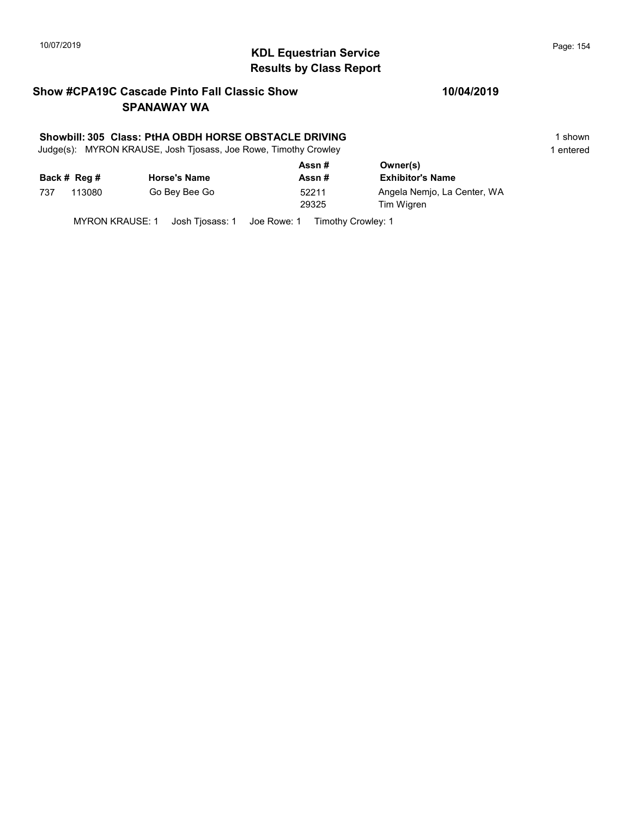# KDL Equestrian Service 10/07/2019 Page: 154 Results by Class Report

#### Show #CPA19C Cascade Pinto Fall Classic Show SPANAWAY WA

#### Showbill: 305 Class: PtHA OBDH HORSE OBSTACLE DRIVING 1 Shown 1 shown

Judge(s): MYRON KRAUSE, Josh Tjosass, Joe Rowe, Timothy Crowley 1 entered 1 entered

|     |              |                     | Assn#          | Owner(s)                                  |
|-----|--------------|---------------------|----------------|-------------------------------------------|
|     | Back # Reg # | <b>Horse's Name</b> | Assn#          | <b>Exhibitor's Name</b>                   |
| 737 | 113080       | Go Bey Bee Go       | 52211<br>29325 | Angela Nemjo, La Center, WA<br>Tim Wigren |

MYRON KRAUSE: 1 Josh Tjosass: 1 Joe Rowe: 1 Timothy Crowley: 1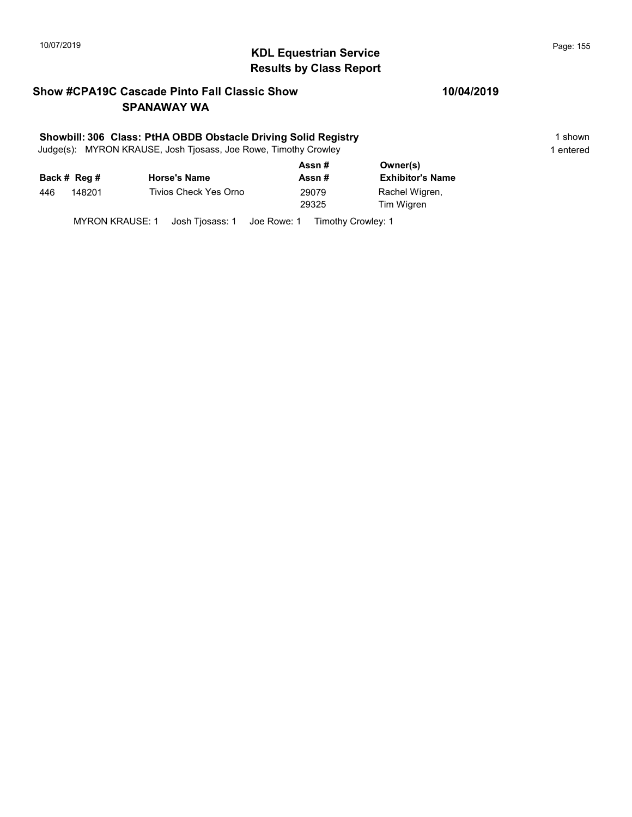# 10/07/2019 **Page: 155**<br> **KDL Equestrian Service Page: 155** Results by Class Report

#### Show #CPA19C Cascade Pinto Fall Classic Show SPANAWAY WA

#### Showbill: 306 Class: PtHA OBDB Obstacle Driving Solid Registry 1 shown 1 shown

Judge(s): MYRON KRAUSE, Josh Tjosass, Joe Rowe, Timothy Crowley 1 entered 1 entered

|     |              |                       | Assn# | Owner(s)                |
|-----|--------------|-----------------------|-------|-------------------------|
|     | Back # Reg # | <b>Horse's Name</b>   | Assn# | <b>Exhibitor's Name</b> |
| 446 | 148201       | Tivios Check Yes Orno | 29079 | Rachel Wigren,          |
|     |              |                       | 29325 | Tim Wigren              |
|     |              |                       |       |                         |

MYRON KRAUSE: 1 Josh Tjosass: 1 Joe Rowe: 1 Timothy Crowley: 1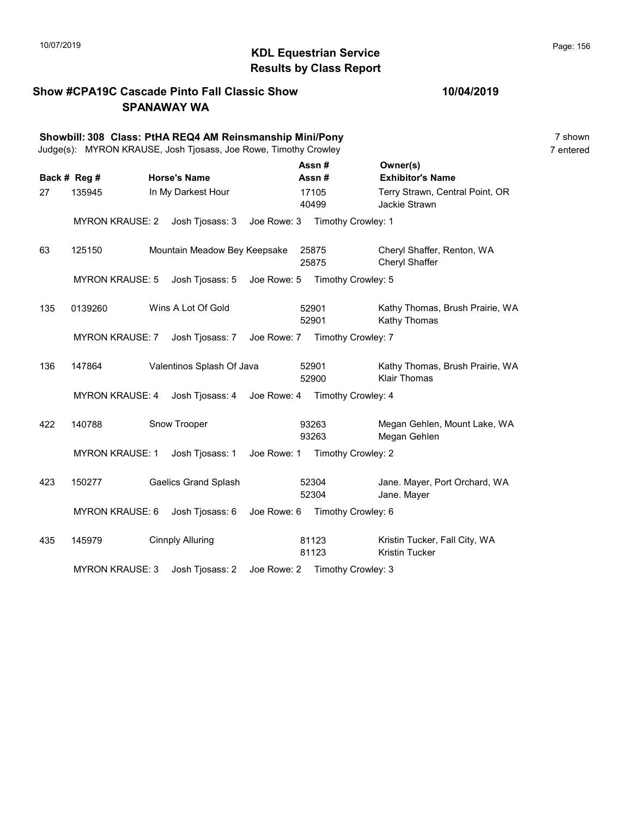# 10/07/2019 **Page: 156**<br> **KDL Equestrian Service Page: 156** Results by Class Report

#### Show #CPA19C Cascade Pinto Fall Classic Show SPANAWAY WA

|     | Showbill: 308 Class: PtHA REQ4 AM Reinsmanship Mini/Pony<br>Judge(s): MYRON KRAUSE, Josh Tjosass, Joe Rowe, Timothy Crowley |                              |             |                |                    |                                                        | 7 shown<br>7 entered |
|-----|-----------------------------------------------------------------------------------------------------------------------------|------------------------------|-------------|----------------|--------------------|--------------------------------------------------------|----------------------|
|     | Back # Reg #                                                                                                                | <b>Horse's Name</b>          |             |                | Assn#<br>Assn#     | Owner(s)<br><b>Exhibitor's Name</b>                    |                      |
| 27  | 135945                                                                                                                      | In My Darkest Hour           |             |                | 17105<br>40499     | Terry Strawn, Central Point, OR<br>Jackie Strawn       |                      |
|     | <b>MYRON KRAUSE: 2</b>                                                                                                      | Josh Tjosass: 3              | Joe Rowe: 3 |                | Timothy Crowley: 1 |                                                        |                      |
| 63  | 125150                                                                                                                      | Mountain Meadow Bey Keepsake |             |                | 25875<br>25875     | Cheryl Shaffer, Renton, WA<br>Cheryl Shaffer           |                      |
|     | <b>MYRON KRAUSE: 5</b>                                                                                                      | Josh Tjosass: 5              | Joe Rowe: 5 |                | Timothy Crowley: 5 |                                                        |                      |
| 135 | 0139260                                                                                                                     | Wins A Lot Of Gold           |             | 52901<br>52901 |                    | Kathy Thomas, Brush Prairie, WA<br>Kathy Thomas        |                      |
|     | <b>MYRON KRAUSE: 7</b>                                                                                                      | Josh Tjosass: 7              | Joe Rowe: 7 |                | Timothy Crowley: 7 |                                                        |                      |
| 136 | 147864                                                                                                                      | Valentinos Splash Of Java    |             | 52901          | 52900              | Kathy Thomas, Brush Prairie, WA<br><b>Klair Thomas</b> |                      |
|     | <b>MYRON KRAUSE: 4</b>                                                                                                      | Josh Tjosass: 4              | Joe Rowe: 4 |                | Timothy Crowley: 4 |                                                        |                      |
| 422 | 140788                                                                                                                      | Snow Trooper                 |             |                | 93263<br>93263     | Megan Gehlen, Mount Lake, WA<br>Megan Gehlen           |                      |
|     | <b>MYRON KRAUSE: 1</b>                                                                                                      | Josh Tjosass: 1              | Joe Rowe: 1 |                | Timothy Crowley: 2 |                                                        |                      |
| 423 | 150277                                                                                                                      | <b>Gaelics Grand Splash</b>  |             |                | 52304<br>52304     | Jane. Mayer, Port Orchard, WA<br>Jane. Mayer           |                      |
|     | <b>MYRON KRAUSE: 6</b>                                                                                                      | Josh Tjosass: 6              | Joe Rowe: 6 |                | Timothy Crowley: 6 |                                                        |                      |
| 435 | 145979                                                                                                                      | <b>Cinnply Alluring</b>      |             |                | 81123<br>81123     | Kristin Tucker, Fall City, WA<br><b>Kristin Tucker</b> |                      |
|     | <b>MYRON KRAUSE: 3</b>                                                                                                      | Josh Tjosass: 2              | Joe Rowe: 2 |                | Timothy Crowley: 3 |                                                        |                      |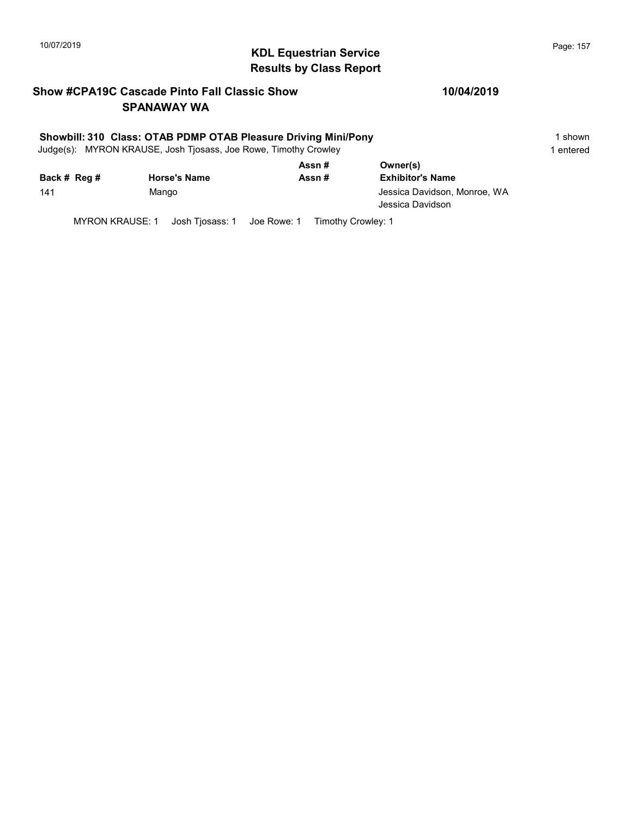# 10/07/2019 **Page: 157**<br> **KDL Equestrian Service Page: 157** Results by Class Report

#### Show #CPA19C Cascade Pinto Fall Classic Show SPANAWAY WA

#### Showbill: 310 Class: OTAB PDMP OTAB Pleasure Driving Mini/Pony 11 Shown 1 shown

Judge(s): MYRON KRAUSE, Josh Tjosass, Joe Rowe, Timothy Crowley 1 entered 1 entered

|              |                     | Assn#  | Owner(s)                                         |
|--------------|---------------------|--------|--------------------------------------------------|
| Back # Reg # | <b>Horse's Name</b> | Assn # | <b>Exhibitor's Name</b>                          |
| 141          | Mango               |        | Jessica Davidson, Monroe, WA<br>Jessica Davidson |

MYRON KRAUSE: 1 Josh Tjosass: 1 Joe Rowe: 1 Timothy Crowley: 1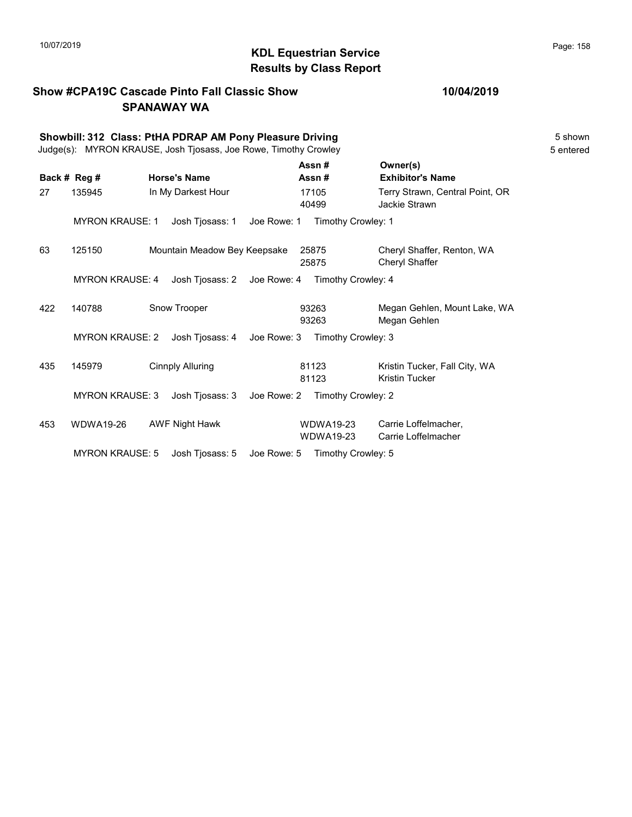# 10/07/2019 **Page: 158**<br> **KDL Equestrian Service Page: 158** Results by Class Report

#### Show #CPA19C Cascade Pinto Fall Classic Show SPANAWAY WA

|     |                        | Showbill: 312 Class: PtHA PDRAP AM Pony Pleasure Driving<br>Judge(s): MYRON KRAUSE, Josh Tjosass, Joe Rowe, Timothy Crowley |             |                                      |                                                        | 5 shown<br>5 entered |
|-----|------------------------|-----------------------------------------------------------------------------------------------------------------------------|-------------|--------------------------------------|--------------------------------------------------------|----------------------|
|     | Back # Reg #           | <b>Horse's Name</b>                                                                                                         |             | Assn#<br>Assn#                       | Owner(s)<br><b>Exhibitor's Name</b>                    |                      |
| 27  | 135945                 | In My Darkest Hour                                                                                                          |             | 17105<br>40499                       | Terry Strawn, Central Point, OR<br>Jackie Strawn       |                      |
|     | <b>MYRON KRAUSE: 1</b> | Josh Tjosass: 1                                                                                                             | Joe Rowe: 1 | Timothy Crowley: 1                   |                                                        |                      |
| 63  | 125150                 | Mountain Meadow Bey Keepsake                                                                                                |             | 25875<br>25875                       | Cheryl Shaffer, Renton, WA<br>Cheryl Shaffer           |                      |
|     | <b>MYRON KRAUSE: 4</b> | Josh Tjosass: 2 Joe Rowe: 4                                                                                                 |             | Timothy Crowley: 4                   |                                                        |                      |
| 422 | 140788                 | Snow Trooper                                                                                                                |             | 93263<br>93263                       | Megan Gehlen, Mount Lake, WA<br>Megan Gehlen           |                      |
|     | <b>MYRON KRAUSE: 2</b> | Josh Tjosass: 4                                                                                                             | Joe Rowe: 3 | Timothy Crowley: 3                   |                                                        |                      |
| 435 | 145979                 | Cinnply Alluring                                                                                                            |             | 81123<br>81123                       | Kristin Tucker, Fall City, WA<br><b>Kristin Tucker</b> |                      |
|     | <b>MYRON KRAUSE: 3</b> | Josh Tjosass: 3                                                                                                             | Joe Rowe: 2 | Timothy Crowley: 2                   |                                                        |                      |
| 453 | <b>WDWA19-26</b>       | <b>AWF Night Hawk</b>                                                                                                       |             | <b>WDWA19-23</b><br><b>WDWA19-23</b> | Carrie Loffelmacher,<br>Carrie Loffelmacher            |                      |
|     | <b>MYRON KRAUSE: 5</b> | Josh Tjosass: 5                                                                                                             | Joe Rowe: 5 | Timothy Crowley: 5                   |                                                        |                      |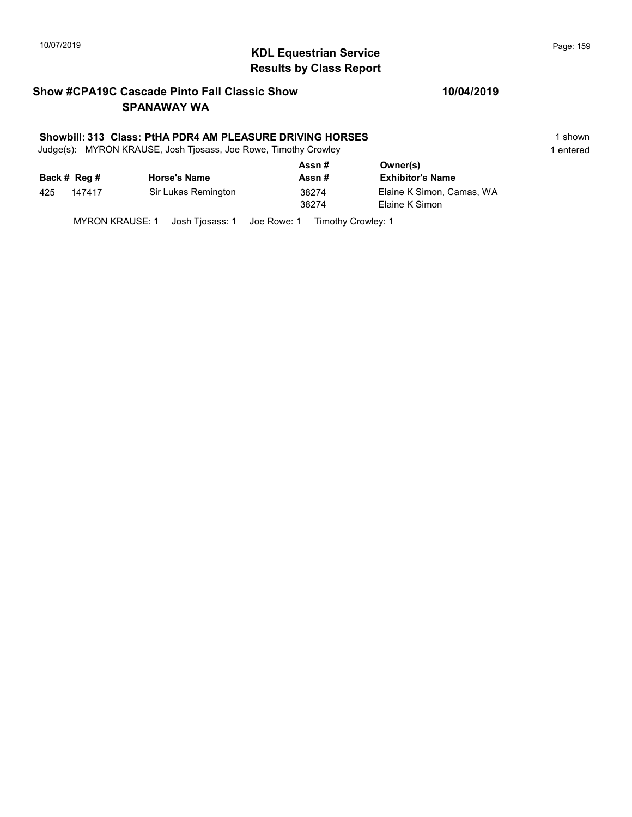# KDL Equestrian Service 10/07/2019 Page: 159 Results by Class Report

#### Show #CPA19C Cascade Pinto Fall Classic Show SPANAWAY WA

#### Showbill: 313 Class: PtHA PDR4 AM PLEASURE DRIVING HORSES 1 shown

Judge(s): MYRON KRAUSE, Josh Tjosass, Joe Rowe, Timothy Crowley 1 entered 1 entered

|     |              |                     | Assn# | Owner(s)                  |  |  |
|-----|--------------|---------------------|-------|---------------------------|--|--|
|     | Back # Reg # | <b>Horse's Name</b> | Assn# | <b>Exhibitor's Name</b>   |  |  |
| 425 | 147417       | Sir Lukas Remington | 38274 | Elaine K Simon, Camas, WA |  |  |
|     |              |                     | 38274 | Elaine K Simon            |  |  |
|     |              |                     |       |                           |  |  |

MYRON KRAUSE: 1 Josh Tjosass: 1 Joe Rowe: 1 Timothy Crowley: 1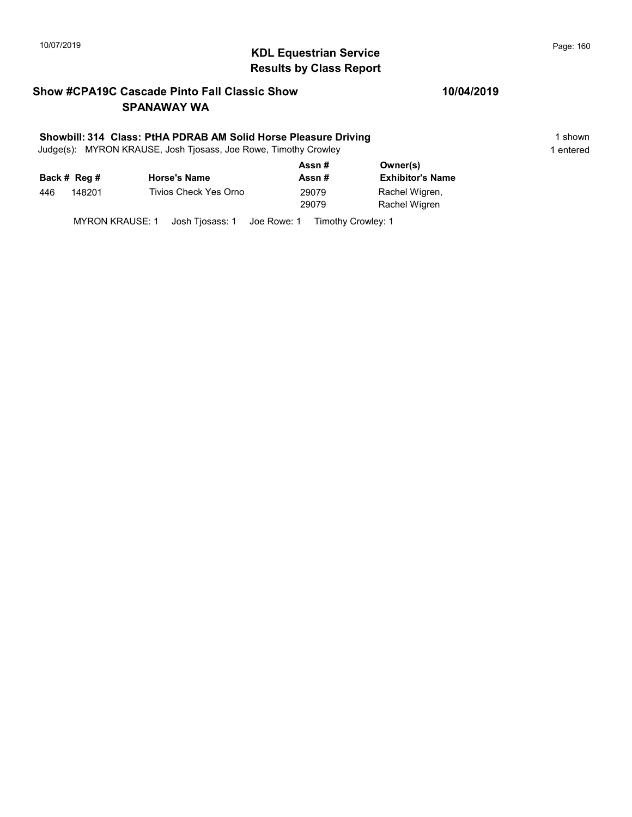# 10/07/2019 **Page: 160**<br> **KDL Equestrian Service Page: 160** Results by Class Report

#### Show #CPA19C Cascade Pinto Fall Classic Show SPANAWAY WA

#### Showbill: 314 Class: PtHA PDRAB AM Solid Horse Pleasure Driving 1 Shown 1 shown

Judge(s): MYRON KRAUSE, Josh Tjosass, Joe Rowe, Timothy Crowley 1 entered 1 entered

|     |              |                       | Assn # | Owner(s)                |
|-----|--------------|-----------------------|--------|-------------------------|
|     | Back # Reg # | <b>Horse's Name</b>   | Assn#  | <b>Exhibitor's Name</b> |
| 446 | 148201       | Tivios Check Yes Orno | 29079  | Rachel Wigren,          |
|     |              |                       | 29079  | Rachel Wigren           |
|     |              |                       |        |                         |

MYRON KRAUSE: 1 Josh Tjosass: 1 Joe Rowe: 1 Timothy Crowley: 1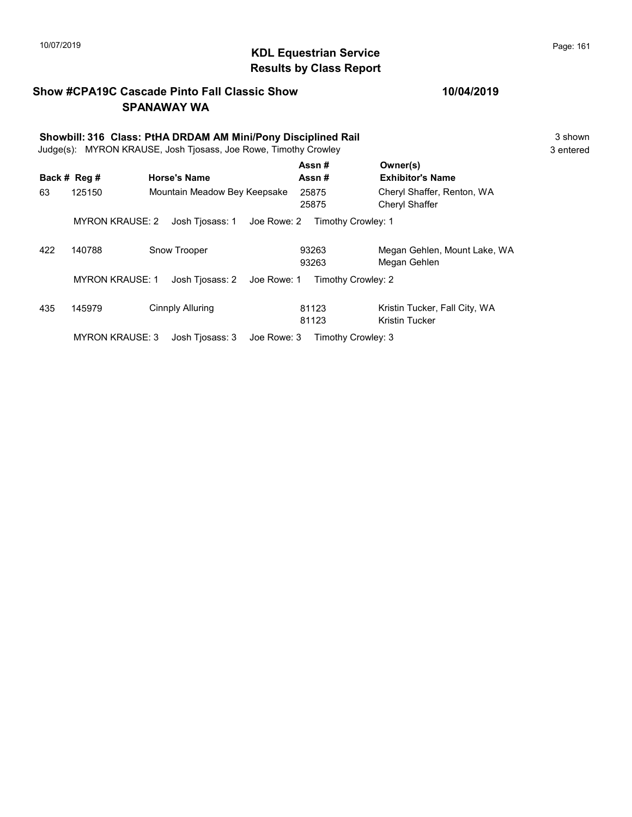# KDL Equestrian Service 10/07/2019 Page: 161 Results by Class Report

#### Show #CPA19C Cascade Pinto Fall Classic Show SPANAWAY WA

|     | Showbill: 316 Class: PtHA DRDAM AM Mini/Pony Disciplined Rail<br>MYRON KRAUSE, Josh Tjosass, Joe Rowe, Timothy Crowley<br>Judge(s): |                                |                    |                                                 |  |  |
|-----|-------------------------------------------------------------------------------------------------------------------------------------|--------------------------------|--------------------|-------------------------------------------------|--|--|
|     | Back # Reg #                                                                                                                        | <b>Horse's Name</b>            | Assn#<br>Assn#     | Owner(s)<br><b>Exhibitor's Name</b>             |  |  |
| 63  | 125150                                                                                                                              | Mountain Meadow Bey Keepsake   | 25875<br>25875     | Cheryl Shaffer, Renton, WA<br>Cheryl Shaffer    |  |  |
|     | <b>MYRON KRAUSE: 2</b>                                                                                                              | Josh Tiosass: 1<br>Joe Rowe: 2 | Timothy Crowley: 1 |                                                 |  |  |
| 422 | 140788                                                                                                                              | Snow Trooper                   | 93263<br>93263     | Megan Gehlen, Mount Lake, WA<br>Megan Gehlen    |  |  |
|     | <b>MYRON KRAUSE: 1</b>                                                                                                              | Josh Tiosass: 2<br>Joe Rowe: 1 | Timothy Crowley: 2 |                                                 |  |  |
| 435 | 145979                                                                                                                              | <b>Cinnply Alluring</b>        | 81123<br>81123     | Kristin Tucker, Fall City, WA<br>Kristin Tucker |  |  |
|     | <b>MYRON KRAUSE: 3</b>                                                                                                              | Josh Tiosass: 3<br>Joe Rowe: 3 | Timothy Crowley: 3 |                                                 |  |  |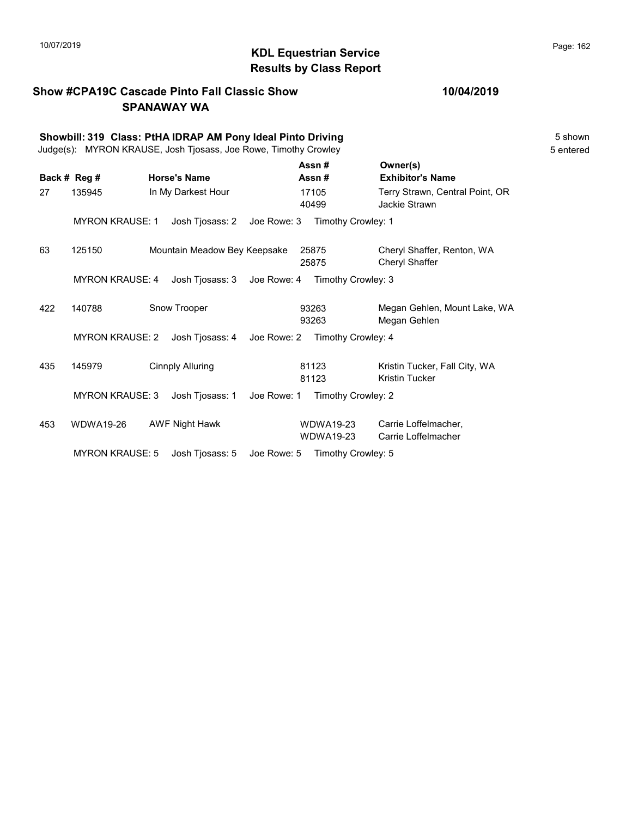# 10/07/2019 **Page: 162**<br> **KDL Equestrian Service Page: 162** Results by Class Report

#### Show #CPA19C Cascade Pinto Fall Classic Show SPANAWAY WA

|     | Showbill: 319 Class: PtHA IDRAP AM Pony Ideal Pinto Driving<br>Judge(s): MYRON KRAUSE, Josh Tjosass, Joe Rowe, Timothy Crowley |                              |             |                                      |                                                        | 5 shown<br>5 entered |
|-----|--------------------------------------------------------------------------------------------------------------------------------|------------------------------|-------------|--------------------------------------|--------------------------------------------------------|----------------------|
|     | Back # Reg #                                                                                                                   | <b>Horse's Name</b>          |             | Assn#<br>Assn#                       | Owner(s)<br><b>Exhibitor's Name</b>                    |                      |
| 27  | 135945                                                                                                                         | In My Darkest Hour           |             | 17105<br>40499                       | Terry Strawn, Central Point, OR<br>Jackie Strawn       |                      |
|     | <b>MYRON KRAUSE: 1</b>                                                                                                         | Josh Tjosass: 2              | Joe Rowe: 3 | Timothy Crowley: 1                   |                                                        |                      |
| 63  | 125150                                                                                                                         | Mountain Meadow Bey Keepsake |             | 25875<br>25875                       | Cheryl Shaffer, Renton, WA<br>Cheryl Shaffer           |                      |
|     | <b>MYRON KRAUSE: 4</b>                                                                                                         | Josh Tjosass: 3              | Joe Rowe: 4 | Timothy Crowley: 3                   |                                                        |                      |
| 422 | 140788                                                                                                                         | Snow Trooper                 |             | 93263<br>93263                       | Megan Gehlen, Mount Lake, WA<br>Megan Gehlen           |                      |
|     | <b>MYRON KRAUSE: 2</b>                                                                                                         | Josh Tjosass: 4              | Joe Rowe: 2 | Timothy Crowley: 4                   |                                                        |                      |
| 435 | 145979                                                                                                                         | <b>Cinnply Alluring</b>      |             | 81123<br>81123                       | Kristin Tucker, Fall City, WA<br><b>Kristin Tucker</b> |                      |
|     | <b>MYRON KRAUSE: 3</b>                                                                                                         | Josh Tjosass: 1              | Joe Rowe: 1 | Timothy Crowley: 2                   |                                                        |                      |
| 453 | WDWA19-26                                                                                                                      | <b>AWF Night Hawk</b>        |             | <b>WDWA19-23</b><br><b>WDWA19-23</b> | Carrie Loffelmacher,<br>Carrie Loffelmacher            |                      |
|     | <b>MYRON KRAUSE: 5</b>                                                                                                         | Josh Tjosass: 5              | Joe Rowe: 5 | Timothy Crowley: 5                   |                                                        |                      |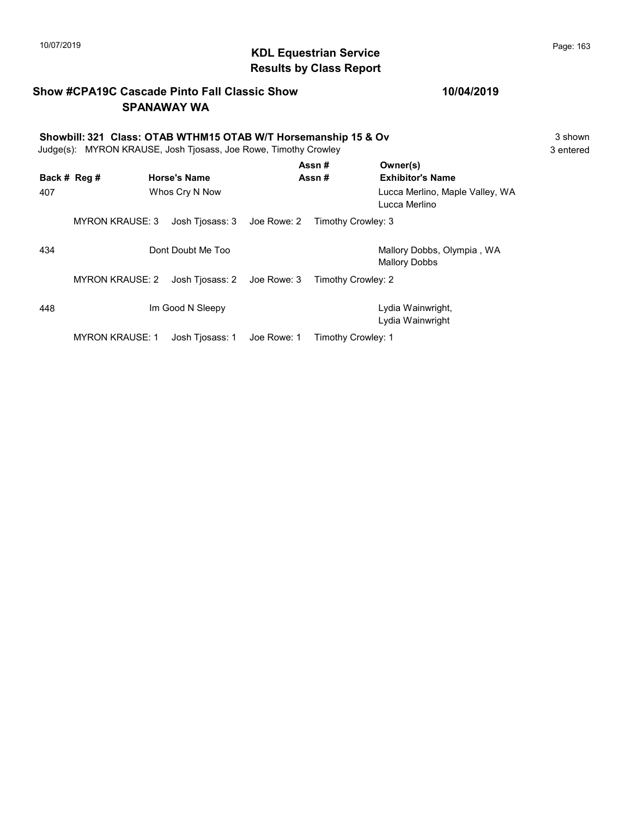# 10/07/2019 **Page: 163**<br> **KDL Equestrian Service Page: 163** Results by Class Report

#### Show #CPA19C Cascade Pinto Fall Classic Show SPANAWAY WA

#### 10/04/2019

#### Showbill: 321 Class: OTAB WTHM15 OTAB W/T Horsemanship 15 & Ov 3 shown<br>Judge(s): MYRON KRAUSE. Josh Tiosass. Joe Rowe. Timothy Crowley Judge(s): MYRON KRAUSE, Josh Tjosass, Joe Rowe, Timothy Crowley

|              |                        |                                |             | Assn#              | Owner(s)                                         |
|--------------|------------------------|--------------------------------|-------------|--------------------|--------------------------------------------------|
| Back # Reg # |                        | <b>Horse's Name</b>            |             | Assn#              | <b>Exhibitor's Name</b>                          |
| 407          |                        | Whos Cry N Now                 |             |                    | Lucca Merlino, Maple Valley, WA<br>Lucca Merlino |
|              | <b>MYRON KRAUSE: 3</b> | Josh Tjosass: 3    Joe Rowe: 2 |             | Timothy Crowley: 3 |                                                  |
| 434          |                        | Dont Doubt Me Too              |             |                    | Mallory Dobbs, Olympia, WA<br>Mallory Dobbs      |
|              | <b>MYRON KRAUSE: 2</b> | Josh Tiosass: 2 Joe Rowe: 3    |             | Timothy Crowley: 2 |                                                  |
| 448          |                        | Im Good N Sleepy               |             |                    | Lydia Wainwright,<br>Lydia Wainwright            |
|              | <b>MYRON KRAUSE: 1</b> | Josh Tiosass: 1                | Joe Rowe: 1 | Timothy Crowley: 1 |                                                  |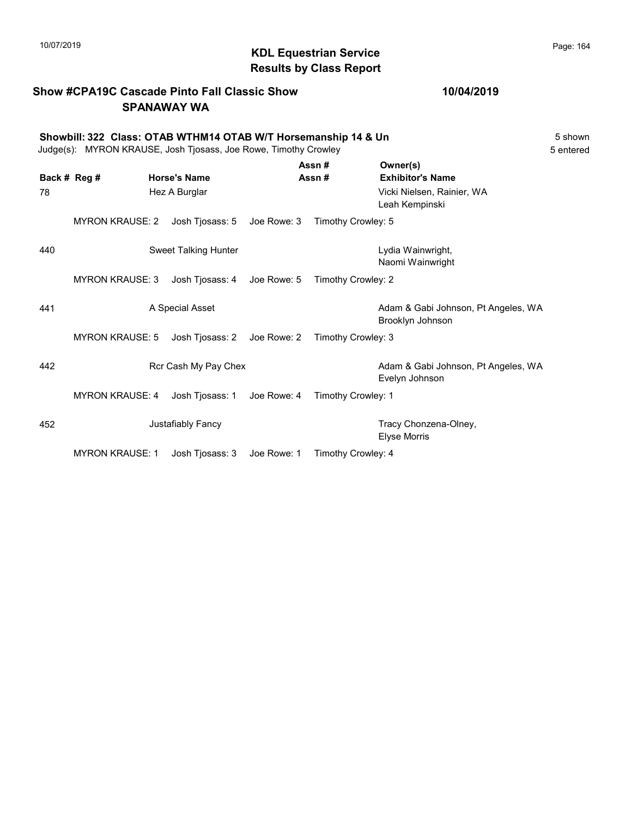# 10/07/2019 **Page: 164**<br> **KDL Equestrian Service Page: 164** Results by Class Report

#### Show #CPA19C Cascade Pinto Fall Classic Show SPANAWAY WA

#### Showbill: 322 Class: OTAB WTHM14 OTAB W/T Horsemanship 14 & Un<br>Judge(s): MYRON KRAUSE. Josh Tiosass. Joe Rowe. Timothy Crowley<br>5 entered Judge(s): MYRON KRAUSE, Josh Tjosass, Joe Rowe, Timothy Crowley

|     |                        |                      |             | Assn#              | Owner(s)                                                |
|-----|------------------------|----------------------|-------------|--------------------|---------------------------------------------------------|
|     | Back # Reg #           | <b>Horse's Name</b>  |             | Assn#              | <b>Exhibitor's Name</b>                                 |
| 78  |                        | Hez A Burglar        |             |                    | Vicki Nielsen, Rainier, WA<br>Leah Kempinski            |
|     | <b>MYRON KRAUSE: 2</b> | Josh Tjosass: 5      | Joe Rowe: 3 | Timothy Crowley: 5 |                                                         |
| 440 |                        | Sweet Talking Hunter |             |                    | Lydia Wainwright,<br>Naomi Wainwright                   |
|     | <b>MYRON KRAUSE: 3</b> | Josh Tjosass: 4      | Joe Rowe: 5 | Timothy Crowley: 2 |                                                         |
| 441 |                        | A Special Asset      |             |                    | Adam & Gabi Johnson, Pt Angeles, WA<br>Brooklyn Johnson |
|     | <b>MYRON KRAUSE: 5</b> | Josh Tjosass: 2      | Joe Rowe: 2 | Timothy Crowley: 3 |                                                         |
| 442 |                        | Rcr Cash My Pay Chex |             |                    | Adam & Gabi Johnson, Pt Angeles, WA<br>Evelyn Johnson   |
|     | <b>MYRON KRAUSE: 4</b> | Josh Tjosass: 1      | Joe Rowe: 4 | Timothy Crowley: 1 |                                                         |
| 452 |                        | Justafiably Fancy    |             |                    | Tracy Chonzena-Olney,<br>Elyse Morris                   |
|     | <b>MYRON KRAUSE: 1</b> | Josh Tjosass: 3      | Joe Rowe: 1 | Timothy Crowley: 4 |                                                         |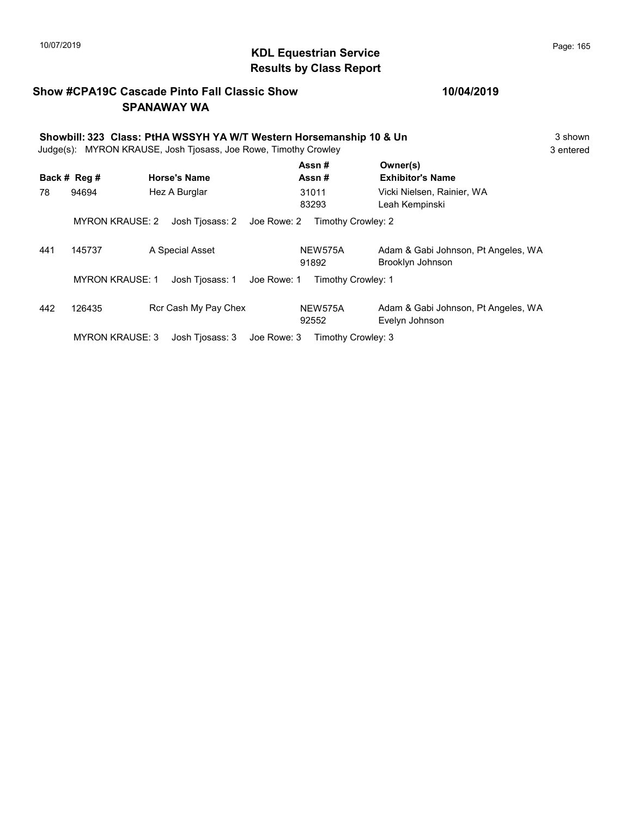# 10/07/2019 **Page: 165**<br> **KDL Equestrian Service Page: 165** Results by Class Report

#### Show #CPA19C Cascade Pinto Fall Classic Show SPANAWAY WA

|     | Showbill: 323 Class: PtHA WSSYH YA W/T Western Horsemanship 10 & Un<br>MYRON KRAUSE, Josh Tjosass, Joe Rowe, Timothy Crowley<br>Judge(s): |  |                      |             |                         | 3 shown<br>3 entered                                    |  |
|-----|-------------------------------------------------------------------------------------------------------------------------------------------|--|----------------------|-------------|-------------------------|---------------------------------------------------------|--|
|     | Back # Reg #                                                                                                                              |  | <b>Horse's Name</b>  |             | Assn#<br>Assn#          | Owner(s)<br><b>Exhibitor's Name</b>                     |  |
| 78  | 94694                                                                                                                                     |  | Hez A Burglar        |             | 31011<br>83293          | Vicki Nielsen, Rainier, WA<br>Leah Kempinski            |  |
|     | <b>MYRON KRAUSE: 2</b>                                                                                                                    |  | Josh Tjosass: 2      | Joe Rowe: 2 | Timothy Crowley: 2      |                                                         |  |
| 441 | 145737                                                                                                                                    |  | A Special Asset      |             | NEW575A<br>91892        | Adam & Gabi Johnson, Pt Angeles, WA<br>Brooklyn Johnson |  |
|     | <b>MYRON KRAUSE: 1</b>                                                                                                                    |  | Josh Tiosass: 1      | Joe Rowe: 1 | Timothy Crowley: 1      |                                                         |  |
| 442 | 126435                                                                                                                                    |  | Rcr Cash My Pay Chex |             | <b>NEW575A</b><br>92552 | Adam & Gabi Johnson, Pt Angeles, WA<br>Evelyn Johnson   |  |
|     | <b>MYRON KRAUSE: 3</b>                                                                                                                    |  | Josh Tiosass: 3      | Joe Rowe: 3 | Timothy Crowley: 3      |                                                         |  |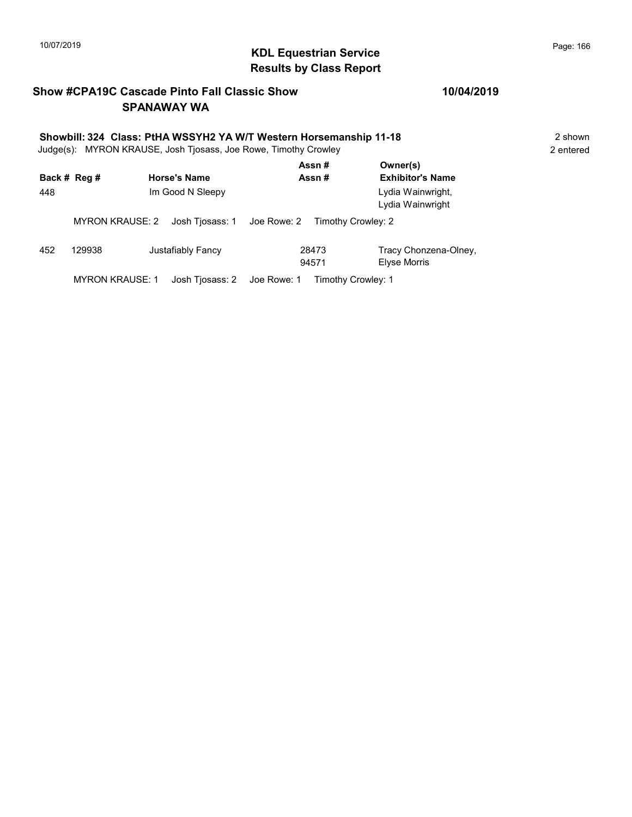# 10/07/2019 **Page: 166**<br> **KDL Equestrian Service Page: 166** Results by Class Report

#### Show #CPA19C Cascade Pinto Fall Classic Show SPANAWAY WA

# Showbill: 324 Class: PtHA WSSYH2 YA W/T Western Horsemanship 11-18<br>Judge(s): MYRON KRAUSE. Josh Tiosass. Joe Rowe. Timothy Crowley

Judge(s): MYRON KRAUSE, Josh Tjosass, Joe Rowe, Timothy Crowley

| 448 | Back # Reg #           | <b>Horse's Name</b><br>Im Good N Sleepy | Assn#<br>Assn#                                    | Owner(s)<br><b>Exhibitor's Name</b><br>Lydia Wainwright,<br>Lydia Wainwright |
|-----|------------------------|-----------------------------------------|---------------------------------------------------|------------------------------------------------------------------------------|
|     | <b>MYRON KRAUSE: 2</b> |                                         | Josh Tjosass: 1 Joe Rowe: 2<br>Timothy Crowley: 2 |                                                                              |
| 452 | 129938                 | Justafiably Fancy                       | 28473<br>94571                                    | Tracy Chonzena-Olney,<br>Elyse Morris                                        |
|     | <b>MYRON KRAUSE: 1</b> | Josh Tjosass: 2                         | Joe Rowe: 1<br>Timothy Crowley: 1                 |                                                                              |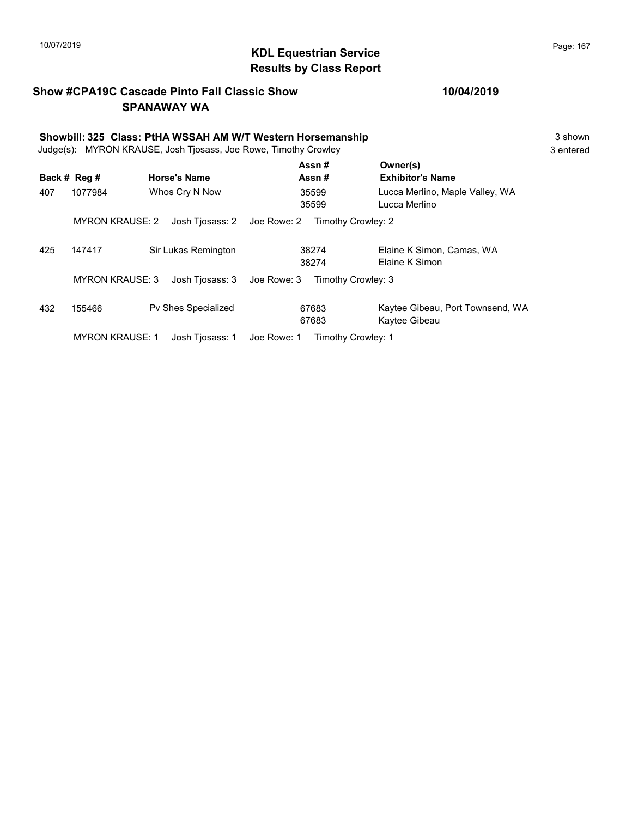# 10/07/2019 **Page: 167**<br> **KDL Equestrian Service Page: 167** Results by Class Report

#### Show #CPA19C Cascade Pinto Fall Classic Show SPANAWAY WA

|     | Showbill: 325 Class: PtHA WSSAH AM W/T Western Horsemanship<br>MYRON KRAUSE, Josh Tjosass, Joe Rowe, Timothy Crowley<br>Judge(s): |                     |             |                    |                                                   |  |
|-----|-----------------------------------------------------------------------------------------------------------------------------------|---------------------|-------------|--------------------|---------------------------------------------------|--|
|     | Back # Reg #                                                                                                                      | <b>Horse's Name</b> |             | Assn#<br>Assn#     | Owner(s)<br><b>Exhibitor's Name</b>               |  |
| 407 | 1077984                                                                                                                           | Whos Cry N Now      |             | 35599<br>35599     | Lucca Merlino, Maple Valley, WA<br>Lucca Merlino  |  |
|     | <b>MYRON KRAUSE: 2</b>                                                                                                            | Josh Tjosass: 2     | Joe Rowe: 2 | Timothy Crowley: 2 |                                                   |  |
| 425 | 147417                                                                                                                            | Sir Lukas Remington |             | 38274<br>38274     | Elaine K Simon, Camas, WA<br>Elaine K Simon       |  |
|     | <b>MYRON KRAUSE: 3</b>                                                                                                            | Josh Tjosass: 3     | Joe Rowe: 3 | Timothy Crowley: 3 |                                                   |  |
| 432 | 155466                                                                                                                            | Pv Shes Specialized |             | 67683<br>67683     | Kaytee Gibeau, Port Townsend, WA<br>Kaytee Gibeau |  |
|     | <b>MYRON KRAUSE: 1</b>                                                                                                            | Josh Tiosass: 1     | Joe Rowe: 1 | Timothy Crowley: 1 |                                                   |  |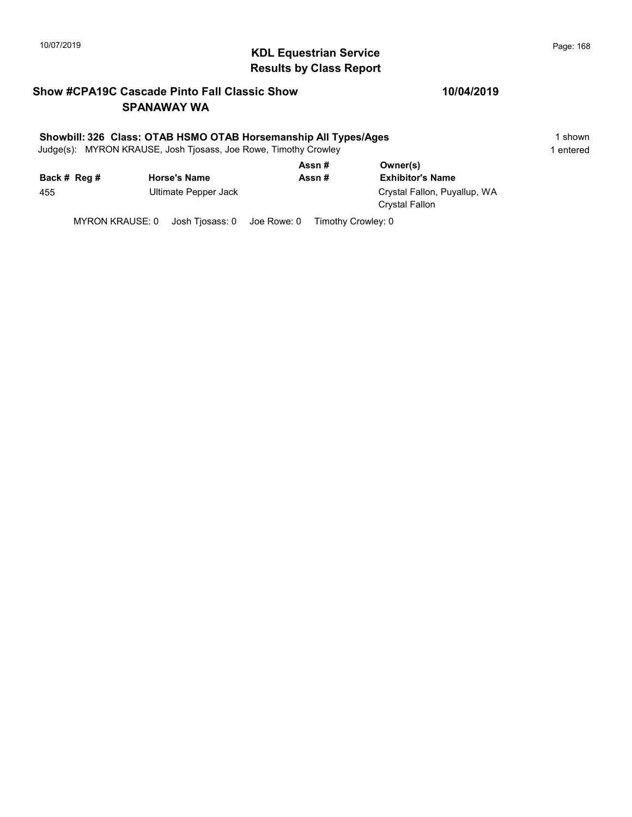# 10/07/2019 **Page: 168**<br> **KDL Equestrian Service Page: 168** Results by Class Report

#### Show #CPA19C Cascade Pinto Fall Classic Show SPANAWAY WA

#### Showbill: 326 Class: OTAB HSMO OTAB Horsemanship All Types/Ages 1 shown 1 shown

Judge(s): MYRON KRAUSE, Josh Tjosass, Joe Rowe, Timothy Crowley 1 entered 1 entered

|              |                      | Assn#  | Owner(s)                                       |  |  |
|--------------|----------------------|--------|------------------------------------------------|--|--|
| Back # Reg # | <b>Horse's Name</b>  | Assn # | <b>Exhibitor's Name</b>                        |  |  |
| 455          | Ultimate Pepper Jack |        | Crystal Fallon, Puyallup, WA<br>Crystal Fallon |  |  |

MYRON KRAUSE: 0 Josh Tjosass: 0 Joe Rowe: 0 Timothy Crowley: 0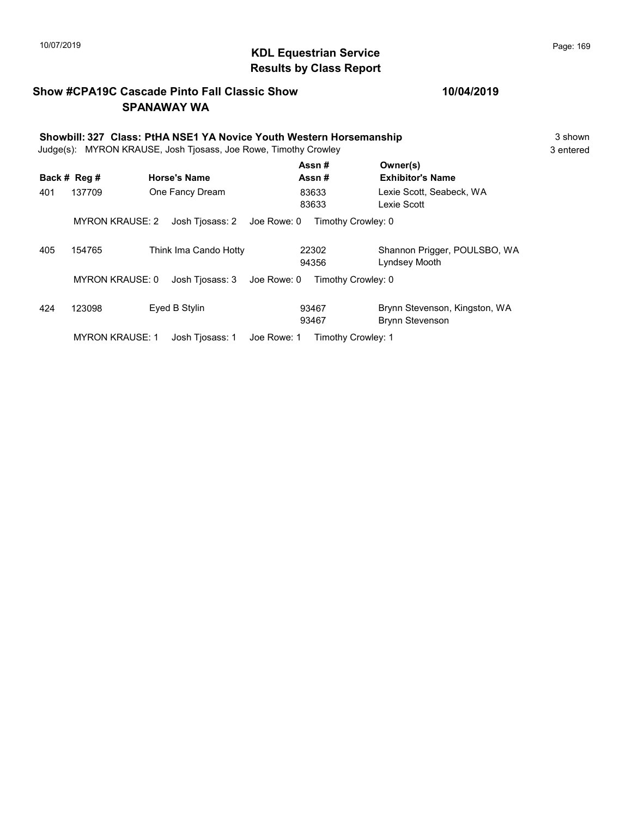# KDL Equestrian Service 10/07/2019 Page: 169 Results by Class Report

#### Show #CPA19C Cascade Pinto Fall Classic Show SPANAWAY WA

|     | Showbill: 327 Class: PtHA NSE1 YA Novice Youth Western Horsemanship<br>Judge(s): MYRON KRAUSE, Josh Tjosass, Joe Rowe, Timothy Crowley |                                |                    |                                                         |  |  |
|-----|----------------------------------------------------------------------------------------------------------------------------------------|--------------------------------|--------------------|---------------------------------------------------------|--|--|
|     | Back # Reg #                                                                                                                           | <b>Horse's Name</b>            | Assn#<br>Assn#     | Owner(s)<br><b>Exhibitor's Name</b>                     |  |  |
| 401 | 137709                                                                                                                                 | One Fancy Dream                | 83633<br>83633     | Lexie Scott. Seabeck. WA<br>Lexie Scott                 |  |  |
|     | <b>MYRON KRAUSE: 2</b>                                                                                                                 | Josh Tjosass: 2<br>Joe Rowe: 0 | Timothy Crowley: 0 |                                                         |  |  |
| 405 | 154765                                                                                                                                 | Think Ima Cando Hotty          | 22302<br>94356     | Shannon Prigger, POULSBO, WA<br>Lyndsey Mooth           |  |  |
|     | <b>MYRON KRAUSE: 0</b>                                                                                                                 | Josh Tjosass: 3<br>Joe Rowe: 0 | Timothy Crowley: 0 |                                                         |  |  |
| 424 | 123098                                                                                                                                 | Eyed B Stylin                  | 93467<br>93467     | Brynn Stevenson, Kingston, WA<br><b>Brynn Stevenson</b> |  |  |
|     | <b>MYRON KRAUSE: 1</b>                                                                                                                 | Joe Rowe: 1<br>Josh Tiosass: 1 | Timothy Crowley: 1 |                                                         |  |  |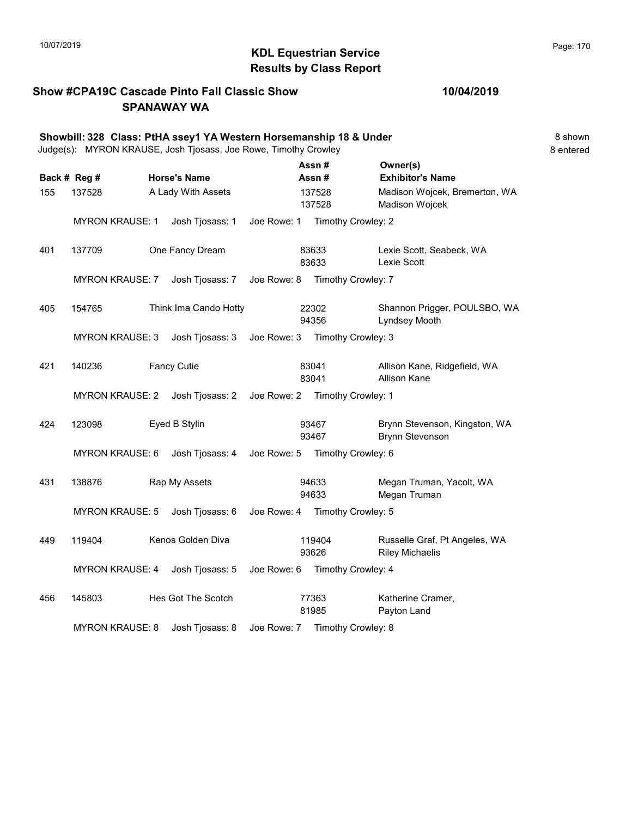# 10/07/2019 **Page: 170**<br> **KDL Equestrian Service** Montanagement of the Page: 170 Results by Class Report

#### Show #CPA19C Cascade Pinto Fall Classic Show SPANAWAY WA

|     |                        | Showbill: 328 Class: PtHA ssey1 YA Western Horsemanship 18 & Under<br>Judge(s): MYRON KRAUSE, Josh Tjosass, Joe Rowe, Timothy Crowley |             |                |                                |                                                         | 8 shown<br>8 entered |
|-----|------------------------|---------------------------------------------------------------------------------------------------------------------------------------|-------------|----------------|--------------------------------|---------------------------------------------------------|----------------------|
|     | Back # Reg #           | <b>Horse's Name</b>                                                                                                                   |             | Assn#<br>Assn# |                                | Owner(s)<br><b>Exhibitor's Name</b>                     |                      |
| 155 | 137528                 | A Lady With Assets                                                                                                                    |             |                | 137528<br>137528               | Madison Wojcek, Bremerton, WA<br>Madison Wojcek         |                      |
|     | MYRON KRAUSE: 1        | Josh Tjosass: 1                                                                                                                       | Joe Rowe: 1 |                | Timothy Crowley: 2             |                                                         |                      |
| 401 | 137709                 | One Fancy Dream                                                                                                                       |             | 83633<br>83633 |                                | Lexie Scott, Seabeck, WA<br>Lexie Scott                 |                      |
|     | <b>MYRON KRAUSE: 7</b> | Josh Tjosass: 7                                                                                                                       |             |                | Joe Rowe: 8 Timothy Crowley: 7 |                                                         |                      |
| 405 | 154765                 | Think Ima Cando Hotty                                                                                                                 |             | 22302<br>94356 |                                | Shannon Prigger, POULSBO, WA<br>Lyndsey Mooth           |                      |
|     | <b>MYRON KRAUSE: 3</b> | Josh Tjosass: 3 Joe Rowe: 3 Timothy Crowley: 3                                                                                        |             |                |                                |                                                         |                      |
| 421 | 140236                 | <b>Fancy Cutie</b>                                                                                                                    |             | 83041<br>83041 |                                | Allison Kane, Ridgefield, WA<br><b>Allison Kane</b>     |                      |
|     | MYRON KRAUSE: 2        | Josh Tjosass: 2                                                                                                                       |             |                | Joe Rowe: 2 Timothy Crowley: 1 |                                                         |                      |
| 424 | 123098                 | Eyed B Stylin                                                                                                                         |             | 93467<br>93467 |                                | Brynn Stevenson, Kingston, WA<br><b>Brynn Stevenson</b> |                      |
|     | <b>MYRON KRAUSE: 6</b> | Josh Tjosass: 4                                                                                                                       |             |                | Joe Rowe: 5 Timothy Crowley: 6 |                                                         |                      |
| 431 | 138876                 | Rap My Assets                                                                                                                         |             | 94633<br>94633 |                                | Megan Truman, Yacolt, WA<br>Megan Truman                |                      |
|     | <b>MYRON KRAUSE: 5</b> | Josh Tjosass: 6                                                                                                                       |             |                | Joe Rowe: 4 Timothy Crowley: 5 |                                                         |                      |
| 449 | 119404                 | Kenos Golden Diva                                                                                                                     |             | 93626          | 119404                         | Russelle Graf, Pt Angeles, WA<br><b>Riley Michaelis</b> |                      |
|     | <b>MYRON KRAUSE: 4</b> | Josh Tjosass: 5                                                                                                                       | Joe Rowe: 6 |                | Timothy Crowley: 4             |                                                         |                      |
| 456 | 145803                 | Hes Got The Scotch                                                                                                                    |             | 77363<br>81985 |                                | Katherine Cramer,<br>Payton Land                        |                      |
|     | <b>MYRON KRAUSE: 8</b> | Josh Tjosass: 8                                                                                                                       |             |                | Joe Rowe: 7 Timothy Crowley: 8 |                                                         |                      |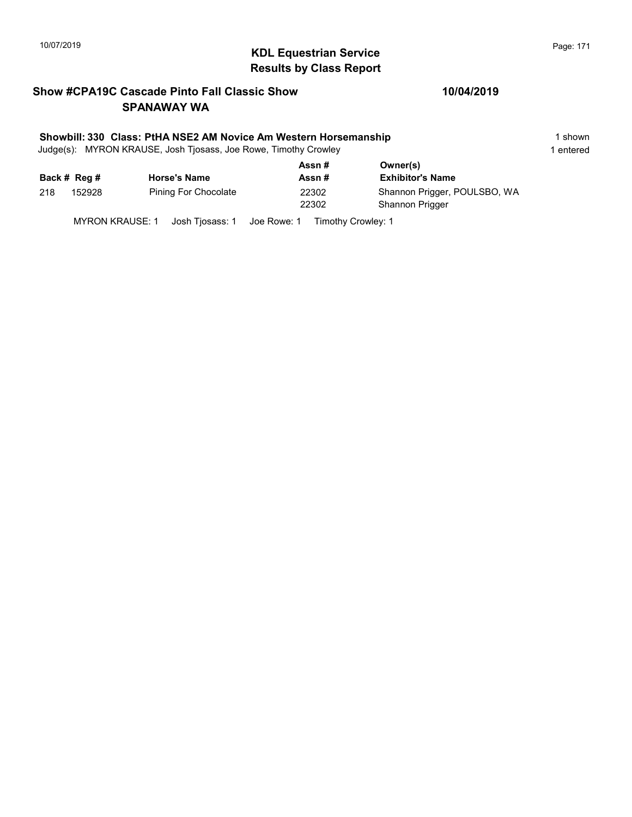# KDL Equestrian Service 10/07/2019 Page: 171 Results by Class Report

#### Show #CPA19C Cascade Pinto Fall Classic Show SPANAWAY WA

#### Showbill: 330 Class: PtHA NSE2 AM Novice Am Western Horsemanship 1 shown 1 shown

Judge(s): MYRON KRAUSE, Josh Tjosass, Joe Rowe, Timothy Crowley 1 entered 1 entered

|     |              |                      | Assn#          | Owner(s)                                               |
|-----|--------------|----------------------|----------------|--------------------------------------------------------|
|     | Back # Reg # | <b>Horse's Name</b>  | Assn #         | <b>Exhibitor's Name</b>                                |
| 218 | 152928       | Pining For Chocolate | 22302<br>22302 | Shannon Prigger, POULSBO, WA<br><b>Shannon Prigger</b> |

MYRON KRAUSE: 1 Josh Tjosass: 1 Joe Rowe: 1 Timothy Crowley: 1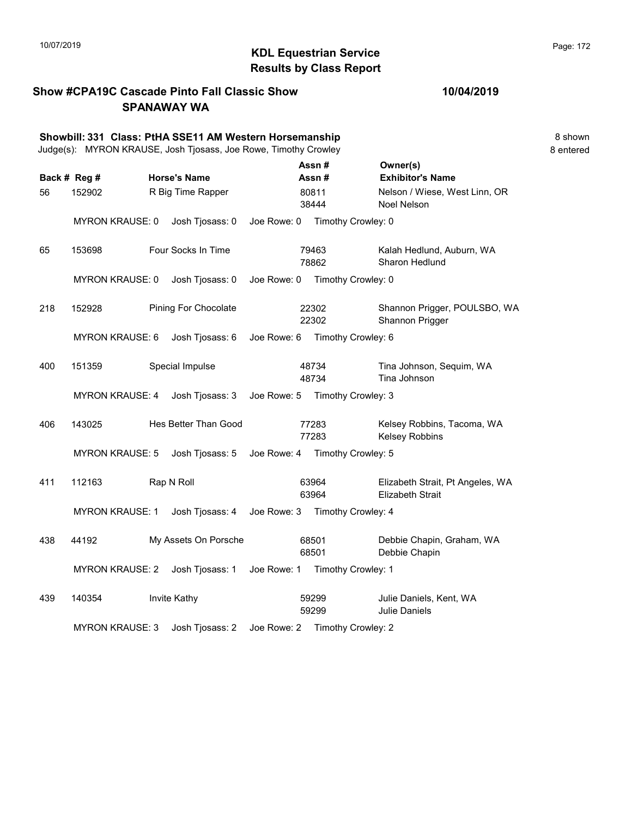# KDL Equestrian Service 10/07/2019 Page: 172 Results by Class Report

#### Show #CPA19C Cascade Pinto Fall Classic Show SPANAWAY WA

|     |                        | Showbill: 331 Class: PtHA SSE11 AM Western Horsemanship<br>Judge(s): MYRON KRAUSE, Josh Tjosass, Joe Rowe, Timothy Crowley |             |                    |                                                             | 8 shown<br>8 entered |
|-----|------------------------|----------------------------------------------------------------------------------------------------------------------------|-------------|--------------------|-------------------------------------------------------------|----------------------|
|     | Back # Reg #           | <b>Horse's Name</b>                                                                                                        |             | Assn#<br>Assn#     | Owner(s)<br><b>Exhibitor's Name</b>                         |                      |
| 56  | 152902                 | R Big Time Rapper                                                                                                          |             | 80811<br>38444     | Nelson / Wiese, West Linn, OR<br>Noel Nelson                |                      |
|     | <b>MYRON KRAUSE: 0</b> | Josh Tjosass: 0                                                                                                            | Joe Rowe: 0 | Timothy Crowley: 0 |                                                             |                      |
| 65  | 153698                 | Four Socks In Time                                                                                                         |             | 79463<br>78862     | Kalah Hedlund, Auburn, WA<br>Sharon Hedlund                 |                      |
|     | <b>MYRON KRAUSE: 0</b> | Josh Tjosass: 0                                                                                                            | Joe Rowe: 0 | Timothy Crowley: 0 |                                                             |                      |
| 218 | 152928                 | Pining For Chocolate                                                                                                       |             | 22302<br>22302     | Shannon Prigger, POULSBO, WA<br>Shannon Prigger             |                      |
|     | <b>MYRON KRAUSE: 6</b> | Josh Tjosass: 6                                                                                                            | Joe Rowe: 6 | Timothy Crowley: 6 |                                                             |                      |
| 400 | 151359                 | Special Impulse                                                                                                            |             | 48734<br>48734     | Tina Johnson, Sequim, WA<br>Tina Johnson                    |                      |
|     | <b>MYRON KRAUSE: 4</b> | Josh Tjosass: 3                                                                                                            | Joe Rowe: 5 | Timothy Crowley: 3 |                                                             |                      |
| 406 | 143025                 | Hes Better Than Good                                                                                                       |             | 77283<br>77283     | Kelsey Robbins, Tacoma, WA<br>Kelsey Robbins                |                      |
|     | <b>MYRON KRAUSE: 5</b> | Josh Tjosass: 5                                                                                                            | Joe Rowe: 4 | Timothy Crowley: 5 |                                                             |                      |
| 411 | 112163                 | Rap N Roll                                                                                                                 |             | 63964<br>63964     | Elizabeth Strait, Pt Angeles, WA<br><b>Elizabeth Strait</b> |                      |
|     | <b>MYRON KRAUSE: 1</b> | Josh Tjosass: 4 Joe Rowe: 3                                                                                                |             | Timothy Crowley: 4 |                                                             |                      |
| 438 | 44192                  | My Assets On Porsche                                                                                                       |             | 68501<br>68501     | Debbie Chapin, Graham, WA<br>Debbie Chapin                  |                      |
|     | <b>MYRON KRAUSE: 2</b> | Josh Tjosass: 1                                                                                                            | Joe Rowe: 1 | Timothy Crowley: 1 |                                                             |                      |
| 439 | 140354                 | Invite Kathy                                                                                                               |             | 59299<br>59299     | Julie Daniels, Kent, WA<br><b>Julie Daniels</b>             |                      |

MYRON KRAUSE: 3 Josh Tjosass: 2 Joe Rowe: 2 Timothy Crowley: 2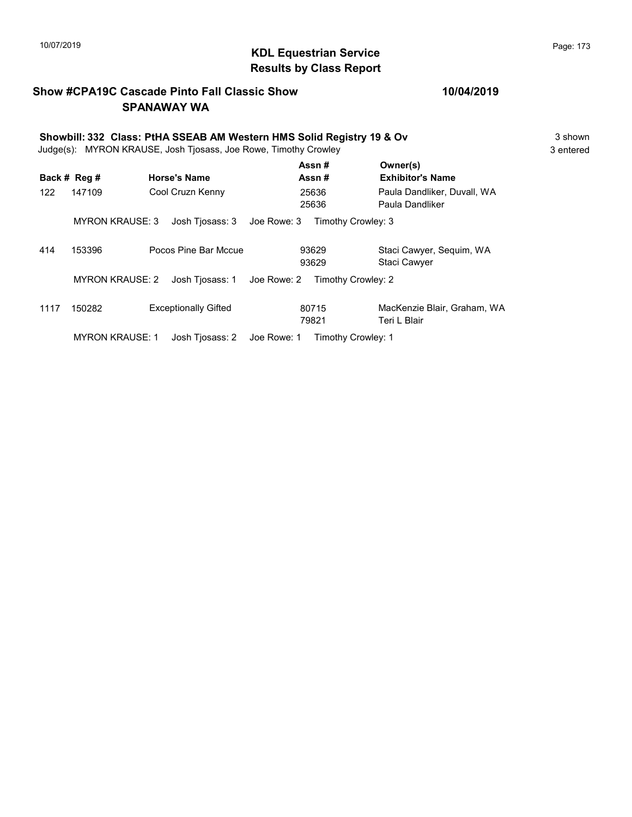# 10/07/2019 **Page: 173**<br> **KDL Equestrian Service Page: 173** Results by Class Report

#### Show #CPA19C Cascade Pinto Fall Classic Show SPANAWAY WA

|      |                        | Showbill: 332 Class: PtHA SSEAB AM Western HMS Solid Registry 19 & Ov                  |             |                    |                                                | 3 shown   |
|------|------------------------|----------------------------------------------------------------------------------------|-------------|--------------------|------------------------------------------------|-----------|
|      | Back # Reg #           | Judge(s): MYRON KRAUSE, Josh Tjosass, Joe Rowe, Timothy Crowley<br><b>Horse's Name</b> |             | Assn#<br>Assn#     | Owner(s)<br><b>Exhibitor's Name</b>            | 3 entered |
| 122  | 147109                 | Cool Cruzn Kenny                                                                       |             | 25636<br>25636     | Paula Dandliker, Duvall, WA<br>Paula Dandliker |           |
|      | <b>MYRON KRAUSE: 3</b> | Josh Tjosass: 3                                                                        | Joe Rowe: 3 | Timothy Crowley: 3 |                                                |           |
| 414  | 153396                 | Pocos Pine Bar Mccue                                                                   |             | 93629<br>93629     | Staci Cawyer, Sequim, WA<br>Staci Cawyer       |           |
|      | <b>MYRON KRAUSE: 2</b> | Josh Tjosass: 1                                                                        | Joe Rowe: 2 | Timothy Crowley: 2 |                                                |           |
| 1117 | 150282                 | <b>Exceptionally Gifted</b>                                                            |             | 80715<br>79821     | MacKenzie Blair, Graham, WA<br>Teri L Blair    |           |
|      | <b>MYRON KRAUSE: 1</b> | Josh Tjosass: 2                                                                        | Joe Rowe: 1 | Timothy Crowley: 1 |                                                |           |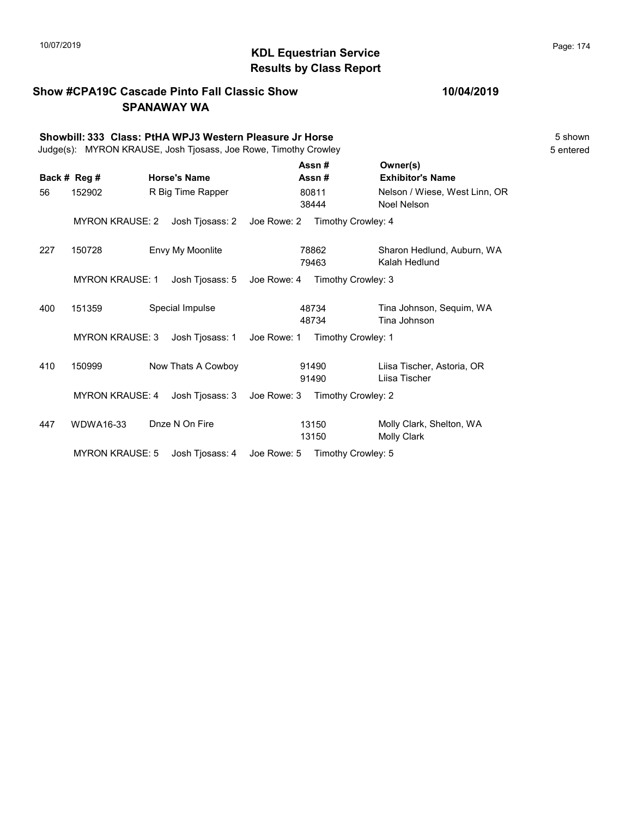# KDL Equestrian Service 10/07/2019 Page: 174 Results by Class Report

#### Show #CPA19C Cascade Pinto Fall Classic Show SPANAWAY WA

|     | Showbill: 333 Class: PtHA WPJ3 Western Pleasure Jr Horse<br>Judge(s): MYRON KRAUSE, Josh Tjosass, Joe Rowe, Timothy Crowley |                     |                                   |                                                |  |  |
|-----|-----------------------------------------------------------------------------------------------------------------------------|---------------------|-----------------------------------|------------------------------------------------|--|--|
|     | Back # Reg #                                                                                                                | <b>Horse's Name</b> | Assn#<br>Assn#                    | Owner(s)<br><b>Exhibitor's Name</b>            |  |  |
| 56  | 152902                                                                                                                      | R Big Time Rapper   | 80811<br>38444                    | Nelson / Wiese, West Linn, OR<br>Noel Nelson   |  |  |
|     | <b>MYRON KRAUSE: 2</b>                                                                                                      | Josh Tjosass: 2     | Joe Rowe: 2<br>Timothy Crowley: 4 |                                                |  |  |
| 227 | 150728                                                                                                                      | Envy My Moonlite    | 78862<br>79463                    | Sharon Hedlund, Auburn, WA<br>Kalah Hedlund    |  |  |
|     | <b>MYRON KRAUSE: 1</b>                                                                                                      | Josh Tjosass: 5     | Joe Rowe: 4<br>Timothy Crowley: 3 |                                                |  |  |
| 400 | 151359                                                                                                                      | Special Impulse     | 48734<br>48734                    | Tina Johnson, Sequim, WA<br>Tina Johnson       |  |  |
|     | <b>MYRON KRAUSE: 3</b>                                                                                                      | Josh Tjosass: 1     | Joe Rowe: 1<br>Timothy Crowley: 1 |                                                |  |  |
| 410 | 150999                                                                                                                      | Now Thats A Cowboy  | 91490<br>91490                    | Liisa Tischer, Astoria, OR<br>Liisa Tischer    |  |  |
|     | <b>MYRON KRAUSE: 4</b>                                                                                                      | Josh Tjosass: 3     | Joe Rowe: 3<br>Timothy Crowley: 2 |                                                |  |  |
| 447 | <b>WDWA16-33</b>                                                                                                            | Dnze N On Fire      | 13150<br>13150                    | Molly Clark, Shelton, WA<br><b>Molly Clark</b> |  |  |
|     | <b>MYRON KRAUSE: 5</b>                                                                                                      | Josh Tjosass: 4     | Joe Rowe: 5<br>Timothy Crowley: 5 |                                                |  |  |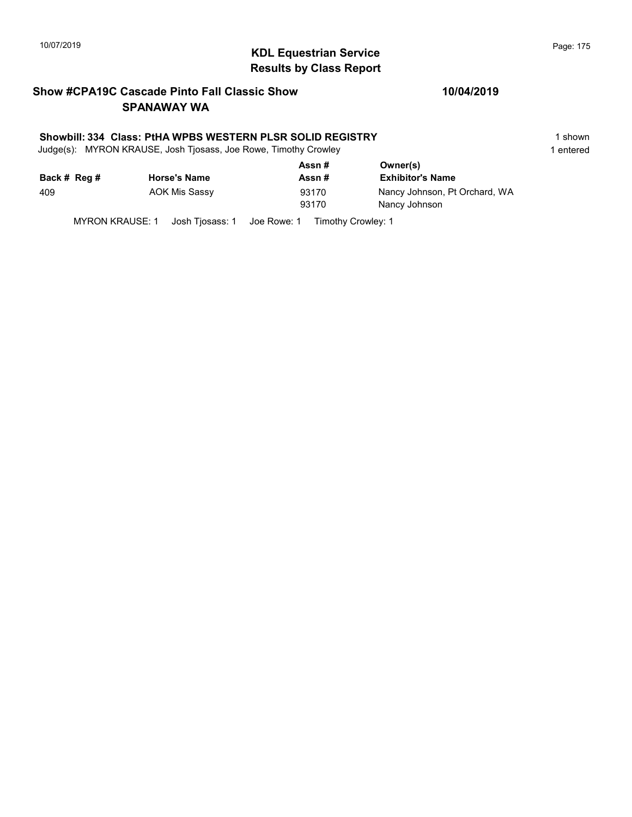# 10/07/2019 **Page: 175**<br> **KDL Equestrian Service Page: 175** Results by Class Report

#### Show #CPA19C Cascade Pinto Fall Classic Show SPANAWAY WA

#### Showbill: 334 Class: PtHA WPBS WESTERN PLSR SOLID REGISTRY 1 shown 1 shown

Judge(s): MYRON KRAUSE, Josh Tjosass, Joe Rowe, Timothy Crowley 1 entered 1 entered

|              |                     | Assn#  | Owner(s)                      |
|--------------|---------------------|--------|-------------------------------|
| Back # Reg # | <b>Horse's Name</b> | Assn # | <b>Exhibitor's Name</b>       |
| 409          | AOK Mis Sassy       | 93170  | Nancy Johnson, Pt Orchard, WA |
|              |                     | 93170  | Nancy Johnson                 |
|              |                     |        |                               |

MYRON KRAUSE: 1 Josh Tjosass: 1 Joe Rowe: 1 Timothy Crowley: 1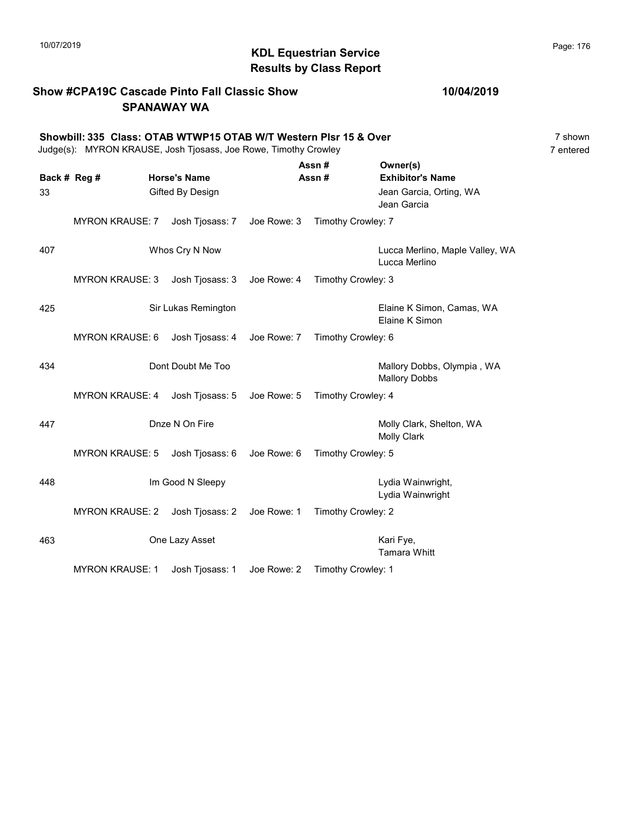# 10/07/2019 **Page: 176**<br> **KDL Equestrian Service Page: 176** Results by Class Report

#### Show #CPA19C Cascade Pinto Fall Classic Show SPANAWAY WA

#### Showbill: 335 Class: OTAB WTWP15 OTAB W/T Western Plsr 15 & Over<br>Judge(s): MYRON KRAUSE. Josh Tiosass. Joe Rowe. Timothy Crowley Judge(s): MYRON KRAUSE, Josh Tjosass, Joe Rowe, Timothy Crowley

| Back # Reg #<br>33 |                        | <b>Horse's Name</b><br>Gifted By Design |             | Assn#<br>Assn#     | Owner(s)<br><b>Exhibitor's Name</b><br>Jean Garcia, Orting, WA<br>Jean Garcia |
|--------------------|------------------------|-----------------------------------------|-------------|--------------------|-------------------------------------------------------------------------------|
|                    | <b>MYRON KRAUSE: 7</b> | Josh Tjosass: 7                         | Joe Rowe: 3 | Timothy Crowley: 7 |                                                                               |
| 407                |                        | Whos Cry N Now                          |             |                    | Lucca Merlino, Maple Valley, WA<br>Lucca Merlino                              |
|                    | <b>MYRON KRAUSE: 3</b> | Josh Tjosass: 3                         | Joe Rowe: 4 | Timothy Crowley: 3 |                                                                               |
| 425                |                        | Sir Lukas Remington                     |             |                    | Elaine K Simon, Camas, WA<br>Elaine K Simon                                   |
|                    | <b>MYRON KRAUSE: 6</b> | Josh Tjosass: 4                         | Joe Rowe: 7 | Timothy Crowley: 6 |                                                                               |
| 434                |                        | Dont Doubt Me Too                       |             |                    | Mallory Dobbs, Olympia, WA<br><b>Mallory Dobbs</b>                            |
|                    | <b>MYRON KRAUSE: 4</b> | Josh Tjosass: 5                         | Joe Rowe: 5 | Timothy Crowley: 4 |                                                                               |
| 447                |                        | Dnze N On Fire                          |             |                    | Molly Clark, Shelton, WA<br>Molly Clark                                       |
|                    | <b>MYRON KRAUSE: 5</b> | Josh Tjosass: 6                         | Joe Rowe: 6 | Timothy Crowley: 5 |                                                                               |
| 448                |                        | Im Good N Sleepy                        |             |                    | Lydia Wainwright,<br>Lydia Wainwright                                         |
|                    | <b>MYRON KRAUSE: 2</b> | Josh Tjosass: 2                         | Joe Rowe: 1 | Timothy Crowley: 2 |                                                                               |
| 463                |                        | One Lazy Asset                          |             |                    | Kari Fye,<br><b>Tamara Whitt</b>                                              |
|                    | <b>MYRON KRAUSE: 1</b> | Josh Tjosass: 1                         | Joe Rowe: 2 | Timothy Crowley: 1 |                                                                               |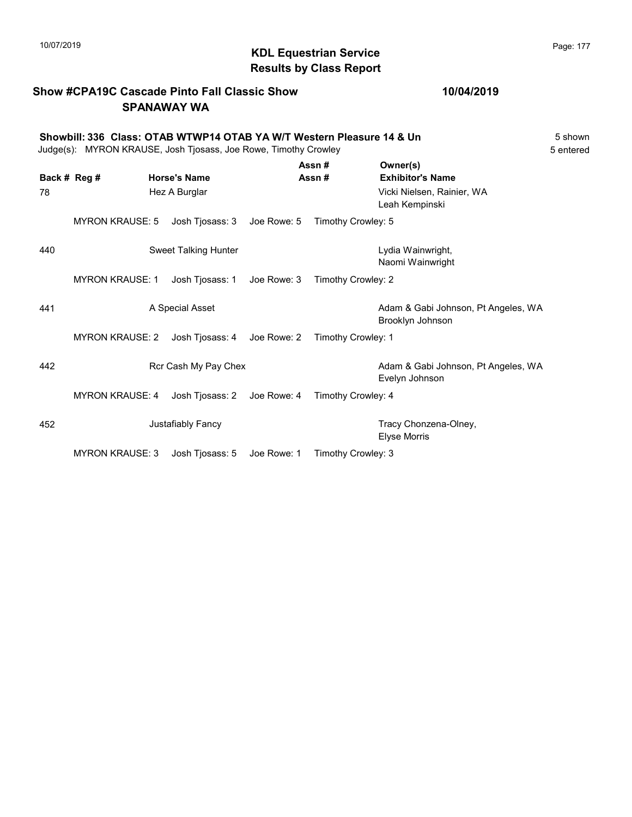#### Show #CPA19C Cascade Pinto Fall Classic Show SPANAWAY WA

Showbill: 336 Class: OTAB WTWP14 OTAB YA W/T Western Pleasure 14 & Un 5 shown 5 shown<br>Judge(s): MYRON KRAUSE. Josh Tiosass. Joe Rowe. Timothy Crowley Judge(s): MYRON KRAUSE, Josh Tjosass, Joe Rowe, Timothy Crowley  $\Delta$ ssn #  $\Delta$ 

|              |                        |                      |             | лээн π             | $V = V$                                                 |
|--------------|------------------------|----------------------|-------------|--------------------|---------------------------------------------------------|
| Back # Reg # |                        | <b>Horse's Name</b>  |             | Assn#              | <b>Exhibitor's Name</b>                                 |
| 78           |                        | Hez A Burglar        |             |                    | Vicki Nielsen, Rainier, WA<br>Leah Kempinski            |
|              | <b>MYRON KRAUSE: 5</b> | Josh Tjosass: 3      | Joe Rowe: 5 | Timothy Crowley: 5 |                                                         |
| 440          |                        | Sweet Talking Hunter |             |                    | Lydia Wainwright,<br>Naomi Wainwright                   |
|              | <b>MYRON KRAUSE: 1</b> | Josh Tjosass: 1      | Joe Rowe: 3 | Timothy Crowley: 2 |                                                         |
| 441          |                        | A Special Asset      |             |                    | Adam & Gabi Johnson, Pt Angeles, WA<br>Brooklyn Johnson |
|              | <b>MYRON KRAUSE: 2</b> | Josh Tjosass: 4      | Joe Rowe: 2 | Timothy Crowley: 1 |                                                         |
| 442          |                        | Rcr Cash My Pay Chex |             |                    | Adam & Gabi Johnson, Pt Angeles, WA<br>Evelyn Johnson   |
|              | <b>MYRON KRAUSE: 4</b> | Josh Tjosass: 2      | Joe Rowe: 4 | Timothy Crowley: 4 |                                                         |
| 452          |                        | Justafiably Fancy    |             |                    | Tracy Chonzena-Olney,<br>Elyse Morris                   |
|              | <b>MYRON KRAUSE: 3</b> | Josh Tjosass: 5      | Joe Rowe: 1 | Timothy Crowley: 3 |                                                         |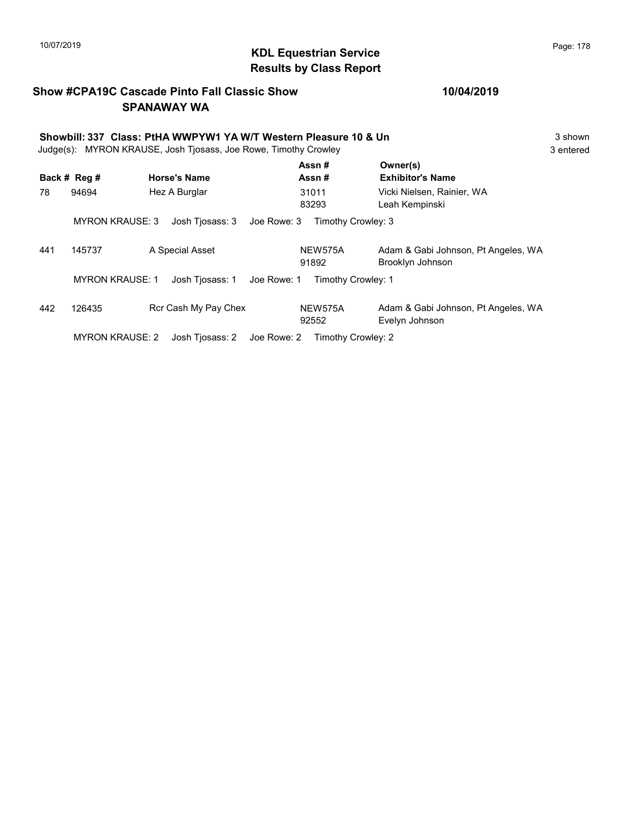# 10/07/2019 **Page: 178**<br> **KDL Equestrian Service** Montanagement of the Page: 178 Results by Class Report

#### Show #CPA19C Cascade Pinto Fall Classic Show SPANAWAY WA

|     | Showbill: 337 Class: PtHA WWPYW1 YA W/T Western Pleasure 10 & Un<br>Judge(s): MYRON KRAUSE, Josh Tjosass, Joe Rowe, Timothy Crowley |                                |                    |                                                         |           |  |
|-----|-------------------------------------------------------------------------------------------------------------------------------------|--------------------------------|--------------------|---------------------------------------------------------|-----------|--|
|     | Back # Reg #                                                                                                                        | <b>Horse's Name</b>            | Assn#<br>Assn#     | Owner(s)<br><b>Exhibitor's Name</b>                     | 3 entered |  |
| 78  | 94694                                                                                                                               | Hez A Burglar                  | 31011<br>83293     | Vicki Nielsen, Rainier, WA<br>Leah Kempinski            |           |  |
|     | <b>MYRON KRAUSE: 3</b>                                                                                                              | Josh Tjosass: 3<br>Joe Rowe: 3 | Timothy Crowley: 3 |                                                         |           |  |
| 441 | 145737                                                                                                                              | A Special Asset                | NEW575A<br>91892   | Adam & Gabi Johnson, Pt Angeles, WA<br>Brooklyn Johnson |           |  |
|     | <b>MYRON KRAUSE: 1</b>                                                                                                              | Joe Rowe: 1<br>Josh Tjosass: 1 | Timothy Crowley: 1 |                                                         |           |  |

| 442 | 126435         | Rcr Cash My Pay Chex | NEW575A                                                 | Adam & Gabi Johnson, Pt Angeles, WA |
|-----|----------------|----------------------|---------------------------------------------------------|-------------------------------------|
|     |                |                      | 92552                                                   | Evelyn Johnson                      |
|     | MNOMIIDALIOR.2 | $1 - 1 - 2 - 3 - 1$  | $1 - 2$<br>$T_{\text{max}}$ at the contract of $\Omega$ |                                     |

MYRON KRAUSE: 2 Josh Tjosass: 2 Joe Rowe: 2 Timothy Crowley: 2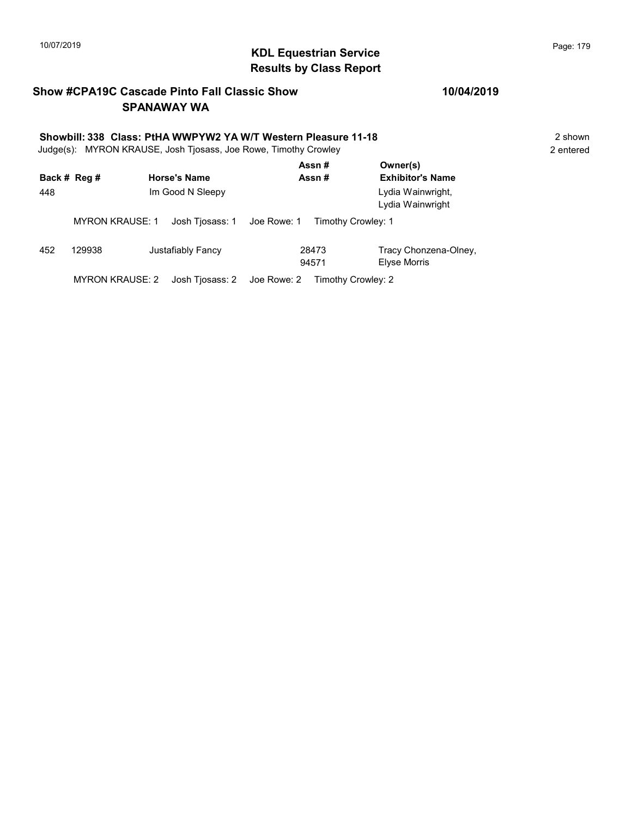# KDL Equestrian Service 10/07/2019 Page: 179 Results by Class Report

#### Show #CPA19C Cascade Pinto Fall Classic Show SPANAWAY WA

# Showbill: 338 Class: PtHA WWPYW2 YA W/T Western Pleasure 11-18<br>Judge(s): MYRON KRAUSE. Josh Tiosass. Joe Rowe. Timothy Crowley<br>2 entered

Judge(s): MYRON KRAUSE, Josh Tjosass, Joe Rowe, Timothy Crowley

|     | Back # Reg #           | <b>Horse's Name</b> | Assn#<br>Assn#                    | Owner(s)<br><b>Exhibitor's Name</b>   |
|-----|------------------------|---------------------|-----------------------------------|---------------------------------------|
| 448 |                        | Im Good N Sleepy    |                                   | Lydia Wainwright,<br>Lydia Wainwright |
|     | <b>MYRON KRAUSE: 1</b> | Josh Tjosass: 1     | Joe Rowe: 1<br>Timothy Crowley: 1 |                                       |
| 452 | 129938                 | Justafiably Fancy   | 28473<br>94571                    | Tracy Chonzena-Olney,<br>Elyse Morris |
|     | MYRON KRAUSE: 2        | Josh Tjosass: 2     | Joe Rowe: 2<br>Timothy Crowley: 2 |                                       |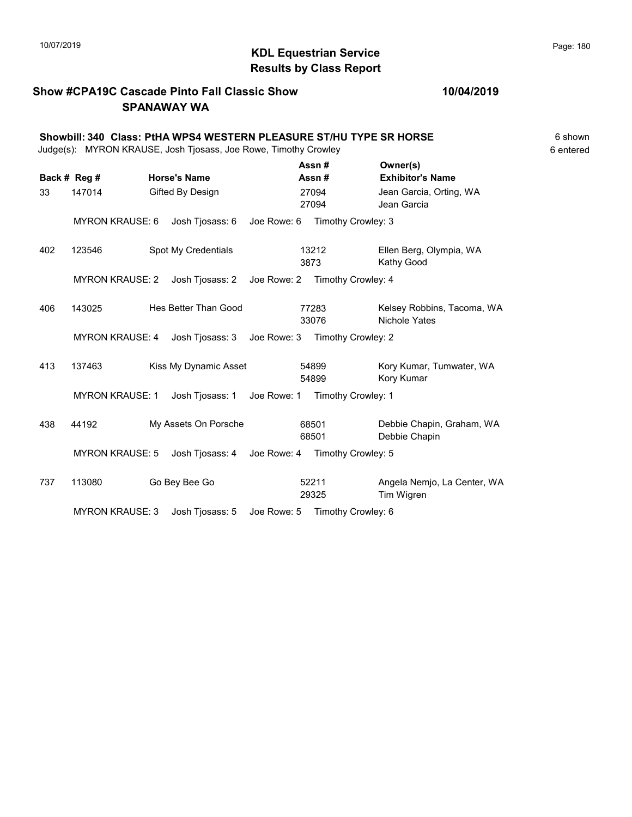# 10/07/2019 **Page: 180**<br> **KDL Equestrian Service Page: 180** Results by Class Report

#### Show #CPA19C Cascade Pinto Fall Classic Show SPANAWAY WA

| Showbill: 340 Class: PtHA WPS4 WESTERN PLEASURE ST/HU TYPE SR HORSE<br>Judge(s): MYRON KRAUSE, Josh Tjosass, Joe Rowe, Timothy Crowley |                                           |                     |                      |                                |                    |                                            |                                             | 6 shown<br>6 entered |
|----------------------------------------------------------------------------------------------------------------------------------------|-------------------------------------------|---------------------|----------------------|--------------------------------|--------------------|--------------------------------------------|---------------------------------------------|----------------------|
|                                                                                                                                        | Back # Reg #                              | <b>Horse's Name</b> |                      | Assn#<br>Assn#                 |                    | Owner(s)<br><b>Exhibitor's Name</b>        |                                             |                      |
| 33                                                                                                                                     | 147014<br>Gifted By Design                |                     |                      | 27094<br>27094                 |                    | Jean Garcia, Orting, WA<br>Jean Garcia     |                                             |                      |
|                                                                                                                                        | <b>MYRON KRAUSE: 6</b>                    |                     | Josh Tjosass: 6      | Joe Rowe: 6                    |                    | Timothy Crowley: 3                         |                                             |                      |
| 402                                                                                                                                    | 123546                                    |                     | Spot My Credentials  |                                | 13212<br>3873      |                                            | Ellen Berg, Olympia, WA<br>Kathy Good       |                      |
|                                                                                                                                        | <b>MYRON KRAUSE: 2</b>                    |                     | Josh Tjosass: 2      | Joe Rowe: 2 Timothy Crowley: 4 |                    |                                            |                                             |                      |
| 406                                                                                                                                    | 143025                                    |                     | Hes Better Than Good |                                | 77283<br>33076     |                                            | Kelsey Robbins, Tacoma, WA<br>Nichole Yates |                      |
|                                                                                                                                        | <b>MYRON KRAUSE: 4</b>                    |                     | Josh Tjosass: 3      | Joe Rowe: 3                    |                    | Timothy Crowley: 2                         |                                             |                      |
| 413                                                                                                                                    | Kiss My Dynamic Asset<br>137463           |                     |                      | 54899<br>54899                 |                    | Kory Kumar, Tumwater, WA<br>Kory Kumar     |                                             |                      |
|                                                                                                                                        | <b>MYRON KRAUSE: 1</b><br>Josh Tjosass: 1 |                     |                      | Joe Rowe: 1                    | Timothy Crowley: 1 |                                            |                                             |                      |
| 438                                                                                                                                    | 44192<br>My Assets On Porsche             |                     |                      | 68501<br>68501                 |                    | Debbie Chapin, Graham, WA<br>Debbie Chapin |                                             |                      |
|                                                                                                                                        | <b>MYRON KRAUSE: 5</b>                    |                     | Josh Tjosass: 4      | Joe Rowe: 4 Timothy Crowley: 5 |                    |                                            |                                             |                      |
| 737                                                                                                                                    | 113080                                    |                     | Go Bey Bee Go        |                                | 52211<br>29325     |                                            | Angela Nemjo, La Center, WA<br>Tim Wigren   |                      |

MYRON KRAUSE: 3 Josh Tjosass: 5 Joe Rowe: 5 Timothy Crowley: 6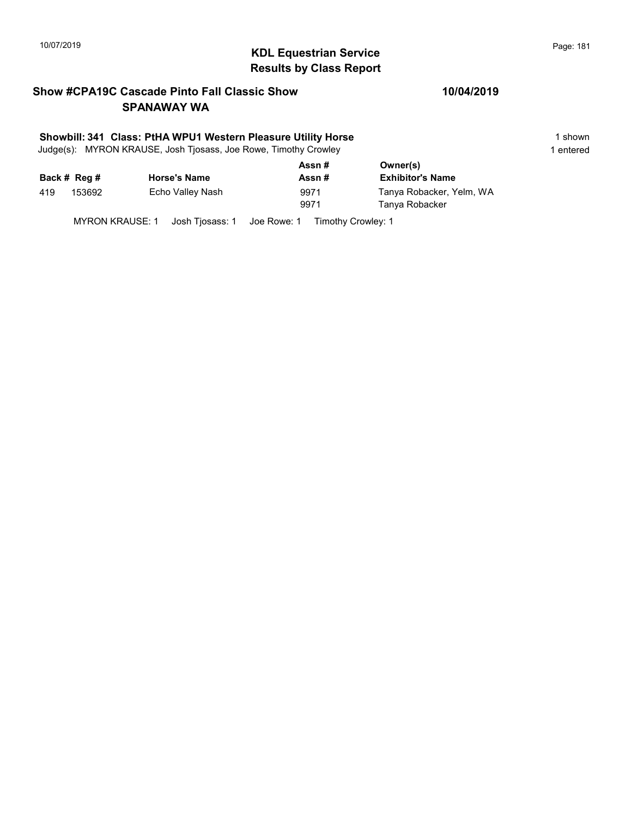# 10/07/2019 **Page: 181**<br> **KDL Equestrian Service Page: 181** Results by Class Report

### Show #CPA19C Cascade Pinto Fall Classic Show SPANAWAY WA

### Showbill: 341 Class: PtHA WPU1 Western Pleasure Utility Horse 1 Shown 1 shown

Judge(s): MYRON KRAUSE, Josh Tjosass, Joe Rowe, Timothy Crowley 1 entered 1 entered

| Back # Reg #<br><b>Horse's Name</b><br>Assn#      | <b>Exhibitor's Name</b>                    |
|---------------------------------------------------|--------------------------------------------|
| Echo Valley Nash<br>153692<br>419<br>9971<br>9971 | Tanya Robacker, Yelm, WA<br>Tanya Robacker |

MYRON KRAUSE: 1 Josh Tjosass: 1 Joe Rowe: 1 Timothy Crowley: 1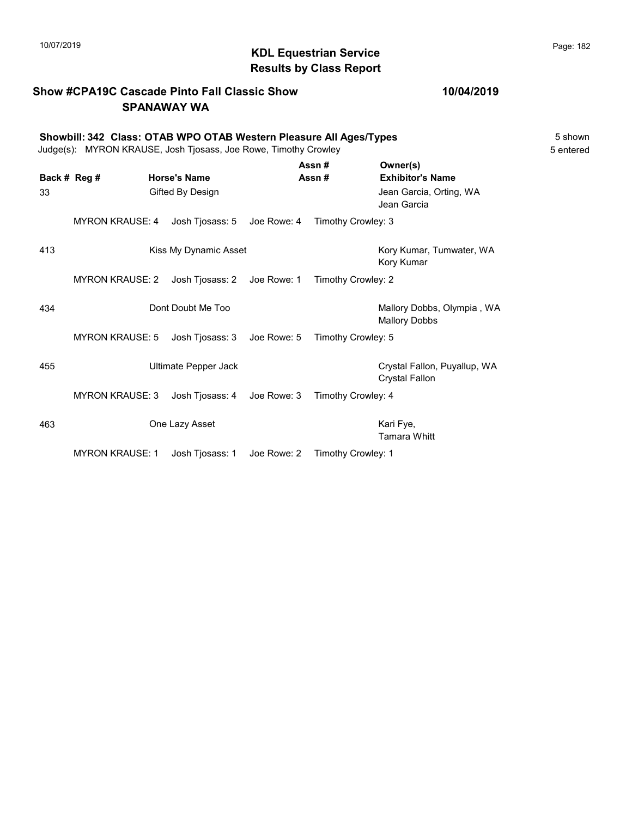### Results by Class Report

### Show #CPA19C Cascade Pinto Fall Classic Show SPANAWAY WA

### Showbill: 342 Class: OTAB WPO OTAB Western Pleasure All Ages/Types<br>Judge(s): MYRON KRAUSE. Josh Tiosass. Joe Rowe. Timothy Crowley Judge(s): MYRON KRAUSE, Josh Tjosass, Joe Rowe, Timothy Crowley

|              |                        |                       |             | Assn#              | Owner(s)                                              |
|--------------|------------------------|-----------------------|-------------|--------------------|-------------------------------------------------------|
| Back # Reg # |                        | <b>Horse's Name</b>   |             | Assn#              | <b>Exhibitor's Name</b>                               |
| 33           |                        | Gifted By Design      |             |                    | Jean Garcia, Orting, WA<br>Jean Garcia                |
|              | <b>MYRON KRAUSE: 4</b> | Josh Tjosass: 5       | Joe Rowe: 4 | Timothy Crowley: 3 |                                                       |
| 413          |                        | Kiss My Dynamic Asset |             |                    | Kory Kumar, Tumwater, WA<br>Kory Kumar                |
|              | <b>MYRON KRAUSE: 2</b> | Josh Tjosass: 2       | Joe Rowe: 1 | Timothy Crowley: 2 |                                                       |
| 434          |                        | Dont Doubt Me Too     |             |                    | Mallory Dobbs, Olympia, WA<br><b>Mallory Dobbs</b>    |
|              | <b>MYRON KRAUSE: 5</b> | Josh Tjosass: 3       | Joe Rowe: 5 | Timothy Crowley: 5 |                                                       |
| 455          |                        | Ultimate Pepper Jack  |             |                    | Crystal Fallon, Puyallup, WA<br><b>Crystal Fallon</b> |
|              | <b>MYRON KRAUSE: 3</b> | Josh Tjosass: 4       | Joe Rowe: 3 | Timothy Crowley: 4 |                                                       |
| 463          |                        | One Lazy Asset        |             |                    | Kari Fye,<br><b>Tamara Whitt</b>                      |
|              | <b>MYRON KRAUSE: 1</b> | Josh Tjosass: 1       | Joe Rowe: 2 | Timothy Crowley: 1 |                                                       |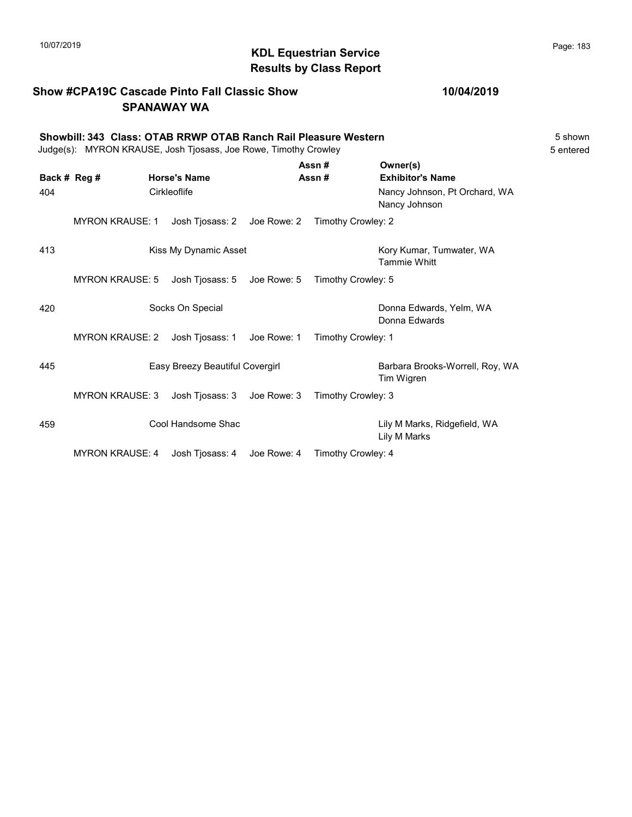## 10/07/2019 **Page: 183**<br> **KDL Equestrian Service** Montanagement of the Page: 183 Results by Class Report

### Show #CPA19C Cascade Pinto Fall Classic Show SPANAWAY WA

### 10/04/2019

|     | Showbill: 343 Class: OTAB RRWP OTAB Ranch Rail Pleasure Western<br>5 shown<br>Judge(s): MYRON KRAUSE, Josh Tjosass, Joe Rowe, Timothy Crowley<br>5 entered |  |                                 |             |                                                |                                                      |  |
|-----|------------------------------------------------------------------------------------------------------------------------------------------------------------|--|---------------------------------|-------------|------------------------------------------------|------------------------------------------------------|--|
|     | Back # Reg #                                                                                                                                               |  | <b>Horse's Name</b>             |             | Assn#<br>Assn#                                 | Owner(s)<br><b>Exhibitor's Name</b>                  |  |
| 404 | Cirkleoflife                                                                                                                                               |  |                                 |             | Nancy Johnson, Pt Orchard, WA<br>Nancy Johnson |                                                      |  |
|     | <b>MYRON KRAUSE: 1</b>                                                                                                                                     |  | Josh Tjosass: 2 Joe Rowe: 2     |             | Timothy Crowley: 2                             |                                                      |  |
| 413 |                                                                                                                                                            |  | Kiss My Dynamic Asset           |             |                                                | Kory Kumar, Tumwater, WA<br><b>Tammie Whitt</b>      |  |
|     | <b>MYRON KRAUSE: 5</b>                                                                                                                                     |  | Josh Tjosass: 5 Joe Rowe: 5     |             | Timothy Crowley: 5                             |                                                      |  |
| 420 |                                                                                                                                                            |  | Socks On Special                |             |                                                | Donna Edwards, Yelm, WA<br>Donna Edwards             |  |
|     | <b>MYRON KRAUSE: 2</b>                                                                                                                                     |  | Josh Tjosass: 1                 | Joe Rowe: 1 | Timothy Crowley: 1                             |                                                      |  |
| 445 |                                                                                                                                                            |  | Easy Breezy Beautiful Covergirl |             |                                                | Barbara Brooks-Worrell, Roy, WA<br><b>Tim Wigren</b> |  |
|     | <b>MYRON KRAUSE: 3</b>                                                                                                                                     |  | Josh Tjosass: 3 Joe Rowe: 3     |             | Timothy Crowley: 3                             |                                                      |  |
| 459 |                                                                                                                                                            |  | Cool Handsome Shac              |             |                                                | Lily M Marks, Ridgefield, WA<br>Lily M Marks         |  |
|     |                                                                                                                                                            |  | .                               |             |                                                |                                                      |  |

MYRON KRAUSE: 4 Josh Tjosass: 4 Joe Rowe: 4 Timothy Crowley: 4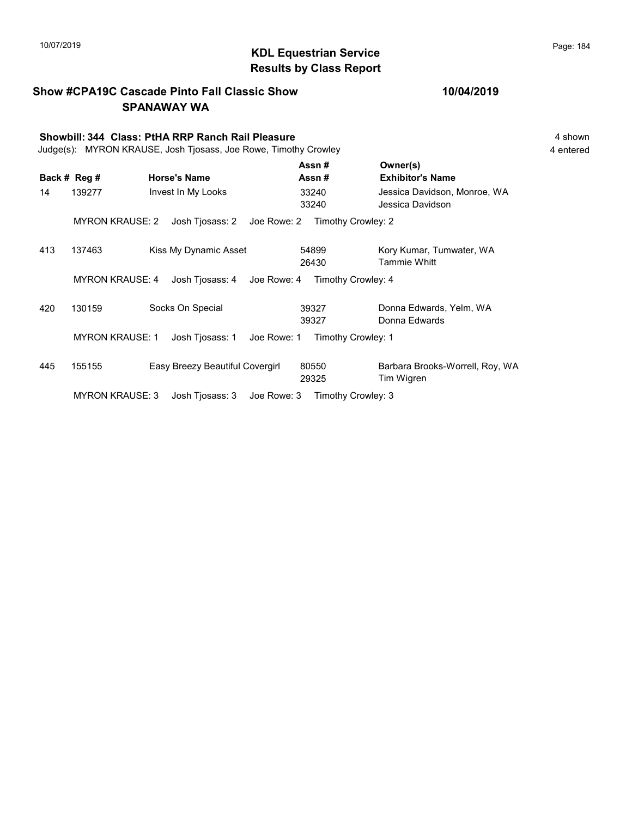### KDL Equestrian Service 10/07/2019 Page: 184 Results by Class Report

Show #CPA19C Cascade Pinto Fall Classic Show SPANAWAY WA Showbill: 344 Class: PtHA RRP Ranch Rail Pleasure 4 shown Judge(s): MYRON KRAUSE, Josh Tjosass, Joe Rowe, Timothy Crowley 4 entered Back # Reg # Horse's Name  $\overline{R}$  Assn # Exhibitor's Name Assn # Owner(s) 14 139277 Invest In My Looks 1992/90 and My Looks 13240 Jessica Davidson, Monroe, WA 33240 Jessica Davidson 33240 MYRON KRAUSE: 2 Josh Tjosass: 2 Joe Rowe: 2 Timothy Crowley: 2 413 137463 Kiss My Dynamic Asset 54899 Kory Kumar, Tumwater, WA 26430 Tammie Whitt 54899 MYRON KRAUSE: 4 Josh Tjosass: 4 Joe Rowe: 4 Timothy Crowley: 4 420 130159 Socks On Special Donna Edwards, Yelm, WA 39327 Donna Edwards 39327 MYRON KRAUSE: 1 Josh Tjosass: 1 Joe Rowe: 1 Timothy Crowley: 1 445 155155 Easy Breezy Beautiful Covergirl Barbara Brooks-Worrell, Roy, WA 29325 Tim Wigren 80550

MYRON KRAUSE: 3 Josh Tjosass: 3 Joe Rowe: 3 Timothy Crowley: 3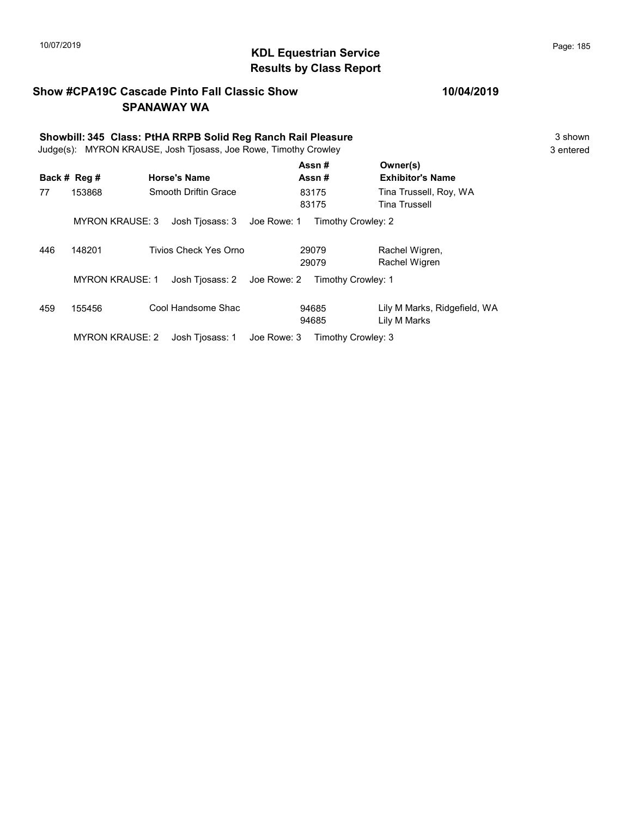## 10/07/2019 **Page: 185**<br> **KDL Equestrian Service Page: 185** Results by Class Report

### Show #CPA19C Cascade Pinto Fall Classic Show SPANAWAY WA

# Showbill: 345 Class: PtHA RRPB Solid Reg Ranch Rail Pleasure<br>Judge(s): MYRON KRAUSE. Josh Tiosass. Joe Rowe. Timothy Crowley<br>3 entered

Judge(s): MYRON KRAUSE, Josh Tjosass, Joe Rowe, Timothy Crowley

|     | Back # Reg #           | <b>Horse's Name</b>         | Assn#<br>Assn#     | Owner(s)<br><b>Exhibitor's Name</b>          |
|-----|------------------------|-----------------------------|--------------------|----------------------------------------------|
| 77  | 153868                 | Smooth Driftin Grace        | 83175<br>83175     | Tina Trussell, Roy, WA<br>Tina Trussell      |
|     | <b>MYRON KRAUSE: 3</b> | Josh Tjosass: 3 Joe Rowe: 1 | Timothy Crowley: 2 |                                              |
| 446 | 148201                 | Tivios Check Yes Orno       | 29079<br>29079     | Rachel Wigren,<br>Rachel Wigren              |
|     | <b>MYRON KRAUSE: 1</b> | Josh Tjosass: 2 Joe Rowe: 2 | Timothy Crowley: 1 |                                              |
| 459 | 155456                 | Cool Handsome Shac          | 94685<br>94685     | Lily M Marks, Ridgefield, WA<br>Lily M Marks |
|     | <b>MYRON KRAUSE: 2</b> | Josh Tiosass: 1 Joe Rowe: 3 | Timothy Crowley: 3 |                                              |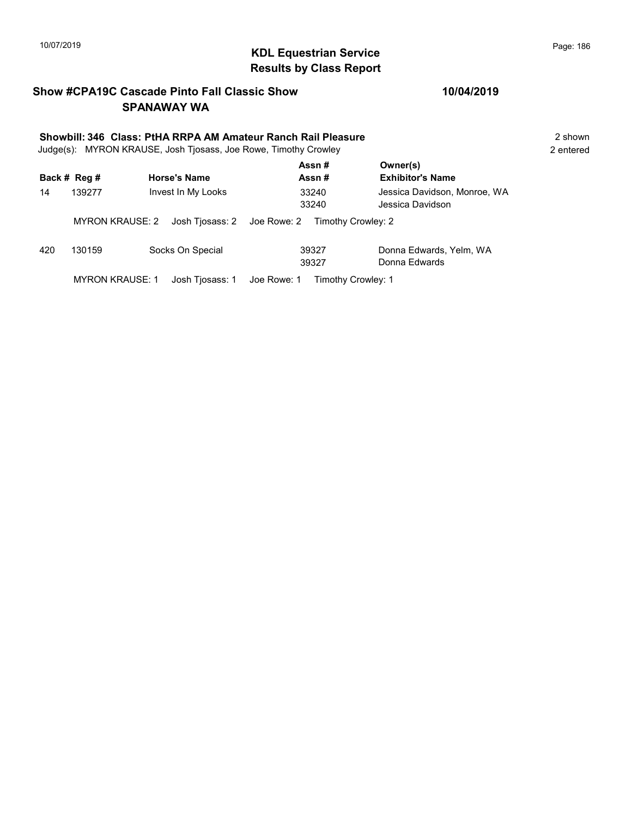## 10/07/2019 **Page: 186**<br> **KDL Equestrian Service** Montanagement of the Page: 186 Results by Class Report

### Show #CPA19C Cascade Pinto Fall Classic Show SPANAWAY WA

# Showbill: 346 Class: PtHA RRPA AM Amateur Ranch Rail Pleasure<br>Judge(s): MYRON KRAUSE. Josh Tiosass. Joe Rowe. Timothy Crowley

Judge(s): MYRON KRAUSE, Josh Tjosass, Joe Rowe, Timothy Crowley

|              |                        |                             | Assn#                          | Owner(s)                                         |  |
|--------------|------------------------|-----------------------------|--------------------------------|--------------------------------------------------|--|
| Back # Reg # |                        | <b>Horse's Name</b>         | Assn#                          | <b>Exhibitor's Name</b>                          |  |
| 14           | 139277                 | Invest In My Looks          | 33240<br>33240                 | Jessica Davidson, Monroe, WA<br>Jessica Davidson |  |
|              | <b>MYRON KRAUSE: 2</b> | Josh Tjosass: 2             | Joe Rowe: 2 Timothy Crowley: 2 |                                                  |  |
| 420          | 130159                 | Socks On Special            | 39327<br>39327                 | Donna Edwards, Yelm, WA<br>Donna Edwards         |  |
|              | <b>MYRON KRAUSE: 1</b> | Josh Tiosass: 1 Joe Rowe: 1 | Timothy Crowley: 1             |                                                  |  |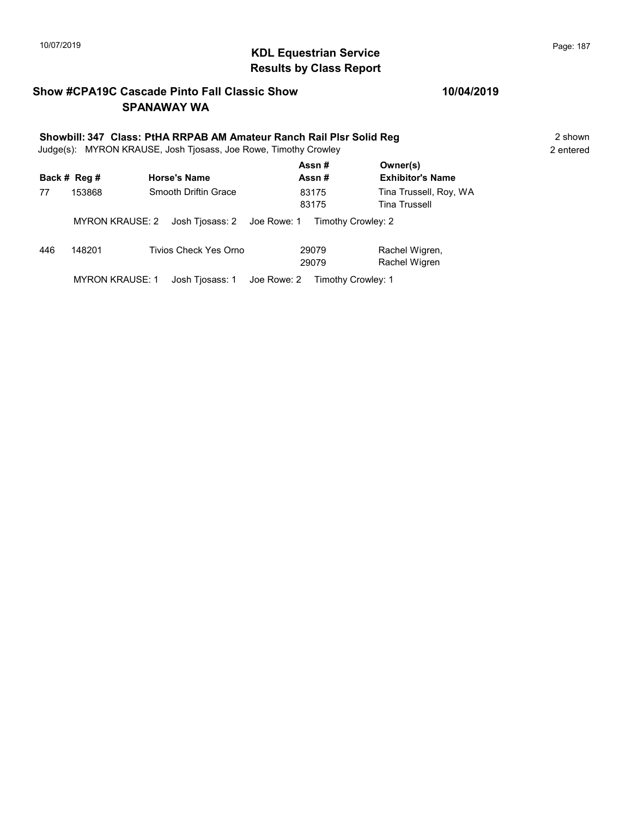## KDL Equestrian Service 10/07/2019 Page: 187 Results by Class Report

### Show #CPA19C Cascade Pinto Fall Classic Show SPANAWAY WA

# Showbill: 347 Class: PtHA RRPAB AM Amateur Ranch Rail Plsr Solid Reg<br>Judge(s): MYRON KRAUSE. Josh Tiosass. Joe Rowe. Timothy Crowley

Judge(s): MYRON KRAUSE, Josh Tjosass, Joe Rowe, Timothy Crowley

|     | Back # Reg #           | <b>Horse's Name</b>                            | Assn#<br>Assn#                 | Owner(s)<br><b>Exhibitor's Name</b>            |
|-----|------------------------|------------------------------------------------|--------------------------------|------------------------------------------------|
| 77  | 153868                 | Smooth Driftin Grace                           | 83175<br>83175                 | Tina Trussell, Roy, WA<br><b>Tina Trussell</b> |
|     | MYRON KRAUSE: 2        | Josh Tiosass: 2 Joe Rowe: 1 Timothy Crowley: 2 |                                |                                                |
| 446 | 148201                 | Tivios Check Yes Orno                          | 29079<br>29079                 | Rachel Wigren,<br>Rachel Wigren                |
|     | <b>MYRON KRAUSE: 1</b> | Josh Tjosass: 1                                | Joe Rowe: 2 Timothy Crowley: 1 |                                                |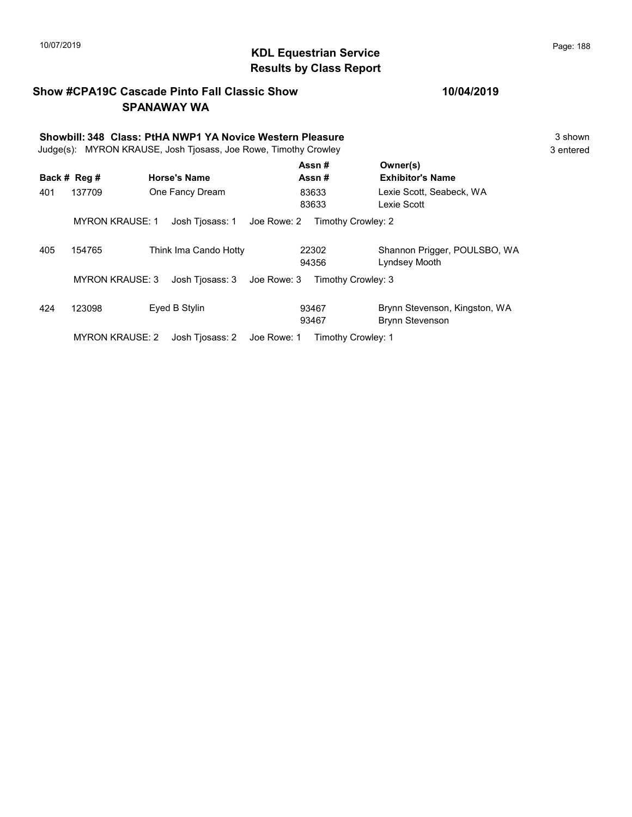## 10/07/2019 **Page: 188**<br> **KDL Equestrian Service Page: 188** Results by Class Report

### Show #CPA19C Cascade Pinto Fall Classic Show SPANAWAY WA

# Showbill: 348 Class: PtHA NWP1 YA Novice Western Pleasure<br>
Judge(s): MYRON KRAUSE. Josh Tiosass. Joe Rowe. Timothy Crowley<br>
3 entered

Judge(s): MYRON KRAUSE, Josh Tjosass, Joe Rowe, Timothy Crowley

|     |                        |                                | Assn#              | Owner(s)                      |
|-----|------------------------|--------------------------------|--------------------|-------------------------------|
|     | Back # Reg #           | <b>Horse's Name</b>            | Assn#              | <b>Exhibitor's Name</b>       |
| 401 | 137709                 | One Fancy Dream                | 83633              | Lexie Scott, Seabeck, WA      |
|     |                        |                                | 83633              | Lexie Scott                   |
|     | <b>MYRON KRAUSE: 1</b> | Josh Tiosass: 1<br>Joe Rowe: 2 | Timothy Crowley: 2 |                               |
| 405 | 154765                 | Think Ima Cando Hotty          | 22302              | Shannon Prigger, POULSBO, WA  |
|     |                        |                                | 94356              | Lyndsey Mooth                 |
|     | <b>MYRON KRAUSE: 3</b> | Josh Tiosass: 3<br>Joe Rowe: 3 | Timothy Crowley: 3 |                               |
| 424 | 123098                 | Eyed B Stylin                  | 93467              | Brynn Stevenson, Kingston, WA |
|     |                        |                                | 93467              | <b>Brynn Stevenson</b>        |
|     | <b>MYRON KRAUSE: 2</b> | Josh Tiosass: 2<br>Joe Rowe: 1 | Timothy Crowley: 1 |                               |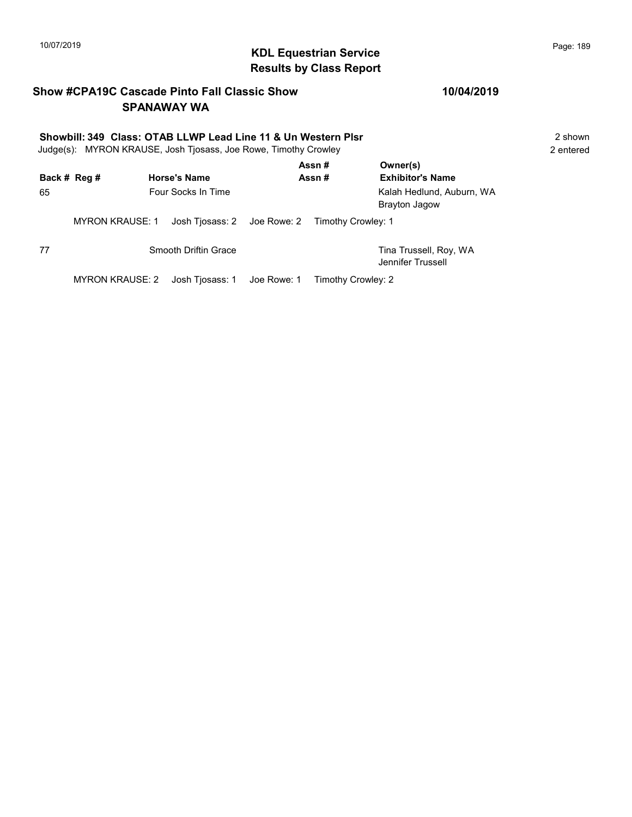## 10/07/2019 **Page: 189**<br> **KDL Equestrian Service Page: 189** Results by Class Report

### Show #CPA19C Cascade Pinto Fall Classic Show SPANAWAY WA

### Showbill: 349 Class: OTAB LLWP Lead Line 11 & Un Western Plsr<br>
Judge(s): MYRON KRAUSE. Josh Tiosass. Joe Rowe. Timothy Crowley<br>
2 entered Judge(s): MYRON KRAUSE, Josh Tjosass, Joe Rowe, Timothy Crowley

|              |                        |                                                | Assn#              | Owner(s)                                          |
|--------------|------------------------|------------------------------------------------|--------------------|---------------------------------------------------|
| Back # Reg # |                        | <b>Horse's Name</b>                            | Assn#              | <b>Exhibitor's Name</b>                           |
| 65           |                        | <b>Four Socks In Time</b>                      |                    | Kalah Hedlund, Auburn, WA<br><b>Brayton Jagow</b> |
|              | <b>MYRON KRAUSE: 1</b> | Josh Tiosass: 2 Joe Rowe: 2 Timothy Crowley: 1 |                    |                                                   |
| 77           |                        | Smooth Driftin Grace                           |                    | Tina Trussell, Roy, WA<br>Jennifer Trussell       |
|              | MYRON KRAUSE: 2        | Josh Tjosass: 1 Joe Rowe: 1                    | Timothy Crowley: 2 |                                                   |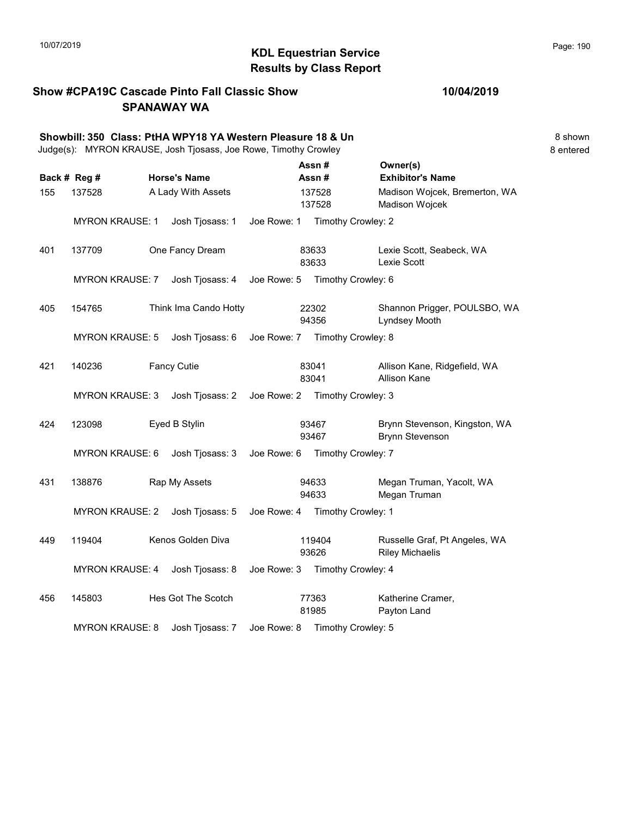## 10/07/2019 **Page: 190**<br> **KDL Equestrian Service Page: 190** Results by Class Report

### Show #CPA19C Cascade Pinto Fall Classic Show SPANAWAY WA

### 10/04/2019

|     |                        | Showbill: 350 Class: PtHA WPY18 YA Western Pleasure 18 & Un<br>Judge(s): MYRON KRAUSE, Josh Tjosass, Joe Rowe, Timothy Crowley |             |                  |                                                         | 8 shown<br>8 entered |
|-----|------------------------|--------------------------------------------------------------------------------------------------------------------------------|-------------|------------------|---------------------------------------------------------|----------------------|
|     | Back # Reg #           | <b>Horse's Name</b>                                                                                                            |             | Assn#<br>Assn#   | Owner(s)<br><b>Exhibitor's Name</b>                     |                      |
| 155 | 137528                 | A Lady With Assets                                                                                                             |             | 137528<br>137528 | Madison Wojcek, Bremerton, WA<br>Madison Wojcek         |                      |
|     | <b>MYRON KRAUSE: 1</b> | Josh Tjosass: 1                                                                                                                | Joe Rowe: 1 |                  | Timothy Crowley: 2                                      |                      |
| 401 | 137709                 | One Fancy Dream                                                                                                                |             | 83633<br>83633   | Lexie Scott, Seabeck, WA<br>Lexie Scott                 |                      |
|     | <b>MYRON KRAUSE: 7</b> | Josh Tjosass: 4                                                                                                                |             |                  | Joe Rowe: 5 Timothy Crowley: 6                          |                      |
| 405 | 154765                 | Think Ima Cando Hotty                                                                                                          |             | 22302<br>94356   | Shannon Prigger, POULSBO, WA<br>Lyndsey Mooth           |                      |
|     | <b>MYRON KRAUSE: 5</b> | Josh Tjosass: 6                                                                                                                |             |                  | Joe Rowe: 7 Timothy Crowley: 8                          |                      |
| 421 | 140236                 | <b>Fancy Cutie</b>                                                                                                             |             | 83041<br>83041   | Allison Kane, Ridgefield, WA<br><b>Allison Kane</b>     |                      |
|     | <b>MYRON KRAUSE: 3</b> | Josh Tjosass: 2 Joe Rowe: 2 Timothy Crowley: 3                                                                                 |             |                  |                                                         |                      |
| 424 | 123098                 | Eyed B Stylin                                                                                                                  |             | 93467<br>93467   | Brynn Stevenson, Kingston, WA<br><b>Brynn Stevenson</b> |                      |
|     | <b>MYRON KRAUSE: 6</b> | Josh Tjosass: 3                                                                                                                |             |                  | Joe Rowe: 6 Timothy Crowley: 7                          |                      |
| 431 | 138876                 | Rap My Assets                                                                                                                  |             | 94633<br>94633   | Megan Truman, Yacolt, WA<br>Megan Truman                |                      |
|     | <b>MYRON KRAUSE: 2</b> | Josh Tjosass: 5                                                                                                                |             |                  | Joe Rowe: 4 Timothy Crowley: 1                          |                      |
| 449 | 119404                 | Kenos Golden Diva                                                                                                              |             | 119404<br>93626  | Russelle Graf, Pt Angeles, WA<br><b>Riley Michaelis</b> |                      |
|     | <b>MYRON KRAUSE: 4</b> | Josh Tjosass: 8                                                                                                                | Joe Rowe: 3 |                  | Timothy Crowley: 4                                      |                      |
| 456 | 145803                 | Hes Got The Scotch                                                                                                             |             | 77363<br>81985   | Katherine Cramer,<br>Payton Land                        |                      |

MYRON KRAUSE: 8 Josh Tjosass: 7 Joe Rowe: 8 Timothy Crowley: 5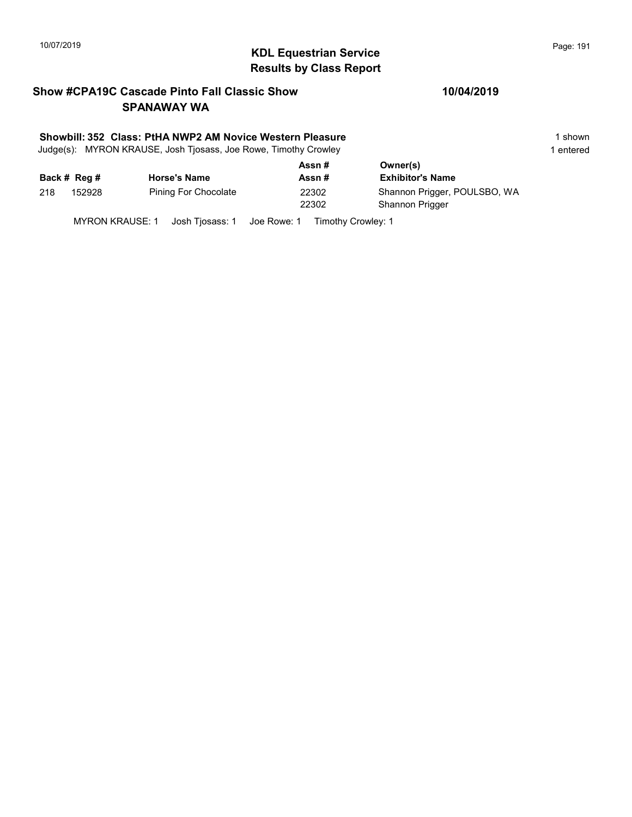# KDL Equestrian Service 10/07/2019 Page: 191 Results by Class Report

### Show #CPA19C Cascade Pinto Fall Classic Show SPANAWAY WA

### Showbill: 352 Class: PtHA NWP2 AM Novice Western Pleasure 1 Shown 1 shown

Judge(s): MYRON KRAUSE, Josh Tjosass, Joe Rowe, Timothy Crowley 1 entered 1 entered

|     |              |                      | Assn# | Owner(s)                     |
|-----|--------------|----------------------|-------|------------------------------|
|     | Back # Reg # | <b>Horse's Name</b>  | Assn# | <b>Exhibitor's Name</b>      |
| 218 | 152928       | Pining For Chocolate | 22302 | Shannon Prigger, POULSBO, WA |
|     |              |                      | 22302 | <b>Shannon Prigger</b>       |
|     |              |                      |       |                              |

MYRON KRAUSE: 1 Josh Tjosass: 1 Joe Rowe: 1 Timothy Crowley: 1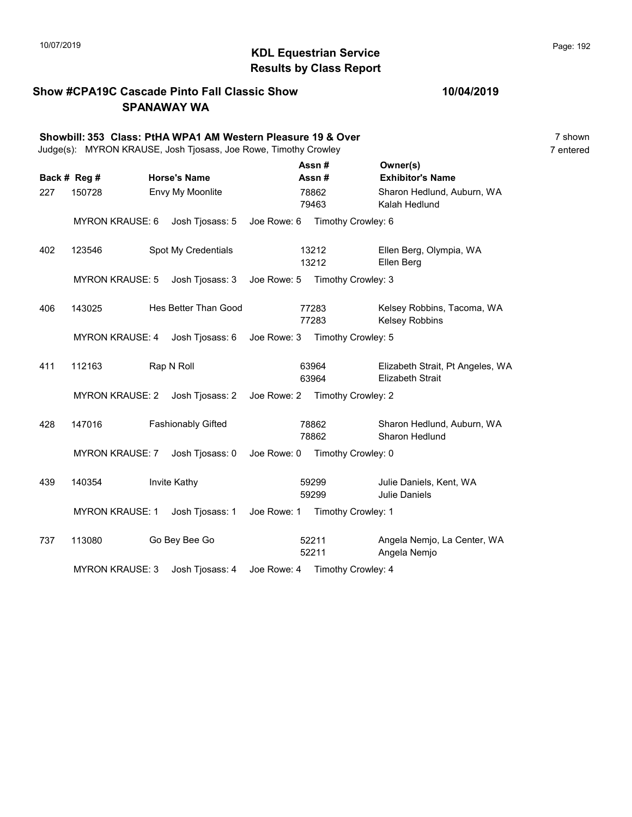## KDL Equestrian Service 10/07/2019 Page: 192 Results by Class Report

### Show #CPA19C Cascade Pinto Fall Classic Show SPANAWAY WA

|     | Showbill: 353 Class: PtHA WPA1 AM Western Pleasure 19 & Over<br>Judge(s): MYRON KRAUSE, Josh Tjosass, Joe Rowe, Timothy Crowley |                                                |             |                |                                |                                                             | 7 shown<br>7 entered |
|-----|---------------------------------------------------------------------------------------------------------------------------------|------------------------------------------------|-------------|----------------|--------------------------------|-------------------------------------------------------------|----------------------|
|     | Back # Reg #                                                                                                                    | <b>Horse's Name</b>                            |             |                | Assn#<br>Assn#                 | Owner(s)<br><b>Exhibitor's Name</b>                         |                      |
| 227 | 150728                                                                                                                          | Envy My Moonlite                               |             |                | 78862<br>79463                 | Sharon Hedlund, Auburn, WA<br>Kalah Hedlund                 |                      |
|     | <b>MYRON KRAUSE: 6</b>                                                                                                          | Josh Tjosass: 5 Joe Rowe: 6 Timothy Crowley: 6 |             |                |                                |                                                             |                      |
| 402 | 123546                                                                                                                          | Spot My Credentials                            |             |                | 13212<br>13212                 | Ellen Berg, Olympia, WA<br>Ellen Berg                       |                      |
|     | <b>MYRON KRAUSE: 5</b>                                                                                                          | Josh Tjosass: 3                                | Joe Rowe: 5 |                | Timothy Crowley: 3             |                                                             |                      |
| 406 | 143025                                                                                                                          | Hes Better Than Good                           |             |                | 77283<br>77283                 | Kelsey Robbins, Tacoma, WA<br><b>Kelsey Robbins</b>         |                      |
|     | <b>MYRON KRAUSE: 4</b>                                                                                                          | Josh Tjosass: 6                                | Joe Rowe: 3 |                | Timothy Crowley: 5             |                                                             |                      |
| 411 | 112163                                                                                                                          | Rap N Roll                                     |             |                | 63964<br>63964                 | Elizabeth Strait, Pt Angeles, WA<br><b>Elizabeth Strait</b> |                      |
|     | <b>MYRON KRAUSE: 2</b>                                                                                                          | Josh Tjosass: 2                                |             |                | Joe Rowe: 2 Timothy Crowley: 2 |                                                             |                      |
| 428 | 147016                                                                                                                          | <b>Fashionably Gifted</b>                      |             |                | 78862<br>78862                 | Sharon Hedlund, Auburn, WA<br><b>Sharon Hedlund</b>         |                      |
|     | <b>MYRON KRAUSE: 7</b>                                                                                                          | Josh Tjosass: 0                                | Joe Rowe: 0 |                | Timothy Crowley: 0             |                                                             |                      |
| 439 | 140354                                                                                                                          | Invite Kathy                                   |             |                | 59299<br>59299                 | Julie Daniels, Kent, WA<br><b>Julie Daniels</b>             |                      |
|     | <b>MYRON KRAUSE: 1</b>                                                                                                          | Josh Tjosass: 1                                |             |                | Joe Rowe: 1 Timothy Crowley: 1 |                                                             |                      |
| 737 | 113080                                                                                                                          | Go Bey Bee Go                                  |             | 52211<br>52211 |                                | Angela Nemjo, La Center, WA<br>Angela Nemjo                 |                      |
|     | <b>MYRON KRAUSE: 3</b>                                                                                                          | Josh Tjosass: 4                                |             |                | Joe Rowe: 4 Timothy Crowley: 4 |                                                             |                      |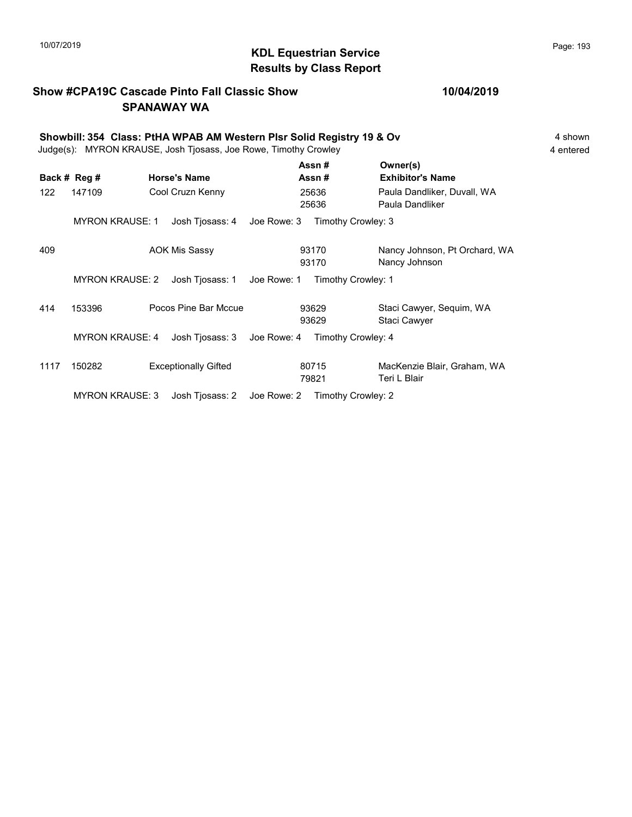## 10/07/2019 **Page: 193**<br> **KDL Equestrian Service Page: 193** Results by Class Report

### Show #CPA19C Cascade Pinto Fall Classic Show SPANAWAY WA

|     | Showbill: 354 Class: PtHA WPAB AM Western Pisr Solid Registry 19 & Ov<br>Judge(s): MYRON KRAUSE, Josh Tjosass, Joe Rowe, Timothy Crowley |  |                      |             |                |                                                |  |  |
|-----|------------------------------------------------------------------------------------------------------------------------------------------|--|----------------------|-------------|----------------|------------------------------------------------|--|--|
|     | Back # Reg #                                                                                                                             |  | <b>Horse's Name</b>  |             | Assn#<br>Assn# | Owner(s)<br><b>Exhibitor's Name</b>            |  |  |
| 122 | 147109                                                                                                                                   |  | Cool Cruzn Kenny     |             | 25636<br>25636 | Paula Dandliker, Duvall, WA<br>Paula Dandliker |  |  |
|     | <b>MYRON KRAUSE: 1</b>                                                                                                                   |  | Josh Tjosass: 4      | Joe Rowe: 3 |                | Timothy Crowley: 3                             |  |  |
| 409 |                                                                                                                                          |  | <b>AOK Mis Sassy</b> |             | 93170<br>93170 | Nancy Johnson, Pt Orchard, WA<br>Nancy Johnson |  |  |
|     | <b>MYRON KRAUSE: 2</b>                                                                                                                   |  | Josh Tiosass: 1      | Joe Rowe: 1 |                | Timothy Crowley: 1                             |  |  |
| 414 | 153396                                                                                                                                   |  | Pocos Pine Bar Mccue |             | 93629<br>93629 | Staci Cawyer, Sequim, WA<br>Staci Cawyer       |  |  |
|     | <b>MYRON KRAUSE: 4</b>                                                                                                                   |  | Josh Tiosass: 3      | Joe Rowe: 4 |                | Timothy Crowley: 4                             |  |  |

1117 150282 Exceptionally Gifted 60715 MacKenzie Blair, Graham, WA 79821 Teri L Blair 80715 MYRON KRAUSE: 3 Josh Tjosass: 2 Joe Rowe: 2 Timothy Crowley: 2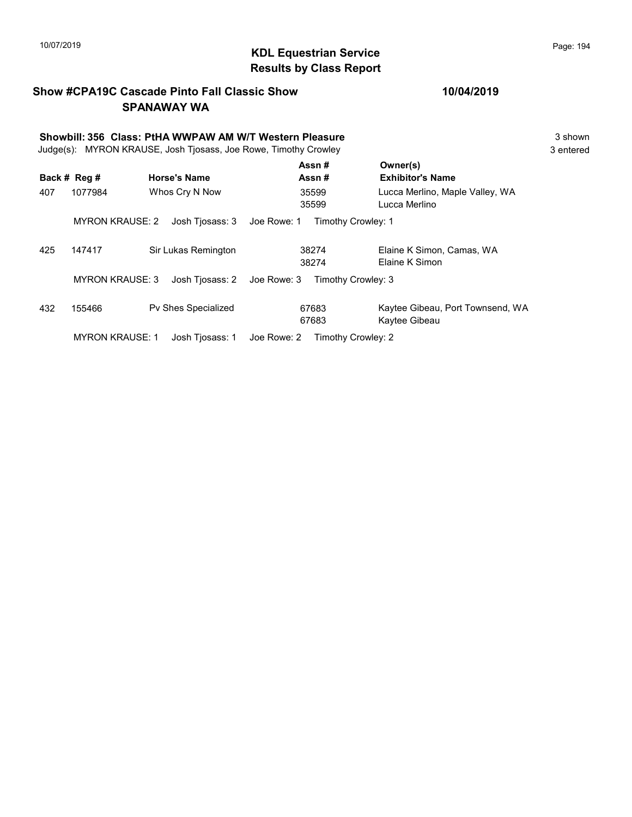## KDL Equestrian Service 10/07/2019 Page: 194 Results by Class Report

### Show #CPA19C Cascade Pinto Fall Classic Show SPANAWAY WA

# Showbill: 356 Class: PtHA WWPAW AM W/T Western Pleasure<br>
Judge(s): MYRON KRAUSE. Josh Tiosass. Joe Rowe. Timothy Crowley<br>
3 entered

Judge(s): MYRON KRAUSE, Josh Tjosass, Joe Rowe, Timothy Crowley

|     |                        |                                | Assn#              | Owner(s)                                          |
|-----|------------------------|--------------------------------|--------------------|---------------------------------------------------|
|     | Back # Reg #           | <b>Horse's Name</b>            | Assn#              | <b>Exhibitor's Name</b>                           |
| 407 | 1077984                | Whos Cry N Now                 | 35599<br>35599     | Lucca Merlino, Maple Valley, WA<br>Lucca Merlino  |
|     | <b>MYRON KRAUSE: 2</b> | Josh Tiosass: 3<br>Joe Rowe: 1 | Timothy Crowley: 1 |                                                   |
| 425 | 147417                 | Sir Lukas Remington            | 38274<br>38274     | Elaine K Simon, Camas, WA<br>Elaine K Simon       |
|     | <b>MYRON KRAUSE: 3</b> | Josh Tjosass: 2<br>Joe Rowe: 3 | Timothy Crowley: 3 |                                                   |
| 432 | 155466                 | <b>Pv Shes Specialized</b>     | 67683<br>67683     | Kaytee Gibeau, Port Townsend, WA<br>Kaytee Gibeau |
|     | <b>MYRON KRAUSE: 1</b> | Josh Tiosass: 1<br>Joe Rowe: 2 | Timothy Crowley: 2 |                                                   |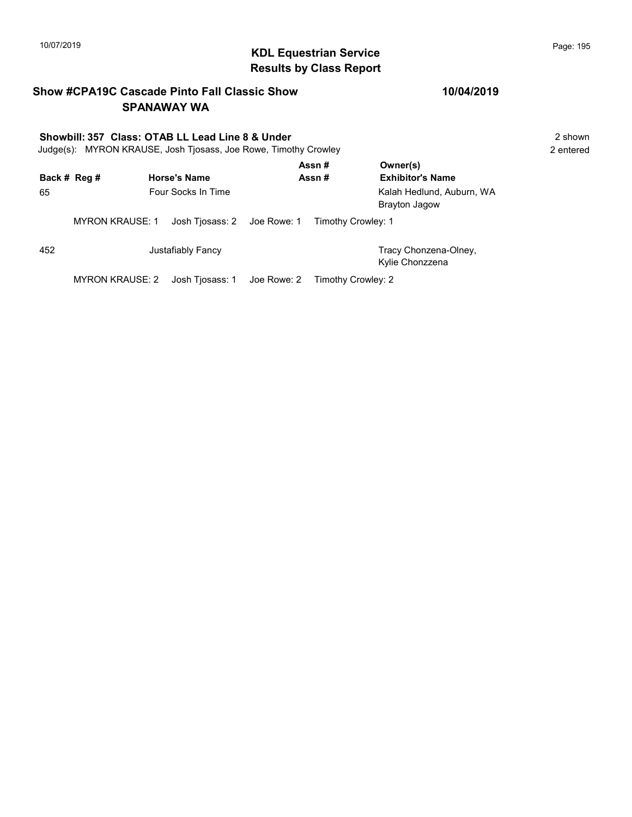## 10/07/2019 **Page: 195**<br> **KDL Equestrian Service Page: 195** Results by Class Report

### Show #CPA19C Cascade Pinto Fall Classic Show SPANAWAY WA

# Showbill: 357 Class: OTAB LL Lead Line 8 & Under<br>
Judge(s): MYRON KRAUSE. Josh Tiosass. Joe Rowe. Timothy Crowley<br>
2 entered

Judge(s): MYRON KRAUSE, Josh Tjosass, Joe Rowe, Timothy Crowley

|     |                        |                     |                             |             | Assn#              | Owner(s)                                          |
|-----|------------------------|---------------------|-----------------------------|-------------|--------------------|---------------------------------------------------|
|     | Back # Reg #           | <b>Horse's Name</b> |                             |             | Assn#              | <b>Exhibitor's Name</b>                           |
| 65  |                        |                     | Four Socks In Time          |             |                    | Kalah Hedlund, Auburn, WA<br><b>Brayton Jagow</b> |
|     | <b>MYRON KRAUSE: 1</b> |                     | Josh Tjosass: 2 Joe Rowe: 1 |             | Timothy Crowley: 1 |                                                   |
| 452 |                        |                     | Justafiably Fancy           |             |                    | Tracy Chonzena-Olney,<br>Kylie Chonzzena          |
|     | MYRON KRAUSE: 2        |                     | Josh Tjosass: 1             | Joe Rowe: 2 | Timothy Crowley: 2 |                                                   |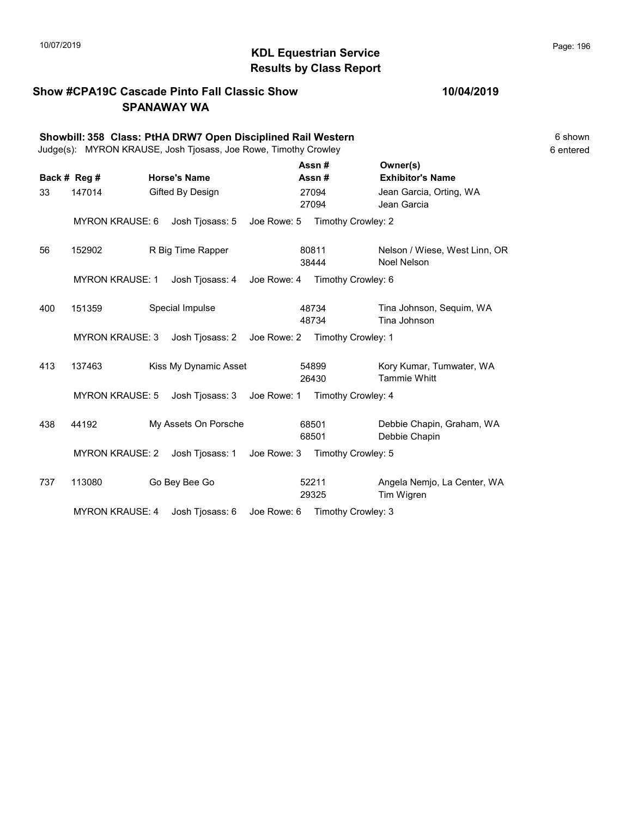# 10/07/2019 **Page: 196**<br> **KDL Equestrian Service Page: 196** Results by Class Report

### Show #CPA19C Cascade Pinto Fall Classic Show SPANAWAY WA

|              | Showbill: 358 Class: PtHA DRW7 Open Disciplined Rail Western<br>Judge(s): MYRON KRAUSE, Josh Tjosass, Joe Rowe, Timothy Crowley |  |                       |             |                |                                |                                                     | 6 shown<br>6 entered |
|--------------|---------------------------------------------------------------------------------------------------------------------------------|--|-----------------------|-------------|----------------|--------------------------------|-----------------------------------------------------|----------------------|
| Back # Reg # |                                                                                                                                 |  | <b>Horse's Name</b>   |             |                | Assn#<br>Assn#                 | Owner(s)<br><b>Exhibitor's Name</b>                 |                      |
| 33           | 147014                                                                                                                          |  | Gifted By Design      |             |                | 27094<br>27094                 | Jean Garcia, Orting, WA<br>Jean Garcia              |                      |
|              | <b>MYRON KRAUSE: 6</b>                                                                                                          |  | Josh Tjosass: 5       | Joe Rowe: 5 |                | Timothy Crowley: 2             |                                                     |                      |
| 56           | 152902                                                                                                                          |  | R Big Time Rapper     |             |                | 80811<br>38444                 | Nelson / Wiese, West Linn, OR<br><b>Noel Nelson</b> |                      |
|              | <b>MYRON KRAUSE: 1</b>                                                                                                          |  | Josh Tjosass: 4       | Joe Rowe: 4 |                | Timothy Crowley: 6             |                                                     |                      |
| 400          | 151359                                                                                                                          |  | Special Impulse       |             |                | 48734<br>48734                 | Tina Johnson, Sequim, WA<br>Tina Johnson            |                      |
|              | <b>MYRON KRAUSE: 3</b>                                                                                                          |  | Josh Tjosass: 2       |             |                | Joe Rowe: 2 Timothy Crowley: 1 |                                                     |                      |
| 413          | 137463                                                                                                                          |  | Kiss My Dynamic Asset |             |                | 54899<br>26430                 | Kory Kumar, Tumwater, WA<br><b>Tammie Whitt</b>     |                      |
|              | <b>MYRON KRAUSE: 5</b>                                                                                                          |  | Josh Tjosass: 3       | Joe Rowe: 1 |                | Timothy Crowley: 4             |                                                     |                      |
| 438          | 44192                                                                                                                           |  | My Assets On Porsche  |             | 68501<br>68501 |                                | Debbie Chapin, Graham, WA<br>Debbie Chapin          |                      |
|              | <b>MYRON KRAUSE: 2</b>                                                                                                          |  | Josh Tjosass: 1       |             |                | Joe Rowe: 3 Timothy Crowley: 5 |                                                     |                      |
| 737          | 113080                                                                                                                          |  | Go Bey Bee Go         |             | 52211          | 29325                          | Angela Nemjo, La Center, WA<br>Tim Wigren           |                      |
|              | <b>MYRON KRAUSE: 4</b>                                                                                                          |  | Josh Tjosass: 6       | Joe Rowe: 6 |                | Timothy Crowley: 3             |                                                     |                      |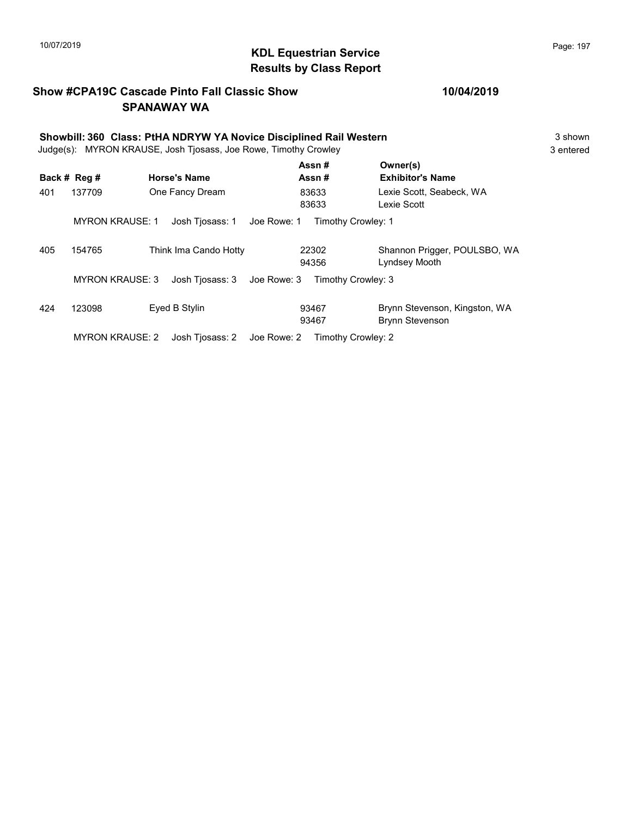## KDL Equestrian Service 10/07/2019 Page: 197 Results by Class Report

### Show #CPA19C Cascade Pinto Fall Classic Show SPANAWAY WA

| Showbill: 360 Class: PtHA NDRYW YA Novice Disciplined Rail Western<br>Judge(s): MYRON KRAUSE, Josh Tjosass, Joe Rowe, Timothy Crowley |                        |                                |                    |                                               |  |  |
|---------------------------------------------------------------------------------------------------------------------------------------|------------------------|--------------------------------|--------------------|-----------------------------------------------|--|--|
|                                                                                                                                       | Back # Reg #           | <b>Horse's Name</b>            | Assn#<br>Assn#     | Owner(s)<br><b>Exhibitor's Name</b>           |  |  |
| 401                                                                                                                                   | 137709                 | One Fancy Dream                | 83633<br>83633     | Lexie Scott, Seabeck, WA<br>Lexie Scott       |  |  |
|                                                                                                                                       | <b>MYRON KRAUSE: 1</b> | Josh Tjosass: 1<br>Joe Rowe: 1 | Timothy Crowley: 1 |                                               |  |  |
| 405                                                                                                                                   | 154765                 | Think Ima Cando Hotty          | 22302<br>94356     | Shannon Prigger, POULSBO, WA<br>Lyndsey Mooth |  |  |

MYRON KRAUSE: 3 Josh Tjosass: 3 Joe Rowe: 3 Timothy Crowley: 3

| 424 | 123098          | Eved B Stylin                                  | 93467<br>93467 | Brynn Stevenson, Kingston, WA<br>Brvnn Stevenson |
|-----|-----------------|------------------------------------------------|----------------|--------------------------------------------------|
|     | MYRON KRAUSE: 2 | Josh Tiosass: 2 Joe Rowe: 2 Timothy Crowley: 2 |                |                                                  |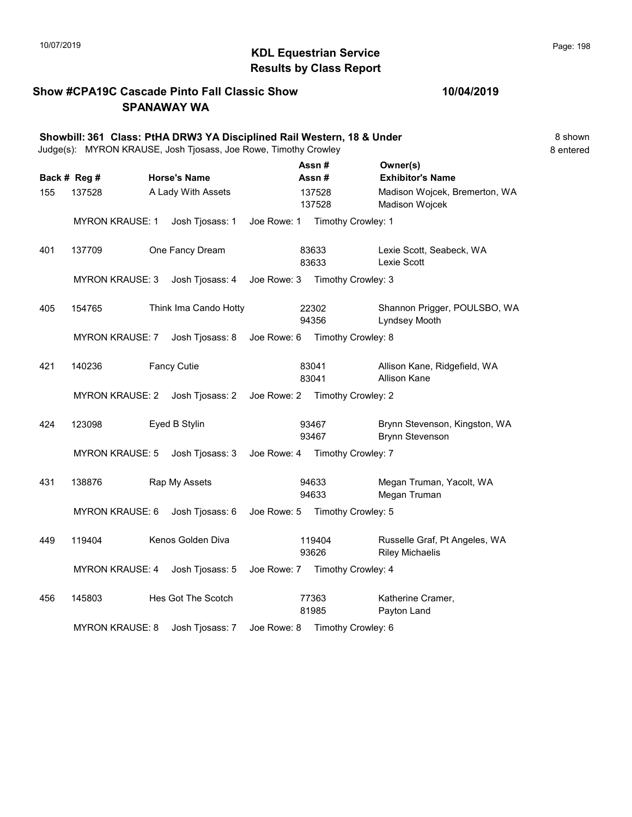# KDL Equestrian Service 10/07/2019 Page: 198 Results by Class Report

### Show #CPA19C Cascade Pinto Fall Classic Show SPANAWAY WA

|     |                        | Showbill: 361 Class: PtHA DRW3 YA Disciplined Rail Western, 18 & Under<br>Judge(s): MYRON KRAUSE, Josh Tjosass, Joe Rowe, Timothy Crowley |             |                                |                                                         | 8 shown<br>8 entered |
|-----|------------------------|-------------------------------------------------------------------------------------------------------------------------------------------|-------------|--------------------------------|---------------------------------------------------------|----------------------|
|     |                        |                                                                                                                                           |             | Assn#                          | Owner(s)                                                |                      |
|     | Back # Reg #           | <b>Horse's Name</b>                                                                                                                       |             | Assn#                          | <b>Exhibitor's Name</b>                                 |                      |
| 155 | 137528                 | A Lady With Assets                                                                                                                        |             | 137528<br>137528               | Madison Wojcek, Bremerton, WA<br>Madison Wojcek         |                      |
|     | <b>MYRON KRAUSE: 1</b> | Josh Tjosass: 1                                                                                                                           | Joe Rowe: 1 | Timothy Crowley: 1             |                                                         |                      |
| 401 | 137709                 | One Fancy Dream                                                                                                                           |             | 83633<br>83633                 | Lexie Scott, Seabeck, WA<br>Lexie Scott                 |                      |
|     | <b>MYRON KRAUSE: 3</b> | Josh Tjosass: 4                                                                                                                           |             | Joe Rowe: 3 Timothy Crowley: 3 |                                                         |                      |
| 405 | 154765                 | Think Ima Cando Hotty                                                                                                                     |             | 22302<br>94356                 | Shannon Prigger, POULSBO, WA<br>Lyndsey Mooth           |                      |
|     | <b>MYRON KRAUSE: 7</b> | Josh Tjosass: 8                                                                                                                           |             | Joe Rowe: 6 Timothy Crowley: 8 |                                                         |                      |
| 421 | 140236                 | <b>Fancy Cutie</b>                                                                                                                        |             | 83041<br>83041                 | Allison Kane, Ridgefield, WA<br><b>Allison Kane</b>     |                      |
|     | <b>MYRON KRAUSE: 2</b> | Josh Tjosass: 2                                                                                                                           |             | Joe Rowe: 2 Timothy Crowley: 2 |                                                         |                      |
| 424 | 123098                 | Eyed B Stylin                                                                                                                             |             | 93467<br>93467                 | Brynn Stevenson, Kingston, WA<br><b>Brynn Stevenson</b> |                      |
|     | <b>MYRON KRAUSE: 5</b> | Josh Tjosass: 3 Joe Rowe: 4 Timothy Crowley: 7                                                                                            |             |                                |                                                         |                      |
| 431 | 138876                 | Rap My Assets                                                                                                                             |             | 94633<br>94633                 | Megan Truman, Yacolt, WA<br>Megan Truman                |                      |
|     | MYRON KRAUSE: 6        | Josh Tjosass: 6                                                                                                                           |             | Joe Rowe: 5 Timothy Crowley: 5 |                                                         |                      |
| 449 | 119404                 | Kenos Golden Diva                                                                                                                         |             | 119404<br>93626                | Russelle Graf, Pt Angeles, WA<br><b>Riley Michaelis</b> |                      |
|     | <b>MYRON KRAUSE: 4</b> | Josh Tjosass: 5                                                                                                                           |             | Joe Rowe: 7 Timothy Crowley: 4 |                                                         |                      |
| 456 | 145803                 | Hes Got The Scotch                                                                                                                        |             | 77363<br>81985                 | Katherine Cramer,<br>Payton Land                        |                      |
|     | <b>MYRON KRAUSE: 8</b> | Josh Tjosass: 7                                                                                                                           |             | Joe Rowe: 8 Timothy Crowley: 6 |                                                         |                      |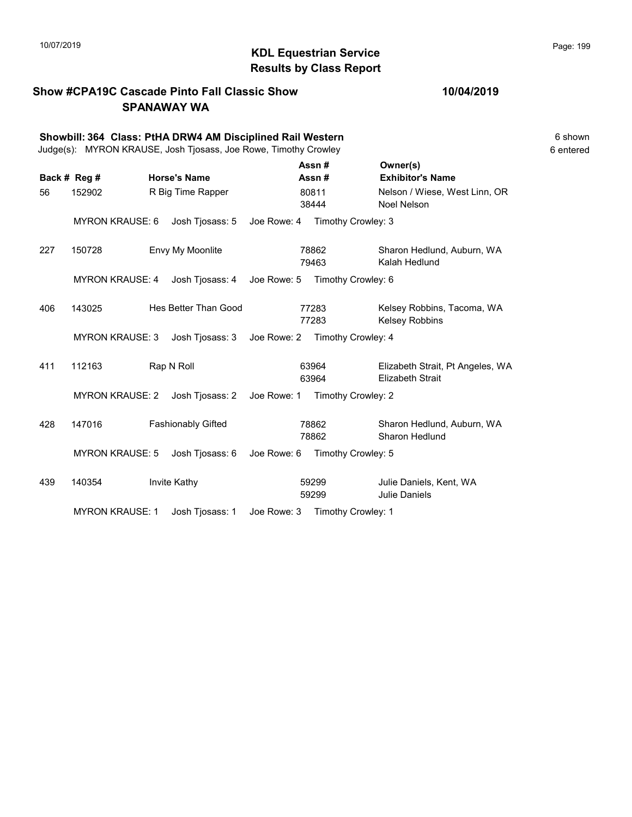## KDL Equestrian Service 10/07/2019 Page: 199 Results by Class Report

### Show #CPA19C Cascade Pinto Fall Classic Show SPANAWAY WA

|     |                        | Showbill: 364 Class: PtHA DRW4 AM Disciplined Rail Western<br>Judge(s): MYRON KRAUSE, Josh Tjosass, Joe Rowe, Timothy Crowley |             |                |                                |                                                             | 6 shown<br>6 entered |
|-----|------------------------|-------------------------------------------------------------------------------------------------------------------------------|-------------|----------------|--------------------------------|-------------------------------------------------------------|----------------------|
|     | Back # Reg #           | <b>Horse's Name</b>                                                                                                           |             | Assn#<br>Assn# |                                | Owner(s)<br><b>Exhibitor's Name</b>                         |                      |
| 56  | 152902                 | R Big Time Rapper                                                                                                             |             | 80811<br>38444 |                                | Nelson / Wiese, West Linn, OR<br>Noel Nelson                |                      |
|     | <b>MYRON KRAUSE: 6</b> | Josh Tjosass: 5                                                                                                               | Joe Rowe: 4 |                | Timothy Crowley: 3             |                                                             |                      |
| 227 | 150728                 | Envy My Moonlite                                                                                                              |             | 78862<br>79463 |                                | Sharon Hedlund, Auburn, WA<br>Kalah Hedlund                 |                      |
|     | <b>MYRON KRAUSE: 4</b> | Josh Tjosass: 4                                                                                                               | Joe Rowe: 5 |                | Timothy Crowley: 6             |                                                             |                      |
| 406 | 143025                 | Hes Better Than Good                                                                                                          |             | 77283<br>77283 |                                | Kelsey Robbins, Tacoma, WA<br><b>Kelsey Robbins</b>         |                      |
|     | <b>MYRON KRAUSE: 3</b> | Josh Tjosass: 3                                                                                                               |             |                | Joe Rowe: 2 Timothy Crowley: 4 |                                                             |                      |
| 411 | 112163                 | Rap N Roll                                                                                                                    |             | 63964<br>63964 |                                | Elizabeth Strait, Pt Angeles, WA<br><b>Elizabeth Strait</b> |                      |
|     | <b>MYRON KRAUSE: 2</b> | Josh Tjosass: 2                                                                                                               | Joe Rowe: 1 |                | Timothy Crowley: 2             |                                                             |                      |
| 428 | 147016                 | <b>Fashionably Gifted</b>                                                                                                     |             | 78862<br>78862 |                                | Sharon Hedlund, Auburn, WA<br>Sharon Hedlund                |                      |
|     | <b>MYRON KRAUSE: 5</b> | Josh Tjosass: 6                                                                                                               | Joe Rowe: 6 |                | Timothy Crowley: 5             |                                                             |                      |
| 439 | 140354                 | Invite Kathy                                                                                                                  |             | 59299<br>59299 |                                | Julie Daniels, Kent, WA<br><b>Julie Daniels</b>             |                      |
|     | <b>MYRON KRAUSE: 1</b> | Josh Tjosass: 1                                                                                                               | Joe Rowe: 3 |                | Timothy Crowley: 1             |                                                             |                      |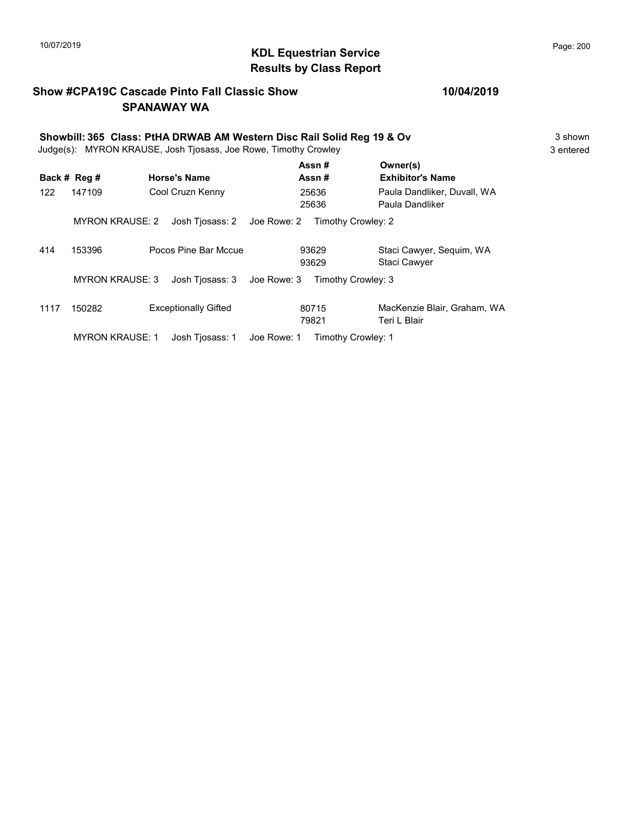## KDL Equestrian Service 10/07/2019 Page: 200 Results by Class Report

### Show #CPA19C Cascade Pinto Fall Classic Show SPANAWAY WA

| Showbill: 365 Class: PtHA DRWAB AM Western Disc Rail Solid Reg 19 & Ov<br>Judge(s): MYRON KRAUSE, Josh Tjosass, Joe Rowe, Timothy Crowley |                        |                                |                    |                                                |  |  |
|-------------------------------------------------------------------------------------------------------------------------------------------|------------------------|--------------------------------|--------------------|------------------------------------------------|--|--|
|                                                                                                                                           | Back # Reg #           | <b>Horse's Name</b>            | Assn#<br>Assn#     | Owner(s)<br><b>Exhibitor's Name</b>            |  |  |
| 122                                                                                                                                       | 147109                 | Cool Cruzn Kenny               | 25636<br>25636     | Paula Dandliker, Duvall, WA<br>Paula Dandliker |  |  |
|                                                                                                                                           | <b>MYRON KRAUSE: 2</b> | Josh Tjosass: 2 Joe Rowe: 2    | Timothy Crowley: 2 |                                                |  |  |
| 414                                                                                                                                       | 153396                 | Pocos Pine Bar Mccue           | 93629<br>93629     | Staci Cawyer, Sequim, WA<br>Staci Cawyer       |  |  |
|                                                                                                                                           | <b>MYRON KRAUSE: 3</b> | Josh Tiosass: 3<br>Joe Rowe: 3 | Timothy Crowley: 3 |                                                |  |  |
| 1117                                                                                                                                      | 150282                 | <b>Exceptionally Gifted</b>    | 80715<br>79821     | MacKenzie Blair, Graham, WA<br>Teri L Blair    |  |  |

MYRON KRAUSE: 1 Josh Tjosass: 1 Joe Rowe: 1 Timothy Crowley: 1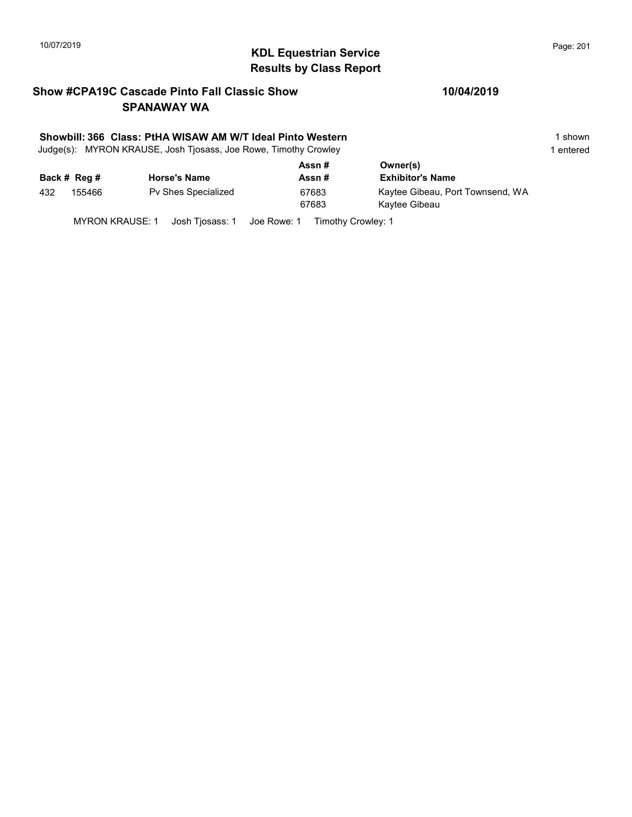# KDL Equestrian Service 10/07/2019 Page: 201 Results by Class Report

### Show #CPA19C Cascade Pinto Fall Classic Show SPANAWAY WA

### Showbill: 366 Class: PtHA WISAW AM W/T Ideal Pinto Western 1 Shown 1 shown

Judge(s): MYRON KRAUSE, Josh Tjosass, Joe Rowe, Timothy Crowley 1 entered 1 entered

|     |              |                     | Assn# | Owner(s)                         |
|-----|--------------|---------------------|-------|----------------------------------|
|     | Back # Reg # | <b>Horse's Name</b> | Assn# | <b>Exhibitor's Name</b>          |
| 432 | 155466       | Pv Shes Specialized | 67683 | Kaytee Gibeau, Port Townsend, WA |
|     |              |                     | 67683 | Kaytee Gibeau                    |
|     |              |                     |       |                                  |

MYRON KRAUSE: 1 Josh Tjosass: 1 Joe Rowe: 1 Timothy Crowley: 1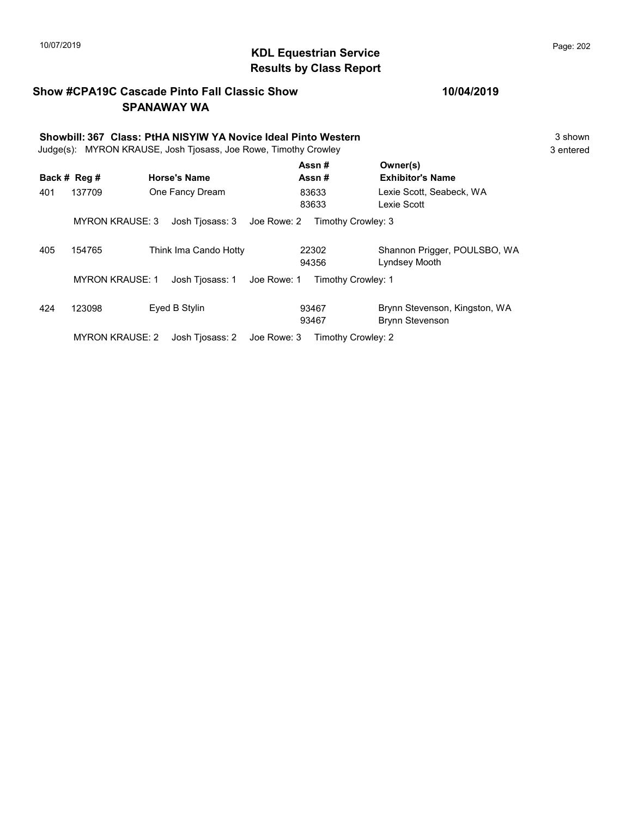## KDL Equestrian Service 10/07/2019 Page: 202 Results by Class Report

### Show #CPA19C Cascade Pinto Fall Classic Show SPANAWAY WA

|     | Showbill: 367 Class: PtHA NISYIW YA Novice Ideal Pinto Western<br>Judge(s): MYRON KRAUSE, Josh Tjosass, Joe Rowe, Timothy Crowley |                                |                    |                                                         |  |  |  |
|-----|-----------------------------------------------------------------------------------------------------------------------------------|--------------------------------|--------------------|---------------------------------------------------------|--|--|--|
|     | Back # Reg #                                                                                                                      | <b>Horse's Name</b>            | Assn#<br>Assn#     | Owner(s)<br><b>Exhibitor's Name</b>                     |  |  |  |
| 401 | 137709                                                                                                                            | One Fancy Dream                | 83633<br>83633     | Lexie Scott, Seabeck, WA<br>Lexie Scott                 |  |  |  |
|     | <b>MYRON KRAUSE: 3</b>                                                                                                            | Josh Tiosass: 3<br>Joe Rowe: 2 | Timothy Crowley: 3 |                                                         |  |  |  |
| 405 | 154765                                                                                                                            | Think Ima Cando Hotty          | 22302<br>94356     | Shannon Prigger, POULSBO, WA<br>Lyndsey Mooth           |  |  |  |
|     | <b>MYRON KRAUSE: 1</b>                                                                                                            | Josh Tiosass: 1<br>Joe Rowe: 1 | Timothy Crowley: 1 |                                                         |  |  |  |
| 424 | 123098                                                                                                                            | Eyed B Stylin                  | 93467<br>93467     | Brynn Stevenson, Kingston, WA<br><b>Brynn Stevenson</b> |  |  |  |
|     | <b>MYRON KRAUSE: 2</b>                                                                                                            | Josh Tiosass: 2<br>Joe Rowe: 3 | Timothy Crowley: 2 |                                                         |  |  |  |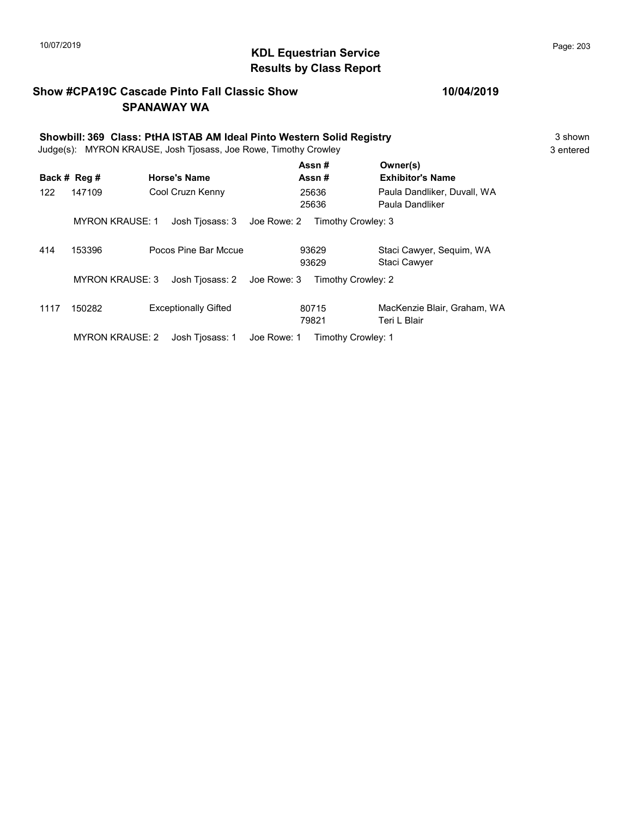## KDL Equestrian Service 10/07/2019 Page: 203 Results by Class Report

### Show #CPA19C Cascade Pinto Fall Classic Show SPANAWAY WA

### 10/04/2019

|      | Showbill: 369 Class: PtHA ISTAB AM Ideal Pinto Western Solid Registry<br>Judge(s): MYRON KRAUSE, Josh Tjosass, Joe Rowe, Timothy Crowley |                                         |                      |                                                |  |  |  |
|------|------------------------------------------------------------------------------------------------------------------------------------------|-----------------------------------------|----------------------|------------------------------------------------|--|--|--|
|      | Back # Reg #                                                                                                                             | <b>Horse's Name</b>                     | Assn#<br>Assn#       | Owner(s)<br><b>Exhibitor's Name</b>            |  |  |  |
| 122  | 147109                                                                                                                                   | Cool Cruzn Kenny                        | 25636                | Paula Dandliker, Duvall, WA                    |  |  |  |
|      |                                                                                                                                          |                                         | 25636                | Paula Dandliker                                |  |  |  |
| 414  | <b>MYRON KRAUSE: 1</b><br>153396                                                                                                         | Josh Tjosass: 3<br>Pocos Pine Bar Mccue | Joe Rowe: 2<br>93629 | Timothy Crowley: 3<br>Staci Cawyer, Seguim, WA |  |  |  |
|      |                                                                                                                                          |                                         | 93629                | <b>Staci Cawyer</b>                            |  |  |  |
|      | <b>MYRON KRAUSE: 3</b>                                                                                                                   | Josh Tjosass: 2                         | Joe Rowe: 3          | Timothy Crowley: 2                             |  |  |  |
| 1117 | 150282                                                                                                                                   | <b>Exceptionally Gifted</b>             | 80715                | MacKenzie Blair, Graham, WA                    |  |  |  |
|      |                                                                                                                                          |                                         | 79821                | Teri L Blair                                   |  |  |  |

MYRON KRAUSE: 2 Josh Tjosass: 1 Joe Rowe: 1 Timothy Crowley: 1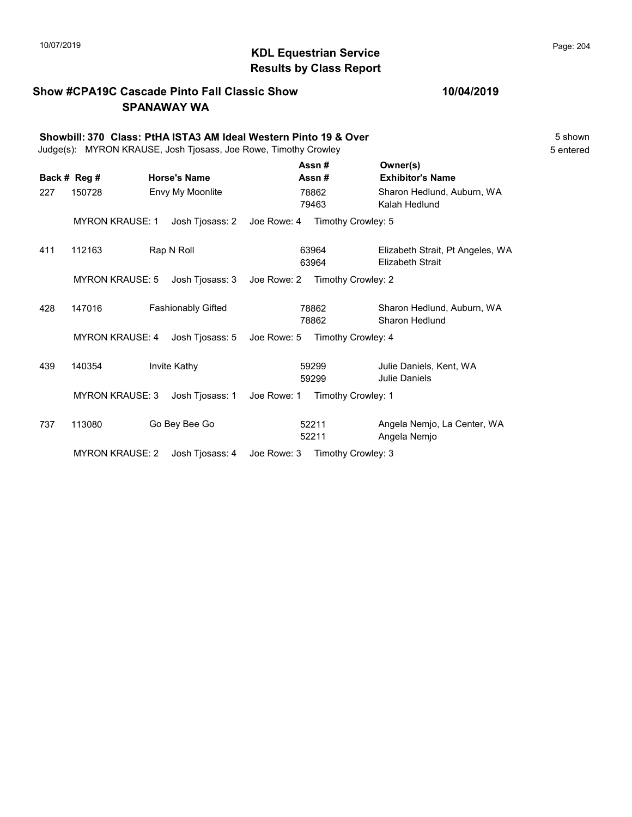## KDL Equestrian Service 10/07/2019 Page: 204 Results by Class Report

### Show #CPA19C Cascade Pinto Fall Classic Show SPANAWAY WA

|     | Showbill: 370 Class: PtHA ISTA3 AM Ideal Western Pinto 19 & Over<br>Judge(s): MYRON KRAUSE, Josh Tjosass, Joe Rowe, Timothy Crowley |  |                           |             |                |                                                             |  |
|-----|-------------------------------------------------------------------------------------------------------------------------------------|--|---------------------------|-------------|----------------|-------------------------------------------------------------|--|
|     | Back # Reg #                                                                                                                        |  | <b>Horse's Name</b>       |             | Assn#<br>Assn# | Owner(s)<br><b>Exhibitor's Name</b>                         |  |
| 227 | 150728                                                                                                                              |  | Envy My Moonlite          |             | 78862<br>79463 | Sharon Hedlund, Auburn, WA<br>Kalah Hedlund                 |  |
|     | <b>MYRON KRAUSE: 1</b>                                                                                                              |  | Josh Tjosass: 2           | Joe Rowe: 4 |                | Timothy Crowley: 5                                          |  |
| 411 | 112163                                                                                                                              |  | Rap N Roll                |             | 63964<br>63964 | Elizabeth Strait, Pt Angeles, WA<br><b>Elizabeth Strait</b> |  |
|     | <b>MYRON KRAUSE: 5</b>                                                                                                              |  | Josh Tjosass: 3           | Joe Rowe: 2 |                | Timothy Crowley: 2                                          |  |
| 428 | 147016                                                                                                                              |  | <b>Fashionably Gifted</b> |             | 78862<br>78862 | Sharon Hedlund, Auburn, WA<br>Sharon Hedlund                |  |
|     | <b>MYRON KRAUSE: 4</b>                                                                                                              |  | Josh Tjosass: 5           | Joe Rowe: 5 |                | Timothy Crowley: 4                                          |  |
| 439 | 140354                                                                                                                              |  | Invite Kathy              |             | 59299<br>59299 | Julie Daniels, Kent, WA<br><b>Julie Daniels</b>             |  |
|     | <b>MYRON KRAUSE: 3</b>                                                                                                              |  | Josh Tjosass: 1           | Joe Rowe: 1 |                | Timothy Crowley: 1                                          |  |
| 737 | 113080                                                                                                                              |  | Go Bey Bee Go             |             | 52211<br>52211 | Angela Nemjo, La Center, WA<br>Angela Nemjo                 |  |

MYRON KRAUSE: 2 Josh Tjosass: 4 Joe Rowe: 3 Timothy Crowley: 3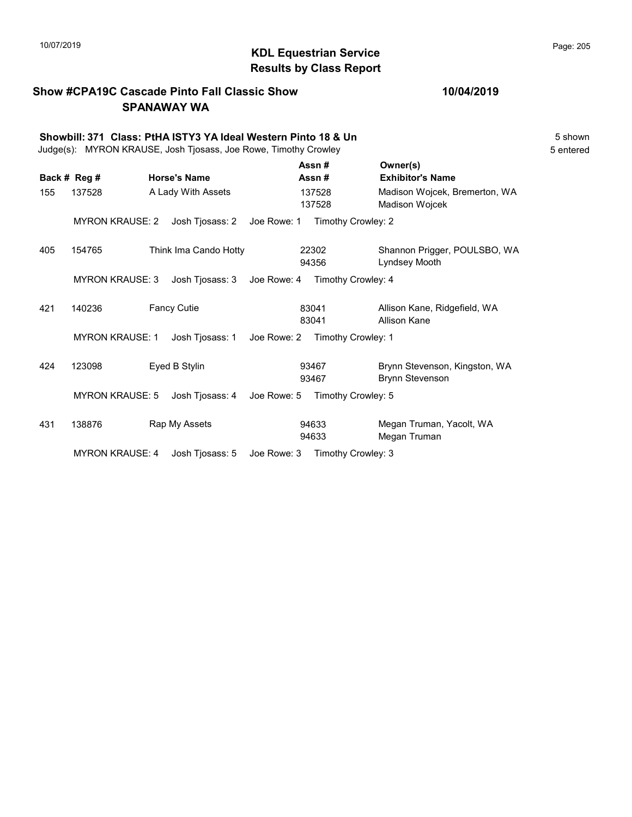## KDL Equestrian Service 10/07/2019 Page: 205 Results by Class Report

# Show #CPA19C Cascade Pinto Fall Classic Show

SPANAWAY WA

|     |                        | Showbill: 371 Class: PtHA ISTY3 YA Ideal Western Pinto 18 & Un<br>Judge(s): MYRON KRAUSE, Josh Tjosass, Joe Rowe, Timothy Crowley |             |                  |                                                         | 5 shown<br>5 entered |
|-----|------------------------|-----------------------------------------------------------------------------------------------------------------------------------|-------------|------------------|---------------------------------------------------------|----------------------|
|     | Back # Reg #           | <b>Horse's Name</b>                                                                                                               |             | Assn#<br>Assn#   | Owner(s)<br><b>Exhibitor's Name</b>                     |                      |
| 155 | 137528                 | A Lady With Assets                                                                                                                |             | 137528<br>137528 | Madison Wojcek, Bremerton, WA<br><b>Madison Wojcek</b>  |                      |
|     | <b>MYRON KRAUSE: 2</b> | Josh Tjosass: 2                                                                                                                   | Joe Rowe: 1 |                  | Timothy Crowley: 2                                      |                      |
| 405 | 154765                 | Think Ima Cando Hotty                                                                                                             |             | 22302<br>94356   | Shannon Prigger, POULSBO, WA<br>Lyndsey Mooth           |                      |
|     | <b>MYRON KRAUSE: 3</b> | Josh Tjosass: 3                                                                                                                   | Joe Rowe: 4 |                  | Timothy Crowley: 4                                      |                      |
| 421 | 140236                 | <b>Fancy Cutie</b>                                                                                                                |             | 83041<br>83041   | Allison Kane, Ridgefield, WA<br>Allison Kane            |                      |
|     | <b>MYRON KRAUSE: 1</b> | Josh Tjosass: 1                                                                                                                   | Joe Rowe: 2 |                  | Timothy Crowley: 1                                      |                      |
| 424 | 123098                 | Eyed B Stylin                                                                                                                     |             | 93467<br>93467   | Brynn Stevenson, Kingston, WA<br><b>Brynn Stevenson</b> |                      |
|     | <b>MYRON KRAUSE: 5</b> | Josh Tjosass: 4                                                                                                                   | Joe Rowe: 5 |                  | Timothy Crowley: 5                                      |                      |
| 431 | 138876                 | Rap My Assets                                                                                                                     |             | 94633<br>94633   | Megan Truman, Yacolt, WA<br>Megan Truman                |                      |
|     | <b>MYRON KRAUSE: 4</b> | Josh Tjosass: 5                                                                                                                   | Joe Rowe: 3 |                  | Timothy Crowley: 3                                      |                      |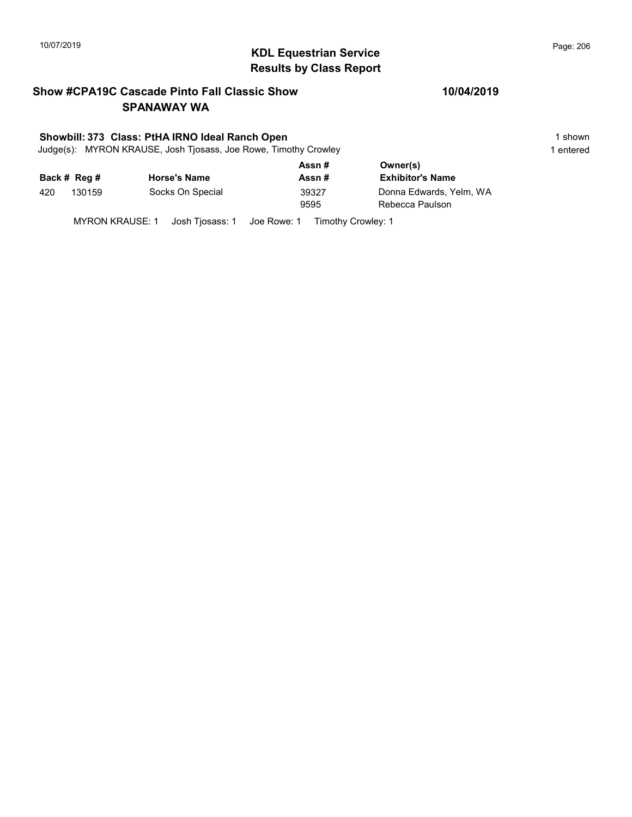# KDL Equestrian Service 10/07/2019 Page: 206 Results by Class Report

### Show #CPA19C Cascade Pinto Fall Classic Show SPANAWAY WA

### Showbill: 373 Class: PtHA IRNO Ideal Ranch Open 1 shown 1 shown

Judge(s): MYRON KRAUSE, Josh Tjosass, Joe Rowe, Timothy Crowley 1 entered 1 entered

|     |              |                     | Assn# | Owner(s)                |
|-----|--------------|---------------------|-------|-------------------------|
|     | Back # Reg # | <b>Horse's Name</b> | Assn# | <b>Exhibitor's Name</b> |
| 420 | 130159       | Socks On Special    | 39327 | Donna Edwards, Yelm, WA |
|     |              |                     | 9595  | Rebecca Paulson         |
|     |              |                     |       |                         |

MYRON KRAUSE: 1 Josh Tjosass: 1 Joe Rowe: 1 Timothy Crowley: 1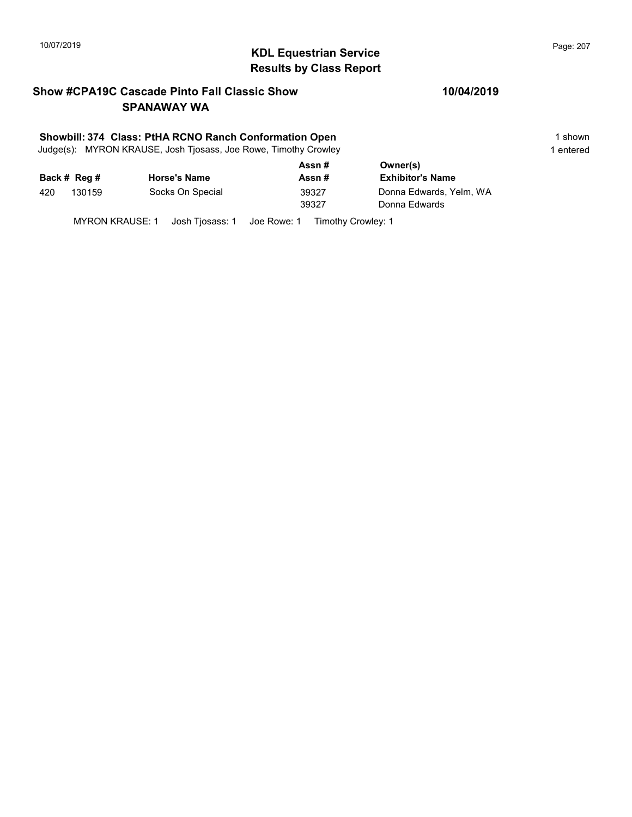# KDL Equestrian Service 10/07/2019 Page: 207 Results by Class Report

### Show #CPA19C Cascade Pinto Fall Classic Show SPANAWAY WA

### Showbill: 374 Class: PtHA RCNO Ranch Conformation Open 1 shown 1 shown

Judge(s): MYRON KRAUSE, Josh Tjosass, Joe Rowe, Timothy Crowley 1 entered 1 entered

|     |              |                     | Assn # | Owner(s)                |
|-----|--------------|---------------------|--------|-------------------------|
|     | Back # Reg # | <b>Horse's Name</b> | Assn # | <b>Exhibitor's Name</b> |
| 420 | 130159       | Socks On Special    | 39327  | Donna Edwards, Yelm, WA |
|     |              |                     | 39327  | Donna Edwards           |
|     |              |                     |        |                         |

MYRON KRAUSE: 1 Josh Tjosass: 1 Joe Rowe: 1 Timothy Crowley: 1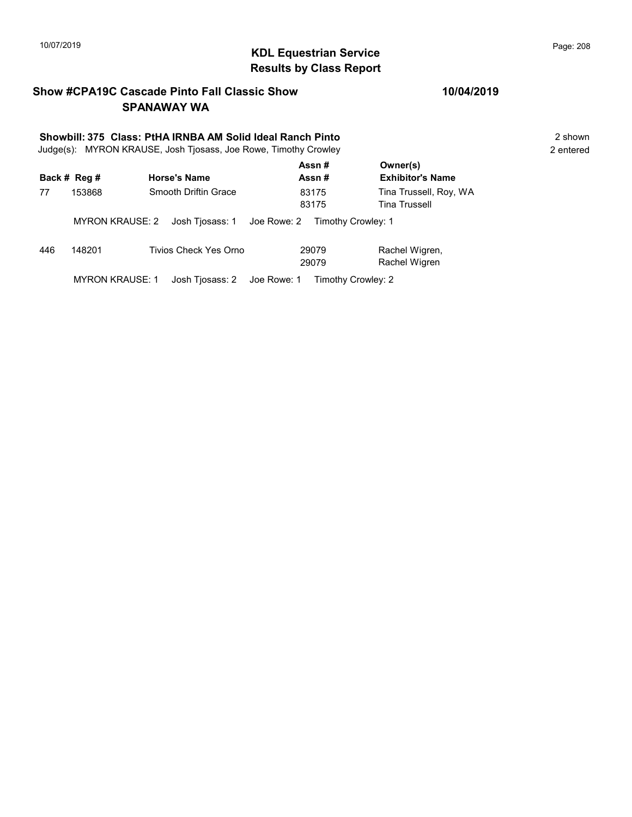## KDL Equestrian Service 10/07/2019 Page: 208 Results by Class Report

### Show #CPA19C Cascade Pinto Fall Classic Show SPANAWAY WA

# Showbill: 375 Class: PtHA IRNBA AM Solid Ideal Ranch Pinto<br>
Judge(s): MYRON KRAUSE. Josh Tiosass. Joe Rowe. Timothy Crowley<br>
2 entered

Judge(s): MYRON KRAUSE, Josh Tjosass, Joe Rowe, Timothy Crowley

|     | Back # Reg #           | <b>Horse's Name</b>   | Assn#<br>Assn#                                 | Owner(s)<br><b>Exhibitor's Name</b>            |
|-----|------------------------|-----------------------|------------------------------------------------|------------------------------------------------|
| 77  | 153868                 | Smooth Driftin Grace  | 83175<br>83175                                 | Tina Trussell, Roy, WA<br><b>Tina Trussell</b> |
|     | MYRON KRAUSE: 2        |                       | Josh Tiosass: 1 Joe Rowe: 2 Timothy Crowley: 1 |                                                |
| 446 | 148201                 | Tivios Check Yes Orno | 29079<br>29079                                 | Rachel Wigren,<br>Rachel Wigren                |
|     | <b>MYRON KRAUSE: 1</b> |                       | Josh Tiosass: 2 Joe Rowe: 1 Timothy Crowley: 2 |                                                |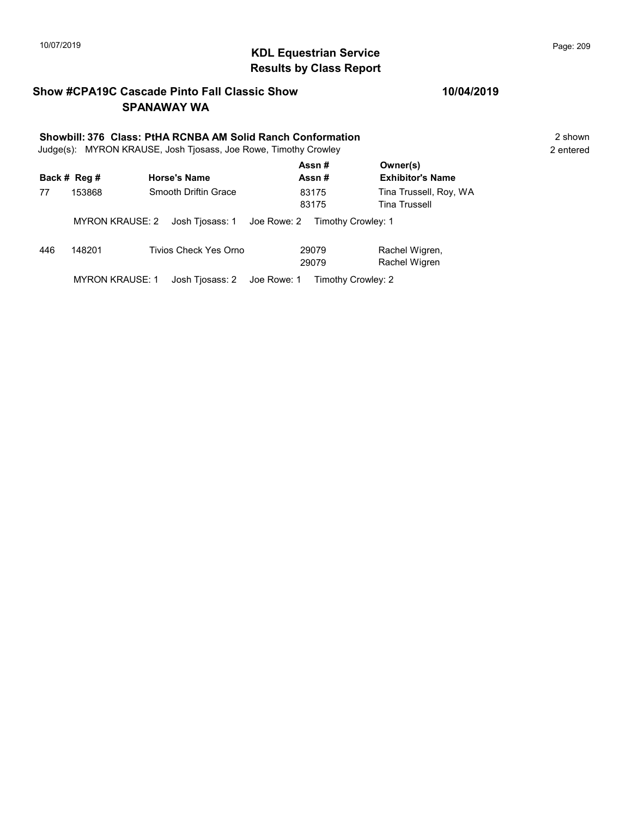## KDL Equestrian Service 10/07/2019 Page: 209 Results by Class Report

### Show #CPA19C Cascade Pinto Fall Classic Show SPANAWAY WA

### Showbill: 376 Class: PtHA RCNBA AM Solid Ranch Conformation 2 Shown 2 shown

Judge(s): MYRON KRAUSE, Josh Tjosass, Joe Rowe, Timothy Crowley 2 entered

|     | Back # Reg #           | <b>Horse's Name</b>   | Assn#<br>Assn#                                 | Owner(s)<br><b>Exhibitor's Name</b>            |
|-----|------------------------|-----------------------|------------------------------------------------|------------------------------------------------|
| 77  | 153868                 | Smooth Driftin Grace  | 83175<br>83175                                 | Tina Trussell, Roy, WA<br><b>Tina Trussell</b> |
|     | MYRON KRAUSE: 2        |                       | Josh Tjosass: 1 Joe Rowe: 2 Timothy Crowley: 1 |                                                |
| 446 | 148201                 | Tivios Check Yes Orno | 29079<br>29079                                 | Rachel Wigren,<br>Rachel Wigren                |
|     | <b>MYRON KRAUSE: 1</b> |                       | Josh Tiosass: 2 Joe Rowe: 1 Timothy Crowley: 2 |                                                |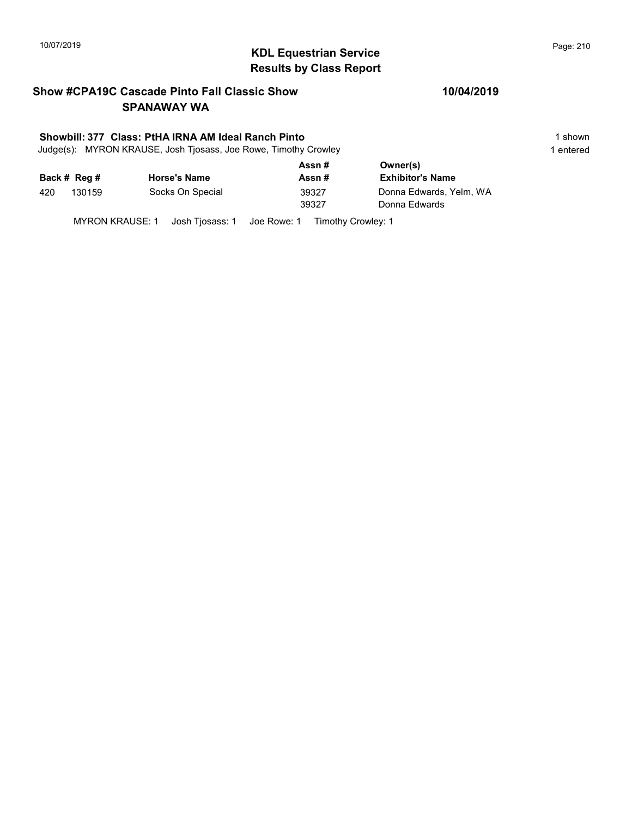# 10/07/2019 **Page: 210**<br> **KDL Equestrian Service Page: 210** Results by Class Report

### Show #CPA19C Cascade Pinto Fall Classic Show SPANAWAY WA

### Showbill: 377 Class: PtHA IRNA AM Ideal Ranch Pinto 1 shown 1 shown

Judge(s): MYRON KRAUSE, Josh Tjosass, Joe Rowe, Timothy Crowley 1 entered 1 entered

|     |              |                     | Assn#          | Owner(s)                                 |
|-----|--------------|---------------------|----------------|------------------------------------------|
|     | Back # Reg # | <b>Horse's Name</b> | Assn#          | <b>Exhibitor's Name</b>                  |
| 420 | 130159       | Socks On Special    | 39327<br>39327 | Donna Edwards, Yelm, WA<br>Donna Edwards |

MYRON KRAUSE: 1 Josh Tjosass: 1 Joe Rowe: 1 Timothy Crowley: 1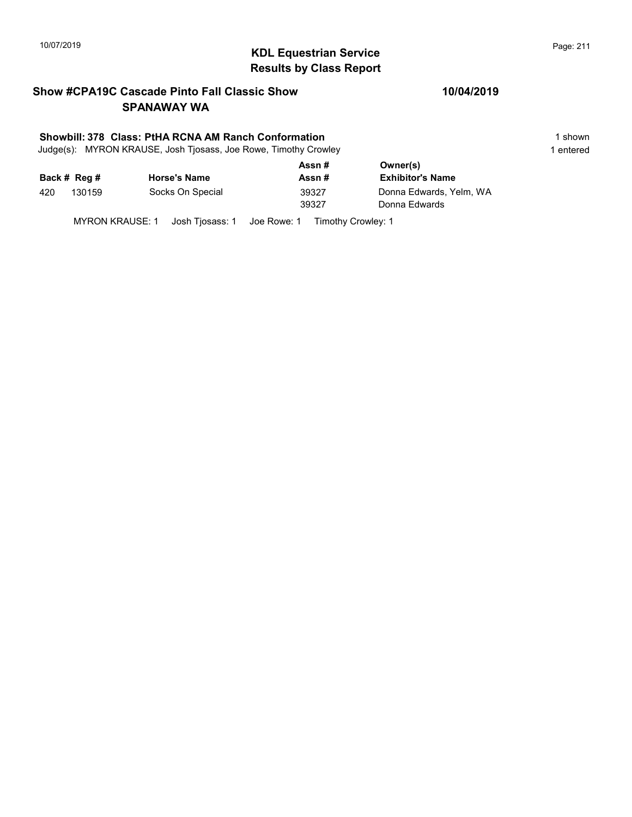# KDL Equestrian Service 10/07/2019 Page: 211 Results by Class Report

### Show #CPA19C Cascade Pinto Fall Classic Show SPANAWAY WA

### Showbill: 378 Class: PtHA RCNA AM Ranch Conformation 1 shown 1 shown

Judge(s): MYRON KRAUSE, Josh Tjosass, Joe Rowe, Timothy Crowley 1 entered 1 entered

|     |              |                     | Assn# | Owner(s)                |
|-----|--------------|---------------------|-------|-------------------------|
|     | Back # Reg # | <b>Horse's Name</b> | Assn# | <b>Exhibitor's Name</b> |
| 420 | 130159       | Socks On Special    | 39327 | Donna Edwards, Yelm, WA |
|     |              |                     | 39327 | Donna Edwards           |
|     |              |                     |       |                         |

MYRON KRAUSE: 1 Josh Tjosass: 1 Joe Rowe: 1 Timothy Crowley: 1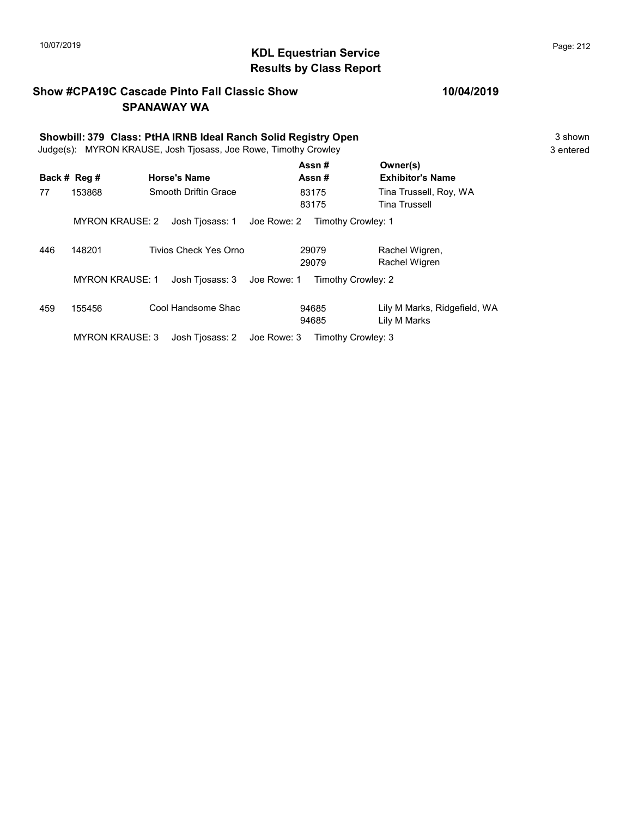## KDL Equestrian Service 10/07/2019 Page: 212 Results by Class Report

### Show #CPA19C Cascade Pinto Fall Classic Show SPANAWAY WA

|     | Showbill: 379 Class: PtHA IRNB Ideal Ranch Solid Registry Open<br>Judge(s): MYRON KRAUSE, Josh Tjosass, Joe Rowe, Timothy Crowley |  |                       |             |                    | 3 shown<br>3 entered                         |  |
|-----|-----------------------------------------------------------------------------------------------------------------------------------|--|-----------------------|-------------|--------------------|----------------------------------------------|--|
|     | Back # Reg #                                                                                                                      |  | <b>Horse's Name</b>   |             | Assn#<br>Assn#     | Owner(s)<br><b>Exhibitor's Name</b>          |  |
| 77  | 153868                                                                                                                            |  | Smooth Driftin Grace  |             | 83175<br>83175     | Tina Trussell, Roy, WA<br>Tina Trussell      |  |
|     | <b>MYRON KRAUSE: 2</b>                                                                                                            |  | Josh Tjosass: 1       | Joe Rowe: 2 | Timothy Crowley: 1 |                                              |  |
| 446 | 148201                                                                                                                            |  | Tivios Check Yes Orno |             | 29079<br>29079     | Rachel Wigren,<br>Rachel Wigren              |  |
|     | <b>MYRON KRAUSE: 1</b>                                                                                                            |  | Josh Tiosass: 3       | Joe Rowe: 1 | Timothy Crowley: 2 |                                              |  |
| 459 | 155456                                                                                                                            |  | Cool Handsome Shac    |             | 94685<br>94685     | Lily M Marks, Ridgefield, WA<br>Lily M Marks |  |
|     | <b>MYRON KRAUSE: 3</b>                                                                                                            |  | Josh Tjosass: 2       | Joe Rowe: 3 | Timothy Crowley: 3 |                                              |  |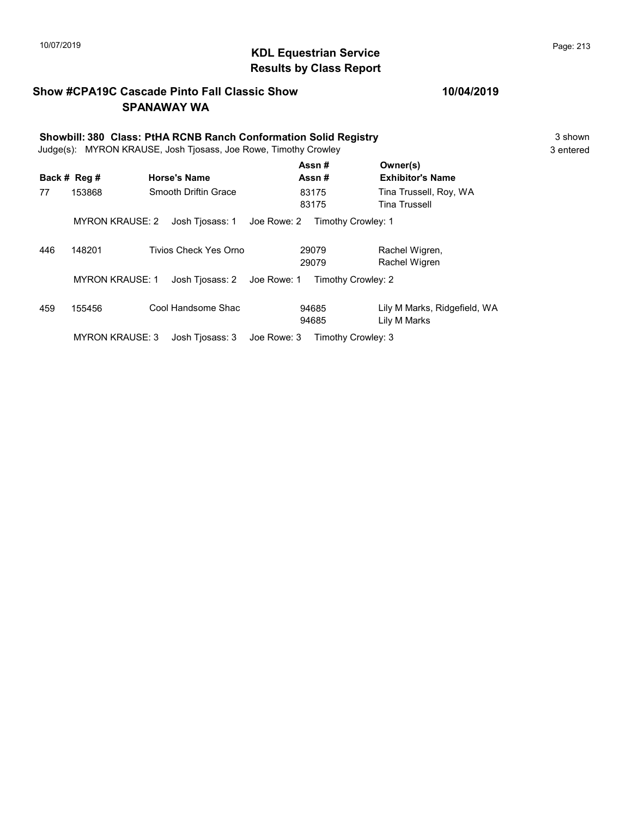## KDL Equestrian Service 10/07/2019 Page: 213 Results by Class Report

### Show #CPA19C Cascade Pinto Fall Classic Show SPANAWAY WA

# Showbill: 380 Class: PtHA RCNB Ranch Conformation Solid Registry<br>
Judge(s): MYRON KRAUSE. Josh Tiosass. Joe Rowe. Timothy Crowley<br>
3 entered

Judge(s): MYRON KRAUSE, Josh Tjosass, Joe Rowe, Timothy Crowley

|     | Back # Reg #           | <b>Horse's Name</b>   | Assn#<br>Assn#                    | Owner(s)<br><b>Exhibitor's Name</b>          |
|-----|------------------------|-----------------------|-----------------------------------|----------------------------------------------|
| 77  | 153868                 | Smooth Driftin Grace  | 83175<br>83175                    | Tina Trussell, Roy, WA<br>Tina Trussell      |
|     | <b>MYRON KRAUSE: 2</b> | Josh Tjosass: 1       | Joe Rowe: 2<br>Timothy Crowley: 1 |                                              |
| 446 | 148201                 | Tivios Check Yes Orno | 29079<br>29079                    | Rachel Wigren,<br>Rachel Wigren              |
|     | <b>MYRON KRAUSE: 1</b> | Josh Tjosass: 2       | Joe Rowe: 1<br>Timothy Crowley: 2 |                                              |
| 459 | 155456                 | Cool Handsome Shac    | 94685<br>94685                    | Lily M Marks, Ridgefield, WA<br>Lily M Marks |
|     | <b>MYRON KRAUSE: 3</b> | Josh Tjosass: 3       | Timothy Crowley: 3<br>Joe Rowe: 3 |                                              |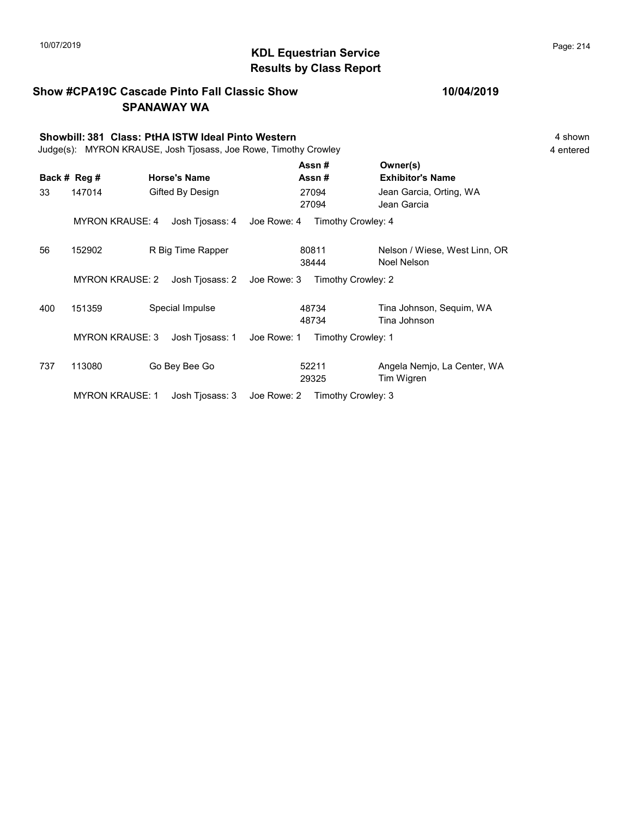### KDL Equestrian Service 10/07/2019 Page: 214 Results by Class Report

Show #CPA19C Cascade Pinto Fall Classic Show SPANAWAY WA Showbill: 381 Class: PtHA ISTW Ideal Pinto Western 4 Shown 4 shown 4 shown Judge(s): MYRON KRAUSE, Josh Tjosass, Joe Rowe, Timothy Crowley 4 entered Back # Reg # Horse's Name  $\overline{R}$  Assn # Exhibitor's Name Assn # Owner(s) 33 147014 Gifted By Design 27094 Jean Garcia, Orting, WA 27094 Jean Garcia 27094 MYRON KRAUSE: 4 Josh Tjosass: 4 Joe Rowe: 4 Timothy Crowley: 4 56 152902 R Big Time Rapper 180811 Nelson / Wiese, West Linn, OR 38444 Noel Nelson 80811 MYRON KRAUSE: 2 Josh Tjosass: 2 Joe Rowe: 3 Timothy Crowley: 2 400 151359 Special Impulse Tina Johnson, Sequim, WA 48734 Tina Johnson 48734 MYRON KRAUSE: 3 Josh Tjosass: 1 Joe Rowe: 1 Timothy Crowley: 1 737 113080 Go Bey Bee Go 52211 Angela Nemjo, La Center, WA 29325 Tim Wigren 52211

MYRON KRAUSE: 1 Josh Tjosass: 3 Joe Rowe: 2 Timothy Crowley: 3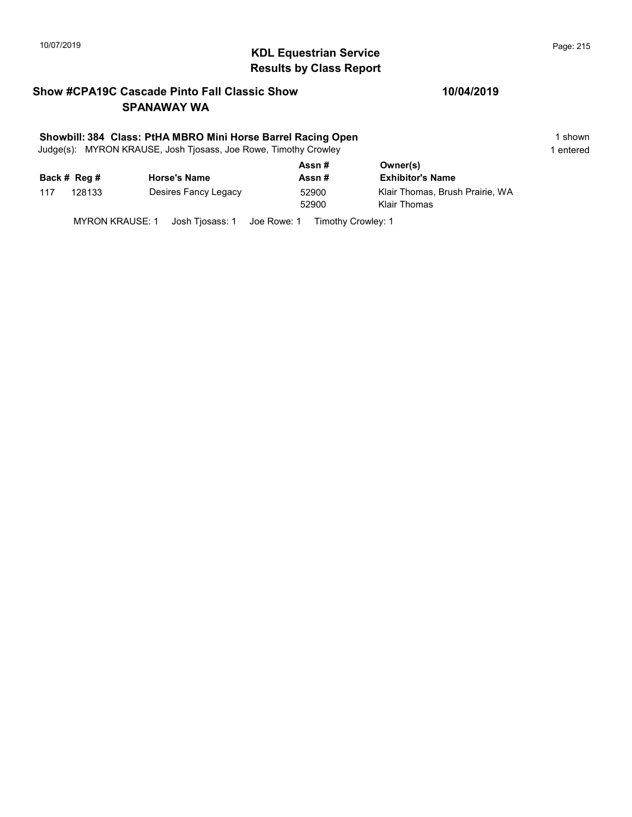# KDL Equestrian Service 10/07/2019 Page: 215 Results by Class Report

### Show #CPA19C Cascade Pinto Fall Classic Show SPANAWAY WA

### Showbill: 384 Class: PtHA MBRO Mini Horse Barrel Racing Open 1 shown 1 shown

Judge(s): MYRON KRAUSE, Josh Tjosass, Joe Rowe, Timothy Crowley 1 entered 1 entered

|     | Back # Reg # | <b>Horse's Name</b>  | Assn#<br>Assn# | Owner(s)<br><b>Exhibitor's Name</b>                    |
|-----|--------------|----------------------|----------------|--------------------------------------------------------|
| 117 | 128133       | Desires Fancy Legacy | 52900<br>52900 | Klair Thomas, Brush Prairie, WA<br><b>Klair Thomas</b> |
|     |              |                      |                |                                                        |

MYRON KRAUSE: 1 Josh Tjosass: 1 Joe Rowe: 1 Timothy Crowley: 1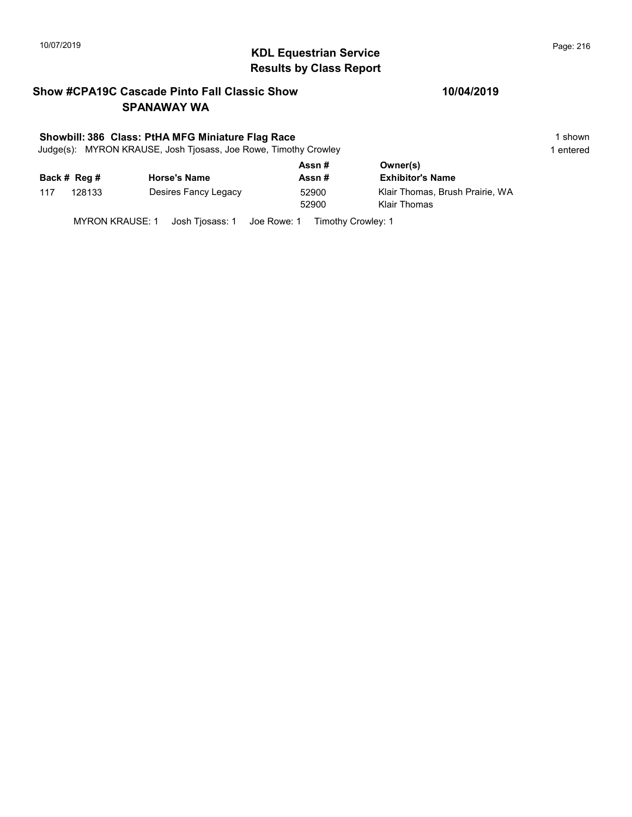# KDL Equestrian Service 10/07/2019 Page: 216 Results by Class Report

### Show #CPA19C Cascade Pinto Fall Classic Show SPANAWAY WA

### Showbill: 386 Class: PtHA MFG Miniature Flag Race 1 shown

Judge(s): MYRON KRAUSE, Josh Tjosass, Joe Rowe, Timothy Crowley 1 entered 1 entered

|     |              |                      | Assn# | Owner(s)                        |
|-----|--------------|----------------------|-------|---------------------------------|
|     | Back # Reg # | <b>Horse's Name</b>  | Assn# | <b>Exhibitor's Name</b>         |
| 117 | 128133       | Desires Fancy Legacy | 52900 | Klair Thomas, Brush Prairie, WA |
|     |              |                      | 52900 | Klair Thomas                    |
|     |              |                      |       |                                 |

MYRON KRAUSE: 1 Josh Tjosass: 1 Joe Rowe: 1 Timothy Crowley: 1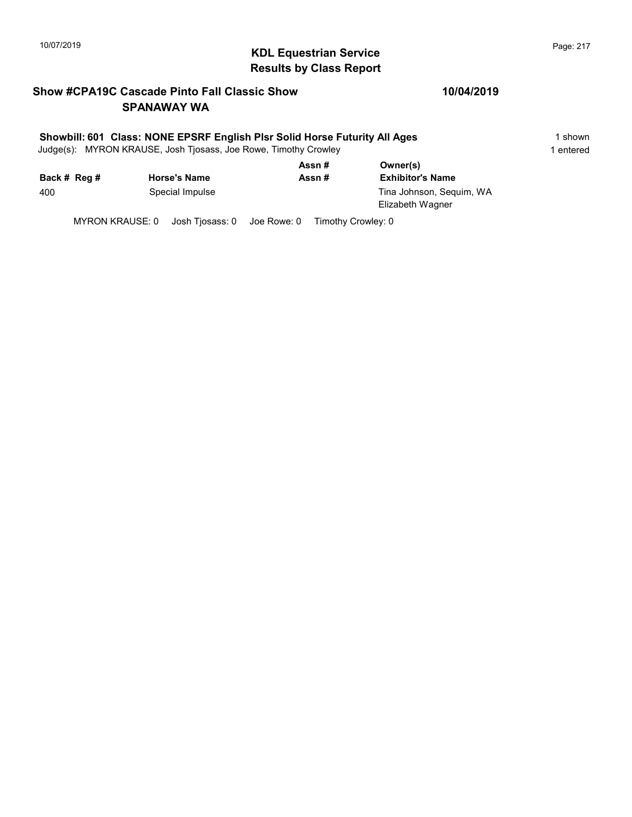# KDL Equestrian Service 10/07/2019 Page: 217 Results by Class Report

## Show #CPA19C Cascade Pinto Fall Classic Show SPANAWAY WA

#### Showbill: 601 Class: NONE EPSRF English Plsr Solid Horse Futurity All Ages 15 Shown

Judge(s): MYRON KRAUSE, Josh Tjosass, Joe Rowe, Timothy Crowley 1 entered 1 entered

|              |                     | Assn# | Owner(s)                                     |  |
|--------------|---------------------|-------|----------------------------------------------|--|
| Back # Reg # | <b>Horse's Name</b> | Assn# | <b>Exhibitor's Name</b>                      |  |
| 400          | Special Impulse     |       | Tina Johnson, Sequim, WA<br>Elizabeth Wagner |  |

MYRON KRAUSE: 0 Josh Tjosass: 0 Joe Rowe: 0 Timothy Crowley: 0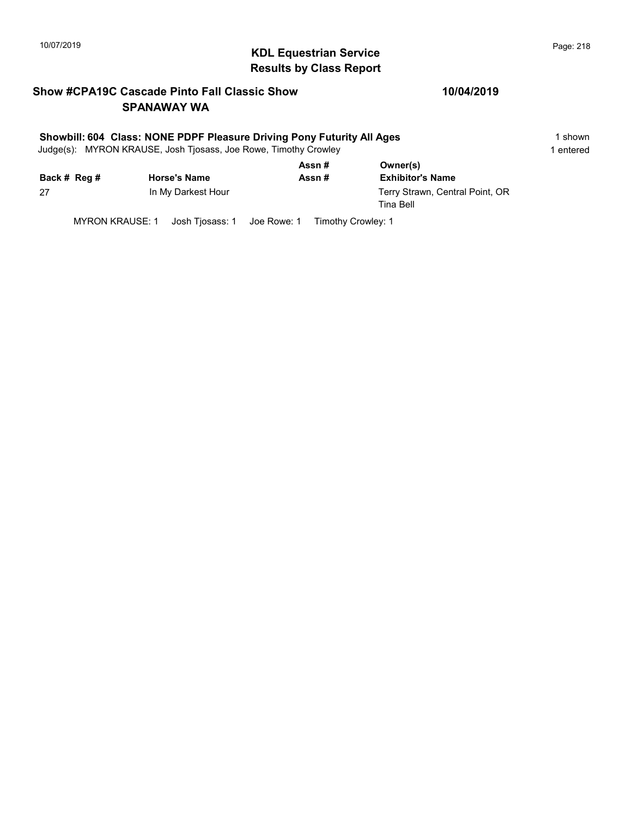# KDL Equestrian Service 10/07/2019 Page: 218 Results by Class Report

## Show #CPA19C Cascade Pinto Fall Classic Show SPANAWAY WA

#### Showbill: 604 Class: NONE PDPF Pleasure Driving Pony Futurity All Ages 1 shown

Judge(s): MYRON KRAUSE, Josh Tjosass, Joe Rowe, Timothy Crowley 1 entered 1 entered

| Back # Reg # | <b>Horse's Name</b> | Assn#<br>Assn# | Owner(s)<br><b>Exhibitor's Name</b>          |
|--------------|---------------------|----------------|----------------------------------------------|
| 27           | In My Darkest Hour  |                | Terry Strawn, Central Point, OR<br>Tina Bell |

MYRON KRAUSE: 1 Josh Tjosass: 1 Joe Rowe: 1 Timothy Crowley: 1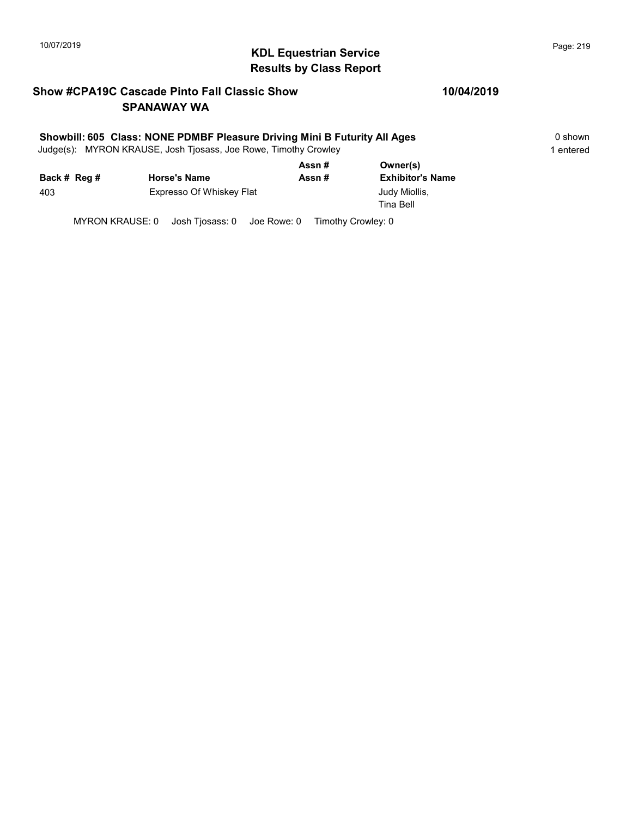# KDL Equestrian Service 10/07/2019 Page: 219 Results by Class Report

## Show #CPA19C Cascade Pinto Fall Classic Show SPANAWAY WA

#### Showbill: 605 Class: NONE PDMBF Pleasure Driving Mini B Futurity All Ages 0 shown

Judge(s): MYRON KRAUSE, Josh Tjosass, Joe Rowe, Timothy Crowley 1 entered 1 entered

|              |                          | Assn#                                   | Owner(s)                   |
|--------------|--------------------------|-----------------------------------------|----------------------------|
| Back # Reg # | <b>Horse's Name</b>      | Assn#                                   | <b>Exhibitor's Name</b>    |
| 403          | Expresso Of Whiskey Flat |                                         | Judy Miollis,<br>Tina Bell |
| $\cdots$     |                          | $\sim$ $\sim$ $\sim$ $\sim$<br><u>_</u> |                            |

MYRON KRAUSE: 0 Josh Tjosass: 0 Joe Rowe: 0 Timothy Crowley: 0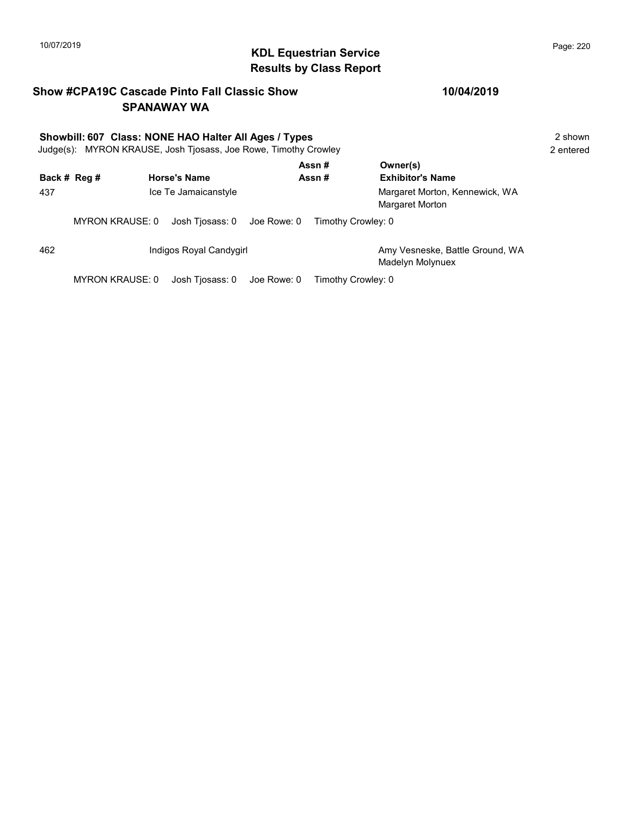#### KDL Equestrian Service 10/07/2019 Page: 220 Results by Class Report

# Show #CPA19C Cascade Pinto Fall Classic Show SPANAWAY WA Showbill: 607 Class: NONE HAO Halter All Ages / Types 2 shown Judge(s): MYRON KRAUSE, Josh Tjosass, Joe Rowe, Timothy Crowley 2 entered Back # Reg # Horse's Name  $\overline{R}$  Assn # Exhibitor's Name Assn # Owner(s) 437 **In the Jamaicanstyle Margaret Morton, Kennewick, WA** Margaret Morton, Kennewick, WA Margaret Morton MYRON KRAUSE: 0 Josh Tjosass: 0 Joe Rowe: 0 Timothy Crowley: 0 462 **Indigos Royal Candygirl Amy Vesneske, Battle Ground, WA** Amy Vesneske, Battle Ground, WA Madelyn Molynuex MYRON KRAUSE: 0 Josh Tjosass: 0 Joe Rowe: 0 Timothy Crowley: 0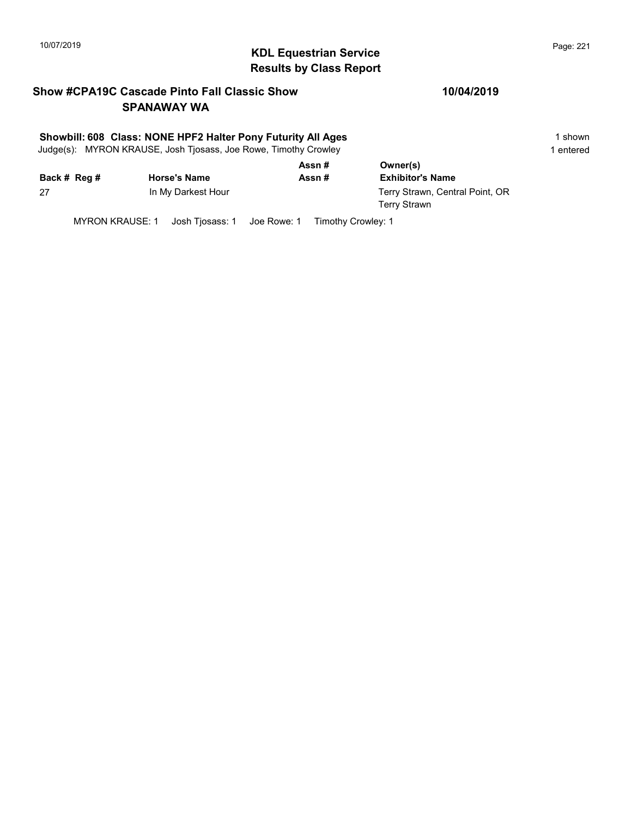# KDL Equestrian Service 10/07/2019 Page: 221 Results by Class Report

## Show #CPA19C Cascade Pinto Fall Classic Show SPANAWAY WA

#### Showbill: 608 Class: NONE HPF2 Halter Pony Futurity All Ages 1 shown

Judge(s): MYRON KRAUSE, Josh Tjosass, Joe Rowe, Timothy Crowley 1 entered 1 entered

|              |                     | Assn# | Owner(s)                                        |
|--------------|---------------------|-------|-------------------------------------------------|
| Back # Reg # | <b>Horse's Name</b> | Assn# | <b>Exhibitor's Name</b>                         |
| 27           | In My Darkest Hour  |       | Terry Strawn, Central Point, OR<br>Terry Strawn |

MYRON KRAUSE: 1 Josh Tjosass: 1 Joe Rowe: 1 Timothy Crowley: 1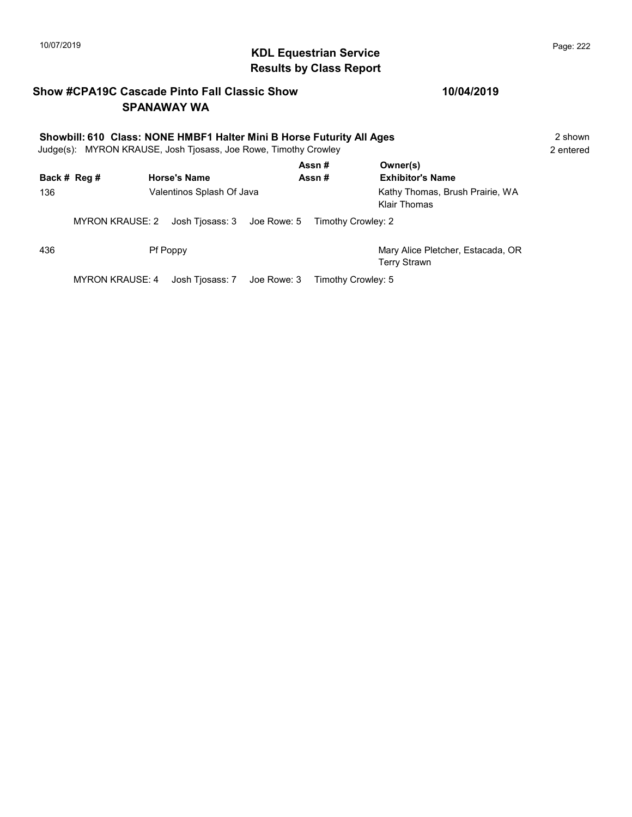# KDL Equestrian Service 10/07/2019 Page: 222 Results by Class Report

## Show #CPA19C Cascade Pinto Fall Classic Show SPANAWAY WA

| Showbill: 610 Class: NONE HMBF1 Halter Mini B Horse Futurity All Ages<br>Judge(s): MYRON KRAUSE, Josh Tjosass, Joe Rowe, Timothy Crowley |                        |  |                             |  | 2 shown<br>2 entered |                                                          |  |
|------------------------------------------------------------------------------------------------------------------------------------------|------------------------|--|-----------------------------|--|----------------------|----------------------------------------------------------|--|
|                                                                                                                                          | Back # Reg #           |  | <b>Horse's Name</b>         |  | Assn#<br>Assn#       | Owner(s)<br><b>Exhibitor's Name</b>                      |  |
| 136                                                                                                                                      |                        |  | Valentinos Splash Of Java   |  |                      | Kathy Thomas, Brush Prairie, WA<br>Klair Thomas          |  |
|                                                                                                                                          | <b>MYRON KRAUSE: 2</b> |  | Josh Tiosass: 3 Joe Rowe: 5 |  | Timothy Crowley: 2   |                                                          |  |
| 436                                                                                                                                      |                        |  | <b>Pf Poppy</b>             |  |                      | Mary Alice Pletcher, Estacada, OR<br><b>Terry Strawn</b> |  |
|                                                                                                                                          | <b>MYRON KRAUSE: 4</b> |  | Josh Tjosass: 7 Joe Rowe: 3 |  | Timothy Crowley: 5   |                                                          |  |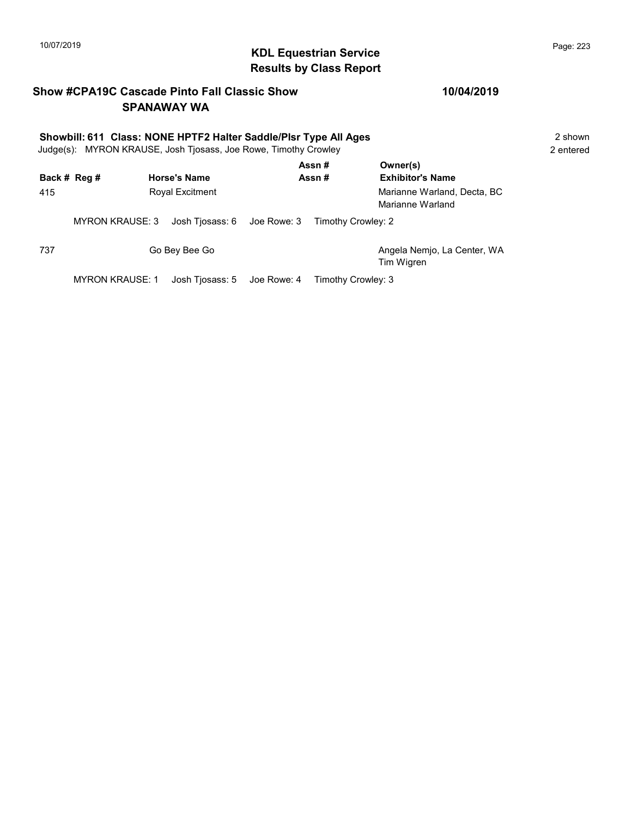# KDL Equestrian Service 10/07/2019 Page: 223 Results by Class Report

## Show #CPA19C Cascade Pinto Fall Classic Show SPANAWAY WA

#### 10/04/2019

Tim Wigren

| Showbill: 611 Class: NONE HPTF2 Halter Saddle/Plsr Type All Ages<br>Judge(s): MYRON KRAUSE, Josh Tjosass, Joe Rowe, Timothy Crowley |                        |                                        |  |                    | 2 shown<br>2 entered                                                                   |  |
|-------------------------------------------------------------------------------------------------------------------------------------|------------------------|----------------------------------------|--|--------------------|----------------------------------------------------------------------------------------|--|
| 415                                                                                                                                 | Back # Reg #           | <b>Horse's Name</b><br>Royal Excitment |  | Assn#<br>Assn#     | Owner(s)<br><b>Exhibitor's Name</b><br>Marianne Warland, Decta, BC<br>Marianne Warland |  |
|                                                                                                                                     | <b>MYRON KRAUSE: 3</b> | Josh Tjosass: 6 Joe Rowe: 3            |  | Timothy Crowley: 2 |                                                                                        |  |
| 737                                                                                                                                 |                        | Go Bey Bee Go                          |  |                    | Angela Nemjo, La Center, WA                                                            |  |

MYRON KRAUSE: 1 Josh Tjosass: 5 Joe Rowe: 4 Timothy Crowley: 3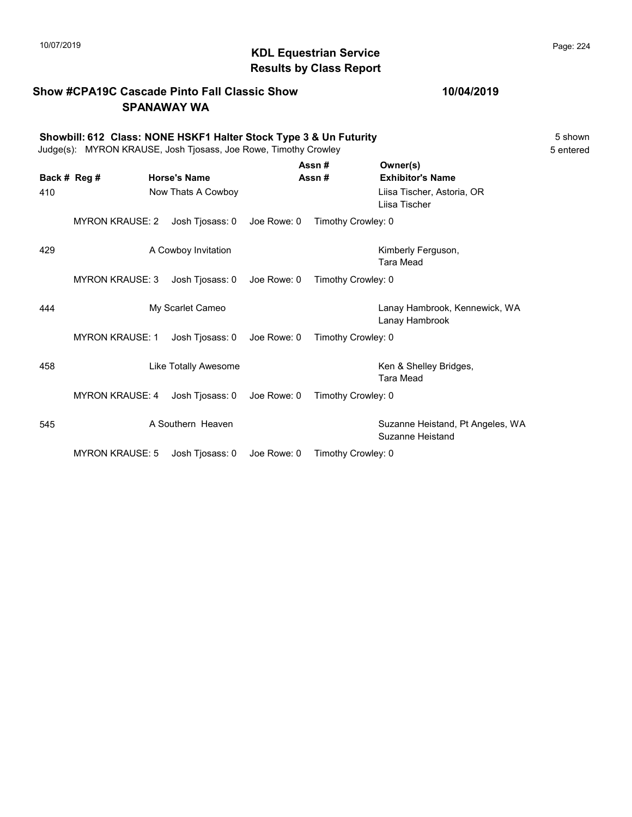# KDL Equestrian Service 10/07/2019 Page: 224 Results by Class Report

## Show #CPA19C Cascade Pinto Fall Classic Show SPANAWAY WA

#### Showbill: 612 Class: NONE HSKF1 Halter Stock Type 3 & Un Futurity<br>Judge(s): MYRON KRAUSE. Josh Tiosass. Joe Rowe. Timothy Crowley Judge(s): MYRON KRAUSE, Josh Tjosass, Joe Rowe, Timothy Crowley

|              |                        |                      |             | Assn#              | Owner(s)                                             |
|--------------|------------------------|----------------------|-------------|--------------------|------------------------------------------------------|
| Back # Reg # |                        | <b>Horse's Name</b>  |             | Assn#              | <b>Exhibitor's Name</b>                              |
| 410          |                        | Now Thats A Cowboy   |             |                    | Liisa Tischer, Astoria, OR<br>Liisa Tischer          |
|              | <b>MYRON KRAUSE: 2</b> | Josh Tjosass: 0      | Joe Rowe: 0 | Timothy Crowley: 0 |                                                      |
| 429          |                        | A Cowboy Invitation  |             |                    | Kimberly Ferguson,<br><b>Tara Mead</b>               |
|              | <b>MYRON KRAUSE: 3</b> | Josh Tjosass: 0      | Joe Rowe: 0 | Timothy Crowley: 0 |                                                      |
| 444          |                        | My Scarlet Cameo     |             |                    | Lanay Hambrook, Kennewick, WA<br>Lanay Hambrook      |
|              | <b>MYRON KRAUSE: 1</b> | Josh Tjosass: 0      | Joe Rowe: 0 | Timothy Crowley: 0 |                                                      |
| 458          |                        | Like Totally Awesome |             |                    | Ken & Shelley Bridges,<br><b>Tara Mead</b>           |
|              | <b>MYRON KRAUSE: 4</b> | Josh Tjosass: 0      | Joe Rowe: 0 | Timothy Crowley: 0 |                                                      |
| 545          |                        | A Southern Heaven    |             |                    | Suzanne Heistand, Pt Angeles, WA<br>Suzanne Heistand |
|              | <b>MYRON KRAUSE: 5</b> | Josh Tjosass: 0      | Joe Rowe: 0 | Timothy Crowley: 0 |                                                      |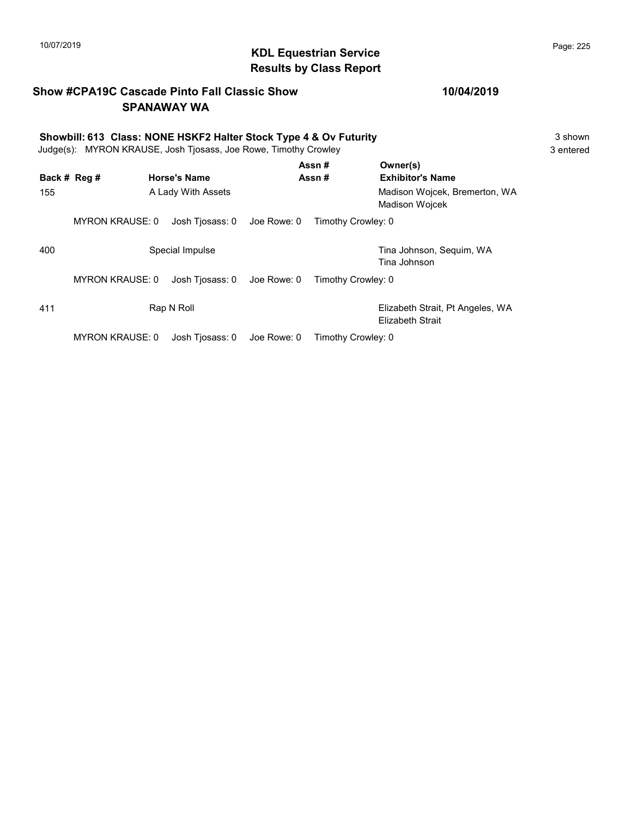# KDL Equestrian Service 10/07/2019 Page: 225 Results by Class Report

## Show #CPA19C Cascade Pinto Fall Classic Show SPANAWAY WA

| Showbill: 613 Class: NONE HSKF2 Halter Stock Type 4 & Ov Futurity<br>Judge(s): MYRON KRAUSE, Josh Tjosass, Joe Rowe, Timothy Crowley |                        |  |                     |             | 3 shown<br>3 entered |                                                        |  |
|--------------------------------------------------------------------------------------------------------------------------------------|------------------------|--|---------------------|-------------|----------------------|--------------------------------------------------------|--|
|                                                                                                                                      | Back # Reg #           |  | <b>Horse's Name</b> |             | Assn#<br>Assn#       | Owner(s)<br><b>Exhibitor's Name</b>                    |  |
| 155                                                                                                                                  |                        |  | A Lady With Assets  |             |                      | Madison Wojcek, Bremerton, WA<br><b>Madison Wojcek</b> |  |
|                                                                                                                                      | <b>MYRON KRAUSE: 0</b> |  | Josh Tiosass: 0     | Joe Rowe: 0 | Timothy Crowley: 0   |                                                        |  |
| 400                                                                                                                                  |                        |  | Special Impulse     |             |                      | Tina Johnson, Sequim, WA<br>Tina Johnson               |  |
|                                                                                                                                      | <b>MYRON KRAUSE: 0</b> |  | Josh Tjosass: 0     | Joe Rowe: 0 | Timothy Crowley: 0   |                                                        |  |
| 411                                                                                                                                  |                        |  | Rap N Roll          |             |                      | Elizabeth Strait, Pt Angeles, WA<br>Elizabeth Strait   |  |

MYRON KRAUSE: 0 Josh Tjosass: 0 Joe Rowe: 0 Timothy Crowley: 0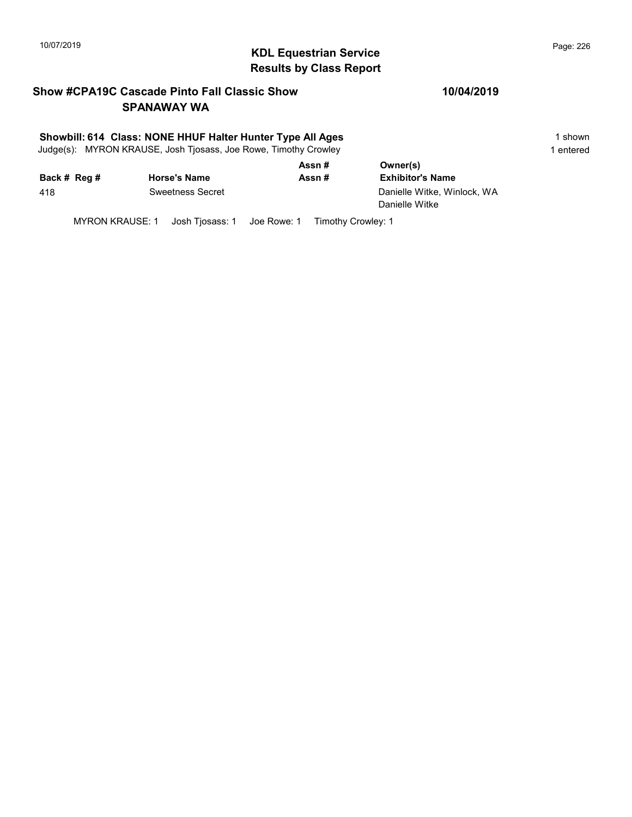# KDL Equestrian Service 10/07/2019 Page: 226 Results by Class Report

## Show #CPA19C Cascade Pinto Fall Classic Show SPANAWAY WA

#### Showbill: 614 Class: NONE HHUF Halter Hunter Type All Ages 1 shown

Judge(s): MYRON KRAUSE, Josh Tjosass, Joe Rowe, Timothy Crowley 1 entered 1 entered

|              |                         | Assn# | Owner(s)                    |
|--------------|-------------------------|-------|-----------------------------|
| Back # Reg # | <b>Horse's Name</b>     | Assn# | <b>Exhibitor's Name</b>     |
| 418          | <b>Sweetness Secret</b> |       | Danielle Witke, Winlock, WA |
|              |                         |       | Danielle Witke              |

MYRON KRAUSE: 1 Josh Tjosass: 1 Joe Rowe: 1 Timothy Crowley: 1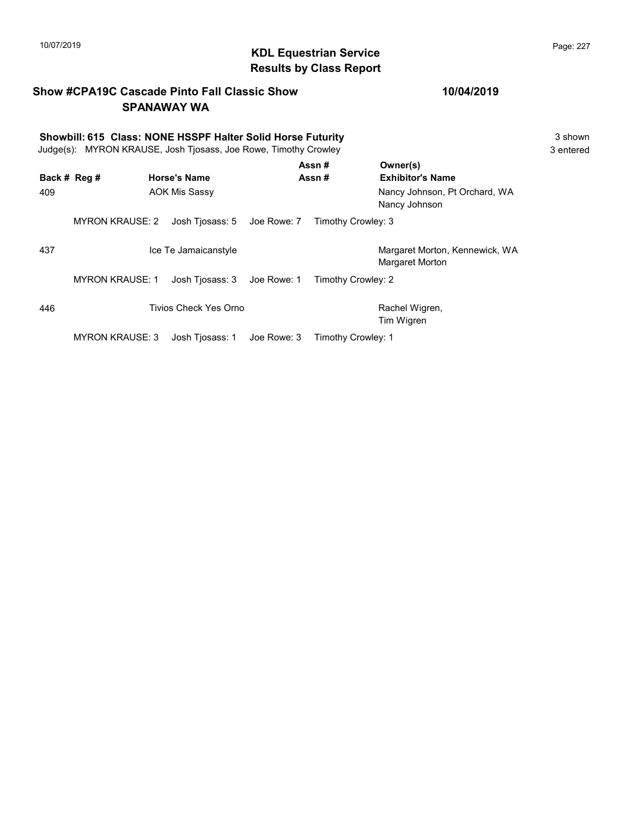# KDL Equestrian Service 10/07/2019 Page: 227 Results by Class Report

## Show #CPA19C Cascade Pinto Fall Classic Show SPANAWAY WA

|                     | Showbill: 615 Class: NONE HSSPF Halter Solid Horse Futurity<br>Judge(s): MYRON KRAUSE, Josh Tjosass, Joe Rowe, Timothy Crowley |                                             |             |                    |                                                                                       | 3 shown<br>3 entered |
|---------------------|--------------------------------------------------------------------------------------------------------------------------------|---------------------------------------------|-------------|--------------------|---------------------------------------------------------------------------------------|----------------------|
| Back # Reg #<br>409 |                                                                                                                                | <b>Horse's Name</b><br><b>AOK Mis Sassy</b> |             | Assn#<br>Assn#     | Owner(s)<br><b>Exhibitor's Name</b><br>Nancy Johnson, Pt Orchard, WA<br>Nancy Johnson |                      |
|                     | <b>MYRON KRAUSE: 2</b>                                                                                                         | Josh Tjosass: 5 Joe Rowe: 7                 |             | Timothy Crowley: 3 |                                                                                       |                      |
| 437                 |                                                                                                                                | Ice Te Jamaicanstyle                        |             |                    | Margaret Morton, Kennewick, WA<br>Margaret Morton                                     |                      |
|                     | <b>MYRON KRAUSE: 1</b>                                                                                                         | Josh Tjosass: 3                             | Joe Rowe: 1 | Timothy Crowley: 2 |                                                                                       |                      |
| 446                 |                                                                                                                                | Tivios Check Yes Orno                       |             |                    | Rachel Wigren,<br>Tim Wigren                                                          |                      |
|                     | <b>MYRON KRAUSE: 3</b>                                                                                                         | Josh Tiosass: 1                             | Joe Rowe: 3 | Timothy Crowley: 1 |                                                                                       |                      |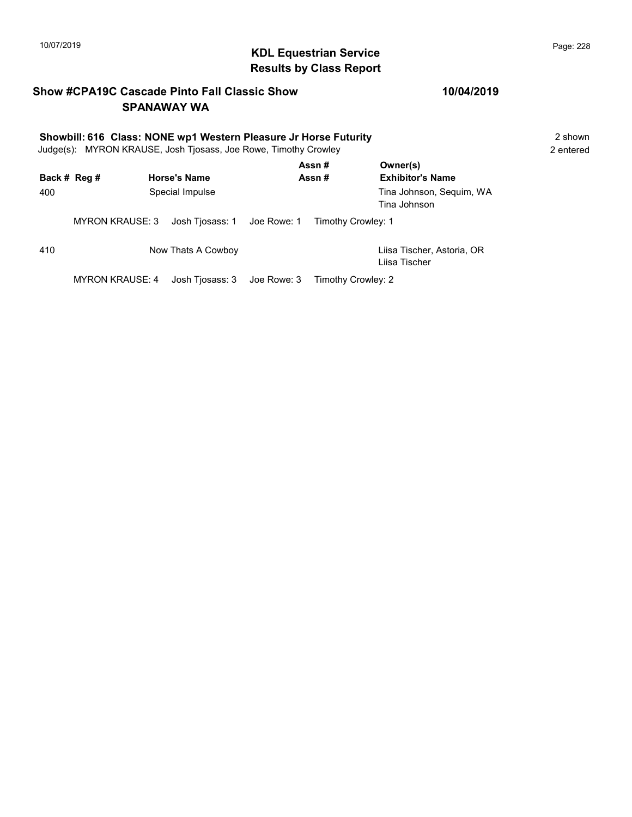#### KDL Equestrian Service 10/07/2019 Page: 228 Results by Class Report

## Show #CPA19C Cascade Pinto Fall Classic Show SPANAWAY WA

#### 10/04/2019

#### Showbill: 616 Class: NONE wp1 Western Pleasure Jr Horse Futurity 2 Shown 2 shown Judge(s): MYRON KRAUSE, Josh Tjosass, Joe Rowe, Timothy Crowley 2 entered Assn # Owner(s)

Back # Reg # Horse's Name  $\overline{R}$  Assn # Exhibitor's Name 400 Special Impulse Tina Johnson, Sequim, WA Tina Johnson MYRON KRAUSE: 3 Josh Tjosass: 1 Joe Rowe: 1 Timothy Crowley: 1 410 Now Thats A Cowboy Liisa Tischer, Astoria, OR Liisa Tischer MYRON KRAUSE: 4 Josh Tjosass: 3 Joe Rowe: 3 Timothy Crowley: 2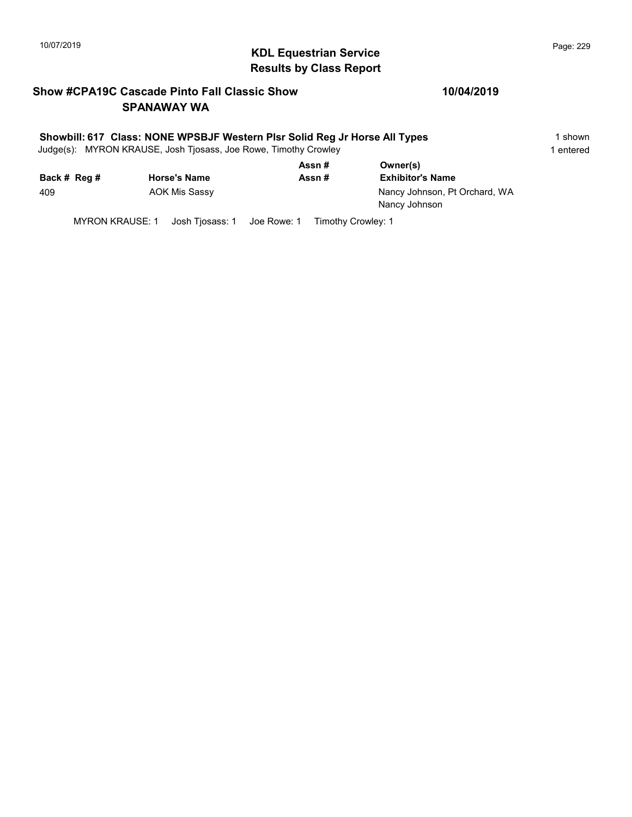# KDL Equestrian Service 10/07/2019 Page: 229 Results by Class Report

## Show #CPA19C Cascade Pinto Fall Classic Show SPANAWAY WA

#### 10/04/2019

#### Showbill: 617 Class: NONE WPSBJF Western Plsr Solid Reg Jr Horse All Types 15hown

Judge(s): MYRON KRAUSE, Josh Tjosass, Joe Rowe, Timothy Crowley 1 entered 1 entered

|              |                     | Assn# | Owner(s)                                       |
|--------------|---------------------|-------|------------------------------------------------|
| Back # Reg # | <b>Horse's Name</b> | Assn# | <b>Exhibitor's Name</b>                        |
| 409          | AOK Mis Sassy       |       | Nancy Johnson, Pt Orchard, WA<br>Nancy Johnson |

MYRON KRAUSE: 1 Josh Tjosass: 1 Joe Rowe: 1 Timothy Crowley: 1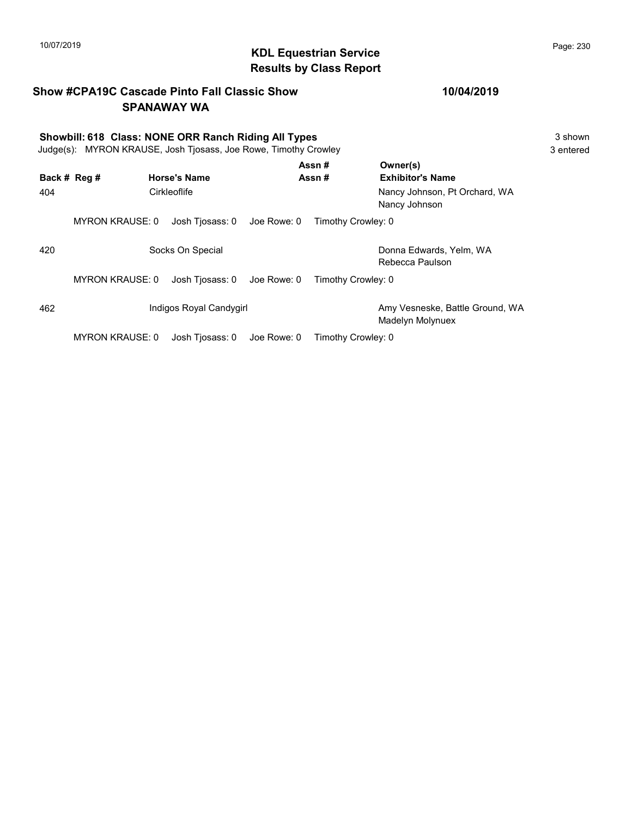#### KDL Equestrian Service 10/07/2019 Page: 230 Results by Class Report

#### Show #CPA19C Cascade Pinto Fall Classic Show SPANAWAY WA

#### 10/04/2019

## Showbill: 618 Class: NONE ORR Ranch Riding All Types 3 shown Judge(s): MYRON KRAUSE, Josh Tjosass, Joe Rowe, Timothy Crowley 3 entered Back # Reg # Horse's Name  $\overline{R}$  Assn # Exhibitor's Name Assn # Owner(s) 404 Cirkleoflife Nancy Johnson, Pt Orchard, WA Nancy Johnson MYRON KRAUSE: 0 Josh Tjosass: 0 Joe Rowe: 0 Timothy Crowley: 0 420 Socks On Special Communication Conna Edwards, Yelm, WA Rebecca Paulson MYRON KRAUSE: 0 Josh Tjosass: 0 Joe Rowe: 0 Timothy Crowley: 0 462 Indigos Royal Candygirl Amy Vesneske, Battle Ground, WA Madelyn Molynuex

MYRON KRAUSE: 0 Josh Tjosass: 0 Joe Rowe: 0 Timothy Crowley: 0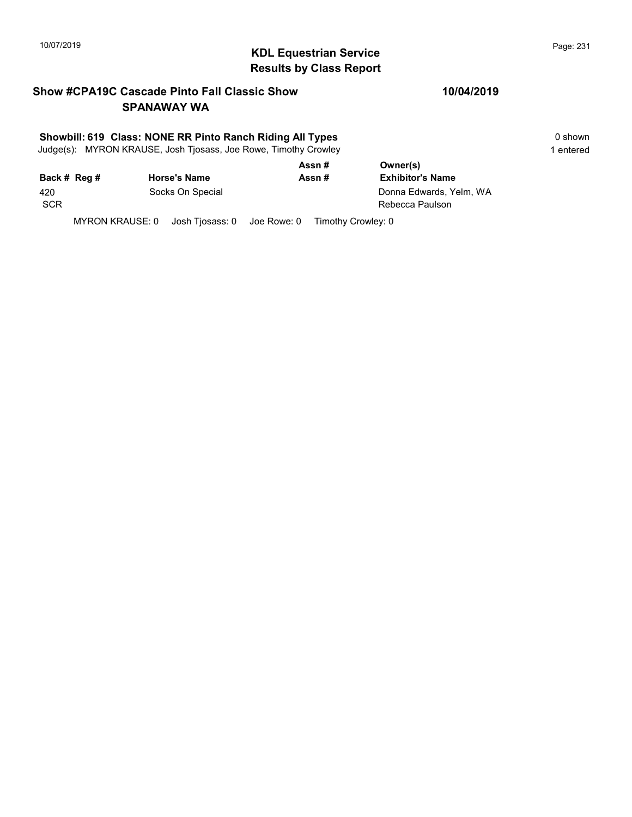# KDL Equestrian Service 10/07/2019 Page: 231 Results by Class Report

## Show #CPA19C Cascade Pinto Fall Classic Show SPANAWAY WA

#### Showbill: 619 Class: NONE RR Pinto Ranch Riding All Types 0 shown

Judge(s): MYRON KRAUSE, Josh Tjosass, Joe Rowe, Timothy Crowley 1 entered 1 entered

|              |                     | Assn#  | Owner(s)                |  |
|--------------|---------------------|--------|-------------------------|--|
| Back # Reg # | <b>Horse's Name</b> | Assn # | <b>Exhibitor's Name</b> |  |
| 420          | Socks On Special    |        | Donna Edwards, Yelm, WA |  |
| <b>SCR</b>   |                     |        | Rebecca Paulson         |  |
|              |                     |        |                         |  |

MYRON KRAUSE: 0 Josh Tjosass: 0 Joe Rowe: 0 Timothy Crowley: 0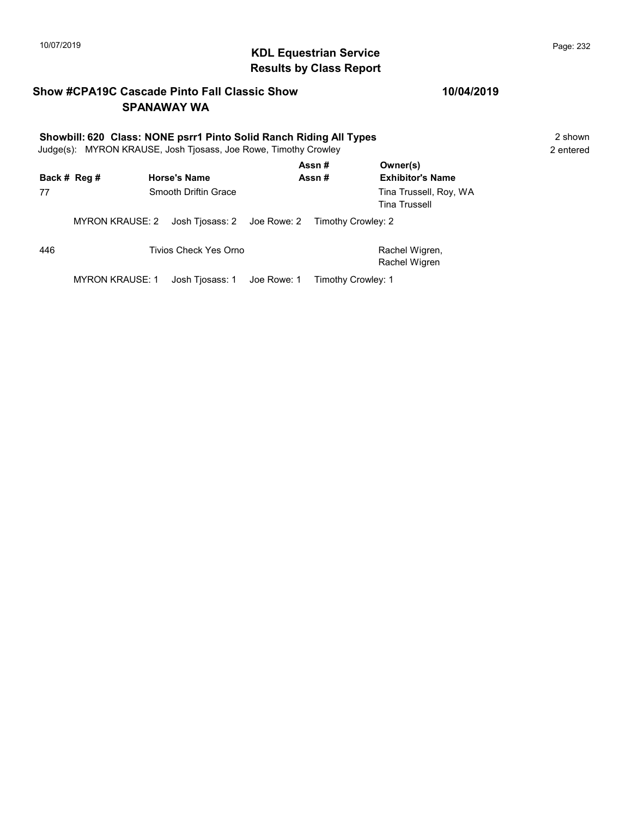# KDL Equestrian Service 10/07/2019 Page: 232 Results by Class Report

## Show #CPA19C Cascade Pinto Fall Classic Show SPANAWAY WA

# Showbill: 620 Class: NONE psrr1 Pinto Solid Ranch Riding All Types 2 shown 2 shown

Judge(s): MYRON KRAUSE, Josh Tjosass, Joe Rowe, Timothy Crowley 2. 2 entered

|     | Back # Reg #    | <b>Horse's Name</b>                            | Assn#<br>Assn#     | Owner(s)<br><b>Exhibitor's Name</b>            |
|-----|-----------------|------------------------------------------------|--------------------|------------------------------------------------|
| 77  |                 | Smooth Driftin Grace                           |                    | Tina Trussell, Roy, WA<br><b>Tina Trussell</b> |
|     | MYRON KRAUSE: 2 | Josh Tjosass: 2 Joe Rowe: 2 Timothy Crowley: 2 |                    |                                                |
| 446 |                 | Tivios Check Yes Orno                          |                    | Rachel Wigren,<br>Rachel Wigren                |
|     | MYRON KRAUSE: 1 |                                                | Timothy Crowley: 1 |                                                |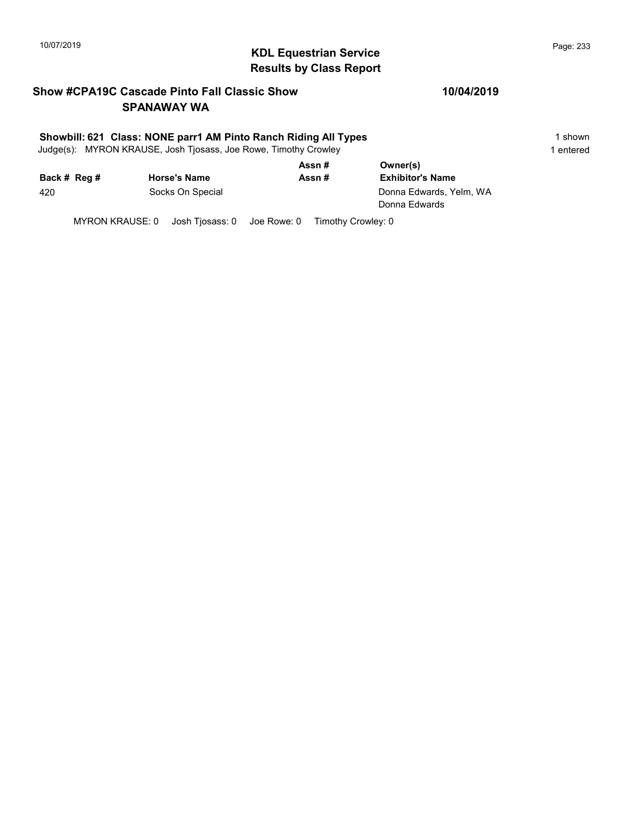# 10/07/2019 **Page: 233**<br> **KDL Equestrian Service Page: 233** Results by Class Report

## Show #CPA19C Cascade Pinto Fall Classic Show SPANAWAY WA

#### Showbill: 621 Class: NONE parr1 AM Pinto Ranch Riding All Types 1 Shown 1 shown

Judge(s): MYRON KRAUSE, Josh Tjosass, Joe Rowe, Timothy Crowley 1 entered 1 entered

|              |                     | Assn# | Owner(s)                                 |  |
|--------------|---------------------|-------|------------------------------------------|--|
| Back # Reg # | <b>Horse's Name</b> | Assn# | <b>Exhibitor's Name</b>                  |  |
| 420          | Socks On Special    |       | Donna Edwards, Yelm, WA<br>Donna Edwards |  |

MYRON KRAUSE: 0 Josh Tjosass: 0 Joe Rowe: 0 Timothy Crowley: 0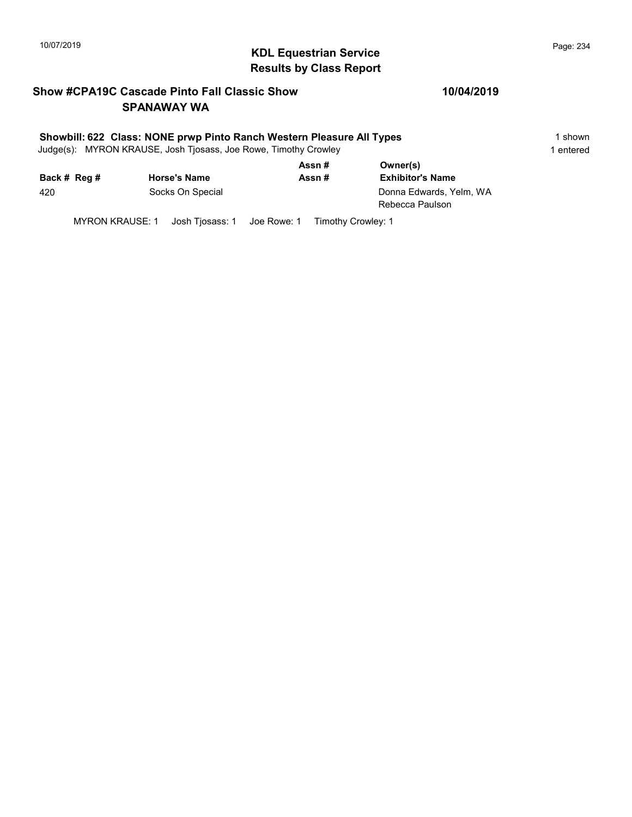# KDL Equestrian Service 10/07/2019 Page: 234 Results by Class Report

## Show #CPA19C Cascade Pinto Fall Classic Show SPANAWAY WA

#### Showbill: 622 Class: NONE prwp Pinto Ranch Western Pleasure All Types 1 Shown 1 shown

Judge(s): MYRON KRAUSE, Josh Tjosass, Joe Rowe, Timothy Crowley 1 entered 1 entered

|              |                     | Assn# | Owner(s)                                   |  |
|--------------|---------------------|-------|--------------------------------------------|--|
| Back # Reg # | <b>Horse's Name</b> | Assn# | <b>Exhibitor's Name</b>                    |  |
| 420          | Socks On Special    |       | Donna Edwards, Yelm, WA<br>Rebecca Paulson |  |

MYRON KRAUSE: 1 Josh Tjosass: 1 Joe Rowe: 1 Timothy Crowley: 1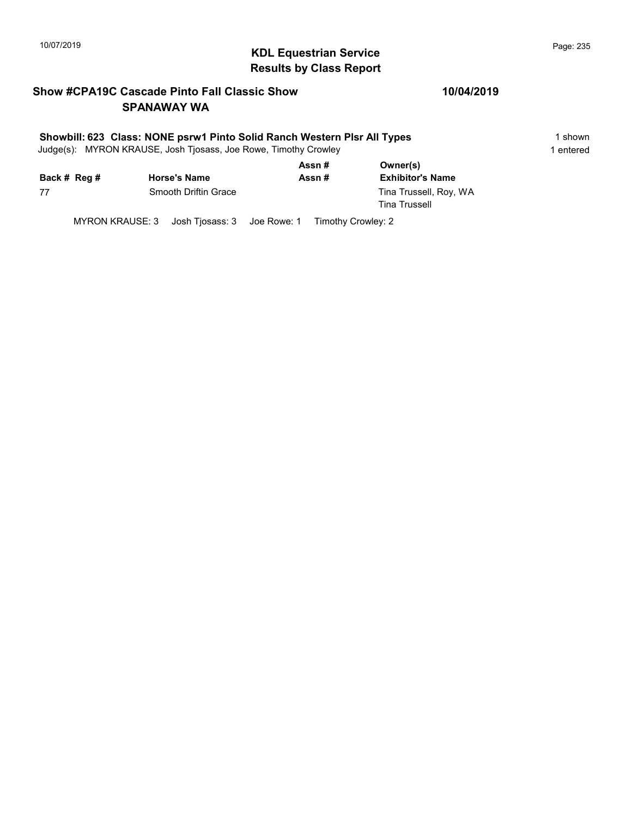# 10/07/2019 **Page: 235**<br> **KDL Equestrian Service Page: 235** Results by Class Report

## Show #CPA19C Cascade Pinto Fall Classic Show SPANAWAY WA

#### Showbill: 623 Class: NONE psrw1 Pinto Solid Ranch Western Plsr All Types 1 Shown

Judge(s): MYRON KRAUSE, Josh Tjosass, Joe Rowe, Timothy Crowley 1 entered 1 entered

|              |                      | Assn# | Owner(s)                                       |
|--------------|----------------------|-------|------------------------------------------------|
| Back # Reg # | <b>Horse's Name</b>  | Assn# | <b>Exhibitor's Name</b>                        |
| 77           | Smooth Driftin Grace |       | Tina Trussell, Roy, WA<br><b>Tina Trussell</b> |

MYRON KRAUSE: 3 Josh Tjosass: 3 Joe Rowe: 1 Timothy Crowley: 2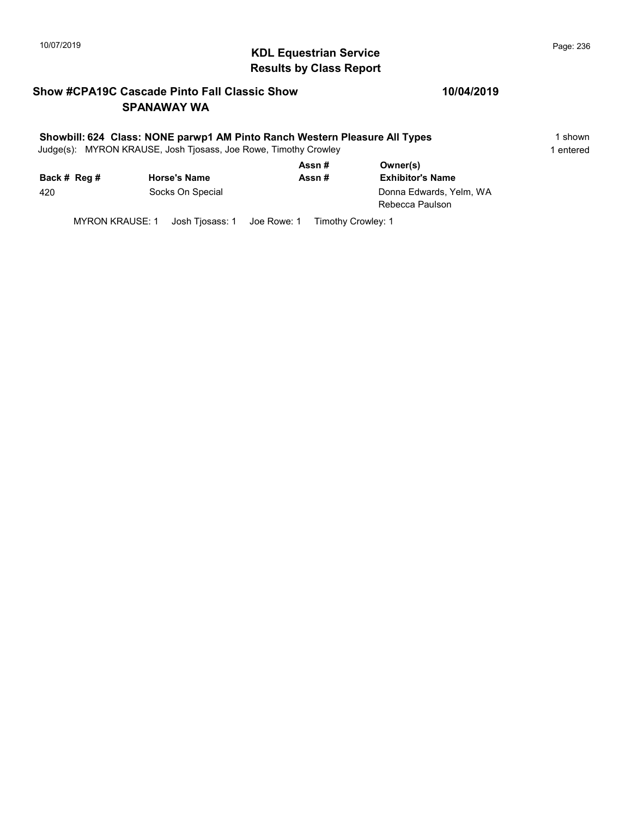# 10/07/2019 **Page: 236**<br> **KDL Equestrian Service Page: 236** Results by Class Report

## Show #CPA19C Cascade Pinto Fall Classic Show SPANAWAY WA

#### 10/04/2019

#### Showbill: 624 Class: NONE parwp1 AM Pinto Ranch Western Pleasure All Types 15hown

Judge(s): MYRON KRAUSE, Josh Tjosass, Joe Rowe, Timothy Crowley 1 entered 1 entered

|              |                     | Assn# | Owner(s)                                   |  |
|--------------|---------------------|-------|--------------------------------------------|--|
| Back # Reg # | <b>Horse's Name</b> | Assn# | <b>Exhibitor's Name</b>                    |  |
| 420          | Socks On Special    |       | Donna Edwards, Yelm, WA<br>Rebecca Paulson |  |

MYRON KRAUSE: 1 Josh Tjosass: 1 Joe Rowe: 1 Timothy Crowley: 1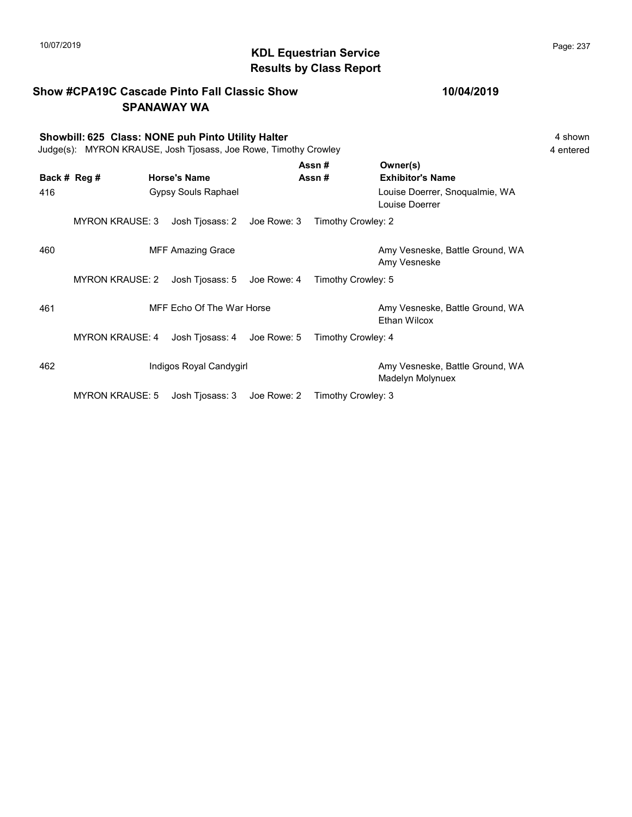# KDL Equestrian Service 10/07/2019 Page: 237 Results by Class Report

|     |                        | <b>Show #CPA19C Cascade Pinto Fall Classic Show</b><br><b>SPANAWAY WA</b>                                             |             |                    | 10/04/2019                                             |                      |
|-----|------------------------|-----------------------------------------------------------------------------------------------------------------------|-------------|--------------------|--------------------------------------------------------|----------------------|
|     |                        | Showbill: 625 Class: NONE puh Pinto Utility Halter<br>Judge(s): MYRON KRAUSE, Josh Tjosass, Joe Rowe, Timothy Crowley |             |                    |                                                        | 4 shown<br>4 entered |
|     | Back # Reg #           | <b>Horse's Name</b>                                                                                                   |             | Assn#<br>Assn#     | Owner(s)<br><b>Exhibitor's Name</b>                    |                      |
| 416 |                        | Gypsy Souls Raphael                                                                                                   |             |                    | Louise Doerrer, Snoqualmie, WA<br>Louise Doerrer       |                      |
|     | <b>MYRON KRAUSE: 3</b> | Josh Tjosass: 2 Joe Rowe: 3                                                                                           |             | Timothy Crowley: 2 |                                                        |                      |
| 460 |                        | <b>MFF Amazing Grace</b>                                                                                              |             |                    | Amy Vesneske, Battle Ground, WA<br>Amy Vesneske        |                      |
|     | <b>MYRON KRAUSE: 2</b> | Josh Tjosass: 5                                                                                                       | Joe Rowe: 4 | Timothy Crowley: 5 |                                                        |                      |
| 461 |                        | MFF Echo Of The War Horse                                                                                             |             |                    | Amy Vesneske, Battle Ground, WA<br><b>Ethan Wilcox</b> |                      |
|     | <b>MYRON KRAUSE: 4</b> | Josh Tjosass: 4 Joe Rowe: 5                                                                                           |             | Timothy Crowley: 4 |                                                        |                      |
| 462 |                        | Indigos Royal Candygirl                                                                                               |             |                    | Amy Vesneske, Battle Ground, WA<br>Madelyn Molynuex    |                      |
|     | <b>MYRON KRAUSE: 5</b> | Josh Tiosass: 3                                                                                                       | Joe Rowe: 2 | Timothy Crowley: 3 |                                                        |                      |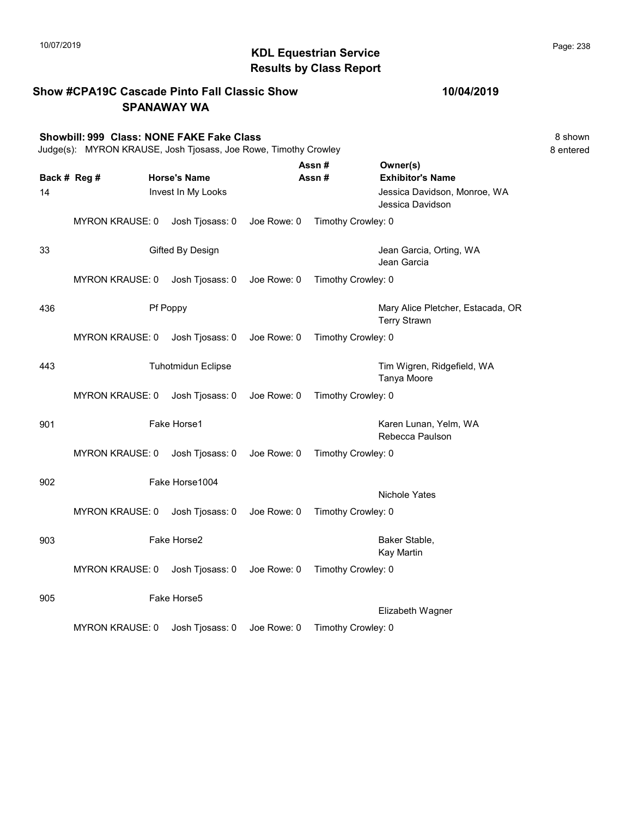# 10/07/2019 **Page: 238**<br> **KDL Equestrian Service Page: 238** Results by Class Report

| <b>Show #CPA19C Cascade Pinto Fall Classic Show</b><br><b>SPANAWAY WA</b> |                                                                                                              |                                           | 10/04/2019  |                    |                                                                     |                      |
|---------------------------------------------------------------------------|--------------------------------------------------------------------------------------------------------------|-------------------------------------------|-------------|--------------------|---------------------------------------------------------------------|----------------------|
|                                                                           | Showbill: 999 Class: NONE FAKE Fake Class<br>Judge(s): MYRON KRAUSE, Josh Tjosass, Joe Rowe, Timothy Crowley |                                           |             |                    |                                                                     | 8 shown<br>8 entered |
| 14                                                                        | Back # Reg #                                                                                                 | <b>Horse's Name</b><br>Invest In My Looks |             | Assn#<br>Assn#     | Owner(s)<br><b>Exhibitor's Name</b><br>Jessica Davidson, Monroe, WA |                      |
|                                                                           |                                                                                                              |                                           |             |                    | Jessica Davidson                                                    |                      |
|                                                                           | <b>MYRON KRAUSE: 0</b>                                                                                       | Josh Tjosass: 0                           | Joe Rowe: 0 | Timothy Crowley: 0 |                                                                     |                      |
| 33                                                                        |                                                                                                              | Gifted By Design                          |             |                    | Jean Garcia, Orting, WA<br>Jean Garcia                              |                      |
|                                                                           | <b>MYRON KRAUSE: 0</b>                                                                                       | Josh Tjosass: 0 Joe Rowe: 0               |             | Timothy Crowley: 0 |                                                                     |                      |
| 436                                                                       |                                                                                                              | Pf Poppy                                  |             |                    | Mary Alice Pletcher, Estacada, OR<br><b>Terry Strawn</b>            |                      |
|                                                                           | <b>MYRON KRAUSE: 0</b>                                                                                       | Josh Tjosass: 0                           | Joe Rowe: 0 | Timothy Crowley: 0 |                                                                     |                      |
| 443                                                                       |                                                                                                              | <b>Tuhotmidun Eclipse</b>                 |             |                    | Tim Wigren, Ridgefield, WA<br>Tanya Moore                           |                      |
|                                                                           | <b>MYRON KRAUSE: 0</b>                                                                                       | Josh Tjosass: 0                           | Joe Rowe: 0 | Timothy Crowley: 0 |                                                                     |                      |
| 901                                                                       |                                                                                                              | Fake Horse1                               |             |                    | Karen Lunan, Yelm, WA<br>Rebecca Paulson                            |                      |
|                                                                           | <b>MYRON KRAUSE: 0</b>                                                                                       | Josh Tjosass: 0 Joe Rowe: 0               |             | Timothy Crowley: 0 |                                                                     |                      |
| 902                                                                       |                                                                                                              | Fake Horse1004                            |             |                    | <b>Nichole Yates</b>                                                |                      |
|                                                                           | <b>MYRON KRAUSE: 0</b>                                                                                       | Josh Tjosass: 0                           | Joe Rowe: 0 | Timothy Crowley: 0 |                                                                     |                      |
| 903                                                                       |                                                                                                              | Fake Horse2                               |             |                    | Baker Stable,<br><b>Kay Martin</b>                                  |                      |
|                                                                           | <b>MYRON KRAUSE: 0</b>                                                                                       | Josh Tjosass: 0                           | Joe Rowe: 0 | Timothy Crowley: 0 |                                                                     |                      |
| 905                                                                       |                                                                                                              | Fake Horse5                               |             |                    |                                                                     |                      |
|                                                                           | <b>MYRON KRAUSE: 0</b>                                                                                       | Josh Tjosass: 0                           | Joe Rowe: 0 | Timothy Crowley: 0 | Elizabeth Wagner                                                    |                      |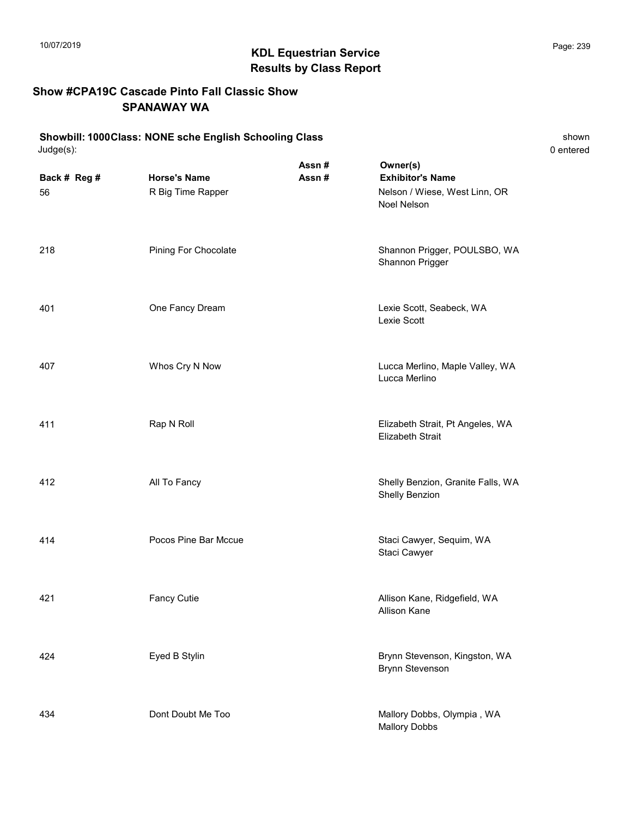# KDL Equestrian Service 10/07/2019 Page: 239 Results by Class Report

#### Show #CPA19C Cascade Pinto Fall Classic Show SPANAWAY WA

#### Showbill: 1000Class: NONE sche English Schooling Class shown shown Judge(s): 0 entered

| Back # Reg #<br>56 | <b>Horse's Name</b><br>R Big Time Rapper | Assn#<br>Assn# | Owner(s)<br><b>Exhibitor's Name</b><br>Nelson / Wiese, West Linn, OR<br>Noel Nelson |  |
|--------------------|------------------------------------------|----------------|-------------------------------------------------------------------------------------|--|
| 218                | Pining For Chocolate                     |                | Shannon Prigger, POULSBO, WA<br>Shannon Prigger                                     |  |
| 401                | One Fancy Dream                          |                | Lexie Scott, Seabeck, WA<br>Lexie Scott                                             |  |
| 407                | Whos Cry N Now                           |                | Lucca Merlino, Maple Valley, WA<br>Lucca Merlino                                    |  |
| 411                | Rap N Roll                               |                | Elizabeth Strait, Pt Angeles, WA<br><b>Elizabeth Strait</b>                         |  |
| 412                | All To Fancy                             |                | Shelly Benzion, Granite Falls, WA<br>Shelly Benzion                                 |  |

Staci Cawyer

Allison Kane

414 **Pocos Pine Bar Mccue** Staci Cawyer, Sequim, WA

421 **Fancy Cutie Allison Kane, Ridgefield, WA** 

434 **Dont Doubt Me Too Mallory Dobbs, Olympia** , WA

424 Eyed B Stylin Brynn Stevenson, Kingston, WA Brynn Stevenson

Mallory Dobbs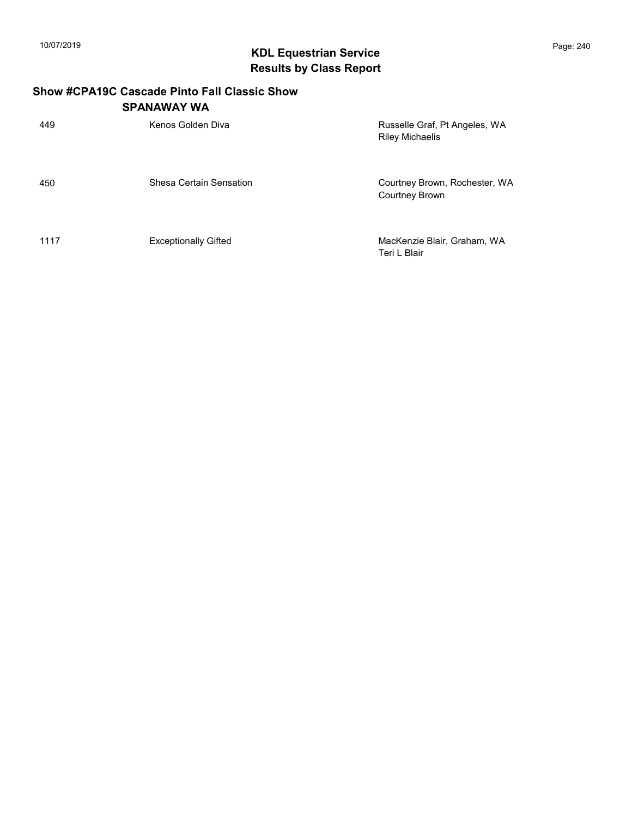# KDL Equestrian Service 10/07/2019 Page: 240 Results by Class Report

#### Show #CPA19C Cascade Pinto Fall Classic Show SPANAWAY WA

| 449  | Kenos Golden Diva           | Russelle Graf, Pt Angeles, WA<br><b>Riley Michaelis</b> |
|------|-----------------------------|---------------------------------------------------------|
| 450  | Shesa Certain Sensation     | Courtney Brown, Rochester, WA<br><b>Courtney Brown</b>  |
| 1117 | <b>Exceptionally Gifted</b> | MacKenzie Blair, Graham, WA<br>Teri L Blair             |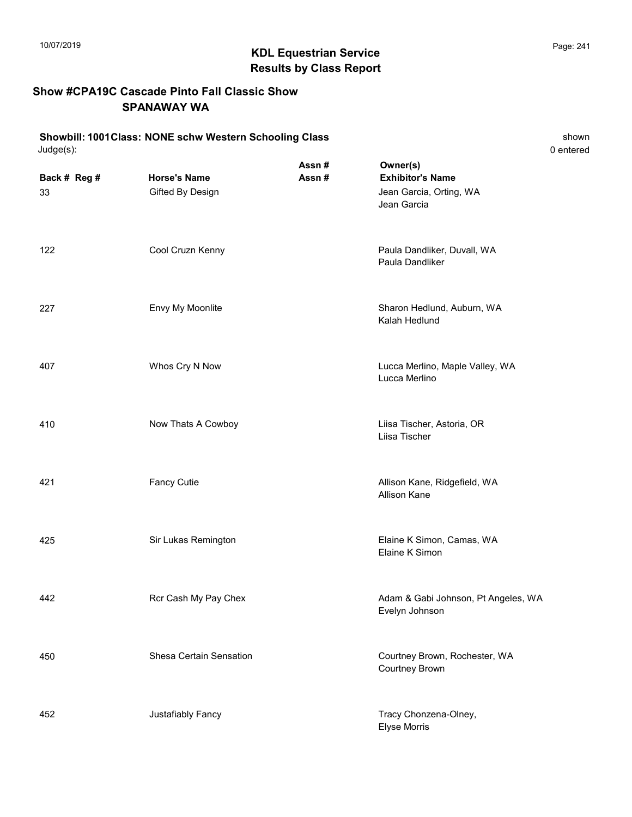# KDL Equestrian Service 10/07/2019 Page: 241 Results by Class Report

#### Show #CPA19C Cascade Pinto Fall Classic Show SPANAWAY WA

#### Showbill: 1001Class: NONE schw Western Schooling Class<br>Judge(s): 0 entered Judge(s): 0 entered

| Back # Reg #<br>33 | <b>Horse's Name</b><br>Gifted By Design | Assn#<br>Assn# | Owner(s)<br><b>Exhibitor's Name</b><br>Jean Garcia, Orting, WA<br>Jean Garcia |
|--------------------|-----------------------------------------|----------------|-------------------------------------------------------------------------------|
| 122                | Cool Cruzn Kenny                        |                | Paula Dandliker, Duvall, WA<br>Paula Dandliker                                |
| 227                | Envy My Moonlite                        |                | Sharon Hedlund, Auburn, WA<br>Kalah Hedlund                                   |
| 407                | Whos Cry N Now                          |                | Lucca Merlino, Maple Valley, WA<br>Lucca Merlino                              |
| 410                | Now Thats A Cowboy                      |                | Liisa Tischer, Astoria, OR<br>Liisa Tischer                                   |
| 421                | <b>Fancy Cutie</b>                      |                | Allison Kane, Ridgefield, WA<br><b>Allison Kane</b>                           |
| 425                | Sir Lukas Remington                     |                | Elaine K Simon, Camas, WA<br>Elaine K Simon                                   |
| 442                | Rcr Cash My Pay Chex                    |                | Adam & Gabi Johnson, Pt Angeles, WA<br>Evelyn Johnson                         |
| 450                | Shesa Certain Sensation                 |                | Courtney Brown, Rochester, WA<br>Courtney Brown                               |
| 452                | Justafiably Fancy                       |                | Tracy Chonzena-Olney,<br><b>Elyse Morris</b>                                  |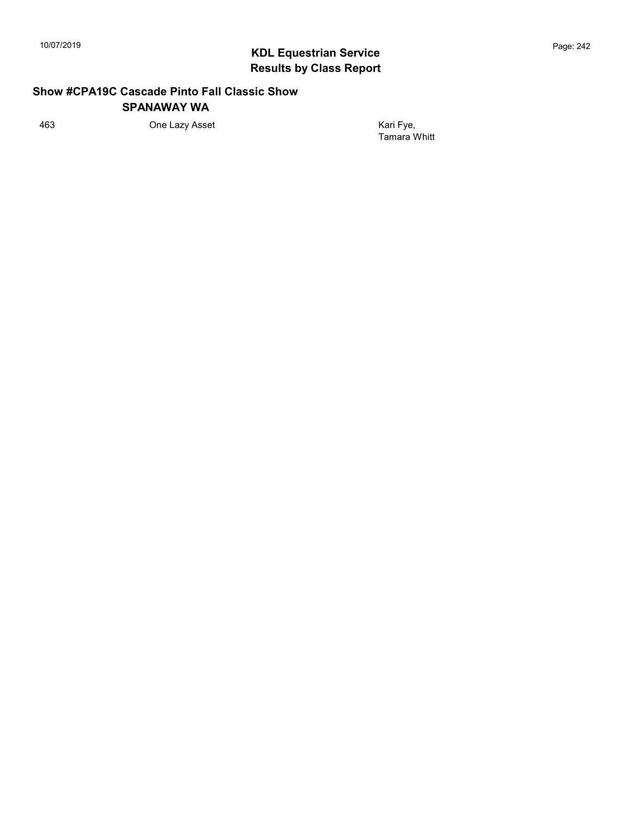#### Show #CPA19C Cascade Pinto Fall Classic Show SPANAWAY WA

463 Che Lazy Asset **Contact Asset** Kari Fye,

Tamara Whitt